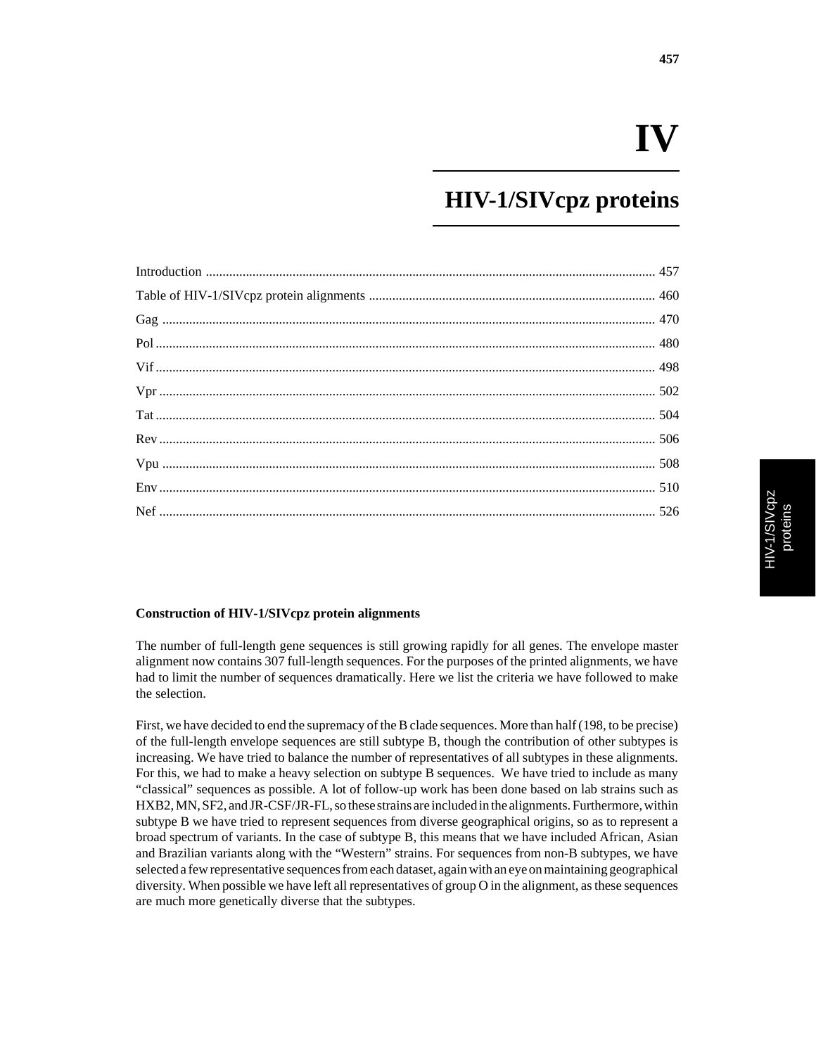**HIV-1/SIVcpz 457**

## **Construction of HIV-1/SIVcpz protein alignments**

The number of full-length gene sequences is still growing rapidly for all genes. The envelope master alignment now contains 307 full-length sequences. For the purposes of the printed alignments, we have had to limit the number of sequences dramatically. Here we list the criteria we have followed to make the selection.

First, we have decided to end the supremacy of the B clade sequences. More than half (198, to be precise) of the full-length envelope sequences are still subtype B, though the contribution of other subtypes is increasing. We have tried to balance the number of representatives of all subtypes in these alignments. For this, we had to make a heavy selection on subtype B sequences. We have tried to include as many "classical" sequences as possible. A lot of follow-up work has been done based on lab strains such as HXB2, MN, SF2, and JR-CSF/JR-FL, so these strains are included in the alignments. Furthermore, within subtype B we have tried to represent sequences from diverse geographical origins, so as to represent a broad spectrum of variants. In the case of subtype B, this means that we have included African, Asian and Brazilian variants along with the "Western" strains. For sequences from non-B subtypes, we have selected a few representative sequences from each dataset, again with an eye on maintaining geographical diversity. When possible we have left all representatives of group O in the alignment, as these sequences are much more genetically diverse that the subtypes.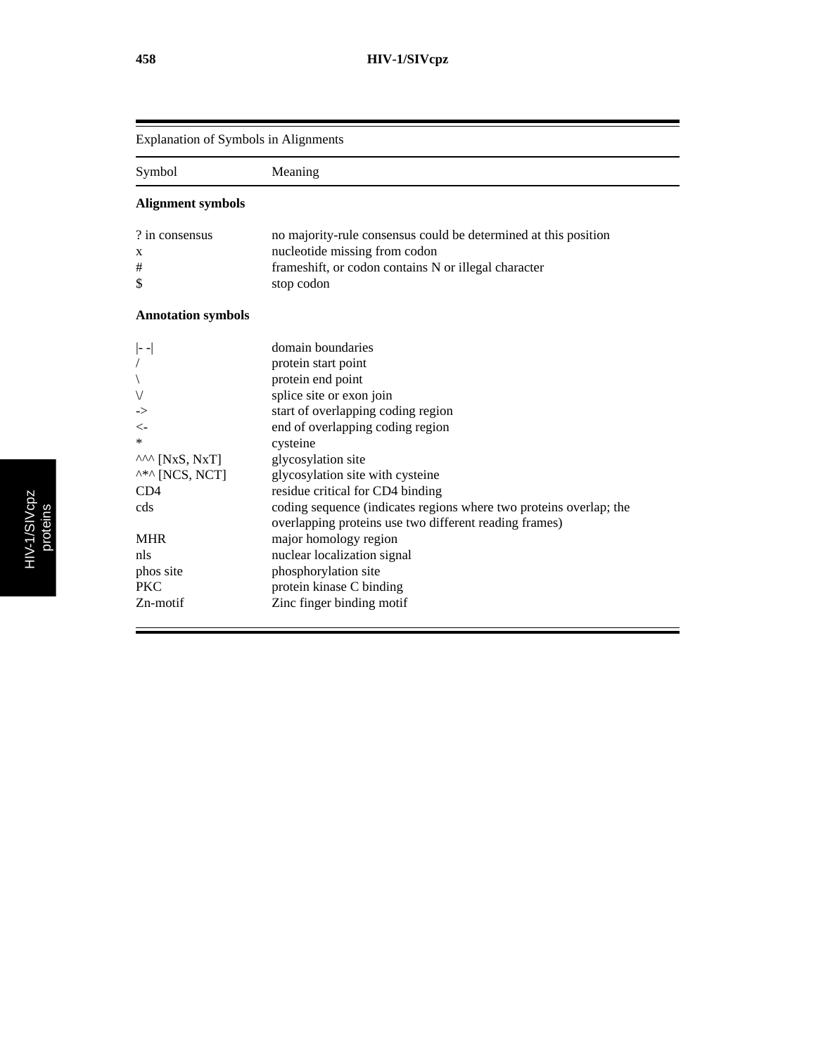| Explanation of Symbols in Alignments |                                                                    |
|--------------------------------------|--------------------------------------------------------------------|
| Symbol                               | Meaning                                                            |
| <b>Alignment symbols</b>             |                                                                    |
| ? in consensus                       | no majority-rule consensus could be determined at this position    |
| X                                    | nucleotide missing from codon                                      |
| #                                    | frameshift, or codon contains N or illegal character               |
| \$                                   | stop codon                                                         |
| <b>Annotation symbols</b>            |                                                                    |
| $\left\vert -\right\vert$            | domain boundaries                                                  |
|                                      | protein start point                                                |
|                                      | protein end point                                                  |
|                                      | splice site or exon join                                           |
| ->                                   | start of overlapping coding region                                 |
| $\lt$ -                              | end of overlapping coding region                                   |
| $\ast$                               | cysteine                                                           |
| $\lambda A \sim$ [NxS, NxT]          | glycosylation site                                                 |
| ^*^ [NCS, NCT]                       | glycosylation site with cysteine                                   |
| CD4                                  | residue critical for CD4 binding                                   |
| cds                                  | coding sequence (indicates regions where two proteins overlap; the |
|                                      | overlapping proteins use two different reading frames)             |
| <b>MHR</b>                           | major homology region                                              |
| nls                                  | nuclear localization signal                                        |
| phos site                            | phosphorylation site                                               |
| <b>PKC</b>                           | protein kinase C binding                                           |
| Zn-motif                             | Zinc finger binding motif                                          |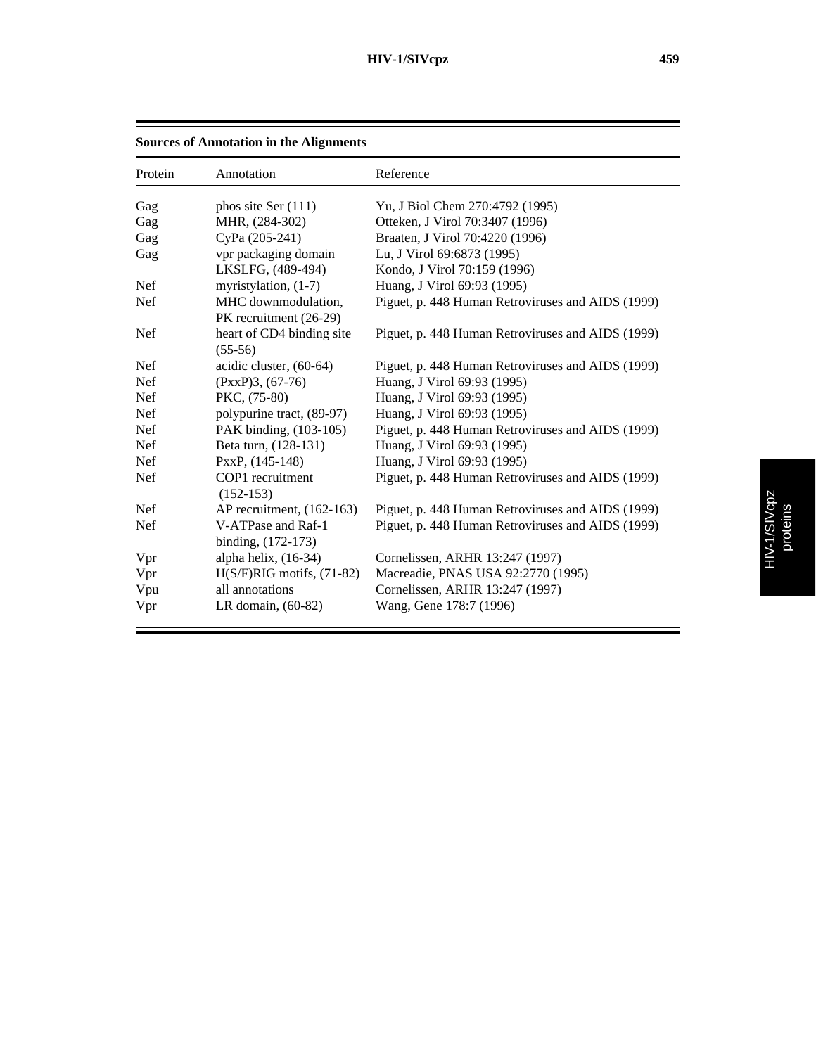|            | <b>Sources of Annotation in the Alignments</b> |                                                   |
|------------|------------------------------------------------|---------------------------------------------------|
| Protein    | Annotation                                     | Reference                                         |
| Gag        | phos site Ser $(111)$                          | Yu, J Biol Chem 270:4792 (1995)                   |
| Gag        | MHR, (284-302)                                 | Otteken, J Virol 70:3407 (1996)                   |
| Gag        | CyPa (205-241)                                 | Braaten, J Virol 70:4220 (1996)                   |
| Gag        | vpr packaging domain                           | Lu, J Virol 69:6873 (1995)                        |
|            | LKSLFG, (489-494)                              | Kondo, J Virol 70:159 (1996)                      |
| Nef        | myristylation, (1-7)                           | Huang, J Virol 69:93 (1995)                       |
| Nef        | MHC downmodulation,<br>PK recruitment (26-29)  | Piguet, p. 448 Human Retroviruses and AIDS (1999) |
| <b>Nef</b> | heart of CD4 binding site<br>$(55-56)$         | Piguet, p. 448 Human Retroviruses and AIDS (1999) |
| <b>Nef</b> | acidic cluster, (60-64)                        | Piguet, p. 448 Human Retroviruses and AIDS (1999) |
| Nef        | $(PxxP)3, (67-76)$                             | Huang, J Virol 69:93 (1995)                       |
| Nef        | PKC, (75-80)                                   | Huang, J Virol 69:93 (1995)                       |
| Nef        | polypurine tract, (89-97)                      | Huang, J Virol 69:93 (1995)                       |
| Nef        | PAK binding, (103-105)                         | Piguet, p. 448 Human Retroviruses and AIDS (1999) |
| Nef        | Beta turn, (128-131)                           | Huang, J Virol 69:93 (1995)                       |
| <b>Nef</b> | $PxxP, (145-148)$                              | Huang, J Virol 69:93 (1995)                       |
| Nef        | COP1 recruitment<br>$(152-153)$                | Piguet, p. 448 Human Retroviruses and AIDS (1999) |
| Nef        | AP recruitment, (162-163)                      | Piguet, p. 448 Human Retroviruses and AIDS (1999) |
| Nef        | V-ATPase and Raf-1<br>binding, (172-173)       | Piguet, p. 448 Human Retroviruses and AIDS (1999) |
| Vpr        | alpha helix, (16-34)                           | Cornelissen, ARHR 13:247 (1997)                   |
| Vpr        | $H(S/F)RIG$ motifs, $(71-82)$                  | Macreadie, PNAS USA 92:2770 (1995)                |
| Vpu        | all annotations                                | Cornelissen, ARHR 13:247 (1997)                   |
| Vpr        | LR domain, (60-82)                             | Wang, Gene 178:7 (1996)                           |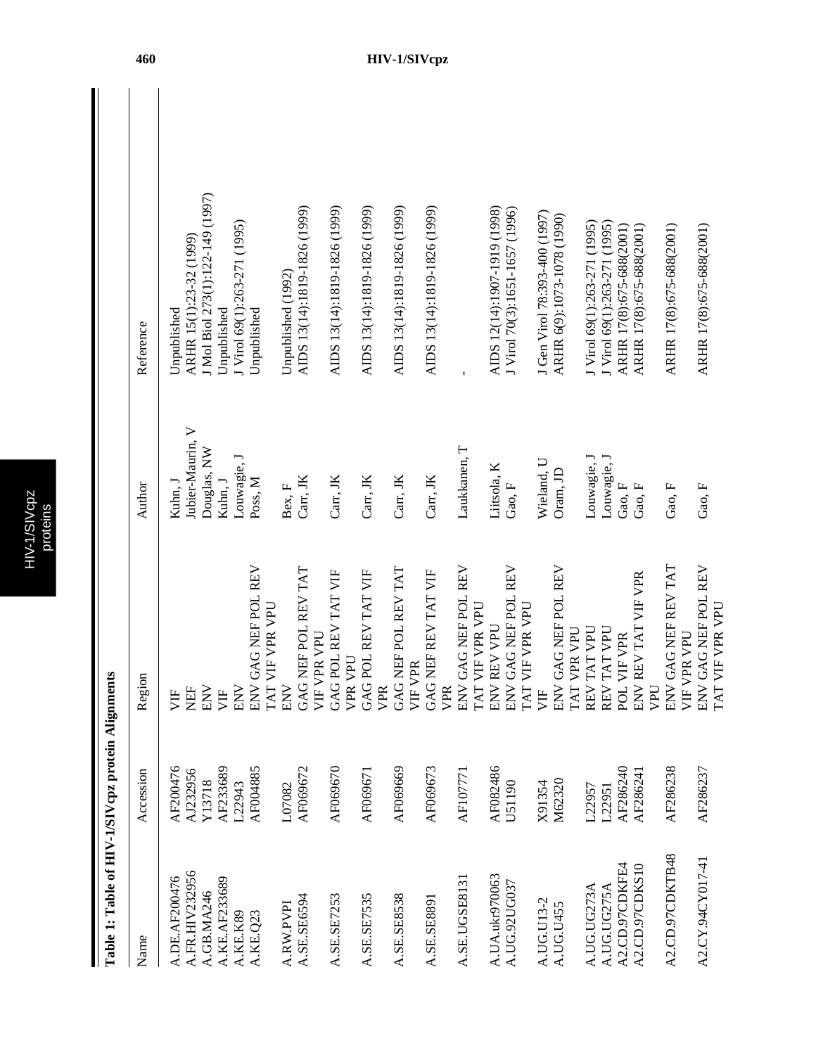|   | ٢ |
|---|---|
|   | ì |
|   |   |
|   |   |
|   |   |
|   |   |
|   |   |
|   |   |
| г |   |

Table 1: Table of HIV-1/SIVcpz protein Alignments **Table 1: Table of HIV-1/SIVcpz protein Alignments**

| Name             | Accession | Region                                 | Author           | Reference                        |
|------------------|-----------|----------------------------------------|------------------|----------------------------------|
| A.DE.AF200476    | AF200476  | UH                                     | Kuhn, J          | Unpublished                      |
| A.FR.HIV232956   | AJ232956  | <b>NEF</b>                             | Jubier-Maurin, V | ARHR 15(1):23-32 (1999)          |
| A.GB.MA246       | Y13718    | ENV                                    | Douglas, NW      | J Mol Biol 273(1):122-149 (1997) |
| A.KE.AF233689    | AF233689  | УF                                     | Kuhn, J          | Unpublished                      |
| A.KE.K89         | L22943    | ENV                                    | Louwagie, J      | J Virol 69(1):263-271 (1995)     |
| A.KE.Q23         | AF004885  | ENV GAG NEF POL REV<br>TAT VIF VPR VPU | Poss, M          | Unpublished                      |
| A.RW.PVPI        | L07082    | ENV                                    | Bex, F           | Unpublished (1992)               |
| A.SE.SE6594      | AF069672  | GAG NEF POL REV TAT                    | Carr, JK         | AIDS 13(14):1819-1826 (1999)     |
|                  |           | VIF VPR VPU                            |                  |                                  |
| A.SE.SE7253      | AF069670  | GAG POL REV TAT VIF<br><b>VPR VPU</b>  | Carr, JK         | AIDS 13(14):1819-1826 (1999)     |
| A.SE.SE7535      | AF069671  | GAG POL REV TAT VIF<br><b>VPR</b>      | Carr, JK         | AIDS 13(14):1819-1826 (1999)     |
|                  |           |                                        |                  |                                  |
| A.SE.SE8538      | AF069669  | GAG NEF POL REV TAT<br><b>VIF VPR</b>  | Carr, JK         | AIDS 13(14):1819-1826 (1999)     |
| A.SE.SE8891      | AF069673  | GAG NEF REV TAT VIF<br>VPR             | Carr, JK         | AIDS 13(14):1819-1826 (1999)     |
| A.SE.UGSE8131    | AF107771  | ENV GAG NEF POL REV<br>TAT VIF VPR VPU | Laukkanen, T     |                                  |
| A.UA.ukr970063   | AF082486  | ENV REV VPU                            | Litsola, K       | AIDS 12(14):1907-1919 (1998)     |
| A.UG.92UG037     | U51190    | ENV GAG NEF POL REV<br>TAT VIF VPR VPU | $\rm Gao, F$     | J Virol 70(3):1651-1657 (1996)   |
| A.UG.U13-2       | X91354    | VIF                                    | Wieland, U       | J Gen Virol 78:393-400 (1997)    |
| A.UG.U455        | M62320    | ENV GAG NEF POL REV<br>TAT VPR VPU     | Oram, JD         | ARHR 6(9):1073-1078 (1990)       |
| A.UG.UG273A      | L22957    | REV TAT VPU                            | Louwagie, J      | J Virol 69(1):263-271 (1995)     |
| A.UG.UG275A      | L22951    | REV TAT VPU                            | Louwagie, J      | J Virol 69(1):263-271 (1995)     |
| A2.CD.97CDKFE4   | AF286240  | POL VIF VPR                            | Gao, F           | ARHR 17(8):675-688(2001)         |
| A2.CD.97CDKS10   | AF286241  | ENV REV TAT VIF VPR<br>VPU             | Gao, F           | ARHR 17(8):675-688(2001)         |
| A2.CD.97CDKTB48  | AF286238  | ENV GAG NEF REV TAT<br>VIF VPR VPU     | Gao, F           | ARHR 17(8): 675-688(2001)        |
| A2.CY.94CY017-41 | AF286237  | ENV GAG NEF POL REV                    |                  | ARHR 17(8): 675-688(2001)        |
|                  |           | TAT VIF VPR VPU                        | Gao, F           |                                  |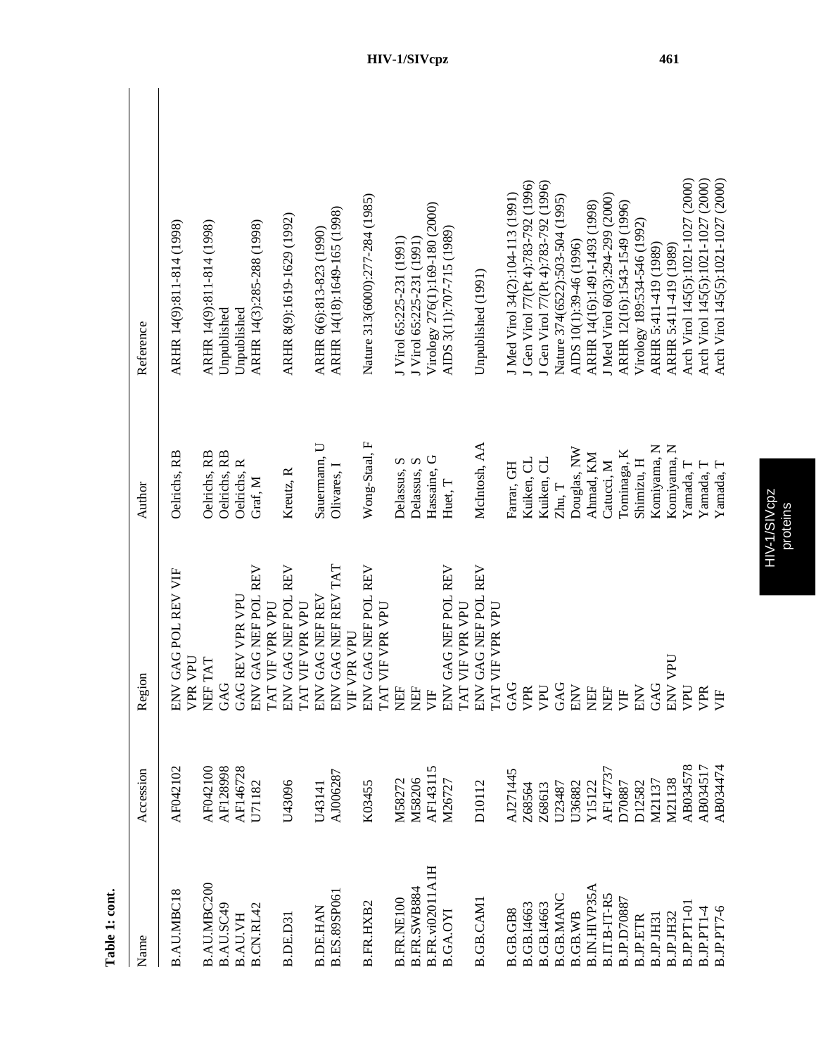| Name                            | Accession            | Region                                                           | Author                       | Reference                                |
|---------------------------------|----------------------|------------------------------------------------------------------|------------------------------|------------------------------------------|
| <b>B.AU.MBC18</b>               | AF042102             | GAG POL REV VIF<br><b>VPR VPU</b><br>ENV <sub>L</sub>            | Oelrichs, RB                 | ARHR 14(9):811-814 (1998)                |
| <b>B.AU.MBC200</b><br>B.AU.SC49 | AF042100<br>AF128998 | <b>NEF TAT</b><br>GAG                                            | Oelrichs, RB<br>Oelrichs, RB | ARHR 14(9):811-814 (1998)<br>Unpublished |
| <b>B.AU.VH</b>                  | AF146728             | REV VPR VPU<br>GAG                                               | Oelrichs, R                  | Unpublished                              |
| B.CN.RL42                       | U71182               | ENV GAG NEF POL REV<br>TAT VIF VPR VPU                           | Graf, M                      | ARHR 14(3):285-288 (1998)                |
| B.DE.D31                        | U43096               | ENV GAG NEF POL REV<br>TAT VIF VPR VPU                           | Kreutz, R                    | ARHR 8(9):1619-1629 (1992)               |
| <b>B.DE.HAN</b>                 | U43141               | ENV GAG NEF REV                                                  | Sauermann, U                 | ARHR 6(6):813-823 (1990)                 |
| <b>B.ES.89SP061</b>             | AJ006287             | ENV GAG NEF REV TAT<br>VIF VPR VPU                               | Olivares, I                  | ARHR 14(18):1649-165 (1998)              |
| B.FR.HXB2                       | K03455               | ENV GAG NEF POL REV<br><b>TAT VIF VPR VPU</b>                    | Wong-Staal, F                | Nature 313(6000):277-284 (1985)          |
| <b>B.FR.NE100</b>               | M58272               | <b>NEF</b>                                                       | Delassus, S                  | J Virol 65:225-231 (1991)                |
| B.FR.SWB884                     | M58206               | NEF                                                              | Delassus, S                  | J Virol 65:225-231 (1991)                |
| <b>B.FR.vi02011A1H</b>          | AF143115             | УIF                                                              | Hassaine, G                  | Virology 276(1):169-180 (2000)           |
| B.GA.OYI                        | M26727               | GAG NEF POL REV<br>VIF VPR VPU<br>ENV <sub>o</sub><br><b>TAT</b> | Huet, T                      | AIDS 3(11):707-715 (1989)                |
| <b>B.GB.CAMI</b>                | D10112               | ENV GAG NEF POL REV<br>TAT VIF VPR VPU                           | McIntosh, AA                 | Unpublished (1991)                       |
| B.GB.GB8                        | AJ271445             | GAG                                                              | Farrar, GH                   | J Med Virol 34(2): 104-113 (1991)        |
| B.GB.I4663                      | 268564               | VPR                                                              | Kuiken, CL                   | J Gen Virol 77(Pt 4):783-792 (1996)      |
| B.GB.I4663                      | Z68613               | VPU                                                              | Kuiken, CL                   | J Gen Virol 77 (Pt 4):783-792 (1996)     |
| <b>B.GB.MANC</b>                | U23487               | GAG                                                              | Zhu, T                       | Nature 374(6522):503-504 (1995)          |
| <b>B.GB.WB</b>                  | U36882               | ENV                                                              | Douglas, NW                  | AIDS 10(1):39-46 (1996)                  |
| <b>B.IN.HIVP35A</b>             | Y15122               | NEF                                                              | Ahmad, KM                    | ARHR 14(16):1491-1493 (1998)             |
| B.IT.B-IT-R5                    | AF147737             | NEF                                                              | Catucci, M                   | J Med Virol 60(3):294-299 (2000)         |
| B.JP.D70887                     | D70887               | УIF                                                              | Tominaga, K                  | ARHR 12(16):1543-1549 (1996)             |
| <b>B.JP.ETR</b>                 | D12582               | ENV                                                              | Shimizu, H                   | Virology 189:534-546 (1992)              |
| B.JP.JH3                        | M21137               | GAG                                                              | Komiyama, N                  | ARHR 5:411-419 (1989)                    |
| B.JP.JH32                       | M21138               | <b>UAA ANE</b>                                                   | Komiyama, N                  | ARHR 5:411-419 (1989)                    |
| <b>B.JP.PT1-0</b>               | AB034578             | VPU                                                              | Yamada, T                    | Arch Virol 145(5):1021-1027 (2000)       |
| B.JP.PT1-4                      | AB034517             | VPR                                                              | Yamada, T                    | Arch Virol 145(5):1021-1027 (2000)       |
| B.JP.PT7-6                      | AB034474             | УË                                                               | Yamada, T                    | Arch Virol 145(5):1021-1027 (2000)       |
|                                 |                      |                                                                  |                              |                                          |

Table 1: cont.

HIV-1/SIVcpz HIV-1/SIVcpz<br>proteins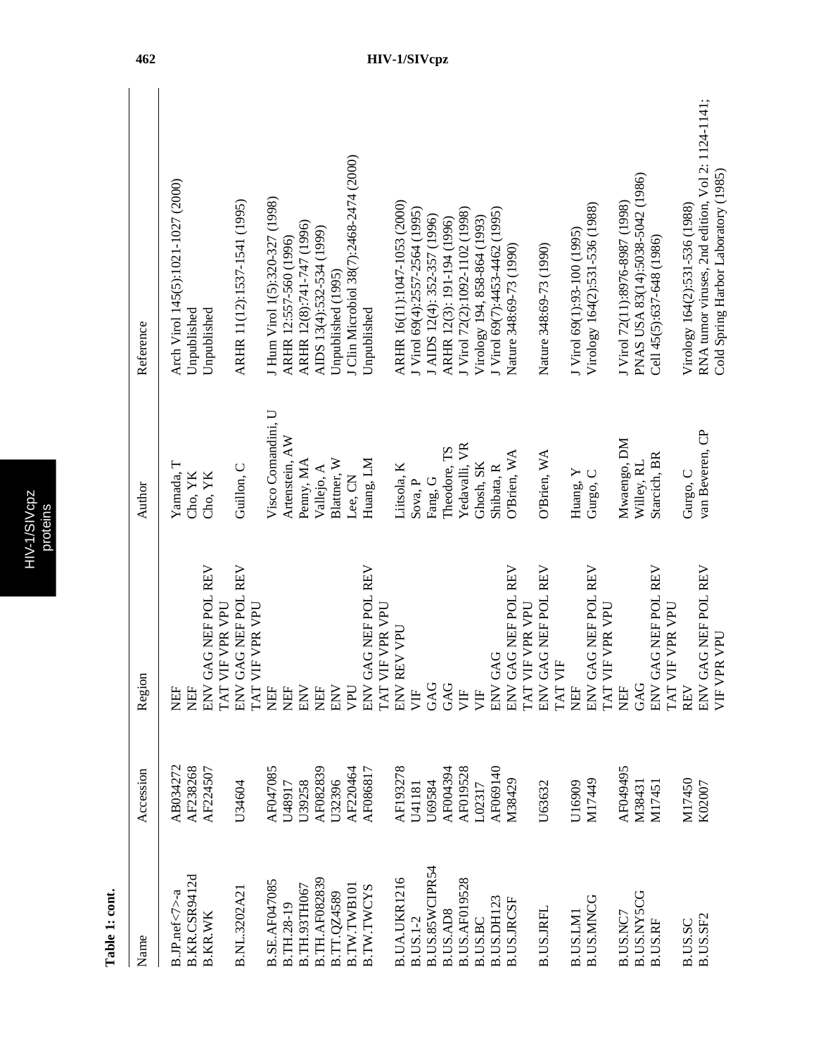HIV-1/SIVcpz HIV-1/SIVcpz<br>proteins

> Table 1: cont. **Table 1: cont.**

| Name                                                   | Accession          | Region                                            | Author             | Reference                                         |
|--------------------------------------------------------|--------------------|---------------------------------------------------|--------------------|---------------------------------------------------|
| BJP.net<7> a                                           | AB034272           | EF                                                | Yamada, T          | Arch Virol 145(5):1021-1027 (2000)                |
| B.KR.CSR9412d                                          | AF238268           | EF                                                | Cho, YK            | Unpublished                                       |
| <b>B.KR.WK</b>                                         | AF224507           | ENV GAG NEF POL REV<br>TAT VIF VPR VPU            | Cho, YK            | Unpublished                                       |
| B.NL.3202A21                                           | U34604             | ENV GAG NEF POL REV<br>TAT VIF VPR VPU            | Guillon, C         | ARHR 11(12):1537-1541 (1995)                      |
| <b>B.SE.AF047085</b>                                   | AF047085           | NEF                                               | Visco Comandini, U | J Hum Virol 1(5):320-327 (1998)                   |
| B.TH.28-19                                             | U48917             | EH                                                | Artenstein, AW     | ARHR 12:557-560 (1996)                            |
| B.TH.93TH067                                           | U39258             | ENN                                               | Penny, MA          | ARHR 12(8):741-747 (1996)                         |
| <b>B.TH.AF082839</b>                                   | AF082839<br>U32396 | NEF                                               | Vallejo, A         | AIDS 13(4):532-534 (1999)                         |
| B.TT.QZ4589                                            |                    | ENV                                               | Blattner, W        | Unpublished (1995)                                |
| B.TW.TWB101                                            | AF220464           | DdA                                               | Lee, CN            | J Clin Microbiol 38(7):2468-2474 (2000)           |
| <b>B.TW.TWCYS</b>                                      | AF086817           | ENV GAG NEF POL REV<br>TAT VIF VPR VPU            | Huang, LM          | Unpublished                                       |
| B.UA.UKR1216                                           | AF193278           | ENV REV VPU                                       | Liitsola, K        | ARHR 16(11):1047-1053 (2000)                      |
|                                                        |                    |                                                   |                    |                                                   |
| B.US.1-2                                               | U41181             | VIF                                               | Sova, P            | J Virol 69(4):2557-2564 (1995)                    |
|                                                        | U69584             | GAG                                               | Fang, G            | J AIDS 12(4): 352-357 (1996)                      |
|                                                        | AF004394           | GAG                                               | Theodore, TS       | ARHR 12(3): 191-194 (1996)                        |
|                                                        | AF019528           | VIF                                               | Yedavalli, VR      | J Virol 72(2):1092-1102 (1998)                    |
| B.US.85WCIPR54<br>B.US.AD8<br>B.US.AF019528<br>B.US.BC | L02317             | VIF                                               | Ghosh, SK          | Virology 194, 858-864 (1993)                      |
| B.US.DH123                                             | AF069140           |                                                   | Shibata, R         | J Virol 69(7):4453-4462 (1995)                    |
| <b>B.US.JRCSF</b>                                      | M38429             | ENV GAG<br>ENV GAG NEF POL REV<br>TAT VIF VPR VPU | O'Brien, WA        | Nature 348:69-73 (1990)                           |
|                                                        |                    |                                                   |                    |                                                   |
| <b>B.US.JRFL</b>                                       | U63632             | ENV GAG NEF POL REV<br>TAT VIF<br>NEF             | O'Brien, WA        | Nature 348:69-73 (1990)                           |
| B.US.LMI                                               | U16909             |                                                   | Huang, $Y$         | J Virol 69(1):93-100 (1995)                       |
| <b>B.US.MNCG</b>                                       | M17449             | ENV GAG NEF POL REV<br>TAT VIF VPR VPU            | Gurgo, C           | Virology 164(2):531-536 (1988)                    |
| B.US.NC7                                               | AF049495           | NEF                                               | Mwaengo, DM        | J Virol 72(11):8976-8987 (1998)                   |
| <b>B.US.NYSCG</b>                                      | M38431             | GAG                                               | Willey, RL         | PNAS USA 83(14):5038-5042 (1986)                  |
| <b>B.US.RF</b>                                         | M17451             | ENV GAG NEF POL REV                               | Starcich, BR       | $Cell$ 45(5):637-648 (1986)                       |
|                                                        |                    | TAT VIF VPR VPU                                   |                    |                                                   |
| B.US.SC<br>B.US.SF2                                    | M17450             | <b>REV</b>                                        | Gurgo, C           | Virology 164(2):531-536 (1988)                    |
|                                                        | K02007             | ENV GAG NEF POL REV<br>VIF VPR VPU                | van Beveren, CP    | RNA tumor viruses, 2nd edition, Vol 2: 1124-1141; |
|                                                        |                    |                                                   |                    | Cold Spring Harbor Laboratory (1985)              |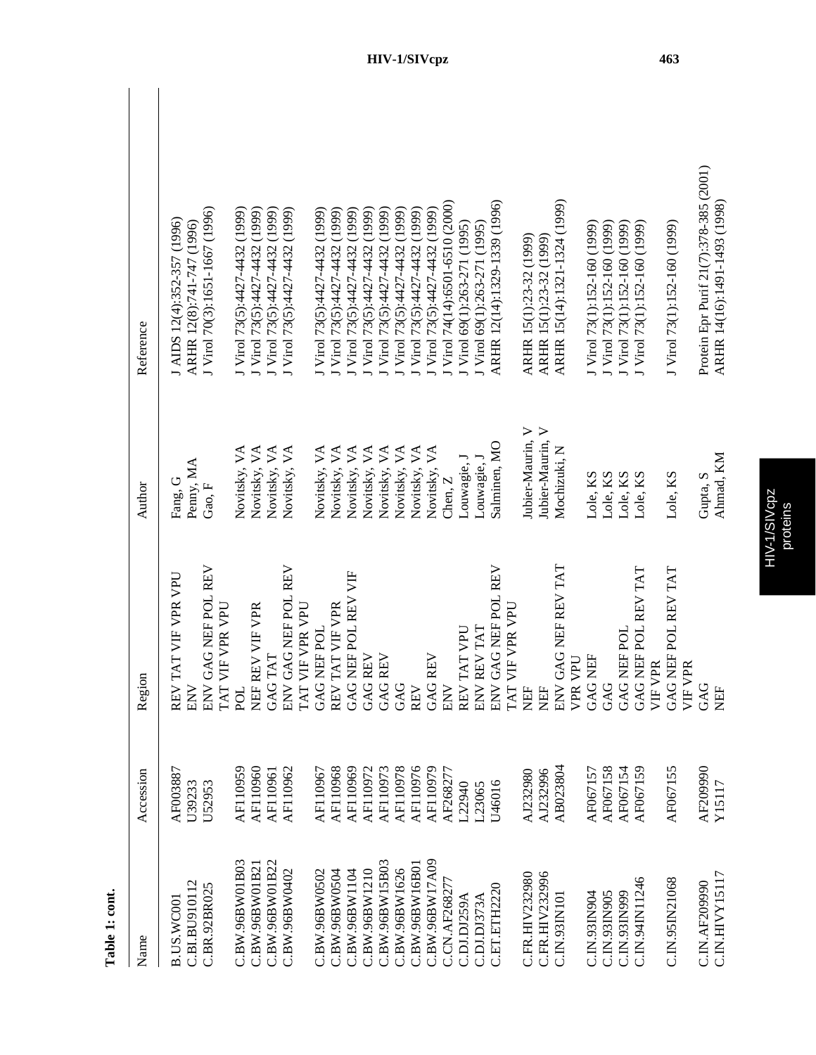| Name           | Accession | Region                                                    | Author           | Reference                              |
|----------------|-----------|-----------------------------------------------------------|------------------|----------------------------------------|
| B.US.WC001     | AF003887  | REV TAT VIF VPR VPU                                       | Fang, G          | J AIDS 12(4):352-357 (1996)            |
| C.BI.BU910112  | U39233    | ENV                                                       | Penny, MA        | ARHR 12(8):741-747 (1996)              |
| C.BR.92BR025   | U52953    | GAG NEF POL REV<br>VIF VPR VPU<br>TAT <sup>'</sup><br>ENV | Gao, F           | J Virol 70(3):1651-1667 (1996)         |
| C.BW.96BW01B03 | AF110959  | POL                                                       | Novitsky, VA     | J Virol 73(5):4427-4432 (1999)         |
| C.BW.96BWOIB21 | AF110960  | REV VIF VPR<br>NEF <sub>1</sub>                           | Novitsky, VA     | J Virol 73(5):4427-4432 (1999)         |
| C.BW.96BW01B22 | AF110961  | TAT<br>GAG                                                | Novitsky, VA     | J Virol 73(5):4427-4432 (1999)         |
| C.BW.96BW0402  | AF110962  | GAG NEF POL REV<br>ENV                                    | Novitsky, VA     | J Virol 73(5):4427-4432 (1999)         |
|                |           | TAT VIF VPR VPU                                           |                  |                                        |
| C.BW.96BW0502  | AF110967  | NEF POL<br>GAG                                            | Novitsky, VA     | J Virol 73(5):4427-4432 (1999)         |
| C.BW.96BW0504  | AF110968  | REV TAT VIF VPR                                           | Novitsky, VA     | J Virol 73(5):4427-4432 (1999)         |
| C.BW.96BWI104  | AF110969  | NEF POL REV VIF<br>GAG                                    | Novitsky, VA     | J Virol 73(5):4427-4432 (1999)         |
| C.BW.96BW1210  | AF110972  | <b>REV</b><br>GAG                                         | Novitsky, VA     | J Virol 73(5):4427-4432 (1999)         |
| C.BW.96BW15B03 | AF110973  | <b>REV</b><br>GAG                                         | Novitsky, VA     | J Virol 73(5):4427-4432 (1999)         |
| C.BW.96BW1626  | AF110978  | GAG                                                       | Novitsky, VA     | J Virol 73(5):4427-4432 (1999)         |
| C.BW.96BW16B01 | AF110976  | REV                                                       | Novitsky, VA     | J Virol 73(5):4427-4432 (1999)         |
| C.BW.96BW17A09 | AF110979  | <b>REV</b><br>GAG                                         | Novitsky, VA     | J Virol 73(5):4427-4432 (1999)         |
| C.CN.AF268277  | AF26827   | ENV                                                       | Chen, Z          | J Virol 74(14):6501-6510 (2000)        |
| C.DJ.DJ259A    | L22940    | REV TAT VPU                                               | Louwagie, J      | J Virol 69(1):263-271 (1995)           |
| C.DJ.DJ373A    | L23065    | REV TAT<br>ENV                                            | Louwagie, J      | J Virol 69(1):263-271 (1995)           |
| C.ET.ETH2220   | U46016    | GAG NEF POL REV<br>TAT VIF VPR VPU<br>ENV <sub>1</sub>    | Salminen, MO     | ARHR 12(14):1329-1339 (1996)           |
|                |           |                                                           |                  |                                        |
| C.FR.HIV232980 | AJ232980  | NEF                                                       | Jubier-Maurin, V | ARHR 15(1):23-32 (1999)                |
| C.FR.HIV232996 | AJ232996  | <b>NEF</b>                                                | Jubier-Maurin, V | ARHR 15(1):23-32 (1999)                |
| C.IN.93IN101   | AB023804  | GAG NEF REV TAT<br>VPR VPU<br>ENV                         | Mochizuki, N     | ARHR 15(14):1321-1324 (1999)           |
| C.IN.93IN904   | AF067157  | <b>NEF</b><br>GAG                                         |                  | J Virol 73(1):152-160 (1999)           |
|                |           |                                                           | Lole, KS         |                                        |
| C.IN.93IN905   | AF067158  | GAG                                                       | Lole, KS         | J Virol 73(1):152-160 (1999)           |
| C.IN.93IN999   | AF067154  | <b>NEF POL</b><br>GAG <sup>T</sup>                        | Lole, KS         | J Virol 73(1):152-160 (1999)           |
| C.IN.94IN11246 | AF067159  | GAG NEF POL REV TAT<br><b>VIF VPR</b>                     | Lole, KS         | J Virol 73(1):152-160 (1999)           |
| C.IN.95IN21068 | AF067155  | GAG NEF POL REV TAT                                       | Lole, KS         | J Virol 73(1):152-160 (1999)           |
|                |           | VIF VPR                                                   |                  |                                        |
| C.IN.AF20990   | AF209990  | GAG                                                       | Gupta, S         | Protein Epr Purif 21(7):378-385 (2001) |
| C.IN.HIVY15117 | Y15117    | <b>NEF</b>                                                | Ahmad, KM        | ARHR 14(16):1491-1493 (1998)           |
|                |           |                                                           |                  |                                        |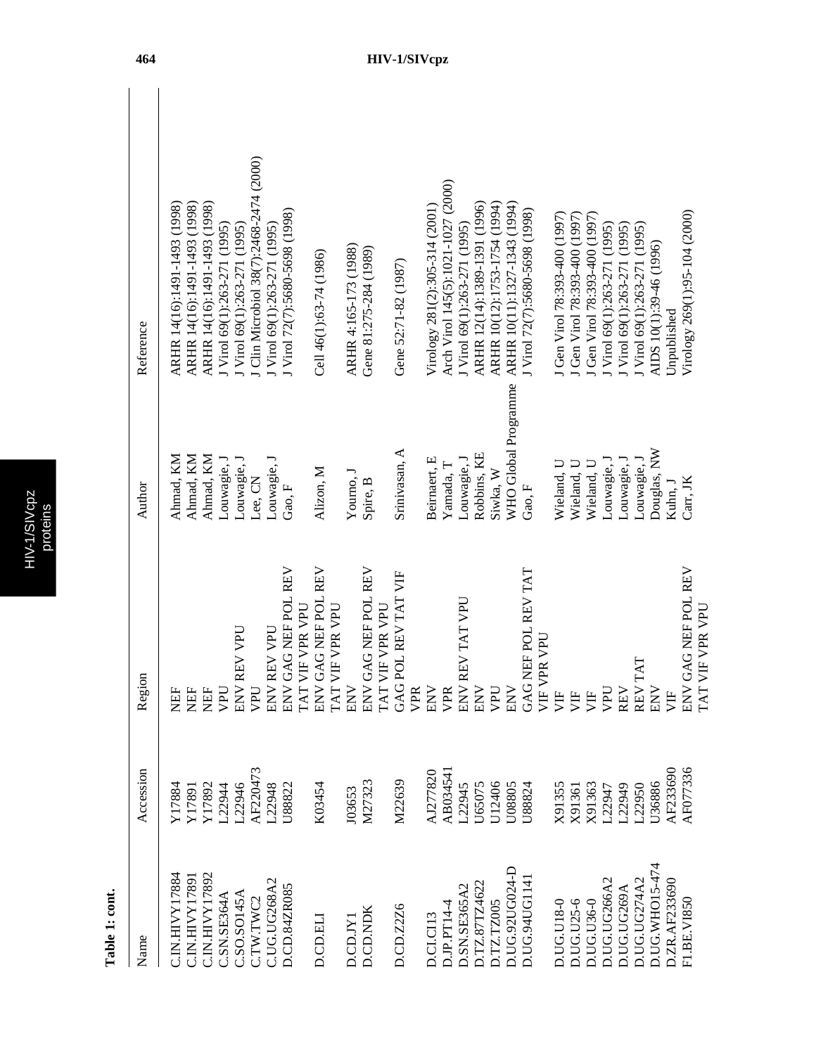|   | ٢ |
|---|---|
|   | ì |
|   |   |
|   |   |
|   |   |
|   |   |
|   |   |
|   |   |
| г |   |

Table 1: cont. **Table 1: cont.**

| Name           | Accession | Region                             | Author               | Reference                             |
|----------------|-----------|------------------------------------|----------------------|---------------------------------------|
| .IN.HIVY17884  | Y17884    | EE                                 | Ahmad, KM            | ARHR 14(16):1491-1493 (1998)          |
| C.IN.HIVY17891 | Y17891    | EF                                 | Ahmad, KM            | ARHR 14(16):1491-1493 (1998)          |
| C.IN.HIVY17892 | Y17892    | <b>NEF</b>                         | Ahmad, KM            | ARHR 14(16):1491-1493 (1998)          |
| C.SN.SE364A    | L22944    | VPU                                | Louwagie, J          | J Virol 69(1):263-271 (1995)          |
| C.SO.SO145A    | L22946    | ENV REV VPU                        | Louwagie, J          | J Virol 69(1):263-271 (1995)          |
| C.TW.TWC2      | AF220473  | VPU                                | Lee, CN              | Clin Microbiol 38(7):2468-2474 (2000) |
| C.UG.UG268A2   | L22948    | ENV REV VPU                        | Louwagie, J          | J Virol 69(1):263-271 (1995)          |
| D.CD.84ZR085   | J88822    | ENV GAG NEF POL REV                | Gao, F               | J Virol 72(7):5680-5698 (1998)        |
|                |           | TAT VIF VPR VPU                    |                      |                                       |
| <b>LIELO</b>   | K03454    | ENV GAG NEF POL REV                | Alizon, M            | Cell 46(1):63-74 (1986)               |
|                |           | TAT VIF VPR VPU                    |                      |                                       |
| LXLCD.         | 103653    | ENV                                | Yourno, J            | ARHR 4:165-173 (1988)                 |
| D.CD.NDK       | M27323    | ENV GAG NEF POL REV                | Spire, B             | Gene 81:275-284 (1989)                |
|                |           | <b>TAT VIF VPR VPU</b>             |                      |                                       |
| 0.CD.Z2Z6      | M22639    | GAG POL REV TAT VIF                | Srinivasan, A        | Gene $52:71-82$ (1987)                |
|                |           | <b>VPR</b>                         |                      |                                       |
| 0.01.013       | AJ277820  | ENV                                | Beimaert, E          | Virology 281(2):305-314 (2001)        |
| D.JP.PT14-4    | AB034541  | VPR                                | Yamada, T            | Arch Virol 145(5):1021-1027 (2000)    |
| D.SN.SE365A2   | L22945    | ENV REV TAT VPU                    | Louwagie, J          | J Virol 69(1):263-271 (1995)          |
| D.TZ.87TZ4622  | U65075    | $\ensuremath{\mathrm{ENV}}$        | Robbins, KE          | ARHR 12(14):1389-1391 (1996)          |
| D.TZ.TZ005     | U12406    | VPU                                | Siwka, W             | ARHR 10(12):1753-1754 (1994)          |
| D.UG.92UG024-D | J08805    | <b>NNE</b>                         | WHO Global Programme | ARHR 10(11):1327-1343 (1994)          |
| D.UG.94UG1141  | U88824    | GAG NEF POL REV TAT<br>VIF VPR VPU | Gao, F               | J Virol 72(7):5680-5698 (1998)        |
| D.UG.U18-0     | X91355    | УF                                 | Wieland, U           | J Gen Virol 78:393-400 (1997)         |
| 0.UG.U25-6     | X91361    | УIF                                | Wieland, U           | J Gen Virol 78:393-400 (1997)         |
| D.UG.U36-0     | X91363    | VIF                                | Wieland, U           | Gen Virol 78:393-400 (1997)           |
| D.UG.UG266A2   | L22947    | <b>UHA</b>                         | Louwagie, J          | Virol 69(1):263-271 (1995)            |
| D.UG.UG269A    | L22949    | REV                                | Louwagie, J          | J Virol 69(1):263-271 (1995)          |
| D.UG.UG274A2   | L22950    | REV TAT                            | Louwagie, l          | J Virol 69(1):263-271 (1995)          |
| D.UG.WHO15-474 | U36886    | ENV                                | Douglas, NW          | AIDS 10(1):39-46 (1996)               |
| D.ZR.AF233690  | AF233690  | VIF                                | Kuhn, J              | Unpublished                           |
| F1.BE.VI850    | AF077336  | ENV GAG NEF POL REV                | Carr, JK             | Virology 269(1):95-104 (2000)         |
|                |           | TAT VIF VPR VPU                    |                      |                                       |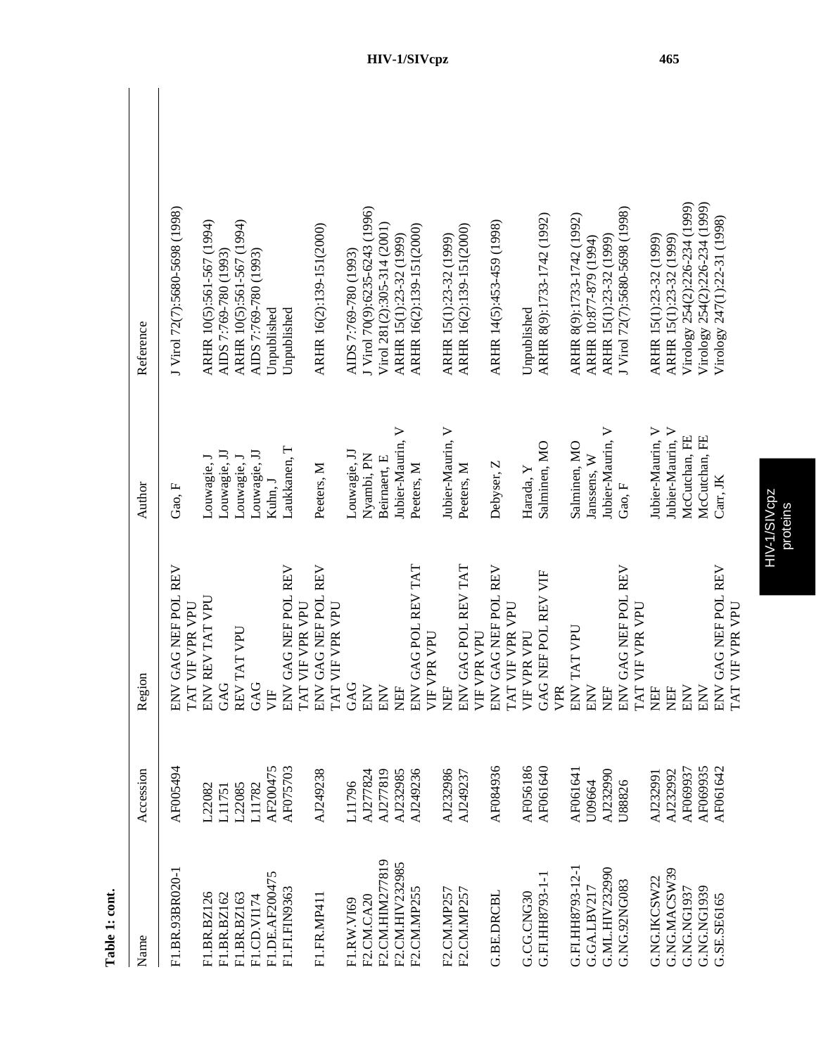| Name              | Accession | Region                                                                        | Author           | Reference                      |
|-------------------|-----------|-------------------------------------------------------------------------------|------------------|--------------------------------|
| F1.BR.93BR020-1   | AF005494  | GAG NEF POL REV<br>VIF VPR VPU<br>TAT <sub>N</sub><br><b>NNY</b>              | Gao, F           | J Virol 72(7):5680-5698 (1998) |
| F1.BR.BZ126       | L22082    | REV TAT VPU<br>ENV <sub>F</sub>                                               | Louwagie, J      | ARHR 10(5):561-567 (1994)      |
| F1.BR.BZ162       | L11751    | GAG                                                                           | Louwagie, JJ     | AIDS 7:769-780 (1993)          |
| F1.BR.BZ163       | L22085    | REV TAT VPU                                                                   | Louwagie, J      | ARHR 10(5):561-567 (1994)      |
| F1.CD.VI174       | L11782    | GAG                                                                           | Louwagie, JJ     | AIDS 7:769-780 (1993)          |
| F1.DE.AF200475    | AF200475  | VIF                                                                           | Kuhn, J          | Unpublished                    |
| F1.FI.FIN9363     | AF075703  | GAG NEF POL REV<br><b>VIF VPR VPU</b><br>ENV <sub>C</sub><br>TAT <sup>,</sup> | Laukkanen, T     | Unpublished                    |
| F1.FR.MP411       | AJ249238  | GAG NEF POL REV<br>VIF VPR VPU<br>ENV <sub>(</sub><br><b>TAT</b>              | Peeters, M       | ARHR 16(2):139-151(2000)       |
| F1.RW.VI69        | L11796    | GAG                                                                           | Louwagie, JJ     | AIDS 7:769-780 (1993)          |
| F2.CM.CA20        | AJ277824  | ENV                                                                           | Nyambi, PN       | J Virol 70(9):6235-6243 (1996) |
| F2.CM.HIM277819   | AJ277819  | ENV                                                                           | Beirnaert, E     | Virol 281(2):305-314 (2001)    |
| F2.CM.HIV232985   | AJ232985  | NEF                                                                           | Jubier-Maurin, V | ARHR 15(1):23-32 (1999)        |
| F2.CM.MP255       | AJ249236  | ENV GAG POL REV TAT<br>VIF VPR VPU                                            | Peeters, M       | ARHR 16(2):139-151(2000)       |
| F2.CM.MP257       | AJ232986  | <b>NEF</b>                                                                    | Jubier-Maurin, V | ARHR 15(1):23-32 (1999)        |
| F2.CM.MP257       | AJ249237  | ENV GAG POL REV TAT                                                           | Peeters, M       | ARHR 16(2):139-151(2000)       |
|                   |           | VIF VPR VPU                                                                   |                  |                                |
| <b>G.BE.DRCBL</b> | AF084936  | ENV GAG NEF POL REV<br>TAT VIF VPR VPU                                        | Debyser, Z       | ARHR 14(5):453-459 (1998)      |
| G.CG.CNG30        | AF056186  | VIF VPR VPU                                                                   | Harada, Y        | Unpublished                    |
| G.FI.HH8793-1-1   | AF061640  | NEF POL REV VIF<br>GAGI<br>VPR                                                | Salminen, MO     | ARHR 8(9):1733-1742 (1992)     |
| G.FI.HH8793-12-1  | AF061641  | ENV TAT VPU                                                                   | Salminen, MO     | ARHR 8(9):1733-1742 (1992)     |
| G.GA.LBV217       | U09664    | ENV                                                                           | Janssens, W      | ARHR 10:877-879 (1994)         |
| G.ML.HIV232990    | AJ232990  | EF                                                                            | Jubier-Maurin, V | ARHR 15(1):23-32 (1999)        |
| G.NG.92NG083      | U88826    | GAG NEF POL REV<br>VIF VPR VPU<br><b>TAT N</b><br>ENV <sub>o</sub>            | Gao, F           | J Virol 72(7):5680-5698 (1998) |
| G.NG.IKCSW22      | AJ232991  | NEF                                                                           | Jubier-Maurin, V | ARHR 15(1):23-32 (1999)        |
| G.NG.MACSW39      | AJ232992  | <b>NEF</b>                                                                    | Jubier-Maurin, V | ARHR 15(1):23-32 (1999)        |
| G.NG.NG1937       | AF069937  | ENV                                                                           | McCutchan, FE    | Virology 254(2):226-234 (1999) |
| G.NG.NG1939       | AF069935  | ENV                                                                           | McCutchan, FE    | Virology 254(2):226-234 (1999) |
| G.SE.SE6165       | AF061642  | ENV GAG NEF POL REV<br>VIF VPR VPU<br><b>TAT</b>                              | Carr, JK         | Virology 247(1):22-31 (1998)   |
|                   |           |                                                                               |                  |                                |

Table 1: cont. **Table 1: cont.**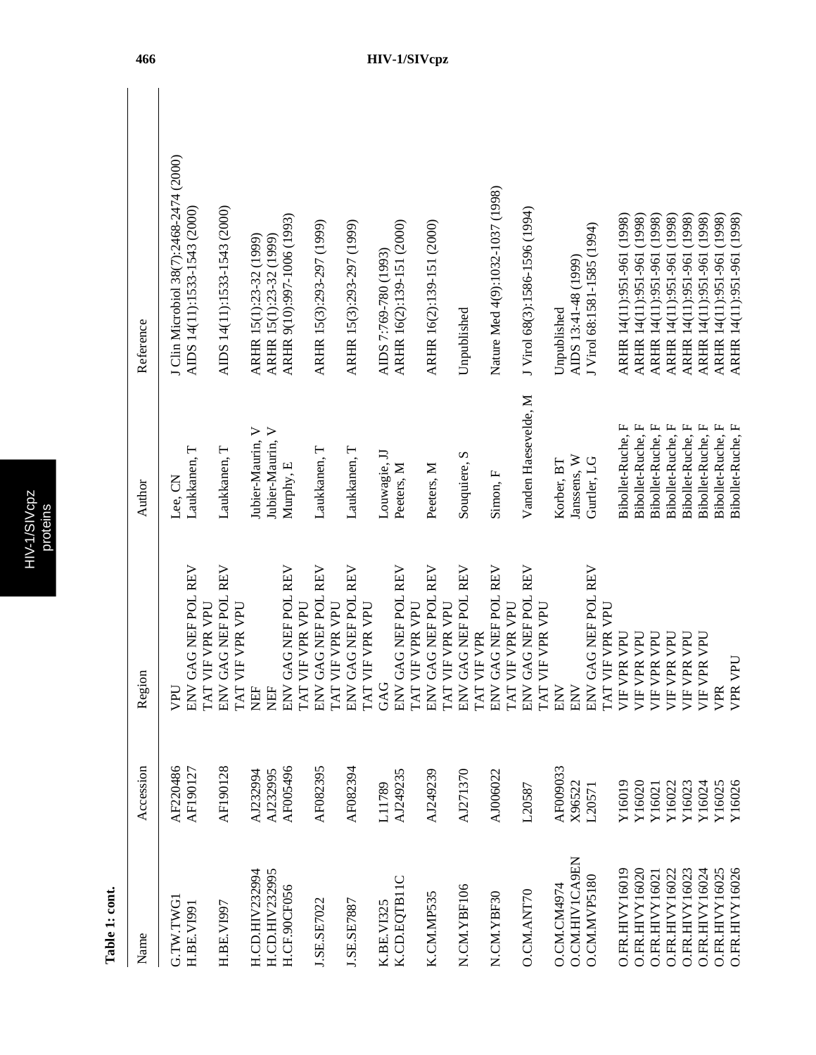|   | Ø |
|---|---|
|   |   |
|   |   |
| ı |   |
|   |   |

| Table 1: cont.                               |                              |                                                       |                                        |                                                                         |
|----------------------------------------------|------------------------------|-------------------------------------------------------|----------------------------------------|-------------------------------------------------------------------------|
| Name                                         | Accession                    | Region                                                | Author                                 | Reference                                                               |
| G.TW.TWG<br>H.BE.VI991                       | AF220486<br>AF190127         | ENV GAG NEF POL REV<br>TAT VIF VPR VPU<br>VPU         | Laukkanen, T<br>Lee, CN                | J Clin Microbiol 38(7):2468-2474 (2000)<br>AIDS 14(11):1533-1543 (2000) |
| H.BE.VI997                                   | AF190128                     | ENV GAG NEF POL REV<br>TAT VIF VPR VPU                | Laukkanen, T                           | AIDS 14(11):1533-1543 (2000)                                            |
| H.CD.HIV232994                               | AJ232994                     | <b>NEF</b>                                            | Jubier-Maurin, V                       | ARHR 15(1):23-32 (1999)                                                 |
| <b>H.CD.HIV232995</b><br><b>H.CF.90CF056</b> | AF005496<br>AJ232995         | ENV GAG NEF POL REV<br>TAT VIF VPR VPU<br><b>NEF</b>  | Jubier-Maurin, V<br>Murphy, E          | ARHR 9(10):997-1006 (1993)<br>ARHR 15(1):23-32 (1999)                   |
| <b>J.SE.SE7022</b>                           | AF082395                     | ENV GAG NEF POL REV<br>TAT VIF VPR VPU                | Laukkanen, T                           | ARHR 15(3):293-297 (1999)                                               |
| <b>J.SE.SE7887</b>                           | AF082394                     | ENV GAG NEF POL REV<br>TAT VIF VPR VPU                | Laukkanen, T                           | ARHR 15(3):293-297 (1999)                                               |
| K.CD.EQTB11C<br>K.BE.VI325                   | AJ249235<br>L11789           | ENV GAG NEF POL REV<br>GAG                            | Louwagie, JJ<br>Peeters, M             | ARHR 16(2):139-151 (2000)<br>AIDS 7:769-780 (1993)                      |
| K.CM.MP535                                   | AJ249239                     | ENV GAG NEF POL REV<br>TAT VIF VPR VPU                | Peeters, M                             | ARHR 16(2):139-151 (2000)                                               |
| N.CM.YBF106                                  | AJ271370                     | ENV GAG NEF POL REV<br>TAT VIF VPR VPU<br>TAT VIF VPR | Souquiere, S                           | Unpublished                                                             |
| N.CM.YBF30                                   | AJ006022                     | ENV GAG NEF POL REV<br>TAT VIF VPR VPU                | Simon, F                               | Nature Med 4(9):1032-1037 (1998)                                        |
| O.CM.ANT70                                   | L20587                       | ENV GAG NEF POL REV<br>TAT VIF VPR VPU                | Vanden Haesevelde, M                   | J Virol 68(3):1586-1596 (1994)                                          |
| O.CM.CM4974                                  | AF009033                     | ENV                                                   | Korber, BT                             | Unpublished                                                             |
| O.CM.HIVICA9EN<br>O.CM.MVP5180               | X96522<br>L <sub>20571</sub> | ENV GAG NEF POL REV<br>TAT VIF VPR VPU<br>ENV         | Janssens, W<br>Gurtler, LG             | J Virol 68:1581-1585 (1994)<br>AIDS 13:41-48 (1999)                     |
| O.FR.HIVY16019                               | Y16019                       | VIF VPR VPU                                           | Bibollet-Ruche, F                      | ARHR 14(11):951-961 (1998)                                              |
| O.FR.HIVY16020<br><b>O.FR.HIVY16021</b>      | Y16020<br>Y16021             | VIF VPR VPU<br>VIF VPR VPU                            | Bibollet-Ruche, F<br>Bibollet-Ruche, F | ARHR 14(11):951-961 (1998)<br>ARHR 14(11):951-961 (1998)                |
| <b>O.FR.HIVY16022</b>                        | Y16022                       | VIF VPR VPU                                           | Bibollet-Ruche, F                      | ARHR 14(11):951-961 (1998)                                              |
| O.FR.HIVY16023<br>O.FR.HIVY16024             | Y16023<br>Y16024             | VIF VPR VPU<br>VIF VPR VPU                            | Bibollet-Ruche, F<br>Bibollet-Ruche, F | ARHR 14(11):951-961 (1998)<br>ARHR 14(11):951-961 (1998)                |
| <b>O.FR.HIVY16025</b><br>O.FR.HIVY16026      | Y16025<br>Y16026             | VPR VPU<br>VPR                                        | Bibollet-Ruche, F<br>Bibollet-Ruche, F | ARHR 14(11):951-961 (1998)<br>ARHR 14(11):951-961 (1998)                |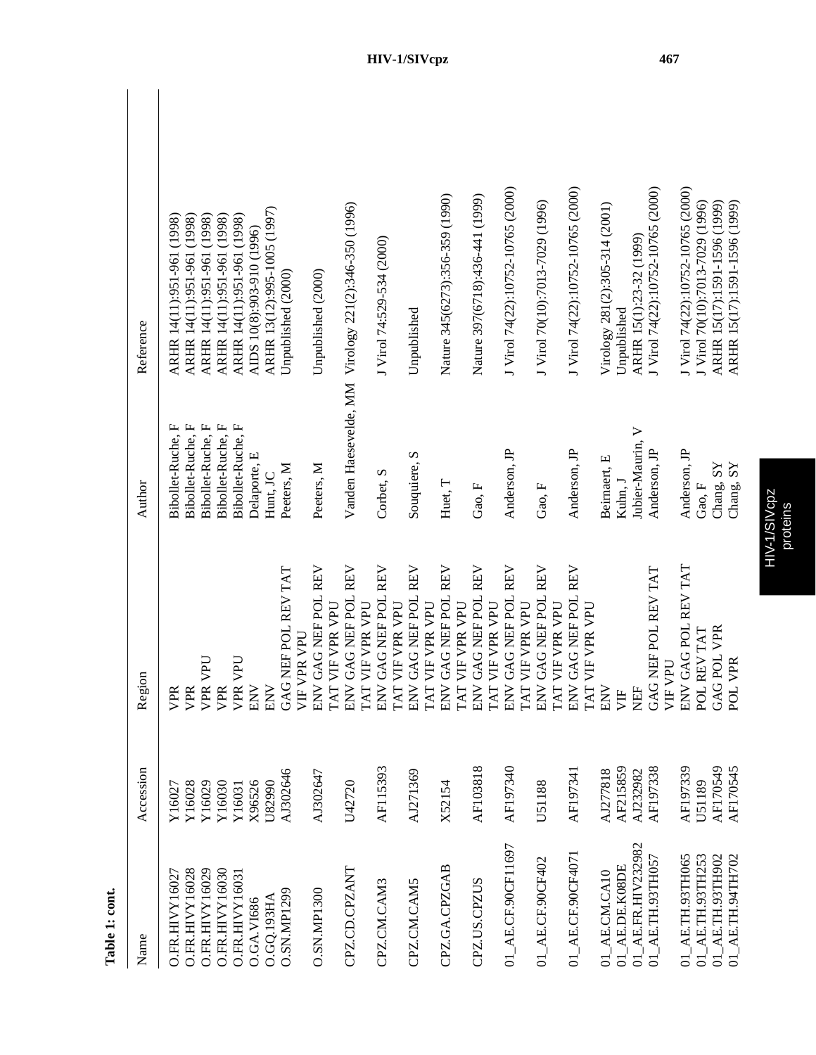| Table 1: cont.                                                     |                      |                                                        |                                  |                                                                      |
|--------------------------------------------------------------------|----------------------|--------------------------------------------------------|----------------------------------|----------------------------------------------------------------------|
| Name                                                               | Accession            | Region                                                 | Author                           | Reference                                                            |
| O.FR.HIVY16027                                                     | Y16027               | <b>VPR</b>                                             | Bibollet-Ruche, F                | ARHR 14(11):951-961 (1998)                                           |
| <b>O.FR.HIVY16028</b>                                              | Y16028               | VPR                                                    | Bibollet-Ruche, F                | ARHR 14(11):951-961 (1998)                                           |
| O.FR.HIVY16029                                                     | Y16029               | <b>VPR VPU</b>                                         | Bibollet-Ruche, F                | ARHR 14(11):951-961 (1998)                                           |
| O.FR.HIVY16030                                                     | Y16030               | VPR                                                    | Bibollet-Ruche, F                | ARHR 14(11):951-961 (1998)                                           |
| O.FR.HIVY16031                                                     | Y16031               | <b>VPR VPU</b>                                         | Bibollet-Ruche, F                | ARHR 14(11):951-961 (1998)                                           |
| <b>O.GA.VI686</b>                                                  | X96526               | ENV                                                    | Delaporte, E                     | AIDS 10(8):903-910 (1996)                                            |
| O.GQ.193HA                                                         | U82990               | ENV                                                    | Hunt, JC                         | ARHR 13(12):995-1005 (1997)                                          |
| O.SN.MP1299                                                        | AJ302646             | NEF POL REV TAT<br>VIF VPR VPU<br>GAG1                 | Peeters, M                       | Unpublished (2000)                                                   |
| O.SN.MP1300                                                        | AJ302647             | ENV GAG NEF POL REV                                    | Peeters, M                       | Unpublished (2000)                                                   |
|                                                                    |                      | TAT VIF VPR VPU                                        |                                  |                                                                      |
| CPZ.CD.CPZANT                                                      | U42720               | ENV GAG NEF POL REV<br>TAT VIF VPR VPU                 |                                  | Vanden Haesevelde, MM Virology 221(2):346-350 (1996)                 |
| CPZ.CM.CAM3                                                        | AF115393             | ENV GAG NEF POL REV<br>TAT VIF VPR VPU                 | Corbet, S                        | J Virol 74:529-534 (2000)                                            |
| CPZ.CM.CAM5                                                        | AJ271369             | <b>REV</b><br>ENV GAG NEF POL<br>TAT VIF VPR VPU       | Souquiere, S                     | Unpublished                                                          |
| CPZ.GA.CPZGAB                                                      | X52154               | <b>REV</b><br>ENV GAG NEF POL                          | Huet, $T$                        | Nature 345(6273):356-359 (1990)                                      |
|                                                                    |                      | <b>TAT VIF VPR VPU</b>                                 |                                  |                                                                      |
| CPZ.US.CPZUS                                                       | AF103818             | ENV GAG NEF POL REV                                    | Gao, F                           | Nature 397(6718):436-441 (1999)                                      |
|                                                                    |                      | TAT VIF VPR VPU                                        |                                  |                                                                      |
| 01_AE.CF.90CF11697                                                 | AF197340             | <b>REV</b><br>ENV GAG NEF POL<br>VIF VPR VPU<br>TAT N  | Anderson, JP                     | J Virol 74(22):10752-10765 (2000)                                    |
| 01_AE.CF.90CF402                                                   | U51188               | ENV GAG NEF POL REV<br>TAT VIF VPR VPU                 | Gao, F                           | J Virol 70(10):7013-7029 (1996)                                      |
| 01_AE.CF.90CF4071                                                  | AF197341             | ENV GAG NEF POL REV<br>VIF VPR VPU<br>TAT <sup>'</sup> | Anderson, JP                     | J Virol 74(22):10752-10765 (2000)                                    |
| $01$ _AE.CM.CA10                                                   | AJ277818             | ENV                                                    | Beirnaert, E                     | Virology 281(2):305-314 (2001)                                       |
| 01_AE.DE.K08DE                                                     | AF215859             | УF                                                     | Kuhn, J                          | Unpublished                                                          |
| AE.FR.HIV232982<br>$01\_AE$ .TH.93TH057<br>$\overline{C}$          | AF197338<br>AJ232982 | NEF POL REV TAT<br>GAG<br><b>NEF</b>                   | Jubier-Maurin, V<br>Anderson, JP | J Virol 74(22):10752-10765 (2000)<br>ARHR 15(1):23-32 (1999)         |
|                                                                    |                      | VIF VPU                                                |                                  |                                                                      |
| AE.TH.93TH065<br>01_AE.TH.93TH253<br>ā                             | AF197339<br>U51189   | ENV GAG POL REV TAT<br>POL REV TAT                     | Anderson, JP<br>Gao, F           | J Virol 74(22):10752-10765 (2000)<br>J Virol 70(10):7013-7029 (1996) |
| AE.TH.93TH902<br>AE.TH.94TH702<br>$\overline{C}$<br>$\overline{C}$ | AF170549<br>AF170545 | POL VPR<br>POL VPR<br>GAG                              | Chang, SY<br>Chang, SY           | ARHR 15(17):1591-1596 (1999)<br>ARHR 15(17):1591-1596 (1999)         |
|                                                                    |                      |                                                        |                                  |                                                                      |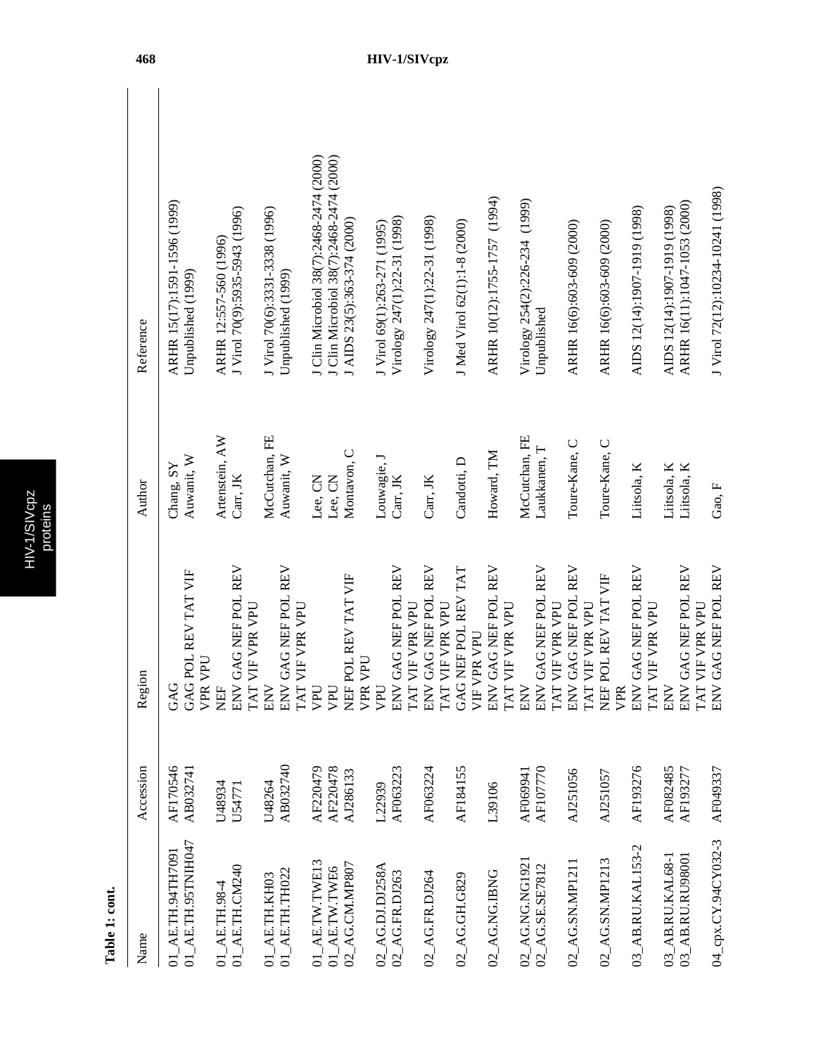| 1<br>r<br>J |
|-------------|
|             |
|             |
|             |
|             |
|             |

| Table 1: cont.                                                        |                      |                                                                             |                               |                                                                                    |
|-----------------------------------------------------------------------|----------------------|-----------------------------------------------------------------------------|-------------------------------|------------------------------------------------------------------------------------|
| Name                                                                  | Accession            | Region                                                                      | Author                        | Reference                                                                          |
| AE.TH.95TNIH047<br>AE.TH.94TH7091<br>$\overline{C}$<br>$\overline{c}$ | AF170546<br>AB032741 | POL REV TAT VIF<br><b>VPR VPU</b><br>GAG<br>GAG                             | Auwanit, W<br>Chang, SY       | ARHR 15(17):1591-1596 (1999)<br>Unpublished (1999)                                 |
| 01_AE.TH.CM240<br>01 AE.TH.98-4                                       | U48934<br>U54771     | GAG NEF POL REV<br>VIF VPR VPU<br><b>NEF</b><br>ENV<br>TAT                  | Artenstein, AW<br>Carr, JK    | J Virol 70(9):5935-5943 (1996)<br>ARHR 12:557-560 (1996)                           |
| $01$ _AE.TH.TH022<br>01_AE.TH.KH03                                    | AB032740<br>U48264   | GAG NEF POL REV<br>VIF VPR VPU<br>ENV<br>ENV<br>TAT                         | McCutchan, FE<br>Auwanit, W   | J Virol 70(6):3331-3338 (1996)<br>Unpublished (1999)                               |
| 01_AE.TW.TWE13<br>AE.TW.TWE6<br>$\overline{c}$                        | AF220479<br>AF220478 | VPU<br>VPU                                                                  | Lee, CN<br>Lee, CN            | J Clin Microbiol 38(7):2468-2474 (2000)<br>J Clin Microbiol 38(7):2468-2474 (2000) |
| $02$ _AG.CM.MP807                                                     | AJ286133             | POL REV TAT VIF<br>VPU<br><b>NEF</b><br>VPR                                 | Montavon, C                   | J AIDS 23(5):363-374 (2000)                                                        |
| $02$ _AG.DJ.DJ258A<br>02_AG.FR.DJ263                                  | AF063223<br>L22939   | GAG NEF POL REV<br>VIF VPR VPU<br>VPU<br>ENV<br>TAT                         | Louwagie, J<br>Carr, JK       | Virology 247(1):22-31 (1998)<br>J Virol 69(1):263-271 (1995)                       |
| 02_AG.FR.DJ264                                                        | AF063224             | <b>REV</b><br>GAG NEF POL<br>VIF VPR VPU<br>ENV<br>TAT                      | Carr, JK                      | Virology 247(1):22-31 (1998)                                                       |
| 02_AG.GH.G829                                                         | AF184155             | GAG NEF POL REV TAT<br>VIF VPR VPU                                          | Candotti, D                   | J Med Virol 62(1):1-8 (2000)                                                       |
| 02_AG.NG.IBNG                                                         | L39106               | ENV GAG NEF POL REV<br>VIF VPR VPU<br>TAT                                   | Howard, TM                    | ARHR 10(12):1755-1757 (1994)                                                       |
| 02_AG.NG.NG1921<br>02_AG.SE.SE7812                                    | AF107770<br>AF069941 | GAG NEF POL REV<br>VIF VPR VPU<br>ENV<br>$\ensuremath{\mathrm{ENV}}$<br>TAT | McCutchan, FE<br>Laukkanen, T | Virology 254(2):226-234 (1999)<br>Unpublished                                      |
| 02_AG.SN.MP1211                                                       | AJ251056             | GAG NEF POL REV<br>VIF VPR VPU<br>ENV<br>TAT                                | Toure-Kane, C                 | ARHR 16(6):603-609 (2000)                                                          |
| 02_AG.SN.MP1213                                                       | AJ251057             | POL REV TAT VIF<br><b>NEF</b><br><b>VPR</b>                                 | Toure-Kane, C                 | ARHR 16(6):603-609 (2000)                                                          |
| 03_AB.RU.KAL153-2                                                     | AF193276             | GAG NEF POL REV<br>VIF VPR VPU<br>ENV<br>TAT                                | Litsola, K                    | AIDS 12(14):1907-1919 (1998)                                                       |
| 03_AB.RU.KAL68-1<br>03_AB.RU.RU98001                                  | AF082485<br>AF193277 | GAG NEF POL REV<br>VIF VPR VPU<br>ENV<br>ENV<br>TAT                         | Liitsola, K<br>Liitsola, K    | ARHR 16(11):1047-1053 (2000)<br>AIDS 12(14):1907-1919 (1998)                       |
| 04_cpx.CY.94CY032-3                                                   | AF049337             | GAG NEF POL REV<br>ENV                                                      | Gao, F                        | J Virol 72(12):10234-10241 (1998)                                                  |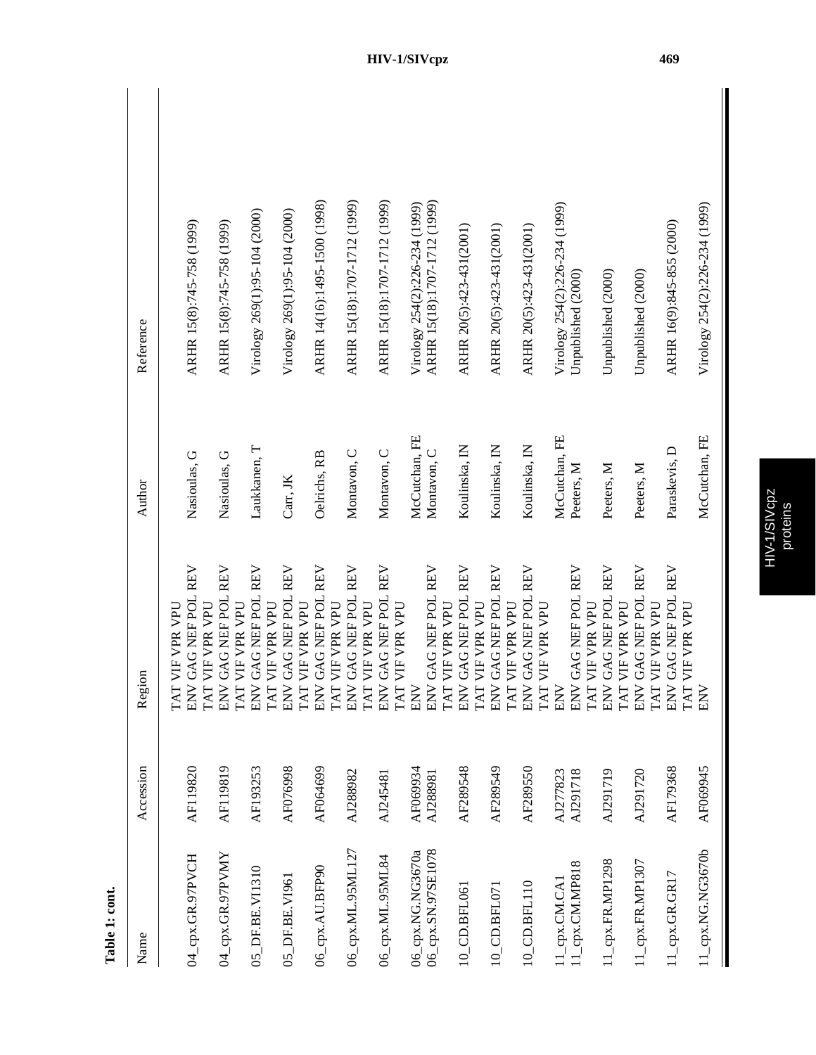| d |
|---|
|   |
|   |
|   |
|   |
|   |

| Table 1: cont.            |           |                                                                                                   |               |                                |
|---------------------------|-----------|---------------------------------------------------------------------------------------------------|---------------|--------------------------------|
| Name                      | Accession | Region                                                                                            | Author        | Reference                      |
| 04_cpx.GR.97PVCH          | AF119820  | GAG NEF POL REV<br>VIF VPR VPU<br>VIF VPR VPU<br>TAT<br>ENV<br>TAT                                | Nasioulas, G  | ARHR 15(8):745-758 (1999)      |
| 04_cpx.GR.97PVMY          | AF119819  | <b>REV</b><br><b>GAG NEF POL</b><br>ENV                                                           | Nasioulas, G  | ARHR 15(8):745-758 (1999)      |
| 05_DF.BE.VII310           | AF193253  | <b>REV</b><br><b>GAG NEF POL</b><br>VIF VPR VPU<br>VIF VPR VPU<br><b>TAT</b><br><b>TAT</b><br>ENV | Laukkanen, T  | Virology 269(1):95-104 (2000)  |
| 05_DF.BE.VI961            | AF076998  | GAG NEF POL REV<br>ENV                                                                            | Carr, JK      | Virology 269(1):95-104 (2000)  |
| 06_cpx.AU.BFP90           | AF064699  | GAG NEF POL REV<br>VIF VPR VPU<br>VIF VPR VPU<br>TAT <sup>-</sup><br>ENV<br>TAT <sup>®</sup>      | Oelrichs, RB  | ARHR 14(16):1495-1500 (1998)   |
| 06_cpx.ML.95ML127         | AJ288982  | GAG NEF POL REV<br>VIF VPR VPU<br>$\ensuremath{\mathrm{ENV}}$<br>TAT                              | Montavon, C   | ARHR 15(18):1707-1712 (1999)   |
| 06_срх.МL.95МL84          | AJ245481  | GAG NEF POL REV<br>VIF VPR VPU<br>ENV<br><b>TAT</b>                                               | Montavon, C   | ARHR 15(18):1707-1712 (1999)   |
| 06_cpx.NG.NG3670a         | AF069934  | GAG NEF POL REV<br>ENV<br>$\ensuremath{\mathrm{ENV}}$                                             | McCutchan, FE | Virology 254(2):226-234 (1999) |
| 06_cpx.SN.97SE1078        | AJ288981  | VIF VPR VPU<br><b>TAT</b>                                                                         | Montavon, C   | ARHR 15(18):1707-1712 (1999)   |
| $10$ <sub>CD</sub> BFL061 | AF289548  | <b>REV</b><br><b>GAG NEF POL</b><br>VIF VPR VPU<br>$\ensuremath{\text{ENV}}$<br><b>TAT</b>        | Koulinska, IN | ARHR 20(5):423-431(2001)       |
| $10$ _CD.BFL071           | AF289549  | <b>REV</b><br><b>GAG NEF POL</b><br>VIF VPR VPU<br>TAT <sup>-</sup><br>ENV                        | Koulinska, IN | ARHR 20(5):423-431(2001)       |
| 10 CD.BFL110              | AF289550  | GAG NEF POL REV<br>VIF VPR VPU<br>TAT<br>$\ensuremath{\text{ENV}}$                                | Koulinska, IN | ARHR 20(5):423-431(2001)       |
| 11_cpx.CM.CA1             | AJ277823  | ENV                                                                                               | McCutchan, FE | Virology 254(2):226-234 (1999) |
| 11_cpx.CM.MP818           | AJ291718  | GAG NEF POL REV<br>VIF VPR VPU<br>TAT <sup>-</sup><br><b>ENV</b>                                  | Peeters, M    | Unpublished (2000)             |
| 11_cpx.FR.MP1298          | AJ291719  | GAG NEF POL REV<br>VIF VPR VPU<br>$_{\rm{ENV}}$<br><b>TAT</b>                                     | Peeters, M    | Unpublished (2000)             |
| 11_cpx.FR.MP1307          | AJ291720  | <b>REV</b><br><b>GAG NEF POL</b><br>VIF VPR VPU<br>ENV<br>TAT                                     | Peeters, M    | Unpublished (2000)             |
| 11_cpx.GR.GR17            | AF179368  | GAG NEF POL REV<br>VIF VPR VPU<br>ENV<br><b>TAT</b>                                               | Paraskevis, D | ARHR 16(9):845-855 (2000)      |
| 11_cpx.NG.NG3670b         | AF069945  | $\ensuremath{\mathrm{ENV}}$                                                                       | McCutchan, FE | Virology 254(2):226-234 (1999) |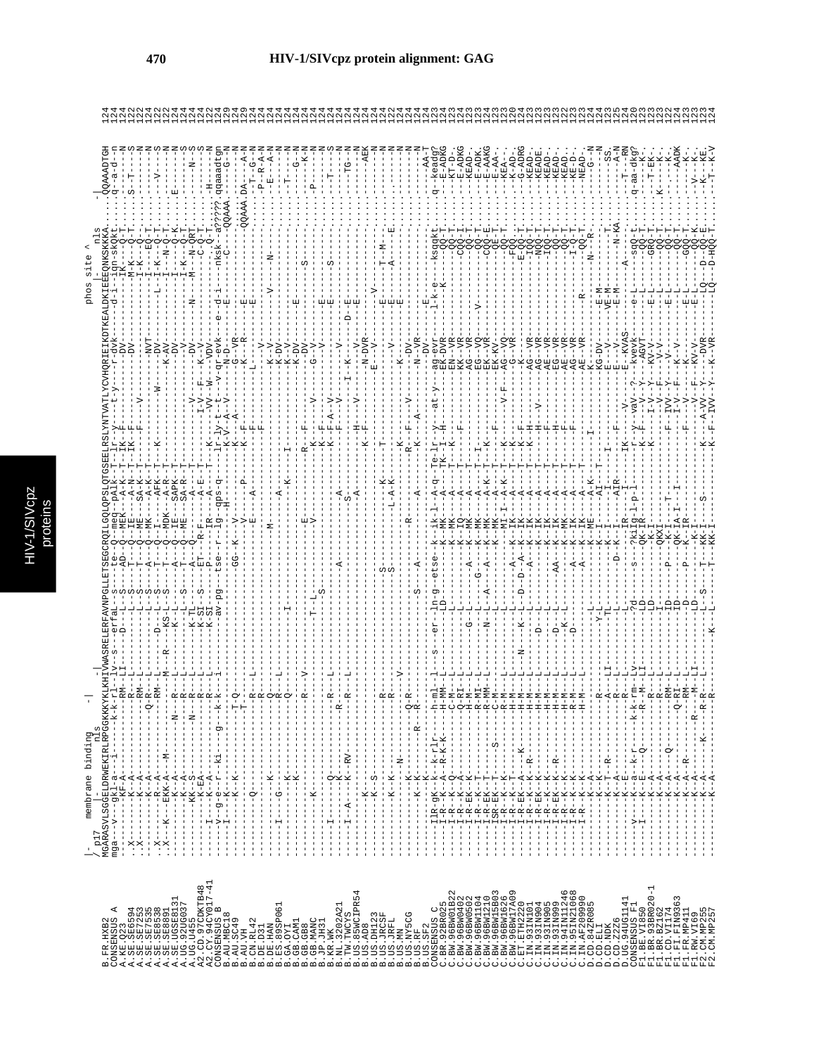| HOTGAAQQ.<br>KEAD<br>KEAD<br>$K E - D$<br>-NEAL<br>$q - a - d$<br>$-1$<br>ပုံ<br>-KEA-<br>ドーワー<br>υ<br>ひ<br>υ<br>$S = -T -$<br>$-V-$<br>$\frac{1}{1}$<br>$\frac{1}{1}$<br>뛰<br>$\mathsf I$<br>부<br>ρ<br>ă<br>EELRSLYNTVATLYCVHQRIEIKDTKEALDKIEEEQNKSKKK<br>$1$ qn-sk $0$<br>Ops-<br>ksqq<br>8<br>gg<br>3<br>GRO<br>뛰<br>ź-<br>U.<br>$-K-M$<br>$-16$<br>U)<br>¢<br>¥<br>闰<br>d.<br>囯<br>囸<br>囸<br>囯<br>℃<br>囸<br>≏<br>-nvi<br>₿<br>$-N-DVF$<br>-DVF<br>₹<br>P<br>ð<br>$-V-XY-$<br>È<br>ă<br>$-K-AN$<br>∑<br>F<br>Ř<br>Ř<br>คุ<br>؋<br>¥<br>$- - K$<br>аg<br>ረረ<br>U<br>ă<br>囸<br>Ŀ<br>Ŀ,<br>₹<br>ō<br>Ŗ<br>Ξ<br>뚜<br>匞<br>Ŀ<br>Ŀ,<br>匞<br>$\frac{1}{2}$<br>۳<br>¥<br>VWASRELERFAVNPGLLETSEGCROILGOLOPSI<br>م<br>آ<br>gab.<br>₹<br>C)<br>Ţ<br>MDK<br>囸<br>œ<br>etse<br>C)<br>Ŗ.<br>К<br>AA<br>А<br>C)<br>U)<br>M<br>ひ<br>≏<br>$\frac{1}{n-1}$<br>۹<br>ω<br>$\overline{A}$<br>U)<br>ω<br>g<br>$N--1$<br>$K-S-1$<br>ertal<br>io<br>1<br>ίd<br>k-T<br>C)<br>ļ<br>-K--<br>¥<br>ひ<br>ė<br>٩<br>⊂<br>۹<br>ř<br>z<br>KLKHI<br>RN.<br>$-1 - N - 1$<br>$-5 - -5 - -$<br>투<br>$-8$<br>ု<br>$-R$<br>다<br>--<br>$-1$<br>$-R$<br>ř<br>U<br>q<br>푸<br>푸<br>푸<br>-<br>푸<br>푸<br>푸<br>$-18$<br>H<br>T<br>$- -k -k$<br>ř<br>$\frac{1}{2}$<br>$-R$ -<br>$- R$<br>יך<br>י<br>$-1$<br>f.<br>÷<br>T<br>л.<br>$\mathbf{I}$<br>$\mathbf{I}$<br>п<br>п<br>J.<br>j<br>j<br>$-1 - 1 - 1 = 1$<br>ï<br>ï<br>j<br>$\mathbf I$<br>Ţ<br>$\overline{\phantom{a}}$<br>$\overline{\phantom{a}}$<br>$\begin{minipage}[t]{0.99\textwidth} \begin{tabular}{ c c c c c } \hline \multicolumn{2}{ c }{0.99\textwidth} \begin{tabular}{ c c c } \hline \multicolumn{2}{ c }{0.99\textwidth} \begin{tabular}{ c c c } \hline \multicolumn{2}{ c }{0.99\textwidth} \begin{tabular}{ c c c } \hline \multicolumn{2}{ c }{0.99\textwidth} \begin{tabular}{ c c c } \hline \multicolumn{2}{ c }{0.99\textwidth} \begin{tabular}{ c c c } \hline \mult$<br>I<br>$\mathbf{I}$<br>$\mathbf{I}$<br>$\overline{1}$<br>J<br>$\mathbf{I}$<br>ł<br>л.<br>п<br>ŧ<br>п<br>Ţ<br>$\mathbf I$<br>$\overline{\phantom{a}}$<br>$\overline{\phantom{a}}$<br>J.<br>$\begin{split} \vdots & \qquad \qquad \vdots \\ \vdots & \qquad \qquad \vdots \\ \vdots & \qquad \qquad \vdots \\ \vdots & \qquad \qquad \vdots \\ \vdots & \qquad \qquad \vdots \\ \vdots & \qquad \qquad \vdots \\ \vdots & \qquad \qquad \vdots \\ \vdots & \qquad \qquad \vdots \\ \vdots & \qquad \qquad \vdots \\ \vdots & \qquad \qquad \vdots \\ \vdots & \qquad \qquad \vdots \\ \vdots & \qquad \qquad \vdots \\ \vdots & \qquad \qquad \vdots \\ \vdots & \qquad \qquad \vdots \\ \vdots & \qquad \qquad \vdots \\ \vdots & \$<br>$\,$ I<br>$-1 - N -$<br>$\frac{1}{1}$<br>ł<br>$\overline{1}$<br>j<br>п<br>т<br>$\begin{array}{c}\n - -K \rightarrow \n \end{array}$<br>$- -K - S - -$<br>$----1 - - - - - - - - - - -$<br>$- -K - -K - -$<br>J<br>$- -K -$<br>$\overline{1}$<br>п<br>-1<br>-1<br>п<br>п<br>л.<br>J,<br>-1<br>$\mathbf I$<br>$\frac{1}{2}$<br>$-5 -$<br>$C - C$<br>$\mathbf{I}$<br>$\frac{1}{1}$<br>$-K$<br>$\blacksquare$<br>л.<br>п<br>л.<br>$\blacksquare$<br>л.<br>$\mathbf I$<br>I<br>$\mathbf{I}$<br>$\overline{\phantom{a}}$<br>$\overline{1}$<br>- 1<br>$\overline{\phantom{a}}$<br>$\frac{1}{1}$<br>$\,$ I<br>$\frac{1}{1}$<br>ŧ<br>$\frac{1}{1}$<br>$-1$<br>$\,$ I<br>$\mathbf{I}$<br>$\mathbf{I}$<br>$\overline{\phantom{a}}$<br>$\blacksquare$<br>I<br>J.<br>1<br>п<br>J.<br>J.<br>$\mathbf{I}$<br>-11<br>т<br>ŧ<br>ï<br>ï<br>$\begin{array}{c} 1 \\ 1 \\ 1 \end{array}$<br>$\overline{\phantom{a}}$<br>п<br>1<br>$\frac{1}{1}$<br>ı<br>J<br>$\mathbf{I}$<br>I<br>J<br>J<br>$\mathbf{I}$<br>$\mathbf{I}$<br>$\overline{1}$<br>п<br>л<br>л.<br>$\mathbf{I}$<br>п<br>т<br>л<br>-1 |  |  |
|----------------------------------------------------------------------------------------------------------------------------------------------------------------------------------------------------------------------------------------------------------------------------------------------------------------------------------------------------------------------------------------------------------------------------------------------------------------------------------------------------------------------------------------------------------------------------------------------------------------------------------------------------------------------------------------------------------------------------------------------------------------------------------------------------------------------------------------------------------------------------------------------------------------------------------------------------------------------------------------------------------------------------------------------------------------------------------------------------------------------------------------------------------------------------------------------------------------------------------------------------------------------------------------------------------------------------------------------------------------------------------------------------------------------------------------------------------------------------------------------------------------------------------------------------------------------------------------------------------------------------------------------------------------------------------------------------------------------------------------------------------------------------------------------------------------------------------------------------------------------------------------------------------------------------------------------------------------------------------------------------------------------------------------------------------------------------------------------------------------------------------------------------------------------------------------------------------------------------------------------------------------------------------------------------------------------------------------------------------------------------------------------------------------------------------------------------------------------------------------------------------------------------------------------------------------------------------------------------------------------------------------------------------------------------------------------------------------------------------------------------------------------------------------------------------------------------------------------------------------------------------------------------------------------------------------------------------------------------------------------------------------------------------------------------------------------------------------------------------------------------------------------------------------------------------------------------------------------------------------------------------------------------------------------------------------------------------------------------------------------------------------------------------------------------------------------------------------------------------------------------------------------------------------------------------------------------------------------------------------------------------------------------------------------------------------------------------------------------|--|--|
| $-TC$<br><b>KEAD</b><br><b>KEAD</b>                                                                                                                                                                                                                                                                                                                                                                                                                                                                                                                                                                                                                                                                                                                                                                                                                                                                                                                                                                                                                                                                                                                                                                                                                                                                                                                                                                                                                                                                                                                                                                                                                                                                                                                                                                                                                                                                                                                                                                                                                                                                                                                                                                                                                                                                                                                                                                                                                                                                                                                                                                                                                                                                                                                                                                                                                                                                                                                                                                                                                                                                                                                                                                                                                                                                                                                                                                                                                                                                                                                                                                                                                                                                                        |  |  |
|                                                                                                                                                                                                                                                                                                                                                                                                                                                                                                                                                                                                                                                                                                                                                                                                                                                                                                                                                                                                                                                                                                                                                                                                                                                                                                                                                                                                                                                                                                                                                                                                                                                                                                                                                                                                                                                                                                                                                                                                                                                                                                                                                                                                                                                                                                                                                                                                                                                                                                                                                                                                                                                                                                                                                                                                                                                                                                                                                                                                                                                                                                                                                                                                                                                                                                                                                                                                                                                                                                                                                                                                                                                                                                                            |  |  |
|                                                                                                                                                                                                                                                                                                                                                                                                                                                                                                                                                                                                                                                                                                                                                                                                                                                                                                                                                                                                                                                                                                                                                                                                                                                                                                                                                                                                                                                                                                                                                                                                                                                                                                                                                                                                                                                                                                                                                                                                                                                                                                                                                                                                                                                                                                                                                                                                                                                                                                                                                                                                                                                                                                                                                                                                                                                                                                                                                                                                                                                                                                                                                                                                                                                                                                                                                                                                                                                                                                                                                                                                                                                                                                                            |  |  |
|                                                                                                                                                                                                                                                                                                                                                                                                                                                                                                                                                                                                                                                                                                                                                                                                                                                                                                                                                                                                                                                                                                                                                                                                                                                                                                                                                                                                                                                                                                                                                                                                                                                                                                                                                                                                                                                                                                                                                                                                                                                                                                                                                                                                                                                                                                                                                                                                                                                                                                                                                                                                                                                                                                                                                                                                                                                                                                                                                                                                                                                                                                                                                                                                                                                                                                                                                                                                                                                                                                                                                                                                                                                                                                                            |  |  |
| $-R - A$<br>$-KERAD -$<br>$E - A A$                                                                                                                                                                                                                                                                                                                                                                                                                                                                                                                                                                                                                                                                                                                                                                                                                                                                                                                                                                                                                                                                                                                                                                                                                                                                                                                                                                                                                                                                                                                                                                                                                                                                                                                                                                                                                                                                                                                                                                                                                                                                                                                                                                                                                                                                                                                                                                                                                                                                                                                                                                                                                                                                                                                                                                                                                                                                                                                                                                                                                                                                                                                                                                                                                                                                                                                                                                                                                                                                                                                                                                                                                                                                                        |  |  |
|                                                                                                                                                                                                                                                                                                                                                                                                                                                                                                                                                                                                                                                                                                                                                                                                                                                                                                                                                                                                                                                                                                                                                                                                                                                                                                                                                                                                                                                                                                                                                                                                                                                                                                                                                                                                                                                                                                                                                                                                                                                                                                                                                                                                                                                                                                                                                                                                                                                                                                                                                                                                                                                                                                                                                                                                                                                                                                                                                                                                                                                                                                                                                                                                                                                                                                                                                                                                                                                                                                                                                                                                                                                                                                                            |  |  |
|                                                                                                                                                                                                                                                                                                                                                                                                                                                                                                                                                                                                                                                                                                                                                                                                                                                                                                                                                                                                                                                                                                                                                                                                                                                                                                                                                                                                                                                                                                                                                                                                                                                                                                                                                                                                                                                                                                                                                                                                                                                                                                                                                                                                                                                                                                                                                                                                                                                                                                                                                                                                                                                                                                                                                                                                                                                                                                                                                                                                                                                                                                                                                                                                                                                                                                                                                                                                                                                                                                                                                                                                                                                                                                                            |  |  |
|                                                                                                                                                                                                                                                                                                                                                                                                                                                                                                                                                                                                                                                                                                                                                                                                                                                                                                                                                                                                                                                                                                                                                                                                                                                                                                                                                                                                                                                                                                                                                                                                                                                                                                                                                                                                                                                                                                                                                                                                                                                                                                                                                                                                                                                                                                                                                                                                                                                                                                                                                                                                                                                                                                                                                                                                                                                                                                                                                                                                                                                                                                                                                                                                                                                                                                                                                                                                                                                                                                                                                                                                                                                                                                                            |  |  |
|                                                                                                                                                                                                                                                                                                                                                                                                                                                                                                                                                                                                                                                                                                                                                                                                                                                                                                                                                                                                                                                                                                                                                                                                                                                                                                                                                                                                                                                                                                                                                                                                                                                                                                                                                                                                                                                                                                                                                                                                                                                                                                                                                                                                                                                                                                                                                                                                                                                                                                                                                                                                                                                                                                                                                                                                                                                                                                                                                                                                                                                                                                                                                                                                                                                                                                                                                                                                                                                                                                                                                                                                                                                                                                                            |  |  |
|                                                                                                                                                                                                                                                                                                                                                                                                                                                                                                                                                                                                                                                                                                                                                                                                                                                                                                                                                                                                                                                                                                                                                                                                                                                                                                                                                                                                                                                                                                                                                                                                                                                                                                                                                                                                                                                                                                                                                                                                                                                                                                                                                                                                                                                                                                                                                                                                                                                                                                                                                                                                                                                                                                                                                                                                                                                                                                                                                                                                                                                                                                                                                                                                                                                                                                                                                                                                                                                                                                                                                                                                                                                                                                                            |  |  |
| qqaaadtg<br>$-16$<br>$-KT-D-$                                                                                                                                                                                                                                                                                                                                                                                                                                                                                                                                                                                                                                                                                                                                                                                                                                                                                                                                                                                                                                                                                                                                                                                                                                                                                                                                                                                                                                                                                                                                                                                                                                                                                                                                                                                                                                                                                                                                                                                                                                                                                                                                                                                                                                                                                                                                                                                                                                                                                                                                                                                                                                                                                                                                                                                                                                                                                                                                                                                                                                                                                                                                                                                                                                                                                                                                                                                                                                                                                                                                                                                                                                                                                              |  |  |
|                                                                                                                                                                                                                                                                                                                                                                                                                                                                                                                                                                                                                                                                                                                                                                                                                                                                                                                                                                                                                                                                                                                                                                                                                                                                                                                                                                                                                                                                                                                                                                                                                                                                                                                                                                                                                                                                                                                                                                                                                                                                                                                                                                                                                                                                                                                                                                                                                                                                                                                                                                                                                                                                                                                                                                                                                                                                                                                                                                                                                                                                                                                                                                                                                                                                                                                                                                                                                                                                                                                                                                                                                                                                                                                            |  |  |
|                                                                                                                                                                                                                                                                                                                                                                                                                                                                                                                                                                                                                                                                                                                                                                                                                                                                                                                                                                                                                                                                                                                                                                                                                                                                                                                                                                                                                                                                                                                                                                                                                                                                                                                                                                                                                                                                                                                                                                                                                                                                                                                                                                                                                                                                                                                                                                                                                                                                                                                                                                                                                                                                                                                                                                                                                                                                                                                                                                                                                                                                                                                                                                                                                                                                                                                                                                                                                                                                                                                                                                                                                                                                                                                            |  |  |
|                                                                                                                                                                                                                                                                                                                                                                                                                                                                                                                                                                                                                                                                                                                                                                                                                                                                                                                                                                                                                                                                                                                                                                                                                                                                                                                                                                                                                                                                                                                                                                                                                                                                                                                                                                                                                                                                                                                                                                                                                                                                                                                                                                                                                                                                                                                                                                                                                                                                                                                                                                                                                                                                                                                                                                                                                                                                                                                                                                                                                                                                                                                                                                                                                                                                                                                                                                                                                                                                                                                                                                                                                                                                                                                            |  |  |
|                                                                                                                                                                                                                                                                                                                                                                                                                                                                                                                                                                                                                                                                                                                                                                                                                                                                                                                                                                                                                                                                                                                                                                                                                                                                                                                                                                                                                                                                                                                                                                                                                                                                                                                                                                                                                                                                                                                                                                                                                                                                                                                                                                                                                                                                                                                                                                                                                                                                                                                                                                                                                                                                                                                                                                                                                                                                                                                                                                                                                                                                                                                                                                                                                                                                                                                                                                                                                                                                                                                                                                                                                                                                                                                            |  |  |
|                                                                                                                                                                                                                                                                                                                                                                                                                                                                                                                                                                                                                                                                                                                                                                                                                                                                                                                                                                                                                                                                                                                                                                                                                                                                                                                                                                                                                                                                                                                                                                                                                                                                                                                                                                                                                                                                                                                                                                                                                                                                                                                                                                                                                                                                                                                                                                                                                                                                                                                                                                                                                                                                                                                                                                                                                                                                                                                                                                                                                                                                                                                                                                                                                                                                                                                                                                                                                                                                                                                                                                                                                                                                                                                            |  |  |
|                                                                                                                                                                                                                                                                                                                                                                                                                                                                                                                                                                                                                                                                                                                                                                                                                                                                                                                                                                                                                                                                                                                                                                                                                                                                                                                                                                                                                                                                                                                                                                                                                                                                                                                                                                                                                                                                                                                                                                                                                                                                                                                                                                                                                                                                                                                                                                                                                                                                                                                                                                                                                                                                                                                                                                                                                                                                                                                                                                                                                                                                                                                                                                                                                                                                                                                                                                                                                                                                                                                                                                                                                                                                                                                            |  |  |
|                                                                                                                                                                                                                                                                                                                                                                                                                                                                                                                                                                                                                                                                                                                                                                                                                                                                                                                                                                                                                                                                                                                                                                                                                                                                                                                                                                                                                                                                                                                                                                                                                                                                                                                                                                                                                                                                                                                                                                                                                                                                                                                                                                                                                                                                                                                                                                                                                                                                                                                                                                                                                                                                                                                                                                                                                                                                                                                                                                                                                                                                                                                                                                                                                                                                                                                                                                                                                                                                                                                                                                                                                                                                                                                            |  |  |
|                                                                                                                                                                                                                                                                                                                                                                                                                                                                                                                                                                                                                                                                                                                                                                                                                                                                                                                                                                                                                                                                                                                                                                                                                                                                                                                                                                                                                                                                                                                                                                                                                                                                                                                                                                                                                                                                                                                                                                                                                                                                                                                                                                                                                                                                                                                                                                                                                                                                                                                                                                                                                                                                                                                                                                                                                                                                                                                                                                                                                                                                                                                                                                                                                                                                                                                                                                                                                                                                                                                                                                                                                                                                                                                            |  |  |
|                                                                                                                                                                                                                                                                                                                                                                                                                                                                                                                                                                                                                                                                                                                                                                                                                                                                                                                                                                                                                                                                                                                                                                                                                                                                                                                                                                                                                                                                                                                                                                                                                                                                                                                                                                                                                                                                                                                                                                                                                                                                                                                                                                                                                                                                                                                                                                                                                                                                                                                                                                                                                                                                                                                                                                                                                                                                                                                                                                                                                                                                                                                                                                                                                                                                                                                                                                                                                                                                                                                                                                                                                                                                                                                            |  |  |
|                                                                                                                                                                                                                                                                                                                                                                                                                                                                                                                                                                                                                                                                                                                                                                                                                                                                                                                                                                                                                                                                                                                                                                                                                                                                                                                                                                                                                                                                                                                                                                                                                                                                                                                                                                                                                                                                                                                                                                                                                                                                                                                                                                                                                                                                                                                                                                                                                                                                                                                                                                                                                                                                                                                                                                                                                                                                                                                                                                                                                                                                                                                                                                                                                                                                                                                                                                                                                                                                                                                                                                                                                                                                                                                            |  |  |
|                                                                                                                                                                                                                                                                                                                                                                                                                                                                                                                                                                                                                                                                                                                                                                                                                                                                                                                                                                                                                                                                                                                                                                                                                                                                                                                                                                                                                                                                                                                                                                                                                                                                                                                                                                                                                                                                                                                                                                                                                                                                                                                                                                                                                                                                                                                                                                                                                                                                                                                                                                                                                                                                                                                                                                                                                                                                                                                                                                                                                                                                                                                                                                                                                                                                                                                                                                                                                                                                                                                                                                                                                                                                                                                            |  |  |
|                                                                                                                                                                                                                                                                                                                                                                                                                                                                                                                                                                                                                                                                                                                                                                                                                                                                                                                                                                                                                                                                                                                                                                                                                                                                                                                                                                                                                                                                                                                                                                                                                                                                                                                                                                                                                                                                                                                                                                                                                                                                                                                                                                                                                                                                                                                                                                                                                                                                                                                                                                                                                                                                                                                                                                                                                                                                                                                                                                                                                                                                                                                                                                                                                                                                                                                                                                                                                                                                                                                                                                                                                                                                                                                            |  |  |
| $-E-ADKC$<br>$E - AAKC$<br>-AEI<br>$G - ADR$<br>q--keadg<br>$E - ADK$<br>$E - ADK$<br>-KEADE<br>q-aa-dkg<br>$-K-AD$                                                                                                                                                                                                                                                                                                                                                                                                                                                                                                                                                                                                                                                                                                                                                                                                                                                                                                                                                                                                                                                                                                                                                                                                                                                                                                                                                                                                                                                                                                                                                                                                                                                                                                                                                                                                                                                                                                                                                                                                                                                                                                                                                                                                                                                                                                                                                                                                                                                                                                                                                                                                                                                                                                                                                                                                                                                                                                                                                                                                                                                                                                                                                                                                                                                                                                                                                                                                                                                                                                                                                                                                        |  |  |
|                                                                                                                                                                                                                                                                                                                                                                                                                                                                                                                                                                                                                                                                                                                                                                                                                                                                                                                                                                                                                                                                                                                                                                                                                                                                                                                                                                                                                                                                                                                                                                                                                                                                                                                                                                                                                                                                                                                                                                                                                                                                                                                                                                                                                                                                                                                                                                                                                                                                                                                                                                                                                                                                                                                                                                                                                                                                                                                                                                                                                                                                                                                                                                                                                                                                                                                                                                                                                                                                                                                                                                                                                                                                                                                            |  |  |
|                                                                                                                                                                                                                                                                                                                                                                                                                                                                                                                                                                                                                                                                                                                                                                                                                                                                                                                                                                                                                                                                                                                                                                                                                                                                                                                                                                                                                                                                                                                                                                                                                                                                                                                                                                                                                                                                                                                                                                                                                                                                                                                                                                                                                                                                                                                                                                                                                                                                                                                                                                                                                                                                                                                                                                                                                                                                                                                                                                                                                                                                                                                                                                                                                                                                                                                                                                                                                                                                                                                                                                                                                                                                                                                            |  |  |
|                                                                                                                                                                                                                                                                                                                                                                                                                                                                                                                                                                                                                                                                                                                                                                                                                                                                                                                                                                                                                                                                                                                                                                                                                                                                                                                                                                                                                                                                                                                                                                                                                                                                                                                                                                                                                                                                                                                                                                                                                                                                                                                                                                                                                                                                                                                                                                                                                                                                                                                                                                                                                                                                                                                                                                                                                                                                                                                                                                                                                                                                                                                                                                                                                                                                                                                                                                                                                                                                                                                                                                                                                                                                                                                            |  |  |
|                                                                                                                                                                                                                                                                                                                                                                                                                                                                                                                                                                                                                                                                                                                                                                                                                                                                                                                                                                                                                                                                                                                                                                                                                                                                                                                                                                                                                                                                                                                                                                                                                                                                                                                                                                                                                                                                                                                                                                                                                                                                                                                                                                                                                                                                                                                                                                                                                                                                                                                                                                                                                                                                                                                                                                                                                                                                                                                                                                                                                                                                                                                                                                                                                                                                                                                                                                                                                                                                                                                                                                                                                                                                                                                            |  |  |
|                                                                                                                                                                                                                                                                                                                                                                                                                                                                                                                                                                                                                                                                                                                                                                                                                                                                                                                                                                                                                                                                                                                                                                                                                                                                                                                                                                                                                                                                                                                                                                                                                                                                                                                                                                                                                                                                                                                                                                                                                                                                                                                                                                                                                                                                                                                                                                                                                                                                                                                                                                                                                                                                                                                                                                                                                                                                                                                                                                                                                                                                                                                                                                                                                                                                                                                                                                                                                                                                                                                                                                                                                                                                                                                            |  |  |
|                                                                                                                                                                                                                                                                                                                                                                                                                                                                                                                                                                                                                                                                                                                                                                                                                                                                                                                                                                                                                                                                                                                                                                                                                                                                                                                                                                                                                                                                                                                                                                                                                                                                                                                                                                                                                                                                                                                                                                                                                                                                                                                                                                                                                                                                                                                                                                                                                                                                                                                                                                                                                                                                                                                                                                                                                                                                                                                                                                                                                                                                                                                                                                                                                                                                                                                                                                                                                                                                                                                                                                                                                                                                                                                            |  |  |
|                                                                                                                                                                                                                                                                                                                                                                                                                                                                                                                                                                                                                                                                                                                                                                                                                                                                                                                                                                                                                                                                                                                                                                                                                                                                                                                                                                                                                                                                                                                                                                                                                                                                                                                                                                                                                                                                                                                                                                                                                                                                                                                                                                                                                                                                                                                                                                                                                                                                                                                                                                                                                                                                                                                                                                                                                                                                                                                                                                                                                                                                                                                                                                                                                                                                                                                                                                                                                                                                                                                                                                                                                                                                                                                            |  |  |
|                                                                                                                                                                                                                                                                                                                                                                                                                                                                                                                                                                                                                                                                                                                                                                                                                                                                                                                                                                                                                                                                                                                                                                                                                                                                                                                                                                                                                                                                                                                                                                                                                                                                                                                                                                                                                                                                                                                                                                                                                                                                                                                                                                                                                                                                                                                                                                                                                                                                                                                                                                                                                                                                                                                                                                                                                                                                                                                                                                                                                                                                                                                                                                                                                                                                                                                                                                                                                                                                                                                                                                                                                                                                                                                            |  |  |
|                                                                                                                                                                                                                                                                                                                                                                                                                                                                                                                                                                                                                                                                                                                                                                                                                                                                                                                                                                                                                                                                                                                                                                                                                                                                                                                                                                                                                                                                                                                                                                                                                                                                                                                                                                                                                                                                                                                                                                                                                                                                                                                                                                                                                                                                                                                                                                                                                                                                                                                                                                                                                                                                                                                                                                                                                                                                                                                                                                                                                                                                                                                                                                                                                                                                                                                                                                                                                                                                                                                                                                                                                                                                                                                            |  |  |
|                                                                                                                                                                                                                                                                                                                                                                                                                                                                                                                                                                                                                                                                                                                                                                                                                                                                                                                                                                                                                                                                                                                                                                                                                                                                                                                                                                                                                                                                                                                                                                                                                                                                                                                                                                                                                                                                                                                                                                                                                                                                                                                                                                                                                                                                                                                                                                                                                                                                                                                                                                                                                                                                                                                                                                                                                                                                                                                                                                                                                                                                                                                                                                                                                                                                                                                                                                                                                                                                                                                                                                                                                                                                                                                            |  |  |
|                                                                                                                                                                                                                                                                                                                                                                                                                                                                                                                                                                                                                                                                                                                                                                                                                                                                                                                                                                                                                                                                                                                                                                                                                                                                                                                                                                                                                                                                                                                                                                                                                                                                                                                                                                                                                                                                                                                                                                                                                                                                                                                                                                                                                                                                                                                                                                                                                                                                                                                                                                                                                                                                                                                                                                                                                                                                                                                                                                                                                                                                                                                                                                                                                                                                                                                                                                                                                                                                                                                                                                                                                                                                                                                            |  |  |
|                                                                                                                                                                                                                                                                                                                                                                                                                                                                                                                                                                                                                                                                                                                                                                                                                                                                                                                                                                                                                                                                                                                                                                                                                                                                                                                                                                                                                                                                                                                                                                                                                                                                                                                                                                                                                                                                                                                                                                                                                                                                                                                                                                                                                                                                                                                                                                                                                                                                                                                                                                                                                                                                                                                                                                                                                                                                                                                                                                                                                                                                                                                                                                                                                                                                                                                                                                                                                                                                                                                                                                                                                                                                                                                            |  |  |
|                                                                                                                                                                                                                                                                                                                                                                                                                                                                                                                                                                                                                                                                                                                                                                                                                                                                                                                                                                                                                                                                                                                                                                                                                                                                                                                                                                                                                                                                                                                                                                                                                                                                                                                                                                                                                                                                                                                                                                                                                                                                                                                                                                                                                                                                                                                                                                                                                                                                                                                                                                                                                                                                                                                                                                                                                                                                                                                                                                                                                                                                                                                                                                                                                                                                                                                                                                                                                                                                                                                                                                                                                                                                                                                            |  |  |
|                                                                                                                                                                                                                                                                                                                                                                                                                                                                                                                                                                                                                                                                                                                                                                                                                                                                                                                                                                                                                                                                                                                                                                                                                                                                                                                                                                                                                                                                                                                                                                                                                                                                                                                                                                                                                                                                                                                                                                                                                                                                                                                                                                                                                                                                                                                                                                                                                                                                                                                                                                                                                                                                                                                                                                                                                                                                                                                                                                                                                                                                                                                                                                                                                                                                                                                                                                                                                                                                                                                                                                                                                                                                                                                            |  |  |
|                                                                                                                                                                                                                                                                                                                                                                                                                                                                                                                                                                                                                                                                                                                                                                                                                                                                                                                                                                                                                                                                                                                                                                                                                                                                                                                                                                                                                                                                                                                                                                                                                                                                                                                                                                                                                                                                                                                                                                                                                                                                                                                                                                                                                                                                                                                                                                                                                                                                                                                                                                                                                                                                                                                                                                                                                                                                                                                                                                                                                                                                                                                                                                                                                                                                                                                                                                                                                                                                                                                                                                                                                                                                                                                            |  |  |
|                                                                                                                                                                                                                                                                                                                                                                                                                                                                                                                                                                                                                                                                                                                                                                                                                                                                                                                                                                                                                                                                                                                                                                                                                                                                                                                                                                                                                                                                                                                                                                                                                                                                                                                                                                                                                                                                                                                                                                                                                                                                                                                                                                                                                                                                                                                                                                                                                                                                                                                                                                                                                                                                                                                                                                                                                                                                                                                                                                                                                                                                                                                                                                                                                                                                                                                                                                                                                                                                                                                                                                                                                                                                                                                            |  |  |
|                                                                                                                                                                                                                                                                                                                                                                                                                                                                                                                                                                                                                                                                                                                                                                                                                                                                                                                                                                                                                                                                                                                                                                                                                                                                                                                                                                                                                                                                                                                                                                                                                                                                                                                                                                                                                                                                                                                                                                                                                                                                                                                                                                                                                                                                                                                                                                                                                                                                                                                                                                                                                                                                                                                                                                                                                                                                                                                                                                                                                                                                                                                                                                                                                                                                                                                                                                                                                                                                                                                                                                                                                                                                                                                            |  |  |
|                                                                                                                                                                                                                                                                                                                                                                                                                                                                                                                                                                                                                                                                                                                                                                                                                                                                                                                                                                                                                                                                                                                                                                                                                                                                                                                                                                                                                                                                                                                                                                                                                                                                                                                                                                                                                                                                                                                                                                                                                                                                                                                                                                                                                                                                                                                                                                                                                                                                                                                                                                                                                                                                                                                                                                                                                                                                                                                                                                                                                                                                                                                                                                                                                                                                                                                                                                                                                                                                                                                                                                                                                                                                                                                            |  |  |
|                                                                                                                                                                                                                                                                                                                                                                                                                                                                                                                                                                                                                                                                                                                                                                                                                                                                                                                                                                                                                                                                                                                                                                                                                                                                                                                                                                                                                                                                                                                                                                                                                                                                                                                                                                                                                                                                                                                                                                                                                                                                                                                                                                                                                                                                                                                                                                                                                                                                                                                                                                                                                                                                                                                                                                                                                                                                                                                                                                                                                                                                                                                                                                                                                                                                                                                                                                                                                                                                                                                                                                                                                                                                                                                            |  |  |
|                                                                                                                                                                                                                                                                                                                                                                                                                                                                                                                                                                                                                                                                                                                                                                                                                                                                                                                                                                                                                                                                                                                                                                                                                                                                                                                                                                                                                                                                                                                                                                                                                                                                                                                                                                                                                                                                                                                                                                                                                                                                                                                                                                                                                                                                                                                                                                                                                                                                                                                                                                                                                                                                                                                                                                                                                                                                                                                                                                                                                                                                                                                                                                                                                                                                                                                                                                                                                                                                                                                                                                                                                                                                                                                            |  |  |
|                                                                                                                                                                                                                                                                                                                                                                                                                                                                                                                                                                                                                                                                                                                                                                                                                                                                                                                                                                                                                                                                                                                                                                                                                                                                                                                                                                                                                                                                                                                                                                                                                                                                                                                                                                                                                                                                                                                                                                                                                                                                                                                                                                                                                                                                                                                                                                                                                                                                                                                                                                                                                                                                                                                                                                                                                                                                                                                                                                                                                                                                                                                                                                                                                                                                                                                                                                                                                                                                                                                                                                                                                                                                                                                            |  |  |
|                                                                                                                                                                                                                                                                                                                                                                                                                                                                                                                                                                                                                                                                                                                                                                                                                                                                                                                                                                                                                                                                                                                                                                                                                                                                                                                                                                                                                                                                                                                                                                                                                                                                                                                                                                                                                                                                                                                                                                                                                                                                                                                                                                                                                                                                                                                                                                                                                                                                                                                                                                                                                                                                                                                                                                                                                                                                                                                                                                                                                                                                                                                                                                                                                                                                                                                                                                                                                                                                                                                                                                                                                                                                                                                            |  |  |
|                                                                                                                                                                                                                                                                                                                                                                                                                                                                                                                                                                                                                                                                                                                                                                                                                                                                                                                                                                                                                                                                                                                                                                                                                                                                                                                                                                                                                                                                                                                                                                                                                                                                                                                                                                                                                                                                                                                                                                                                                                                                                                                                                                                                                                                                                                                                                                                                                                                                                                                                                                                                                                                                                                                                                                                                                                                                                                                                                                                                                                                                                                                                                                                                                                                                                                                                                                                                                                                                                                                                                                                                                                                                                                                            |  |  |
|                                                                                                                                                                                                                                                                                                                                                                                                                                                                                                                                                                                                                                                                                                                                                                                                                                                                                                                                                                                                                                                                                                                                                                                                                                                                                                                                                                                                                                                                                                                                                                                                                                                                                                                                                                                                                                                                                                                                                                                                                                                                                                                                                                                                                                                                                                                                                                                                                                                                                                                                                                                                                                                                                                                                                                                                                                                                                                                                                                                                                                                                                                                                                                                                                                                                                                                                                                                                                                                                                                                                                                                                                                                                                                                            |  |  |
|                                                                                                                                                                                                                                                                                                                                                                                                                                                                                                                                                                                                                                                                                                                                                                                                                                                                                                                                                                                                                                                                                                                                                                                                                                                                                                                                                                                                                                                                                                                                                                                                                                                                                                                                                                                                                                                                                                                                                                                                                                                                                                                                                                                                                                                                                                                                                                                                                                                                                                                                                                                                                                                                                                                                                                                                                                                                                                                                                                                                                                                                                                                                                                                                                                                                                                                                                                                                                                                                                                                                                                                                                                                                                                                            |  |  |
|                                                                                                                                                                                                                                                                                                                                                                                                                                                                                                                                                                                                                                                                                                                                                                                                                                                                                                                                                                                                                                                                                                                                                                                                                                                                                                                                                                                                                                                                                                                                                                                                                                                                                                                                                                                                                                                                                                                                                                                                                                                                                                                                                                                                                                                                                                                                                                                                                                                                                                                                                                                                                                                                                                                                                                                                                                                                                                                                                                                                                                                                                                                                                                                                                                                                                                                                                                                                                                                                                                                                                                                                                                                                                                                            |  |  |
|                                                                                                                                                                                                                                                                                                                                                                                                                                                                                                                                                                                                                                                                                                                                                                                                                                                                                                                                                                                                                                                                                                                                                                                                                                                                                                                                                                                                                                                                                                                                                                                                                                                                                                                                                                                                                                                                                                                                                                                                                                                                                                                                                                                                                                                                                                                                                                                                                                                                                                                                                                                                                                                                                                                                                                                                                                                                                                                                                                                                                                                                                                                                                                                                                                                                                                                                                                                                                                                                                                                                                                                                                                                                                                                            |  |  |
|                                                                                                                                                                                                                                                                                                                                                                                                                                                                                                                                                                                                                                                                                                                                                                                                                                                                                                                                                                                                                                                                                                                                                                                                                                                                                                                                                                                                                                                                                                                                                                                                                                                                                                                                                                                                                                                                                                                                                                                                                                                                                                                                                                                                                                                                                                                                                                                                                                                                                                                                                                                                                                                                                                                                                                                                                                                                                                                                                                                                                                                                                                                                                                                                                                                                                                                                                                                                                                                                                                                                                                                                                                                                                                                            |  |  |
|                                                                                                                                                                                                                                                                                                                                                                                                                                                                                                                                                                                                                                                                                                                                                                                                                                                                                                                                                                                                                                                                                                                                                                                                                                                                                                                                                                                                                                                                                                                                                                                                                                                                                                                                                                                                                                                                                                                                                                                                                                                                                                                                                                                                                                                                                                                                                                                                                                                                                                                                                                                                                                                                                                                                                                                                                                                                                                                                                                                                                                                                                                                                                                                                                                                                                                                                                                                                                                                                                                                                                                                                                                                                                                                            |  |  |
|                                                                                                                                                                                                                                                                                                                                                                                                                                                                                                                                                                                                                                                                                                                                                                                                                                                                                                                                                                                                                                                                                                                                                                                                                                                                                                                                                                                                                                                                                                                                                                                                                                                                                                                                                                                                                                                                                                                                                                                                                                                                                                                                                                                                                                                                                                                                                                                                                                                                                                                                                                                                                                                                                                                                                                                                                                                                                                                                                                                                                                                                                                                                                                                                                                                                                                                                                                                                                                                                                                                                                                                                                                                                                                                            |  |  |
|                                                                                                                                                                                                                                                                                                                                                                                                                                                                                                                                                                                                                                                                                                                                                                                                                                                                                                                                                                                                                                                                                                                                                                                                                                                                                                                                                                                                                                                                                                                                                                                                                                                                                                                                                                                                                                                                                                                                                                                                                                                                                                                                                                                                                                                                                                                                                                                                                                                                                                                                                                                                                                                                                                                                                                                                                                                                                                                                                                                                                                                                                                                                                                                                                                                                                                                                                                                                                                                                                                                                                                                                                                                                                                                            |  |  |
|                                                                                                                                                                                                                                                                                                                                                                                                                                                                                                                                                                                                                                                                                                                                                                                                                                                                                                                                                                                                                                                                                                                                                                                                                                                                                                                                                                                                                                                                                                                                                                                                                                                                                                                                                                                                                                                                                                                                                                                                                                                                                                                                                                                                                                                                                                                                                                                                                                                                                                                                                                                                                                                                                                                                                                                                                                                                                                                                                                                                                                                                                                                                                                                                                                                                                                                                                                                                                                                                                                                                                                                                                                                                                                                            |  |  |
|                                                                                                                                                                                                                                                                                                                                                                                                                                                                                                                                                                                                                                                                                                                                                                                                                                                                                                                                                                                                                                                                                                                                                                                                                                                                                                                                                                                                                                                                                                                                                                                                                                                                                                                                                                                                                                                                                                                                                                                                                                                                                                                                                                                                                                                                                                                                                                                                                                                                                                                                                                                                                                                                                                                                                                                                                                                                                                                                                                                                                                                                                                                                                                                                                                                                                                                                                                                                                                                                                                                                                                                                                                                                                                                            |  |  |
|                                                                                                                                                                                                                                                                                                                                                                                                                                                                                                                                                                                                                                                                                                                                                                                                                                                                                                                                                                                                                                                                                                                                                                                                                                                                                                                                                                                                                                                                                                                                                                                                                                                                                                                                                                                                                                                                                                                                                                                                                                                                                                                                                                                                                                                                                                                                                                                                                                                                                                                                                                                                                                                                                                                                                                                                                                                                                                                                                                                                                                                                                                                                                                                                                                                                                                                                                                                                                                                                                                                                                                                                                                                                                                                            |  |  |
|                                                                                                                                                                                                                                                                                                                                                                                                                                                                                                                                                                                                                                                                                                                                                                                                                                                                                                                                                                                                                                                                                                                                                                                                                                                                                                                                                                                                                                                                                                                                                                                                                                                                                                                                                                                                                                                                                                                                                                                                                                                                                                                                                                                                                                                                                                                                                                                                                                                                                                                                                                                                                                                                                                                                                                                                                                                                                                                                                                                                                                                                                                                                                                                                                                                                                                                                                                                                                                                                                                                                                                                                                                                                                                                            |  |  |
|                                                                                                                                                                                                                                                                                                                                                                                                                                                                                                                                                                                                                                                                                                                                                                                                                                                                                                                                                                                                                                                                                                                                                                                                                                                                                                                                                                                                                                                                                                                                                                                                                                                                                                                                                                                                                                                                                                                                                                                                                                                                                                                                                                                                                                                                                                                                                                                                                                                                                                                                                                                                                                                                                                                                                                                                                                                                                                                                                                                                                                                                                                                                                                                                                                                                                                                                                                                                                                                                                                                                                                                                                                                                                                                            |  |  |
|                                                                                                                                                                                                                                                                                                                                                                                                                                                                                                                                                                                                                                                                                                                                                                                                                                                                                                                                                                                                                                                                                                                                                                                                                                                                                                                                                                                                                                                                                                                                                                                                                                                                                                                                                                                                                                                                                                                                                                                                                                                                                                                                                                                                                                                                                                                                                                                                                                                                                                                                                                                                                                                                                                                                                                                                                                                                                                                                                                                                                                                                                                                                                                                                                                                                                                                                                                                                                                                                                                                                                                                                                                                                                                                            |  |  |
|                                                                                                                                                                                                                                                                                                                                                                                                                                                                                                                                                                                                                                                                                                                                                                                                                                                                                                                                                                                                                                                                                                                                                                                                                                                                                                                                                                                                                                                                                                                                                                                                                                                                                                                                                                                                                                                                                                                                                                                                                                                                                                                                                                                                                                                                                                                                                                                                                                                                                                                                                                                                                                                                                                                                                                                                                                                                                                                                                                                                                                                                                                                                                                                                                                                                                                                                                                                                                                                                                                                                                                                                                                                                                                                            |  |  |
|                                                                                                                                                                                                                                                                                                                                                                                                                                                                                                                                                                                                                                                                                                                                                                                                                                                                                                                                                                                                                                                                                                                                                                                                                                                                                                                                                                                                                                                                                                                                                                                                                                                                                                                                                                                                                                                                                                                                                                                                                                                                                                                                                                                                                                                                                                                                                                                                                                                                                                                                                                                                                                                                                                                                                                                                                                                                                                                                                                                                                                                                                                                                                                                                                                                                                                                                                                                                                                                                                                                                                                                                                                                                                                                            |  |  |
|                                                                                                                                                                                                                                                                                                                                                                                                                                                                                                                                                                                                                                                                                                                                                                                                                                                                                                                                                                                                                                                                                                                                                                                                                                                                                                                                                                                                                                                                                                                                                                                                                                                                                                                                                                                                                                                                                                                                                                                                                                                                                                                                                                                                                                                                                                                                                                                                                                                                                                                                                                                                                                                                                                                                                                                                                                                                                                                                                                                                                                                                                                                                                                                                                                                                                                                                                                                                                                                                                                                                                                                                                                                                                                                            |  |  |
|                                                                                                                                                                                                                                                                                                                                                                                                                                                                                                                                                                                                                                                                                                                                                                                                                                                                                                                                                                                                                                                                                                                                                                                                                                                                                                                                                                                                                                                                                                                                                                                                                                                                                                                                                                                                                                                                                                                                                                                                                                                                                                                                                                                                                                                                                                                                                                                                                                                                                                                                                                                                                                                                                                                                                                                                                                                                                                                                                                                                                                                                                                                                                                                                                                                                                                                                                                                                                                                                                                                                                                                                                                                                                                                            |  |  |
|                                                                                                                                                                                                                                                                                                                                                                                                                                                                                                                                                                                                                                                                                                                                                                                                                                                                                                                                                                                                                                                                                                                                                                                                                                                                                                                                                                                                                                                                                                                                                                                                                                                                                                                                                                                                                                                                                                                                                                                                                                                                                                                                                                                                                                                                                                                                                                                                                                                                                                                                                                                                                                                                                                                                                                                                                                                                                                                                                                                                                                                                                                                                                                                                                                                                                                                                                                                                                                                                                                                                                                                                                                                                                                                            |  |  |
|                                                                                                                                                                                                                                                                                                                                                                                                                                                                                                                                                                                                                                                                                                                                                                                                                                                                                                                                                                                                                                                                                                                                                                                                                                                                                                                                                                                                                                                                                                                                                                                                                                                                                                                                                                                                                                                                                                                                                                                                                                                                                                                                                                                                                                                                                                                                                                                                                                                                                                                                                                                                                                                                                                                                                                                                                                                                                                                                                                                                                                                                                                                                                                                                                                                                                                                                                                                                                                                                                                                                                                                                                                                                                                                            |  |  |
|                                                                                                                                                                                                                                                                                                                                                                                                                                                                                                                                                                                                                                                                                                                                                                                                                                                                                                                                                                                                                                                                                                                                                                                                                                                                                                                                                                                                                                                                                                                                                                                                                                                                                                                                                                                                                                                                                                                                                                                                                                                                                                                                                                                                                                                                                                                                                                                                                                                                                                                                                                                                                                                                                                                                                                                                                                                                                                                                                                                                                                                                                                                                                                                                                                                                                                                                                                                                                                                                                                                                                                                                                                                                                                                            |  |  |
|                                                                                                                                                                                                                                                                                                                                                                                                                                                                                                                                                                                                                                                                                                                                                                                                                                                                                                                                                                                                                                                                                                                                                                                                                                                                                                                                                                                                                                                                                                                                                                                                                                                                                                                                                                                                                                                                                                                                                                                                                                                                                                                                                                                                                                                                                                                                                                                                                                                                                                                                                                                                                                                                                                                                                                                                                                                                                                                                                                                                                                                                                                                                                                                                                                                                                                                                                                                                                                                                                                                                                                                                                                                                                                                            |  |  |
|                                                                                                                                                                                                                                                                                                                                                                                                                                                                                                                                                                                                                                                                                                                                                                                                                                                                                                                                                                                                                                                                                                                                                                                                                                                                                                                                                                                                                                                                                                                                                                                                                                                                                                                                                                                                                                                                                                                                                                                                                                                                                                                                                                                                                                                                                                                                                                                                                                                                                                                                                                                                                                                                                                                                                                                                                                                                                                                                                                                                                                                                                                                                                                                                                                                                                                                                                                                                                                                                                                                                                                                                                                                                                                                            |  |  |
|                                                                                                                                                                                                                                                                                                                                                                                                                                                                                                                                                                                                                                                                                                                                                                                                                                                                                                                                                                                                                                                                                                                                                                                                                                                                                                                                                                                                                                                                                                                                                                                                                                                                                                                                                                                                                                                                                                                                                                                                                                                                                                                                                                                                                                                                                                                                                                                                                                                                                                                                                                                                                                                                                                                                                                                                                                                                                                                                                                                                                                                                                                                                                                                                                                                                                                                                                                                                                                                                                                                                                                                                                                                                                                                            |  |  |
|                                                                                                                                                                                                                                                                                                                                                                                                                                                                                                                                                                                                                                                                                                                                                                                                                                                                                                                                                                                                                                                                                                                                                                                                                                                                                                                                                                                                                                                                                                                                                                                                                                                                                                                                                                                                                                                                                                                                                                                                                                                                                                                                                                                                                                                                                                                                                                                                                                                                                                                                                                                                                                                                                                                                                                                                                                                                                                                                                                                                                                                                                                                                                                                                                                                                                                                                                                                                                                                                                                                                                                                                                                                                                                                            |  |  |
|                                                                                                                                                                                                                                                                                                                                                                                                                                                                                                                                                                                                                                                                                                                                                                                                                                                                                                                                                                                                                                                                                                                                                                                                                                                                                                                                                                                                                                                                                                                                                                                                                                                                                                                                                                                                                                                                                                                                                                                                                                                                                                                                                                                                                                                                                                                                                                                                                                                                                                                                                                                                                                                                                                                                                                                                                                                                                                                                                                                                                                                                                                                                                                                                                                                                                                                                                                                                                                                                                                                                                                                                                                                                                                                            |  |  |
| Ę<br>Þ                                                                                                                                                                                                                                                                                                                                                                                                                                                                                                                                                                                                                                                                                                                                                                                                                                                                                                                                                                                                                                                                                                                                                                                                                                                                                                                                                                                                                                                                                                                                                                                                                                                                                                                                                                                                                                                                                                                                                                                                                                                                                                                                                                                                                                                                                                                                                                                                                                                                                                                                                                                                                                                                                                                                                                                                                                                                                                                                                                                                                                                                                                                                                                                                                                                                                                                                                                                                                                                                                                                                                                                                                                                                                                                     |  |  |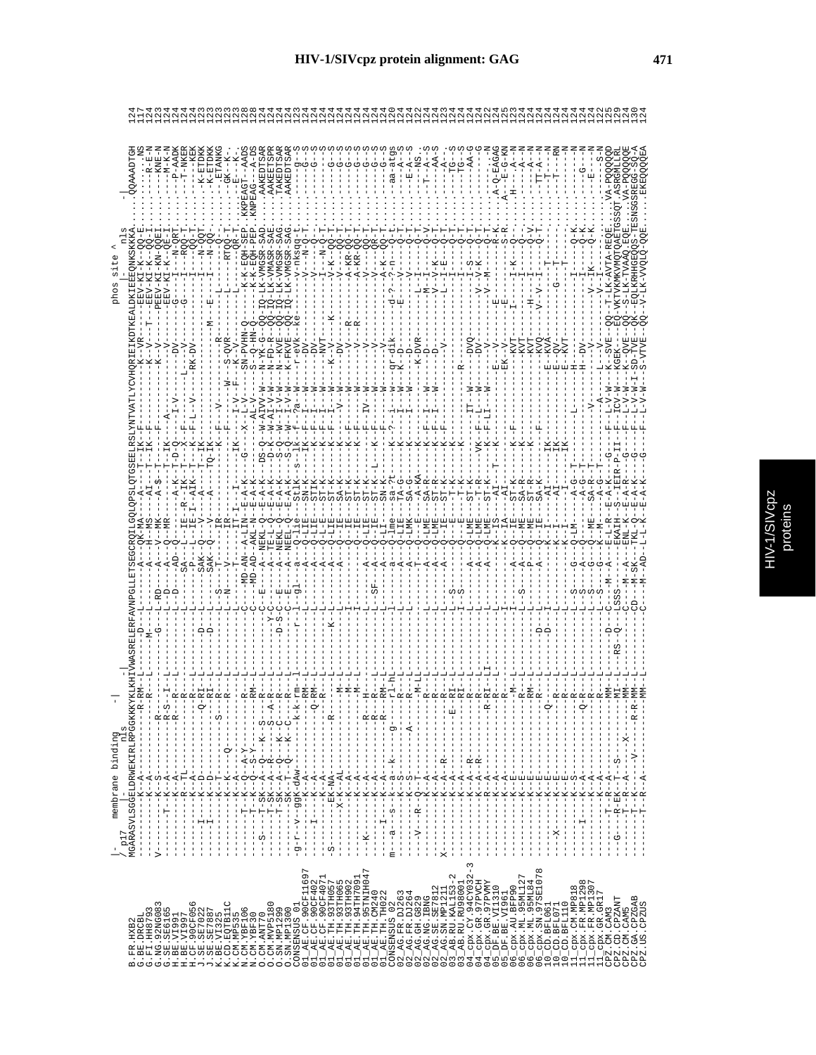| 1 |
|---|
| n |
|   |
|   |
|   |
|   |
|   |

|                             | COAAADTG                                                                                    | $-KME$ -<br>- R<br>- H    | -N-K-      | $-P-AA$ | $-T-NKE$                                                                | -K-ETDK                                                                 | $K - ETT$                                                  | . ETAN           | Ī<br>-GK             | Ţ                  | $-AA$<br>PEAGT |   | AAKEETSP<br>AAKEDTSA                                                                     | <b>AKEDT</b> | AAKEDTSA                  |            |                                                  |             |                          |                          | ひ                  | י<br>י | ပု             | $-aa - atg$              | $-4$ | $-5 - 5$ | $-MS$  | $-4$ |          |                                                                                                                                                                                                                                                                                                                                                                                  |            |               |         | $A-Q-EAG$<br>-- B-G-K | $-$ . <sup>4</sup> |               |               | -TT-A |               |            |                                                                                                                                                                                                                                                                    |                                                                                                                                                                                                                                                                                                                                                                     | ל<br>ל        | $\frac{1}{2}$ | A-POOOO                                                                                                                                                                                                          | . ASRGML                | $-5000$                      | <b>EKEOOO</b>                                                 |
|-----------------------------|---------------------------------------------------------------------------------------------|---------------------------|------------|---------|-------------------------------------------------------------------------|-------------------------------------------------------------------------|------------------------------------------------------------|------------------|----------------------|--------------------|----------------|---|------------------------------------------------------------------------------------------|--------------|---------------------------|------------|--------------------------------------------------|-------------|--------------------------|--------------------------|--------------------|--------|----------------|--------------------------|------|----------|--------|------|----------|----------------------------------------------------------------------------------------------------------------------------------------------------------------------------------------------------------------------------------------------------------------------------------------------------------------------------------------------------------------------------------|------------|---------------|---------|-----------------------|--------------------|---------------|---------------|-------|---------------|------------|--------------------------------------------------------------------------------------------------------------------------------------------------------------------------------------------------------------------------------------------------------------------|---------------------------------------------------------------------------------------------------------------------------------------------------------------------------------------------------------------------------------------------------------------------------------------------------------------------------------------------------------------------|---------------|---------------|------------------------------------------------------------------------------------------------------------------------------------------------------------------------------------------------------------------|-------------------------|------------------------------|---------------------------------------------------------------|
|                             |                                                                                             |                           |            |         |                                                                         |                                                                         |                                                            |                  |                      |                    |                |   |                                                                                          |              |                           |            |                                                  |             |                          |                          |                    |        |                |                          |      |          |        |      |          |                                                                                                                                                                                                                                                                                                                                                                                  |            |               |         |                       |                    |               |               |       |               |            |                                                                                                                                                                                                                                                                    |                                                                                                                                                                                                                                                                                                                                                                     |               |               |                                                                                                                                                                                                                  |                         |                              |                                                               |
|                             | EQNKSKKF                                                                                    | $-L-NN-$<br>I             | ř          |         |                                                                         |                                                                         |                                                            |                  |                      |                    |                |   |                                                                                          |              | $Q-LK-VMGSR-S$            | z<br> <br> |                                                  | $-K-$       |                          | $-KR -$                  | $A - K R -$        |        | -K--           | $\frac{1}{1}$            |      |          |        |      | r-X<br>뛰 |                                                                                                                                                                                                                                                                                                                                                                                  |            |               |         |                       |                    |               |               |       |               |            |                                                                                                                                                                                                                                                                    |                                                                                                                                                                                                                                                                                                                                                                     |               |               |                                                                                                                                                                                                                  |                         |                              |                                                               |
| phos                        | KEALDKIEE<br>- EEV-k                                                                        | PEEV-K                    |            |         |                                                                         |                                                                         |                                                            |                  |                      |                    |                |   | $-LK-VMGS$<br>$\overline{1}$<br>$\frac{1}{2}$                                            |              |                           |            |                                                  |             |                          |                          |                    |        |                | ರ                        | 囸    |          |        |      |          |                                                                                                                                                                                                                                                                                                                                                                                  |            |               |         |                       |                    |               |               |       |               |            |                                                                                                                                                                                                                                                                    |                                                                                                                                                                                                                                                                                                                                                                     |               |               |                                                                                                                                                                                                                  | Ř                       |                              |                                                               |
|                             |                                                                                             |                           |            |         |                                                                         |                                                                         |                                                            |                  |                      |                    | $-NHM-NS$      | 再 |                                                                                          |              |                           |            |                                                  |             |                          |                          |                    |        |                |                          |      |          |        |      |          |                                                                                                                                                                                                                                                                                                                                                                                  |            |               |         |                       |                    |               |               |       |               |            |                                                                                                                                                                                                                                                                    |                                                                                                                                                                                                                                                                                                                                                                     |               |               |                                                                                                                                                                                                                  |                         |                              |                                                               |
|                             | CVHORIEIKDT                                                                                 |                           |            |         |                                                                         |                                                                         |                                                            |                  |                      |                    |                | Ī | $-NY-YK-G$<br>$N - F D - R$                                                              |              | K-FKVE                    |            |                                                  |             |                          |                          |                    |        |                | ar-                      | I    |          | -K-DVF |      |          |                                                                                                                                                                                                                                                                                                                                                                                  |            |               |         |                       |                    |               |               |       |               |            | I                                                                                                                                                                                                                                                                  |                                                                                                                                                                                                                                                                                                                                                                     |               |               | Ĵ                                                                                                                                                                                                                | <b>CGEK</b>             | $-0\nu E$                    |                                                               |
|                             |                                                                                             |                           |            |         |                                                                         |                                                                         |                                                            |                  |                      |                    |                |   | ₹<br>ך<br>ד                                                                              |              |                           |            |                                                  |             |                          |                          |                    |        |                |                          |      |          |        |      |          |                                                                                                                                                                                                                                                                                                                                                                                  |            |               |         |                       |                    |               |               |       |               |            |                                                                                                                                                                                                                                                                    |                                                                                                                                                                                                                                                                                                                                                                     |               |               |                                                                                                                                                                                                                  |                         |                              |                                                               |
|                             |                                                                                             |                           |            | ÷p-     |                                                                         |                                                                         |                                                            |                  |                      |                    |                |   | Ä                                                                                        |              |                           |            |                                                  |             |                          |                          |                    |        |                |                          |      |          |        |      |          |                                                                                                                                                                                                                                                                                                                                                                                  |            |               |         |                       |                    |               |               |       |               |            |                                                                                                                                                                                                                                                                    |                                                                                                                                                                                                                                                                                                                                                                     |               |               |                                                                                                                                                                                                                  |                         |                              |                                                               |
|                             |                                                                                             |                           |            |         |                                                                         |                                                                         |                                                            |                  |                      |                    |                |   |                                                                                          | ł            |                           |            |                                                  |             |                          |                          |                    |        |                |                          |      |          |        |      |          |                                                                                                                                                                                                                                                                                                                                                                                  |            |               |         |                       |                    |               |               |       |               |            |                                                                                                                                                                                                                                                                    |                                                                                                                                                                                                                                                                                                                                                                     |               |               |                                                                                                                                                                                                                  |                         |                              |                                                               |
|                             | RELERFAVNPGLLETSEGCROILGOLOPSLO                                                             |                           |            |         |                                                                         |                                                                         |                                                            |                  |                      |                    |                |   | م                                                                                        |              |                           |            |                                                  |             |                          |                          |                    |        |                | me                       |      |          |        |      |          |                                                                                                                                                                                                                                                                                                                                                                                  |            |               |         |                       |                    |               |               |       |               |            |                                                                                                                                                                                                                                                                    |                                                                                                                                                                                                                                                                                                                                                                     |               |               |                                                                                                                                                                                                                  |                         |                              |                                                               |
|                             |                                                                                             |                           |            |         |                                                                         |                                                                         |                                                            |                  |                      |                    |                |   |                                                                                          |              | NEEI                      | i          |                                                  |             |                          |                          |                    |        |                |                          |      |          |        |      |          |                                                                                                                                                                                                                                                                                                                                                                                  |            |               |         |                       |                    |               |               |       |               |            |                                                                                                                                                                                                                                                                    | 11<br>1                                                                                                                                                                                                                                                                                                                                                             |               |               |                                                                                                                                                                                                                  |                         |                              |                                                               |
|                             |                                                                                             | م<br>آ                    |            |         |                                                                         |                                                                         |                                                            |                  |                      |                    |                |   |                                                                                          |              |                           |            |                                                  |             |                          |                          |                    |        |                |                          |      |          |        |      |          |                                                                                                                                                                                                                                                                                                                                                                                  |            |               |         |                       |                    |               |               |       |               |            |                                                                                                                                                                                                                                                                    |                                                                                                                                                                                                                                                                                                                                                                     |               |               |                                                                                                                                                                                                                  |                         |                              |                                                               |
|                             |                                                                                             |                           |            |         |                                                                         | ≏                                                                       |                                                            |                  |                      |                    |                |   |                                                                                          |              |                           |            |                                                  |             |                          |                          |                    |        |                |                          |      |          |        |      |          |                                                                                                                                                                                                                                                                                                                                                                                  |            |               |         |                       |                    |               |               | Ą     |               |            |                                                                                                                                                                                                                                                                    |                                                                                                                                                                                                                                                                                                                                                                     |               |               |                                                                                                                                                                                                                  |                         |                              |                                                               |
|                             |                                                                                             |                           |            |         |                                                                         |                                                                         |                                                            |                  |                      |                    |                |   |                                                                                          |              |                           |            |                                                  |             |                          |                          |                    |        |                |                          |      |          |        |      |          |                                                                                                                                                                                                                                                                                                                                                                                  |            |               |         |                       |                    |               |               |       |               |            |                                                                                                                                                                                                                                                                    |                                                                                                                                                                                                                                                                                                                                                                     |               |               |                                                                                                                                                                                                                  |                         |                              |                                                               |
|                             | <b>KI.KHT</b>                                                                               |                           |            |         |                                                                         |                                                                         |                                                            |                  |                      |                    |                |   |                                                                                          |              |                           |            |                                                  |             |                          |                          |                    |        |                |                          |      |          |        |      |          | j.                                                                                                                                                                                                                                                                                                                                                                               |            |               |         |                       |                    |               |               |       |               |            |                                                                                                                                                                                                                                                                    |                                                                                                                                                                                                                                                                                                                                                                     |               |               |                                                                                                                                                                                                                  |                         |                              |                                                               |
|                             | $-R$                                                                                        | $-R$                      | $- -R - S$ | $-5 -$  | J.                                                                      | $\frac{1}{2}$<br>$\begin{array}{c} \hline \end{array}$<br>$\frac{1}{1}$ | $\begin{array}{c} 1 \\ 1 \\ 1 \end{array}$<br>$\mathbf{I}$ | $-5$<br>Ť.<br>J. |                      | ł<br>$\frac{1}{1}$ |                | ŧ |                                                                                          |              |                           | ł          | $\frac{1}{\sqrt{2}}$<br>$\overline{\phantom{a}}$ | 1<br>$---R$ | $\overline{\phantom{a}}$ | $\overline{\phantom{a}}$ | $-\mathbf{R}$<br>T |        | $-\frac{R}{R}$ | $\mathbf{I}$             |      | $-4-1$   |        |      |          | 면<br> <br>                                                                                                                                                                                                                                                                                                                                                                       | J          | $\frac{1}{1}$ | $- - R$ |                       |                    |               |               |       | $\frac{1}{2}$ |            |                                                                                                                                                                                                                                                                    |                                                                                                                                                                                                                                                                                                                                                                     | o<br>i        |               |                                                                                                                                                                                                                  |                         | $---R-R$<br>$X -$            |                                                               |
|                             | $\mathbf{I}$<br>$\mathsf I$                                                                 |                           |            |         |                                                                         | п                                                                       |                                                            | $\mathbf{I}$     | $-1$<br>$-1$<br>$-1$ | ł                  |                |   | $2 - 2 - 2 - 2 - 1$<br>$2 - 2 - 2 - 2 - 1$<br>$2 - 2 - 2 - 1 - 1$<br>$2 - 2 - 2 - 1 - 1$ | $=-K$        | $=-K$<br>άά<br>   <br>! ! |            |                                                  |             |                          |                          |                    |        |                |                          |      |          |        |      |          |                                                                                                                                                                                                                                                                                                                                                                                  | $- -A - -$ |               |         |                       |                    |               |               |       |               |            |                                                                                                                                                                                                                                                                    |                                                                                                                                                                                                                                                                                                                                                                     |               |               |                                                                                                                                                                                                                  | $\frac{1}{1}$           | $  V$<br>$- -A - -$          |                                                               |
| membrane binding<br>and nig | $- -K - -A$<br>L.<br>-1                                                                     | $-4$<br>$-K$              |            |         |                                                                         |                                                                         |                                                            |                  |                      |                    |                |   |                                                                                          |              | $K - -1$<br>$-$ - $-$ 5:  |            |                                                  |             |                          |                          |                    |        |                |                          |      |          |        |      |          |                                                                                                                                                                                                                                                                                                                                                                                  | $------K$  |               |         |                       |                    |               |               |       |               |            |                                                                                                                                                                                                                                                                    | $\begin{picture}(18,10) \put(0,0){\vector(1,0){100}} \put(10,0){\vector(1,0){100}} \put(10,0){\vector(1,0){100}} \put(10,0){\vector(1,0){100}} \put(10,0){\vector(1,0){100}} \put(10,0){\vector(1,0){100}} \put(10,0){\vector(1,0){100}} \put(10,0){\vector(1,0){100}} \put(10,0){\vector(1,0){100}} \put(10,0){\vector(1,0){100}} \put(10,0){\vector(1,0){100}} \$ |               | $-1$          | $-1$<br>$-8$<br>$\Gamma$                                                                                                                                                                                         | ר<br>ו<br>$-ER$<br>$-7$ | ŧ<br>$ R$<br>$-$ K<br>부<br>부 | $-4$<br>$ R$<br>i<br>İ                                        |
| P17                         | MGARASVLSGGELDRWEKTRLRPGGKKK<br>ı<br>Ť.<br>J<br>J.                                          | $\overline{V}$<br>п       |            |         |                                                                         |                                                                         |                                                            |                  |                      |                    |                |   | $-5-$                                                                                    | $\,$ I       |                           |            |                                                  | w           |                          |                          |                    |        |                | $1 - 8 - - 8 - - 1$<br>ε |      |          |        |      | $X - -$  | $\begin{array}{l} \mathbf{36.488} \\ \mathbf{57.489} \\ \mathbf{68.49} \\ \mathbf{78.49} \\ \mathbf{89.49} \\ \mathbf{89.49} \\ \mathbf{89.49} \\ \mathbf{89.49} \\ \mathbf{89.49} \\ \mathbf{89.49} \\ \mathbf{89.49} \\ \mathbf{89.49} \\ \mathbf{89.49} \\ \mathbf{89.49} \\ \mathbf{89.49} \\ \mathbf{89.49} \\ \mathbf{89.49} \\ \mathbf{89.49} \\ \mathbf{89.49} \\ \math$ |            |               |         | $\frac{1}{1}$         | ł                  | $\frac{1}{4}$ | $\frac{1}{1}$ | ł     | Ť.            | $- -X - -$ | ł                                                                                                                                                                                                                                                                  | í                                                                                                                                                                                                                                                                                                                                                                   | $\frac{1}{2}$ |               | Í                                                                                                                                                                                                                | $\frac{1}{9}$           |                              |                                                               |
|                             |                                                                                             |                           |            |         |                                                                         |                                                                         |                                                            |                  |                      |                    |                |   |                                                                                          |              |                           |            |                                                  |             |                          |                          |                    |        |                |                          |      |          |        |      |          | $\frac{2}{1}$                                                                                                                                                                                                                                                                                                                                                                    |            |               |         |                       |                    |               |               |       |               |            |                                                                                                                                                                                                                                                                    |                                                                                                                                                                                                                                                                                                                                                                     |               |               |                                                                                                                                                                                                                  |                         |                              |                                                               |
|                             | $\begin{array}{l} \begin{array}{c} \text{. DEGBL}\\ \text{. HH879} \end{array} \end{array}$ |                           |            |         | 3.NG.92NG083<br>3.SE.SE6165<br>4.BE.VI991<br>4.BE.VI997<br>4.CF.90CF056 |                                                                         |                                                            |                  |                      |                    |                |   |                                                                                          |              |                           |            |                                                  |             |                          |                          |                    |        |                |                          |      |          |        |      |          |                                                                                                                                                                                                                                                                                                                                                                                  |            |               |         |                       |                    |               |               |       |               |            | $\begin{array}{l} 03-181, 101, 1030001 \\ 04-2px, 021, 940001 \\ 04-2px, 032, 340001 \\ 04-2px, 081, 9719001 \\ 05-107, 181, 1110 \\ 06-107, 11110 \\ 07-107, 11110 \\ 08-108, 11110 \\ 09-108, 11110 \\ 016-108, 11110 \\ 016-108, 11110 \\ 016-108, 11010 \\ 01$ |                                                                                                                                                                                                                                                                                                                                                                     |               |               | $\begin{array}{l} 11\_cpx.\, \text{CM. MPS18} \\ 11\_cpx.\, \text{FR. MPL298} \\ 11\_cpx.\, \text{FR. MPL307} \\ 11\_cpx.\, \text{GR. JPL307} \\ 11\_cpx.\, \text{GR. GRL1} \\ \text{CPX. GR. GRL1} \end{array}$ |                         |                              | CPZ.CD.CPZANT<br>CPZ.CM.CAM5<br>CPZ.GA.CPZGAB<br>CPZ.US.CPZUS |
|                             | R.HXB2<br>HE.<br>۳<br>血ひ                                                                    | $F_{\rm H}$<br><b>ひ ひ</b> |            | ひ出      |                                                                         | כי                                                                      | ∍                                                          |                  |                      |                    |                | z | ററ                                                                                       | O            |                           |            |                                                  |             |                          |                          |                    |        |                |                          |      |          |        |      |          |                                                                                                                                                                                                                                                                                                                                                                                  |            |               |         |                       |                    |               |               |       |               |            |                                                                                                                                                                                                                                                                    |                                                                                                                                                                                                                                                                                                                                                                     |               |               | زخ                                                                                                                                                                                                               |                         |                              |                                                               |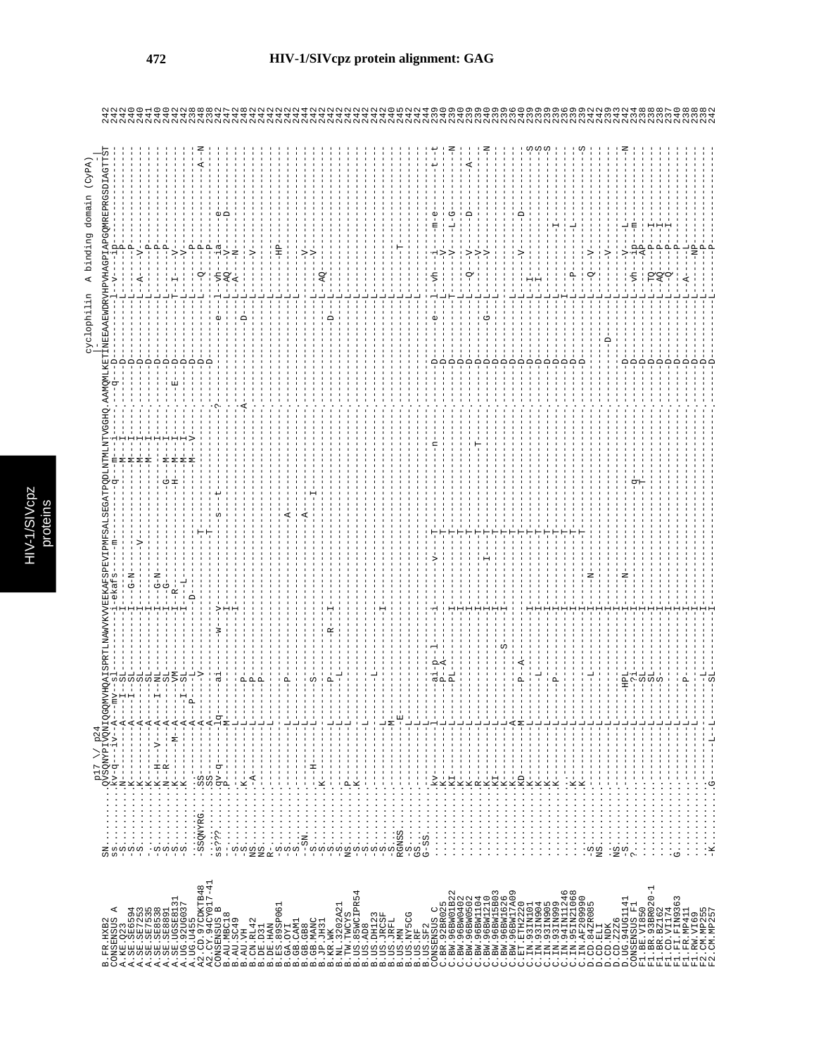| ZASOZARINGO OTTA 1975.<br>SASOZARINGO OTTAGO NA SERINGO NGA SERINGO NGA SASA SA SASA NGA SASA NGA SASA NGA SASA NGA SASA NGA SASA SA SAS<br>$kv - q - - i v - - A -$<br>$\vdots$<br>$\ddot{\cdot}$                                                                                                                                                                            | <u>ਾ</u><br><b>Nu</b><br>$\mathbf{I}$                          | ۳<br>튜<br>-ekafs-     | $\frac{1}{2}$              | $\mathsf{D}$<br>ᠳ | ąr                        |                |
|-------------------------------------------------------------------------------------------------------------------------------------------------------------------------------------------------------------------------------------------------------------------------------------------------------------------------------------------------------------------------------|----------------------------------------------------------------|-----------------------|----------------------------|-------------------|---------------------------|----------------|
| $\ddot{a}$ .<br>$\ddot{\phantom{0}}$                                                                                                                                                                                                                                                                                                                                          | 55<br>F1                                                       |                       | Σ                          | ≏                 |                           |                |
| İ<br>$\frac{1}{1}$<br>$\cdot \cdot$ K<br>$\ddot{\phantom{a}}$                                                                                                                                                                                                                                                                                                                 | 5L<br>55<br>н<br>F-<br>$\overline{\phantom{a}}$                | $\frac{1}{1}$<br>$-5$ | ₹<br>ż                     | $\Box$<br>$\Box$  | д<br>⋗<br>Ŗ.              |                |
| 3<br>$\ddot{\phantom{0}}$                                                                                                                                                                                                                                                                                                                                                     | 51<br>A<br>K,<br>$\overline{1}$                                |                       | ่≥่                        | $\Box$            | $\mathbf{\Omega}$         |                |
| J.<br>$-1$ - $-1$ - $-1$<br>$\ddot{K}$<br>÷<br>$\ddot{\phantom{0}}$<br>$\vdots$<br>$\cdot$                                                                                                                                                                                                                                                                                    | ä<br>f,<br>부<br>-1<br>$-4$                                     | $-1 - 5 - 1$          |                            | $\Box$            | д                         |                |
| $- R$<br>$\ddot{a}$<br>$\bullet$<br>ł<br>$\ddot{\phantom{0}}$<br>$\vdots$                                                                                                                                                                                                                                                                                                     | 55<br>K,<br>$\blacksquare$                                     | ပု<br>Ġ               | $\frac{1}{\sum_{i=1}^{n}}$ | $\Box$            | $\mathbf{\Omega}$         |                |
| $-1 - N -$<br>$\ddot{X}$ .<br>$\bullet$<br>ł<br>$\cdot$<br>$\vdots$                                                                                                                                                                                                                                                                                                           | ξ<br>К                                                         | Ξ<br>$ R$             | Ş                          | $\Box$<br>甲       |                           |                |
| $\mathbf{I}$<br>$\cdot$<br>$\cdot$<br>$\cdot$<br>$\vdots$                                                                                                                                                                                                                                                                                                                     | 51<br>Н<br>$\mathbf{I}$<br>К<br>$\mathbf{I}$<br>$\blacksquare$ | 로<br>$\frac{1}{1}$    | $\overline{\mathbb{R}}$    | $\Box$            | $\mathbf{\Omega}$         |                |
| $\mathbf{I}$<br>$\frac{1}{3}$<br>$\vdots$<br>$\vdots$<br>-ssowre.                                                                                                                                                                                                                                                                                                             | 4<br>$\blacksquare$                                            |                       | ΣĻ                         | ≏                 | ρ                         |                |
| $\frac{1}{1}$<br>I<br>$\frac{1}{1}$<br>$\cdot$                                                                                                                                                                                                                                                                                                                                | A                                                              |                       |                            | ≏<br>≏            | д<br>$\circ$              |                |
| $\mathsf I$<br>I.<br>$-5 - 5 -$<br>$\frac{35}{35}$ .<br>$\cdot$<br>35222                                                                                                                                                                                                                                                                                                      | З<br>ة.<br>¤                                                   | ŵ                     |                            | $\mathbb U$       | .<br>⊣<br>$-vh-$          | Φ              |
| $\frac{a}{i}$<br>$\vdots$<br>$\cdot$                                                                                                                                                                                                                                                                                                                                          | $\begin{array}{c}\n-1 & -1 \\ -1 & -1 \\ -1 & -1\n\end{array}$ |                       |                            |                   | $-AO$                     | $\Box$         |
| л<br>$\bullet$<br>$\cdot$                                                                                                                                                                                                                                                                                                                                                     | ך.<br>י                                                        |                       |                            |                   | z<br>$\overline{A}$       |                |
| ı<br>п<br>1<br>Ţ<br>$\ddot{K}$ .<br>$\vdots$                                                                                                                                                                                                                                                                                                                                  | д<br>I<br>٦                                                    |                       |                            | $\Box$            |                           |                |
| $\cdots$ $ A$ $-$<br>$\vdots$<br>$\vdots$                                                                                                                                                                                                                                                                                                                                     | $\mathbf{\Omega}$<br>Ļ                                         |                       |                            |                   |                           |                |
| J,<br>л<br>л                                                                                                                                                                                                                                                                                                                                                                  | д<br>Ļ                                                         |                       |                            |                   |                           |                |
| 1                                                                                                                                                                                                                                                                                                                                                                             | Ĥ                                                              |                       |                            |                   |                           |                |
| п<br>J.                                                                                                                                                                                                                                                                                                                                                                       |                                                                |                       |                            |                   | -HP                       |                |
| л.<br>J.                                                                                                                                                                                                                                                                                                                                                                      | д<br>Ĥ                                                         | F                     |                            |                   |                           |                |
| -1                                                                                                                                                                                                                                                                                                                                                                            | $-1$                                                           |                       |                            |                   |                           |                |
|                                                                                                                                                                                                                                                                                                                                                                               | $\frac{1}{1}$                                                  | خ                     |                            |                   | ⋗                         |                |
| $-1$                                                                                                                                                                                                                                                                                                                                                                          | S<br>$\frac{1}{1}$                                             | ۳                     |                            |                   | ⋗                         |                |
| $\frac{1}{1}$<br>×                                                                                                                                                                                                                                                                                                                                                            |                                                                |                       |                            |                   | $-AO$<br>È                |                |
| ı<br>ı                                                                                                                                                                                                                                                                                                                                                                        | ĸ<br>$\mathbf{\Omega}$<br>$\frac{1}{1}$                        |                       |                            | ٩                 |                           |                |
| I<br>п<br>I<br>I<br>ł<br>I                                                                                                                                                                                                                                                                                                                                                    | ť                                                              |                       |                            |                   |                           |                |
| $\cdot$                                                                                                                                                                                                                                                                                                                                                                       | $\frac{1}{1}$                                                  |                       |                            |                   |                           |                |
| $\frac{1}{1}$<br>д<br>$\cdot$                                                                                                                                                                                                                                                                                                                                                 | 부                                                              |                       |                            |                   |                           |                |
|                                                                                                                                                                                                                                                                                                                                                                               |                                                                |                       |                            |                   |                           |                |
| I<br>I.<br>т<br>J                                                                                                                                                                                                                                                                                                                                                             | 1<br>۲<br>ا                                                    |                       |                            |                   |                           |                |
| л<br>л<br>ŧ                                                                                                                                                                                                                                                                                                                                                                   | -1                                                             |                       |                            |                   |                           |                |
| $\overline{1}$<br>п<br>$\frac{1}{1}$                                                                                                                                                                                                                                                                                                                                          | $-1$                                                           |                       |                            |                   |                           |                |
| j<br>$\frac{1}{1}$<br>$\frac{1}{1}$<br>$\overline{\phantom{a}}$<br>$\bullet$                                                                                                                                                                                                                                                                                                  | $-N$ <sup>-</sup>                                              |                       |                            |                   |                           |                |
| J.<br>$\ddot{\cdot}$                                                                                                                                                                                                                                                                                                                                                          | 囸<br>$\mathbf{I}$                                              |                       |                            |                   |                           |                |
| -<br>$\ddot{\cdot}$<br>$\vdots$                                                                                                                                                                                                                                                                                                                                               | 루                                                              |                       |                            |                   |                           |                |
| $\frac{1}{1}$<br>$\ddot{\cdot}$<br>35.58                                                                                                                                                                                                                                                                                                                                      | 루                                                              |                       |                            |                   |                           |                |
| $\mathbb{Z}/\mathbb{Z}$                                                                                                                                                                                                                                                                                                                                                       |                                                                |                       |                            |                   |                           |                |
| $\mathbf{I}$<br>kv<br>$\cdot$<br>$\cdot$                                                                                                                                                                                                                                                                                                                                      | $-44$<br>$\frac{1}{\sigma}$ $\frac{1}{\rho}$<br>7              |                       | 는                          | Ф                 | ŀ<br>$-5$<br>$\mathbf{I}$ | $-\frac{e}{n}$ |
| $\overline{\phantom{a}}$<br>$\overline{\phantom{a}}$<br>J.<br>$\blacksquare$<br>÷<br>$\cdot$                                                                                                                                                                                                                                                                                  | $\frac{1}{1}$                                                  |                       |                            |                   |                           |                |
| $\mathbf{I}$<br>п<br>$\overline{\phantom{a}}$<br>$\frac{1}{1}$<br>KI.<br>÷<br>$\vdots$<br>$\vdots$                                                                                                                                                                                                                                                                            | 뮵<br>٦.                                                        |                       |                            | ≏                 |                           | ゥ<br>コー        |
| ţ<br>$\vdots$<br>$\vdots$                                                                                                                                                                                                                                                                                                                                                     | Ĥ                                                              |                       |                            | ≏                 |                           |                |
| f.<br>$\ddot{\cdot}$<br>$\vdots$<br>$\frac{1}{2}$                                                                                                                                                                                                                                                                                                                             | Ļ                                                              |                       |                            | ≏                 | ⋗<br>O                    | F<br>$\Box$    |
| $\mathbf{I}$<br>$\mathbf{I}$<br>-1<br>-1<br>$\mathbb I$<br>$\vdots$<br>$\vdots$                                                                                                                                                                                                                                                                                               | 부                                                              |                       | н                          | ≏                 |                           |                |
| I<br>I.<br>$\frac{1}{1}$<br>$\frac{1}{1}$<br>$\ddotsc$<br>$\frac{1}{2}$ $\frac{1}{2}$ $\frac{1}{2}$ $\frac{1}{2}$ $\frac{1}{2}$ $\frac{1}{2}$ $\frac{1}{2}$ $\frac{1}{2}$ $\frac{1}{2}$ $\frac{1}{2}$ $\frac{1}{2}$ $\frac{1}{2}$ $\frac{1}{2}$ $\frac{1}{2}$ $\frac{1}{2}$ $\frac{1}{2}$ $\frac{1}{2}$ $\frac{1}{2}$ $\frac{1}{2}$ $\frac{1}{2}$ $\frac{1}{2}$ $\frac{1}{2}$ | -<br>1                                                         | н                     |                            | ပှံ<br>≏          |                           |                |
| H<br>$\frac{1}{1}$<br>$\ldots$ KI-<br>$\vdots$                                                                                                                                                                                                                                                                                                                                | $\frac{1}{1}$                                                  |                       |                            | ≏                 |                           |                |
| $\overline{1}$<br>J.<br>$\ddot{\cdot}$<br>$\frac{1}{2}$ , $\frac{1}{2}$ , $\frac{1}{2}$ , $\frac{1}{2}$ , $\frac{1}{2}$ , $\frac{1}{2}$ , $\frac{1}{2}$                                                                                                                                                                                                                       | S<br>Ļ٦                                                        |                       |                            | ≏                 |                           |                |
| T<br>J.<br>$\vdots$                                                                                                                                                                                                                                                                                                                                                           | T                                                              |                       |                            |                   |                           |                |
| $\ddot{X}$ .<br>$\vdots$                                                                                                                                                                                                                                                                                                                                                      | К                                                              |                       |                            | ≏                 |                           |                |
| Ť.<br>$\ldots$ KD--<br>$\vdots$                                                                                                                                                                                                                                                                                                                                               | $\vec{A}$<br>$\mathbf{\Omega}$<br>주                            |                       |                            | ≏                 |                           | $\Box$         |
| J.<br>$\ddot{K}$ .<br>$\vdots$                                                                                                                                                                                                                                                                                                                                                | Ļ                                                              |                       |                            | ≏                 | H                         |                |
| $\mathbf{I}$<br>t.<br>$\cdot$<br>ŧ                                                                                                                                                                                                                                                                                                                                            | ť<br>٣                                                         |                       |                            | ≏                 |                           |                |
| л.<br>÷,<br>$\begin{array}{c}\n\stackrel{\times}{\sim} \\ \stackrel{\times}{\sim} \\ \stackrel{\times}{\sim}\n\end{array}$<br>$\cdot$                                                                                                                                                                                                                                         | f                                                              | ۴                     |                            | ≏                 |                           |                |
| I<br>т<br>I<br>ŧ                                                                                                                                                                                                                                                                                                                                                              | $\mathbf{a}$<br>f                                              | н                     |                            | ≏                 |                           | ⊢              |
| ï<br>I<br>т<br>ţ,<br>$\vdots$                                                                                                                                                                                                                                                                                                                                                 | f                                                              | н                     |                            | ≏                 |                           |                |
| I<br>п<br>$\frac{1}{1}$<br>$\vdots$<br>$\vdots$                                                                                                                                                                                                                                                                                                                               | ٦                                                              | E                     |                            | c                 | д<br>$\mathbf{I}$         |                |
| j<br>$\ddot{K}$<br>$\vdots$                                                                                                                                                                                                                                                                                                                                                   | -<br>                                                          |                       |                            |                   |                           |                |
| I<br>I<br>$\bullet$<br>$\vdots$                                                                                                                                                                                                                                                                                                                                               |                                                                | ž                     |                            |                   | ⋗<br>I<br>$\circ$         |                |
| NSS                                                                                                                                                                                                                                                                                                                                                                           |                                                                |                       |                            |                   |                           |                |
| J<br>I<br>$\frac{1}{1}$<br>$\cdot$                                                                                                                                                                                                                                                                                                                                            | $\frac{1}{1}$                                                  |                       |                            | $\Box$            | ₽                         |                |
| J<br>l,                                                                                                                                                                                                                                                                                                                                                                       | $\frac{1}{1}$                                                  |                       |                            |                   |                           |                |
| $\bullet$<br>$\frac{1}{2}$<br>$\frac{1}{2}$<br>$\frac{1}{2}$<br>$\frac{1}{2}$<br>$\frac{1}{2}$                                                                                                                                                                                                                                                                                | TdH-<br>٦,                                                     | 주                     |                            | ≏                 |                           |                |
|                                                                                                                                                                                                                                                                                                                                                                               |                                                                | ℧                     |                            | ≏                 | Ω<br>$-5$                 | 투              |
| $\vdots$                                                                                                                                                                                                                                                                                                                                                                      | 52<br>٦                                                        |                       |                            | ≏                 | д<br>К                    |                |
| $\vdots$                                                                                                                                                                                                                                                                                                                                                                      | 55<br>루                                                        |                       |                            | ≏                 | $\mathbf{a}$<br>čΕ        | 부              |
|                                                                                                                                                                                                                                                                                                                                                                               | ω<br>로                                                         |                       |                            | ≏                 | $\mathbf{\Omega}$         |                |
|                                                                                                                                                                                                                                                                                                                                                                               |                                                                |                       |                            |                   | $\mathbf{a}$<br>Q         |                |
| $\vdots$                                                                                                                                                                                                                                                                                                                                                                      | ٦                                                              |                       |                            | ≏                 | д<br>ု                    |                |
| $\vdots$                                                                                                                                                                                                                                                                                                                                                                      | ٦                                                              |                       |                            | ≏                 |                           |                |
| $\vdots$                                                                                                                                                                                                                                                                                                                                                                      | д                                                              |                       |                            | ≏                 | F                         |                |
| $\vdots$                                                                                                                                                                                                                                                                                                                                                                      | ٦                                                              |                       |                            | ≏                 | -ru-                      |                |
|                                                                                                                                                                                                                                                                                                                                                                               |                                                                |                       |                            | ≏                 | д                         |                |
|                                                                                                                                                                                                                                                                                                                                                                               |                                                                |                       |                            |                   |                           |                |
| --1--1-<br>$\frac{1}{1}$<br>л<br>ひ                                                                                                                                                                                                                                                                                                                                            | 5L                                                             |                       |                            | ≏                 | д                         |                |
|                                                                                                                                                                                                                                                                                                                                                                               |                                                                |                       |                            |                   |                           |                |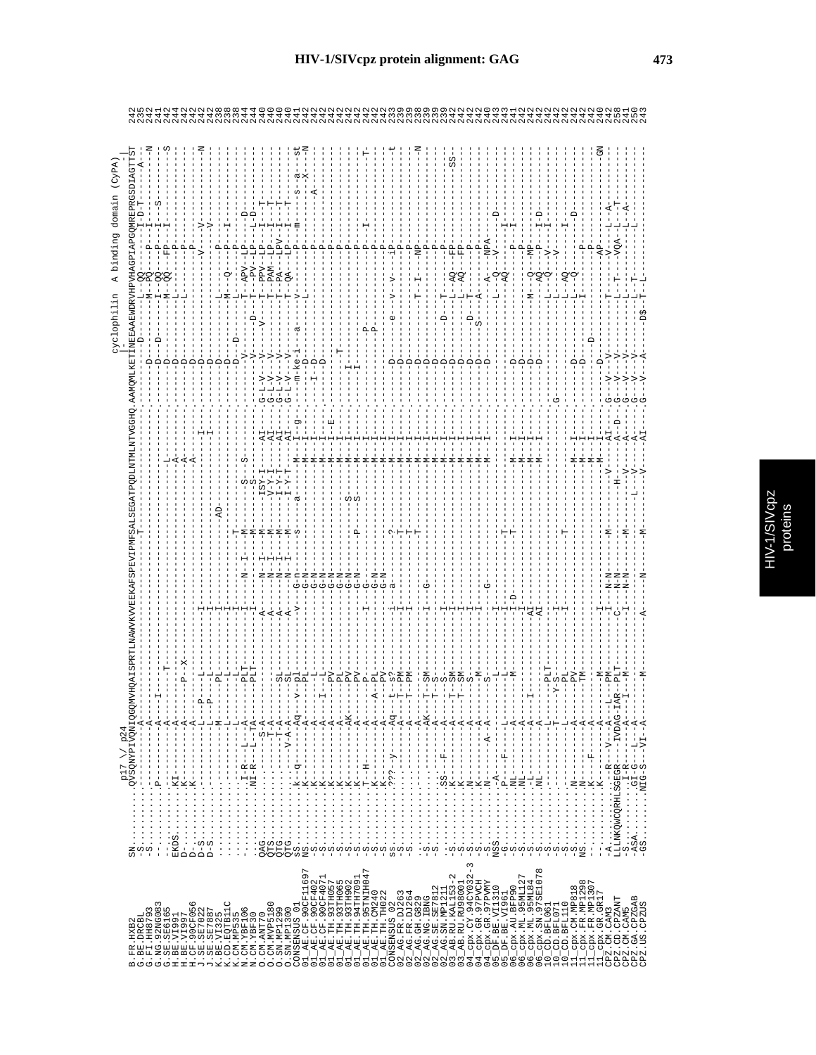| CVPA                                                                                                                                                                                                                                                                                                                                                                                                                                                          |                                        |                                                           |                                                                                                                                                                                                                                                                                                                                                                                                                                                                                  |                                                                                               |                     |  |            |   |  |  |  |     |  |  |  |  |  |   |   |  |  |  |  |  |  |  |               |                               |                  |               |                    |                               |
|---------------------------------------------------------------------------------------------------------------------------------------------------------------------------------------------------------------------------------------------------------------------------------------------------------------------------------------------------------------------------------------------------------------------------------------------------------------|----------------------------------------|-----------------------------------------------------------|----------------------------------------------------------------------------------------------------------------------------------------------------------------------------------------------------------------------------------------------------------------------------------------------------------------------------------------------------------------------------------------------------------------------------------------------------------------------------------|-----------------------------------------------------------------------------------------------|---------------------|--|------------|---|--|--|--|-----|--|--|--|--|--|---|---|--|--|--|--|--|--|--|---------------|-------------------------------|------------------|---------------|--------------------|-------------------------------|
| NIQGQMVHQAISPRTIMAWVKVVEEKAFSPEVIPMFSAISBGATPQDIMTMIMTVGGHQ.AAMQMIKETINEEAAEWDRVHPVHAGPIAPGQMREPRGSD<br>domain                                                                                                                                                                                                                                                                                                                                                |                                        |                                                           |                                                                                                                                                                                                                                                                                                                                                                                                                                                                                  |                                                                                               |                     |  |            |   |  |  |  |     |  |  |  |  |  |   |   |  |  |  |  |  |  |  |               |                               |                  |               |                    |                               |
| binding                                                                                                                                                                                                                                                                                                                                                                                                                                                       |                                        |                                                           |                                                                                                                                                                                                                                                                                                                                                                                                                                                                                  |                                                                                               |                     |  |            |   |  |  |  |     |  |  |  |  |  |   |   |  |  |  |  |  |  |  |               |                               |                  |               |                    |                               |
|                                                                                                                                                                                                                                                                                                                                                                                                                                                               |                                        |                                                           |                                                                                                                                                                                                                                                                                                                                                                                                                                                                                  |                                                                                               |                     |  | <b>APV</b> |   |  |  |  |     |  |  |  |  |  |   |   |  |  |  |  |  |  |  |               |                               |                  |               |                    |                               |
| cyclophilin                                                                                                                                                                                                                                                                                                                                                                                                                                                   |                                        |                                                           |                                                                                                                                                                                                                                                                                                                                                                                                                                                                                  |                                                                                               |                     |  |            |   |  |  |  |     |  |  |  |  |  |   |   |  |  |  |  |  |  |  |               |                               |                  |               |                    |                               |
|                                                                                                                                                                                                                                                                                                                                                                                                                                                               |                                        |                                                           |                                                                                                                                                                                                                                                                                                                                                                                                                                                                                  |                                                                                               |                     |  |            |   |  |  |  |     |  |  |  |  |  |   |   |  |  |  |  |  |  |  |               |                               |                  |               |                    |                               |
|                                                                                                                                                                                                                                                                                                                                                                                                                                                               |                                        |                                                           |                                                                                                                                                                                                                                                                                                                                                                                                                                                                                  |                                                                                               |                     |  |            |   |  |  |  |     |  |  |  |  |  |   |   |  |  |  |  |  |  |  |               |                               |                  |               |                    |                               |
|                                                                                                                                                                                                                                                                                                                                                                                                                                                               |                                        |                                                           |                                                                                                                                                                                                                                                                                                                                                                                                                                                                                  |                                                                                               |                     |  |            |   |  |  |  |     |  |  |  |  |  |   |   |  |  |  |  |  |  |  |               |                               |                  |               |                    |                               |
|                                                                                                                                                                                                                                                                                                                                                                                                                                                               |                                        |                                                           |                                                                                                                                                                                                                                                                                                                                                                                                                                                                                  |                                                                                               |                     |  |            |   |  |  |  |     |  |  |  |  |  |   |   |  |  |  |  |  |  |  |               |                               |                  |               |                    |                               |
|                                                                                                                                                                                                                                                                                                                                                                                                                                                               |                                        |                                                           |                                                                                                                                                                                                                                                                                                                                                                                                                                                                                  |                                                                                               |                     |  |            |   |  |  |  |     |  |  |  |  |  |   |   |  |  |  |  |  |  |  |               |                               |                  |               |                    |                               |
|                                                                                                                                                                                                                                                                                                                                                                                                                                                               |                                        |                                                           |                                                                                                                                                                                                                                                                                                                                                                                                                                                                                  |                                                                                               |                     |  |            | Σ |  |  |  |     |  |  |  |  |  |   |   |  |  |  |  |  |  |  |               |                               |                  |               |                    |                               |
|                                                                                                                                                                                                                                                                                                                                                                                                                                                               |                                        |                                                           |                                                                                                                                                                                                                                                                                                                                                                                                                                                                                  |                                                                                               |                     |  |            |   |  |  |  | スーひ |  |  |  |  |  |   |   |  |  |  |  |  |  |  |               |                               |                  |               |                    |                               |
|                                                                                                                                                                                                                                                                                                                                                                                                                                                               |                                        |                                                           |                                                                                                                                                                                                                                                                                                                                                                                                                                                                                  |                                                                                               |                     |  |            |   |  |  |  |     |  |  |  |  |  |   |   |  |  |  |  |  |  |  |               |                               |                  |               |                    |                               |
|                                                                                                                                                                                                                                                                                                                                                                                                                                                               |                                        |                                                           |                                                                                                                                                                                                                                                                                                                                                                                                                                                                                  |                                                                                               |                     |  |            |   |  |  |  |     |  |  |  |  |  |   |   |  |  |  |  |  |  |  |               |                               |                  |               |                    |                               |
|                                                                                                                                                                                                                                                                                                                                                                                                                                                               |                                        |                                                           |                                                                                                                                                                                                                                                                                                                                                                                                                                                                                  |                                                                                               |                     |  |            |   |  |  |  |     |  |  |  |  |  | н | ٣ |  |  |  |  |  |  |  |               |                               |                  |               |                    |                               |
|                                                                                                                                                                                                                                                                                                                                                                                                                                                               |                                        |                                                           |                                                                                                                                                                                                                                                                                                                                                                                                                                                                                  |                                                                                               |                     |  |            |   |  |  |  |     |  |  |  |  |  |   |   |  |  |  |  |  |  |  |               |                               |                  |               |                    |                               |
| QVSQNYPIV<br>-1<br>p17<br>$\mathbf{I}$<br>j.<br>$\mathsf I$                                                                                                                                                                                                                                                                                                                                                                                                   | $\mathbf{I}$<br>L.<br>Ť<br>$\mathsf I$ | $\frac{1}{2}$                                             |                                                                                                                                                                                                                                                                                                                                                                                                                                                                                  | $\frac{1}{1}$                                                                                 | I.<br>J.<br>п<br>J. |  |            |   |  |  |  |     |  |  |  |  |  |   |   |  |  |  |  |  |  |  | ÷             |                               | $-1 - -R - -V -$ | $\frac{1}{2}$ | J<br>$\frac{1}{1}$ | $-1 - 5 - 1$                  |
| $\frac{1}{2}$<br>$\cdot$<br>$\cdot$<br>$\bullet$<br>$\cdot$                                                                                                                                                                                                                                                                                                                                                                                                   | $\frac{1}{2}$                          |                                                           |                                                                                                                                                                                                                                                                                                                                                                                                                                                                                  | $\frac{1}{2}$ , $\frac{1}{2}$ , $\frac{1}{2}$ , $\frac{1}{2}$ , $\frac{1}{2}$ , $\frac{1}{2}$ | $\frac{1}{2}$       |  |            |   |  |  |  |     |  |  |  |  |  |   |   |  |  |  |  |  |  |  |               | $\dots$ . $K$ - - -           | $\cdot$          |               |                    |                               |
| $\vdots$<br>$\cdot$<br>SN<br>w<br>$\mathbf{I}$                                                                                                                                                                                                                                                                                                                                                                                                                | $\vdots$<br>$\frac{5}{1}$              | $\begin{array}{c} \frac{1}{2} \\ \frac{1}{2} \end{array}$ | $\begin{array}{cccccc} . & . & . & . & . & . & . \\ . & . & . & . & . & . \\ . & . & . & . & . & . \\ . & . & . & . & . & . \\ . & . & . & . & . & . \\ . & . & . & . & . & . \\ . & . & . & . & . & . \\ . & . & . & . & . & . \\ . & . & . & . & . & . \\ . & . & . & . & . & . \\ . & . & . & . & . & . \\ . & . & . & . & . & . \\ . & . & . & . & . & . \\ . & . & . & . & . & . \\ . & . & . & . & . & . \\ . & . & . & . & . & . \\ . & . & . & . & . & . \\ . & . & . &$ |                                                                                               |                     |  |            |   |  |  |  |     |  |  |  |  |  |   |   |  |  |  |  |  |  |  | $\frac{1}{1}$ | $\ddot{\cdot}$<br>$\,$ I<br>п | $A \cdot$        |               |                    |                               |
| $\begin{smallmatrix} \texttt{R}, \texttt{H8793}\ \texttt{G}, \texttt{G}, \texttt{G}, \texttt{G}, \texttt{G}, \texttt{G}, \texttt{G}, \texttt{G}, \texttt{G}, \texttt{G}, \texttt{G}, \texttt{G}, \texttt{G}, \texttt{G}, \texttt{G}, \texttt{G}, \texttt{G}, \texttt{G}, \texttt{G}, \texttt{G}, \texttt{G}, \texttt{G}, \texttt{G}, \texttt{G}, \texttt{G}, \texttt{G}, \texttt{G}, \texttt{G}, \texttt{G}, \texttt{G}, \texttt{G}, \texttt{G}, \texttt{G},$ |                                        |                                                           |                                                                                                                                                                                                                                                                                                                                                                                                                                                                                  |                                                                                               |                     |  |            |   |  |  |  |     |  |  |  |  |  |   |   |  |  |  |  |  |  |  |               |                               |                  |               |                    |                               |
|                                                                                                                                                                                                                                                                                                                                                                                                                                                               |                                        |                                                           |                                                                                                                                                                                                                                                                                                                                                                                                                                                                                  |                                                                                               |                     |  |            |   |  |  |  |     |  |  |  |  |  |   |   |  |  |  |  |  |  |  |               |                               |                  |               |                    | CPZ.GA.CPZGAB<br>CPZ.US.CPZUS |
|                                                                                                                                                                                                                                                                                                                                                                                                                                                               |                                        |                                                           |                                                                                                                                                                                                                                                                                                                                                                                                                                                                                  |                                                                                               |                     |  |            |   |  |  |  |     |  |  |  |  |  |   |   |  |  |  |  |  |  |  |               |                               |                  |               |                    |                               |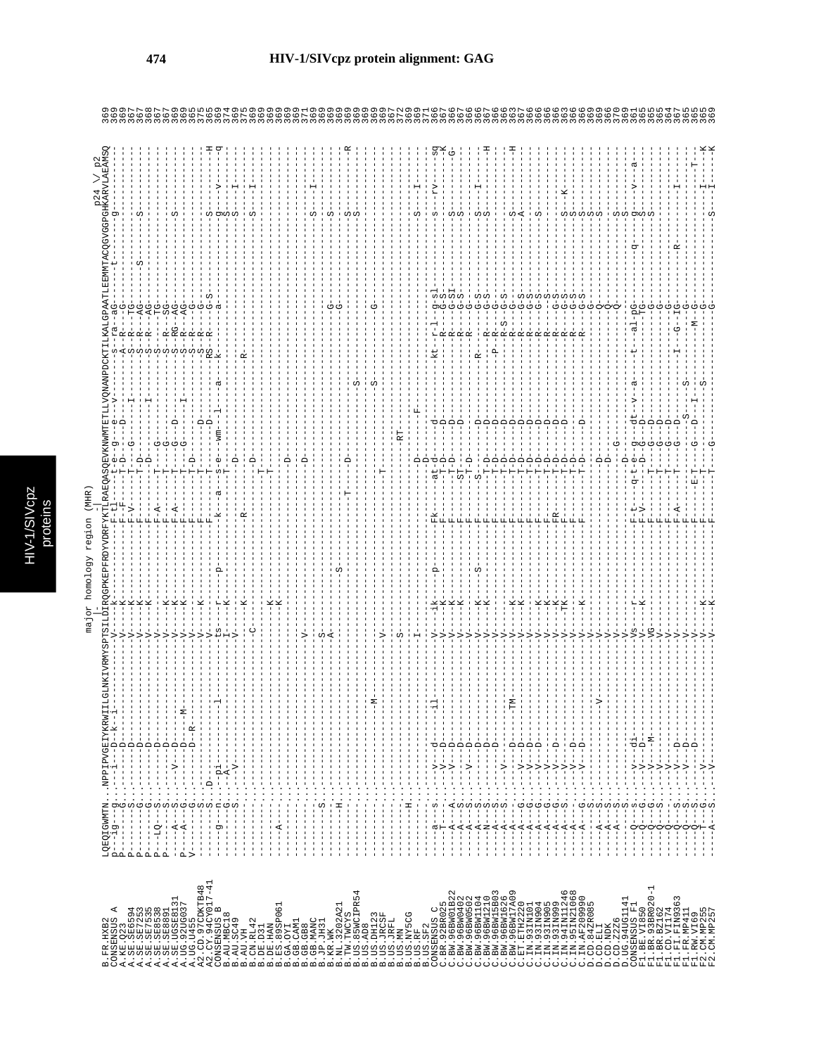major homology region (MHR)

|   | のののい                                                                                                                                                                                                           |                                                                                           |                      |                                     | $\infty$                                     |                                                                                                                                                                                                                                                                                                                                                                | ∼                      |                      |                           |                                          |                               | o o n n n o 4                                                                  |          |        |   |        |   |                |   |   |         |               |   |      |   |                              |   |    |  |      |                       | cocococococococococococococo |        | $\circ$                      |                | ۳ ص                   |                                       | ৩             | ৩<br>G                    | $\circ$                                        | ৩                   | 9                  | しいレ               |                                 | $\circ$<br>م م م | ৩<br>O              | O<br>O           | ഗ സ                |               | G               |               |    |                               |          |                  |             |                    | <b>wanwoon-unu</b> |               |                              | 4                          |              |               | 00000000000000000000                     |                |
|---|----------------------------------------------------------------------------------------------------------------------------------------------------------------------------------------------------------------|-------------------------------------------------------------------------------------------|----------------------|-------------------------------------|----------------------------------------------|----------------------------------------------------------------------------------------------------------------------------------------------------------------------------------------------------------------------------------------------------------------------------------------------------------------------------------------------------------------|------------------------|----------------------|---------------------------|------------------------------------------|-------------------------------|--------------------------------------------------------------------------------|----------|--------|---|--------|---|----------------|---|---|---------|---------------|---|------|---|------------------------------|---|----|--|------|-----------------------|------------------------------|--------|------------------------------|----------------|-----------------------|---------------------------------------|---------------|---------------------------|------------------------------------------------|---------------------|--------------------|-------------------|---------------------------------|------------------|---------------------|------------------|--------------------|---------------|-----------------|---------------|----|-------------------------------|----------|------------------|-------------|--------------------|--------------------|---------------|------------------------------|----------------------------|--------------|---------------|------------------------------------------|----------------|
|   |                                                                                                                                                                                                                |                                                                                           |                      |                                     |                                              |                                                                                                                                                                                                                                                                                                                                                                |                        |                      |                           |                                          |                               |                                                                                |          |        |   |        |   |                |   |   |         |               |   |      |   |                              |   |    |  |      |                       |                              |        |                              |                |                       |                                       |               |                           |                                                |                     |                    |                   |                                 |                  |                     |                  |                    |               |                 |               |    |                               |          |                  |             |                    |                    |               |                              |                            |              |               |                                          |                |
|   | GLMKIVRMYSPTSILDIRQGPKEPFRDYVDEFYKTIRAEQASQEVKNWMTETLLVQNANPDCKTIIKALGPAATLEEMWTACQGVGGPGHKARVLAEAMSQ<br>GLMKIVRMYSPTSILDIRQGPKEPFRDYVDEFYKTIRAEQASQEVKNWMTETLLVQNANPDCKTIIKALGPAATLEEMWTACQGVGGPGHKARVLAEAMSQ | ס                                                                                         |                      | m                                   |                                              |                                                                                                                                                                                                                                                                                                                                                                |                        | CO.                  |                           |                                          | C)                            |                                                                                | თთ       | C)     |   | ÜΩ     |   |                |   |   | ۳<br>UΩ |               | Ω |      | ω | m                            |   |    |  |      |                       | C)                           |        | ΣV<br>ÜΩ                     |                | w                     | C)                                    |               | л<br>U)                   | C)                                             |                     |                    | Ω                 | K,                              |                  | U)                  |                  |                    | ¥<br>ÜΩ       | C)              | w             | C) | C)                            |          | C)               | C)          | თთ                 |                    | U.            |                              |                            |              |               |                                          |                |
|   |                                                                                                                                                                                                                |                                                                                           |                      |                                     |                                              |                                                                                                                                                                                                                                                                                                                                                                |                        |                      |                           |                                          |                               |                                                                                |          |        |   |        |   |                |   |   |         |               |   |      |   |                              |   |    |  |      |                       |                              |        |                              |                |                       |                                       |               |                           |                                                |                     |                    |                   |                                 |                  |                     |                  |                    |               |                 |               |    |                               |          |                  |             |                    |                    |               |                              |                            |              |               |                                          |                |
|   |                                                                                                                                                                                                                |                                                                                           |                      |                                     |                                              |                                                                                                                                                                                                                                                                                                                                                                |                        |                      |                           |                                          | U)                            |                                                                                |          |        |   |        |   |                |   |   |         |               |   |      |   |                              |   |    |  |      |                       |                              |        |                              | <u>ង កុ អ</u>  |                       | S                                     |               | C)                        | M                                              |                     | w                  |                   | w                               | m                | ທ ທ                 |                  | C)                 | Ω             | C)              | C)            |    |                               |          |                  |             |                    |                    |               |                              |                            |              |               |                                          |                |
|   |                                                                                                                                                                                                                | De--er<br>ひ<br>ĸ                                                                          | U                    | ひ<br>$\vec{A}$<br>$\propto \propto$ | AG.<br>Ķ                                     | P.<br>л                                                                                                                                                                                                                                                                                                                                                        | ਨੇ ਕੇ ਕੇ<br>ਨਾਕ ਕ<br>ĸ | ŔĠ                   | RΚ                        | ひ<br>υ<br>ĸ                              | ひ<br>ĸ                        | ൯                                                                              |          |        |   |        |   |                |   |   |         |               | ひ | ひ    |   |                              |   | T. |  |      |                       |                              |        | ⊣                            |                | 우 아이 아<br><b>KKKK</b> |                                       | ひ             | ひ<br>-1                   | ひ<br>ĸ                                         | ひ<br>ĸ              | ひ<br>$\frac{5}{1}$ | ひひひ               | $\overline{\phantom{a}}$        |                  | ひ                   |                  | ひ<br><b>K</b>      | ひ<br><b>K</b> | しし<br>$\approx$ | ĸ             | ひ  | $\circ$                       | $\circ$  | O                |             | ひ<br>م<br><b>Q</b> |                    |               |                              |                            | ひ            | ÷<br>≃        |                                          |                |
|   |                                                                                                                                                                                                                | ú                                                                                         |                      | ωω                                  | ω                                            |                                                                                                                                                                                                                                                                                                                                                                |                        |                      |                           | <b>00 00 00 00 00</b><br>п               | RS.                           | 쓰                                                                              |          |        | ĸ |        |   |                |   |   |         |               |   |      |   |                              |   |    |  |      |                       |                              |        | kt.                          |                |                       |                                       |               | 뚜                         |                                                | д<br>$\blacksquare$ |                    |                   |                                 |                  | <b>ARABARA</b>      |                  |                    |               |                 |               |    |                               |          |                  |             |                    |                    |               |                              |                            |              |               |                                          |                |
|   |                                                                                                                                                                                                                |                                                                                           |                      |                                     |                                              |                                                                                                                                                                                                                                                                                                                                                                |                        |                      |                           |                                          |                               | <b>LQ</b>                                                                      |          |        |   |        |   |                |   |   |         |               |   |      |   |                              |   |    |  |      |                       | 匞                            |        |                              |                |                       |                                       |               |                           |                                                |                     |                    |                   |                                 |                  |                     |                  |                    |               |                 |               |    |                               |          |                  |             |                    |                    |               |                              |                            |              |               |                                          |                |
|   |                                                                                                                                                                                                                | $_{1}^{\omega}$<br>Ģ<br>י<br>ס                                                            | ひ                    |                                     |                                              | ひ                                                                                                                                                                                                                                                                                                                                                              | Ů                      | ٩<br>ن ن             |                           | $\overline{a}$                           | д                             | Ţ<br>п<br>$-wm$                                                                |          |        |   |        |   |                |   |   |         |               |   |      |   |                              |   |    |  | Est- |                       |                              |        | ರ                            | ≏              | $\Box$                | $\overline{a}$                        |               | ę                         | $\Box$                                         | $\Box$              | $\Box$             | $\Omega$          | $\frac{1}{\sqrt{2}}$            | ≏                | А                   | $\Box$           | Ģ                  | ≏             |                 | ≏             |    |                               |          | てり               |             | ರ<br>のひ            | ≏                  | ≏<br>てり       | $\dot{P}$<br>てり              | А<br>てり<br>てり              | w<br>д       | ≏<br>ひ        |                                          |                |
|   |                                                                                                                                                                                                                | $\frac{1}{\sqrt{2}}$<br>Φ                                                                 |                      | $-1$                                | ۹                                            | ۴                                                                                                                                                                                                                                                                                                                                                              | Η                      | H<br>е               |                           | $T - D$<br>Е                             | п<br>ь                        | $\int_{1}^{\infty}$<br>ωE                                                      |          | $\Box$ |   | $\Box$ | ь |                | ≏ | ≏ |         |               |   |      | ≏ |                              |   |    |  |      |                       | ۹                            | $\Box$ | at-d                         | $\Box$<br>÷    | $-T - D$              | 55                                    | ローワー          | S                         | $-T - D$                                       | ٩<br>۳              |                    | 111               |                                 | $\Gamma$ -D      | $\Gamma_{\!-\!1}^-$ | $\Gamma$ -D      | $\frac{1}{2}$<br>ь | $\Gamma$<br>ь | $T - D$         | $T - D$       |    | ≏                             | ≏        |                  | ٩           | Φ<br>ť<br>۳        | $\Box$             | 토             | н                            | н<br>н                     |              | $- E - T$     | e                                        | е              |
|   | ند<br>ا<br>Ŀ.                                                                                                                                                                                                  | 검도<br>Ŀ.                                                                                  | ⋗<br>Ŀ.              | Бъ                                  | Ŀ                                            | $\ddot{A}$<br>厍                                                                                                                                                                                                                                                                                                                                                | 圧                      | $\vec{A}$<br>厍<br>E. |                           | 医四                                       | 匞                             | œ<br>쓰<br>$\mathbf{I}$                                                         |          |        | œ |        |   |                |   |   |         |               |   |      | ۴ |                              |   |    |  |      |                       |                              |        | Ŀ,                           | 厍              | E.                    | Ŀщ                                    | Ŀ.            | Γz,                       | Ŀъ                                             | Ŀц,                 | Ŀц,                | ſτ,               | L.                              | Ŀ.               | Ŀъ                  |                  | ĸ<br>匤             |               | Ŀ.              |               |    |                               |          |                  |             | $\ddot{ }$<br>Ŀц,  | ₹<br>ſτ,           | Ŀт.           | Ŀ.                           | $-4$<br>Ŀ.<br>Ŀ.           | Ŀт.          | Ŀъ            | E.                                       |                |
|   |                                                                                                                                                                                                                |                                                                                           |                      |                                     |                                              |                                                                                                                                                                                                                                                                                                                                                                |                        |                      |                           |                                          |                               |                                                                                |          |        |   |        |   |                |   |   |         |               |   |      |   |                              |   |    |  |      |                       |                              |        |                              |                |                       |                                       |               |                           |                                                |                     |                    |                   |                                 |                  |                     |                  |                    |               |                 |               |    |                               |          |                  |             |                    |                    |               |                              |                            |              |               |                                          |                |
|   |                                                                                                                                                                                                                |                                                                                           |                      |                                     |                                              |                                                                                                                                                                                                                                                                                                                                                                |                        |                      |                           |                                          |                               | $\frac{\mathsf p}{\mathsf l}$                                                  |          |        |   |        |   |                |   |   |         |               |   |      |   |                              |   |    |  |      |                       |                              |        | Ω                            |                |                       |                                       |               | C)                        |                                                |                     |                    |                   |                                 |                  |                     |                  |                    |               |                 |               |    |                               |          |                  |             |                    |                    |               |                              |                            |              |               |                                          |                |
| g |                                                                                                                                                                                                                | ΚK                                                                                        |                      |                                     | ≍                                            |                                                                                                                                                                                                                                                                                                                                                                | ×<br>⋗                 | ×<br>⊳               | ≍<br>$\geq$               | ×<br>⊳<br>⋗                              | ⋗                             | ٦L<br>t s                                                                      | ⊻<br>- 1 |        | ¥ | C      | × | ×              |   | ⋗ |         | Ω             | ď |      |   |                              |   |    |  | w    |                       |                              |        | 쓰<br>٠H                      | ×              | ×<br>⊳                | ×<br>⋗                                | ⊳             | ĸ<br>⊳                    | ≍                                              |                     |                    | ĸ                 | ×                               |                  | ×                   | ×                | ×                  | FK.           |                 | ¥             |    |                               |          |                  |             | m                  |                    | S             |                              |                            |              |               | ≍                                        | ×              |
|   |                                                                                                                                                                                                                |                                                                                           |                      |                                     |                                              |                                                                                                                                                                                                                                                                                                                                                                |                        |                      |                           |                                          |                               |                                                                                |          |        |   |        |   |                |   |   |         |               |   |      |   |                              |   |    |  |      |                       |                              |        |                              |                |                       |                                       |               |                           |                                                |                     |                    |                   |                                 |                  |                     |                  |                    |               |                 |               |    |                               |          |                  |             |                    |                    |               |                              |                            |              |               |                                          |                |
|   |                                                                                                                                                                                                                |                                                                                           |                      |                                     |                                              |                                                                                                                                                                                                                                                                                                                                                                |                        |                      |                           |                                          |                               |                                                                                |          |        |   |        |   |                |   |   |         |               |   |      |   |                              |   |    |  |      |                       |                              |        | $\frac{11}{1}$               |                |                       |                                       |               |                           |                                                |                     |                    | NI-               |                                 |                  |                     |                  |                    |               |                 |               |    |                               |          |                  |             |                    |                    |               |                              |                            |              |               |                                          |                |
|   | NPPIPVGEIYKRWII<br>Ť,<br>Ť                                                                                                                                                                                     |                                                                                           | Ą                    | J<br>$\blacksquare$<br>Ą            | $\mathbf{I}$<br>Â                            | J<br>j<br>$\frac{1}{1}$<br>$\frac{1}{1}$                                                                                                                                                                                                                                                                                                                       | J.<br>$\frac{1}{1}$    | -1<br>؋؋             | $-1$ $N$<br>$\frac{1}{4}$ | $- R$<br>Ą                               | п<br>J<br>п                   | $\begin{array}{c} 1 \\ 1 \\ 1 \end{array}$<br>I<br>J<br>$\mathbf{I}$<br>ï<br>J |          |        |   |        |   |                |   |   |         |               |   |      |   |                              |   |    |  |      | п<br>л                |                              |        | ೆ                            | ٩              | $\overline{a}$        | I<br>$\overline{1}$<br>$\overline{a}$ | ٩             | J,<br>п<br>$\overline{a}$ | $\overline{\phantom{a}}$<br>п<br>$\frac{1}{2}$ | $\overline{a}$      |                    | $\mathbf{I}$<br>؋ | $\blacksquare$<br>$\frac{1}{2}$ | ٩                | $\overline{a}$      |                  | L.                 |               | $\frac{1}{1}$   | ٩             |    |                               | л<br>J.  |                  |             | $-di -$            | ٩                  | $-1 - M -$    |                              | $\frac{1}{1}$              | п<br>Ą       | $\frac{1}{1}$ |                                          |                |
|   |                                                                                                                                                                                                                | $\begin{array}{c} 2\overline{1} \\ -1\overline{1} \\ 1\overline{1} \end{array}$<br>Ť<br>п |                      | $\mathbf{I}$<br>1<br>ï              | J.                                           | t<br>ļ<br>I                                                                                                                                                                                                                                                                                                                                                    |                        | $-V -$               |                           | J,<br>$\mathbf{I}$<br>I<br>J,<br>J.<br>J | п<br>$\frac{1}{\mathsf{p}}$   | $--i$ g-i                                                                      | ፋ        | $-7$   |   |        |   |                |   |   |         |               |   |      |   |                              |   |    |  |      | I<br>I<br>I<br>í      |                              |        | خ<br>ا                       | $\overline{C}$ | $-V$                  |                                       | $-V-$         |                           | J<br>$\overline{\phantom{a}}$                  |                     | $-1$               |                   | J,<br>$-7$                      | ₹                | J,<br>$\geq$        | $\tilde{v}$<br>п | ė<br>¦<br>$-7$     | $\frac{1}{2}$ | $\frac{1}{2}$   | ł<br>?<br>∶   |    |                               | I<br>л   | ı                |             | $\frac{5}{1}$      | ł<br>$\geq$        | $\frac{1}{2}$ | f.<br>$\geq$                 | $\tilde{v}$<br>$\tilde{v}$ | $- -1 - -$   |               | $-1$                                     | $\frac{1}{2}$  |
|   |                                                                                                                                                                                                                | $\vdots$                                                                                  | $\ddot{\phantom{0}}$ | $\cdot$<br>n d                      | $\ddot{\phantom{0}}$<br>$\frac{1}{\sqrt{2}}$ | S<br>$\begin{array}{c} \rule{0.2cm}{0.15mm} \rule{0.2cm}{0.15mm} \rule{0.2cm}{0.15mm} \rule{0.2cm}{0.15mm} \rule{0.2cm}{0.15mm} \rule{0.2cm}{0.15mm} \rule{0.2cm}{0.15mm} \rule{0.2cm}{0.15mm} \rule{0.2cm}{0.15mm} \rule{0.2cm}{0.15mm} \rule{0.2cm}{0.15mm} \rule{0.2cm}{0.15mm} \rule{0.2cm}{0.15mm} \rule{0.2cm}{0.15mm} \rule{0.2cm}{0.15mm} \rule{$<br>п | Ω                      | C)                   | ပု                        | ပု<br>$-2$                               | S<br>$\overline{\phantom{a}}$ | ł,<br>$\cdot$<br>$\cdot$<br>$-9 - -n$                                          | ပု<br>၂  | S      |   | ı<br>I | ٠ | $\ddot{\cdot}$ |   |   |         | $\frac{1}{2}$ |   | $-1$ | ı | -1<br>$\mathbf{I}$<br>J<br>H | I |    |  |      | ٠<br>H<br>T<br>!<br>л | I                            |        | $\mathbb{O}2$<br>$\mathsf I$ | $\mathbf{I}$   | $-4$                  | $\frac{1}{2}$                         | $\frac{0}{1}$ | $\frac{0}{1}$<br>I        | $\frac{0}{1}$                                  | ωw                  |                    | T                 | ပု<br>J                         | ひ                | ပု                  | ပု               | ł,<br>ပု           | S<br>I        |                 | $\frac{c}{1}$ | Ω  | ω<br>$\overline{\phantom{a}}$ | $A - -S$ | w<br>$\mathsf I$ | S<br>$\,$ I | CΩ                 | $C - C$            | ひ             | w<br>$\mathsf I$<br>J.<br>J. | C)<br>$\,$ I               | S<br>I<br>т  | C)<br>J       | n a                                      |                |
|   | <b>LQEQIGWMTN</b>                                                                                                                                                                                              | $-19 - -9$<br>$\Omega_1 \Omega_2$                                                         |                      | п<br>$\Delta$                       |                                              | $-21 - 1$<br>$\mathbf{I}$<br>$\Delta \Delta \Delta$                                                                                                                                                                                                                                                                                                            |                        | $-A$                 | $-4-$<br>$\Delta$         | Ш                                        | í<br>ш<br>1                   | I<br>1<br>$\mathbf I$                                                          |          |        |   |        |   | $-4-$<br>л     |   |   |         |               |   |      |   |                              |   |    |  |      | I<br>п                |                              |        | $\frac{1}{2}$                | Ĥ              | $-4$                  | $-A$                                  | $-A$          | К                         | $-1 - N -$                                     | Ā,                  | Ā,                 | Ŕ.                | A,                              | К                | A,                  | K,               | Ā,                 | $\dot{A}$     | $\overline{A}$  | $- A -$       |    | $-4$                          |          | Ā,               |             | $\circ$            | $\circ$            | $\circ$       | $\circ$                      | O                          | $\circ$<br>O |               | ÒH                                       | $\overline{A}$ |
|   |                                                                                                                                                                                                                |                                                                                           |                      |                                     |                                              |                                                                                                                                                                                                                                                                                                                                                                |                        |                      |                           |                                          |                               |                                                                                |          |        |   |        |   |                |   |   |         |               |   |      |   |                              |   |    |  |      |                       |                              |        |                              |                |                       |                                       |               |                           |                                                |                     |                    |                   |                                 |                  |                     |                  |                    |               |                 |               |    |                               |          |                  |             |                    |                    |               |                              |                            |              |               |                                          |                |
|   |                                                                                                                                                                                                                |                                                                                           |                      |                                     |                                              |                                                                                                                                                                                                                                                                                                                                                                |                        |                      |                           |                                          |                               |                                                                                |          |        |   |        |   |                |   |   |         |               |   |      |   |                              |   |    |  |      |                       |                              |        |                              |                |                       |                                       |               |                           |                                                |                     |                    |                   |                                 |                  |                     |                  |                    |               |                 |               |    |                               |          |                  |             |                    |                    |               |                              |                            |              |               | F1.RW.VI69<br>F2.CM.MP255<br>F2.CM.MP257 |                |
|   |                                                                                                                                                                                                                |                                                                                           |                      |                                     |                                              |                                                                                                                                                                                                                                                                                                                                                                |                        |                      |                           |                                          |                               |                                                                                |          |        |   |        |   |                |   |   |         |               |   |      |   |                              |   |    |  |      |                       |                              |        |                              |                |                       |                                       |               |                           |                                                |                     |                    |                   |                                 |                  |                     |                  |                    |               |                 |               |    |                               |          |                  |             |                    |                    |               |                              |                            |              |               |                                          |                |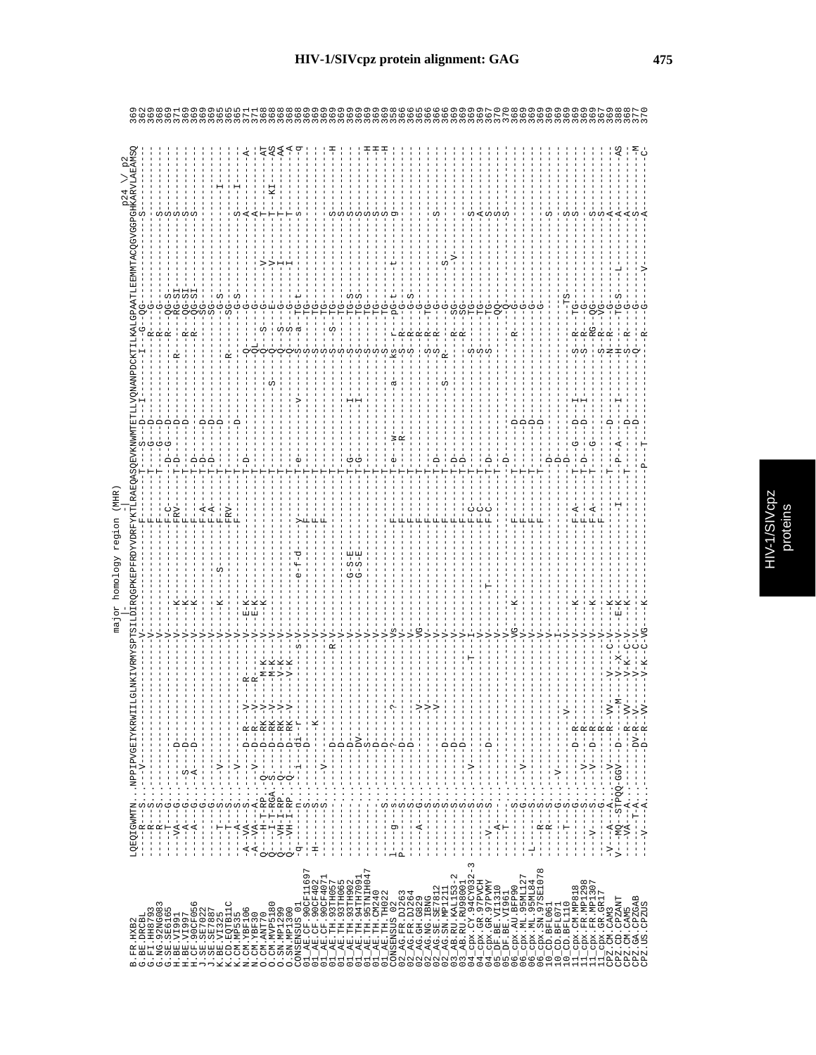| r<br>n |
|--------|
|        |
|        |
|        |
|        |
|        |

| <b>00 00 00 00</b><br>m w<br>M<br>m<br>m<br>ω ω ω ω<br>φ<br>$\sigma$<br>්<br>$\overline{5}$<br>ήġ<br>ġ<br>じ じ<br>ひ<br>Ō<br>てり<br>입<br>ທີ່ ຜ<br>ÜΩ<br>Ω<br>לי<br>т.<br>KKKK<br><b>KK</b><br>$\approx \approx$<br>HKKKKK<br>α<br>$\propto \propto$<br>л.<br>ĸ<br>ĸ<br>თ თ<br>のこまの<br><b>00 CO</b><br>w<br>w<br>თ თ<br>⊂×ທທ<br>A A<br>$\Omega$<br>$\Omega$<br>з<br>ပိတ်<br>Ú<br>Ω<br>ひ<br>$\cap$<br>$\bigcap$<br>Ĥ<br>F⊣<br>¢<br>O<br>$\cap$<br>$\Omega$<br>F.<br>$\overline{A}$<br>К<br>↻<br>υU<br>K,<br>A<br>0 > 1 1 4<br>  R 1 1 1<br>F F F F F<br>≳<br>J.<br>-1<br>л.<br>-1<br>п<br>医区<br>E.<br>نقابط بقا<br>بتابتا<br>国国<br>ਹ<br>ωω<br>もっ<br>XXX<br>¥<br><b>XXX</b><br>≍<br><b>Ed</b><br>囸<br>$-1$ - $-1$ - $-1$<br>$----P-1$<br>$-2-$<br>í<br>$\frac{1}{1}$<br>п<br>$- -7 - -$<br>$--DV - R - -V - -$<br>$-1 - R - 3V - 4V$<br>$-1$<br>$  V$<br>$---2D--RK--V$<br>$---D--RK--V$<br>$-7$<br>$---D - - RK - -V$<br>l,<br>т<br>l,<br>j.<br>$-i - - -d i - -r -$<br>$- - -N - -D - -R - -$<br>$- - - - - - -$<br>$- R -$<br>$-1$<br>I<br>$--P$ $-P$ $-R$ $-$<br>$ R$ <sup>-</sup><br>п<br>$-1$ - $-1$ - $-1$<br>т<br>j<br>$-1 - 1 - 5 - 0$<br>$\mathbf{I}$<br>$\overline{\phantom{a}}$<br>I.<br>j<br>İ<br>J.<br>J<br>п<br>$-1$ $-1$<br>I<br>$\frac{1}{1}$<br>$-1$<br>Ţ.<br>$\frac{1}{1}$<br>$\begin{array}{c} 1 \ \hline 1 \end{array}$<br>J<br>$\frac{1}{1}$<br>$\frac{1}{1}$<br>$\bigcap_{i=1}^{n}$<br>$A---D$<br>ı<br>$\frac{1}{1}$<br>$-5 -$<br>$\begin{array}{c} \n\Box \quad \quad \Box \quad \quad \Box \quad \quad \Box \quad \quad \Box \quad \quad \Box \quad \quad \Box \quad \quad \Box \quad \quad \Box \quad \quad \Box \quad \quad \Box \quad \quad \Box \quad \quad \Box \quad \quad \Box \quad \quad \Box \quad \quad \Box \quad \quad \Box \quad \quad \Box \quad \quad \Box \quad \quad \Box \quad \quad \Box \quad \quad \Box \quad \quad \Box \quad \quad \Box \quad \quad \Box \quad \quad \Box \quad \quad \Box \quad \quad \Box \quad \quad \Box \quad \quad \Box \quad \quad \Box \quad \quad \Box \quad \quad \Box \quad \quad \Box \quad \quad \Box \quad \quad \$<br>$\frac{1}{1}$<br>$\frac{1}{1}$<br>$\overline{1}$<br>$\frac{1}{2}$<br>$\frac{1}{1}$<br>$\begin{array}{c}\n\Box \\ \Box\n\end{array}$<br>$-1$<br><u>م</u><br>J.<br>-1<br>$\frac{1}{1}$<br>j<br>$\frac{1}{1}$<br>1<br>ŧ<br>ì<br>I<br>J.<br>J<br>--V---<br>т<br>J.<br>$- -V$<br>Í<br>$-V$ -<br>$\frac{1}{1}$<br>I<br>$\frac{1}{1}$<br>I<br>$\frac{1}{1}$<br>I<br>I<br>I<br>$- -1 - -$<br>$\cdots$ $ \cdots$<br>$\cdots$ $  \cdots$<br>$\frac{1}{1}$<br>$\frac{1}{2}$<br>$\frac{1}{1}$<br>$-1$<br>$\frac{1}{1}$<br>$\frac{1}{1}$<br>$\frac{1}{1}$<br>ţ<br>ţ<br>т<br>ı<br>п<br>т<br>ŀ,<br>$\frac{1}{1}$<br>ì<br>ì<br>I<br>$\frac{1}{1}$<br>$\frac{1}{1}$<br>ł<br>Î<br>I<br>$\frac{1}{1}$<br>í<br>ı<br>$\frac{1}{1}$<br>ł<br>ł<br>cη<br>ï<br>Ţ<br>Ĭ<br>$--H-T-RP-.Q$<br>$---T-T-RGB. -S$<br>$--++--++--P$<br>$--++--++--P-.$<br>$\frac{1}{1}$<br>$\frac{1}{2}$<br>I<br>$\frac{1}{2}$<br>$\frac{1}{2}$<br>$\frac{1}{2}$<br>$\frac{1}{2}$<br>$\frac{1}{2}$<br>$\frac{1}{2}$<br>$\frac{1}{2}$<br>$\frac{1}{2}$<br>$-5.1$<br>计字符<br>$-1.1$<br>$\vdots$<br>$\frac{1}{2}$<br>$\frac{1}{2}$<br>$\frac{1}{2}$<br>$\frac{1}{4}$<br>$\frac{1}{2}$<br>$\frac{1}{2}$<br>$\frac{1}{2}$<br>$---T-T-A$<br>I,<br>$\frac{1}{4}$<br>$\frac{1}{2}$<br>$---VA---A$<br>$\vdots$<br>$\vdots$<br>Ì<br>$\bullet$<br>Ì<br>$\vdots$<br>Ì<br>Ì.<br>$\bullet$<br>$\cdot$<br>Ì<br>$\vdots$<br>$\ddot{\cdot}$<br>$\begin{array}{c} \vdots \\ \vdots \\ \vdots \\ \vdots \\ \vdots \end{array}$<br>$\vdots$<br>$\ddot{\cdot}$<br>$\cdot$<br>$\cdot$<br>$A - VA - -A$<br>$-2$<br>υ<br>$- - A$<br>w<br>w<br>w<br>ひ<br>$-1$<br>ひ<br>ひ<br>w<br>ω<br>ω<br>w<br>$-2$<br>w<br>ω<br>$-5$<br>$-5$<br>$-5 -$<br>$-5 -$<br>w<br>ω<br>ω<br>C)<br>ひ<br>ω<br>ω<br>w<br>w<br>ひ<br>C)<br>C)<br>$\frac{6}{1}$<br>$\frac{1}{1}$<br>$\frac{1}{4}$<br>ŧ<br>Ť<br>$\frac{1}{1}$<br>$\frac{1}{4}$<br>$\frac{1}{1}$<br>$\frac{1}{1}$<br>$\frac{1}{4}$<br>Ť<br>$\frac{1}{1}$<br>$\frac{1}{1}$<br>$\frac{1}{1}$<br>$-1 - 1 - 1$<br>$\frac{1}{1}$<br>÷<br>-1<br>÷<br>ł<br>ŧ<br>ł<br>ŧ<br>$\frac{1}{1}$<br>J.<br>ŧ<br>ŧ<br>$\frac{1}{1}$<br>÷<br>ŧ<br>Ť<br>$\mathbf{I}$<br>$-1$<br>$A - VA -$<br>$\frac{1}{1}$<br>$\frac{1}{1}$<br>$- -V - -$<br>$\frac{1}{2}$<br>$--VA$<br>I<br>I<br>$-4$<br>i<br>F<br>$ R$<br>$-R$<br>$- R$<br>$\frac{1}{2}$<br>$-1$<br>$-4$<br>$-1$<br>$\mathbf{I}$<br>ף –<br>י<br>I<br>$\frac{1}{1}$<br>I<br>I<br>I<br>J<br>$-R$<br>$- R$<br>J<br>$-1$<br>I.<br>$\frac{1}{1}$<br>I<br>$\frac{1}{1}$<br>J,<br>п<br>1<br>$\begin{bmatrix} 1 \\ 1 \\ 1 \end{bmatrix}$<br>т<br>п<br>п<br>J.<br>J.<br>т<br>$\frac{1}{1}$<br>Ť,<br>Ť<br>$\frac{1}{1}$<br>$\overline{\phantom{a}}$<br>Ĵ,<br>I.<br>$\mathbf{I}$<br>$\frac{1}{1}$<br>J.<br>ı<br>т<br>1<br>J<br>J.<br>$\begin{array}{c} \end{array}$<br>$\frac{1}{1}$<br>Í<br>ģ<br>Ţ<br>I<br>$\frac{1}{1}$<br>$\overline{\phantom{a}}$<br>J<br>푸<br>$\mathbf{I}$<br>$\overline{1}$<br>п<br>ı<br>$\mathbf{I}$<br>I.<br>T<br>$\alpha\alpha\alpha\alpha$<br>$\Omega$<br>-1<br>$\overline{ }$<br>⋗ |                                                                                                                                                                                                                                                                         |  |  |  |  |  |  |  |  |  |  |  |  |  |  |  |  |  |  |  |  |  |  |  |  |  |  |  |                                                                                               |                                                                                                                                                              |             |                               |
|----------------------------------------------------------------------------------------------------------------------------------------------------------------------------------------------------------------------------------------------------------------------------------------------------------------------------------------------------------------------------------------------------------------------------------------------------------------------------------------------------------------------------------------------------------------------------------------------------------------------------------------------------------------------------------------------------------------------------------------------------------------------------------------------------------------------------------------------------------------------------------------------------------------------------------------------------------------------------------------------------------------------------------------------------------------------------------------------------------------------------------------------------------------------------------------------------------------------------------------------------------------------------------------------------------------------------------------------------------------------------------------------------------------------------------------------------------------------------------------------------------------------------------------------------------------------------------------------------------------------------------------------------------------------------------------------------------------------------------------------------------------------------------------------------------------------------------------------------------------------------------------------------------------------------------------------------------------------------------------------------------------------------------------------------------------------------------------------------------------------------------------------------------------------------------------------------------------------------------------------------------------------------------------------------------------------------------------------------------------------------------------------------------------------------------------------------------------------------------------------------------------------------------------------------------------------------------------------------------------------------------------------------------------------------------------------------------------------------------------------------------------------------------------------------------------------------------------------------------------------------------------------------------------------------------------------------------------------------------------------------------------------------------------------------------------------------------------------------------------------------------------------------------------------------------------------------------------------------------------------------------------------------------------------------------------------------------------------------------------------------------------------------------------------------------------------------------------------------------------------------------------------------------------------------------------------------------------------------------------------------------------------------------------------------------------------------------------------------------------------------------------------------------------------------------------------------------------------------------------------------------------------------------------------------------------------------------------------------------------------------------------------------------------------------------------------------------------------------------------------------------------------------------------------------------------------------------------------------------------------------------------------------------------------------------------------------------------------------------------------------------------------------------------------------------------------------------------------------------------------------------------------------------------------------------------------------------------------------------------------------------------------------------------------------------------------------------------------------------------------------------------------------------------------------------------------------------------------------------------------------------------------------------------------------------------------------------------------------------------------------------------------------------------------------------------------------------------|-------------------------------------------------------------------------------------------------------------------------------------------------------------------------------------------------------------------------------------------------------------------------|--|--|--|--|--|--|--|--|--|--|--|--|--|--|--|--|--|--|--|--|--|--|--|--|--|--|--|-----------------------------------------------------------------------------------------------|--------------------------------------------------------------------------------------------------------------------------------------------------------------|-------------|-------------------------------|
|                                                                                                                                                                                                                                                                                                                                                                                                                                                                                                                                                                                                                                                                                                                                                                                                                                                                                                                                                                                                                                                                                                                                                                                                                                                                                                                                                                                                                                                                                                                                                                                                                                                                                                                                                                                                                                                                                                                                                                                                                                                                                                                                                                                                                                                                                                                                                                                                                                                                                                                                                                                                                                                                                                                                                                                                                                                                                                                                                                                                                                                                                                                                                                                                                                                                                                                                                                                                                                                                                                                                                                                                                                                                                                                                                                                                                                                                                                                                                                                                                                                                                                                                                                                                                                                                                                                                                                                                                                                                                                                                                                                                                                                                                                                                                                                                                                                                                                                                                                                                                                                                                        |                                                                                                                                                                                                                                                                         |  |  |  |  |  |  |  |  |  |  |  |  |  |  |  |  |  |  |  |  |  |  |  |  |  |  |  |                                                                                               |                                                                                                                                                              |             |                               |
|                                                                                                                                                                                                                                                                                                                                                                                                                                                                                                                                                                                                                                                                                                                                                                                                                                                                                                                                                                                                                                                                                                                                                                                                                                                                                                                                                                                                                                                                                                                                                                                                                                                                                                                                                                                                                                                                                                                                                                                                                                                                                                                                                                                                                                                                                                                                                                                                                                                                                                                                                                                                                                                                                                                                                                                                                                                                                                                                                                                                                                                                                                                                                                                                                                                                                                                                                                                                                                                                                                                                                                                                                                                                                                                                                                                                                                                                                                                                                                                                                                                                                                                                                                                                                                                                                                                                                                                                                                                                                                                                                                                                                                                                                                                                                                                                                                                                                                                                                                                                                                                                                        |                                                                                                                                                                                                                                                                         |  |  |  |  |  |  |  |  |  |  |  |  |  |  |  |  |  |  |  |  |  |  |  |  |  |  |  |                                                                                               |                                                                                                                                                              |             |                               |
|                                                                                                                                                                                                                                                                                                                                                                                                                                                                                                                                                                                                                                                                                                                                                                                                                                                                                                                                                                                                                                                                                                                                                                                                                                                                                                                                                                                                                                                                                                                                                                                                                                                                                                                                                                                                                                                                                                                                                                                                                                                                                                                                                                                                                                                                                                                                                                                                                                                                                                                                                                                                                                                                                                                                                                                                                                                                                                                                                                                                                                                                                                                                                                                                                                                                                                                                                                                                                                                                                                                                                                                                                                                                                                                                                                                                                                                                                                                                                                                                                                                                                                                                                                                                                                                                                                                                                                                                                                                                                                                                                                                                                                                                                                                                                                                                                                                                                                                                                                                                                                                                                        |                                                                                                                                                                                                                                                                         |  |  |  |  |  |  |  |  |  |  |  |  |  |  |  |  |  |  |  |  |  |  |  |  |  |  |  |                                                                                               |                                                                                                                                                              |             |                               |
|                                                                                                                                                                                                                                                                                                                                                                                                                                                                                                                                                                                                                                                                                                                                                                                                                                                                                                                                                                                                                                                                                                                                                                                                                                                                                                                                                                                                                                                                                                                                                                                                                                                                                                                                                                                                                                                                                                                                                                                                                                                                                                                                                                                                                                                                                                                                                                                                                                                                                                                                                                                                                                                                                                                                                                                                                                                                                                                                                                                                                                                                                                                                                                                                                                                                                                                                                                                                                                                                                                                                                                                                                                                                                                                                                                                                                                                                                                                                                                                                                                                                                                                                                                                                                                                                                                                                                                                                                                                                                                                                                                                                                                                                                                                                                                                                                                                                                                                                                                                                                                                                                        |                                                                                                                                                                                                                                                                         |  |  |  |  |  |  |  |  |  |  |  |  |  |  |  |  |  |  |  |  |  |  |  |  |  |  |  |                                                                                               |                                                                                                                                                              |             |                               |
|                                                                                                                                                                                                                                                                                                                                                                                                                                                                                                                                                                                                                                                                                                                                                                                                                                                                                                                                                                                                                                                                                                                                                                                                                                                                                                                                                                                                                                                                                                                                                                                                                                                                                                                                                                                                                                                                                                                                                                                                                                                                                                                                                                                                                                                                                                                                                                                                                                                                                                                                                                                                                                                                                                                                                                                                                                                                                                                                                                                                                                                                                                                                                                                                                                                                                                                                                                                                                                                                                                                                                                                                                                                                                                                                                                                                                                                                                                                                                                                                                                                                                                                                                                                                                                                                                                                                                                                                                                                                                                                                                                                                                                                                                                                                                                                                                                                                                                                                                                                                                                                                                        |                                                                                                                                                                                                                                                                         |  |  |  |  |  |  |  |  |  |  |  |  |  |  |  |  |  |  |  |  |  |  |  |  |  |  |  |                                                                                               |                                                                                                                                                              |             |                               |
|                                                                                                                                                                                                                                                                                                                                                                                                                                                                                                                                                                                                                                                                                                                                                                                                                                                                                                                                                                                                                                                                                                                                                                                                                                                                                                                                                                                                                                                                                                                                                                                                                                                                                                                                                                                                                                                                                                                                                                                                                                                                                                                                                                                                                                                                                                                                                                                                                                                                                                                                                                                                                                                                                                                                                                                                                                                                                                                                                                                                                                                                                                                                                                                                                                                                                                                                                                                                                                                                                                                                                                                                                                                                                                                                                                                                                                                                                                                                                                                                                                                                                                                                                                                                                                                                                                                                                                                                                                                                                                                                                                                                                                                                                                                                                                                                                                                                                                                                                                                                                                                                                        |                                                                                                                                                                                                                                                                         |  |  |  |  |  |  |  |  |  |  |  |  |  |  |  |  |  |  |  |  |  |  |  |  |  |  |  |                                                                                               |                                                                                                                                                              |             |                               |
|                                                                                                                                                                                                                                                                                                                                                                                                                                                                                                                                                                                                                                                                                                                                                                                                                                                                                                                                                                                                                                                                                                                                                                                                                                                                                                                                                                                                                                                                                                                                                                                                                                                                                                                                                                                                                                                                                                                                                                                                                                                                                                                                                                                                                                                                                                                                                                                                                                                                                                                                                                                                                                                                                                                                                                                                                                                                                                                                                                                                                                                                                                                                                                                                                                                                                                                                                                                                                                                                                                                                                                                                                                                                                                                                                                                                                                                                                                                                                                                                                                                                                                                                                                                                                                                                                                                                                                                                                                                                                                                                                                                                                                                                                                                                                                                                                                                                                                                                                                                                                                                                                        |                                                                                                                                                                                                                                                                         |  |  |  |  |  |  |  |  |  |  |  |  |  |  |  |  |  |  |  |  |  |  |  |  |  |  |  |                                                                                               |                                                                                                                                                              |             |                               |
|                                                                                                                                                                                                                                                                                                                                                                                                                                                                                                                                                                                                                                                                                                                                                                                                                                                                                                                                                                                                                                                                                                                                                                                                                                                                                                                                                                                                                                                                                                                                                                                                                                                                                                                                                                                                                                                                                                                                                                                                                                                                                                                                                                                                                                                                                                                                                                                                                                                                                                                                                                                                                                                                                                                                                                                                                                                                                                                                                                                                                                                                                                                                                                                                                                                                                                                                                                                                                                                                                                                                                                                                                                                                                                                                                                                                                                                                                                                                                                                                                                                                                                                                                                                                                                                                                                                                                                                                                                                                                                                                                                                                                                                                                                                                                                                                                                                                                                                                                                                                                                                                                        |                                                                                                                                                                                                                                                                         |  |  |  |  |  |  |  |  |  |  |  |  |  |  |  |  |  |  |  |  |  |  |  |  |  |  |  |                                                                                               |                                                                                                                                                              |             |                               |
|                                                                                                                                                                                                                                                                                                                                                                                                                                                                                                                                                                                                                                                                                                                                                                                                                                                                                                                                                                                                                                                                                                                                                                                                                                                                                                                                                                                                                                                                                                                                                                                                                                                                                                                                                                                                                                                                                                                                                                                                                                                                                                                                                                                                                                                                                                                                                                                                                                                                                                                                                                                                                                                                                                                                                                                                                                                                                                                                                                                                                                                                                                                                                                                                                                                                                                                                                                                                                                                                                                                                                                                                                                                                                                                                                                                                                                                                                                                                                                                                                                                                                                                                                                                                                                                                                                                                                                                                                                                                                                                                                                                                                                                                                                                                                                                                                                                                                                                                                                                                                                                                                        |                                                                                                                                                                                                                                                                         |  |  |  |  |  |  |  |  |  |  |  |  |  |  |  |  |  |  |  |  |  |  |  |  |  |  |  |                                                                                               |                                                                                                                                                              |             |                               |
|                                                                                                                                                                                                                                                                                                                                                                                                                                                                                                                                                                                                                                                                                                                                                                                                                                                                                                                                                                                                                                                                                                                                                                                                                                                                                                                                                                                                                                                                                                                                                                                                                                                                                                                                                                                                                                                                                                                                                                                                                                                                                                                                                                                                                                                                                                                                                                                                                                                                                                                                                                                                                                                                                                                                                                                                                                                                                                                                                                                                                                                                                                                                                                                                                                                                                                                                                                                                                                                                                                                                                                                                                                                                                                                                                                                                                                                                                                                                                                                                                                                                                                                                                                                                                                                                                                                                                                                                                                                                                                                                                                                                                                                                                                                                                                                                                                                                                                                                                                                                                                                                                        |                                                                                                                                                                                                                                                                         |  |  |  |  |  |  |  |  |  |  |  |  |  |  |  |  |  |  |  |  |  |  |  |  |  |  |  |                                                                                               |                                                                                                                                                              |             |                               |
|                                                                                                                                                                                                                                                                                                                                                                                                                                                                                                                                                                                                                                                                                                                                                                                                                                                                                                                                                                                                                                                                                                                                                                                                                                                                                                                                                                                                                                                                                                                                                                                                                                                                                                                                                                                                                                                                                                                                                                                                                                                                                                                                                                                                                                                                                                                                                                                                                                                                                                                                                                                                                                                                                                                                                                                                                                                                                                                                                                                                                                                                                                                                                                                                                                                                                                                                                                                                                                                                                                                                                                                                                                                                                                                                                                                                                                                                                                                                                                                                                                                                                                                                                                                                                                                                                                                                                                                                                                                                                                                                                                                                                                                                                                                                                                                                                                                                                                                                                                                                                                                                                        |                                                                                                                                                                                                                                                                         |  |  |  |  |  |  |  |  |  |  |  |  |  |  |  |  |  |  |  |  |  |  |  |  |  |  |  |                                                                                               |                                                                                                                                                              |             |                               |
|                                                                                                                                                                                                                                                                                                                                                                                                                                                                                                                                                                                                                                                                                                                                                                                                                                                                                                                                                                                                                                                                                                                                                                                                                                                                                                                                                                                                                                                                                                                                                                                                                                                                                                                                                                                                                                                                                                                                                                                                                                                                                                                                                                                                                                                                                                                                                                                                                                                                                                                                                                                                                                                                                                                                                                                                                                                                                                                                                                                                                                                                                                                                                                                                                                                                                                                                                                                                                                                                                                                                                                                                                                                                                                                                                                                                                                                                                                                                                                                                                                                                                                                                                                                                                                                                                                                                                                                                                                                                                                                                                                                                                                                                                                                                                                                                                                                                                                                                                                                                                                                                                        |                                                                                                                                                                                                                                                                         |  |  |  |  |  |  |  |  |  |  |  |  |  |  |  |  |  |  |  |  |  |  |  |  |  |  |  |                                                                                               |                                                                                                                                                              |             |                               |
|                                                                                                                                                                                                                                                                                                                                                                                                                                                                                                                                                                                                                                                                                                                                                                                                                                                                                                                                                                                                                                                                                                                                                                                                                                                                                                                                                                                                                                                                                                                                                                                                                                                                                                                                                                                                                                                                                                                                                                                                                                                                                                                                                                                                                                                                                                                                                                                                                                                                                                                                                                                                                                                                                                                                                                                                                                                                                                                                                                                                                                                                                                                                                                                                                                                                                                                                                                                                                                                                                                                                                                                                                                                                                                                                                                                                                                                                                                                                                                                                                                                                                                                                                                                                                                                                                                                                                                                                                                                                                                                                                                                                                                                                                                                                                                                                                                                                                                                                                                                                                                                                                        |                                                                                                                                                                                                                                                                         |  |  |  |  |  |  |  |  |  |  |  |  |  |  |  |  |  |  |  |  |  |  |  |  |  |  |  |                                                                                               |                                                                                                                                                              |             |                               |
|                                                                                                                                                                                                                                                                                                                                                                                                                                                                                                                                                                                                                                                                                                                                                                                                                                                                                                                                                                                                                                                                                                                                                                                                                                                                                                                                                                                                                                                                                                                                                                                                                                                                                                                                                                                                                                                                                                                                                                                                                                                                                                                                                                                                                                                                                                                                                                                                                                                                                                                                                                                                                                                                                                                                                                                                                                                                                                                                                                                                                                                                                                                                                                                                                                                                                                                                                                                                                                                                                                                                                                                                                                                                                                                                                                                                                                                                                                                                                                                                                                                                                                                                                                                                                                                                                                                                                                                                                                                                                                                                                                                                                                                                                                                                                                                                                                                                                                                                                                                                                                                                                        |                                                                                                                                                                                                                                                                         |  |  |  |  |  |  |  |  |  |  |  |  |  |  |  |  |  |  |  |  |  |  |  |  |  |  |  |                                                                                               |                                                                                                                                                              |             |                               |
|                                                                                                                                                                                                                                                                                                                                                                                                                                                                                                                                                                                                                                                                                                                                                                                                                                                                                                                                                                                                                                                                                                                                                                                                                                                                                                                                                                                                                                                                                                                                                                                                                                                                                                                                                                                                                                                                                                                                                                                                                                                                                                                                                                                                                                                                                                                                                                                                                                                                                                                                                                                                                                                                                                                                                                                                                                                                                                                                                                                                                                                                                                                                                                                                                                                                                                                                                                                                                                                                                                                                                                                                                                                                                                                                                                                                                                                                                                                                                                                                                                                                                                                                                                                                                                                                                                                                                                                                                                                                                                                                                                                                                                                                                                                                                                                                                                                                                                                                                                                                                                                                                        | $\begin{array}{ll} \texttt{B. FR. HXB2} \\ \texttt{G. BE. DECBJ} \\ \texttt{G. NG. 92NG083} \\ \texttt{G. NG. 92NG083} \\ \texttt{G. NG. 92NG083} \\ \texttt{G. SE. SE6165} \\ \texttt{H. BE. VIB} \\ \texttt{H. BE. VIB} \\ \texttt{H. C. P. 90 CPO56} \\ \end{array}$ |  |  |  |  |  |  |  |  |  |  |  |  |  |  |  |  |  |  |  |  |  |  |  |  |  |  |  | $1$ <sup>-</sup> cpx.CM.MP818<br>$1$ -cpx.FR.MP1298<br>$1$ -cpx.FR.MP1307<br>$1$ -cpx.GR.GR17 | $\begin{array}{l} \texttt{LL-CEA} \\ \texttt{CPZ} \cdot \texttt{CM} \cdot \texttt{CAM3} \\ \texttt{CPZ} \cdot \texttt{CD} \cdot \texttt{CPZANT} \end{array}$ | CPZ.CM.CAM5 | CPZ.GA.CPZGAI<br>CPZ.US.CPZUS |

major homology region (MHR)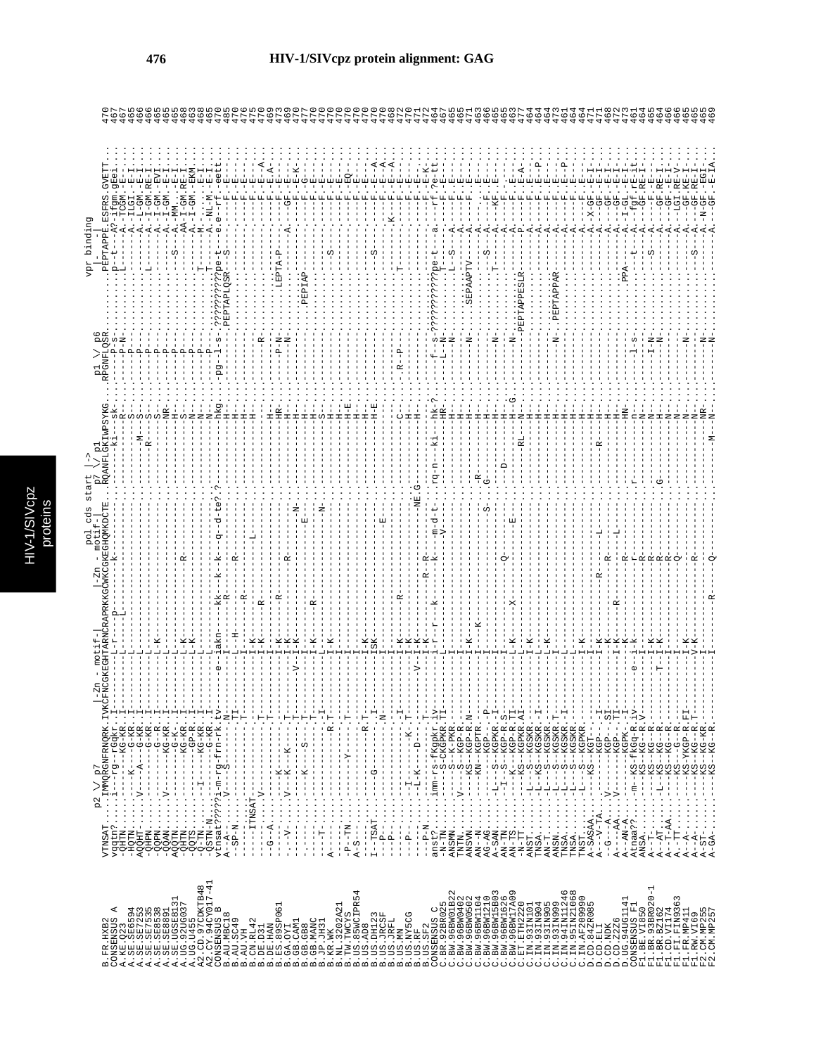|                                                                                                                                                                     |                                                                                                                                                                                                                                                                                                                                                                                                                                                                                                                |                          | $-2n$                         | start<br>g<br>motif-<br>po <sub>1</sub> |                                                                                                                                                  |     | vpr binding                                                     |                                                   |          |
|---------------------------------------------------------------------------------------------------------------------------------------------------------------------|----------------------------------------------------------------------------------------------------------------------------------------------------------------------------------------------------------------------------------------------------------------------------------------------------------------------------------------------------------------------------------------------------------------------------------------------------------------------------------------------------------------|--------------------------|-------------------------------|-----------------------------------------|--------------------------------------------------------------------------------------------------------------------------------------------------|-----|-----------------------------------------------------------------|---------------------------------------------------|----------|
| vqqtn?<br>-QHTN.<br>VTNSAT                                                                                                                                          | $\begin{array}{l} \texttt{P2} & \bigvee \limits_{i=1}^{D} \texttt{P2} & \bigvee \limits_{i=1}^{D} \texttt{P2} \texttt{RMSQRK. } \texttt{IVKc.t.}. \\ & \dots \ldots \ldots \ldots \\ & \dots \ldots \ldots \ldots \\ & \dots \ldots \ldots \ldots \\ & \dots \ldots \ldots \ldots \\ & \dots \ldots \ldots \ldots \\ & \dots \ldots \ldots \ldots \ldots \\ & \dots \ldots \ldots \ldots \\ & \dots \ldots \ldots \ldots \ldots \\ & \dots \ldots \ldots \ldots \ldots \\ & \dots \ldots \ldots \ldots \ldots$ |                          | 'ARNCRAPRKKGCWKCGKEGHQMKDCTE. | RQANFLGKIWPSYKG<br>RQANFLGKIWPSYKG      | $\frac{p}{2}$ $\frac{\sqrt{p}}{2}$ $\frac{p}{2}$ $\frac{p}{2}$ $\frac{p}{2}$ $\frac{p}{2}$ $\frac{p}{2}$ $\frac{p}{2}$ $\frac{p}{2}$<br>$-4 - 5$ |     | PEPTAPPE.ESFRS.G<br>- .p--t----A?-ifgm.g<br>- .L--------A.-TCCM |                                                   |          |
|                                                                                                                                                                     |                                                                                                                                                                                                                                                                                                                                                                                                                                                                                                                |                          |                               |                                         | $P-N$                                                                                                                                            |     |                                                                 |                                                   |          |
|                                                                                                                                                                     |                                                                                                                                                                                                                                                                                                                                                                                                                                                                                                                |                          |                               | $-M$ -                                  |                                                                                                                                                  |     |                                                                 |                                                   |          |
|                                                                                                                                                                     |                                                                                                                                                                                                                                                                                                                                                                                                                                                                                                                |                          |                               | ĸ                                       |                                                                                                                                                  |     |                                                                 |                                                   |          |
|                                                                                                                                                                     |                                                                                                                                                                                                                                                                                                                                                                                                                                                                                                                |                          |                               |                                         |                                                                                                                                                  |     |                                                                 |                                                   | 10 10 10 |
|                                                                                                                                                                     |                                                                                                                                                                                                                                                                                                                                                                                                                                                                                                                |                          |                               |                                         | −<br>EX                                                                                                                                          |     | $-4$                                                            |                                                   |          |
|                                                                                                                                                                     |                                                                                                                                                                                                                                                                                                                                                                                                                                                                                                                |                          |                               |                                         |                                                                                                                                                  |     | $-4$<br>$\frac{1}{2}$                                           | $-MM$ .                                           |          |
|                                                                                                                                                                     |                                                                                                                                                                                                                                                                                                                                                                                                                                                                                                                | ř                        |                               |                                         |                                                                                                                                                  |     | $-AA-I$                                                         | $MD-$                                             | O        |
| $-2015$                                                                                                                                                             |                                                                                                                                                                                                                                                                                                                                                                                                                                                                                                                | ř                        |                               |                                         |                                                                                                                                                  |     |                                                                 | EKM<br>$-1-1$                                     | O        |
|                                                                                                                                                                     |                                                                                                                                                                                                                                                                                                                                                                                                                                                                                                                |                          |                               |                                         |                                                                                                                                                  |     |                                                                 | ۱.                                                | O        |
| N-NTSQ-                                                                                                                                                             |                                                                                                                                                                                                                                                                                                                                                                                                                                                                                                                |                          |                               |                                         |                                                                                                                                                  |     |                                                                 | $M-LM-1$                                          | ∽ ص      |
| vtnsat?                                                                                                                                                             | $\dot{\mathbb{U}}$                                                                                                                                                                                                                                                                                                                                                                                                                                                                                             |                          | $-2$<br>¥<br>쳧<br>akn         | $-d-te$<br>ģ                            | $\frac{5}{1}$<br>$-pg-1$<br>hkg                                                                                                                  |     | pe-t                                                            | eet<br>נז<br>י<br>e<br>Φ                          |          |
|                                                                                                                                                                     |                                                                                                                                                                                                                                                                                                                                                                                                                                                                                                                |                          | 뚸                             |                                         |                                                                                                                                                  |     |                                                                 |                                                   |          |
| $A - -A - -$<br>--SP-N.                                                                                                                                             |                                                                                                                                                                                                                                                                                                                                                                                                                                                                                                                |                          | 뚜<br>푸                        |                                         |                                                                                                                                                  |     |                                                                 |                                                   |          |
|                                                                                                                                                                     | F.                                                                                                                                                                                                                                                                                                                                                                                                                                                                                                             |                          | $\frac{R}{I}$                 |                                         |                                                                                                                                                  |     |                                                                 |                                                   |          |
| $-11$ TNSAT                                                                                                                                                         | $\mathbf{I}$                                                                                                                                                                                                                                                                                                                                                                                                                                                                                                   |                          |                               |                                         |                                                                                                                                                  |     |                                                                 |                                                   |          |
| ÷.<br>$\cdots \cdots$                                                                                                                                               | н<br>÷,<br>$\mathbf{I}$                                                                                                                                                                                                                                                                                                                                                                                                                                                                                        |                          | Ķ                             |                                         | $\frac{R}{1}$                                                                                                                                    |     |                                                                 |                                                   |          |
| $-6 - -A$ .                                                                                                                                                         | ь                                                                                                                                                                                                                                                                                                                                                                                                                                                                                                              |                          |                               |                                         |                                                                                                                                                  |     |                                                                 | E<br>- A                                          |          |
|                                                                                                                                                                     | Ŷ                                                                                                                                                                                                                                                                                                                                                                                                                                                                                                              |                          |                               |                                         |                                                                                                                                                  |     |                                                                 |                                                   |          |
| $- - K$<br>$\mathbf{I}$<br>$\mathbf{I}$<br>$\cdot$<br>$\mathbf{I}$<br>J.                                                                                            |                                                                                                                                                                                                                                                                                                                                                                                                                                                                                                                |                          | 엮                             |                                         | $-P-P$<br>ġ                                                                                                                                      |     |                                                                 |                                                   |          |
| $\vdots$<br>$\cdot$ -v- $\cdot$                                                                                                                                     | ь<br>$V - -K - -K - -$                                                                                                                                                                                                                                                                                                                                                                                                                                                                                         | ř                        | ۴                             |                                         | $\frac{1}{2}$                                                                                                                                    |     |                                                                 | ほっ                                                |          |
| $\cdot$<br>1<br>ı                                                                                                                                                   | $-V-$<br>۳<br>ŕ                                                                                                                                                                                                                                                                                                                                                                                                                                                                                                |                          |                               | $-7$ <sup>-1</sup>                      |                                                                                                                                                  |     |                                                                 | ΞK                                                |          |
| I<br>$\frac{1}{2}$                                                                                                                                                  | ۳<br>ċ<br>$-$ - $-$ - $     -$                                                                                                                                                                                                                                                                                                                                                                                                                                                                                 |                          |                               | 뛰                                       |                                                                                                                                                  |     |                                                                 |                                                   |          |
| Ì                                                                                                                                                                   | Н                                                                                                                                                                                                                                                                                                                                                                                                                                                                                                              |                          |                               |                                         |                                                                                                                                                  |     |                                                                 |                                                   |          |
| Ì<br>$\frac{1}{1}$<br>$\mathbf{I}$                                                                                                                                  | $\cdot$<br>I                                                                                                                                                                                                                                                                                                                                                                                                                                                                                                   |                          | ÷                             |                                         |                                                                                                                                                  |     |                                                                 |                                                   |          |
| I<br>$\frac{1}{1}$<br>$\ddot{\phantom{0}}$<br>$\ddot{\phantom{a}}$<br>$\frac{1}{2}$                                                                                 | $-1$<br>$\cdot$<br>ı<br>I<br>I<br>Î<br>I<br>Î                                                                                                                                                                                                                                                                                                                                                                                                                                                                  |                          |                               | $-7$                                    |                                                                                                                                                  |     |                                                                 |                                                   |          |
| J<br>I<br>$A - - - -$                                                                                                                                               | <b>L' 12--------</b>                                                                                                                                                                                                                                                                                                                                                                                                                                                                                           |                          |                               |                                         |                                                                                                                                                  |     |                                                                 |                                                   |          |
| $\frac{1}{1}$<br>I<br>ŧ<br>J,                                                                                                                                       | $\mathbf{I}$<br>J<br>J.<br>j<br>$\frac{1}{1}$                                                                                                                                                                                                                                                                                                                                                                                                                                                                  |                          |                               |                                         |                                                                                                                                                  |     |                                                                 |                                                   |          |
|                                                                                                                                                                     |                                                                                                                                                                                                                                                                                                                                                                                                                                                                                                                |                          |                               |                                         |                                                                                                                                                  |     |                                                                 |                                                   |          |
| $\cdot$<br>$MI - -d -$                                                                                                                                              | $\mathbf{I}$<br>÷.<br>J.<br>J<br>$- - - - - - - - - - -$                                                                                                                                                                                                                                                                                                                                                                                                                                                       |                          |                               |                                         | $\frac{E}{H}$                                                                                                                                    |     |                                                                 | $_{\rm CO}^{-1}$                                  |          |
| J.<br>п<br>$\bullet$<br>$A-S--$                                                                                                                                     |                                                                                                                                                                                                                                                                                                                                                                                                                                                                                                                |                          |                               |                                         |                                                                                                                                                  |     |                                                                 |                                                   |          |
| $\mathbf{I}$<br>$\mathbf{I}$<br>1<br>$\frac{1}{1}$                                                                                                                  | $-$ – R . T – $-$<br>$\frac{1}{1}$                                                                                                                                                                                                                                                                                                                                                                                                                                                                             |                          |                               |                                         | f.                                                                                                                                               |     |                                                                 |                                                   |          |
| ţ                                                                                                                                                                   |                                                                                                                                                                                                                                                                                                                                                                                                                                                                                                                |                          |                               |                                         |                                                                                                                                                  |     |                                                                 |                                                   |          |
| ウーー<br>$\mathbf{I}$<br>$-$ TSAT<br>$\mathbf{H}$                                                                                                                     | $\mathbf{I}$<br>ŧ                                                                                                                                                                                                                                                                                                                                                                                                                                                                                              |                          |                               |                                         | $H - E$                                                                                                                                          |     |                                                                 |                                                   |          |
| Ť                                                                                                                                                                   | $\begin{array}{c}\n1 \\ 1 \\ 1 \\ 1\n\end{array}$<br>$\blacksquare$                                                                                                                                                                                                                                                                                                                                                                                                                                            |                          |                               | 뛰                                       |                                                                                                                                                  |     |                                                                 |                                                   |          |
| $\frac{1}{2}$<br>$\mathbf{I}$<br>÷<br>$\begin{array}{cccc}\n\dot{\mathsf{p}} & \dot{\mathsf{p}} \\ \downarrow & \downarrow \\ \downarrow & \downarrow\n\end{array}$ | ł<br>$\mathbf I$                                                                                                                                                                                                                                                                                                                                                                                                                                                                                               |                          |                               |                                         |                                                                                                                                                  |     |                                                                 |                                                   |          |
| - 1<br>$\mathbf{I}$                                                                                                                                                 | - 1                                                                                                                                                                                                                                                                                                                                                                                                                                                                                                            |                          |                               |                                         |                                                                                                                                                  |     |                                                                 |                                                   |          |
|                                                                                                                                                                     | ÷.                                                                                                                                                                                                                                                                                                                                                                                                                                                                                                             |                          |                               |                                         | $\frac{1}{1}$<br>$\dot{\mathbb{R}}$                                                                                                              |     |                                                                 |                                                   |          |
| $\frac{1}{1}$<br>f,<br>$\frac{1}{1}$                                                                                                                                | $-{\bf K}$ - ${\bf T}$ -<br>$\mathbf{I}$<br>$\mathbf{I}$<br>$\frac{1}{1}$<br>$\blacksquare$                                                                                                                                                                                                                                                                                                                                                                                                                    |                          |                               |                                         |                                                                                                                                                  |     |                                                                 |                                                   |          |
| Ħ<br>$\begin{bmatrix} 1 \\ 1 \\ 1 \\ 1 \end{bmatrix}$                                                                                                               | ₹<br>$\mathbf{I}$<br>$---1 - 1 - K --- -D$                                                                                                                                                                                                                                                                                                                                                                                                                                                                     | $\overline{\phantom{a}}$ |                               | EN-                                     |                                                                                                                                                  |     |                                                                 |                                                   |          |
|                                                                                                                                                                     | ř.                                                                                                                                                                                                                                                                                                                                                                                                                                                                                                             |                          |                               |                                         |                                                                                                                                                  |     |                                                                 |                                                   |          |
| $--P-N$ .                                                                                                                                                           | Ė                                                                                                                                                                                                                                                                                                                                                                                                                                                                                                              |                          | $ R$<br>뚸                     |                                         |                                                                                                                                                  |     |                                                                 | $E - K$                                           |          |
|                                                                                                                                                                     |                                                                                                                                                                                                                                                                                                                                                                                                                                                                                                                |                          | 쓰<br>¥                        | i<br>P<br>$-n-px$ .<br>$-m-d-t-$        |                                                                                                                                                  |     | pe-t                                                            | بر<br>1                                           |          |
|                                                                                                                                                                     |                                                                                                                                                                                                                                                                                                                                                                                                                                                                                                                |                          |                               | ⊳                                       | $-1 - 1 - 1 - 1 -$                                                                                                                               |     |                                                                 |                                                   |          |
|                                                                                                                                                                     |                                                                                                                                                                                                                                                                                                                                                                                                                                                                                                                |                          |                               |                                         |                                                                                                                                                  |     |                                                                 |                                                   |          |
| $\begin{array}{ll}\texttt{anst2}\dots\\ -\texttt{NN}\dots\\ \texttt{ANSMM}\dots\end{array}$                                                                         |                                                                                                                                                                                                                                                                                                                                                                                                                                                                                                                |                          |                               |                                         | z                                                                                                                                                |     | $-5 - 1$                                                        |                                                   |          |
| l:<br> }<br>TNTN                                                                                                                                                    |                                                                                                                                                                                                                                                                                                                                                                                                                                                                                                                |                          |                               |                                         |                                                                                                                                                  |     |                                                                 |                                                   |          |
| <b>ANSVN</b>                                                                                                                                                        |                                                                                                                                                                                                                                                                                                                                                                                                                                                                                                                |                          |                               |                                         | $\bar{z}$                                                                                                                                        |     | EPAAPTV--                                                       |                                                   |          |
| Ì<br>$\vdots$                                                                                                                                                       |                                                                                                                                                                                                                                                                                                                                                                                                                                                                                                                |                          |                               |                                         |                                                                                                                                                  |     |                                                                 |                                                   |          |
| J.                                                                                                                                                                  | $---KN--KGPTR.$ -                                                                                                                                                                                                                                                                                                                                                                                                                                                                                              |                          |                               | $R -$                                   |                                                                                                                                                  |     |                                                                 |                                                   |          |
| $ADI - N$                                                                                                                                                           | $\frac{1}{\sqrt{2}}$<br>$- - KGP - -$                                                                                                                                                                                                                                                                                                                                                                                                                                                                          |                          |                               | σ,                                      |                                                                                                                                                  |     | $-5$                                                            |                                                   |          |
| <br>         <br>                                                                                                                                                   |                                                                                                                                                                                                                                                                                                                                                                                                                                                                                                                |                          |                               |                                         |                                                                                                                                                  |     |                                                                 |                                                   |          |
|                                                                                                                                                                     |                                                                                                                                                                                                                                                                                                                                                                                                                                                                                                                |                          |                               |                                         | $\overline{z}$                                                                                                                                   |     |                                                                 | FX-                                               |          |
| $\frac{1}{2}$<br>A – SAN<br>AN – TR<br>AN – TS<br>AN – TT                                                                                                           | -L---S--KGPKR.-I<br>--I--S--KGPKR.-I<br>--I--K---KGP-R.TI                                                                                                                                                                                                                                                                                                                                                                                                                                                      |                          | O                             | ۹<br>!                                  |                                                                                                                                                  |     |                                                                 |                                                   |          |
|                                                                                                                                                                     |                                                                                                                                                                                                                                                                                                                                                                                                                                                                                                                |                          |                               | ÷,                                      | ž                                                                                                                                                |     |                                                                 |                                                   |          |
| Ì                                                                                                                                                                   |                                                                                                                                                                                                                                                                                                                                                                                                                                                                                                                |                          |                               |                                         |                                                                                                                                                  |     |                                                                 |                                                   |          |
|                                                                                                                                                                     |                                                                                                                                                                                                                                                                                                                                                                                                                                                                                                                |                          |                               | $-RL-$                                  |                                                                                                                                                  | Ed- |                                                                 | Ŗ.                                                |          |
|                                                                                                                                                                     |                                                                                                                                                                                                                                                                                                                                                                                                                                                                                                                | ¥                        |                               |                                         |                                                                                                                                                  |     |                                                                 |                                                   |          |
| NIST.<br>TNSA.<br>AN-T.                                                                                                                                             |                                                                                                                                                                                                                                                                                                                                                                                                                                                                                                                |                          |                               |                                         |                                                                                                                                                  |     |                                                                 |                                                   |          |
|                                                                                                                                                                     |                                                                                                                                                                                                                                                                                                                                                                                                                                                                                                                |                          |                               |                                         |                                                                                                                                                  |     |                                                                 |                                                   |          |
|                                                                                                                                                                     |                                                                                                                                                                                                                                                                                                                                                                                                                                                                                                                | $-$ K                    |                               |                                         |                                                                                                                                                  |     |                                                                 |                                                   |          |
|                                                                                                                                                                     |                                                                                                                                                                                                                                                                                                                                                                                                                                                                                                                |                          |                               |                                         |                                                                                                                                                  |     |                                                                 |                                                   |          |
| ANSN                                                                                                                                                                |                                                                                                                                                                                                                                                                                                                                                                                                                                                                                                                |                          |                               |                                         | $-1/2$                                                                                                                                           |     |                                                                 |                                                   |          |
| TNSA                                                                                                                                                                |                                                                                                                                                                                                                                                                                                                                                                                                                                                                                                                |                          |                               |                                         |                                                                                                                                                  |     |                                                                 |                                                   |          |
| $\vdots$<br>TNSA                                                                                                                                                    |                                                                                                                                                                                                                                                                                                                                                                                                                                                                                                                |                          |                               |                                         |                                                                                                                                                  |     |                                                                 |                                                   |          |
|                                                                                                                                                                     |                                                                                                                                                                                                                                                                                                                                                                                                                                                                                                                |                          |                               |                                         |                                                                                                                                                  |     |                                                                 |                                                   |          |
| 부<br>$\cdot$<br>$\vdots$<br>A-SASAA.<br>TNST                                                                                                                        | ----S---KGPKR<br>--XS---KGT--                                                                                                                                                                                                                                                                                                                                                                                                                                                                                  |                          |                               |                                         |                                                                                                                                                  |     |                                                                 |                                                   |          |
| л.<br>$\vdots$                                                                                                                                                      |                                                                                                                                                                                                                                                                                                                                                                                                                                                                                                                |                          |                               |                                         |                                                                                                                                                  |     |                                                                 | $-X-C$                                            |          |
| $A$ -- $V-TA$ .                                                                                                                                                     | j.                                                                                                                                                                                                                                                                                                                                                                                                                                                                                                             |                          | ĸ                             | $-\mathbf{R}$                           |                                                                                                                                                  |     |                                                                 | ଟ୍ର                                               |          |
|                                                                                                                                                                     |                                                                                                                                                                                                                                                                                                                                                                                                                                                                                                                |                          |                               |                                         |                                                                                                                                                  |     |                                                                 |                                                   |          |
| $\cdot \cdot \cdot$<br>$-G$ --- $A$                                                                                                                                 | i                                                                                                                                                                                                                                                                                                                                                                                                                                                                                                              |                          |                               |                                         |                                                                                                                                                  |     |                                                                 | ଼ି                                                | ۳ ص      |
| $\ddot{\sim}$<br>$-AA$<br>$A -$                                                                                                                                     | i                                                                                                                                                                                                                                                                                                                                                                                                                                                                                                              |                          |                               |                                         |                                                                                                                                                  |     |                                                                 | ほっ                                                |          |
|                                                                                                                                                                     |                                                                                                                                                                                                                                                                                                                                                                                                                                                                                                                |                          |                               |                                         | Ė                                                                                                                                                |     |                                                                 | $-1 - 1$                                          |          |
|                                                                                                                                                                     |                                                                                                                                                                                                                                                                                                                                                                                                                                                                                                                |                          |                               |                                         |                                                                                                                                                  |     |                                                                 |                                                   |          |
|                                                                                                                                                                     |                                                                                                                                                                                                                                                                                                                                                                                                                                                                                                                |                          |                               |                                         | $-1 - s$                                                                                                                                         |     | ن<br>!                                                          | $\begin{array}{c} 426 \\ 142 \\ -142 \end{array}$ |          |
|                                                                                                                                                                     |                                                                                                                                                                                                                                                                                                                                                                                                                                                                                                                |                          |                               |                                         |                                                                                                                                                  |     |                                                                 |                                                   |          |
|                                                                                                                                                                     |                                                                                                                                                                                                                                                                                                                                                                                                                                                                                                                |                          |                               |                                         | $-1$ – N –                                                                                                                                       |     | $\frac{1}{2}$                                                   |                                                   |          |
|                                                                                                                                                                     |                                                                                                                                                                                                                                                                                                                                                                                                                                                                                                                |                          |                               |                                         |                                                                                                                                                  |     |                                                                 |                                                   |          |
|                                                                                                                                                                     |                                                                                                                                                                                                                                                                                                                                                                                                                                                                                                                |                          |                               |                                         |                                                                                                                                                  |     |                                                                 |                                                   |          |
|                                                                                                                                                                     |                                                                                                                                                                                                                                                                                                                                                                                                                                                                                                                |                          |                               |                                         |                                                                                                                                                  |     |                                                                 |                                                   |          |
| $---KS$                                                                                                                                                             | :- -R<br>Ġ<br> <br>                                                                                                                                                                                                                                                                                                                                                                                                                                                                                            |                          |                               |                                         |                                                                                                                                                  |     |                                                                 | $-LGI$                                            |          |
|                                                                                                                                                                     |                                                                                                                                                                                                                                                                                                                                                                                                                                                                                                                |                          |                               |                                         |                                                                                                                                                  |     |                                                                 |                                                   |          |
| ÷.<br>$-4$<br>Æ                                                                                                                                                     | Ę<br>$---E$ S-AKS-XX-531                                                                                                                                                                                                                                                                                                                                                                                                                                                                                       |                          |                               |                                         | ż                                                                                                                                                |     |                                                                 | .<br>면:                                           |          |
| ł                                                                                                                                                                   | $- R \cdot T$                                                                                                                                                                                                                                                                                                                                                                                                                                                                                                  |                          |                               |                                         |                                                                                                                                                  |     | ά                                                               |                                                   |          |
| ÷.<br>$A - ST - A$<br>$A - G A$                                                                                                                                     | ---KS--KG--R.<br>---KS--KG-KR.<br>---KS--KG--R.                                                                                                                                                                                                                                                                                                                                                                                                                                                                |                          |                               |                                         |                                                                                                                                                  |     |                                                                 | ಅ                                                 |          |
| $\frac{1}{1}$<br>$\mathbf{I}$                                                                                                                                       |                                                                                                                                                                                                                                                                                                                                                                                                                                                                                                                |                          |                               |                                         |                                                                                                                                                  |     |                                                                 | 명                                                 |          |
|                                                                                                                                                                     |                                                                                                                                                                                                                                                                                                                                                                                                                                                                                                                |                          |                               |                                         |                                                                                                                                                  |     |                                                                 |                                                   |          |
|                                                                                                                                                                     |                                                                                                                                                                                                                                                                                                                                                                                                                                                                                                                |                          |                               | ₹                                       |                                                                                                                                                  |     |                                                                 |                                                   |          |
|                                                                                                                                                                     |                                                                                                                                                                                                                                                                                                                                                                                                                                                                                                                |                          |                               |                                         |                                                                                                                                                  |     |                                                                 |                                                   |          |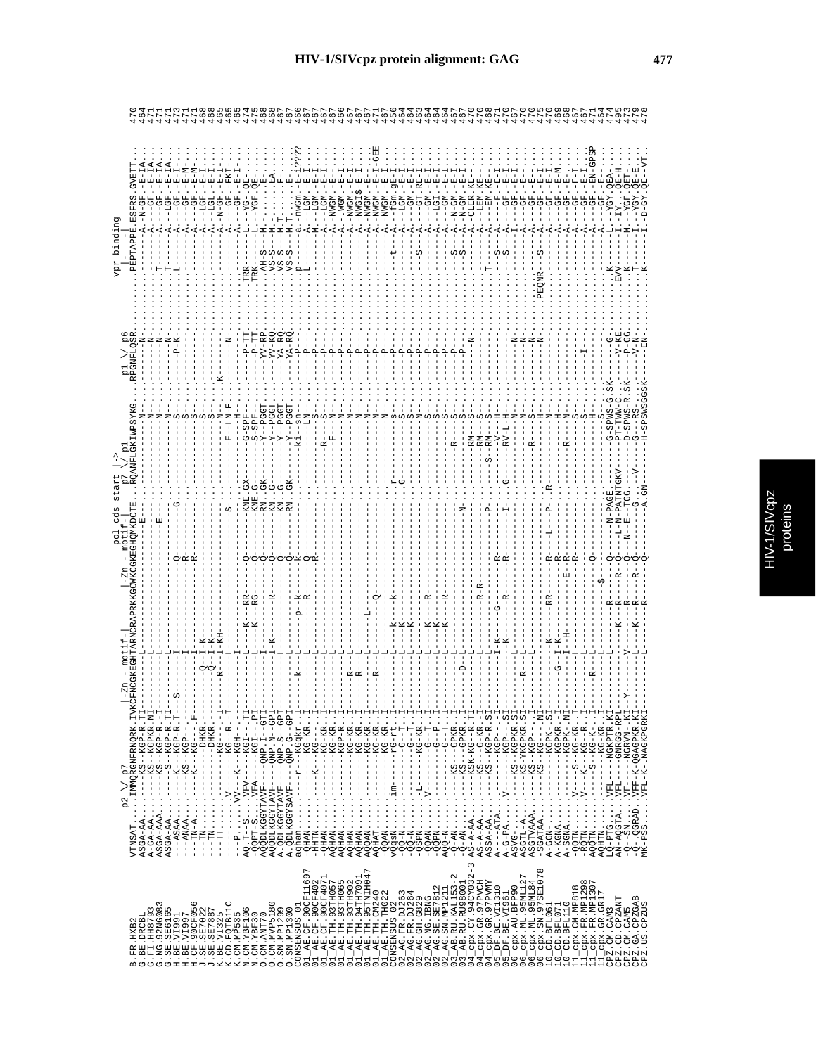| d<br>n |
|--------|
|        |
|        |
|        |
|        |
|        |

|                                                                                     |                                                                             |   |                                  |            |                                                             |  |         |                                                                                                                                                                                                                                                                                                                                                                                                                                                                                            |           |           |                        |  |    |                 |              |                                        |                              |        |                               |                    |                        |                                              |    | $-1.61$           |                             |  |  |                           |                                                                                                                                                                                           |                                                                                                                                                                                                                                                 |                             |         |          |                      |                                                       |                                                                                                                                                                                                                                                                                                                                                                                                                                 |                          |                                                                                            |                                      |                               |
|-------------------------------------------------------------------------------------|-----------------------------------------------------------------------------|---|----------------------------------|------------|-------------------------------------------------------------|--|---------|--------------------------------------------------------------------------------------------------------------------------------------------------------------------------------------------------------------------------------------------------------------------------------------------------------------------------------------------------------------------------------------------------------------------------------------------------------------------------------------------|-----------|-----------|------------------------|--|----|-----------------|--------------|----------------------------------------|------------------------------|--------|-------------------------------|--------------------|------------------------|----------------------------------------------|----|-------------------|-----------------------------|--|--|---------------------------|-------------------------------------------------------------------------------------------------------------------------------------------------------------------------------------------|-------------------------------------------------------------------------------------------------------------------------------------------------------------------------------------------------------------------------------------------------|-----------------------------|---------|----------|----------------------|-------------------------------------------------------|---------------------------------------------------------------------------------------------------------------------------------------------------------------------------------------------------------------------------------------------------------------------------------------------------------------------------------------------------------------------------------------------------------------------------------|--------------------------|--------------------------------------------------------------------------------------------|--------------------------------------|-------------------------------|
| PEPTAPP<br>πđΛ                                                                      |                                                                             |   |                                  |            |                                                             |  |         |                                                                                                                                                                                                                                                                                                                                                                                                                                                                                            |           |           | $75 - S$               |  |    |                 |              |                                        |                              |        |                               |                    |                        |                                              |    |                   |                             |  |  |                           |                                                                                                                                                                                           |                                                                                                                                                                                                                                                 |                             |         |          |                      |                                                       |                                                                                                                                                                                                                                                                                                                                                                                                                                 |                          |                                                                                            |                                      |                               |
|                                                                                     |                                                                             |   |                                  |            |                                                             |  | $LT-4$  | r-1                                                                                                                                                                                                                                                                                                                                                                                                                                                                                        | $-XY-RP$  | $YV-KQ$   | $YA-RO$<br>$-XA-RO$    |  |    |                 |              |                                        |                              |        |                               |                    |                        |                                              |    |                   |                             |  |  |                           |                                                                                                                                                                                           |                                                                                                                                                                                                                                                 |                             |         |          |                      |                                                       |                                                                                                                                                                                                                                                                                                                                                                                                                                 |                          | $J-KE$                                                                                     |                                      |                               |
|                                                                                     |                                                                             |   |                                  |            |                                                             |  | $G-SPI$ | $S-SPF$                                                                                                                                                                                                                                                                                                                                                                                                                                                                                    | $-Y$ ––PG | $Y - P G$ | $-Y - 10$<br>$Y - -PC$ |  |    |                 |              |                                        |                              |        |                               |                    |                        |                                              |    |                   |                             |  |  |                           |                                                                                                                                                                                           |                                                                                                                                                                                                                                                 |                             |         |          |                      |                                                       |                                                                                                                                                                                                                                                                                                                                                                                                                                 |                          |                                                                                            |                                      |                               |
|                                                                                     |                                                                             |   |                                  |            |                                                             |  | KNE.    |                                                                                                                                                                                                                                                                                                                                                                                                                                                                                            |           |           | i<br>Z<br>KN.          |  |    |                 |              |                                        |                              |        |                               |                    |                        |                                              |    |                   |                             |  |  |                           |                                                                                                                                                                                           |                                                                                                                                                                                                                                                 |                             |         |          |                      |                                                       |                                                                                                                                                                                                                                                                                                                                                                                                                                 |                          | $L-N-PAT$                                                                                  |                                      |                               |
| CGKEGHQMKL<br>ARNCRAPRKKGCWK                                                        |                                                                             |   |                                  |            |                                                             |  |         |                                                                                                                                                                                                                                                                                                                                                                                                                                                                                            |           |           |                        |  |    |                 |              |                                        |                              |        |                               |                    |                        |                                              |    |                   |                             |  |  |                           |                                                                                                                                                                                           |                                                                                                                                                                                                                                                 |                             |         |          |                      |                                                       |                                                                                                                                                                                                                                                                                                                                                                                                                                 |                          |                                                                                            |                                      |                               |
|                                                                                     |                                                                             |   |                                  |            |                                                             |  |         |                                                                                                                                                                                                                                                                                                                                                                                                                                                                                            |           |           |                        |  |    |                 |              |                                        |                              |        |                               |                    |                        |                                              |    |                   |                             |  |  |                           |                                                                                                                                                                                           |                                                                                                                                                                                                                                                 |                             |         |          |                      |                                                       |                                                                                                                                                                                                                                                                                                                                                                                                                                 |                          |                                                                                            |                                      |                               |
|                                                                                     |                                                                             |   |                                  | -----DHKR. |                                                             |  |         |                                                                                                                                                                                                                                                                                                                                                                                                                                                                                            |           |           |                        |  | ij | J.<br>$\vec{.}$ |              | <u>ب</u><br>$\cdots$ $       KGE$ $ R$ | ï.                           | J.     | j.<br>------ KG-KRI           | --------KG-KR. . I | im-------rd-rtI        | j.<br>j.<br>. . - L - - - - - - - KG-KR. . I | J. |                   |                             |  |  | н - . - - dpx - - - - - - | $. \begin{array}{l} . \begin{array}{l} \rm{V}----KGP--S\ \rm{I} \end{array} \\ . \begin{array}{l} . \begin{array}{l} \rm{V}-----KSP--KGPKE~S\ \rm{I} \end{array} \end{array} \end{array}$ |                                                                                                                                                                                                                                                 | $- - - - -  KS - - KGP - -$ |         |          | -------------------- |                                                       | $1 - 3 - 1 - 5 - 1 = 1$                                                                                                                                                                                                                                                                                                                                                                                                         |                          |                                                                                            | VF-----NGRVN-.KI                     | VFF-K-QGAGPKR.KI              |
| VTNSATTMMQRGNFRNQRK.IVK<br>ASGA-AA-----KS---KGP-R.TVK<br>ASGA-AA-----KS---KGP-R.TI- |                                                                             |   |                                  |            | $\frac{1}{2}$<br>$-1$ $\cdots$ $\cdots$<br>$--T N + \cdots$ |  |         | $\begin{array}{l} \mathcal{A}_0 \cdot \mathbf{T} - 8 \cdot \ldots \cdot \mathbf{V} \mathbf{V} \cdot \mathbf{V} - 1 - 1 \cdot \mathbf{K} \mathbf{G} \cdot \mathbf{T} - 1 \cdot \mathbf{T} \cdot \mathbf{T} - 1 \\ \mathcal{A}_0 \mathcal{D} \mathbf{T} - 8 \cdot \ldots \cdot \mathbf{V} \mathbf{F} \cdot \mathbf{A} \cdot \mathbf{T} \cdot \mathbf{V} \mathbf{F} \cdot \mathbf{A} \cdot \mathbf{T} \cdot \mathbf{G} \cdot \mathbf{T} \cdot \mathbf{T} \cdot \mathbf{T} \cdot \mathbf{T} \$ |           |           |                        |  |    | -QHAN           | <b>AQHAN</b> | <b>AQHAN</b>                           | <b>AQHAN</b><br><b>AQHAN</b> | AQQAN. | $\frac{1}{1}$<br><b>AQHAT</b> |                    | $-20$ AN.<br>$VQqSN$ . |                                              |    | $\vdots$<br>NdOO- | $\ddot{\cdot}$<br>$AQQ-N$ . |  |  | $A---ATA$                 | $A-G-PA$                                                                                                                                                                                  | ASGTL-A.                                                                                                                                                                                                                                        | <b>ASGTVAAA</b>             | -SGATAA | $A-GGN-$ | A-SGNA<br>A-KGNA     | $\cdots$ $V$ - - $K$ - - $K$ - - $K$ - - $R$<br>-RQTN | <b>AQQTN</b>                                                                                                                                                                                                                                                                                                                                                                                                                    | $\vdots$<br><b>AQHTN</b> | $LQ - PTG \cdot \ldots \cdot \nabla FL - - -NGKPTR \cdot KL -$<br>AN-AQGTAVFL----GNRGG-RPL | $-2 - -$ SN<br>- 2- QGRAD.<br>MK-PSS | VFL-K-.NAGKPGRKI              |
| R.HXB2<br><b>凹の</b>                                                                 | 3.BE.DRCBL<br>3.FI.HH8793<br>3.NG.92NG083<br>3.SE.SE6165<br>.BE. DRCBI<br>ひ | Σ | I.BE.VI991<br>I.BE.VI997<br>ひひ出出 |            |                                                             |  |         |                                                                                                                                                                                                                                                                                                                                                                                                                                                                                            |           |           |                        |  |    |                 |              |                                        |                              |        |                               |                    |                        |                                              |    |                   |                             |  |  |                           |                                                                                                                                                                                           | $06-\text{cpx}$ , ML, 9,5ML127<br>$06-\text{cpx}$ , ML, 9,5ML64<br>$06-\text{cpx}$ , ML, 9,5ML64<br>$10-\text{CD}$ , BFL061<br>$10-\text{CD}$ , BFL071<br>$10-\text{CD}$ , BFL071<br>$11-\text{cpx}$ , CM, MP818<br>$11-\text{cpx}$ , CM, MP818 |                             |         |          |                      |                                                       | $\begin{array}{l} 11 - e^- \alpha \cdot \mathrm{CH} \cdot \mathrm{MB}18 \\ 11 - \mathrm{cp} \alpha \cdot \mathrm{FR} \cdot \mathrm{MP}1298 \\ 11 - \mathrm{cp} \alpha \cdot \mathrm{FR} \cdot \mathrm{MP}1307 \\ \mathrm{CL} \cdot \mathrm{CP} \alpha \cdot \mathrm{GR} \cdot \mathrm{GR}17 \\ \mathrm{CP} \alpha \cdot \mathrm{CR} \cdot \mathrm{GR}17 \\ \mathrm{CP} \alpha \cdot \mathrm{CR} \cdot \mathrm{MR}3 \end{array}$ |                          | PZ.CD.CPZANT                                                                               | PZ.CM.CAM5<br>نځ                     | CPZ.GA.CPZGAB<br>CPZ.US.CPZUS |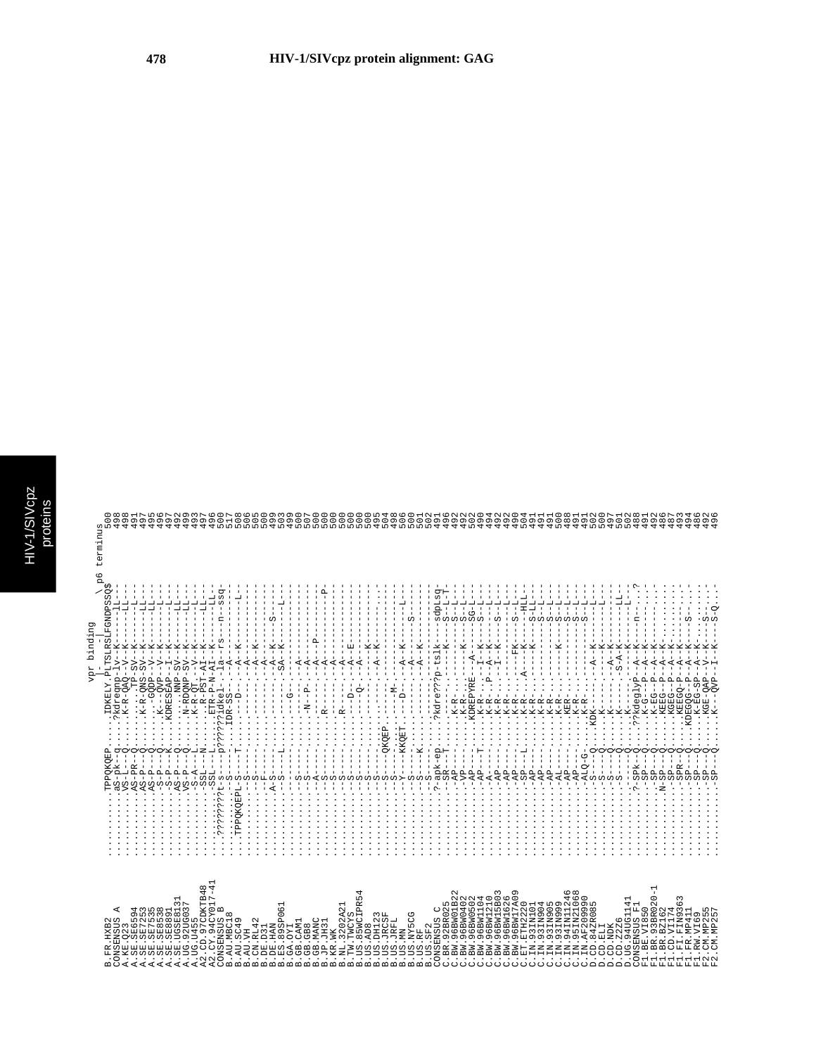vpr binding

vpr binding

|                                                                                                                                                                                                                                                                                                                                                                                                                                                                                                                                                                                                         | terminu<br>$\mathsf{p}^{\mathsf{G}}$<br>$\sigma$                                                                                                                                                                                                                                                                                                                                                                       |
|---------------------------------------------------------------------------------------------------------------------------------------------------------------------------------------------------------------------------------------------------------------------------------------------------------------------------------------------------------------------------------------------------------------------------------------------------------------------------------------------------------------------------------------------------------------------------------------------------------|------------------------------------------------------------------------------------------------------------------------------------------------------------------------------------------------------------------------------------------------------------------------------------------------------------------------------------------------------------------------------------------------------------------------|
| ωO                                                                                                                                                                                                                                                                                                                                                                                                                                                                                                                                                                                                      | šŠ<br>II----<br>II----<br>匤<br>m<br>SLR.<br>Ĥ<br>kdreqn                                                                                                                                                                                                                                                                                                                                                                |
| <b>J.FR.HALL</b><br>CONSENSUS<br>CONSENSUS<br>К,                                                                                                                                                                                                                                                                                                                                                                                                                                                                                                                                                        | ٩<br>$\circ$                                                                                                                                                                                                                                                                                                                                                                                                           |
| Б<br>$_{E6}$<br>K.                                                                                                                                                                                                                                                                                                                                                                                                                                                                                                                                                                                      | 로<br>ίŋ<br>Ĥ                                                                                                                                                                                                                                                                                                                                                                                                           |
| SE7                                                                                                                                                                                                                                                                                                                                                                                                                                                                                                                                                                                                     | $\rm{S}$<br>SNÖ<br>-<br>- SNÖ                                                                                                                                                                                                                                                                                                                                                                                          |
|                                                                                                                                                                                                                                                                                                                                                                                                                                                                                                                                                                                                         | - 400<br>- 400<br>- - - - -                                                                                                                                                                                                                                                                                                                                                                                            |
|                                                                                                                                                                                                                                                                                                                                                                                                                                                                                                                                                                                                         | თ თ<br>- GQDP<br>- K----QVP<br>- GQDP<br>- GQDP                                                                                                                                                                                                                                                                                                                                                                        |
|                                                                                                                                                                                                                                                                                                                                                                                                                                                                                                                                                                                                         | $\sigma$<br>$\overline{S}V$                                                                                                                                                                                                                                                                                                                                                                                            |
|                                                                                                                                                                                                                                                                                                                                                                                                                                                                                                                                                                                                         | $\sigma$<br>SV                                                                                                                                                                                                                                                                                                                                                                                                         |
| $\begin{array}{l} \texttt{A.}\texttt{.SE} \texttt{7535} \\ \texttt{A.}\texttt{.SE} \texttt{38538} \\ \texttt{A.}\texttt{.SE} \texttt{158538} \\ \texttt{A.}\texttt{.SE} \texttt{15888131} \\ \texttt{A.}\texttt{.UC} \texttt{0.9200037} \\ \texttt{A.}\texttt{.UC} \texttt{0.9200037} \\ \texttt{A.}\texttt{.UC} \texttt{0.9200017} \\ \texttt{A2.} \texttt{.CC} \texttt{0.920017} \\ \$<br>AAAAAA                                                                                                                                                                                                      |                                                                                                                                                                                                                                                                                                                                                                                                                        |
| $\infty$ 4<br>$\frac{1}{7-4}$                                                                                                                                                                                                                                                                                                                                                                                                                                                                                                                                                                           |                                                                                                                                                                                                                                                                                                                                                                                                                        |
|                                                                                                                                                                                                                                                                                                                                                                                                                                                                                                                                                                                                         |                                                                                                                                                                                                                                                                                                                                                                                                                        |
| SUS<br>BCLI                                                                                                                                                                                                                                                                                                                                                                                                                                                                                                                                                                                             | g<br>Ω<br>Σã                                                                                                                                                                                                                                                                                                                                                                                                           |
| $\infty$                                                                                                                                                                                                                                                                                                                                                                                                                                                                                                                                                                                                |                                                                                                                                                                                                                                                                                                                                                                                                                        |
| $\sigma$<br>$\ddot{c}$                                                                                                                                                                                                                                                                                                                                                                                                                                                                                                                                                                                  | ¥<br>$1 - 1 - 1$<br>T<br>ini ini                                                                                                                                                                                                                                                                                                                                                                                       |
|                                                                                                                                                                                                                                                                                                                                                                                                                                                                                                                                                                                                         | T                                                                                                                                                                                                                                                                                                                                                                                                                      |
| VH<br>RL42<br>D31                                                                                                                                                                                                                                                                                                                                                                                                                                                                                                                                                                                       | $\overline{K}$<br>K,<br>÷i.                                                                                                                                                                                                                                                                                                                                                                                            |
|                                                                                                                                                                                                                                                                                                                                                                                                                                                                                                                                                                                                         |                                                                                                                                                                                                                                                                                                                                                                                                                        |
| <b>HAN</b>                                                                                                                                                                                                                                                                                                                                                                                                                                                                                                                                                                                              | ¥<br>A.                                                                                                                                                                                                                                                                                                                                                                                                                |
| O<br>$\circ$<br>DAZE<br>OXI                                                                                                                                                                                                                                                                                                                                                                                                                                                                                                                                                                             | $-SA$<br>9999                                                                                                                                                                                                                                                                                                                                                                                                          |
|                                                                                                                                                                                                                                                                                                                                                                                                                                                                                                                                                                                                         |                                                                                                                                                                                                                                                                                                                                                                                                                        |
| CAM1                                                                                                                                                                                                                                                                                                                                                                                                                                                                                                                                                                                                    |                                                                                                                                                                                                                                                                                                                                                                                                                        |
| GB<br>MANC<br>JH31<br>JH31<br>$\begin{smallmatrix} 1&\bullet&\bullet&\bullet&\bullet&\bullet&\bullet\\ 1&\bullet&\bullet&\bullet&\bullet&\bullet&\bullet&\bullet\\ 1&\bullet&\bullet&\bullet&\bullet&\bullet&\bullet&\bullet\\ 1&\bullet&\bullet&\bullet&\bullet&\bullet&\bullet&\bullet\\ 1&\bullet&\bullet&\bullet&\bullet&\bullet&\bullet&\bullet&\bullet\\ 1&\bullet&\bullet&\bullet&\bullet&\bullet&\bullet&\bullet&\bullet\\ 1&\bullet&\bullet&\bullet&\bullet&\bullet&\bullet&\bullet&\bullet\\ 1&\bullet&\bullet&\bullet&\bullet&\bullet&\bullet&\bullet&\bullet\\ 1&\bullet&\bullet&\bullet&\$ | $\circ$                                                                                                                                                                                                                                                                                                                                                                                                                |
|                                                                                                                                                                                                                                                                                                                                                                                                                                                                                                                                                                                                         | ٩                                                                                                                                                                                                                                                                                                                                                                                                                      |
|                                                                                                                                                                                                                                                                                                                                                                                                                                                                                                                                                                                                         | $\begin{bmatrix} 1 & 0 & 1 & 1 & 1 \\ 1 & 1 & 1 & 1 & 1 & 1 \\ 1 & 1 & 1 & 1 & 1 & 1 \\ 1 & 1 & 1 & 1 & 1 & 1 \\ 1 & 1 & 1 & 1 & 1 & 1 \\ 1 & 1 & 1 & 1 & 1 & 1 \\ 1 & 1 & 1 & 1 & 1 & 1 \\ 1 & 1 & 1 & 1 & 1 & 1 \\ 1 & 1 & 1 & 1 & 1 & 1 \\ 1 & 1 & 1 & 1 & 1 & 1 \\ 1 & 1 & 1 & 1 & 1 & 1 \\ 1 & 1 & 1 & 1 & 1 & 1 \\ $                                                                                             |
|                                                                                                                                                                                                                                                                                                                                                                                                                                                                                                                                                                                                         |                                                                                                                                                                                                                                                                                                                                                                                                                        |
| 202A2                                                                                                                                                                                                                                                                                                                                                                                                                                                                                                                                                                                                   | $\overline{A}$                                                                                                                                                                                                                                                                                                                                                                                                         |
| TWCYS<br>85WCIPF<br>AD8                                                                                                                                                                                                                                                                                                                                                                                                                                                                                                                                                                                 | $\frac{1}{1}$                                                                                                                                                                                                                                                                                                                                                                                                          |
| ↤<br>ம்<br>R                                                                                                                                                                                                                                                                                                                                                                                                                                                                                                                                                                                            |                                                                                                                                                                                                                                                                                                                                                                                                                        |
|                                                                                                                                                                                                                                                                                                                                                                                                                                                                                                                                                                                                         |                                                                                                                                                                                                                                                                                                                                                                                                                        |
| mΕ                                                                                                                                                                                                                                                                                                                                                                                                                                                                                                                                                                                                      |                                                                                                                                                                                                                                                                                                                                                                                                                        |
| DHI23<br>JRCS<br>JRFL<br>$\ddot{\phantom{1}}$<br><b>ωωω</b><br>Þ<br>$\cdot$<br>$\boldsymbol{\underline{\omega}}$                                                                                                                                                                                                                                                                                                                                                                                                                                                                                        |                                                                                                                                                                                                                                                                                                                                                                                                                        |
| ÷.<br>5Ω<br>٠.<br>$\omega$                                                                                                                                                                                                                                                                                                                                                                                                                                                                                                                                                                              |                                                                                                                                                                                                                                                                                                                                                                                                                        |
| ÷<br>Ĕ.<br>$\boldsymbol{\underline{\omega}}$                                                                                                                                                                                                                                                                                                                                                                                                                                                                                                                                                            |                                                                                                                                                                                                                                                                                                                                                                                                                        |
|                                                                                                                                                                                                                                                                                                                                                                                                                                                                                                                                                                                                         |                                                                                                                                                                                                                                                                                                                                                                                                                        |
|                                                                                                                                                                                                                                                                                                                                                                                                                                                                                                                                                                                                         | $\circ$                                                                                                                                                                                                                                                                                                                                                                                                                |
|                                                                                                                                                                                                                                                                                                                                                                                                                                                                                                                                                                                                         |                                                                                                                                                                                                                                                                                                                                                                                                                        |
|                                                                                                                                                                                                                                                                                                                                                                                                                                                                                                                                                                                                         |                                                                                                                                                                                                                                                                                                                                                                                                                        |
|                                                                                                                                                                                                                                                                                                                                                                                                                                                                                                                                                                                                         | Ö<br>sdpLsg<br>S-1-L-T                                                                                                                                                                                                                                                                                                                                                                                                 |
|                                                                                                                                                                                                                                                                                                                                                                                                                                                                                                                                                                                                         | $\mathbf{I}$<br>구                                                                                                                                                                                                                                                                                                                                                                                                      |
|                                                                                                                                                                                                                                                                                                                                                                                                                                                                                                                                                                                                         | Ō<br>부<br>$\blacksquare$                                                                                                                                                                                                                                                                                                                                                                                               |
|                                                                                                                                                                                                                                                                                                                                                                                                                                                                                                                                                                                                         | $-1-5$                                                                                                                                                                                                                                                                                                                                                                                                                 |
|                                                                                                                                                                                                                                                                                                                                                                                                                                                                                                                                                                                                         | 루                                                                                                                                                                                                                                                                                                                                                                                                                      |
|                                                                                                                                                                                                                                                                                                                                                                                                                                                                                                                                                                                                         | 휴<br>$\mathbf{I}$                                                                                                                                                                                                                                                                                                                                                                                                      |
|                                                                                                                                                                                                                                                                                                                                                                                                                                                                                                                                                                                                         | $\frac{1}{1}$<br>÷i.                                                                                                                                                                                                                                                                                                                                                                                                   |
|                                                                                                                                                                                                                                                                                                                                                                                                                                                                                                                                                                                                         |                                                                                                                                                                                                                                                                                                                                                                                                                        |
|                                                                                                                                                                                                                                                                                                                                                                                                                                                                                                                                                                                                         |                                                                                                                                                                                                                                                                                                                                                                                                                        |
|                                                                                                                                                                                                                                                                                                                                                                                                                                                                                                                                                                                                         | Ŧ                                                                                                                                                                                                                                                                                                                                                                                                                      |
|                                                                                                                                                                                                                                                                                                                                                                                                                                                                                                                                                                                                         | T                                                                                                                                                                                                                                                                                                                                                                                                                      |
|                                                                                                                                                                                                                                                                                                                                                                                                                                                                                                                                                                                                         |                                                                                                                                                                                                                                                                                                                                                                                                                        |
|                                                                                                                                                                                                                                                                                                                                                                                                                                                                                                                                                                                                         |                                                                                                                                                                                                                                                                                                                                                                                                                        |
|                                                                                                                                                                                                                                                                                                                                                                                                                                                                                                                                                                                                         |                                                                                                                                                                                                                                                                                                                                                                                                                        |
| ഗ ന                                                                                                                                                                                                                                                                                                                                                                                                                                                                                                                                                                                                     |                                                                                                                                                                                                                                                                                                                                                                                                                        |
|                                                                                                                                                                                                                                                                                                                                                                                                                                                                                                                                                                                                         |                                                                                                                                                                                                                                                                                                                                                                                                                        |
|                                                                                                                                                                                                                                                                                                                                                                                                                                                                                                                                                                                                         |                                                                                                                                                                                                                                                                                                                                                                                                                        |
|                                                                                                                                                                                                                                                                                                                                                                                                                                                                                                                                                                                                         | ⌒<br>ׇׇׇ֧֛֦֧֧֧֧׆ׇׇׇ֧֧֧֧׀ׇ֧׆֧ <sup>֢</sup> ׇׇׇ֧׀ׇ׆֥֖֬׆֥֧֖֖֧֪֧֪֧֪֪֪֪֪֪׀                                                                                                                                                                                                                                                                                                                                                  |
|                                                                                                                                                                                                                                                                                                                                                                                                                                                                                                                                                                                                         | $\begin{minipage}[t]{0.99\textwidth} \begin{picture}(1,0) \put(0,0) \put(0,0) \put(0,0) \put(0,0) \put(0,0) \put(0,0) \put(0,0) \put(0,0) \put(0,0) \put(0,0) \put(0,0) \put(0,0) \put(0,0) \put(0,0) \put(0,0) \put(0,0) \put(0,0) \put(0,0) \put(0,0) \put(0,0) \put(0,0) \put(0,0) \put(0,0) \put(0,0) \put(0,0) \put(0,0) \put(0,0) \put(0,$<br>구고<br>$-1$<br>$-1$<br>$-1$<br>$-1$<br>$-1$<br>$-1$<br>$-1$<br>$-1$ |
|                                                                                                                                                                                                                                                                                                                                                                                                                                                                                                                                                                                                         | $\mathbf{I}_1$<br>ΥÈ                                                                                                                                                                                                                                                                                                                                                                                                   |
|                                                                                                                                                                                                                                                                                                                                                                                                                                                                                                                                                                                                         | $\circ$<br>$\stackrel{1}{\simeq}$<br>$\overline{A}$                                                                                                                                                                                                                                                                                                                                                                    |
|                                                                                                                                                                                                                                                                                                                                                                                                                                                                                                                                                                                                         | ਾਂ ਜੋ                                                                                                                                                                                                                                                                                                                                                                                                                  |
|                                                                                                                                                                                                                                                                                                                                                                                                                                                                                                                                                                                                         |                                                                                                                                                                                                                                                                                                                                                                                                                        |
| )<br>  1850<br>  1850<br>  1850<br>  1860<br>  1860<br>  1860<br>  1860<br>  1860<br>  1860                                                                                                                                                                                                                                                                                                                                                                                                                                                                                                             | $\sigma$<br>$\sigma$<br>- T<br>-d--ppary<br>-d---b--x<br>-d---b-x:<br>-d---bebyc.                                                                                                                                                                                                                                                                                                                                      |
|                                                                                                                                                                                                                                                                                                                                                                                                                                                                                                                                                                                                         | $\infty$<br>-11 T                                                                                                                                                                                                                                                                                                                                                                                                      |
|                                                                                                                                                                                                                                                                                                                                                                                                                                                                                                                                                                                                         | $\infty$<br>- T                                                                                                                                                                                                                                                                                                                                                                                                        |
| 6                                                                                                                                                                                                                                                                                                                                                                                                                                                                                                                                                                                                       | $\sigma$                                                                                                                                                                                                                                                                                                                                                                                                               |
|                                                                                                                                                                                                                                                                                                                                                                                                                                                                                                                                                                                                         | $\sigma$                                                                                                                                                                                                                                                                                                                                                                                                               |
|                                                                                                                                                                                                                                                                                                                                                                                                                                                                                                                                                                                                         | $\mathbf{I}$                                                                                                                                                                                                                                                                                                                                                                                                           |
| in in<br>MP41<br>UT5631<br>UT5631<br>UP41<br>℧<br>$\sim$ $\sim$<br>tr tr                                                                                                                                                                                                                                                                                                                                                                                                                                                                                                                                | $\infty$ on on<br>'nп<br>$-0.49$                                                                                                                                                                                                                                                                                                                                                                                       |
| <b>E</b>                                                                                                                                                                                                                                                                                                                                                                                                                                                                                                                                                                                                |                                                                                                                                                                                                                                                                                                                                                                                                                        |

.<br>שמממממת ממממס מספר סממממת מסממת מסממממם כסכם כסכם כסכם כסכם כסכם המסממים כסכם הממממים הממממים הממות המממיקים<br>שממממממממים המות המממממים המות הממממים המממממים הממממים המממממים הממממים המממממים המממממים המממיקים של הם השממ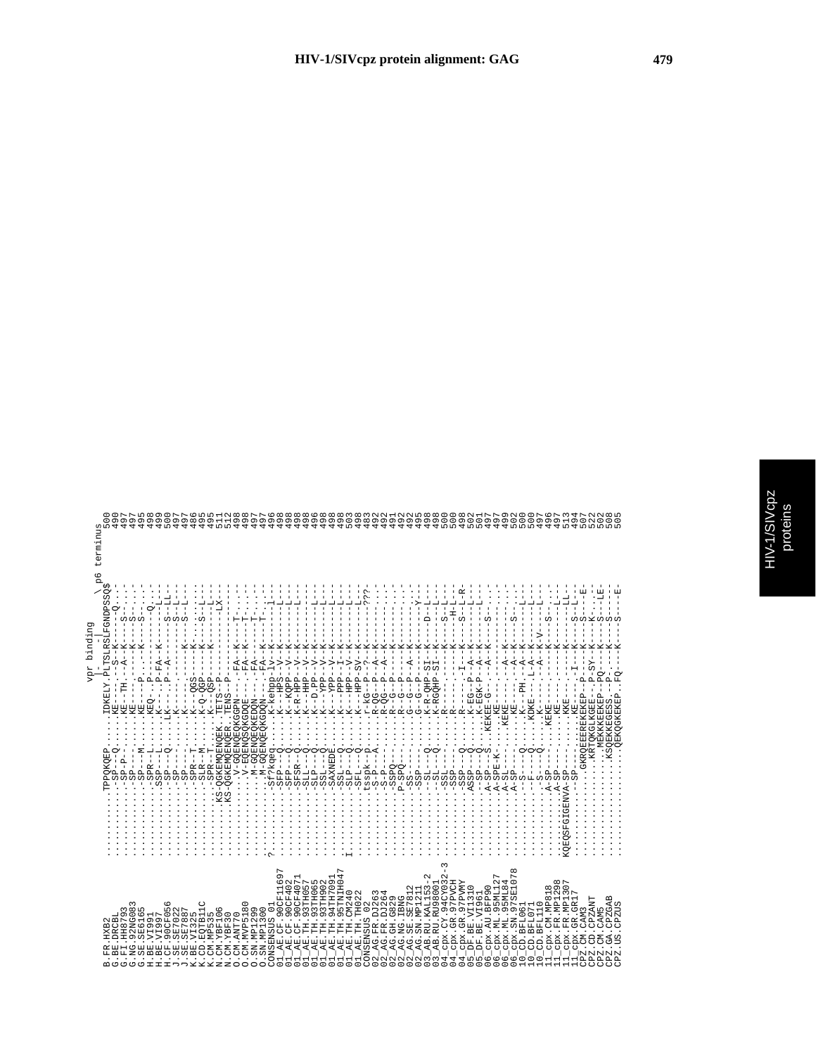|                                                                                                                                                                                                                                                                                                                                                                                                                                                                    | terminus<br>50<br>$\mathsf{p}^\mathsf{G}_\mathsf{q}$<br>binding<br>vpr |  |
|--------------------------------------------------------------------------------------------------------------------------------------------------------------------------------------------------------------------------------------------------------------------------------------------------------------------------------------------------------------------------------------------------------------------------------------------------------------------|------------------------------------------------------------------------|--|
| $\begin{smallmatrix} \texttt{R}, \texttt{HKB} \\ \texttt{R}, \texttt{HKB} \\ \texttt{R}, \texttt{HKB} \\ \texttt{R}, \texttt{R}, \texttt{R}, \texttt{R}, \texttt{R}, \texttt{R}, \texttt{R}, \texttt{R}, \texttt{R}, \texttt{R}, \texttt{R}, \texttt{R}, \texttt{R}, \texttt{R}, \texttt{R}, \texttt{R}, \texttt{R}, \texttt{R}, \texttt{R}, \texttt{R}, \texttt{R}, \texttt{R}, \texttt{R}, \texttt{R}, \texttt{R}, \texttt{R}, \texttt{R}, \texttt{R}, \texttt{$ | ŠŚ<br>C)                                                               |  |
|                                                                                                                                                                                                                                                                                                                                                                                                                                                                    |                                                                        |  |
|                                                                                                                                                                                                                                                                                                                                                                                                                                                                    |                                                                        |  |
|                                                                                                                                                                                                                                                                                                                                                                                                                                                                    |                                                                        |  |
|                                                                                                                                                                                                                                                                                                                                                                                                                                                                    |                                                                        |  |
|                                                                                                                                                                                                                                                                                                                                                                                                                                                                    |                                                                        |  |
|                                                                                                                                                                                                                                                                                                                                                                                                                                                                    |                                                                        |  |
|                                                                                                                                                                                                                                                                                                                                                                                                                                                                    |                                                                        |  |
|                                                                                                                                                                                                                                                                                                                                                                                                                                                                    |                                                                        |  |
|                                                                                                                                                                                                                                                                                                                                                                                                                                                                    |                                                                        |  |
|                                                                                                                                                                                                                                                                                                                                                                                                                                                                    |                                                                        |  |
|                                                                                                                                                                                                                                                                                                                                                                                                                                                                    |                                                                        |  |
|                                                                                                                                                                                                                                                                                                                                                                                                                                                                    |                                                                        |  |
|                                                                                                                                                                                                                                                                                                                                                                                                                                                                    |                                                                        |  |
|                                                                                                                                                                                                                                                                                                                                                                                                                                                                    | 44                                                                     |  |
|                                                                                                                                                                                                                                                                                                                                                                                                                                                                    |                                                                        |  |
|                                                                                                                                                                                                                                                                                                                                                                                                                                                                    |                                                                        |  |
| $\sigma$                                                                                                                                                                                                                                                                                                                                                                                                                                                           |                                                                        |  |
|                                                                                                                                                                                                                                                                                                                                                                                                                                                                    |                                                                        |  |
|                                                                                                                                                                                                                                                                                                                                                                                                                                                                    |                                                                        |  |
|                                                                                                                                                                                                                                                                                                                                                                                                                                                                    |                                                                        |  |
|                                                                                                                                                                                                                                                                                                                                                                                                                                                                    |                                                                        |  |
|                                                                                                                                                                                                                                                                                                                                                                                                                                                                    |                                                                        |  |
| $\rightarrow$                                                                                                                                                                                                                                                                                                                                                                                                                                                      |                                                                        |  |
|                                                                                                                                                                                                                                                                                                                                                                                                                                                                    |                                                                        |  |
|                                                                                                                                                                                                                                                                                                                                                                                                                                                                    |                                                                        |  |
|                                                                                                                                                                                                                                                                                                                                                                                                                                                                    |                                                                        |  |
|                                                                                                                                                                                                                                                                                                                                                                                                                                                                    |                                                                        |  |
|                                                                                                                                                                                                                                                                                                                                                                                                                                                                    |                                                                        |  |
|                                                                                                                                                                                                                                                                                                                                                                                                                                                                    |                                                                        |  |
|                                                                                                                                                                                                                                                                                                                                                                                                                                                                    |                                                                        |  |
|                                                                                                                                                                                                                                                                                                                                                                                                                                                                    |                                                                        |  |
|                                                                                                                                                                                                                                                                                                                                                                                                                                                                    |                                                                        |  |
| $\infty$<br>$\mathbf{I}$<br>N                                                                                                                                                                                                                                                                                                                                                                                                                                      |                                                                        |  |
|                                                                                                                                                                                                                                                                                                                                                                                                                                                                    |                                                                        |  |
|                                                                                                                                                                                                                                                                                                                                                                                                                                                                    |                                                                        |  |
|                                                                                                                                                                                                                                                                                                                                                                                                                                                                    |                                                                        |  |
|                                                                                                                                                                                                                                                                                                                                                                                                                                                                    |                                                                        |  |
|                                                                                                                                                                                                                                                                                                                                                                                                                                                                    |                                                                        |  |
|                                                                                                                                                                                                                                                                                                                                                                                                                                                                    |                                                                        |  |
| $\overline{\phantom{a}}$                                                                                                                                                                                                                                                                                                                                                                                                                                           |                                                                        |  |
|                                                                                                                                                                                                                                                                                                                                                                                                                                                                    |                                                                        |  |
|                                                                                                                                                                                                                                                                                                                                                                                                                                                                    | <br> -<br>! ! !                                                        |  |
|                                                                                                                                                                                                                                                                                                                                                                                                                                                                    |                                                                        |  |
|                                                                                                                                                                                                                                                                                                                                                                                                                                                                    |                                                                        |  |
|                                                                                                                                                                                                                                                                                                                                                                                                                                                                    |                                                                        |  |
|                                                                                                                                                                                                                                                                                                                                                                                                                                                                    | 뛰                                                                      |  |
|                                                                                                                                                                                                                                                                                                                                                                                                                                                                    |                                                                        |  |
|                                                                                                                                                                                                                                                                                                                                                                                                                                                                    |                                                                        |  |
|                                                                                                                                                                                                                                                                                                                                                                                                                                                                    |                                                                        |  |
|                                                                                                                                                                                                                                                                                                                                                                                                                                                                    |                                                                        |  |
|                                                                                                                                                                                                                                                                                                                                                                                                                                                                    |                                                                        |  |

**HIV-1/SIVcpz protein alignment: GAG 479**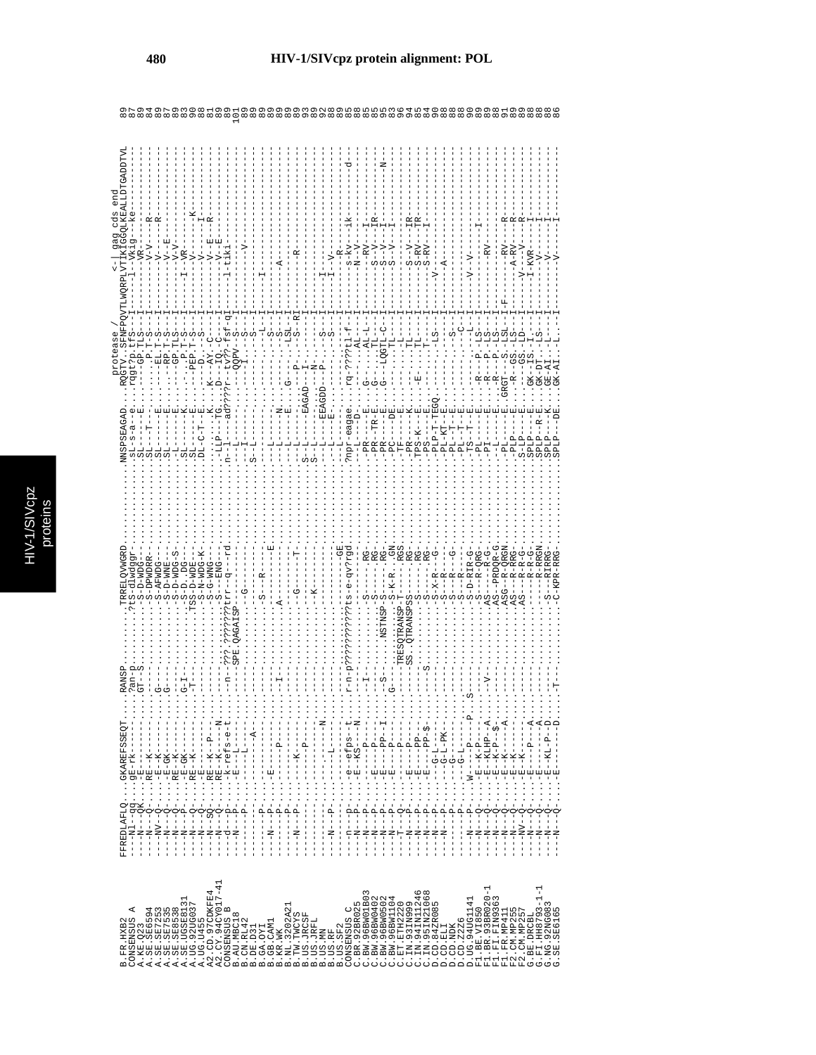|        | ŧ<br>Ω |
|--------|--------|
|        |        |
|        |        |
| ê<br>g | J<br>í |
|        |        |
|        |        |
|        |        |
|        |        |

T

| GGQLKEALLDTGADDTVL<br>end                                                                                                                                                                                                                                                                                                                                                                                                                                                               |                                                                                                                                                                                                                                                                                                                                                                                                                                                                                                 |
|-----------------------------------------------------------------------------------------------------------------------------------------------------------------------------------------------------------------------------------------------------------------------------------------------------------------------------------------------------------------------------------------------------------------------------------------------------------------------------------------|-------------------------------------------------------------------------------------------------------------------------------------------------------------------------------------------------------------------------------------------------------------------------------------------------------------------------------------------------------------------------------------------------------------------------------------------------------------------------------------------------|
| --Vkig---ke-<br>cds<br>qaq<br>J<br>RPLVTIKI<br>7-7<br>í                                                                                                                                                                                                                                                                                                                                                                                                                                 | '-RV<br>$\tilde{\zeta}$<br>$\tilde{R}$<br>$A - E$<br>-KVF                                                                                                                                                                                                                                                                                                                                                                                                                                       |
| . .AL-L<br>ローロ<br>3-T736<br>Ωņ                                                                                                                                                                                                                                                                                                                                                                                                                                                          | -15<br>--                                                                                                                                                                                                                                                                                                                                                                                                                                                                                       |
| ROGTV. SFNFP<br>protease<br>rggt?p.tfS<br>:<br>م<br>j<br>$\frac{1}{2}$<br>RP.<br>e.<br>-EEAGDD                                                                                                                                                                                                                                                                                                                                                                                          | $\Delta - \Delta$<br>$GK-I$                                                                                                                                                                                                                                                                                                                                                                                                                                                                     |
| npr-eagae<br>PR-------B<br>PR--TR-F<br>INSPSEAGAL<br>$SL-S-A$<br>부<br>D-TU                                                                                                                                                                                                                                                                                                                                                                                                              | EC-----<br>PLP-T-TE<br>$PS - K - -$<br>PL-KT<br>PL--T<br>-- 15<br>-- 15<br><b>FT4S</b><br>급                                                                                                                                                                                                                                                                                                                                                                                                     |
|                                                                                                                                                                                                                                                                                                                                                                                                                                                                                         |                                                                                                                                                                                                                                                                                                                                                                                                                                                                                                 |
| pbz.ch-ə-e-s<br>$S-D-WDG-S$<br>rbbpwrp-<br>$S-N-WDC-Y$<br>S-DPWDRR<br>$-54.79$<br>$-D-WDE$<br>S-AFWDG<br>$S-N-D-S$<br>HNM-d-<br>UNN-5-                                                                                                                                                                                                                                                                                                                                                  | PRDQR-<br>$R$ – $RRG$<br>- 12-5<br>-D-RIR-G<br>$-R-ORC$<br>SG--R-ORG<br>$R - R - C$<br>$R - R -$<br>$-R - RR$<br>$C - KPR - RR$<br>$S-R--$<br>$\dot{R}$<br>ř<br>$S - K - R$<br>$-1$                                                                                                                                                                                                                                                                                                             |
| d-u-<br>?an-p<br>RANSE                                                                                                                                                                                                                                                                                                                                                                                                                                                                  | OTRANSPS                                                                                                                                                                                                                                                                                                                                                                                                                                                                                        |
|                                                                                                                                                                                                                                                                                                                                                                                                                                                                                         | $\begin{array}{c}\n\hline\n\end{array}$<br>---------                                                                                                                                                                                                                                                                                                                                                                                                                                            |
| GKAREFSSEQT<br><b>M-----------------</b><br>$N = -1 - 2 - 1 - 12$<br>--d----p--k-refs-e-t<br>н – – дд – – – – - н – - – – – д – – – –<br>---------⊡- ∵ ∵ --O----N---<br>- - ペーー - - - - - - - - - - - -<br>$- - - - - - - - - - - -$<br>$-1$ $-1$ $-1$ $-1$ $-1$ $-1$<br>$-1$ $-1$ $-1$ $-1$ $-1$<br>$-2$<br>$-1$<br>$-4$<br>$-1$<br>$\frac{1}{1}$<br>$\frac{1}{\Delta}$<br>ľ                                                                                                           | $ - E - -KL - P - -D$ .<br>$-1$ $-1 - E - K L H P - A$ .<br>・ペーー – – – – – – – ロー・・・・ –<br>$-11 - 12 - 12 - 12 - 12$<br>-- Nd-1-0-1-0-1-<br>$\ldots -1 - E - K - P - -$<br>$-1 - 1 - 5 - 1 - 5$<br>$- -K - - - -$<br>南!!!!<br>$\frac{1}{1}$<br>$P - \ldots -$<br>$\frac{1}{4}$<br>$\frac{1}{2}$<br>$P - 1$<br>$P-1$ .<br>$\frac{1}{1}$<br>$\mathbf{I}$<br>Á<br>O                                                                                                                                |
| $-1 - N - 1 - P - 1$<br>FFREDLAFLQ<br>$---a---N---P$<br>$-1$ - $-1$ - $-1$<br>$\begin{bmatrix} 1 \\ 1 \\ 1 \\ 1 \end{bmatrix}$<br>$-1 - 1 - 1$<br>$\frac{1}{1}$<br>$-1$<br>$-1$ $-1$ $-1$ $-1$<br>$\begin{bmatrix} 1 \\ 1 \\ 1 \\ 1 \end{bmatrix}$<br>$\frac{1}{1}$<br>$\frac{1}{1}$<br>$\begin{array}{c} 1 \\ 1 \\ 1 \end{array}$<br>Í                                                                                                                                                 | $O - 1 - 1 = 1$<br>$-1$ $-1$ $-1$<br>$-1 - 1 - 1$<br>$- - - - - - - - - -$<br>$- -N - - -$<br>$-1$ $-1$ $-1$ $-1$<br>$- - - - - - - - - -$<br>$- - - - - - - - - - - -$<br>$-1$ $-1$ $-1$<br>$- - - - - - - - - - - -$<br>$-1$ $-1$ $-1$ $-1$<br>$-1$ $-1$ $-1$ $-1$<br>$\begin{bmatrix} 1 \\ 1 \\ 1 \end{bmatrix}$<br>ľ<br>$-1$ $-1$ $-1$<br>í<br>I                                                                                                                                            |
| $-41$<br>A.UG.U455<br>A2.CD.97CDKFE4<br>A2.CY.94CY017-4<br>C.BW.96BW01B03<br>C.BW.96BW0402<br>C.BW.96BW0502<br>A.SE.UGSE8131<br>A.UG.92UG037<br>C.BR. 92BR025<br>B.NL.3202A21<br>A.SE.SE6594<br>A.SE.SE7255<br>A.SE.SE7535<br>A.SE.SE8538<br>CONSENSUS B<br>CONSENSUS <sub>C</sub><br>К<br>B.TW.TWCYS<br>B.US.JRCSF<br>B.AU.MBC18<br>CONSENSUS<br>B. CN. RL42<br>B.US. JRFL<br>B.FR.HXB2<br>B.GB.CAM1<br>A.KE. Q23<br>B.US.SF2<br>B.GA.OYI<br>B.DE.D31<br>B.US.MN<br>B.KR.WK<br>B.US.RF | F1.BR.93BR020-1<br>F1.F1.F1N9363<br>F1.FR.MP411<br>G.FI.HH8793-1-1<br>C.IN.94IN11246<br>C.IN.95IN21068<br>D.CD.84ZR085<br>C.BW.96BW1104<br>C.ET.ET.ETH2220<br>C.IN.93IN999<br>D.UG.94UG1141<br>G.Fr.,<br>G.NG.92NG083<br>C.NG.92NG083<br>F1.BE.VI850<br>F2.CM.MP255<br>F2.CM.MP257<br>G.BE.DRCBL<br>D.CD.Z2Z6<br>$\begin{array}{l} \mathbb{D}\cdot\mathbb{C}\mathbb{D}\cdot\mathbb{E}\mathbb{L}\mathbb{I}\\ \mathbb{D}\cdot\mathbb{C}\mathbb{D}\cdot\mathbb{N}\mathbb{D}\mathbb{K} \end{array}$ |
|                                                                                                                                                                                                                                                                                                                                                                                                                                                                                         |                                                                                                                                                                                                                                                                                                                                                                                                                                                                                                 |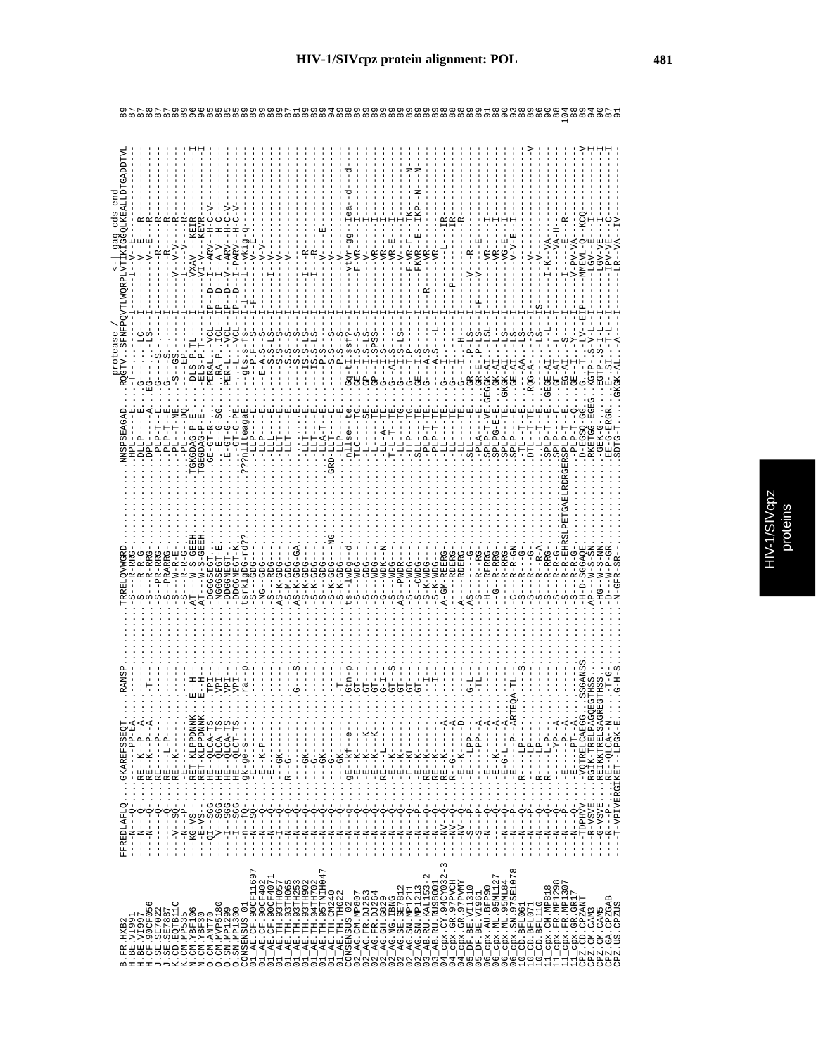|                                                                                                                                                                                                                                       | $-ARV$                                                                                     |                                                                                                                                                                                                  | $66 - 3$                                                                                                                                                                                                                                                                                                                                                                                                                             | KVR--<br>$F-VR - E$                                                                                                                                                                                                                                                                                                                                                                                                                                                                       |                                                                                                                                                                                                                                                                                                                                                                                                                                                                                                          |
|---------------------------------------------------------------------------------------------------------------------------------------------------------------------------------------------------------------------------------------|--------------------------------------------------------------------------------------------|--------------------------------------------------------------------------------------------------------------------------------------------------------------------------------------------------|--------------------------------------------------------------------------------------------------------------------------------------------------------------------------------------------------------------------------------------------------------------------------------------------------------------------------------------------------------------------------------------------------------------------------------------|-------------------------------------------------------------------------------------------------------------------------------------------------------------------------------------------------------------------------------------------------------------------------------------------------------------------------------------------------------------------------------------------------------------------------------------------------------------------------------------------|----------------------------------------------------------------------------------------------------------------------------------------------------------------------------------------------------------------------------------------------------------------------------------------------------------------------------------------------------------------------------------------------------------------------------------------------------------------------------------------------------------|
|                                                                                                                                                                                                                                       |                                                                                            |                                                                                                                                                                                                  | $Gq-t$                                                                                                                                                                                                                                                                                                                                                                                                                               |                                                                                                                                                                                                                                                                                                                                                                                                                                                                                           |                                                                                                                                                                                                                                                                                                                                                                                                                                                                                                          |
|                                                                                                                                                                                                                                       | llteagaE                                                                                   |                                                                                                                                                                                                  | $1$ se-                                                                                                                                                                                                                                                                                                                                                                                                                              | $-LLP-$                                                                                                                                                                                                                                                                                                                                                                                                                                                                                   |                                                                                                                                                                                                                                                                                                                                                                                                                                                                                                          |
|                                                                                                                                                                                                                                       |                                                                                            |                                                                                                                                                                                                  |                                                                                                                                                                                                                                                                                                                                                                                                                                      | $-K-WD$                                                                                                                                                                                                                                                                                                                                                                                                                                                                                   | $R - R$                                                                                                                                                                                                                                                                                                                                                                                                                                                                                                  |
|                                                                                                                                                                                                                                       |                                                                                            |                                                                                                                                                                                                  | $\frac{1}{2}$                                                                                                                                                                                                                                                                                                                                                                                                                        |                                                                                                                                                                                                                                                                                                                                                                                                                                                                                           |                                                                                                                                                                                                                                                                                                                                                                                                                                                                                                          |
| . GKAREFS<br>$\frac{1}{2}$<br>$RE - - -L -$<br>RE--K--<br>$RE - -K - -$<br>$RE - -K -$<br>$\frac{1}{1}$<br>Ť<br>$RE--$<br>۳ļ<br>$\frac{1}{1}$<br>$\begin{array}{c} \vdots \\ \vdots \\ \vdots \\ \vdots \end{array}$<br>$\frac{1}{1}$ | DIQ--BH.<br>RET-KLP<br>.HE--RH.<br>ROTO--RH<br>CALCA<br>COLOR --RH<br>$9k-ge-s$<br>RET-KLP | $-1 - E - -K - P$<br>$-86 - 1$<br>I<br>I<br>I<br>$\frac{1}{2}$<br>$- - G K$<br>ပှံ<br>$ \frac{1}{2}$<br>, i<br>무<br>-<br>I<br>T<br>Ŕ.<br>$\mathfrak l$<br>$\ddot{\cdot}$<br>$\ddot{\phantom{0}}$ | $-144 - 146 - 145$<br>$-86$<br>$---3E -$<br>$-3i-12i-12i-1$<br>$ - B - -K -$<br>$\ldots$ $ \overline{E}$ $  \overline{K}$ $-$<br>$\ldots$ $ E$ $ K$ $-$<br>$ 1 - 28$<br>$\ldots -E$ -K-<br>$\frac{1}{2}$<br>I<br>$\cdot$<br>$\cdot$<br>$\cdot$                                                                                                                                                                                       | $-1$<br>$-13 - -15 - -15 - -$<br>$-3$ - $-3$ - $-1$<br>$\ldots$ $ E$ $ K$ $-$<br>$RE - -K -$<br>$-3 - -15$<br>$RE - -K -$<br>$ - 5 - -1$<br>ï<br>$\frac{1}{1}$<br>$\begin{array}{c}\n1 \\ 1 \\ 1 \\ 2 \\ 3 \\ 4\n\end{array}$<br>$\frac{1}{2}$<br>$\vdots$<br>$\vdots$                                                                                                                                                                                                                    | $R$ -----LP<br>dT---------<br>$\cdots$ $\cdots$ $\cdots$ $\cdots$<br>-VQTREL<br>RGIK-TR<br>REIKKTR<br>$RE--QLC$<br>$-T-TDIVERGIKET-ILP$<br>$-1$ $-1$ = $-1$<br>$\ddot{\cdot}$                                                                                                                                                                                                                                                                                                                            |
| $\vdots$<br>$\frac{1}{2}$<br>$\vdots$<br>FFREDLAFLQ<br>$-50 - -1 - -1 - -1 -$<br>ò<br>$Q - -1$<br>$\alpha$<br>$\alpha$<br>$\circ$<br>$-7$<br>ž<br>$\overline{a}$                                                                      | $-53$<br>$- -$ SGG<br>$-1.5V -$<br>$-KG-VS$<br>$-7$<br>円<br>$-9-$<br>F<br>T<br>Ţ<br>Ţ      | $\mathsf I$<br>$-50$<br>$\circ$<br>$\circ$<br>O<br>o<br>$\overline{\phantom{a}}$<br>I<br>п<br>Ŗ<br>Ŧ<br>ş<br>Ŧ<br>z<br>İ<br>z<br>İ<br>Ŗ<br>Ţ                                                     | $\cdot$<br>O<br>ᡃ<br>O<br>0<br>ł<br>J<br>÷<br>J<br>J.<br>J<br>Ţ<br>Ţ<br>J<br>J.                                                                                                                                                                                                                                                                                                                                                      | O<br>Δ<br>$\Omega$<br>$\circ$<br>0<br>O<br>⌒<br>౧<br>O<br>o<br>T<br>$-NV$<br>N<br>ż<br>-NV<br>z<br>z<br>ř<br>ω<br>C)<br>z<br>Ţ<br>Ţ<br>ŧ<br>I<br>п<br>п<br>J.                                                                                                                                                                                                                                                                                                                             | $\frac{1}{1}$<br>$\ddot{\cdot}$<br>$-R$ – – – $P$ –<br>$-R-VSVE$<br>$-C-VSVE$<br>--TOPHVV<br>$\circ$<br>$\mathbf{a}$<br>$\circ$<br>$\mathbf{r}$<br>$\circ$<br>$\circ$<br>$O_{\frac{1}{2}}$<br>$-1 - 2 - 1$<br>O<br>$\mathbf{I}$<br>ï<br>ï<br>$\frac{1}{2}$<br>z<br>z<br>z<br>1<br>ž<br>т<br>ł<br>-1<br>л<br>п                                                                                                                                                                                            |
|                                                                                                                                                                                                                                       |                                                                                            |                                                                                                                                                                                                  | $\begin{array}{l} \text{01.14}\text{ } \text{18.7}\text{ } \text{0.8}\text{ } \text{0.9}\text{ } \text{0.1}\text{ } \text{0.9}\text{ } \text{0.1}\text{ } \text{0.9}\text{ } \text{0.1}\text{ } \text{0.9}\text{ } \text{0.1}\text{ } \text{0.1}\text{ } \text{0.2}\text{ } \text{0.1}\text{ } \text{0.2}\text{ } \text{0.3}\text{ } \text{0.4}\text{ } \text{0.2}\text{ } \text{0.3}\text{ } \text{0.4}\text{ } \text{0.5}\text{ }$ | $\begin{array}{l} 0.4\!-\!\frac{1}{2}\mathbf{p}\times \mathbf{G}\mathbf{R}\times \mathbf{S}\mathbf{T}\times \mathbf{D}\mathbf{T}\times \mathbf{T}\mathbf{S}}{0.5\!-\!\frac{1}{2}\mathbf{p}\times \mathbf{G}\mathbf{R}\times \mathbf{S}\mathbf{T}\times \mathbf{D}\mathbf{T}\times \mathbf{M}\times \mathbf{S}}{0.5\!-\!\frac{1}{2}\mathbf{F}\times \mathbf{B}\mathbf{R}\times \mathbf{M}\times \mathbf{I}\times \mathbf{I}\times \mathbf{I}\times \mathbf{I}}{0.6\!-\!\frac{1}{2}\mathbf$ | 5ML84<br>7SE1078<br>$\begin{array}{l} 11\_cpx.\, \texttt{CM}, \texttt{MPB18}\, \\ 11\_cpx.\, \texttt{FR}, \texttt{MP1298}\, \\ 11\_cpx.\, \texttt{FR}, \texttt{MP1307}\, \\ 11\_cpx.\, \texttt{GR}, \texttt{GR17}\, \\ 12\_cpx.\, \texttt{GR}, \texttt{GR17}\, \\ \texttt{CPZ}.\, \texttt{CD}.\, \texttt{CPZANT} \end{array}$<br>CPZGAB<br>06_cpx.ML.95M<br>06_cpx.SN.973<br>10_CD.BFL061<br>10_CD.BFL071<br>10_CD.BFL110<br>CPZ . CM . CAM3<br>CPZ . CM . CAM5<br>CPZ . CA . CPZGAB<br>CPZ . US . CPZUS |

HIV-1/SIVcpz protein alignment: POL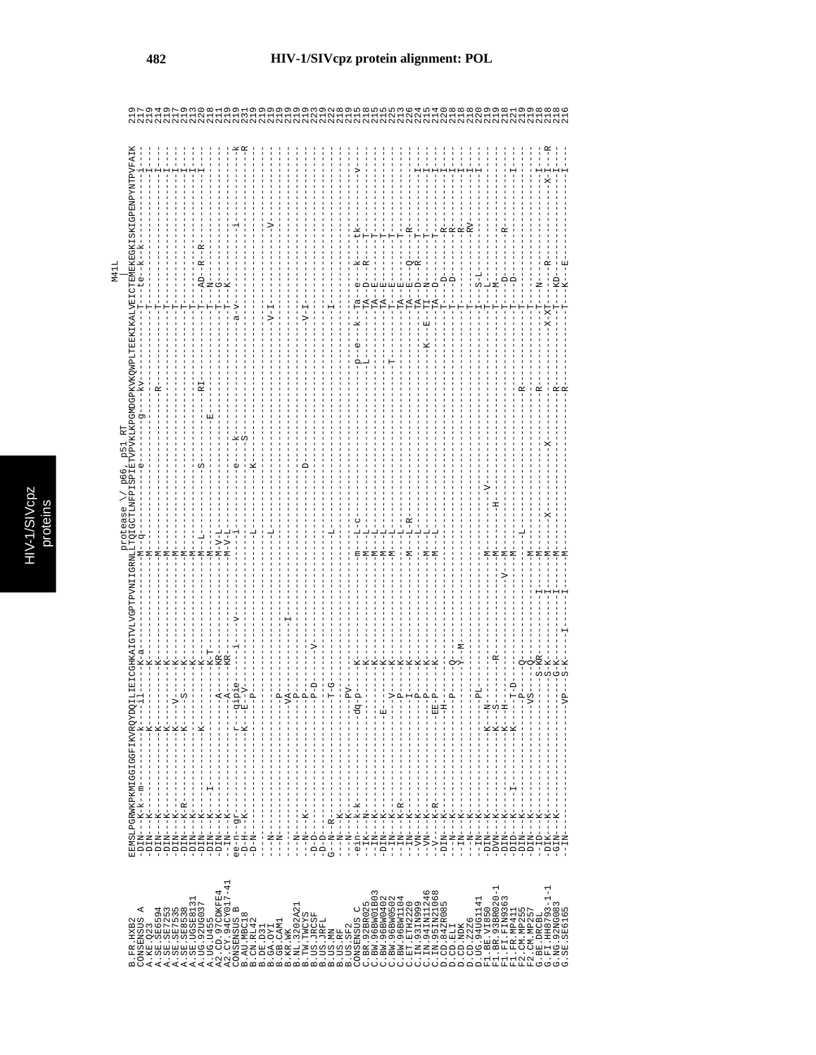|    |                                                                                                                                                                                                                                                                                                                                                                                                   |                                                                          |                                        | 뒪<br>p66, p51<br>protease |      | M41L                                                                 |  |
|----|---------------------------------------------------------------------------------------------------------------------------------------------------------------------------------------------------------------------------------------------------------------------------------------------------------------------------------------------------------------------------------------------------|--------------------------------------------------------------------------|----------------------------------------|---------------------------|------|----------------------------------------------------------------------|--|
|    | EEMSLPGRWKPKMIGGIGGFIKVRQY                                                                                                                                                                                                                                                                                                                                                                        | -K-a-                                                                    | LIEICGHKAIGTVLVGPTPVNIIGRNLLTQ1GCTLMFP | ETGS-<br>$-M - q$         |      | VPVKLKPGMDGPKVKQWPLTBEKIKALVEICTEMEKEGKISKIGPENPYMTPVFAI<br>-te--k-- |  |
|    |                                                                                                                                                                                                                                                                                                                                                                                                   | $-K-$                                                                    |                                        | ξ                         |      |                                                                      |  |
|    | $-DTN---K----$                                                                                                                                                                                                                                                                                                                                                                                    | ÷X<br>$- -K - -$<br>$\frac{1}{1}$                                        |                                        | ż                         |      |                                                                      |  |
|    | $-DID - -K - - - - -$                                                                                                                                                                                                                                                                                                                                                                             | -K--<br>$- -K - -$<br>$\frac{1}{1}$                                      |                                        | Σ,                        |      |                                                                      |  |
|    | $-$ DIN---K-------                                                                                                                                                                                                                                                                                                                                                                                | $-K--$<br>$- -K - -$<br>$\frac{1}{1}$                                    |                                        | $\frac{1}{2}$             |      |                                                                      |  |
|    | $-DTN---K-R---$                                                                                                                                                                                                                                                                                                                                                                                   | $-K--$<br>$---24---12$                                                   |                                        | $\frac{1}{2}$             |      |                                                                      |  |
|    |                                                                                                                                                                                                                                                                                                                                                                                                   | $-K--$<br>$\begin{bmatrix} 1 \\ 1 \\ 1 \end{bmatrix}$<br>I               |                                        | Ł,                        |      |                                                                      |  |
|    | $\begin{array}{r} -D\, \Box N--K--------\\ -D\, \Box N--K------\\ -D\, \Box N--K------\\ -D\, \Box N--K----\\ \end{array}$                                                                                                                                                                                                                                                                        | $-K-T$<br>$-K--$<br>$- -K -$<br>$\frac{1}{1}$<br>Ţ<br>$\frac{1}{1}$<br>ı |                                        | $-1$<br>-N-               |      | $-AD--R$<br>$\frac{1}{1}$                                            |  |
|    | $-$ DIN---K----                                                                                                                                                                                                                                                                                                                                                                                   | KR-<br>I<br>I                                                            |                                        | $M - V - I$               |      | $\overset{-}{\circ}$                                                 |  |
| 41 | $---2N---K---$                                                                                                                                                                                                                                                                                                                                                                                    | $\frac{1}{1}$                                                            |                                        | $M - V - J$               |      | ×                                                                    |  |
|    | ee-n--gr--                                                                                                                                                                                                                                                                                                                                                                                        | -pie-<br>5<br>$-2$ $-1$<br>í                                             |                                        | J                         |      |                                                                      |  |
|    | $-D-H--K--$                                                                                                                                                                                                                                                                                                                                                                                       | $- -K - -$<br>I                                                          |                                        |                           |      |                                                                      |  |
|    | $\frac{1}{1}$<br>$-D - N - - -$                                                                                                                                                                                                                                                                                                                                                                   | $\frac{1}{1}$                                                            |                                        |                           |      |                                                                      |  |
|    | $\frac{1}{1}$<br>Î<br>$\begin{array}{c} \n 1 \\  1 \\  1 \\  1\n \end{array}$                                                                                                                                                                                                                                                                                                                     |                                                                          |                                        |                           |      |                                                                      |  |
|    | $- - - - - - - - - - - -$                                                                                                                                                                                                                                                                                                                                                                         |                                                                          |                                        |                           |      |                                                                      |  |
|    | $\frac{1}{1}$<br>ì                                                                                                                                                                                                                                                                                                                                                                                |                                                                          |                                        |                           |      |                                                                      |  |
|    | ţ<br>$\frac{1}{1}$<br>$-1$                                                                                                                                                                                                                                                                                                                                                                        | д                                                                        |                                        |                           |      |                                                                      |  |
|    | $- -N - - -K - -$                                                                                                                                                                                                                                                                                                                                                                                 |                                                                          |                                        |                           |      |                                                                      |  |
|    | $-1$ - $-$ - $-$ - $-$ - $-$                                                                                                                                                                                                                                                                                                                                                                      | –<br>A−                                                                  |                                        |                           |      |                                                                      |  |
|    |                                                                                                                                                                                                                                                                                                                                                                                                   |                                                                          |                                        |                           |      |                                                                      |  |
|    | $G - -N - R - - -$                                                                                                                                                                                                                                                                                                                                                                                | ή<br>Φ                                                                   |                                        |                           |      |                                                                      |  |
|    |                                                                                                                                                                                                                                                                                                                                                                                                   |                                                                          |                                        |                           |      |                                                                      |  |
|    |                                                                                                                                                                                                                                                                                                                                                                                                   | -PV                                                                      |                                        |                           |      |                                                                      |  |
|    | $-e$ in $- -k -k - - - -$                                                                                                                                                                                                                                                                                                                                                                         | ×<br>$dq-p-$<br> <br> <br> <br>                                          |                                        | じょ                        | $-1$ |                                                                      |  |
|    | $---X - -N - - - -$                                                                                                                                                                                                                                                                                                                                                                               | ×                                                                        |                                        |                           |      | $TA--D--R-$                                                          |  |
|    | $--- -1N - -K - - - -$                                                                                                                                                                                                                                                                                                                                                                            | $-K-$                                                                    |                                        | Σ,                        |      | $-TA - -E -$                                                         |  |
|    | $-DIM---K------ -$                                                                                                                                                                                                                                                                                                                                                                                | $-K--$<br>囯<br>$\begin{bmatrix} 1 \\ 1 \\ 1 \end{bmatrix}$<br>i          |                                        | $-1$<br>÷W.               |      | $-TA - -E - -$                                                       |  |
|    |                                                                                                                                                                                                                                                                                                                                                                                                   | $-K-$                                                                    |                                        | έ                         |      | $\frac{1}{1}$                                                        |  |
|    | $---ZN---K-R---$                                                                                                                                                                                                                                                                                                                                                                                  | $-K-$<br>$\frac{1}{1}$                                                   |                                        |                           |      | i<br>P<br>$TA--$                                                     |  |
|    | $---1N---K------$                                                                                                                                                                                                                                                                                                                                                                                 | $-K-$                                                                    |                                        | $L - R$<br>N-             |      | ř<br>$Q$ --E-<br>$TA--$                                              |  |
|    | $--7N--K---$                                                                                                                                                                                                                                                                                                                                                                                      | ĸ                                                                        |                                        |                           |      | .<br>ٻ<br>$TA--D--R$                                                 |  |
|    |                                                                                                                                                                                                                                                                                                                                                                                                   | $-K-$                                                                    |                                        | $\frac{1}{2}$             | 뛰    | $-1$                                                                 |  |
|    | $--7----K-$ R --                                                                                                                                                                                                                                                                                                                                                                                  | $E - E - P$                                                              |                                        |                           |      |                                                                      |  |
|    | $-$ DIN---K----                                                                                                                                                                                                                                                                                                                                                                                   | 푸<br>$\frac{1}{1}$                                                       |                                        |                           |      | $-R-$                                                                |  |
|    | ---------------                                                                                                                                                                                                                                                                                                                                                                                   |                                                                          |                                        |                           |      |                                                                      |  |
|    | $---ZN---K---$                                                                                                                                                                                                                                                                                                                                                                                    | I                                                                        |                                        |                           |      |                                                                      |  |
|    |                                                                                                                                                                                                                                                                                                                                                                                                   | $\frac{1}{1}$                                                            |                                        |                           |      | $-RV$                                                                |  |
|    |                                                                                                                                                                                                                                                                                                                                                                                                   |                                                                          |                                        |                           |      | $\frac{1}{2}$                                                        |  |
|    | $-$ DIN---K----                                                                                                                                                                                                                                                                                                                                                                                   | 주<br>$-K-$                                                               |                                        |                           |      |                                                                      |  |
|    | -DVN---K----                                                                                                                                                                                                                                                                                                                                                                                      | ω<br>$-K-1$                                                              |                                        |                           |      | $-N$                                                                 |  |
|    | $-$ DIN---K-------                                                                                                                                                                                                                                                                                                                                                                                | $-1 - K -$                                                               |                                        |                           |      |                                                                      |  |
|    | $-$ -DID- $-$ -K----I--                                                                                                                                                                                                                                                                                                                                                                           | $---X---$                                                                |                                        |                           |      |                                                                      |  |
|    | $-$ DIN---K---                                                                                                                                                                                                                                                                                                                                                                                    |                                                                          |                                        |                           |      |                                                                      |  |
|    | $-DTN---K---$                                                                                                                                                                                                                                                                                                                                                                                     |                                                                          |                                        |                           |      |                                                                      |  |
|    | $---ZD---K---K$                                                                                                                                                                                                                                                                                                                                                                                   |                                                                          |                                        |                           |      |                                                                      |  |
|    | $-DIK---K---$                                                                                                                                                                                                                                                                                                                                                                                     |                                                                          |                                        |                           |      | $-X - I$<br>-KD                                                      |  |
|    | $- - \frac{1}{2} \frac{1}{2} \frac{1}{N} - 1 - \frac{1}{N} - \frac{1}{N} - \frac{1}{N} - \frac{1}{N} - \frac{1}{N} - \frac{1}{N} - \frac{1}{N} - \frac{1}{N} - \frac{1}{N} - \frac{1}{N} - \frac{1}{N} - \frac{1}{N} - \frac{1}{N} - \frac{1}{N} - \frac{1}{N} - \frac{1}{N} - \frac{1}{N} - \frac{1}{N} - \frac{1}{N} - \frac{1}{N} - \frac{1}{N} - \frac{1}{N} - \frac{1}{N} - \frac{1}{N} - \$ | ř                                                                        |                                        |                           | œ    |                                                                      |  |
|    |                                                                                                                                                                                                                                                                                                                                                                                                   |                                                                          |                                        |                           |      |                                                                      |  |

 $\begin{smallmatrix}R,R, HXB2\\ 0.0858193\\ 0.08594\\ 0.08594\\ 0.08594\\ 0.08594\\ 0.08594\\ 0.08594\\ 0.08594\\ 0.08594\\ 0.08594\\ 0.08593\\ 0.08593\\ 0.08594\\ 0.08595\\ 0.08593\\ 0.08594\\ 0.08594\\ 0.08595\\ 0.08595\\ 0.08595\\ 0.08595\\ 0.08595\\ 0.0859$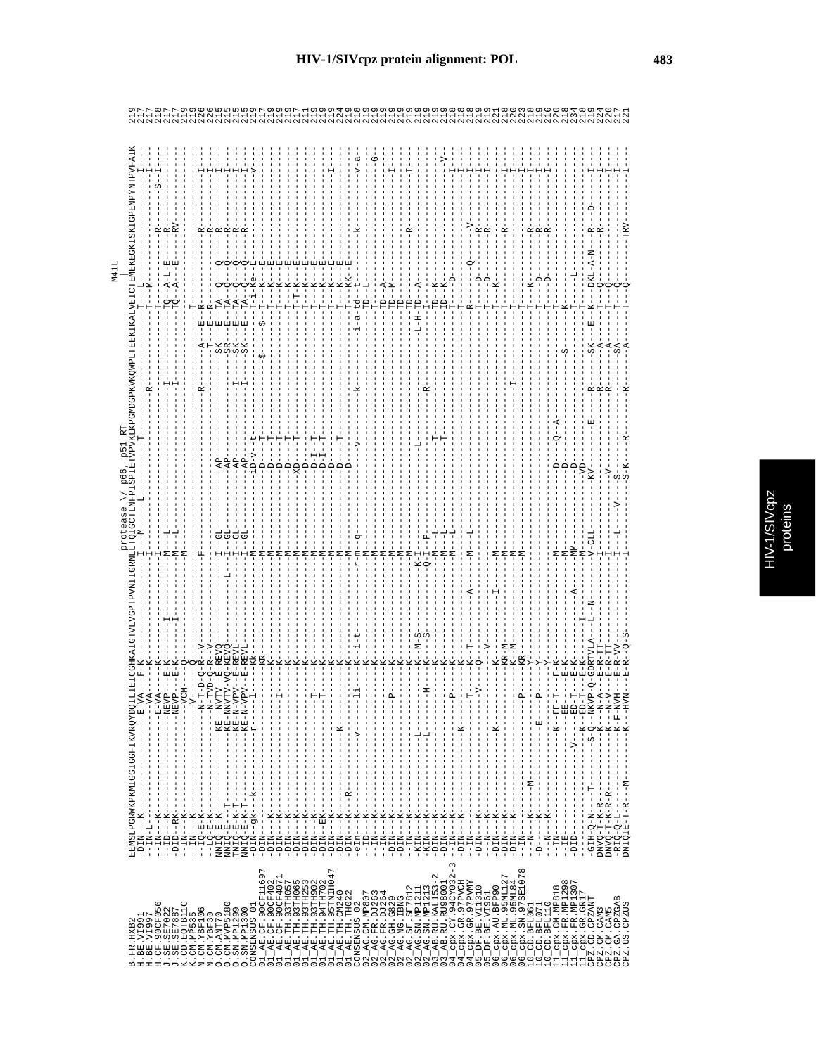| r |
|---|
|   |
|   |
|   |
|   |

| TVPVKLKPGMDGPKVKQWPLTEEKIKALVEICTEMEKEGKISKIGPENPYNTPVFAII |                                                                                                                                                                                                                                                                                                                                                                                                                                                                    |                          | ά         |               | Ř              |               |                           | α |                              | RRRR                |                    |              |       |         |                  |                    |                           |                  |                                                                                                       |                    |           |                    |                    |                           |  |   |                                                  |  |               |                                            |                                                  |                                             |                                                  |                                                  |                                                                                                          |               | Ķ                              |                                                                                               |          |                       |                |                     |                       |                     |                                                                  |               |                                           |                               |                       |                    |                |                               |                          |
|------------------------------------------------------------|--------------------------------------------------------------------------------------------------------------------------------------------------------------------------------------------------------------------------------------------------------------------------------------------------------------------------------------------------------------------------------------------------------------------------------------------------------------------|--------------------------|-----------|---------------|----------------|---------------|---------------------------|---|------------------------------|---------------------|--------------------|--------------|-------|---------|------------------|--------------------|---------------------------|------------------|-------------------------------------------------------------------------------------------------------|--------------------|-----------|--------------------|--------------------|---------------------------|--|---|--------------------------------------------------|--|---------------|--------------------------------------------|--------------------------------------------------|---------------------------------------------|--------------------------------------------------|--------------------------------------------------|----------------------------------------------------------------------------------------------------------|---------------|--------------------------------|-----------------------------------------------------------------------------------------------|----------|-----------------------|----------------|---------------------|-----------------------|---------------------|------------------------------------------------------------------|---------------|-------------------------------------------|-------------------------------|-----------------------|--------------------|----------------|-------------------------------|--------------------------|
|                                                            |                                                                                                                                                                                                                                                                                                                                                                                                                                                                    |                          |           | 囸             |                |               |                           |   |                              |                     |                    |              |       |         | 더                | 囯                  | <b>Ed</b>                 | 囯                | <b>Ed</b>                                                                                             | 囸                  | <b>Ed</b> | 囸                  | 더                  | 囸                         |  |   |                                                  |  |               |                                            |                                                  |                                             |                                                  |                                                  |                                                                                                          |               |                                |                                                                                               |          |                       |                |                     |                       |                     |                                                                  |               |                                           |                               | $DKL - A - N$         |                    |                |                               |                          |
|                                                            |                                                                                                                                                                                                                                                                                                                                                                                                                                                                    |                          |           | $-1 - A - 1$  | A              |               |                           |   |                              |                     |                    |              |       |         |                  |                    |                           |                  |                                                                                                       |                    |           |                    |                    |                           |  |   |                                                  |  |               |                                            |                                                  |                                             |                                                  |                                                  |                                                                                                          |               |                                |                                                                                               |          |                       |                |                     |                       |                     |                                                                  |               |                                           |                               |                       | $\circ$            |                |                               |                          |
|                                                            |                                                                                                                                                                                                                                                                                                                                                                                                                                                                    |                          |           |               |                |               |                           |   |                              |                     | 뛰                  | FA           |       |         |                  |                    |                           |                  |                                                                                                       |                    |           |                    |                    |                           |  |   |                                                  |  |               |                                            |                                                  |                                             |                                                  |                                                  |                                                                                                          |               |                                |                                                                                               |          |                       |                |                     |                       |                     |                                                                  |               |                                           |                               |                       |                    |                |                               |                          |
|                                                            |                                                                                                                                                                                                                                                                                                                                                                                                                                                                    |                          |           |               |                |               |                           |   | ÷                            | $rac{1}{25}$        |                    | $rac{1}{36}$ |       | $SK-$   |                  |                    |                           |                  |                                                                                                       |                    |           |                    |                    |                           |  |   |                                                  |  |               |                                            |                                                  |                                             |                                                  |                                                  |                                                                                                          |               |                                |                                                                                               |          |                       |                |                     |                       |                     |                                                                  |               |                                           |                               | $SK-$                 | $-445$             |                |                               |                          |
|                                                            |                                                                                                                                                                                                                                                                                                                                                                                                                                                                    |                          |           |               |                |               |                           |   |                              |                     |                    |              |       |         |                  |                    |                           |                  |                                                                                                       |                    |           |                    |                    |                           |  |   |                                                  |  |               |                                            |                                                  |                                             |                                                  |                                                  |                                                                                                          |               |                                |                                                                                               |          |                       |                |                     |                       |                     |                                                                  |               |                                           |                               |                       |                    |                |                               |                          |
|                                                            |                                                                                                                                                                                                                                                                                                                                                                                                                                                                    |                          |           |               |                |               |                           |   |                              |                     |                    |              |       |         |                  |                    |                           |                  |                                                                                                       |                    |           |                    |                    |                           |  |   |                                                  |  |               |                                            |                                                  |                                             |                                                  |                                                  |                                                                                                          |               |                                |                                                                                               |          |                       |                |                     |                       |                     |                                                                  |               |                                           |                               | rκ                    |                    | œ              |                               |                          |
|                                                            |                                                                                                                                                                                                                                                                                                                                                                                                                                                                    |                          |           |               |                |               |                           |   |                              |                     |                    |              |       |         |                  |                    |                           |                  |                                                                                                       |                    |           |                    |                    |                           |  |   |                                                  |  |               |                                            |                                                  |                                             |                                                  |                                                  |                                                                                                          |               |                                |                                                                                               |          |                       |                |                     |                       |                     |                                                                  |               |                                           |                               |                       |                    |                |                               |                          |
| p51                                                        |                                                                                                                                                                                                                                                                                                                                                                                                                                                                    |                          |           |               |                |               |                           |   |                              |                     |                    |              |       | -AP-    | $\sum_{i=1}^{n}$ | $\frac{1}{\Theta}$ | $\stackrel{1}{\triangle}$ | $\frac{1}{\Box}$ |                                                                                                       | $\frac{1}{\Theta}$ |           | $\frac{1}{\Delta}$ | $\frac{1}{\Delta}$ | $\mathbf{a}^{\mathsf{I}}$ |  |   |                                                  |  |               |                                            |                                                  |                                             |                                                  |                                                  |                                                                                                          |               |                                |                                                                                               |          |                       |                |                     |                       |                     |                                                                  |               |                                           | ₿.                            |                       |                    |                |                               |                          |
|                                                            |                                                                                                                                                                                                                                                                                                                                                                                                                                                                    |                          |           |               |                |               |                           |   |                              |                     |                    |              |       |         |                  |                    |                           |                  |                                                                                                       |                    |           |                    |                    |                           |  |   |                                                  |  |               |                                            |                                                  |                                             |                                                  |                                                  |                                                                                                          |               |                                |                                                                                               |          |                       |                |                     |                       |                     |                                                                  |               |                                           |                               |                       |                    |                |                               |                          |
|                                                            |                                                                                                                                                                                                                                                                                                                                                                                                                                                                    |                          |           |               |                |               |                           |   |                              |                     |                    |              |       |         |                  |                    |                           |                  |                                                                                                       |                    |           |                    |                    |                           |  |   |                                                  |  |               |                                            |                                                  |                                             |                                                  |                                                  |                                                                                                          |               |                                |                                                                                               |          |                       |                |                     |                       |                     |                                                                  |               |                                           |                               |                       |                    |                |                               |                          |
| prot                                                       |                                                                                                                                                                                                                                                                                                                                                                                                                                                                    |                          |           |               |                |               |                           |   |                              | 5                   | Ğ                  |              | ਚੋ    | -61     |                  |                    |                           |                  |                                                                                                       |                    |           |                    |                    |                           |  | ᡃ |                                                  |  |               |                                            |                                                  |                                             |                                                  |                                                  |                                                                                                          |               |                                |                                                                                               |          |                       |                |                     |                       |                     |                                                                  |               | MM                                        |                               | L<br>1<br>1<br>1<br>1 |                    |                |                               |                          |
|                                                            |                                                                                                                                                                                                                                                                                                                                                                                                                                                                    |                          |           |               |                |               |                           |   |                              |                     |                    |              |       |         |                  |                    |                           |                  |                                                                                                       |                    |           |                    |                    |                           |  |   |                                                  |  |               |                                            |                                                  | -<br>?                                      |                                                  |                                                  |                                                                                                          |               |                                |                                                                                               |          |                       |                |                     |                       |                     |                                                                  |               |                                           |                               |                       |                    |                |                               |                          |
|                                                            |                                                                                                                                                                                                                                                                                                                                                                                                                                                                    |                          |           |               |                |               |                           |   |                              |                     |                    |              |       |         |                  |                    |                           |                  |                                                                                                       |                    |           |                    |                    |                           |  |   |                                                  |  |               |                                            |                                                  |                                             |                                                  |                                                  |                                                                                                          |               |                                |                                                                                               |          |                       |                |                     |                       |                     |                                                                  |               |                                           |                               |                       |                    |                |                               |                          |
|                                                            |                                                                                                                                                                                                                                                                                                                                                                                                                                                                    |                          |           |               |                |               |                           |   |                              |                     |                    |              |       |         |                  |                    |                           |                  |                                                                                                       |                    |           |                    |                    |                           |  |   |                                                  |  |               |                                            |                                                  |                                             |                                                  |                                                  |                                                                                                          |               |                                |                                                                                               |          |                       |                |                     |                       |                     |                                                                  |               |                                           |                               |                       |                    |                |                               |                          |
| CGHKAIGTVLVGPTPVNIIGRNLLTOI                                |                                                                                                                                                                                                                                                                                                                                                                                                                                                                    |                          |           |               |                |               |                           |   |                              |                     |                    |              |       |         |                  |                    |                           |                  |                                                                                                       |                    |           |                    |                    |                           |  |   |                                                  |  |               |                                            |                                                  |                                             |                                                  |                                                  |                                                                                                          |               |                                |                                                                                               | $-5 - 5$ |                       |                |                     |                       |                     |                                                                  |               |                                           |                               |                       |                    |                |                               |                          |
|                                                            |                                                                                                                                                                                                                                                                                                                                                                                                                                                                    |                          |           |               |                |               |                           |   | -TVD-                        | 黃                   | $-VQ-K$            |              |       |         |                  |                    |                           |                  |                                                                                                       |                    |           |                    |                    |                           |  |   |                                                  |  |               |                                            |                                                  |                                             |                                                  |                                                  |                                                                                                          |               |                                |                                                                                               |          |                       |                |                     |                       |                     |                                                                  |               | 言                                         | ↑□                            | <b>GDR</b>            |                    |                |                               |                          |
|                                                            |                                                                                                                                                                                                                                                                                                                                                                                                                                                                    |                          |           |               |                |               |                           |   |                              |                     |                    | T            | T     | T       |                  |                    |                           |                  |                                                                                                       |                    |           |                    |                    |                           |  |   |                                                  |  |               |                                            |                                                  |                                             |                                                  |                                                  |                                                                                                          |               |                                |                                                                                               |          |                       |                |                     |                       |                     |                                                                  |               |                                           |                               |                       |                    |                |                               |                          |
|                                                            |                                                                                                                                                                                                                                                                                                                                                                                                                                                                    | Ť.                       |           |               |                |               |                           |   |                              | $---KE.$            | $-$ - KE           |              | $ KE$ | $-$ -KE |                  |                    |                           |                  |                                                                                                       |                    |           |                    |                    |                           |  |   |                                                  |  | $\frac{1}{1}$ | $\begin{array}{c} 1 \\ 1 \\ 1 \end{array}$ | $-1$                                             |                                             | $\begin{array}{c} 1 \\ 1 \\ 1 \end{array}$       |                                                  |                                                                                                          |               |                                |                                                                                               |          |                       |                |                     | 中<br>-<br>Ť           | $\frac{1}{1}$<br>Ť. | $-K-$                                                            | T<br>Ť        | ł                                         | $ K$<br>$\,$ I                | Ţ<br>$S - Q$          | $\frac{1}{1}$<br>I | j<br>$ K$      | 中山<br>××<br>Ţ                 | $\frac{1}{1}$            |
| EEMSLPGRWKPKMIGGIGGFIKVRQY                                 |                                                                                                                                                                                                                                                                                                                                                                                                                                                                    | Ţ                        |           |               |                |               |                           |   |                              |                     |                    |              |       |         |                  |                    | $\frac{1}{1}$             |                  |                                                                                                       |                    |           |                    |                    |                           |  |   |                                                  |  |               |                                            |                                                  | $1 + 1 = 1 + 1 + 1 + 1 + 1 + 1 + 1 + 1 + 1$ | $\begin{bmatrix} 1 \\ 1 \\ 1 \\ 1 \end{bmatrix}$ |                                                  |                                                                                                          |               |                                |                                                                                               |          |                       |                |                     | $\frac{1}{4}$         |                     | Ť                                                                | $\frac{1}{1}$ | $> - - - - - - - - - - - - - - - - - - -$ | $\overline{\phantom{a}}$<br>ı | Ĩ<br>$\frac{1}{1}$    | I<br>л             | I<br>ı         | J.                            | $\overline{\phantom{a}}$ |
|                                                            | Ť.                                                                                                                                                                                                                                                                                                                                                                                                                                                                 | J.<br>$\mathsf I$        |           |               |                |               |                           |   |                              |                     |                    |              |       |         |                  | Ħ                  |                           |                  | $\begin{array}{c} \n 1 & 1 & 1 \\  1 & 1 & 1 \\  1 & 1 & 1 \\  1 & 1 & 1 \\  1 & 1 & 1\n \end{array}$ |                    |           |                    |                    |                           |  |   | $\begin{bmatrix} 1 \\ 1 \\ 1 \\ 1 \end{bmatrix}$ |  |               |                                            | $\begin{bmatrix} 1 \\ 1 \\ 1 \\ 1 \end{bmatrix}$ |                                             |                                                  | $\begin{bmatrix} 1 \\ 1 \\ 1 \\ 1 \end{bmatrix}$ | $\begin{array}{c} \begin{array}{c} \text{1} \\ \text{2} \\ \text{3} \\ \text{4} \end{array} \end{array}$ |               |                                |                                                                                               |          |                       |                |                     | $\frac{1}{1}$         |                     | $\begin{bmatrix} 1 \\ 1 \\ 1 \\ 1 \end{bmatrix}$                 |               |                                           |                               | $-1 - 1 - 1$          |                    | $\,$ I         | $\mathbf{I}$<br>ï             | $-T-T-R$ --M--           |
|                                                            |                                                                                                                                                                                                                                                                                                                                                                                                                                                                    | J.<br>$\mathbf{I}$       |           | $\frac{1}{4}$ | $\frac{1}{1}$  | $\frac{1}{1}$ | $\frac{1}{1}$             | Ĵ | $\frac{1}{1}$                | j,<br>$\frac{1}{2}$ |                    |              |       |         |                  |                    |                           |                  |                                                                                                       |                    |           |                    |                    |                           |  |   |                                                  |  |               |                                            |                                                  |                                             |                                                  |                                                  |                                                                                                          | $\frac{1}{2}$ |                                |                                                                                               | KKKK     |                       |                |                     | İ<br>T<br>$\mathsf I$ | $\frac{1}{1}$       |                                                                  |               |                                           | $\mathbf{I}$                  | $-1$ -N-N-HIJU        |                    |                | $\frac{1}{2}$                 |                          |
|                                                            | $-DTN---K---$                                                                                                                                                                                                                                                                                                                                                                                                                                                      | $-1-\text{IN}-\text{L}-$ | $-IN$ --K |               | $-1000 - 1000$ | $-LN$ --K     | $-{\rm IN}$ - $-{\rm IN}$ |   | $-1 - 2 - 12 - 12 - 12 - 12$ |                     | NNIQ-E-<br>NNIQ-E- |              |       |         |                  |                    |                           |                  |                                                                                                       |                    |           |                    |                    |                           |  |   |                                                  |  |               |                                            |                                                  |                                             |                                                  |                                                  |                                                                                                          |               | $- - 1N - - -$<br>TDIN - - - N | $\begin{array}{l} \displaystyle - -N - -K \\ \displaystyle -D\, \texttt{IN} - -K \end{array}$ |          | +DIN---K<br>--DIN---K | $\overline{H}$ | $-1$ $-1$ $-1$ $-1$ | $\mathbf{I}$<br>$-1$  | $-1$ $-1$ $-1$ $-1$ | $-1$<br>$-1$<br>$-1$<br>$-1$<br>$-1$<br>$-1$<br>$-1$<br><br>$-1$ |               | $-$ DID $-$                               | J.<br>$\frac{1}{1}$           |                       | $DMVQ-T-K-R------$ | $DAVQ-T-K-R-R$ | -RIQ-Q-L-<br>DNIQIE-T-        |                          |
|                                                            |                                                                                                                                                                                                                                                                                                                                                                                                                                                                    |                          |           |               |                |               |                           |   |                              |                     |                    |              |       |         |                  |                    |                           |                  |                                                                                                       |                    |           |                    |                    |                           |  |   |                                                  |  |               |                                            |                                                  |                                             |                                                  | ω                                                |                                                                                                          |               |                                |                                                                                               |          |                       |                |                     |                       |                     |                                                                  |               |                                           |                               |                       |                    |                |                               |                          |
|                                                            |                                                                                                                                                                                                                                                                                                                                                                                                                                                                    |                          |           |               |                |               |                           |   |                              |                     |                    |              |       |         |                  |                    |                           |                  |                                                                                                       |                    |           |                    |                    |                           |  |   |                                                  |  |               |                                            |                                                  |                                             |                                                  |                                                  |                                                                                                          |               |                                |                                                                                               |          |                       |                |                     |                       |                     |                                                                  |               |                                           |                               |                       |                    |                |                               |                          |
|                                                            |                                                                                                                                                                                                                                                                                                                                                                                                                                                                    |                          |           |               |                |               |                           |   |                              |                     |                    |              |       |         |                  |                    |                           |                  |                                                                                                       |                    |           |                    |                    |                           |  |   |                                                  |  |               |                                            |                                                  |                                             |                                                  |                                                  |                                                                                                          |               |                                |                                                                                               |          |                       |                |                     |                       |                     |                                                                  |               |                                           |                               |                       | CPZ.CM.CAM3        | CPZ.CM.CAM5    | CPZ.GA.CPZGAB<br>CPZ.US.CPZUS |                          |
|                                                            | $\begin{smallmatrix} \texttt{R}, \texttt{R}, \texttt{R}, \texttt{R}, \texttt{R}, \texttt{R}, \texttt{R}, \texttt{R}, \texttt{R}, \texttt{R}, \texttt{R}, \texttt{R}, \texttt{R}, \texttt{R}, \texttt{R}, \texttt{R}, \texttt{R}, \texttt{R}, \texttt{R}, \texttt{R}, \texttt{R}, \texttt{R}, \texttt{R}, \texttt{R}, \texttt{R}, \texttt{R}, \texttt{R}, \texttt{R}, \texttt{R}, \texttt{R}, \texttt{R}, \texttt{R}, \texttt{R}, \texttt{R}, \texttt{R}, \texttt{$ |                          |           |               |                |               |                           |   |                              |                     |                    |              |       |         |                  |                    |                           |                  |                                                                                                       |                    |           |                    |                    |                           |  |   |                                                  |  |               |                                            |                                                  |                                             |                                                  |                                                  |                                                                                                          |               |                                |                                                                                               |          |                       |                |                     |                       |                     |                                                                  |               |                                           |                               |                       |                    |                |                               |                          |

M41L

HIV-1/SIVcpz protein alignment: POL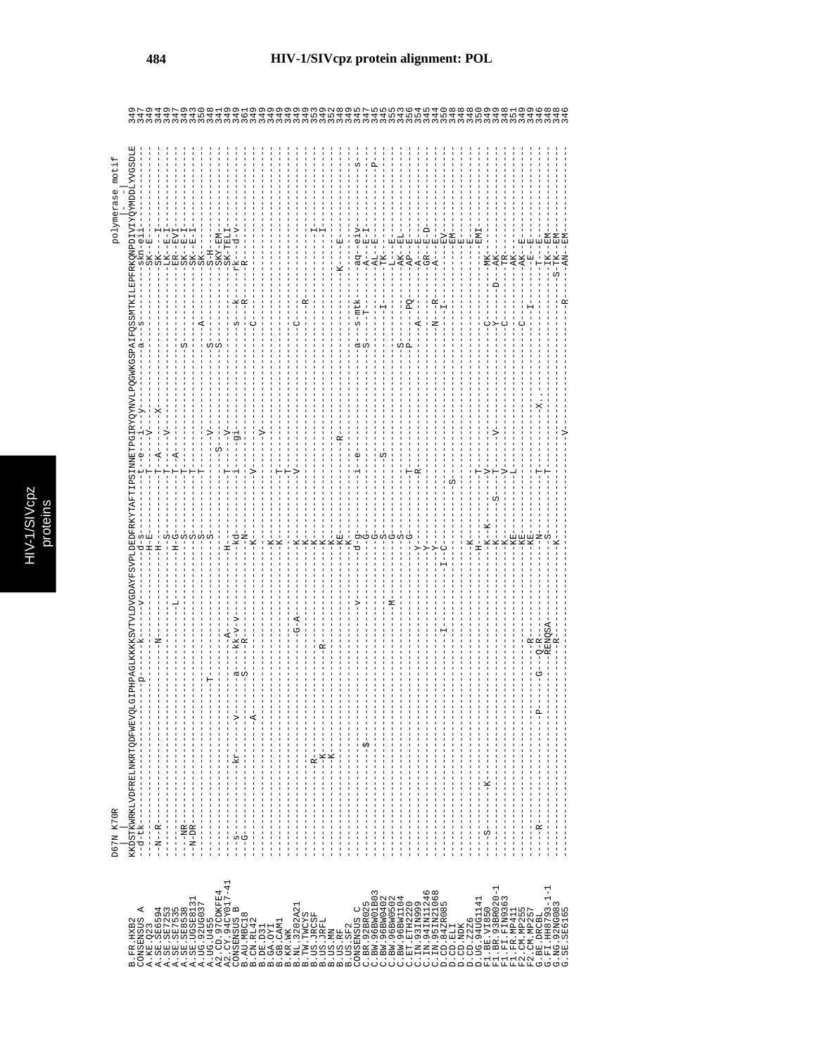|        | ŋ |
|--------|---|
|        |   |
|        | î |
| ö<br>J | J |
|        |   |
|        |   |
|        |   |
|        |   |

Н

| $- -R - R -$<br>$-1$ $-1$ $-1$ $-1$ $-1$ $-1$                                                                          |                     |                                |                                        |                                 |                                            |
|------------------------------------------------------------------------------------------------------------------------|---------------------|--------------------------------|----------------------------------------|---------------------------------|--------------------------------------------|
|                                                                                                                        | Ŧ                   | $-H-E$<br>$\frac{1}{4}$        | $\frac{1}{2}$<br>í<br>$-4 -$<br>i<br>H |                                 | --SK---E--<br>--SK-------                  |
|                                                                                                                        |                     | $-5 -$                         | $\frac{1}{2}$<br>$\frac{1}{1}$         |                                 | $-LK = -E - I$                             |
|                                                                                                                        |                     | $-1 - 5 - H -$                 | $-T=-A$ --                             |                                 | $-ER - -EVI$                               |
| $- - -$ MR $-$                                                                                                         |                     | ς<br>υ                         |                                        |                                 | $-ST - -E - I$                             |
| $- - - - - - - - - - - - -$                                                                                            |                     | i<br>က္                        | ا<br>ظ                                 |                                 |                                            |
|                                                                                                                        |                     | ω<br>I                         |                                        | $-4-$                           | $-$ - SK - - E - I -<br>- - SK - - - - - - |
|                                                                                                                        |                     | J                              | $-1$                                   | í<br>က္                         | $S - H - - -$                              |
| í<br>$\begin{array}{c} 1 \\ 1 \\ 1 \end{array}$                                                                        |                     |                                | ဂ္                                     | m                               | $SKY - EM -$                               |
| $-1$ $-1$ $-1$ $-1$ $-1$ $-1$                                                                                          | $\overline{A}$      | -<br>干                         | $-7$                                   |                                 | -SK-TELI                                   |
| $-1 - 1 - 1 - 1$<br>$-1 - 5 - 1$                                                                                       | $-kk-1$<br>ن<br>ا   | $--xd$                         | $-91$<br>I                             | ì<br>خ<br>-<br>-<br>ូ           | $-2k - - -d - v$                           |
| $-1$ - $-1$ - $-1$                                                                                                     | $\frac{1}{1}$       | $-1$ $-1$                      |                                        | $\dot{R}$                       | Ŗ                                          |
| $\frac{1}{1}$                                                                                                          | $-4$                | $-K-$                          |                                        | Ü                               |                                            |
| $\begin{array}{c} 1 \\ 1 \\ 1 \end{array}$                                                                             |                     |                                | $\frac{1}{2}$                          |                                 |                                            |
| $\frac{1}{1}$                                                                                                          |                     | $-K-$                          |                                        |                                 |                                            |
| $\begin{bmatrix} 1 \\ 1 \\ 1 \end{bmatrix}$                                                                            |                     | $- K -$                        |                                        |                                 |                                            |
| $\frac{1}{1}$                                                                                                          |                     |                                | Е                                      |                                 |                                            |
| l<br>$-1$ $-1$ $-1$ $-1$ $-1$ $-1$                                                                                     | $\vec{c}$ -         | $-K-$                          |                                        |                                 |                                            |
| I<br>ì<br>$\frac{1}{1}$                                                                                                |                     | $-K-$                          |                                        | $\frac{\alpha}{1}$              |                                            |
| ---------<br>$\begin{bmatrix} 1 \\ 1 \\ 1 \\ 1 \end{bmatrix}$                                                          |                     | $-K-$                          |                                        |                                 |                                            |
| $--- - - - - - - - -$<br>í<br>$\begin{bmatrix} 1 \\ 1 \\ 1 \end{bmatrix}$                                              | $\alpha$            | $-K-$                          |                                        |                                 |                                            |
| $- -K - - - - - -$<br>$\frac{1}{1}$                                                                                    |                     | $-K--$                         |                                        |                                 |                                            |
| J<br>$\begin{bmatrix} 1 & 1 \\ 1 & 1 \\ 1 & 1 \end{bmatrix}$<br>i<br>$\begin{array}{c} \n 1 \\  1 \\  1\n \end{array}$ |                     | $ K$ E $-$                     | œ                                      |                                 | 門                                          |
| $\frac{1}{1}$                                                                                                          |                     | $-1 - K -$                     |                                        |                                 |                                            |
| í<br>$\frac{1}{1}$                                                                                                     |                     | $\frac{1}{9}$                  | $\frac{1}{2}$                          | $-s-mtk$<br>$\mathcal{\bar{p}}$ | Ω<br>$-aq$ --eiv                           |
| $\frac{1}{1}$<br>$-\frac{5}{1}$<br>$\frac{1}{1}$                                                                       |                     | כי<br>י                        |                                        | j<br>Ì<br>U)                    |                                            |
| ţ                                                                                                                      |                     | ن<br>!                         |                                        |                                 | $-AL - E$                                  |
| i<br>$\begin{array}{c} \n\cdot & \cdot \\ \n\cdot & \cdot \\ \n\cdot & \cdot \n\end{array}$                            |                     | $\frac{5}{1}$                  | S                                      |                                 | $-{\rm TK}--$                              |
| $\frac{1}{1}$                                                                                                          | Σ                   | ウー                             |                                        |                                 | Ť<br>囯<br>$-1 - 1 -$                       |
| $\frac{1}{1}$                                                                                                          |                     | က္                             |                                        | C)                              | $-AK -EL-$                                 |
| $\frac{1}{1}$                                                                                                          |                     | ף<br>י                         | É                                      | $- - - 20$                      | ł<br>$-AP - -E$                            |
|                                                                                                                        |                     | −Y−                            |                                        |                                 |                                            |
| $\frac{1}{1}$                                                                                                          |                     |                                | $R_1$                                  | $-A$                            | $-1 - 1 - 1 - 1$                           |
| $\frac{1}{1}$                                                                                                          |                     | $\mathbf{I}$<br>ζ              |                                        |                                 | $-GR - -R - D$                             |
| $\frac{1}{1}$                                                                                                          |                     | J,<br>ץ<br>ד                   |                                        | T<br>$-N---R$                   | -A---E--                                   |
| $\begin{bmatrix} 1 \\ 1 \\ 1 \end{bmatrix}$                                                                            |                     | りーー                            |                                        | J                               | $-EV-$                                     |
| $\frac{1}{1}$                                                                                                          |                     |                                |                                        |                                 | $EM-$<br>I                                 |
| $\frac{1}{1}$                                                                                                          |                     |                                |                                        |                                 | $\frac{1}{E}$<br>I                         |
| í<br>$\frac{1}{1}$                                                                                                     |                     | $  K$                          |                                        |                                 | $\frac{1}{E}$<br>J                         |
| $-1$ $-1$ $-1$ $-1$ $-1$                                                                                               |                     | $\frac{1}{1}$                  |                                        |                                 | EMI                                        |
| $-K-$<br>Í<br>$- - - - - - - - - -$                                                                                    |                     | $- -K - -K -$                  |                                        | ↻                               | $-MK$                                      |
| $-1$ $-1$ $-1$ $-1$ $-1$ $-1$                                                                                          |                     | $-K--$                         | E                                      | ř                               | $---AK$                                    |
| $-1$ $-1$ $-1$ $-1$ $-1$ $-1$                                                                                          |                     | $-K--$                         |                                        | ΰ                               | ·TR-                                       |
| ì<br>$\frac{1}{1}$                                                                                                     |                     | $-KE$ -                        |                                        |                                 | $-AK--$                                    |
|                                                                                                                        |                     | $-KE$ -                        |                                        |                                 | $-AK - -E$                                 |
| $-1$<br>$-1$<br>$-1$<br>$-1$                                                                                           |                     |                                |                                        |                                 |                                            |
| $-1$ $-1$ $-1$ $-1$ $-1$                                                                                               | ř                   | ï<br>$-KE$                     | $\frac{1}{2}$                          |                                 | $-1 - E - E$                               |
| $-1$ – $-1$                                                                                                            | RENQSA<br>$Q - R -$ | $\frac{1}{7}$<br>$\frac{5}{1}$ |                                        |                                 | j<br>$T---E$                               |
| $-1$ $-1$ $-1$ $-1$ $-1$                                                                                               |                     |                                |                                        |                                 |                                            |
|                                                                                                                        |                     |                                |                                        |                                 | $-LK - EM -$<br>$S-TK--EN-$                |

 $\begin{smallmatrix} \texttt{R, HXBB} \\ \texttt{Q, Q, S} \\ \texttt{Q, S} \\ \texttt{Q, S} \\ \texttt{Q, S} \\ \texttt{Q, S} \\ \texttt{Q, S} \\ \texttt{Q, S} \\ \texttt{Q, S} \\ \texttt{Q, S} \\ \texttt{Q, S} \\ \texttt{Q, S} \\ \texttt{Q, S} \\ \texttt{Q, S} \\ \texttt{Q, S} \\ \texttt{Q, S} \\ \texttt{Q, S} \\ \texttt{Q, S} \\ \texttt{Q, S} \\ \texttt{Q, S} \\ \texttt{Q, S} \\ \texttt{Q, S} \\ \texttt{Q, S} \\ \texttt$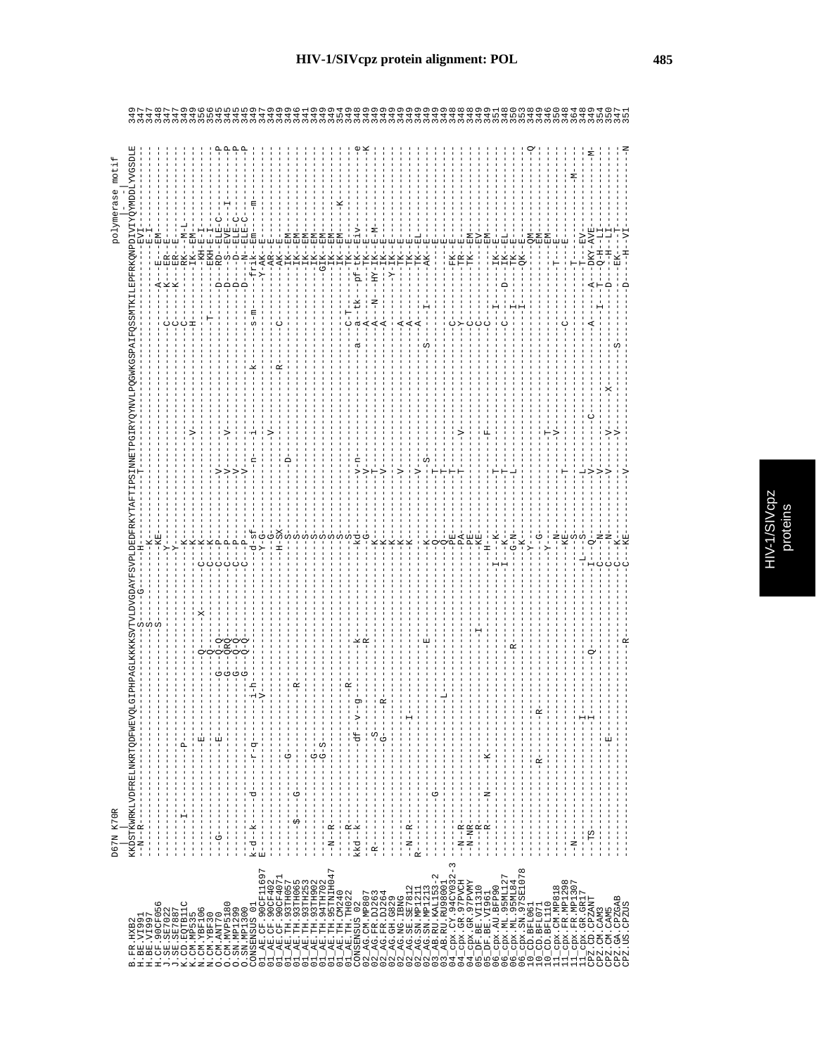|    | 7<br>ņ |
|----|--------|
|    |        |
| ń  |        |
|    |        |
| ł, |        |
| ٦  |        |

|                                            |                          |              |                  |                    | -- EM |                     |                          |   |                           |         |                                           |              |                                           |                                        |                                                      |                                                 |    |              |                                    |                                         |                                      |                                        |               |                                    |                                          |                    |                                 |                              |                             |              |                 |                    |              |                                                                                                                                                                                                                                                                                                                                                                                                                        |                                             |    |                                             |                                               |                                                     |                            |             |               |                                                   |         |   |                       |                      |    |         |      |   | -DKY-AV |             |        |    |
|--------------------------------------------|--------------------------|--------------|------------------|--------------------|-------|---------------------|--------------------------|---|---------------------------|---------|-------------------------------------------|--------------|-------------------------------------------|----------------------------------------|------------------------------------------------------|-------------------------------------------------|----|--------------|------------------------------------|-----------------------------------------|--------------------------------------|----------------------------------------|---------------|------------------------------------|------------------------------------------|--------------------|---------------------------------|------------------------------|-----------------------------|--------------|-----------------|--------------------|--------------|------------------------------------------------------------------------------------------------------------------------------------------------------------------------------------------------------------------------------------------------------------------------------------------------------------------------------------------------------------------------------------------------------------------------|---------------------------------------------|----|---------------------------------------------|-----------------------------------------------|-----------------------------------------------------|----------------------------|-------------|---------------|---------------------------------------------------|---------|---|-----------------------|----------------------|----|---------|------|---|---------|-------------|--------|----|
|                                            | 囯                        | $-ER$        | $-ER$            | Ū                  |       | EKH-                |                          |   | U)<br>$\bigcap_{i=1}^{n}$ |         |                                           |              |                                           |                                        |                                                      |                                                 |    |              |                                    |                                         |                                      |                                        |               | 7                                  | -pf-tk<br>$a - -t$                       |                    | -- XH--<br>$A---N$              | К                            |                             |              |                 |                    |              |                                                                                                                                                                                                                                                                                                                                                                                                                        |                                             | FK | FR                                          |                                               |                                                     |                            |             |               |                                                   |         |   |                       |                      |    |         |      |   |         | -<br>1<br>0 | 부<br>! | EK |
|                                            |                          |              |                  |                    |       |                     |                          |   |                           |         |                                           |              |                                           |                                        |                                                      |                                                 |    |              |                                    |                                         |                                      |                                        |               |                                    | <b>G</b>                                 |                    |                                 |                              |                             |              |                 |                    | C)           |                                                                                                                                                                                                                                                                                                                                                                                                                        |                                             |    |                                             |                                               |                                                     |                            |             |               |                                                   |         |   |                       |                      |    |         |      |   |         |             |        |    |
|                                            |                          |              |                  |                    |       |                     |                          |   |                           |         |                                           |              |                                           |                                        |                                                      |                                                 |    |              |                                    |                                         |                                      |                                        |               |                                    | n<br>7                                   |                    |                                 |                              |                             |              |                 |                    |              |                                                                                                                                                                                                                                                                                                                                                                                                                        |                                             |    |                                             |                                               |                                                     |                            |             |               |                                                   |         |   |                       |                      |    |         |      |   |         |             |        |    |
|                                            |                          |              |                  |                    |       |                     | U                        | U |                           |         | -9-                                       | ن<br>ا       |                                           | $XS - H$                               |                                                      |                                                 |    |              |                                    |                                         |                                      |                                        |               |                                    |                                          |                    |                                 |                              |                             |              |                 |                    |              |                                                                                                                                                                                                                                                                                                                                                                                                                        |                                             |    |                                             | Ed-                                           | -KE                                                 |                            |             |               | そり                                                |         |   |                       |                      |    |         |      |   |         |             |        |    |
| Ω                                          |                          |              |                  |                    |       |                     |                          |   | QRQ<br>ひ<br>ט             |         |                                           |              |                                           |                                        |                                                      |                                                 |    |              |                                    |                                         |                                      |                                        |               |                                    |                                          |                    |                                 |                              |                             |              |                 |                    |              |                                                                                                                                                                                                                                                                                                                                                                                                                        |                                             |    |                                             |                                               |                                                     |                            |             |               |                                                   |         |   |                       |                      |    |         |      |   |         |             |        |    |
|                                            |                          |              | ı                | $\mathbf{a}$<br>Ï  |       | $\frac{1}{1}$<br>J. | I<br>$\frac{1}{1}$<br>I. |   |                           | т       | п<br><del>י</del><br>י<br>$\mathcal{I} -$ |              |                                           | п<br>$\mathbf{I}$                      | $\overline{1}$<br>H<br>J.<br>Ġ                       | ŧ<br>$\mathsf I$<br>$\frac{1}{1}$               | J. | п            | J.<br>やーー                          | $\frac{1}{1}$<br>$-9 - -$               | I.<br>ł.<br>1<br>I.                  | ı<br>$\frac{1}{1}$<br>I                |               |                                    | $-1 - 1 - 1$<br>$---df$<br>$\frac{1}{1}$ | I<br>$\frac{1}{1}$ | $\frac{1}{1}$<br>$- - - S$<br>ł | Ţ<br>ł<br>$-9 - 1$<br>J<br>I |                             |              | $-1$<br>İ       |                    |              |                                                                                                                                                                                                                                                                                                                                                                                                                        |                                             |    |                                             |                                               | í<br>J<br>$\frac{1}{1}$<br>$\overline{\phantom{a}}$ |                            |             | $\frac{1}{1}$ | $\begin{array}{c} \n 1 \\  1 \\  1\n \end{array}$ |         | í | $- R$<br>I<br>$--R$ - | J.                   |    |         |      | 부 |         |             | 님<br>- |    |
| $\frac{1}{1}$<br>ï<br>$---N---R$<br>т<br>т | $\overline{1}$<br>H<br>J | J,<br>т<br>л | ı<br>I<br>I<br>ı | $\frac{1}{1}$<br>H |       | ш<br>ı<br>п         | りー                       |   | ì<br>1<br>ï               | ı<br>I. | I<br>т<br>ï<br>್<br>-                     | I<br>J.<br>I | I<br>I<br>I<br>п<br>I<br>ï<br>I<br>п<br>I | $\frac{1}{1}$<br>I<br>Î<br>I<br>1<br>ï | $\overline{1}$<br>H<br>$\overline{\phantom{a}}$<br>H | $\mathbf{I}$<br>$-9 - -2 - -1$<br>$\frac{1}{1}$ |    | ı<br>п<br>I. | $\overline{1}$<br>п<br>$\mathsf I$ | п<br>I<br>H<br>$\overline{\phantom{a}}$ | т<br>1<br>$\mathbf{I}$<br>$- -N - R$ | I<br>$\frac{1}{1}$<br>I<br>т<br>ï<br>Í | $\frac{1}{1}$ | ï<br>---------------<br>kkd--k---- | $\frac{1}{1}$                            | ı<br>ţ             | I<br>ł<br>$- R - -$             | í<br>I<br>$\frac{1}{1}$      | $\mathbf{I}$<br>$\mathsf I$ | т<br>т<br>ï. | ł<br>$- -N - R$ | $\frac{1}{\alpha}$ | I<br>I<br>ł. | $-1$ - 5 - 5 - $-$<br>I<br>l.<br>ţ<br>$\begin{array}{c} \rule{0pt}{2.5ex} \rule{0pt}{2.5ex} \rule{0pt}{2.5ex} \rule{0pt}{2.5ex} \rule{0pt}{2.5ex} \rule{0pt}{2.5ex} \rule{0pt}{2.5ex} \rule{0pt}{2.5ex} \rule{0pt}{2.5ex} \rule{0pt}{2.5ex} \rule{0pt}{2.5ex} \rule{0pt}{2.5ex} \rule{0pt}{2.5ex} \rule{0pt}{2.5ex} \rule{0pt}{2.5ex} \rule{0pt}{2.5ex} \rule{0pt}{2.5ex} \rule{0pt}{2.5ex} \rule{0pt}{2.5ex} \rule{0$ | ì<br>J<br>п<br>J<br>J<br>J<br>$\frac{1}{1}$ |    | I<br>I.<br>I<br>$\frac{1}{1}$<br>$- -N - R$ | $\frac{1}{1}$<br>$\frac{1}{1}$<br>$- -N - NR$ | J<br>$\frac{1}{1}$<br>Ť<br>$-----R$                 | $-1$ – $N$<br>$---R$<br>Ť. | I<br>п<br>j | I.<br>Ť       | J<br>J<br>J<br>j                                  | I<br>J. | п | I<br>J                | J.<br>$\overline{1}$ | J. | т<br>I. | $-1$ |   | $-5T-$  | I<br>п      | J      |    |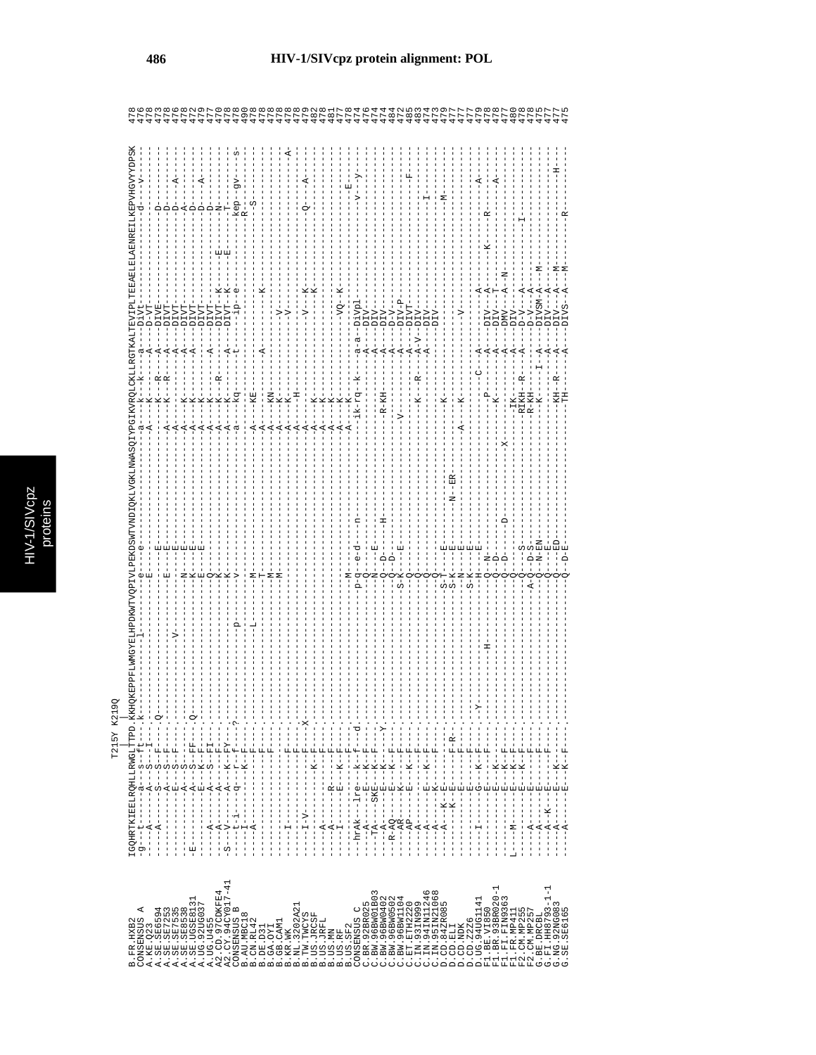$T215Y K219Q$ 

| <b>SELLANDHAGENT</b>                                                    |                                                                     |                                                                                                                                                                                                                                                                                                                                                                                                                                                             |                                                 | $-4$                                                                  |                                     | $\mathsf \Omega$                                                      | $\dot{A}$                                | $\begin{array}{ccc} - & - \\ - & - \\ + & - \end{array}$ | $\frac{1}{1}$         |                                                                           |                      | -kep--gv                                                                                                                                                                                                                                                      |                                                     |        |                     |                                                             |                                                              |                                                                                                                                                                                                                                                                                                                                                                                                     | $\overline{A}$          |                                      |                                                               |       |             |                                                                                                          |                              |       |                         |          |                                 |                         |                                                                                                                                                                                                                                                                                                                 |                                                               |                  |                 | -M                                                                                                               |                                                                    |                     |                               |    | Ŗ                        | $\vec{A}$                    |                      |                                                                                                                                                                                                                                                                                                                                                                                                          |                                           |                    |                                     |                          |                           |                   |
|-------------------------------------------------------------------------|---------------------------------------------------------------------|-------------------------------------------------------------------------------------------------------------------------------------------------------------------------------------------------------------------------------------------------------------------------------------------------------------------------------------------------------------------------------------------------------------------------------------------------------------|-------------------------------------------------|-----------------------------------------------------------------------|-------------------------------------|-----------------------------------------------------------------------|------------------------------------------|----------------------------------------------------------|-----------------------|---------------------------------------------------------------------------|----------------------|---------------------------------------------------------------------------------------------------------------------------------------------------------------------------------------------------------------------------------------------------------------|-----------------------------------------------------|--------|---------------------|-------------------------------------------------------------|--------------------------------------------------------------|-----------------------------------------------------------------------------------------------------------------------------------------------------------------------------------------------------------------------------------------------------------------------------------------------------------------------------------------------------------------------------------------------------|-------------------------|--------------------------------------|---------------------------------------------------------------|-------|-------------|----------------------------------------------------------------------------------------------------------|------------------------------|-------|-------------------------|----------|---------------------------------|-------------------------|-----------------------------------------------------------------------------------------------------------------------------------------------------------------------------------------------------------------------------------------------------------------------------------------------------------------|---------------------------------------------------------------|------------------|-----------------|------------------------------------------------------------------------------------------------------------------|--------------------------------------------------------------------|---------------------|-------------------------------|----|--------------------------|------------------------------|----------------------|----------------------------------------------------------------------------------------------------------------------------------------------------------------------------------------------------------------------------------------------------------------------------------------------------------------------------------------------------------------------------------------------------------|-------------------------------------------|--------------------|-------------------------------------|--------------------------|---------------------------|-------------------|
| 7−<br>G                                                                 | DIVE-                                                               |                                                                                                                                                                                                                                                                                                                                                                                                                                                             | <b>DIVT</b>                                     | DIVT.                                                                 | -DIVT-                              |                                                                       | DIVT.                                    | <b>LAID</b> .                                            | DIVT--K               | <b>LAID</b>                                                               |                      | Ò                                                                                                                                                                                                                                                             |                                                     |        |                     | ÷                                                           |                                                              |                                                                                                                                                                                                                                                                                                                                                                                                     |                         |                                      |                                                               |       | $-VQ$ ––K   |                                                                                                          | <b>DiVpl</b><br>$a - a$      | -VIV- | -DIV-<br>$\overline{A}$ | DIV.     | $D-V-1$<br>$\stackrel{1}{\sim}$ | DIV-P<br>$\overline{A}$ | DIVT-                                                                                                                                                                                                                                                                                                           | DIV-                                                          |                  |                 |                                                                                                                  |                                                                    |                     |                               |    | --VID                    | --<br>--VMG<br>--WMG         | $A - N$              | $DY-V-$                                                                                                                                                                                                                                                                                                                                                                                                  | $D-V-$                                    | $D-V$ -            | DIVSM-A-                            | $DY-$                    |                           | DIVS-             |
|                                                                         |                                                                     | $R \nrightarrow R$                                                                                                                                                                                                                                                                                                                                                                                                                                          | $\frac{1}{\mathcal{A}}$                         | $\overline{A}$                                                        | $\overline{A}$                      | $A -$                                                                 | $\overline{A}$                           | $\overline{A}$                                           | 叫<br>$\overline{A}$   | $\overline{A}$                                                            |                      | ta<br>-<br>$\frac{1}{\sigma}$                                                                                                                                                                                                                                 | $-KE$<br>$A -$                                      |        | $-$ KN $-$<br>$A -$ | $-K--$<br>$\overline{A}$                                    | $\overline{A}$                                               | $\frac{1}{1}$<br>$\overline{A}$                                                                                                                                                                                                                                                                                                                                                                     |                         | $-4-$                                | $\overline{A}$                                                | $A -$ |             |                                                                                                          | lk-rg--k                     |       |                         | $R - KH$ |                                 |                         |                                                                                                                                                                                                                                                                                                                 |                                                               |                  |                 |                                                                                                                  |                                                                    |                     |                               |    |                          |                              |                      | $-TK--$                                                                                                                                                                                                                                                                                                                                                                                                  | RIKH--R                                   | $R-KH-$            |                                     |                          |                           |                   |
|                                                                         | 囯                                                                   |                                                                                                                                                                                                                                                                                                                                                                                                                                                             | 囸                                               | 囸                                                                     | 囯                                   | 囸                                                                     |                                          |                                                          |                       |                                                                           |                      |                                                                                                                                                                                                                                                               |                                                     |        |                     |                                                             |                                                              |                                                                                                                                                                                                                                                                                                                                                                                                     |                         |                                      |                                                               |       |             |                                                                                                          | $e^{-\theta}$                |       | -<br>- - -<br>- -       | $-1$     |                                 |                         |                                                                                                                                                                                                                                                                                                                 |                                                               |                  |                 | ۴Ì                                                                                                               | - - ER<br>$\begin{array}{c} 14 \\ 14 \\ 14 \end{array}$<br>$S - K$ |                     | $\frac{1}{2}$                 | ۳ļ | $-1 - N - 1$             | $\overline{Q}$               | $\frac{1}{1}$        |                                                                                                                                                                                                                                                                                                                                                                                                          |                                           | $D-S$              | $\mathbf{N}-\mathbf{E}\mathbf{N}$   |                          |                           | $D - E$           |
| <b>EPPFLWMGYELHPDKI</b><br>IGQHRTKIEELRQHLLRWGLTTPD<br>$- -3 - -8 - -1$ | $S--F--$<br>$S = -1$<br>$- - 5 - -$                                 | J<br>厍<br>Ŧ                                                                                                                                                                                                                                                                                                                                                                                                                                                 | w                                               | J<br>Ŀц<br>Ŧ<br>ω                                                     | $\frac{1}{1}$<br>C)<br>$-1 - -1$    | $-$ FFF $-$<br>w                                                      |                                          |                                                          |                       | $- X \underline{A} - - X - - - \underline{Y} - - - - - \Lambda - - - \Xi$ | $\frac{1}{1}$        | $\frac{1}{1}$                                                                                                                                                                                                                                                 | $\mathbf{I}$<br>Ţ<br>$\frac{1}{1}$<br>$\frac{1}{1}$ | ł<br>中 | $\blacksquare$      | $\frac{1}{1}$<br>$\begin{array}{c} 1 \\ 1 \\ 1 \end{array}$ | $\frac{1}{1}$                                                | $\frac{1}{2} + \frac{1}{2} \frac{1}{2} + \frac{1}{2} + \frac{1}{2} + \frac{1}{2} + \frac{1}{2} + \frac{1}{2} + \frac{1}{2} + \frac{1}{2} + \frac{1}{2} + \frac{1}{2} + \frac{1}{2} + \frac{1}{2} + \frac{1}{2} + \frac{1}{2} + \frac{1}{2} + \frac{1}{2} + \frac{1}{2} + \frac{1}{2} + \frac{1}{2} + \frac{1}{2} + \frac{1}{2} + \frac{1}{2} + \frac{1}{2} + \frac{1}{2} + \frac{1}{2} + \frac{1}{$ | Ï<br>$\frac{1}{1}$      | $\frac{1}{1}$                        | Í                                                             | ţ     |             | í<br>$\begin{array}{c} \n\downarrow \\ \downarrow \\ \downarrow\n\end{array}$<br>I<br>I<br>$\frac{1}{1}$ | j                            | í     | I                       |          | J                               | ì                       | $\frac{1}{1}$                                                                                                                                                                                                                                                                                                   | Ŧ<br>J.<br>$\mathsf I$<br>$\sf I$<br>J.<br>$\mathbf{I}$<br>Ť. | ł<br>É<br>J      | $\mathsf I$     | J<br>$\begin{array}{c} \begin{array}{c} \text{1} \\ \text{1} \\ \text{1} \\ \text{1} \end{array} \\ \end{array}$ | $- - - - - - - R$<br>l                                             | Ť                   | ł<br>Ŀ.<br>Ţ<br>$\frac{1}{1}$ | ł  | $\overline{\phantom{a}}$ | $---X---$<br>国国              | ł<br>Ŀ,<br>$---X---$ | $\frac{1}{2} - -\frac{1}{2} - -\frac{1}{2} - \frac{1}{2} - \frac{1}{2} - \frac{1}{2} - \frac{1}{2} - \frac{1}{2} - \frac{1}{2} - \frac{1}{2} - \frac{1}{2} - \frac{1}{2} - \frac{1}{2} - \frac{1}{2} - \frac{1}{2} - \frac{1}{2} - \frac{1}{2} - \frac{1}{2} - \frac{1}{2} - \frac{1}{2} - \frac{1}{2} - \frac{1}{2} - \frac{1}{2} - \frac{1}{2} - \frac{1}{2} - \frac{1}{2} - \frac{1}{2} - \frac$<br>闰 | 闰                                         | i<br>$\frac{1}{1}$ | $\frac{1}{1}$<br>ı<br>$\frac{1}{1}$ | $-1$ $-1$ $-1$ $-1$ $-1$ | $---X---$<br>÷<br>¦       | --A------E---K--F |
| $-9 - - + - - - -$<br>A,<br><b>B.FR.HXB2</b><br>CONSENSUS               | $- - - - - - - - - - - -$<br>$- - - - - - - - - - - -$<br>A.KE. Q23 | $\begin{array}{l} \text{A. SE} & \text{SE} & \text{SE} & \text{SE} & \text{SE} & \text{SE} & \text{SE} & \text{SE} & \text{SE} & \text{SE} & \text{SE} & \text{SE} & \text{SE} & \text{SE} & \text{SE} & \text{SE} & \text{SE} & \text{SE} & \text{SE} & \text{SE} & \text{SE} & \text{SE} & \text{SE} & \text{SE} & \text{SE} & \text{SE} & \text{SE} & \text{SE} & \text{SE} & \text{SE} & \text{SE} & \text{SE} & \text{SE} & \text{SE} & \text{SE} & \$ | $\begin{array}{c} 1 \\ 1 \\ 1 \\ 1 \end{array}$ | $\begin{array}{c} 1 \\ 1 \\ 1 \end{array}$<br>Ţ<br>$\frac{1}{1}$<br>I | Ĩ<br>$\frac{1}{1}$<br>$\frac{1}{1}$ | $\frac{1}{1}$<br>$\begin{array}{c} 1 \\ 1 \\ 1 \\ 1 \end{array}$<br>囸 | $\frac{1}{1}$<br>J<br>$\frac{1}{1}$<br>J |                                                          | $- - - - - - - - - -$ |                                                                           | -------------------- | $\begin{array}{c} \n 1 \\  1 \\  1\n \end{array}$<br>$-1$ - $-1$<br>$\begin{array}{ll} {\tt CONSHSUS} & {\tt B} \\ {\tt B.AU. MBC18} \\ {\tt B.CN.RI-22} \\ {\tt B.CN.D31} \\ {\tt B.D31} \\ {\tt B.CB.CAMI} \\ {\tt B.CB.CAMI} \\ {\tt B.KR.WK} \end{array}$ | $- - - - - - - - - - - -$                           |        |                     | I                                                           | $\begin{bmatrix} 1 \\ 1 \\ 1 \\ 1 \end{bmatrix}$<br>$-1 - 1$ | $-1$ $-1$ $-1$ $-1$ $-1$ $-1$                                                                                                                                                                                                                                                                                                                                                                       | $- - - - 1 - 1 - - - -$ | $-1$<br>$-1$<br>$-1$<br>$-1$<br>$-1$ | ´ + + + + + + + + + + + + + <del>α</del> + +<br>$\frac{1}{1}$ |       | $- - - - 1$ | $\frac{1}{1}$<br>$\begin{bmatrix} 1 \\ 1 \\ 1 \\ 1 \end{bmatrix}$                                        | CONSENSUS C<br>C.BR. 92BR025 |       |                         |          |                                 | ----AR-----K------      | $\begin{smallmatrix} 1 & 180 & 96\, \mathrm{B}80\, 01\, \mathrm{B}0\, 3\\ 1 & 180 & 96\, \mathrm{B}80\, 05\, 02\\ 1 & 180 & 96\, \mathrm{B}80\, 05\, 02\\ 1 & 180 & 96\, \mathrm{B}80\, 11\, 04\\ 1 & 180 & 96\, \mathrm{B}80\, 11\, 04\\ 1 & 11 & 13\, \mathrm{I}13\, 9\, 9\\ 1 & 11 & 13\, \mathrm{I}13\, 9\$ |                                                               | ---------------- | --------------- | $---24---K--E$                                                                                                   | -------K--E                                                        | 昭  -  -  -  -  -  - | 昭  -  -  -  -  -  -           |    |                          | Ţ<br>ţ<br>$\frac{1}{1}$<br>I |                      |                                                                                                                                                                                                                                                                                                                                                                                                          | Ţ<br>$-1$<br>$-1$<br>$-1$<br>$-1$<br>$-1$ | -------------      | ------------                        | $----P-1$                | $- - - - - - - - - - - -$ |                   |

ת האופן האופן האירופים מספר האופן האופן האירופים והוא האירופים מספר האופן האירופים והוא מספר האירופים והוא מספ<br>אראן אירופים אופן האירופים והוא מספר האירופים והוא מספר המספר האירופים והוא מספר האירופים והוא מספר האירופים ו

HIV-1/SIVcpz protein alignment: POL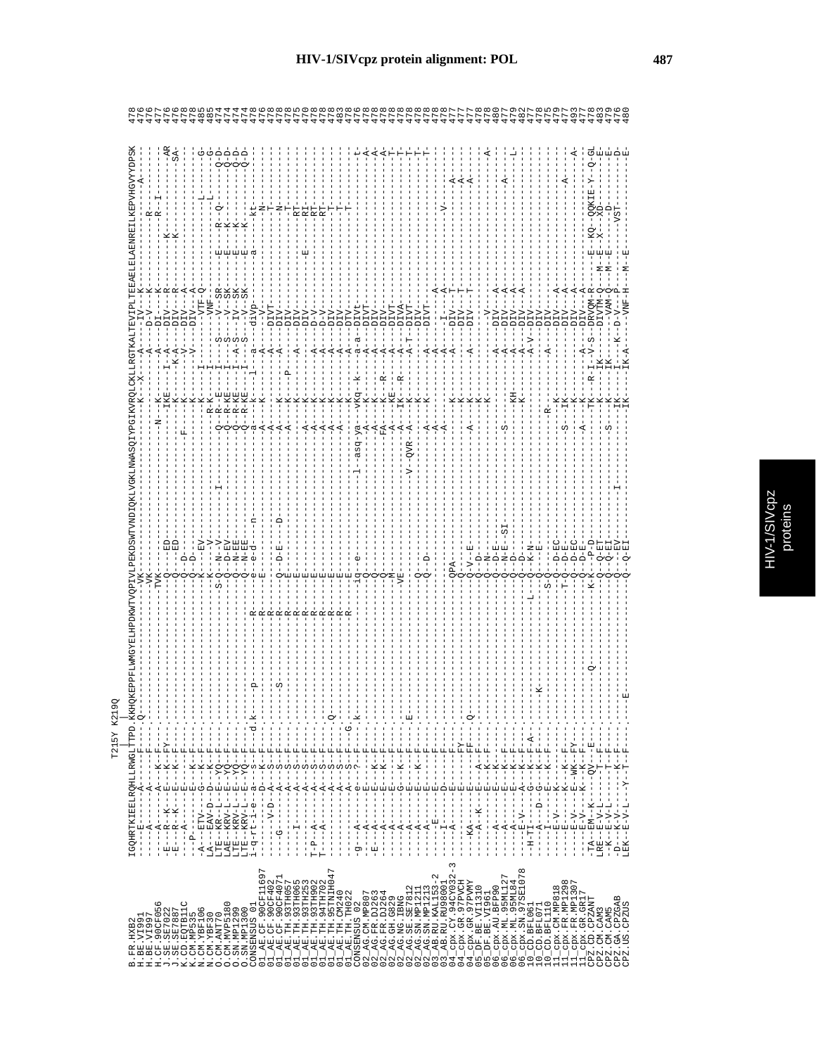| ٠ |
|---|
|   |
|   |
|   |
|   |

T215Y K219Q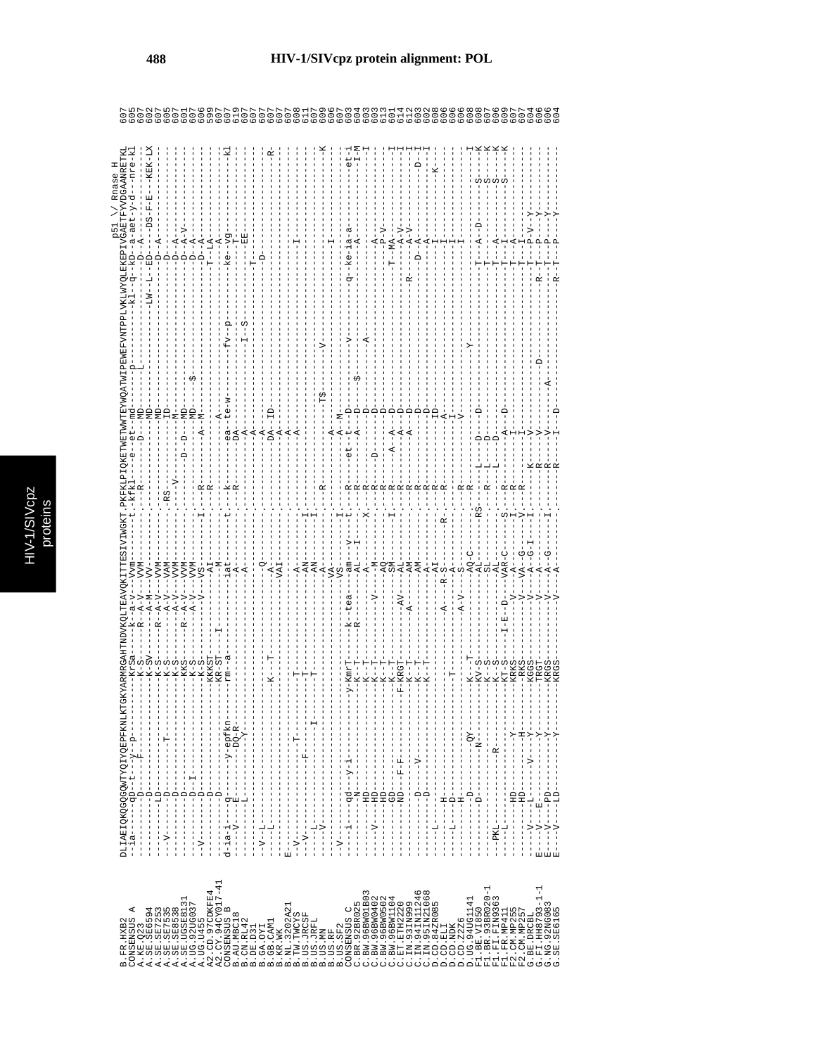| $\overline{\phantom{a}}$<br>$\frac{1}{1}$<br>$\frac{1}{1}$           | $-1$                                                                                                     | Kr <sub>S</sub> | $-V$<br>$R - -A - V -$<br>$- - - - - - - - -$ |          |               | ġ                     |         | --ED-----DS-F-E----KEK-LX<br>$- -a - a$ et-y-d---nre-k<br>$\overline{1}$ |                                                                                                                                                                                                                        |
|----------------------------------------------------------------------|----------------------------------------------------------------------------------------------------------|-----------------|-----------------------------------------------|----------|---------------|-----------------------|---------|--------------------------------------------------------------------------|------------------------------------------------------------------------------------------------------------------------------------------------------------------------------------------------------------------------|
|                                                                      | $\frac{1}{1}$<br>$- - \mathbf{L} \mathbf{D} - -$                                                         |                 | VVM<br>$R - A - V -$                          |          |               | e<br>N-               |         | $-D$ –– $A$ –                                                            |                                                                                                                                                                                                                        |
|                                                                      | $-1$ $-1$ $-1$ $-1$ $-1$ $-1$                                                                            |                 | VAN-<br>$-1 - A - V -$                        |          |               | $-10$                 |         | $-1$                                                                     |                                                                                                                                                                                                                        |
| I                                                                    | $-1$ - $-1$                                                                                              |                 | VVM.<br>$---A-V-$                             |          |               | −W.                   |         |                                                                          |                                                                                                                                                                                                                        |
| Í<br>I<br>ì                                                          | $-$ -D $-$                                                                                               |                 | <b>NVA</b><br>$-R - R - N -$                  |          |               | $-M--I--I$            |         |                                                                          |                                                                                                                                                                                                                        |
| <br>   <br>   <br> <br>$\frac{1}{1}$                                 | $-1 - 1 - 1 - 1$                                                                                         |                 | <b>NVM</b><br>$-1 - A - V -$                  |          |               |                       |         |                                                                          |                                                                                                                                                                                                                        |
|                                                                      | $-1 - 1$                                                                                                 |                 | $VST - 21$                                    |          | $-4$          | $- -A - -M -$         |         |                                                                          |                                                                                                                                                                                                                        |
|                                                                      | $\frac{1}{1}$<br>$-1 - 1$                                                                                | KKKST-          |                                               |          |               |                       |         |                                                                          |                                                                                                                                                                                                                        |
| í<br>í                                                               | $\frac{1}{1}$                                                                                            | $-KR-ST$        |                                               |          |               |                       |         |                                                                          |                                                                                                                                                                                                                        |
|                                                                      | d-ia-i--------------------------                                                                         |                 | iat                                           |          |               | $--ea--te-w$          | $f-v-p$ | $-ke -vg -$                                                              |                                                                                                                                                                                                                        |
|                                                                      |                                                                                                          |                 |                                               |          |               | $--pA--$              |         |                                                                          |                                                                                                                                                                                                                        |
|                                                                      | $-1$ - $-1$ - $-1$<br>ì                                                                                  |                 | Ļ.                                            |          |               | $- -A -$<br>$- - P -$ |         |                                                                          |                                                                                                                                                                                                                        |
| $- - - - - - - - - - - -$                                            | $\frac{1}{1}$                                                                                            |                 |                                               |          |               |                       |         |                                                                          |                                                                                                                                                                                                                        |
| $-1$ $-1$ $-1$ $-1$ $-1$                                             | İ<br>$\frac{1}{1}$                                                                                       |                 |                                               |          |               | $-DA--ID$             |         |                                                                          |                                                                                                                                                                                                                        |
| $-1$ $-1$ $-1$ $-1$ $-1$ $-1$                                        |                                                                                                          |                 | $-VAT$                                        |          |               | $-4-$                 |         |                                                                          |                                                                                                                                                                                                                        |
| $\begin{bmatrix} 1 \\ 1 \\ 1 \end{bmatrix}$<br>ţ                     |                                                                                                          |                 |                                               |          |               |                       |         |                                                                          |                                                                                                                                                                                                                        |
| ---------                                                            | $---T---T---$                                                                                            | ÷               | $A -$                                         |          |               |                       |         |                                                                          |                                                                                                                                                                                                                        |
| --------                                                             | Î                                                                                                        | $\frac{1}{1}$   | $-KA$ -                                       |          |               |                       |         |                                                                          |                                                                                                                                                                                                                        |
|                                                                      | Ţ                                                                                                        |                 |                                               |          |               |                       |         |                                                                          |                                                                                                                                                                                                                        |
| $- - - - - - - - - -$                                                |                                                                                                          |                 |                                               |          |               |                       |         |                                                                          |                                                                                                                                                                                                                        |
|                                                                      | I<br>J<br>J<br>ı<br>I<br>I                                                                               |                 |                                               |          |               |                       |         |                                                                          |                                                                                                                                                                                                                        |
| $-V - - - - - - - -$                                                 | $\frac{1}{1}$                                                                                            |                 |                                               |          |               | $-1 - 2 - 1$          |         |                                                                          |                                                                                                                                                                                                                        |
|                                                                      | $-1$                                                                                                     | -KmrT           | $k$ --tea-                                    |          |               | $et--t---D$           |         | $-a - k e - i a - a$                                                     | $-eE$                                                                                                                                                                                                                  |
| $1 - 2 - 1 - 1 - 1 - 1 - 1$<br>i                                     |                                                                                                          |                 |                                               |          |               | $---A---D$            |         |                                                                          | Σ<br>!                                                                                                                                                                                                                 |
|                                                                      | í                                                                                                        |                 |                                               |          |               |                       |         |                                                                          |                                                                                                                                                                                                                        |
|                                                                      |                                                                                                          |                 |                                               |          |               |                       |         |                                                                          |                                                                                                                                                                                                                        |
|                                                                      |                                                                                                          |                 |                                               |          |               |                       |         |                                                                          |                                                                                                                                                                                                                        |
| $-1$                                                                 | $\frac{1}{1}$                                                                                            |                 |                                               |          | ĸ             |                       |         |                                                                          |                                                                                                                                                                                                                        |
| i                                                                    | ì                                                                                                        | $F - K R G T$   | $-AL$                                         |          | Ř             |                       |         | $-1 - A - V -$                                                           |                                                                                                                                                                                                                        |
| $-1$ $-1$ $-1$ $-1$ $-1$ $-1$ $-1$                                   | $\frac{1}{1}$                                                                                            | $-1 - 3 -$      | $-MA$ -                                       |          | $R + R$       |                       |         |                                                                          |                                                                                                                                                                                                                        |
|                                                                      | $- - -V - - -$<br>$-1$                                                                                   |                 | $-AM$                                         |          |               |                       |         |                                                                          |                                                                                                                                                                                                                        |
| i                                                                    |                                                                                                          |                 |                                               |          | $-\mathbf{R}$ |                       |         |                                                                          |                                                                                                                                                                                                                        |
| ------------<br>í                                                    |                                                                                                          |                 |                                               |          |               |                       |         |                                                                          | $-K-1$                                                                                                                                                                                                                 |
|                                                                      |                                                                                                          |                 | $A - - - - R - S -$                           |          |               |                       |         |                                                                          |                                                                                                                                                                                                                        |
| $---1---1---1---1---$<br>i                                           | $\frac{1}{1}$                                                                                            |                 |                                               |          |               |                       |         |                                                                          |                                                                                                                                                                                                                        |
|                                                                      |                                                                                                          |                 | $-A-V-$                                       |          |               |                       |         |                                                                          |                                                                                                                                                                                                                        |
| -------------<br>ì                                                   | $-1 - XQ - - - -$                                                                                        |                 |                                               | $-AQ-C$  |               |                       |         |                                                                          |                                                                                                                                                                                                                        |
| I                                                                    |                                                                                                          |                 |                                               |          |               | $-1$ - $-1$ - $-1$    |         |                                                                          | $\frac{1}{2}$ = $\frac{1}{2}$ = $\frac{1}{2}$ = $\frac{1}{2}$<br>= $\frac{1}{2}$ = $\frac{1}{2}$ = $\frac{1}{2}$<br>= $\frac{1}{2}$ = $\frac{1}{2}$ = $\frac{1}{2}$<br>= $\frac{1}{2}$ = $\frac{1}{2}$ = $\frac{1}{2}$ |
| ---PKL--------                                                       | $-1$ $-1$ $-1$ $-1$ $-1$ $-1$ $-1$<br>$- - R - - - -$<br>$\begin{array}{c} 1 \\ 1 \\ 1 \end{array}$      |                 |                                               |          | $- R -$       |                       |         |                                                                          |                                                                                                                                                                                                                        |
|                                                                      |                                                                                                          |                 |                                               |          |               |                       |         |                                                                          |                                                                                                                                                                                                                        |
| $-1 - 1 - 1 - 1$                                                     | - - - Y - - - - - -<br>$\frac{1}{1}$<br>$\frac{1}{1}$<br>$\begin{array}{c} 1 \\ 1 \\ 1 \\ 1 \end{array}$ |                 |                                               | $VAR-C-$ | $-R-$         |                       |         | $-1$ $-1$ $-1$ $-1$ $-1$                                                 |                                                                                                                                                                                                                        |
| $\frac{1}{1}$<br>í                                                   | $-1$                                                                                                     | -RKS            |                                               |          |               |                       |         | $-T - - - - - - - -$<br>$-1$                                             |                                                                                                                                                                                                                        |
|                                                                      | --Y--<br>$-1$ $-1$                                                                                       | -KGGS           | $-V$ – $-1$<br>$-V-1$                         |          |               |                       |         | $-X--Y$ $-Y$ $-Y$ $-Y$                                                   |                                                                                                                                                                                                                        |
|                                                                      | Y-                                                                                                       | TRG.            | $\frac{1}{2}$                                 |          |               |                       |         |                                                                          |                                                                                                                                                                                                                        |
| $- -qq - - - -V - -$<br>$\begin{array}{c} 1 \ \ 1 \ \ 1 \end{array}$ | --Y---                                                                                                   |                 |                                               |          |               |                       |         |                                                                          |                                                                                                                                                                                                                        |
|                                                                      |                                                                                                          |                 | $-V-1$                                        |          |               |                       |         |                                                                          |                                                                                                                                                                                                                        |

## HIV-1/SIVcpz protein alignment: POL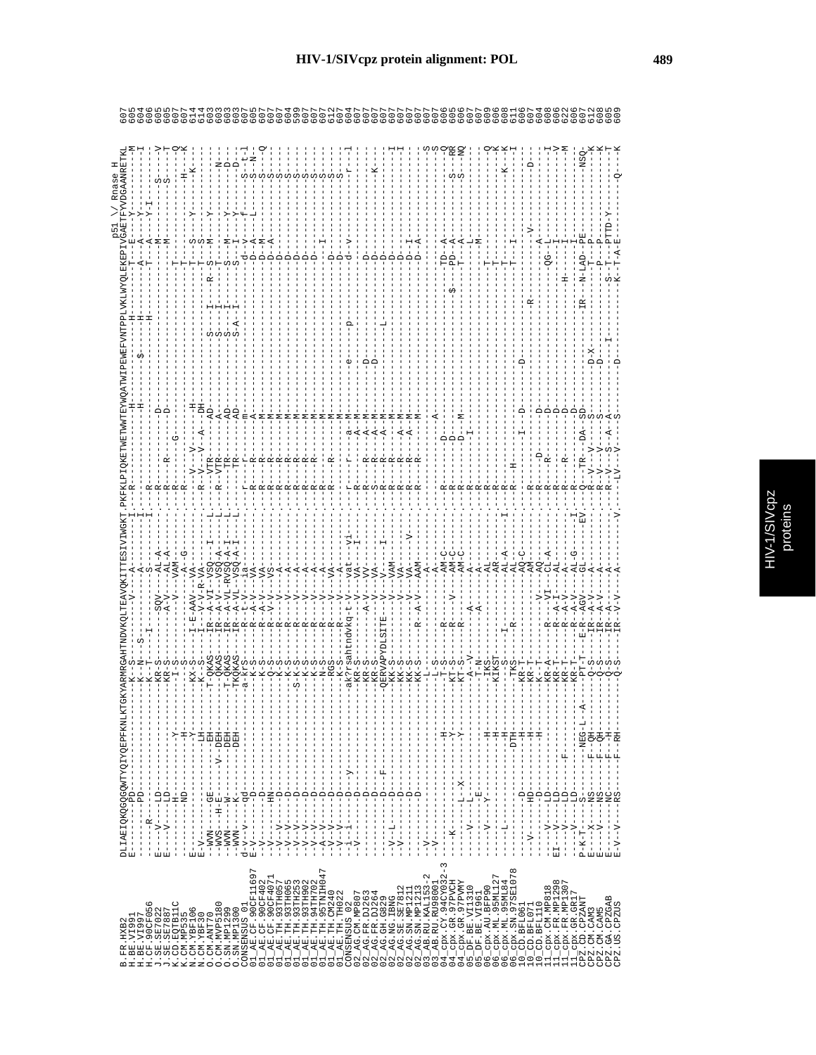|   | ń |
|---|---|
|   | ñ |
|   |   |
| ¢ |   |
|   |   |
|   |   |
|   |   |
|   |   |

|                                                                                                                                                                                          |                                                                                                                  |            |                                           |              |                     |               |                                                                         |                                                       |                   |                      |                           |                                            |                 |                 |        |                     | 000000 |                     |                                                 |                              |                                                                                                                                                                                                                                                                                                                              | ្ណុខ្ល                          |                    |                      |                            |              |                                  |                       |                                        |                     |                                     |                        |                                                 |                                                                                                                                                                                                                                                                                                                                                                       |                              |                                    |                                                                                |                     | $\circ$         |               |               |                                               |                     |                                                                                                                                                                                                                                                                                                                                                                                       | 0000                               |                                          |        |                                                                                                                                                                                                                                                                                                                                                                                                                                                                   |                              |                              |                              |                        |                                                                                                                                                                                                                                                                                                                                                                              |                        |                                                      |                               |
|------------------------------------------------------------------------------------------------------------------------------------------------------------------------------------------|------------------------------------------------------------------------------------------------------------------|------------|-------------------------------------------|--------------|---------------------|---------------|-------------------------------------------------------------------------|-------------------------------------------------------|-------------------|----------------------|---------------------------|--------------------------------------------|-----------------|-----------------|--------|---------------------|--------|---------------------|-------------------------------------------------|------------------------------|------------------------------------------------------------------------------------------------------------------------------------------------------------------------------------------------------------------------------------------------------------------------------------------------------------------------------|---------------------------------|--------------------|----------------------|----------------------------|--------------|----------------------------------|-----------------------|----------------------------------------|---------------------|-------------------------------------|------------------------|-------------------------------------------------|-----------------------------------------------------------------------------------------------------------------------------------------------------------------------------------------------------------------------------------------------------------------------------------------------------------------------------------------------------------------------|------------------------------|------------------------------------|--------------------------------------------------------------------------------|---------------------|-----------------|---------------|---------------|-----------------------------------------------|---------------------|---------------------------------------------------------------------------------------------------------------------------------------------------------------------------------------------------------------------------------------------------------------------------------------------------------------------------------------------------------------------------------------|------------------------------------|------------------------------------------|--------|-------------------------------------------------------------------------------------------------------------------------------------------------------------------------------------------------------------------------------------------------------------------------------------------------------------------------------------------------------------------------------------------------------------------------------------------------------------------|------------------------------|------------------------------|------------------------------|------------------------|------------------------------------------------------------------------------------------------------------------------------------------------------------------------------------------------------------------------------------------------------------------------------------------------------------------------------------------------------------------------------|------------------------|------------------------------------------------------|-------------------------------|
|                                                                                                                                                                                          |                                                                                                                  |            |                                           |              |                     | ÷             |                                                                         |                                                       |                   | $-1$                 | $\frac{1}{1}$             |                                            |                 | w               | w      | w                   |        | w                   | w                                               | m                            | τn                                                                                                                                                                                                                                                                                                                           | w                               | C                  | CO.                  |                            |              |                                  |                       |                                        |                     |                                     |                        |                                                 |                                                                                                                                                                                                                                                                                                                                                                       |                              |                                    |                                                                                | - RR<br>Ω           | $-50$<br>J<br>S |               |               |                                               |                     |                                                                                                                                                                                                                                                                                                                                                                                       |                                    |                                          |        | $\frac{1}{1}$                                                                                                                                                                                                                                                                                                                                                                                                                                                     |                              |                              |                              |                        | $-NSQ$                                                                                                                                                                                                                                                                                                                                                                       |                        |                                                      |                               |
| VNTPPLVKLWYQLEKEPIVGAETFYVDGAANRE                                                                                                                                                        |                                                                                                                  |            |                                           |              |                     |               |                                                                         |                                                       |                   |                      | ÷W.                       |                                            |                 |                 |        |                     |        |                     |                                                 |                              |                                                                                                                                                                                                                                                                                                                              |                                 |                    |                      |                            |              |                                  |                       |                                        |                     |                                     |                        |                                                 |                                                                                                                                                                                                                                                                                                                                                                       |                              |                                    |                                                                                |                     |                 |               |               |                                               |                     |                                                                                                                                                                                                                                                                                                                                                                                       |                                    |                                          |        |                                                                                                                                                                                                                                                                                                                                                                                                                                                                   |                              |                              |                              |                        |                                                                                                                                                                                                                                                                                                                                                                              |                        |                                                      |                               |
|                                                                                                                                                                                          | $-4$                                                                                                             |            |                                           |              |                     |               |                                                                         |                                                       |                   |                      |                           |                                            |                 |                 |        |                     |        |                     |                                                 |                              |                                                                                                                                                                                                                                                                                                                              |                                 |                    |                      |                            |              |                                  |                       |                                        |                     |                                     |                        |                                                 |                                                                                                                                                                                                                                                                                                                                                                       |                              |                                    | $TD--A-$                                                                       | $PD---A-$           |                 |               |               |                                               |                     |                                                                                                                                                                                                                                                                                                                                                                                       |                                    |                                          |        |                                                                                                                                                                                                                                                                                                                                                                                                                                                                   |                              | $QG - -L$                    |                              |                        | -N-LAD--PE                                                                                                                                                                                                                                                                                                                                                                   |                        |                                                      |                               |
|                                                                                                                                                                                          |                                                                                                                  |            |                                           |              |                     |               |                                                                         |                                                       |                   | ω                    | w                         | $\vec{A}$                                  |                 |                 |        |                     |        |                     |                                                 |                              |                                                                                                                                                                                                                                                                                                                              |                                 |                    |                      |                            |              |                                  |                       |                                        |                     |                                     |                        |                                                 |                                                                                                                                                                                                                                                                                                                                                                       |                              |                                    |                                                                                |                     |                 |               |               |                                               |                     |                                                                                                                                                                                                                                                                                                                                                                                       |                                    |                                          |        |                                                                                                                                                                                                                                                                                                                                                                                                                                                                   |                              |                              |                              |                        |                                                                                                                                                                                                                                                                                                                                                                              |                        |                                                      |                               |
| TPEWEF                                                                                                                                                                                   |                                                                                                                  |            |                                           |              |                     |               |                                                                         |                                                       |                   |                      |                           |                                            |                 |                 |        |                     |        |                     |                                                 |                              |                                                                                                                                                                                                                                                                                                                              |                                 |                    |                      |                            |              |                                  |                       |                                        |                     |                                     |                        |                                                 |                                                                                                                                                                                                                                                                                                                                                                       |                              |                                    |                                                                                |                     |                 |               |               |                                               |                     |                                                                                                                                                                                                                                                                                                                                                                                       |                                    |                                          |        |                                                                                                                                                                                                                                                                                                                                                                                                                                                                   |                              |                              |                              |                        |                                                                                                                                                                                                                                                                                                                                                                              | $D-X$                  |                                                      |                               |
| WWTEYWOAT                                                                                                                                                                                |                                                                                                                  |            |                                           |              |                     |               |                                                                         |                                                       |                   |                      |                           |                                            |                 |                 |        |                     |        |                     |                                                 |                              |                                                                                                                                                                                                                                                                                                                              |                                 |                    |                      |                            | —<br>ძ       | $A^{-1}$                         | $-4 - 5 - 1$          | $A - M -$                              | $-A-M-$             |                                     | $A - M -$              | $A - M -$                                       |                                                                                                                                                                                                                                                                                                                                                                       |                              |                                    |                                                                                |                     |                 |               |               |                                               |                     |                                                                                                                                                                                                                                                                                                                                                                                       |                                    |                                          |        |                                                                                                                                                                                                                                                                                                                                                                                                                                                                   |                              |                              |                              |                        | GD                                                                                                                                                                                                                                                                                                                                                                           |                        |                                                      |                               |
| FKLPIOKETWE                                                                                                                                                                              |                                                                                                                  |            |                                           |              |                     |               |                                                                         |                                                       | VTR-              |                      | TR-                       |                                            |                 |                 |        |                     |        |                     |                                                 |                              |                                                                                                                                                                                                                                                                                                                              |                                 |                    |                      |                            |              |                                  |                       | $\propto \propto$                      |                     |                                     |                        |                                                 |                                                                                                                                                                                                                                                                                                                                                                       |                              |                                    |                                                                                |                     |                 |               |               |                                               |                     |                                                                                                                                                                                                                                                                                                                                                                                       |                                    |                                          |        |                                                                                                                                                                                                                                                                                                                                                                                                                                                                   |                              |                              |                              | $\frac{1}{1}$          | $-TR-$                                                                                                                                                                                                                                                                                                                                                                       |                        |                                                      |                               |
|                                                                                                                                                                                          | ≃                                                                                                                |            | ≃                                         | ≃            |                     |               |                                                                         |                                                       |                   |                      |                           |                                            |                 |                 |        |                     |        |                     |                                                 | m                            |                                                                                                                                                                                                                                                                                                                              |                                 |                    |                      |                            |              |                                  |                       | m m                                    |                     | m.                                  | r.                     |                                                 |                                                                                                                                                                                                                                                                                                                                                                       |                              |                                    |                                                                                |                     | ≃               | ≃             | $\sim$        | m.                                            | m.                  | $\alpha$                                                                                                                                                                                                                                                                                                                                                                              | $\alpha$                           |                                          |        | ≃<br>≃                                                                                                                                                                                                                                                                                                                                                                                                                                                            |                              | $\alpha \alpha$              |                              | r.                     | m<br>⌒                                                                                                                                                                                                                                                                                                                                                                       |                        |                                                      |                               |
| EAVOKITTE                                                                                                                                                                                |                                                                                                                  | $A - A$    | $A-L-A$                                   | VAM-         |                     |               |                                                                         |                                                       |                   |                      |                           | $VSQ - A$                                  |                 |                 |        |                     |        |                     |                                                 |                              |                                                                                                                                                                                                                                                                                                                              |                                 |                    |                      |                            |              |                                  |                       |                                        |                     |                                     |                        |                                                 |                                                                                                                                                                                                                                                                                                                                                                       |                              |                                    | $AM-C$                                                                         | $AM -$              | AM-C            |               |               |                                               |                     | $AL - A$                                                                                                                                                                                                                                                                                                                                                                              |                                    | $PQ-C$                                   |        |                                                                                                                                                                                                                                                                                                                                                                                                                                                                   | $AQ -$                       | $L - A$                      |                              |                        | D-TR                                                                                                                                                                                                                                                                                                                                                                         |                        |                                                      |                               |
|                                                                                                                                                                                          |                                                                                                                  |            |                                           |              |                     |               | $-E-AAV-$                                                               | $V - V - R$                                           | $R - -A - VI - -$ | $R - R - N - V -$    | $R - A - VL - RVSQ - A -$ | $A-VL-$<br>$R - 1$                         | t-7<br>$R - -$  | $A-V$<br>$R -$  | A-V    |                     |        |                     |                                                 |                              |                                                                                                                                                                                                                                                                                                                              |                                 |                    |                      |                            | -ndvka-t     |                                  |                       |                                        |                     |                                     |                        |                                                 | $R - -R -$                                                                                                                                                                                                                                                                                                                                                            |                              |                                    |                                                                                | ר<br>ו              |                 |               |               |                                               |                     |                                                                                                                                                                                                                                                                                                                                                                                       |                                    |                                          |        |                                                                                                                                                                                                                                                                                                                                                                                                                                                                   |                              |                              | - ገ<br>ፈ                     | $\tilde{z}$            | $R - A - V$<br>AGV<br>$E - R - -$                                                                                                                                                                                                                                                                                                                                            | ์<br>⊲ี                | Z<br>A                                               |                               |
|                                                                                                                                                                                          |                                                                                                                  |            |                                           |              |                     |               |                                                                         |                                                       |                   |                      |                           |                                            | ।<br>ल          |                 |        |                     |        |                     |                                                 | ပ္ပ်                         |                                                                                                                                                                                                                                                                                                                              |                                 |                    |                      |                            | ak?          |                                  |                       |                                        |                     |                                     |                        |                                                 |                                                                                                                                                                                                                                                                                                                                                                       |                              |                                    |                                                                                |                     |                 |               |               |                                               |                     |                                                                                                                                                                                                                                                                                                                                                                                       |                                    |                                          |        |                                                                                                                                                                                                                                                                                                                                                                                                                                                                   |                              |                              |                              |                        |                                                                                                                                                                                                                                                                                                                                                                              |                        |                                                      |                               |
|                                                                                                                                                                                          |                                                                                                                  |            |                                           |              |                     |               | ł                                                                       |                                                       |                   |                      |                           |                                            |                 |                 |        |                     |        |                     |                                                 |                              |                                                                                                                                                                                                                                                                                                                              |                                 |                    |                      |                            |              |                                  |                       |                                        |                     |                                     |                        |                                                 |                                                                                                                                                                                                                                                                                                                                                                       |                              |                                    |                                                                                | Ţ                   | J,              | $\frac{1}{1}$ | J             |                                               |                     | I                                                                                                                                                                                                                                                                                                                                                                                     |                                    |                                          |        | I                                                                                                                                                                                                                                                                                                                                                                                                                                                                 |                              |                              |                              |                        | $-4$                                                                                                                                                                                                                                                                                                                                                                         |                        | í                                                    |                               |
| DLIAEIQKQGQGQWTYQIYQEPFXNLKTGKY<br>23E0TAEIQKQGQGQWTYQYIQEPFXNLKTGKY                                                                                                                     | $\frac{1}{1}$                                                                                                    |            |                                           | $-1$ - $Y$   |                     | 푸<br>         | λ--                                                                     | $-1$<br>ł                                             | ï                 | HEQ - - - - - - - -  | HRIG--<br>$\frac{1}{1}$   | HH------                                   |                 |                 |        |                     |        |                     |                                                 |                              |                                                                                                                                                                                                                                                                                                                              |                                 |                    |                      |                            | ーマーー         |                                  | İ                     |                                        | $-1$<br>$-1$        |                                     |                        |                                                 |                                                                                                                                                                                                                                                                                                                                                                       | $\frac{1}{1}$                | İ                                  | $- H -$                                                                        | $X$ --              | $-\frac{1}{2}$  |               | Ť.            | $-1$<br>$-1$<br>$-1$<br>$-1$<br>$\frac{1}{1}$ | 中川<br>$\frac{1}{1}$ | H<br>-----<br>$\frac{1}{1}$                                                                                                                                                                                                                                                                                                                                                           | HLG--<br>I                         | H<br>T<br>T<br>J                         |        | $-1$                                                                                                                                                                                                                                                                                                                                                                                                                                                              | 프<br>                        |                              |                              | J.<br>نې<br>۱          | 1-5HZ-                                                                                                                                                                                                                                                                                                                                                                       | HQ--                   | EQ-<br>中!                                            |                               |
|                                                                                                                                                                                          | $\frac{1}{1}$<br>$-1$<br>1<br>Ť                                                                                  | $-1 - 1$   | $\frac{1}{1}$<br>Ť.<br>$-1 - 7 - - - -10$ |              | $-1$ $-1$ $-1$ $-1$ |               | $\frac{1}{1}$                                                           |                                                       | Ť.<br>0H<br>- 1   |                      |                           | $- -K - - - -$                             | $---p5 - - -$   | $-1$<br>ł       | $-1$   | $-1$ $-1$ $-1$ $-1$ |        | $-1$ $-1$ $-1$ $-1$ | $\frac{1}{1}$<br>$\frac{1}{1}$<br>$\frac{1}{1}$ | ł<br>؋<br>۱<br>$\frac{1}{1}$ | $\frac{1}{1}$<br>$\frac{1}{1}$                                                                                                                                                                                                                                                                                               | $\overline{a}$<br>$\frac{1}{1}$ | $\frac{1}{2}$<br>Î | I<br>-- - - -<br>- - | 1<br> <br>                 | -- 1<br>-- 1 | $\frac{1}{1}$<br>-- - - -<br>- - | $\frac{1}{1}$<br>$-1$ | ł<br>- 1<br>- 1<br>- 1                 | $-1$<br>J           | ł<br>$\frac{1}{2}$<br>$\frac{1}{1}$ | ł<br>- 1<br>- 1<br>- 1 | Ť<br>$\begin{array}{c}\n\hline\n-\end{array}$   | ŧ<br>$-1 - 1$                                                                                                                                                                                                                                                                                                                                                         | 1<br>ţ<br>$\frac{1}{1}$<br>Ţ | $-1$ $-1$ $-1$ $-1$ $-1$ $-1$ $-1$ | J<br>$\begin{array}{c} \n 1 \\  1 \\  1 \\  1\n \end{array}$                   | J.<br>$\frac{1}{1}$ |                 |               | $\frac{1}{1}$ | - - - - - - - - - - -                         | ï                   | $\frac{1}{1}$<br>$\frac{1}{1}$                                                                                                                                                                                                                                                                                                                                                        | $\blacksquare$<br>$\mathsf I$<br>J | $\frac{1}{1}$<br>؋<br>۱<br>$\frac{1}{1}$ |        |                                                                                                                                                                                                                                                                                                                                                                                                                                                                   | $\frac{1}{1}$<br>؋<br>!<br>J | $- -1 - - - - - - - - - - -$ | $\overline{1}$<br>白<br>----- | --Q7--------           | --------<br>$- - -$ S                                                                                                                                                                                                                                                                                                                                                        | j<br>$-1 - NS$         | $N-S-$<br>$\begin{array}{c} 1 \\ 1 \\ 1 \end{array}$ |                               |
|                                                                                                                                                                                          | $\frac{1}{1}$<br>$---R$<br>$\overline{\phantom{a}}$<br>$\overline{\phantom{a}}$<br>J.<br>J.<br>$\mathbf{I}$<br>т | $- -V - -$ | 더 더                                       | ł<br>п       | Î<br>I<br>J.        | $\frac{1}{1}$ | $\begin{array}{c} \mathbf{E}----\\ \mathbf{E}-\mathbf{V}-- \end{array}$ | Ţ                                                     | $-1$ MVN $-$      | $H - H - -$ S<br>VM- | $-1$ - MVM                | $-1$ MVN $-$                               | $d-v--v-$       | I<br>-- V --    | $-V$ - | $-V-$               |        | $-V$ – $V$          | -V--V-                                          | -V--V-                       | $-7$ $-7$                                                                                                                                                                                                                                                                                                                    | -V--V-                          | $-A--V$            | -V--V-               | -V--V-                     | È,<br>T      | I<br>--v-                        |                       | I<br>$\frac{1}{1}$<br>$\mathsf I$<br>T | $\frac{1}{1}$<br>J. | $-1$                                | -----                  | $\begin{array}{c} 1 \\ 1 \\ 1 \end{array}$<br>ı | I<br>$\frac{1}{1}$                                                                                                                                                                                                                                                                                                                                                    | I<br>$-1 - 1 - 1$            | $- - - - - - -$                    | $\frac{1}{1}$                                                                  | $- - K - -$         |                 |               | I             | $\mathsf I$                                   | J<br>J              | 넊<br>$\begin{array}{c} \rule{0pt}{2.5ex} \rule{0pt}{2.5ex} \rule{0pt}{2.5ex} \rule{0pt}{2.5ex} \rule{0pt}{2.5ex} \rule{0pt}{2.5ex} \rule{0pt}{2.5ex} \rule{0pt}{2.5ex} \rule{0pt}{2.5ex} \rule{0pt}{2.5ex} \rule{0pt}{2.5ex} \rule{0pt}{2.5ex} \rule{0pt}{2.5ex} \rule{0pt}{2.5ex} \rule{0pt}{2.5ex} \rule{0pt}{2.5ex} \rule{0pt}{2.5ex} \rule{0pt}{2.5ex} \rule{0pt}{2.5ex} \rule{0$ | J<br>Í<br>J                        | J<br>H<br>J                              | $-V$ - |                                                                                                                                                                                                                                                                                                                                                                                                                                                                   | $\frac{1}{1}$<br>J.          | $\mathbf{I}$<br>п            | $  \vee$<br>$\mathbb{H}$     | Ţ<br>$\mathbf{I}$<br>п | $P-K-T--$<br>$-1$<br>п                                                                                                                                                                                                                                                                                                                                                       | $X$ --<br>$\mathbf{I}$ | $\tilde{\gamma}$<br>T<br>国国                          |                               |
|                                                                                                                                                                                          |                                                                                                                  |            |                                           |              |                     |               |                                                                         |                                                       |                   |                      |                           |                                            | $\overline{0}$  | AE.CF.90CF11697 |        |                     |        |                     |                                                 |                              | $\begin{array}{l} (11 \  \  \, 12.5 \\ (12 \  \  \, 12.5 \\ (12 \  \  \, 12.5 \\ (12 \  \  \, 12.5 \\ (12 \  \  \, 12.5 \\ (12 \  \  \, 12.5 \\ (12 \  \  \, 12.5 \\ (12 \  \  \, 12.5 \\ (12 \  \  \, 12.5 \\ (12 \  \  \, 12.5 \\ (12 \  \  \, 12.5 \\ (12 \  \  \, 12.5 \\ (12 \  \  \, 12.5 \\ (12 \  \  \, 12.5 \\ (12$ |                                 |                    |                      |                            |              |                                  |                       |                                        |                     |                                     |                        |                                                 | $\begin{array}{l} 02.46\cdot\text{PR.}\ \text{D}2263\cdot\text{D}263\cdot\text{D}263\cdot\text{D}264\cdot\text{D}264\cdot\text{D}264\cdot\text{D}264\cdot\text{D}264\cdot\text{D}264\cdot\text{D}264\cdot\text{D}264\cdot\text{D}264\cdot\text{D}264\cdot\text{D}264\cdot\text{D}264\cdot\text{D}264\cdot\text{D}264\cdot\text{D}264\cdot\text{D}264\cdot\text{D}264$ |                              |                                    | $-$ cpx . CY . 94 CV 032-3<br>$-$ cpx . GR . 97 PVCH<br>$-$ cpx . GR . 97 PVMY |                     |                 |               |               |                                               |                     |                                                                                                                                                                                                                                                                                                                                                                                       |                                    |                                          |        | $\begin{array}{l} (5\!-\!5\mathrm{F}\cdot1\mathrm{B}\cdot1711310\\ (5\!-\!5\mathrm{F}\cdot1\mathrm{B}\cdot171310\\ (5\!-\!5\mathrm{F}\cdot1\mathrm{B}\cdot171961\\ (6\!-\!5\mathrm{F}\cdot1\mathrm{A}\mathrm{I}\cdot1\cdot5\mathrm{B}\mathrm{F}\mathrm{M}\mathrm{I}\mathrm{1}\mathrm{2})\\ (6\!-\!5\mathrm{F}\cdot1\mathrm{A}\mathrm{I}\cdot1\cdot5\mathrm{B}\mathrm{F}\mathrm{M}\mathrm{I}\mathrm{1}\mathrm{2})\\ (6\!-\!5\mathrm{F}\cdot1\mathrm{A}\mathrm{I}\$ |                              | $ \cos x$ . $\cos x$         |                              |                        | $\begin{array}{l} 11\, \rule{0pt}{2.5ex} \rule{0pt}{2.5ex} \rule{0pt}{2.5ex} \rule{0pt}{2.5ex} \rule{0pt}{2.5ex} \rule{0pt}{2.5ex} \rule{0pt}{2.5ex} \rule{0pt}{2.5ex} \rule{0pt}{2.5ex} \rule{0pt}{2.5ex} \rule{0pt}{2.5ex} \rule{0pt}{2.5ex} \rule{0pt}{2.5ex} \rule{0pt}{2.5ex} \rule{0pt}{2.5ex} \rule{0pt}{2.5ex} \rule{0pt}{2.5ex} \rule{0pt}{2.5ex} \rule{0pt}{2.5ex$ |                        |                                                      | 凹                             |
| $\begin{array}{ll} \texttt{B. FR. HXB2} \\ \texttt{H. BE. V1991} \\ \texttt{H. BE. V1997} \\ \texttt{H. CE. V1997} \\ \texttt{H. CF. 90CF056} \\ \texttt{J. SE. SE70222} \\ \end{array}$ |                                                                                                                  |            |                                           | K.CD.EQTB11C |                     |               |                                                                         | K.CM.NP535<br>N.CM.YBF106<br>N.CM.YBF30<br>O.CM.ANT70 |                   |                      |                           | 0.CM.MVP5180<br>0.SN.MP1299<br>0.SN.MP1299 | <b>CNSENSUS</b> |                 |        |                     |        |                     |                                                 |                              |                                                                                                                                                                                                                                                                                                                              |                                 |                    |                      | AE.TH.CM240<br>AE.TH.CM240 |              | CONSENSUS 02<br>02_AG.CM.MP807   |                       |                                        |                     |                                     |                        |                                                 |                                                                                                                                                                                                                                                                                                                                                                       |                              |                                    |                                                                                |                     |                 |               |               |                                               |                     |                                                                                                                                                                                                                                                                                                                                                                                       |                                    |                                          |        |                                                                                                                                                                                                                                                                                                                                                                                                                                                                   |                              |                              |                              |                        |                                                                                                                                                                                                                                                                                                                                                                              |                        |                                                      | CPZ.GA.CPZGAI<br>CPZ.US.CPZUS |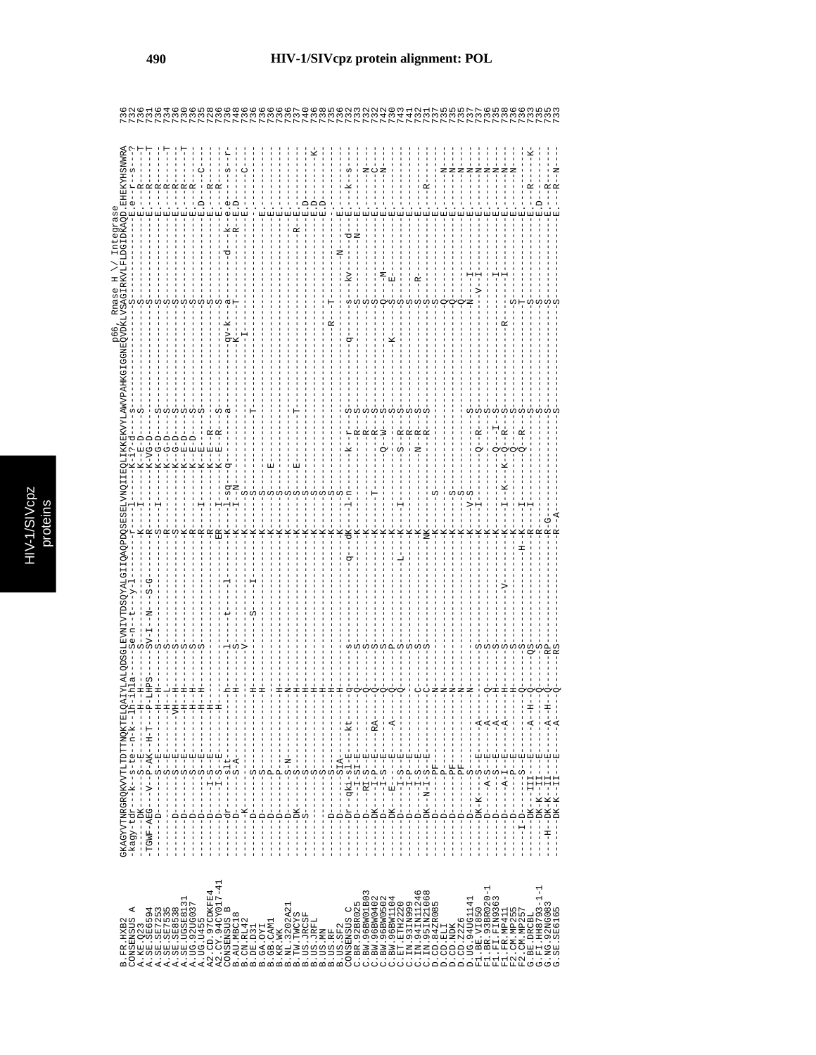| $-kagy-tdr--k--s-te--n-k--k--1$<br>$---2K---N---S$                                          | $\begin{bmatrix} 1 & 1 & 1 \\ 1 & 1 & 1 \\ 1 & 1 & 1 \\ 1 & 1 & 1 \\ 1 & 1 & 1 \\ 1 & 1 & 1 \\ 1 & 1 & 1 \\ 1 & 1 & 1 \\ 1 & 1 & 1 \\ 1 & 1 & 1 \\ 1 & 1 & 1 \\ 1 & 1 & 1 \\ 1 & 1 & 1 \\ 1 & 1 & 1 \\ 1 & 1 & 1 & 1 \\ 1 & 1 & 1 & 1 \\ 1 & 1 & 1 & 1 \\ 1 & 1 & 1 & 1 \\ 1 & 1 & 1 & 1 \\ 1 & 1 & 1 & 1 & 1 \\ 1 & 1 & 1 & 1 & $<br>$\frac{1}{2}$ |        |        | -- H – D                                          |               |     |                     |
|---------------------------------------------------------------------------------------------|-----------------------------------------------------------------------------------------------------------------------------------------------------------------------------------------------------------------------------------------------------------------------------------------------------------------------------------------------------|--------|--------|---------------------------------------------------|---------------|-----|---------------------|
|                                                                                             |                                                                                                                                                                                                                                                                                                                                                     | S      |        | -521-                                             |               |     |                     |
| $S$ – – –                                                                                   | $\frac{1}{1}$<br>$\begin{array}{c} \n 1 \\  1 \\  1 \\  1\n \end{array}$<br>$\frac{1}{1}$                                                                                                                                                                                                                                                           |        |        | ن<br>ج                                            |               |     | $\approx$           |
| $-1 - 5$                                                                                    | ن<br>ا                                                                                                                                                                                                                                                                                                                                              |        |        | ن<br>ما                                           |               |     |                     |
| $- - -$<br>0--------0-----<br>$-1$ $-1$ $-1$ $-1$ $-1$ $-1$ $-1$                            | $  \nabla$<br>$\begin{bmatrix} 1 \\ 1 \\ 1 \end{bmatrix}$<br>$\frac{1}{1}$                                                                                                                                                                                                                                                                          |        |        | $-1 - E - D -$<br>$-9 - 0 - 1$                    |               |     | <b>KKK</b><br>网网网网网 |
|                                                                                             | ن<br>ا                                                                                                                                                                                                                                                                                                                                              |        |        | $-5 - 5$                                          | U)            | M   |                     |
| w<br>$\frac{1}{1}$                                                                          | Ï<br>$\frac{1}{1}$<br>$\frac{1}{2}$                                                                                                                                                                                                                                                                                                                 |        | Ķ      | $\frac{1}{\mathbb{E}^2}$                          | U)            |     |                     |
| $\frac{5}{4}$                                                                               | $\frac{1}{1}$                                                                                                                                                                                                                                                                                                                                       |        |        | $- - E - - R$                                     |               |     |                     |
| $I-S$<br>$- - - - - - -$<br>I<br>I                                                          | Ŧ<br>$-1 - 1$                                                                                                                                                                                                                                                                                                                                       |        |        |                                                   |               |     | 中国                  |
| $- - - - - - - - - - - - - - - -$                                                           |                                                                                                                                                                                                                                                                                                                                                     |        |        |                                                   |               |     |                     |
|                                                                                             |                                                                                                                                                                                                                                                                                                                                                     |        |        | $-89$                                             | $-1$          | ൯   | $\mathbb O$<br>囯    |
| ł<br>$---X - - -$<br>$\frac{1}{1}$                                                          |                                                                                                                                                                                                                                                                                                                                                     |        |        |                                                   |               |     |                     |
| ł<br>í                                                                                      | $S = - - -$                                                                                                                                                                                                                                                                                                                                         |        |        | ŪΩ                                                |               |     |                     |
| $\frac{1}{1}$                                                                               |                                                                                                                                                                                                                                                                                                                                                     |        |        |                                                   |               |     |                     |
| l<br>ÜΩ<br>$\begin{array}{c} 1 \\ 1 \\ 1 \end{array}$<br>$\frac{1}{1}$                      |                                                                                                                                                                                                                                                                                                                                                     |        |        |                                                   |               |     |                     |
| $\frac{1}{1}$<br>д                                                                          |                                                                                                                                                                                                                                                                                                                                                     |        |        |                                                   |               |     |                     |
| $P^{---}$<br>$\frac{1}{1}$<br>Í                                                             |                                                                                                                                                                                                                                                                                                                                                     |        |        |                                                   |               |     |                     |
| I<br>ï<br>I<br>ı                                                                            | $-14-5$                                                                                                                                                                                                                                                                                                                                             |        |        |                                                   |               |     |                     |
| ----DK------<br>í                                                                           | $- - - 5$                                                                                                                                                                                                                                                                                                                                           |        |        | ŪΩ                                                |               |     |                     |
| $\frac{1}{1}$                                                                               |                                                                                                                                                                                                                                                                                                                                                     |        |        | ω                                                 |               |     |                     |
| $\mathbf{I}$<br>Ť<br>$\overline{\phantom{a}}$                                               |                                                                                                                                                                                                                                                                                                                                                     |        |        |                                                   |               |     |                     |
| $\frac{1}{1}$<br>$\begin{array}{c} 1 \\ 1 \\ 1 \end{array}$<br>I<br>$\frac{1}{1}$<br>Ť<br>J |                                                                                                                                                                                                                                                                                                                                                     |        |        |                                                   |               |     |                     |
| $\frac{1}{5}$<br>Î                                                                          |                                                                                                                                                                                                                                                                                                                                                     |        |        |                                                   |               |     |                     |
| $-1$ $-1$ $-1$ $-1$ $-1$ $-1$                                                               | $------SIA------------$                                                                                                                                                                                                                                                                                                                             |        |        |                                                   |               |     |                     |
| $---Dx---qk\pm -s1-kt-$<br>Ì                                                                |                                                                                                                                                                                                                                                                                                                                                     |        |        |                                                   |               |     | $rac{1}{1}$         |
|                                                                                             |                                                                                                                                                                                                                                                                                                                                                     |        |        |                                                   |               |     |                     |
|                                                                                             | $-1$ $-1$ $-1$ $-1$ $-1$ $-1$ $-1$                                                                                                                                                                                                                                                                                                                  |        |        | $\frac{1}{K}$                                     | ω             |     |                     |
|                                                                                             | $-4 - 1 = -1 - 1 = -124$                                                                                                                                                                                                                                                                                                                            |        |        | $\frac{1}{K}$                                     | $\frac{0}{1}$ |     |                     |
| $E - D - I - I - I - I - I - I$<br>Î                                                        | İ                                                                                                                                                                                                                                                                                                                                                   | ω      |        | $-10$                                             | ပ္ပ           | N−- |                     |
| Í                                                                                           | $-4 - 3 - 1 - 1 - 2 - 1$                                                                                                                                                                                                                                                                                                                            |        |        |                                                   | w             |     |                     |
| $S - T - T - T - T - T - T - T - T$                                                         | $\frac{1}{1}$                                                                                                                                                                                                                                                                                                                                       |        |        | ι,                                                | w             |     |                     |
|                                                                                             |                                                                                                                                                                                                                                                                                                                                                     |        |        | $\stackrel{\scriptscriptstyle\mathsf{L}}{\simeq}$ | C)            |     |                     |
| $S - 1 - - - - - - - - - - -$                                                               | Î<br>$\frac{1}{1}$                                                                                                                                                                                                                                                                                                                                  |        |        | $\frac{1}{K}$                                     | ω             |     |                     |
| $---DK---N-T-S---E---$<br>I                                                                 |                                                                                                                                                                                                                                                                                                                                                     |        |        | Ŕ                                                 |               |     |                     |
|                                                                                             |                                                                                                                                                                                                                                                                                                                                                     |        |        | S                                                 |               |     |                     |
|                                                                                             |                                                                                                                                                                                                                                                                                                                                                     |        |        |                                                   |               |     |                     |
| $\frac{1}{1}$                                                                               |                                                                                                                                                                                                                                                                                                                                                     |        |        | CΩ                                                |               |     |                     |
| ---⊨дд--------0------                                                                       |                                                                                                                                                                                                                                                                                                                                                     |        |        | C)                                                |               |     |                     |
|                                                                                             | ı                                                                                                                                                                                                                                                                                                                                                   |        | $-V-S$ |                                                   |               |     |                     |
|                                                                                             |                                                                                                                                                                                                                                                                                                                                                     |        |        |                                                   |               |     |                     |
|                                                                                             | $-1$ - $-1$ - $-1$                                                                                                                                                                                                                                                                                                                                  |        |        |                                                   |               |     |                     |
|                                                                                             | $- - A - -$<br>$\frac{1}{1}$                                                                                                                                                                                                                                                                                                                        | m      |        |                                                   |               |     |                     |
|                                                                                             | $- -A - -$<br>j<br>单士                                                                                                                                                                                                                                                                                                                               | ω      |        | Ţ                                                 |               |     |                     |
| Ŧ<br><b>H – ベー・ー – – ロー – – – – –</b>                                                       | $- -A - -$<br>$\frac{1}{1}$                                                                                                                                                                                                                                                                                                                         | ω      |        | $O = -R$                                          |               |     |                     |
| Ť                                                                                           | Ţ<br>$\mathbf{I}$<br>$\frac{1}{1}$                                                                                                                                                                                                                                                                                                                  | ω      |        |                                                   |               |     |                     |
| ł                                                                                           | ţ<br>$\begin{array}{c} 1 \\ 1 \\ 1 \end{array}$                                                                                                                                                                                                                                                                                                     |        |        |                                                   |               |     |                     |
|                                                                                             | $-1$ - $-1$ - $-1$                                                                                                                                                                                                                                                                                                                                  | $-50-$ |        |                                                   |               |     |                     |
| $\frac{1}{1}$<br>Ť,<br>$---2 - -1 - -1 = 1$                                                 | $\frac{1}{1}$                                                                                                                                                                                                                                                                                                                                       |        |        |                                                   |               |     |                     |
| ì                                                                                           | $- -A - -E$<br>$\frac{1}{1}$                                                                                                                                                                                                                                                                                                                        | R      |        |                                                   |               |     |                     |
|                                                                                             |                                                                                                                                                                                                                                                                                                                                                     |        |        |                                                   |               |     |                     |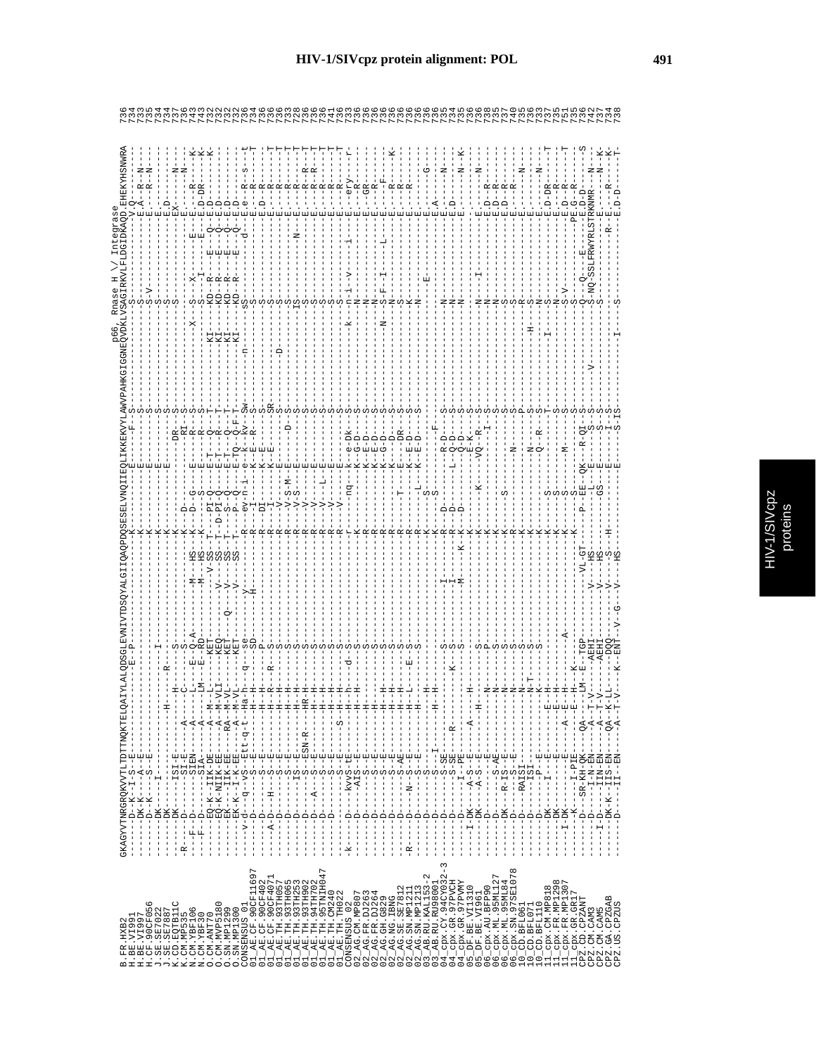| YHSNWF                                              |                             |             |                                                                                                                                                                                                                                                                                                         |                         |             |                            |                    |                                                                                                                                                                                                                                                                                                                                                                                                  |   |                      |                                                                                                                                                                                                                                                                                                                                                                                 |                                |               |               |                      |                      |               |                    |                     |                                                                                                         |                         |                            |                       |                      |                     |                                                 |               |                     |                    |                         |                       |                   |                      |               |                         |                      |                |               |                      |                      |                                    |              |                                                                                                                                                                                                                                |                                  |               |                                                                                                            |                  |                         |                                                                                                                                                         |                                                                                                                            |                               |
|-----------------------------------------------------|-----------------------------|-------------|---------------------------------------------------------------------------------------------------------------------------------------------------------------------------------------------------------------------------------------------------------------------------------------------------------|-------------------------|-------------|----------------------------|--------------------|--------------------------------------------------------------------------------------------------------------------------------------------------------------------------------------------------------------------------------------------------------------------------------------------------------------------------------------------------------------------------------------------------|---|----------------------|---------------------------------------------------------------------------------------------------------------------------------------------------------------------------------------------------------------------------------------------------------------------------------------------------------------------------------------------------------------------------------|--------------------------------|---------------|---------------|----------------------|----------------------|---------------|--------------------|---------------------|---------------------------------------------------------------------------------------------------------|-------------------------|----------------------------|-----------------------|----------------------|---------------------|-------------------------------------------------|---------------|---------------------|--------------------|-------------------------|-----------------------|-------------------|----------------------|---------------|-------------------------|----------------------|----------------|---------------|----------------------|----------------------|------------------------------------|--------------|--------------------------------------------------------------------------------------------------------------------------------------------------------------------------------------------------------------------------------|----------------------------------|---------------|------------------------------------------------------------------------------------------------------------|------------------|-------------------------|---------------------------------------------------------------------------------------------------------------------------------------------------------|----------------------------------------------------------------------------------------------------------------------------|-------------------------------|
|                                                     |                             |             |                                                                                                                                                                                                                                                                                                         |                         |             |                            |                    |                                                                                                                                                                                                                                                                                                                                                                                                  |   |                      |                                                                                                                                                                                                                                                                                                                                                                                 |                                |               |               |                      |                      |               |                    |                     |                                                                                                         |                         |                            |                       |                      |                     |                                                 |               |                     |                    |                         |                       |                   |                      |               |                         |                      |                |               |                      |                      |                                    |              |                                                                                                                                                                                                                                |                                  |               |                                                                                                            |                  |                         |                                                                                                                                                         |                                                                                                                            |                               |
|                                                     |                             |             |                                                                                                                                                                                                                                                                                                         |                         |             |                            |                    |                                                                                                                                                                                                                                                                                                                                                                                                  |   |                      |                                                                                                                                                                                                                                                                                                                                                                                 |                                |               |               |                      |                      |               |                    |                     |                                                                                                         |                         |                            |                       |                      |                     |                                                 |               |                     |                    |                         |                       |                   |                      |               |                         |                      |                |               |                      |                      |                                    |              |                                                                                                                                                                                                                                |                                  |               |                                                                                                            |                  |                         |                                                                                                                                                         |                                                                                                                            |                               |
|                                                     |                             |             |                                                                                                                                                                                                                                                                                                         |                         | 国国          |                            | 囟                  | 囟                                                                                                                                                                                                                                                                                                                                                                                                | 闰 |                      |                                                                                                                                                                                                                                                                                                                                                                                 |                                |               |               |                      |                      |               |                    |                     |                                                                                                         |                         |                            |                       |                      |                     |                                                 |               |                     |                    |                         |                       |                   |                      |               |                         |                      |                |               |                      |                      |                                    |              |                                                                                                                                                                                                                                |                                  |               |                                                                                                            |                  |                         |                                                                                                                                                         |                                                                                                                            |                               |
|                                                     |                             |             |                                                                                                                                                                                                                                                                                                         |                         |             |                            |                    |                                                                                                                                                                                                                                                                                                                                                                                                  |   |                      |                                                                                                                                                                                                                                                                                                                                                                                 |                                |               |               |                      |                      |               |                    |                     |                                                                                                         |                         |                            |                       |                      |                     |                                                 |               |                     |                    |                         |                       |                   |                      |               |                         |                      |                |               |                      |                      |                                    |              |                                                                                                                                                                                                                                |                                  |               |                                                                                                            |                  |                         |                                                                                                                                                         |                                                                                                                            |                               |
|                                                     |                             |             |                                                                                                                                                                                                                                                                                                         |                         |             | α                          | α                  | ĸ                                                                                                                                                                                                                                                                                                                                                                                                | R |                      |                                                                                                                                                                                                                                                                                                                                                                                 |                                |               |               |                      |                      |               |                    |                     |                                                                                                         |                         |                            |                       |                      |                     |                                                 |               |                     |                    |                         |                       |                   |                      |               |                         |                      |                |               |                      |                      |                                    |              |                                                                                                                                                                                                                                |                                  |               |                                                                                                            |                  |                         |                                                                                                                                                         |                                                                                                                            |                               |
|                                                     |                             |             |                                                                                                                                                                                                                                                                                                         |                         |             |                            |                    |                                                                                                                                                                                                                                                                                                                                                                                                  |   |                      |                                                                                                                                                                                                                                                                                                                                                                                 |                                |               |               |                      |                      |               |                    |                     |                                                                                                         |                         |                            |                       |                      |                     |                                                 |               |                     |                    |                         |                       |                   |                      |               |                         |                      |                |               |                      |                      |                                    |              |                                                                                                                                                                                                                                |                                  |               |                                                                                                            |                  |                         |                                                                                                                                                         |                                                                                                                            |                               |
|                                                     |                             |             |                                                                                                                                                                                                                                                                                                         |                         |             |                            | KI                 | KI                                                                                                                                                                                                                                                                                                                                                                                               |   |                      |                                                                                                                                                                                                                                                                                                                                                                                 |                                |               |               |                      |                      |               |                    |                     |                                                                                                         |                         |                            |                       |                      |                     |                                                 |               |                     |                    |                         |                       |                   |                      |               |                         |                      |                |               |                      |                      |                                    |              |                                                                                                                                                                                                                                |                                  |               |                                                                                                            |                  |                         |                                                                                                                                                         |                                                                                                                            |                               |
|                                                     |                             |             |                                                                                                                                                                                                                                                                                                         |                         |             |                            |                    |                                                                                                                                                                                                                                                                                                                                                                                                  |   |                      |                                                                                                                                                                                                                                                                                                                                                                                 |                                |               |               |                      |                      |               |                    |                     |                                                                                                         |                         |                            |                       |                      |                     |                                                 |               |                     |                    |                         |                       |                   |                      |               |                         |                      |                |               |                      |                      |                                    |              |                                                                                                                                                                                                                                |                                  |               |                                                                                                            |                  |                         |                                                                                                                                                         |                                                                                                                            |                               |
|                                                     |                             |             |                                                                                                                                                                                                                                                                                                         |                         |             |                            |                    |                                                                                                                                                                                                                                                                                                                                                                                                  |   |                      |                                                                                                                                                                                                                                                                                                                                                                                 |                                |               |               |                      |                      |               |                    |                     |                                                                                                         |                         |                            |                       |                      |                     |                                                 |               |                     |                    |                         |                       |                   |                      |               |                         |                      |                |               |                      |                      |                                    |              |                                                                                                                                                                                                                                |                                  |               |                                                                                                            |                  |                         |                                                                                                                                                         |                                                                                                                            |                               |
|                                                     |                             |             |                                                                                                                                                                                                                                                                                                         |                         |             |                            |                    |                                                                                                                                                                                                                                                                                                                                                                                                  |   |                      |                                                                                                                                                                                                                                                                                                                                                                                 |                                |               |               |                      |                      |               |                    |                     |                                                                                                         |                         |                            |                       |                      |                     |                                                 |               |                     |                    |                         |                       |                   |                      |               |                         |                      |                |               |                      |                      |                                    |              |                                                                                                                                                                                                                                |                                  |               |                                                                                                            |                  |                         |                                                                                                                                                         |                                                                                                                            |                               |
|                                                     |                             |             |                                                                                                                                                                                                                                                                                                         |                         | ά<br>ά      |                            | ÓΚ                 | $\circ$                                                                                                                                                                                                                                                                                                                                                                                          |   |                      |                                                                                                                                                                                                                                                                                                                                                                                 |                                |               |               |                      |                      |               |                    |                     |                                                                                                         |                         |                            |                       |                      | $\Gamma$ - $\Gamma$ |                                                 |               |                     |                    |                         |                       |                   |                      | a<br>o        | ۹                       |                      |                |               |                      |                      |                                    |              |                                                                                                                                                                                                                                | œ                                |               |                                                                                                            |                  |                         |                                                                                                                                                         |                                                                                                                            |                               |
|                                                     |                             |             |                                                                                                                                                                                                                                                                                                         |                         |             |                            |                    |                                                                                                                                                                                                                                                                                                                                                                                                  |   |                      |                                                                                                                                                                                                                                                                                                                                                                                 |                                |               |               |                      |                      |               |                    |                     |                                                                                                         |                         |                            |                       |                      |                     |                                                 |               |                     |                    |                         |                       |                   |                      |               |                         |                      |                |               |                      |                      |                                    |              |                                                                                                                                                                                                                                |                                  |               |                                                                                                            |                  |                         |                                                                                                                                                         |                                                                                                                            |                               |
|                                                     |                             |             |                                                                                                                                                                                                                                                                                                         |                         |             |                            |                    |                                                                                                                                                                                                                                                                                                                                                                                                  |   |                      |                                                                                                                                                                                                                                                                                                                                                                                 |                                |               |               |                      |                      |               |                    |                     |                                                                                                         |                         |                            |                       |                      |                     |                                                 |               |                     |                    |                         |                       |                   |                      |               |                         |                      |                |               |                      |                      |                                    |              |                                                                                                                                                                                                                                |                                  |               |                                                                                                            |                  |                         |                                                                                                                                                         |                                                                                                                            |                               |
|                                                     |                             |             |                                                                                                                                                                                                                                                                                                         |                         |             |                            |                    |                                                                                                                                                                                                                                                                                                                                                                                                  |   |                      |                                                                                                                                                                                                                                                                                                                                                                                 |                                |               |               |                      |                      |               |                    |                     |                                                                                                         |                         |                            |                       |                      |                     |                                                 |               |                     |                    |                         |                       |                   |                      |               |                         |                      |                |               |                      |                      |                                    |              |                                                                                                                                                                                                                                |                                  |               |                                                                                                            |                  |                         |                                                                                                                                                         |                                                                                                                            |                               |
|                                                     |                             |             |                                                                                                                                                                                                                                                                                                         |                         |             |                            |                    |                                                                                                                                                                                                                                                                                                                                                                                                  |   |                      |                                                                                                                                                                                                                                                                                                                                                                                 |                                |               |               |                      |                      |               |                    |                     |                                                                                                         |                         |                            |                       |                      |                     |                                                 |               |                     |                    |                         |                       |                   |                      |               |                         |                      |                |               |                      |                      |                                    |              |                                                                                                                                                                                                                                |                                  |               |                                                                                                            |                  |                         |                                                                                                                                                         |                                                                                                                            |                               |
|                                                     |                             |             |                                                                                                                                                                                                                                                                                                         |                         |             | ដូ ដូ ដូ ដូ<br>ដូ ដូ ដូ ដូ |                    |                                                                                                                                                                                                                                                                                                                                                                                                  |   |                      |                                                                                                                                                                                                                                                                                                                                                                                 |                                |               |               |                      |                      |               |                    |                     |                                                                                                         |                         |                            |                       |                      |                     |                                                 |               |                     |                    |                         |                       |                   |                      |               |                         |                      |                |               |                      |                      |                                    |              |                                                                                                                                                                                                                                |                                  |               |                                                                                                            |                  |                         |                                                                                                                                                         |                                                                                                                            |                               |
|                                                     |                             |             |                                                                                                                                                                                                                                                                                                         |                         |             |                            |                    |                                                                                                                                                                                                                                                                                                                                                                                                  |   |                      |                                                                                                                                                                                                                                                                                                                                                                                 |                                |               |               |                      |                      |               |                    |                     |                                                                                                         |                         |                            |                       |                      |                     |                                                 |               |                     |                    |                         |                       |                   |                      |               |                         |                      |                |               |                      |                      |                                    |              |                                                                                                                                                                                                                                |                                  |               |                                                                                                            |                  |                         |                                                                                                                                                         |                                                                                                                            |                               |
|                                                     |                             |             |                                                                                                                                                                                                                                                                                                         |                         |             |                            |                    |                                                                                                                                                                                                                                                                                                                                                                                                  |   |                      |                                                                                                                                                                                                                                                                                                                                                                                 |                                |               |               |                      |                      |               |                    |                     |                                                                                                         |                         |                            |                       |                      |                     |                                                 |               |                     |                    |                         |                       |                   |                      |               |                         |                      |                |               |                      |                      |                                    |              |                                                                                                                                                                                                                                |                                  |               |                                                                                                            |                  |                         |                                                                                                                                                         |                                                                                                                            |                               |
|                                                     |                             |             |                                                                                                                                                                                                                                                                                                         |                         |             |                            |                    |                                                                                                                                                                                                                                                                                                                                                                                                  |   |                      |                                                                                                                                                                                                                                                                                                                                                                                 |                                |               |               |                      |                      |               |                    |                     |                                                                                                         |                         |                            |                       |                      |                     |                                                 |               |                     |                    |                         |                       |                   |                      |               |                         |                      |                |               |                      |                      |                                    |              |                                                                                                                                                                                                                                |                                  |               |                                                                                                            |                  |                         |                                                                                                                                                         |                                                                                                                            |                               |
|                                                     |                             |             |                                                                                                                                                                                                                                                                                                         |                         |             |                            |                    |                                                                                                                                                                                                                                                                                                                                                                                                  |   |                      |                                                                                                                                                                                                                                                                                                                                                                                 |                                |               |               |                      |                      |               |                    |                     |                                                                                                         |                         |                            |                       |                      |                     |                                                 |               |                     |                    |                         |                       |                   |                      |               |                         |                      |                |               |                      |                      |                                    |              |                                                                                                                                                                                                                                |                                  |               |                                                                                                            |                  |                         |                                                                                                                                                         |                                                                                                                            |                               |
|                                                     |                             |             |                                                                                                                                                                                                                                                                                                         |                         |             |                            |                    |                                                                                                                                                                                                                                                                                                                                                                                                  |   |                      |                                                                                                                                                                                                                                                                                                                                                                                 |                                |               |               |                      |                      |               |                    |                     |                                                                                                         |                         |                            |                       |                      |                     |                                                 |               |                     |                    |                         |                       |                   |                      |               |                         |                      |                |               |                      |                      |                                    |              |                                                                                                                                                                                                                                |                                  |               |                                                                                                            |                  |                         |                                                                                                                                                         |                                                                                                                            |                               |
|                                                     |                             |             |                                                                                                                                                                                                                                                                                                         |                         |             |                            |                    |                                                                                                                                                                                                                                                                                                                                                                                                  |   |                      |                                                                                                                                                                                                                                                                                                                                                                                 |                                |               |               |                      |                      |               |                    |                     |                                                                                                         |                         |                            |                       |                      |                     |                                                 |               |                     |                    |                         |                       |                   |                      |               |                         |                      |                |               |                      |                      |                                    |              |                                                                                                                                                                                                                                |                                  |               |                                                                                                            |                  |                         |                                                                                                                                                         |                                                                                                                            |                               |
|                                                     |                             |             |                                                                                                                                                                                                                                                                                                         |                         |             |                            |                    |                                                                                                                                                                                                                                                                                                                                                                                                  |   |                      |                                                                                                                                                                                                                                                                                                                                                                                 |                                |               |               |                      |                      |               |                    |                     |                                                                                                         |                         |                            |                       |                      |                     |                                                 |               |                     |                    |                         |                       |                   |                      |               |                         |                      |                |               |                      |                      |                                    |              |                                                                                                                                                                                                                                |                                  |               |                                                                                                            |                  |                         |                                                                                                                                                         |                                                                                                                            |                               |
| J<br>$\overline{1}$                                 |                             |             |                                                                                                                                                                                                                                                                                                         |                         |             |                            |                    |                                                                                                                                                                                                                                                                                                                                                                                                  |   | $--$ Ett             | ŧ                                                                                                                                                                                                                                                                                                                                                                               |                                | $\frac{1}{1}$ | Ť             |                      |                      |               |                    |                     |                                                                                                         | $\overline{1}$<br>ᄗ     | $\overline{1}$<br><b>E</b> | l<br><b>Ed</b>        | <b>Ed</b>            | <b>Ed</b>           | 데                                               | 闰             |                     |                    |                         |                       |                   |                      |               |                         |                      |                |               |                      |                      |                                    |              |                                                                                                                                                                                                                                |                                  |               | 囸                                                                                                          |                  |                         |                                                                                                                                                         |                                                                                                                            |                               |
| 면<br> <br> <br>$-4A - 8$                            | $\overline{1}$              | T.          |                                                                                                                                                                                                                                                                                                         |                         |             |                            |                    |                                                                                                                                                                                                                                                                                                                                                                                                  |   |                      | $-\frac{12}{1}$<br>$-1 - 5$                                                                                                                                                                                                                                                                                                                                                     | ω<br>$\frac{1}{1}$             |               | 푸<br>T        | 덕<br> <br>J.         |                      |               |                    |                     |                                                                                                         | Ŧ<br>$-5$               | $\frac{11}{1}$             | T                     | Ŧ                    | Ŧ<br>U)<br>Ŧ        | Ŧ<br>U)                                         | Ţ<br>m<br>Ï   | $-1 - 5 - 5 - 4E -$ | $\frac{1}{2}$      | 円<br>-<br>$\frac{1}{2}$ | $\mathbf{I}$<br>$S -$ | $- - - - - - - -$ | $-1 - 2 - 5 - 5 - 1$ |               | $---PE$                 |                      | 면<br>          | 면<br> <br>Î   | $-5 - 5 - 1 - 5 - 1$ |                      | Ţ<br>$-5 -$                        |              |                                                                                                                                                                                                                                |                                  |               |                                                                                                            |                  |                         |                                                                                                                                                         |                                                                                                                            |                               |
|                                                     | T-<br>ı                     |             | $-125 -11 -1 -1 -120 -1 -120 -1 -120 -1 -120 -1 -120 -1 -120 -1 -120 -1 -120 -1 -120 -1 -120 -1 -120 -1 -120 -1 -120 -1 -120 -1 -120 -1 -120 -1 -120 -1 -120 -1 -120 -1 -120 -1 -120 -1 -120 -1 -120 -1 -120 -1 -120 -1 -120 -1 -120 -1 -120 -1 -120 -1 -120 -1 -120 -1 -120 -1 -120 -1 -120 -1 -120 -$ |                         |             |                            |                    | $\begin{array}{c} \vspace{2mm} - - - BCQ - K - - I & \hbox{I} & \hbox{I} & \hbox{I} & \hbox{I} & \hbox{I} \\ \vspace{2mm} - - - BCQ - K - NI & \hbox{I} & \hbox{I} & \hbox{I} & \hbox{I} & \hbox{I} & \hbox{I} \\ \vspace{2mm} - - - BCQ - K - NI & \hbox{I} & \hbox{I} & \hbox{I} & \hbox{I} & \hbox{I} & \hbox{I} \\ \vspace{2mm} - - - BCK - - - - - I & \hbox{I} & \hbox{I} & \hbox{I} & \h$ |   | $-1 - 4 - 4 - 4 - 6$ | $\frac{1}{1}$                                                                                                                                                                                                                                                                                                                                                                   | $\frac{1}{1}$                  |               | $\frac{1}{1}$ | İ                    | $- - - - 1S$         | J.<br>ï       | $-1$ - $-1$ - $-1$ | $\frac{1}{1}$<br>Ť. | $\frac{1}{1}$<br>ï                                                                                      | J<br>Í                  | $--D----kvvs$              | $-1 - 1 - 1 - 1 - 15$ | $-1$ - $-1$          | $\frac{1}{1}$<br>ï  | $\begin{array}{c} 1 \\ 1 \\ 1 \\ 1 \end{array}$ | $\frac{1}{1}$ |                     | $-1 - N - 5$       | $\frac{1}{1}$           | I<br>$\frac{1}{1}$    | $\frac{1}{1}$     |                      | $-8-5-5-1$    | $- - - - - - - - - - -$ | -------------------- | $---DK----A-S$ |               |                      | $---DK---R---IS---E$ | т<br>$\frac{1}{1}$                 | $-$ -RAISI-  | $-1221 - - - - -$                                                                                                                                                                                                              | --D--------P---<br>--DK--------- |               |                                                                                                            | ---------------- | $--D---SR-KH-QK$        | $-26H - H - H - I - I - I - I - I$                                                                                                                      | $\begin{split} &\qquad--1--1--0----1\_1N-EM-\\ &\qquad------0-K-K--1\_1.S-EM-\\ &\qquad----------1\_1.S-EM-\\ \end{split}$ |                               |
| $---DK-K---$                                        | $---D---K---$<br>$---DK---$ | $---DK - -$ |                                                                                                                                                                                                                                                                                                         | $-1$ $-1$ $-1$ $-1$     | $-1$ – $-1$ |                            |                    |                                                                                                                                                                                                                                                                                                                                                                                                  |   |                      | $-1$                                                                                                                                                                                                                                                                                                                                                                            | $\frac{1}{1}$<br>$\frac{1}{1}$ |               | $-1$          | $\frac{1}{\sqrt{1}}$ | $\frac{1}{\sqrt{1}}$ | $-1$          |                    | $-1 - 1$            | ţ<br>$\begin{array}{c}\n\bigcap\nolimits_{i}^{n} \mathcal{A}_{i}^{n} & \mathcal{A}_{i}^{n} \end{array}$ | J<br>J<br>J.<br>J.<br>I |                            |                       | $\frac{1}{\sqrt{1}}$ |                     | $\begin{array}{c} \n 1 \\  -1 \\  \end{array}$  | $\frac{1}{1}$ | $\frac{1}{-1}$      | $-1$               | $\frac{1}{-1}$          | $-1$                  | $-1$              | $-1$                 |               |                         |                      |                |               | $\frac{1}{1}$        |                      | I<br>$\mathbf{I}$<br>$\frac{1}{1}$ | $-1 - 1 - 1$ | $\frac{1}{1}$<br>$\begin{array}{c}\n\hline\n\end{array}$                                                                                                                                                                       |                                  |               | $---DK$                                                                                                    |                  |                         |                                                                                                                                                         |                                                                                                                            |                               |
| $\overline{\phantom{a}}$<br>J.<br>H                 | I<br>I<br>ı<br>ì<br>ı       | I<br>I      | I<br>Î                                                                                                                                                                                                                                                                                                  | J<br>$\frac{1}{1}$<br>멲 | ا∓<br>ا     | I<br>Î                     | I<br>$\frac{1}{1}$ | Ţ<br>ł,                                                                                                                                                                                                                                                                                                                                                                                          |   |                      | $\frac{1}{1}$                                                                                                                                                                                                                                                                                                                                                                   | $\frac{1}{1}$                  |               | $\frac{1}{1}$ | $\frac{1}{1}$        | $\frac{1}{1}$        | $\frac{1}{1}$ | I<br>$\frac{1}{1}$ | ı                   | I<br>ł                                                                                                  | J<br>í                  | $\frac{1}{1}$              | $\frac{1}{1}$         | $\frac{1}{1}$        | Í                   | $\frac{1}{1}$                                   | $\frac{1}{1}$ | $\frac{1}{1}$       | $\frac{1}{1}$<br>멲 | $\frac{1}{1}$           | $\frac{1}{1}$         | $\frac{1}{1}$     | $\frac{1}{1}$        | $\frac{1}{1}$ | $\frac{1}{1}$           |                      | $\frac{1}{1}$  | $\frac{1}{1}$ | İ                    | ł                    | п                                  |              | I<br>п                                                                                                                                                                                                                         | $\frac{1}{1}$                    | $\frac{1}{1}$ | $\frac{1}{1}$                                                                                              |                  | I<br>$\frac{1}{1}$<br>i | I<br>í                                                                                                                                                  |                                                                                                                            |                               |
|                                                     |                             |             |                                                                                                                                                                                                                                                                                                         |                         |             |                            |                    |                                                                                                                                                                                                                                                                                                                                                                                                  |   |                      |                                                                                                                                                                                                                                                                                                                                                                                 |                                |               |               |                      |                      |               |                    |                     |                                                                                                         |                         |                            |                       |                      |                     |                                                 |               |                     |                    |                         |                       |                   |                      |               |                         |                      |                |               |                      |                      |                                    |              |                                                                                                                                                                                                                                |                                  |               |                                                                                                            |                  |                         |                                                                                                                                                         |                                                                                                                            |                               |
|                                                     |                             |             |                                                                                                                                                                                                                                                                                                         |                         |             |                            |                    |                                                                                                                                                                                                                                                                                                                                                                                                  |   |                      |                                                                                                                                                                                                                                                                                                                                                                                 |                                |               |               |                      |                      |               |                    |                     |                                                                                                         |                         |                            |                       |                      |                     |                                                 |               |                     |                    |                         |                       |                   |                      |               |                         |                      |                |               |                      |                      |                                    |              |                                                                                                                                                                                                                                |                                  |               |                                                                                                            |                  |                         |                                                                                                                                                         |                                                                                                                            |                               |
|                                                     |                             |             |                                                                                                                                                                                                                                                                                                         |                         |             |                            |                    |                                                                                                                                                                                                                                                                                                                                                                                                  |   |                      |                                                                                                                                                                                                                                                                                                                                                                                 |                                |               |               |                      |                      |               |                    |                     |                                                                                                         |                         |                            |                       |                      |                     |                                                 |               |                     |                    |                         |                       |                   |                      |               |                         |                      |                |               |                      |                      |                                    |              |                                                                                                                                                                                                                                |                                  |               |                                                                                                            |                  |                         |                                                                                                                                                         |                                                                                                                            |                               |
| B.FR.HXB2<br>H.BE.VI991<br>H.BE.VI997<br>H.CF.VI997 |                             |             |                                                                                                                                                                                                                                                                                                         |                         |             |                            |                    |                                                                                                                                                                                                                                                                                                                                                                                                  |   |                      | $\begin{array}{l} \text{consmatrix} \  \  01 \\ 01 \ \text{A}\text{B.}\ \ \text{CF} \  \  90711697 \\ 01 \ \text{A}\text{B.}\ \ \text{CF} \  \  907402 \\ 01 \ \text{A}\text{B.}\ \ \text{CF} \  \  907402 \\ 01 \ \text{A}\text{B.}\ \ \text{CF} \  \  9074071 \\ 01 \ \text{A}\text{B.}\ \ \text{TE} \  \  3971005 \\ 01 \ \text{A}\text{B.}\ \ \text{TE} \  \  3971055 \\ 0$ |                                |               |               |                      |                      |               |                    |                     |                                                                                                         |                         |                            |                       |                      |                     |                                                 |               |                     |                    |                         |                       |                   |                      |               |                         |                      |                |               |                      |                      |                                    |              | $(0.2,48,48)$ $(0.2,48,48)$ $(0.2,48,48)$ $(0.2,48,48)$ $(0.2,48,48)$ $(0.2,48,48)$ $(0.2,48,48)$ $(0.2,48,48)$ $(0.2,48,48)$ $(0.2,48,48)$ $(0.2,48,48)$ $(0.2,48,48)$ $(0.2,48,48)$ $(0.2,48,48)$ $(0.2,48,48)$ $(0.2,48,48$ |                                  |               | $\frac{11}{11}$ = cpx. CM. MP818<br>$\frac{11}{11}$ = cpx. FR. MP1298<br>$\frac{11}{11}$ = cpx. FR. MP1307 |                  |                         | $\begin{array}{l} 11\_cpx. \texttt{GR}.\texttt{GRI7} \\ \texttt{CPZ}.\texttt{CD}.\texttt{CPZANT} \\ \texttt{CPZ}.\texttt{CM}.\texttt{CAM3} \end{array}$ | CPZ.CM.CAM5                                                                                                                | CPZ.GA.CPZGAB<br>CPZ.US.CPZUS |
|                                                     |                             |             |                                                                                                                                                                                                                                                                                                         |                         |             |                            |                    |                                                                                                                                                                                                                                                                                                                                                                                                  |   |                      |                                                                                                                                                                                                                                                                                                                                                                                 |                                |               |               |                      |                      |               |                    |                     |                                                                                                         |                         |                            |                       |                      |                     |                                                 |               |                     |                    |                         |                       |                   |                      |               |                         |                      |                |               |                      |                      |                                    |              |                                                                                                                                                                                                                                |                                  |               |                                                                                                            |                  |                         |                                                                                                                                                         |                                                                                                                            |                               |

מאות האומית האומית האומית האומית האומית האומית האומית האומית האומית האומית האומית האומית האומית האומית האומית<br>וייתה האומית היה האומית האומית האומית האומית האומית האומית האומית האומית האומית האומית האומית האומית האומית הא<br>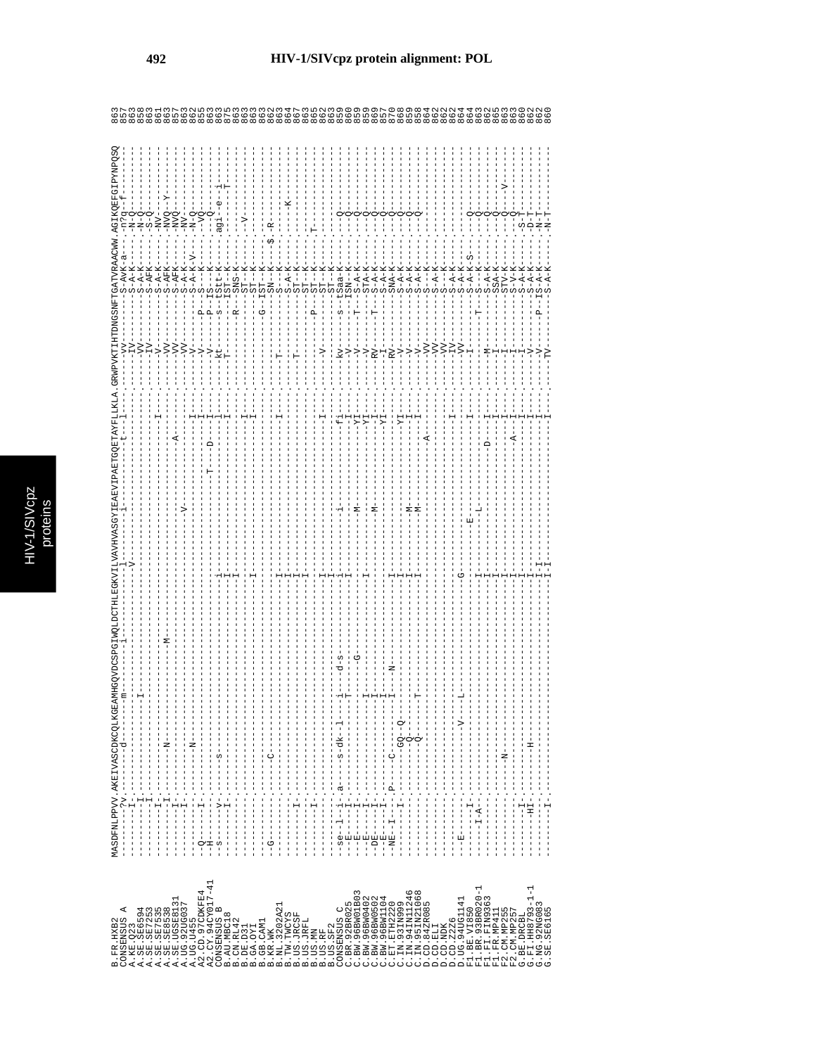|   | r<br>f |
|---|--------|
|   |        |
|   |        |
| ٢ |        |
|   |        |
|   |        |
|   |        |
|   |        |
|   |        |
|   |        |
|   |        |

| I<br>I<br>I                                                                                                                                                                                                                                                                                                                                                                                                               | $\frac{1}{1}$<br>$\begin{array}{c} 1 \\ 1 \\ 1 \end{array}$ |  |   |   | Þ                | $\bar{A}$<br>ה ה<br>המנס                      | ÖÖÖ<br>$\bar{z}$ |
|---------------------------------------------------------------------------------------------------------------------------------------------------------------------------------------------------------------------------------------------------------------------------------------------------------------------------------------------------------------------------------------------------------------------------|-------------------------------------------------------------|--|---|---|------------------|-----------------------------------------------|------------------|
|                                                                                                                                                                                                                                                                                                                                                                                                                           |                                                             |  |   |   | N                | AF)                                           | ÜΩ               |
| I                                                                                                                                                                                                                                                                                                                                                                                                                         |                                                             |  |   |   | -√               |                                               |                  |
|                                                                                                                                                                                                                                                                                                                                                                                                                           |                                                             |  |   |   | $\triangleright$ |                                               | NVQ.             |
| $-1 - 1 = -1$<br>$\begin{array}{c} 1 \\ 1 \\ 1 \end{array}$                                                                                                                                                                                                                                                                                                                                                               | $-1$ $-1$ $-1$ $-1$ $-1$ $-1$                               |  |   |   | ζY-              |                                               |                  |
| $\frac{1}{1} - \frac{1}{1} - \frac{1}{1} - \frac{1}{1} - \frac{1}{1} - \frac{1}{1} - \frac{1}{1} - \frac{1}{1} - \frac{1}{1} - \frac{1}{1} - \frac{1}{1} - \frac{1}{1} - \frac{1}{1} - \frac{1}{1} - \frac{1}{1} - \frac{1}{1} - \frac{1}{1} - \frac{1}{1} - \frac{1}{1} - \frac{1}{1} - \frac{1}{1} - \frac{1}{1} - \frac{1}{1} - \frac{1}{1} - \frac{1}{1} - \frac{1}{1} - \frac{1}{1} - \frac{1$<br>I                  | $\frac{1}{1}$                                               |  |   |   | $-50$            |                                               |                  |
|                                                                                                                                                                                                                                                                                                                                                                                                                           |                                                             |  |   |   | $-V-$            |                                               |                  |
| $\frac{1}{1}$                                                                                                                                                                                                                                                                                                                                                                                                             |                                                             |  |   |   |                  |                                               | àiààà<br>Ezzi    |
| $\frac{1}{1} - \frac{1}{1} - \frac{1}{1} - \frac{1}{1} - \frac{1}{1} - \frac{1}{1} - \frac{1}{1} - \frac{1}{1} - \frac{1}{1} - \frac{1}{1} - \frac{1}{1} - \frac{1}{1} - \frac{1}{1} - \frac{1}{1} - \frac{1}{1} - \frac{1}{1} - \frac{1}{1} - \frac{1}{1} - \frac{1}{1} - \frac{1}{1} - \frac{1}{1} - \frac{1}{1} - \frac{1}{1} - \frac{1}{1} - \frac{1}{1} - \frac{1}{1} - \frac{1}{1} - \frac{1$<br>$\circ$            |                                                             |  |   |   | $-V-$            | $\sim$ $\sim$ $\sigma$                        |                  |
| 푸                                                                                                                                                                                                                                                                                                                                                                                                                         |                                                             |  |   |   | $-V-$            |                                               |                  |
| $-1 - 1 - 1 - 1 - 1 - 1 - 1 - 1$<br>$\frac{5}{1}$                                                                                                                                                                                                                                                                                                                                                                         | $\frac{1}{1}$<br>$-1 - 8 - 1$                               |  |   |   | kt-              | Ť                                             | O<br>ے۔<br>5     |
| $\frac{1}{2} + \frac{1}{2} + \frac{1}{2} + \frac{1}{2} + \frac{1}{2} + \frac{1}{2} + \frac{1}{2} + \frac{1}{2} + \frac{1}{2} + \frac{1}{2} + \frac{1}{2} + \frac{1}{2} + \frac{1}{2} + \frac{1}{2} + \frac{1}{2} + \frac{1}{2} + \frac{1}{2} + \frac{1}{2} + \frac{1}{2} + \frac{1}{2} + \frac{1}{2} + \frac{1}{2} + \frac{1}{2} + \frac{1}{2} + \frac{1}{2} + \frac{1}{2} + \frac{1}{2} + \frac{1$<br>$\frac{1}{1}$<br>ţ |                                                             |  |   |   |                  | т                                             |                  |
|                                                                                                                                                                                                                                                                                                                                                                                                                           |                                                             |  |   |   |                  | $SNS-1$<br>J<br>л.<br>$\alpha$                |                  |
| $\frac{1}{2}$ , $\frac{1}{2}$ , $\frac{1}{2}$ , $\frac{1}{2}$ , $\frac{1}{2}$ , $\frac{1}{2}$<br>$\begin{array}{c} 1 \\ 1 \\ 1 \end{array}$<br>$\overline{\phantom{a}}$<br>I                                                                                                                                                                                                                                              | $\frac{1}{1}$                                               |  |   |   |                  | ST.                                           |                  |
| $\frac{1}{2}$ , $\frac{1}{2}$ , $\frac{1}{2}$ , $\frac{1}{2}$ , $\frac{1}{2}$ , $\frac{1}{2}$ , $\frac{1}{2}$ , $\frac{1}{2}$ , $\frac{1}{2}$ , $\frac{1}{2}$<br>I                                                                                                                                                                                                                                                        | $\frac{1}{1}$<br>$-1$ $-1$ $-1$ $-1$ $-1$ $-1$ $-1$         |  |   |   |                  | 57                                            |                  |
| $\frac{1}{1}$                                                                                                                                                                                                                                                                                                                                                                                                             | $\begin{bmatrix} 1 \\ 1 \\ 1 \\ 1 \end{bmatrix}$            |  |   |   |                  | 55<br>ひ                                       |                  |
|                                                                                                                                                                                                                                                                                                                                                                                                                           |                                                             |  |   |   |                  | SN                                            |                  |
|                                                                                                                                                                                                                                                                                                                                                                                                                           |                                                             |  |   |   |                  |                                               |                  |
|                                                                                                                                                                                                                                                                                                                                                                                                                           |                                                             |  |   |   |                  | $-1 - 1$<br>0.0                               | ×                |
| $\frac{1}{2}$ , $\frac{1}{2}$ , $\frac{1}{2}$ , $\frac{1}{2}$ , $\frac{1}{2}$ , $\frac{1}{2}$                                                                                                                                                                                                                                                                                                                             |                                                             |  |   |   |                  |                                               |                  |
| I                                                                                                                                                                                                                                                                                                                                                                                                                         |                                                             |  |   |   |                  | 5Ė                                            |                  |
|                                                                                                                                                                                                                                                                                                                                                                                                                           | -----------------------------------                         |  |   |   |                  | 55                                            |                  |
|                                                                                                                                                                                                                                                                                                                                                                                                                           | $-1$ $-1$ $-1$ $-1$ $-1$ $-1$ $-1$                          |  |   |   |                  | 55<br>$\Omega$                                |                  |
| I                                                                                                                                                                                                                                                                                                                                                                                                                         |                                                             |  |   |   |                  | 믌                                             |                  |
|                                                                                                                                                                                                                                                                                                                                                                                                                           |                                                             |  |   |   |                  | 55                                            |                  |
| $-5e-1-1-3-1-8-8-1$                                                                                                                                                                                                                                                                                                                                                                                                       | $\frac{1}{1}$                                               |  |   |   | kv-              | $Saa-$<br>CΩ                                  |                  |
|                                                                                                                                                                                                                                                                                                                                                                                                                           |                                                             |  |   |   | $-V-$            | $-135 - 5$                                    | 0000000000       |
|                                                                                                                                                                                                                                                                                                                                                                                                                           |                                                             |  |   |   | $\frac{1}{2}$    | н                                             |                  |
| エーエーエーエーエーエーエーエー エーローエーエー 前上                                                                                                                                                                                                                                                                                                                                                                                              |                                                             |  |   |   | $-V-$            | STA-1<br>I-A-S                                |                  |
|                                                                                                                                                                                                                                                                                                                                                                                                                           |                                                             |  |   |   | $RV-$            | ь                                             |                  |
|                                                                                                                                                                                                                                                                                                                                                                                                                           |                                                             |  |   |   | $\frac{1}{1}$    | $S - A - I$                                   |                  |
|                                                                                                                                                                                                                                                                                                                                                                                                                           | $\begin{array}{c} \n 1 \\  1 \\  1 \\  1\n \end{array}$     |  |   |   | $RV-$            |                                               |                  |
|                                                                                                                                                                                                                                                                                                                                                                                                                           |                                                             |  |   |   | $-V-$            | $S- A - I$                                    |                  |
|                                                                                                                                                                                                                                                                                                                                                                                                                           |                                                             |  |   |   |                  |                                               |                  |
|                                                                                                                                                                                                                                                                                                                                                                                                                           |                                                             |  | Σ |   | $-V$ -           | $\overline{A}$                                |                  |
|                                                                                                                                                                                                                                                                                                                                                                                                                           | $\frac{1}{1}$                                               |  | Σ |   | $-V-$            | $A -$                                         |                  |
| $\frac{1}{2}$ , $\frac{1}{2}$ , $\frac{1}{2}$ , $\frac{1}{2}$ , $\frac{1}{2}$<br>$\frac{1}{1}$                                                                                                                                                                                                                                                                                                                            | $\frac{1}{1}$<br>$\frac{1}{1}$                              |  |   | К | $\sum$           |                                               |                  |
| I                                                                                                                                                                                                                                                                                                                                                                                                                         |                                                             |  |   |   | ξ                | $\overline{A}$                                |                  |
|                                                                                                                                                                                                                                                                                                                                                                                                                           | $\begin{array}{c} 1 \\ 1 \\ 1 \end{array}$                  |  |   |   | $\geq$           | $\frac{1}{1}$                                 |                  |
| $1 - 1 - 1 - 1 - 1 - 1 - 1 - 1$                                                                                                                                                                                                                                                                                                                                                                                           |                                                             |  |   |   |                  | $A^{-1}$                                      |                  |
| エー・エーエーエーエー 国王                                                                                                                                                                                                                                                                                                                                                                                                            |                                                             |  |   |   | ξ                | $A^{-1}$<br>ι<br>Ω                            |                  |
|                                                                                                                                                                                                                                                                                                                                                                                                                           |                                                             |  |   |   |                  | $A-K$                                         |                  |
|                                                                                                                                                                                                                                                                                                                                                                                                                           |                                                             |  |   |   |                  | $3 - A - B - B$<br>$3 - A - B$<br>$5 - A - B$ |                  |
|                                                                                                                                                                                                                                                                                                                                                                                                                           |                                                             |  |   |   |                  |                                               |                  |
| I                                                                                                                                                                                                                                                                                                                                                                                                                         | $\begin{array}{c} 1 \\ 1 \\ 1 \end{array}$                  |  |   | ≏ | ξĒ               |                                               |                  |
|                                                                                                                                                                                                                                                                                                                                                                                                                           |                                                             |  |   |   |                  | $SSA-1$                                       |                  |
| I<br>I                                                                                                                                                                                                                                                                                                                                                                                                                    |                                                             |  |   |   |                  | $1 - \lambda$                                 | aaaaaa           |
| $\frac{1}{1}$                                                                                                                                                                                                                                                                                                                                                                                                             |                                                             |  |   |   |                  | $\Omega$                                      |                  |
| $-1$ $-1$<br>$\frac{1}{1}$                                                                                                                                                                                                                                                                                                                                                                                                | $\frac{1}{1}$                                               |  |   |   |                  |                                               |                  |
|                                                                                                                                                                                                                                                                                                                                                                                                                           |                                                             |  |   |   |                  |                                               |                  |
| $\frac{1}{1}$                                                                                                                                                                                                                                                                                                                                                                                                             |                                                             |  |   |   |                  |                                               |                  |
|                                                                                                                                                                                                                                                                                                                                                                                                                           |                                                             |  |   |   |                  |                                               |                  |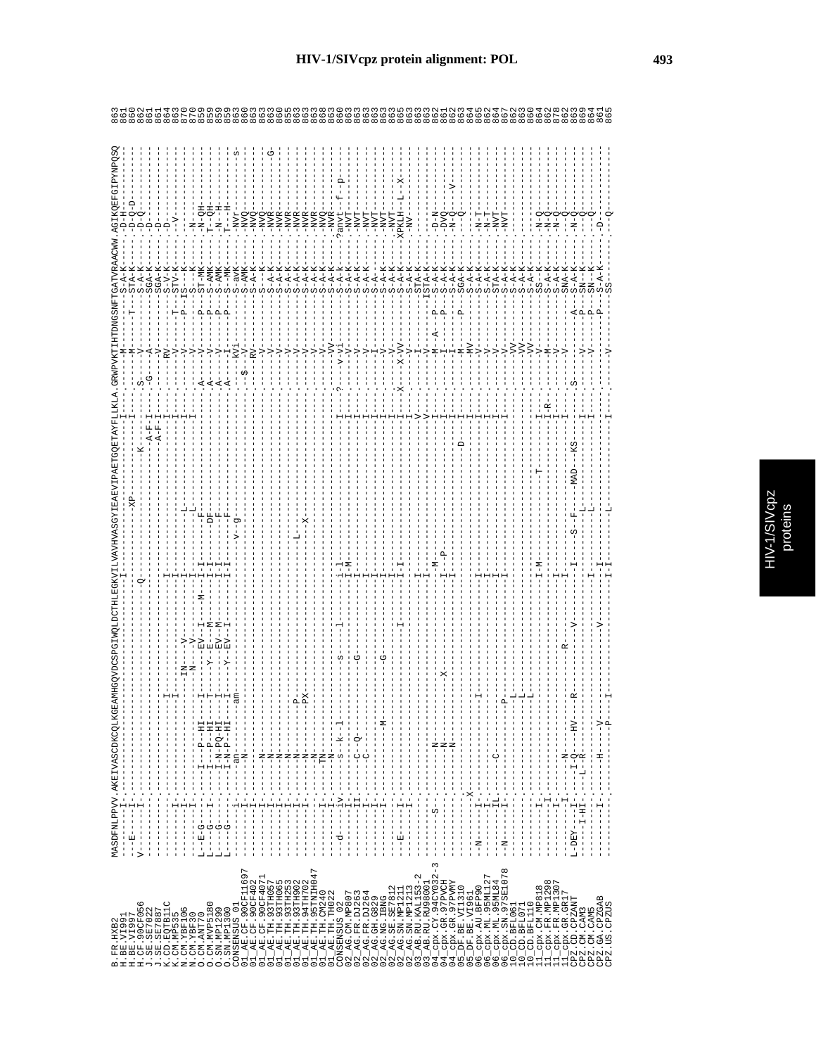|   | ¢<br>n |
|---|--------|
|   |        |
|   |        |
|   |        |
| ٠ |        |
|   |        |
|   |        |

| <b>POSC</b>                           |                              |                         |                                                                                                                                                                                                                                                                                                                                                                                                                                                     |                      |              |                    |                                                                                                        |                   |                   |                                                             |                                |                                                                                                       |    |                      |                               |                    |                             |               |                            |                    |                     |                         |                                |               |                         |                 |                                           |                    |   |               |                                                                                                                                                                                                                                                                                                                                                                                                      |                                                  |                                                                               |               |    |                                                      |                                |               |   |                           |                               |                                                                                                                                                    |              |                                                 |              |   |                                            |                          |  |   |   |                         |               |         | $\circ$        |                                                                                                                                                                                                                                                                                                                                                                               |                  |                                                                                                                                                                                                                                                                                                                                                                                                     |                                                             |   |      |
|---------------------------------------|------------------------------|-------------------------|-----------------------------------------------------------------------------------------------------------------------------------------------------------------------------------------------------------------------------------------------------------------------------------------------------------------------------------------------------------------------------------------------------------------------------------------------------|----------------------|--------------|--------------------|--------------------------------------------------------------------------------------------------------|-------------------|-------------------|-------------------------------------------------------------|--------------------------------|-------------------------------------------------------------------------------------------------------|----|----------------------|-------------------------------|--------------------|-----------------------------|---------------|----------------------------|--------------------|---------------------|-------------------------|--------------------------------|---------------|-------------------------|-----------------|-------------------------------------------|--------------------|---|---------------|------------------------------------------------------------------------------------------------------------------------------------------------------------------------------------------------------------------------------------------------------------------------------------------------------------------------------------------------------------------------------------------------------|--------------------------------------------------|-------------------------------------------------------------------------------|---------------|----|------------------------------------------------------|--------------------------------|---------------|---|---------------------------|-------------------------------|----------------------------------------------------------------------------------------------------------------------------------------------------|--------------|-------------------------------------------------|--------------|---|--------------------------------------------|--------------------------|--|---|---|-------------------------|---------------|---------|----------------|-------------------------------------------------------------------------------------------------------------------------------------------------------------------------------------------------------------------------------------------------------------------------------------------------------------------------------------------------------------------------------|------------------|-----------------------------------------------------------------------------------------------------------------------------------------------------------------------------------------------------------------------------------------------------------------------------------------------------------------------------------------------------------------------------------------------------|-------------------------------------------------------------|---|------|
| AGIKOE                                |                              | $\frac{1}{10}$          |                                                                                                                                                                                                                                                                                                                                                                                                                                                     |                      |              |                    |                                                                                                        |                   | $N-QH$            |                                                             |                                |                                                                                                       |    |                      |                               | .<br>NVQ           |                             |               | <b>EXAMER</b><br>EXPERENCE |                    |                     |                         |                                |               |                         | nvr             | anvt                                      | NVI                |   |               |                                                                                                                                                                                                                                                                                                                                                                                                      | E                                                |                                                                               |               |    |                                                      | $\overrightarrow{a}$           |               |   |                           | 남성성상<br>1922년<br>1924년        |                                                                                                                                                    |              | $\frac{1}{2}$                                   | $N-T$        |   | NVI                                        |                          |  |   |   |                         | "<br>77       |         | $\overline{R}$ |                                                                                                                                                                                                                                                                                                                                                                               | ż                |                                                                                                                                                                                                                                                                                                                                                                                                     |                                                             |   |      |
|                                       |                              |                         |                                                                                                                                                                                                                                                                                                                                                                                                                                                     | $GA - K$             | $-V-K$<br>C) |                    | $\begin{array}{l} \text{STV-K} \\ \text{S} \text{--} \text{--} \text{K} \end{array}$<br>$\mathbf{p}_i$ | C)<br>$\mathsf I$ |                   |                                                             |                                | ST-MK<br>S-AMK<br>S-AMK<br>S-AMK<br>S-AMK<br>S-AMK<br>$\triangle$ $\triangle$ $\triangle$ $\triangle$ |    |                      | : – avK-<br>: – AWK-          | $A-K$              |                             |               |                            |                    |                     |                         |                                |               |                         |                 |                                           |                    |   |               |                                                                                                                                                                                                                                                                                                                                                                                                      |                                                  |                                                                               |               |    |                                                      |                                |               |   | ム ム                       |                               | д                                                                                                                                                  |              |                                                 |              |   |                                            |                          |  |   |   |                         |               |         |                | 2<br>- 주국 국가 국가 국가 국가 국가<br>- 주국 국가 국가 국가 국가 국가<br>- 주국 국가 국가 국가 국가 국가<br>- 주국 국가 국가 국가 국가 국가                                                                                                                                                                                                                                                                                 |                  | <b>AAAA</b>                                                                                                                                                                                                                                                                                                                                                                                         |                                                             |   | ပ္ပ် |
|                                       |                              |                         |                                                                                                                                                                                                                                                                                                                                                                                                                                                     |                      |              |                    |                                                                                                        |                   |                   |                                                             |                                |                                                                                                       |    |                      |                               |                    |                             |               |                            |                    |                     |                         |                                |               |                         |                 |                                           |                    |   |               |                                                                                                                                                                                                                                                                                                                                                                                                      |                                                  |                                                                               |               |    |                                                      |                                |               |   |                           |                               |                                                                                                                                                    |              |                                                 |              |   |                                            |                          |  |   |   |                         |               |         |                |                                                                                                                                                                                                                                                                                                                                                                               |                  |                                                                                                                                                                                                                                                                                                                                                                                                     |                                                             |   |      |
|                                       |                              |                         |                                                                                                                                                                                                                                                                                                                                                                                                                                                     |                      |              |                    |                                                                                                        |                   |                   |                                                             |                                |                                                                                                       |    |                      |                               |                    |                             |               |                            |                    |                     |                         |                                |               |                         |                 |                                           |                    |   |               |                                                                                                                                                                                                                                                                                                                                                                                                      |                                                  |                                                                               |               |    |                                                      |                                |               |   |                           |                               |                                                                                                                                                    |              |                                                 |              |   |                                            |                          |  |   |   |                         |               |         |                |                                                                                                                                                                                                                                                                                                                                                                               |                  |                                                                                                                                                                                                                                                                                                                                                                                                     |                                                             |   |      |
|                                       |                              |                         |                                                                                                                                                                                                                                                                                                                                                                                                                                                     |                      |              |                    |                                                                                                        |                   |                   |                                                             |                                | $A - 1$<br>$A - 1$                                                                                    |    |                      |                               |                    |                             |               |                            |                    |                     |                         |                                |               |                         |                 |                                           |                    |   |               |                                                                                                                                                                                                                                                                                                                                                                                                      |                                                  |                                                                               |               |    |                                                      |                                |               |   |                           |                               |                                                                                                                                                    |              |                                                 |              |   |                                            |                          |  |   |   |                         | $\frac{R}{I}$ |         |                |                                                                                                                                                                                                                                                                                                                                                                               |                  |                                                                                                                                                                                                                                                                                                                                                                                                     |                                                             |   |      |
|                                       |                              |                         | $\overline{A}$                                                                                                                                                                                                                                                                                                                                                                                                                                      | 国国<br>$\overline{A}$ |              |                    |                                                                                                        |                   |                   |                                                             |                                |                                                                                                       |    |                      |                               |                    |                             |               |                            |                    |                     |                         |                                |               |                         |                 |                                           |                    |   |               |                                                                                                                                                                                                                                                                                                                                                                                                      |                                                  |                                                                               |               |    |                                                      |                                |               |   |                           |                               |                                                                                                                                                    |              |                                                 |              |   |                                            |                          |  |   |   |                         |               |         |                |                                                                                                                                                                                                                                                                                                                                                                               |                  |                                                                                                                                                                                                                                                                                                                                                                                                     |                                                             |   |      |
|                                       |                              |                         |                                                                                                                                                                                                                                                                                                                                                                                                                                                     |                      |              |                    |                                                                                                        |                   |                   |                                                             |                                |                                                                                                       |    |                      |                               |                    |                             |               |                            |                    |                     |                         |                                |               |                         |                 |                                           |                    |   |               |                                                                                                                                                                                                                                                                                                                                                                                                      |                                                  |                                                                               |               |    |                                                      |                                |               |   |                           |                               |                                                                                                                                                    |              |                                                 |              |   |                                            |                          |  |   |   |                         |               |         |                |                                                                                                                                                                                                                                                                                                                                                                               |                  |                                                                                                                                                                                                                                                                                                                                                                                                     |                                                             |   |      |
| IEAEVI                                |                              |                         |                                                                                                                                                                                                                                                                                                                                                                                                                                                     |                      |              |                    |                                                                                                        |                   |                   |                                                             |                                |                                                                                                       |    |                      |                               |                    |                             |               |                            |                    |                     |                         |                                |               |                         |                 |                                           |                    |   |               |                                                                                                                                                                                                                                                                                                                                                                                                      |                                                  |                                                                               |               |    |                                                      |                                |               |   |                           |                               |                                                                                                                                                    |              |                                                 |              |   |                                            |                          |  |   |   |                         |               |         |                |                                                                                                                                                                                                                                                                                                                                                                               |                  |                                                                                                                                                                                                                                                                                                                                                                                                     |                                                             |   |      |
|                                       |                              |                         |                                                                                                                                                                                                                                                                                                                                                                                                                                                     |                      |              |                    |                                                                                                        |                   |                   |                                                             |                                | 医中中                                                                                                   |    | თ                    |                               |                    |                             |               |                            |                    |                     |                         |                                |               |                         |                 |                                           |                    |   |               |                                                                                                                                                                                                                                                                                                                                                                                                      |                                                  |                                                                               |               |    |                                                      |                                |               |   |                           |                               |                                                                                                                                                    |              |                                                 |              |   |                                            |                          |  |   |   |                         |               |         |                |                                                                                                                                                                                                                                                                                                                                                                               |                  |                                                                                                                                                                                                                                                                                                                                                                                                     |                                                             |   |      |
| LVAVHVASGY                            |                              |                         |                                                                                                                                                                                                                                                                                                                                                                                                                                                     |                      |              |                    |                                                                                                        |                   |                   |                                                             |                                |                                                                                                       |    |                      |                               |                    |                             |               |                            |                    |                     |                         |                                |               |                         |                 |                                           |                    |   |               |                                                                                                                                                                                                                                                                                                                                                                                                      |                                                  |                                                                               |               |    |                                                      |                                |               |   |                           |                               |                                                                                                                                                    |              |                                                 |              |   |                                            |                          |  |   |   |                         |               |         |                |                                                                                                                                                                                                                                                                                                                                                                               |                  |                                                                                                                                                                                                                                                                                                                                                                                                     |                                                             |   |      |
|                                       |                              |                         |                                                                                                                                                                                                                                                                                                                                                                                                                                                     |                      |              |                    |                                                                                                        |                   |                   |                                                             |                                |                                                                                                       |    |                      |                               |                    |                             |               |                            |                    |                     |                         |                                |               |                         |                 |                                           |                    |   |               |                                                                                                                                                                                                                                                                                                                                                                                                      |                                                  |                                                                               |               |    |                                                      |                                |               |   |                           |                               |                                                                                                                                                    |              |                                                 |              |   |                                            |                          |  |   |   |                         |               |         |                |                                                                                                                                                                                                                                                                                                                                                                               |                  |                                                                                                                                                                                                                                                                                                                                                                                                     |                                                             |   |      |
| /DCSPGIWOLDCT                         |                              |                         |                                                                                                                                                                                                                                                                                                                                                                                                                                                     |                      |              |                    |                                                                                                        |                   |                   | έ<br>,<br>国                                                 | Σ<br>EV.                       | EV                                                                                                    |    |                      |                               |                    |                             |               |                            |                    |                     |                         |                                |               |                         |                 |                                           |                    |   |               |                                                                                                                                                                                                                                                                                                                                                                                                      |                                                  |                                                                               |               |    |                                                      |                                |               |   |                           |                               |                                                                                                                                                    |              |                                                 |              |   |                                            |                          |  |   |   |                         |               |         |                |                                                                                                                                                                                                                                                                                                                                                                               |                  |                                                                                                                                                                                                                                                                                                                                                                                                     |                                                             |   |      |
|                                       |                              |                         |                                                                                                                                                                                                                                                                                                                                                                                                                                                     |                      |              |                    |                                                                                                        |                   |                   |                                                             |                                |                                                                                                       |    |                      |                               |                    |                             |               |                            |                    |                     |                         |                                |               |                         |                 |                                           |                    |   |               |                                                                                                                                                                                                                                                                                                                                                                                                      |                                                  |                                                                               |               |    |                                                      |                                |               |   |                           |                               |                                                                                                                                                    |              |                                                 |              |   |                                            |                          |  |   |   |                         |               |         |                |                                                                                                                                                                                                                                                                                                                                                                               |                  |                                                                                                                                                                                                                                                                                                                                                                                                     |                                                             |   |      |
| NOORIME                               |                              |                         |                                                                                                                                                                                                                                                                                                                                                                                                                                                     |                      |              |                    |                                                                                                        |                   |                   |                                                             |                                | <b>HHHH</b>                                                                                           |    |                      |                               |                    |                             |               |                            |                    |                     |                         |                                |               |                         |                 |                                           |                    |   |               |                                                                                                                                                                                                                                                                                                                                                                                                      |                                                  |                                                                               |               |    |                                                      |                                |               |   |                           |                               |                                                                                                                                                    |              |                                                 |              |   |                                            |                          |  |   |   |                         |               |         |                |                                                                                                                                                                                                                                                                                                                                                                               |                  |                                                                                                                                                                                                                                                                                                                                                                                                     |                                                             |   |      |
| MASDFNLPPVV.AKEIVASCDKCQLKGE.         |                              |                         |                                                                                                                                                                                                                                                                                                                                                                                                                                                     |                      |              |                    |                                                                                                        |                   |                   | $1 - p - H1$<br>$1 - p - H1$                                |                                | $-141 -$                                                                                              |    | ţ                    |                               | $\frac{1}{1}$      |                             |               |                            |                    |                     | ţ                       | $\frac{1}{1}$                  | $\frac{1}{1}$ |                         |                 |                                           | J<br>$\frac{1}{1}$ |   | $\frac{1}{1}$ |                                                                                                                                                                                                                                                                                                                                                                                                      | $\frac{1}{1}$                                    | $\frac{1}{2}$ - $\frac{1}{2}$ - $\frac{1}{2}$ - $\frac{1}{2}$ - $\frac{1}{2}$ | $\frac{1}{1}$ |    | ł<br>$\begin{array}{c} 1 \\ 1 \\ 1 \\ 1 \end{array}$ |                                | $\frac{1}{1}$ |   | $- - - - - - - - - - - -$ | $-1$ $-1$                     | $\frac{1}{1}$                                                                                                                                      |              |                                                 |              |   |                                            |                          |  |   |   |                         |               |         |                |                                                                                                                                                                                                                                                                                                                                                                               | $-1 - 1 - 1 - 1$ |                                                                                                                                                                                                                                                                                                                                                                                                     |                                                             |   |      |
|                                       |                              |                         |                                                                                                                                                                                                                                                                                                                                                                                                                                                     |                      |              |                    |                                                                                                        |                   | $\frac{1}{2}$     | ד<br>ו                                                      | $-L=-Dq-1$                     | $-1 - 1 - 1 - P$                                                                                      |    | $-$ - $\alpha$ - $-$ | $-1$ $-1$ $-1$ $-1$ $-1$ $-1$ |                    | ı                           |               |                            |                    | $-1$ $-1$ $-1$ $-1$ | z<br>I<br>$\frac{1}{1}$ | <b>N-1-1-1</b>                 | z<br>İ        | $-$ – $-$ TN $-$ – $ -$ | I               | $- - - - - - - - - - - - - - - - - - - -$ |                    |   | י<br>ו        |                                                                                                                                                                                                                                                                                                                                                                                                      |                                                  | $\begin{array}{c} 1 \\ 1 \\ 1 \end{array}$                                    |               |    |                                                      |                                |               |   |                           |                               |                                                                                                                                                    |              | $\begin{array}{c} 1 \\ 1 \\ 1 \\ 1 \end{array}$ |              |   |                                            |                          |  |   |   | ł                       |               |         |                | z<br>T                                                                                                                                                                                                                                                                                                                                                                        | $-1 - 2$         | $---L---R$                                                                                                                                                                                                                                                                                                                                                                                          |                                                             |   |      |
| ŧ<br>$\frac{1}{1}$                    | I<br>È<br>$\frac{1}{1}$      | i<br>J<br>$\frac{1}{1}$ |                                                                                                                                                                                                                                                                                                                                                                                                                                                     |                      | ٠.           | $\frac{1}{1}$<br>Ï | ÷<br>Ť                                                                                                 | Ï                 | ÷.                | ÷,                                                          | $\cdot$                        |                                                                                                       | '. |                      | 吉<br>$\frac{1}{1}$            | È<br>$\frac{1}{1}$ | J.<br>$\frac{1}{1}$<br>$-1$ | $\frac{1}{1}$ | ı<br>È                     | È<br>$\frac{1}{1}$ | ÷<br>$\frac{1}{1}$  | i.<br>J<br>i<br>İ       | 吉可                             | ÷             | ŧ<br>$\frac{1}{1}$      | I<br>l.<br>J    | $- - - - - - - - - -$                     | ÷<br>$\frac{1}{1}$ |   |               | 吉                                                                                                                                                                                                                                                                                                                                                                                                    | $\begin{bmatrix} 1 \\ 1 \\ 1 \\ 1 \end{bmatrix}$ | ŧ                                                                             | ÷             |    |                                                      | È                              | I,            |   |                           | $\frac{1}{1}$ , $\frac{1}{1}$ | $\begin{array}{c} \mathbf{1} \ \ \mathbf{1} \ \ \mathbf{1} \ \ \mathbf{1} \ \ \mathbf{1} \ \ \mathbf{1} \ \ \mathbf{1} \ \ \mathbf{1} \end{array}$ | $X$ -------- | ł                                               |              | Ĵ | $-11.$                                     | ÷.<br>$\frac{1}{1}$      |  | ţ | Ŷ | $\frac{1}{1}$<br>i<br>İ | $-1$          | $\cdot$ | $-1 - 1 - 1$   | $\bullet$<br>$\frac{1}{1}$                                                                                                                                                                                                                                                                                                                                                    | ŧ                |                                                                                                                                                                                                                                                                                                                                                                                                     |                                                             |   |      |
| ţ<br>$\mathsf I$<br>Ţ                 | I<br>$\frac{1}{1}$<br>ي<br>ا | Î<br>$\frac{1}{1}$      | J<br>I                                                                                                                                                                                                                                                                                                                                                                                                                                              |                      |              | I                  |                                                                                                        | ı<br>J,           | İ<br>$-1 - E - G$ | $\begin{array}{c} 1 \\ 1 \\ 1 \end{array}$<br>$L = - - - G$ | $\frac{1}{1}$<br>$L - - - - G$ |                                                                                                       |    |                      | $\frac{1}{1}$                 |                    |                             |               |                            |                    |                     | $\frac{1}{1}$           | $- - - - - -$<br>$\frac{1}{1}$ |               |                         | $1 - - - - - -$ | $\frac{1}{\sqrt{2}}$                      | $\frac{1}{1}$      | I |               | $-1 - 1 - 1 - 1$<br>$\begin{array}{c} \rule{0pt}{2.5ex} \rule{0pt}{2.5ex} \rule{0pt}{2.5ex} \rule{0pt}{2.5ex} \rule{0pt}{2.5ex} \rule{0pt}{2.5ex} \rule{0pt}{2.5ex} \rule{0pt}{2.5ex} \rule{0pt}{2.5ex} \rule{0pt}{2.5ex} \rule{0pt}{2.5ex} \rule{0pt}{2.5ex} \rule{0pt}{2.5ex} \rule{0pt}{2.5ex} \rule{0pt}{2.5ex} \rule{0pt}{2.5ex} \rule{0pt}{2.5ex} \rule{0pt}{2.5ex} \rule{0pt}{2.5ex} \rule{0$ | $      -$                                        | -------<br>I                                                                  | $\frac{1}{1}$ | ۴Ì |                                                      | $- - - - - -$<br>$\frac{1}{2}$ | I             | Í | Í                         | ł                             | Ť                                                                                                                                                  | I            |                                                 | $\mathbf{I}$ |   | $\begin{array}{c} 1 \\ 1 \\ 1 \end{array}$ | $-1$ $-1$ $-1$ $-1$ $-1$ |  |   |   | $\frac{1}{1}$           | J<br>í        |         | i              | ı                                                                                                                                                                                                                                                                                                                                                                             | $I$ --- $XH$     | $\frac{1}{1} + \frac{1}{1} + \frac{1}{1} + \frac{1}{1} + \frac{1}{1} + \frac{1}{1} + \frac{1}{1} + \frac{1}{1} + \frac{1}{1} + \frac{1}{1} + \frac{1}{1} + \frac{1}{1} + \frac{1}{1} + \frac{1}{1} + \frac{1}{1} + \frac{1}{1} + \frac{1}{1} + \frac{1}{1} + \frac{1}{1} + \frac{1}{1} + \frac{1}{1} + \frac{1}{1} + \frac{1}{1} + \frac{1}{1} + \frac{1}{1} + \frac{1}{1} + \frac{1}{1} + \frac{1$ |                                                             | ı |      |
|                                       | $\mathbf{I}$                 | ⋗                       |                                                                                                                                                                                                                                                                                                                                                                                                                                                     |                      |              |                    |                                                                                                        |                   |                   |                                                             |                                | $\frac{1}{4}$                                                                                         |    |                      |                               |                    |                             |               |                            |                    |                     |                         |                                |               |                         |                 |                                           |                    |   |               |                                                                                                                                                                                                                                                                                                                                                                                                      |                                                  |                                                                               |               |    |                                                      |                                |               |   |                           |                               |                                                                                                                                                    |              |                                                 |              |   |                                            |                          |  |   |   |                         |               |         |                |                                                                                                                                                                                                                                                                                                                                                                               |                  |                                                                                                                                                                                                                                                                                                                                                                                                     |                                                             |   |      |
|                                       |                              |                         |                                                                                                                                                                                                                                                                                                                                                                                                                                                     |                      |              |                    |                                                                                                        |                   |                   |                                                             |                                |                                                                                                       |    |                      |                               |                    |                             |               |                            |                    |                     |                         |                                |               |                         |                 |                                           |                    |   |               |                                                                                                                                                                                                                                                                                                                                                                                                      |                                                  |                                                                               |               |    |                                                      |                                |               |   |                           |                               |                                                                                                                                                    |              |                                                 |              |   |                                            |                          |  |   |   |                         |               |         |                |                                                                                                                                                                                                                                                                                                                                                                               |                  |                                                                                                                                                                                                                                                                                                                                                                                                     |                                                             |   |      |
| B.FR.HXB2<br>H.BE.VI991<br>H.BE.VI997 |                              |                         | $\begin{array}{l} \text{H.} \left( \text{CFT} \right) \text{50} \\ \text{J.} \left( \text{CFT} \right) \text{02} \\ \text{J.} \left( \text{SBT} \right) \text{02} \\ \text{K.} \left( \text{SBT} \right) \text{02} \\ \text{K.} \left( \text{SBT} \right) \text{03} \\ \text{K.} \left( \text{SBT} \right) \text{03} \\ \text{K.} \left( \text{COT} \right) \text{04} \\ \text{K.} \left( \text{COT} \right) \text{05} \\ \text{K.} \left( \text{S$ |                      |              |                    |                                                                                                        |                   |                   |                                                             |                                | 0.CM.MVP5180<br>0.SN.MP1299<br>0.SN.MP1300<br>00NSENSUS 01                                            |    |                      |                               |                    |                             |               |                            |                    |                     |                         |                                |               |                         |                 |                                           |                    |   |               |                                                                                                                                                                                                                                                                                                                                                                                                      |                                                  |                                                                               |               |    |                                                      |                                |               |   |                           |                               |                                                                                                                                                    |              |                                                 |              |   |                                            |                          |  |   |   |                         |               |         |                | $\begin{array}{l} 11 \, \rule{0pt}{2.5ex} \rule{0pt}{2.5ex} \rule{0pt}{2.5ex} \rule{0pt}{2.5ex} \rule{0pt}{2.5ex} \rule{0pt}{2.5ex} \rule{0pt}{2.5ex} \rule{0pt}{2.5ex} \rule{0pt}{2.5ex} \rule{0pt}{2.5ex} \rule{0pt}{2.5ex} \rule{0pt}{2.5ex} \rule{0pt}{2.5ex} \rule{0pt}{2.5ex} \rule{0pt}{2.5ex} \rule{0pt}{2.5ex} \rule{0pt}{2.5ex} \rule{0pt}{2.5ex} \rule{0pt}{2.5ex$ |                  |                                                                                                                                                                                                                                                                                                                                                                                                     | CPZ.CM.CAM3<br>CPZ.CM.CAM5<br>CPZ.GA.CPZGAB<br>CPZ.US.CPZUS |   |      |
|                                       |                              |                         |                                                                                                                                                                                                                                                                                                                                                                                                                                                     |                      |              |                    |                                                                                                        |                   |                   |                                                             |                                |                                                                                                       |    |                      |                               |                    |                             |               |                            |                    |                     |                         |                                |               |                         |                 |                                           |                    |   |               |                                                                                                                                                                                                                                                                                                                                                                                                      |                                                  |                                                                               |               |    |                                                      |                                |               |   |                           |                               |                                                                                                                                                    |              |                                                 |              |   |                                            |                          |  |   |   |                         |               |         |                |                                                                                                                                                                                                                                                                                                                                                                               |                  |                                                                                                                                                                                                                                                                                                                                                                                                     |                                                             |   |      |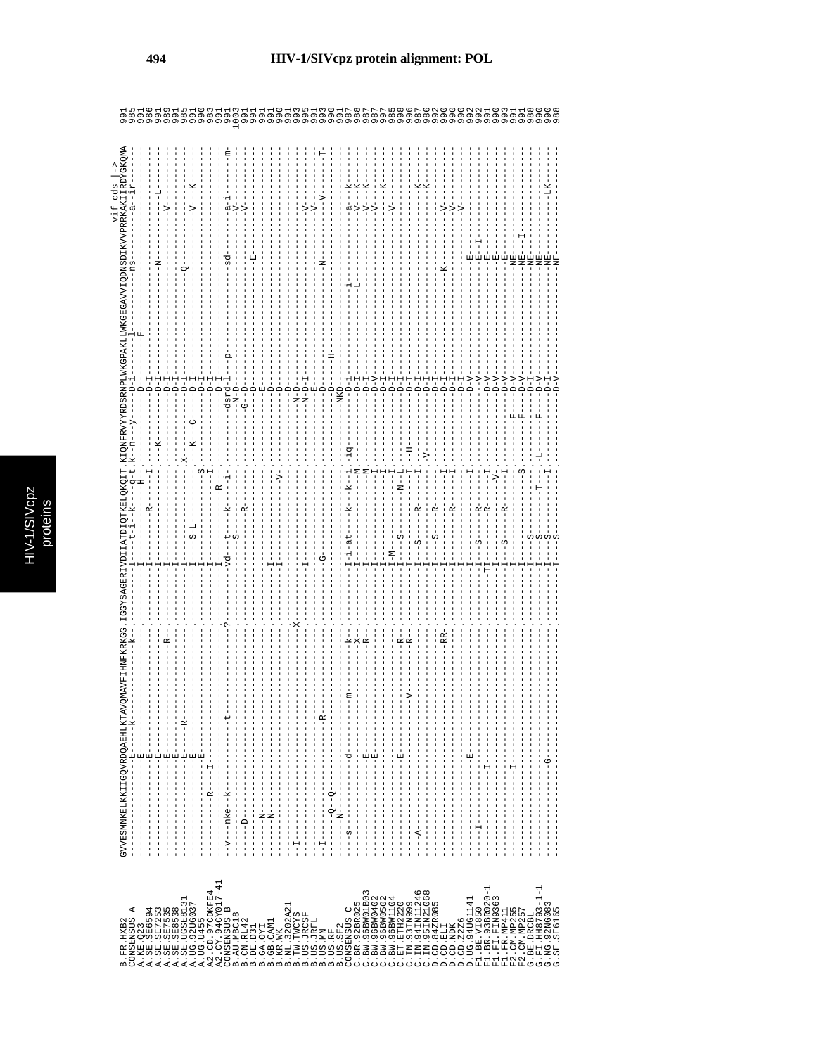$\begin{smallmatrix} \texttt{R1} & \texttt{R1} & \texttt{R2} & \texttt{R3} & \texttt{R4} & \texttt{R5} & \texttt{R6} & \texttt{R6} & \texttt{R6} & \texttt{R6} & \texttt{R6} & \texttt{R6} & \texttt{R6} & \texttt{R6} & \texttt{R6} & \texttt{R6} & \texttt{R6} & \texttt{R6} & \texttt{R6} & \texttt{R6} & \texttt{R6} & \texttt{R6} & \texttt{R6} & \texttt{R6} & \texttt{R6} & \texttt{R6} & \texttt{R6$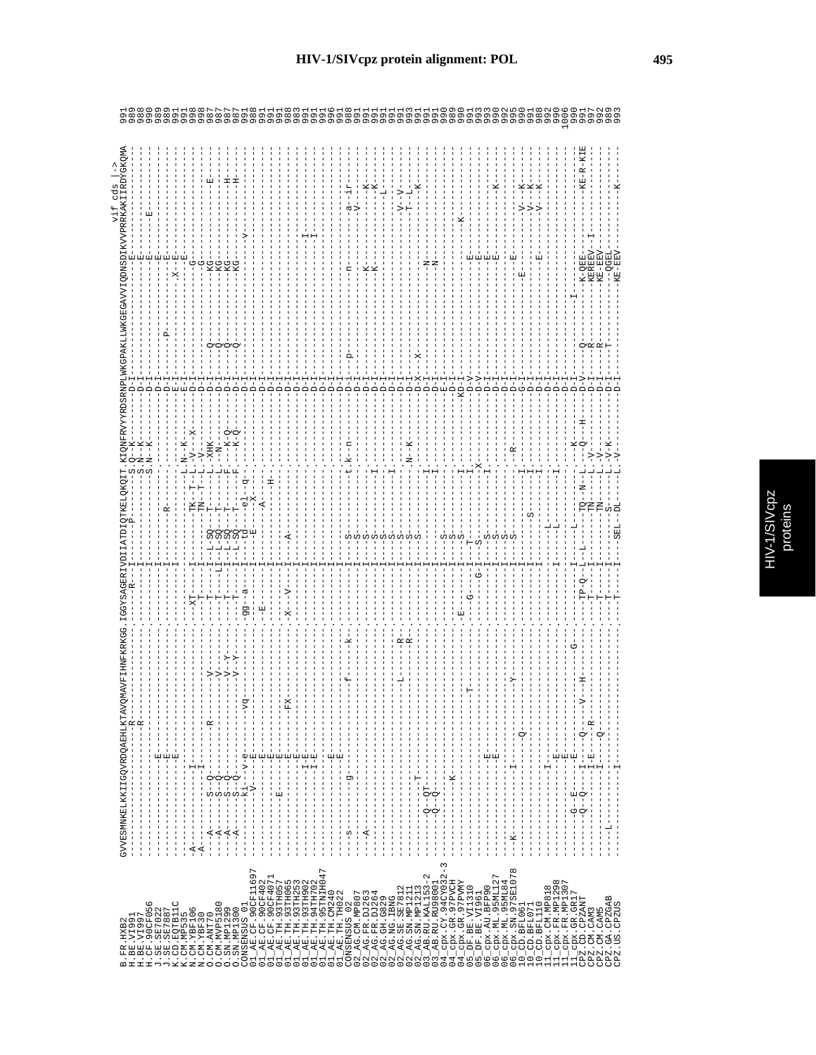|   | ¢<br>n |
|---|--------|
|   |        |
|   |        |
|   |        |
| ٠ |        |
|   |        |
|   |        |

| aáàà<br>후후 후<br>$-D-X$<br>$V$ – $Q$ –<br>$-1$<br>$\frac{1}{1}$<br>i<br>B<br>$\frac{1}{\Box}$<br>$\frac{1}{\Box}$<br>$\frac{1}{14}$<br>$\frac{1}{14}$<br>$\frac{1}{\Delta}$<br>$\frac{1}{\Delta}$<br>$\frac{1}{1}$<br>$\frac{1}{1}$<br>$\frac{1}{\ln 2}$<br>$\frac{1}{1}$<br>$\frac{1}{2}$<br>Ą<br>$\overline{\mathsf{D}}$<br>$\frac{1}{\Delta}$<br>é<br>Á<br>$\overline{\Delta}$<br>$\frac{1}{\Box}$<br>$\frac{1}{\Box}$<br>$\stackrel{1}{\triangle}$<br>$\frac{1}{\mathbf{Q}}$<br>$\frac{1}{1}$<br>$\frac{1}{1}$<br>$\frac{1}{\Box}$<br>$\frac{1}{1}$<br>ά<br>$\stackrel{1}{\triangle}$<br>$\stackrel{1}{\triangle}$<br>$\frac{1}{\Box}$<br>$\frac{1}{\Box}$<br>$\frac{1}{\Box}$<br>á<br>$\frac{1}{\Box}$<br>$\frac{1}{\Box}$<br>$\frac{1}{\Box}$<br>á<br>á<br>á<br>$\frac{1}{\Box}$<br>₫<br>$\frac{1}{\Box}$<br>$\frac{1}{\Box}$<br>$\frac{1}{\Box}$<br>₫<br>₫<br>₫<br>$\frac{1}{\Box}$<br>푸<br>$- -K - Q$<br>$-K-\overline{Q}$ .<br>$-5 - -7$<br>$-$ XHK--<br>$-3 - -K$<br>$\alpha$<br>¥<br>$L \cdot N = -K$<br>--v--<br>$-1$ <sup>-</sup><br>두<br>ř<br>¥<br>R<br>È.<br>ą<br>ωω<br>S<br>i<br>1<br>$TK - T - T - L$<br>Ţ<br>己<br>中午<br>Ţ<br>ק<br>푸<br>T--T<br>$\overline{\phantom{a}}$<br>$-\frac{X}{I}$<br>-e1<br>Ė<br>₹<br>Ė<br>é<br>é<br>œ<br>ŋ<br>д<br>ı<br>$\circ$<br>囯<br>Ū)<br>S<br>S<br>ωω<br>S<br>S<br>C)<br>S<br>S<br>S<br>ω<br>S<br>Ė<br>ωω<br>ωω<br>J<br>w<br>Ĩ<br>I.<br>$-TP-Q$<br>Ŗ<br>-XT--<br>Ė<br>ŕ<br>$\frac{1}{1}$<br>$\frac{1}{1}$<br>$\frac{1}{1}$<br>ೆ<br>7<br>Ú<br>gg<br>囸<br>$-X-$<br>H<br>딘<br>ĸ<br>R<br>$X - Y -$<br>χ--Λ-<br>$-V-$<br>₹<br>푸<br>$\frac{1}{1}$<br>$-\frac{1}{2}$<br>$-1$ - $Q$<br>$- R$<br>$\frac{1}{1}$<br>ı<br>]<br>- 대 | 囸           | 国国 | 国国<br>I | $-X--E$ | 囟<br>I | ပု | 囸<br>$-58 -$ | ÷<br>$-$ KG. | Ξ<br>KG |        |       |               |        |                |   |    |   |  |       | н.<br>Н<br>$\overline{1}$<br>৻৻<br>?<br>Я | $\frac{1}{1}$<br>$\overline{K}$ | ¥<br>¥ |  | 7<br>-<br>-<br>₹ | ¥<br>Ė | z<br>T | z<br>I |  |  | 国国国 | 囯 | 囸 | ₹<br>囯 | $\breve{\phantom{0}}$<br>囯 |                |       | -KE-R-KIE<br>$-K-QEE$ | $-KERREV$      |
|-----------------------------------------------------------------------------------------------------------------------------------------------------------------------------------------------------------------------------------------------------------------------------------------------------------------------------------------------------------------------------------------------------------------------------------------------------------------------------------------------------------------------------------------------------------------------------------------------------------------------------------------------------------------------------------------------------------------------------------------------------------------------------------------------------------------------------------------------------------------------------------------------------------------------------------------------------------------------------------------------------------------------------------------------------------------------------------------------------------------------------------------------------------------------------------------------------------------------------------------------------------------------------------------------------------------------------------------------------------------------------------------------------------------------------------------------------------------------------------------------------------------------------------------------------------------------------------------------------------------------------------------------------------------------|-------------|----|---------|---------|--------|----|--------------|--------------|---------|--------|-------|---------------|--------|----------------|---|----|---|--|-------|-------------------------------------------|---------------------------------|--------|--|------------------|--------|--------|--------|--|--|-----|---|---|--------|----------------------------|----------------|-------|-----------------------|----------------|
| $-1 - 1 - 1 - 1 - 1$                                                                                                                                                                                                                                                                                                                                                                                                                                                                                                                                                                                                                                                                                                                                                                                                                                                                                                                                                                                                                                                                                                                                                                                                                                                                                                                                                                                                                                                                                                                                                                                                                                                  |             |    |         |         |        |    |              |              |         |        |       |               |        |                |   |    |   |  |       |                                           |                                 |        |  |                  |        |        |        |  |  |     |   |   |        |                            |                |       |                       | Á              |
|                                                                                                                                                                                                                                                                                                                                                                                                                                                                                                                                                                                                                                                                                                                                                                                                                                                                                                                                                                                                                                                                                                                                                                                                                                                                                                                                                                                                                                                                                                                                                                                                                                                                       |             |    |         |         |        |    |              |              |         |        |       |               |        |                |   |    |   |  |       |                                           |                                 |        |  |                  |        |        |        |  |  |     |   |   |        |                            |                |       |                       |                |
|                                                                                                                                                                                                                                                                                                                                                                                                                                                                                                                                                                                                                                                                                                                                                                                                                                                                                                                                                                                                                                                                                                                                                                                                                                                                                                                                                                                                                                                                                                                                                                                                                                                                       |             |    |         |         |        |    |              |              |         |        |       |               |        |                |   |    |   |  |       |                                           |                                 |        |  |                  |        |        |        |  |  |     |   |   |        |                            |                |       |                       | $\frac{1}{1}$  |
| ن<br>ا<br>$\begin{array}{c} \mathbb{H} & \mathbb{H} \\ \mathbb{I} & \mathbb{I} \\ \mathbb{I} & \mathbb{I} \end{array}$<br>$-1 - 1 - 1$<br>۳ļ<br>면<br> <br>j                                                                                                                                                                                                                                                                                                                                                                                                                                                                                                                                                                                                                                                                                                                                                                                                                                                                                                                                                                                                                                                                                                                                                                                                                                                                                                                                                                                                                                                                                                           | Ť<br>$---R$ |    |         |         |        |    |              |              |         | $-v-e$ | 면<br> | $\frac{1}{1}$ | ÷<br>+ | $-\frac{1}{2}$ | 뛰 | ドー | 뛰 |  | 면<br> |                                           |                                 |        |  |                  |        |        |        |  |  |     |   |   |        |                            | $-\frac{E}{I}$ | 면<br> | ł                     | $ R$<br>ł<br>뛰 |

HIV-1/SIVcpz protein alignment: POL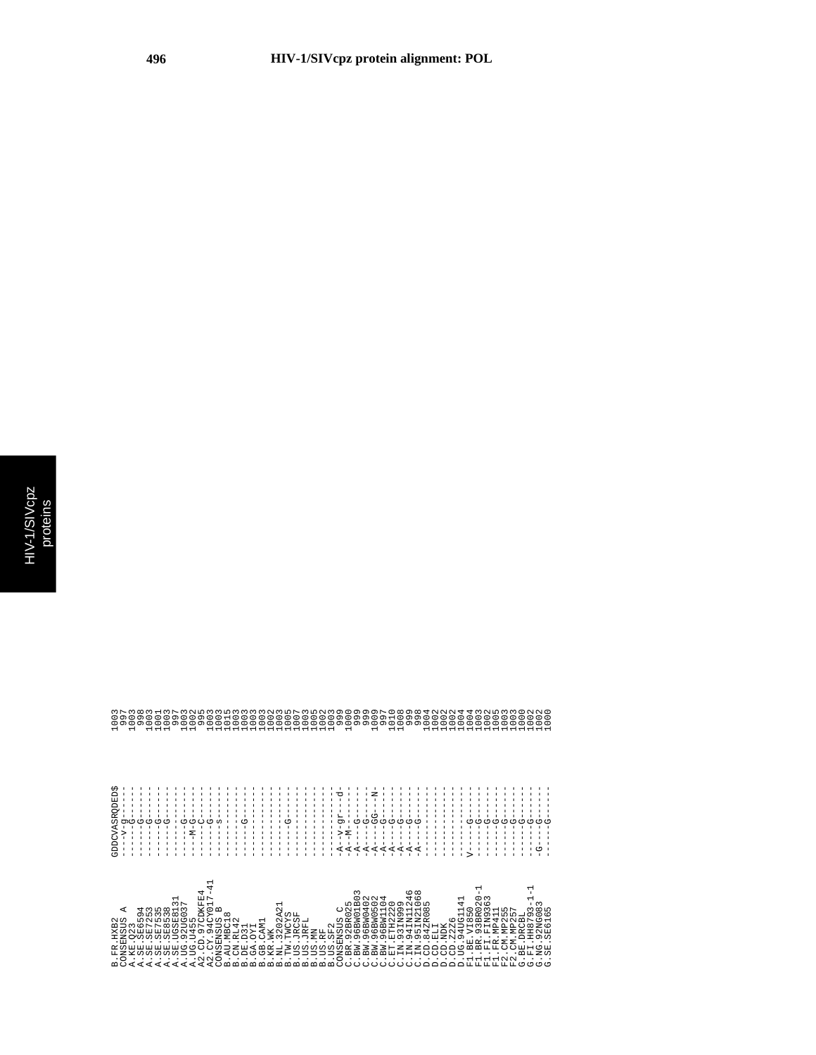| M L M W M H M L M N M M M M M M M M M L M M N M M O W W D L O W W W 4 H N N M H M M M M O N N O<br>$\circ$<br>000000<br>◠<br>-----------------<br>$\overline{ }$<br>$\overline{\phantom{0}}$<br>-----------------<br>n<br>ከገ<br>τŋ<br>τŋ<br>τŋ<br>ר ז<br>P.<br>K,<br>K,<br>Æ<br>Æ<br>⊳<br>ᆏ<br>4<br>ᆏ<br>ᆸ<br>4<br>$\infty$<br>L.<br>$\infty$<br>0NQ<br>40<br>⊡ ⊳<br>Om<br>$\mathbf{\mathbf{\mathsf{H}}}$<br>ᆏ<br>ᆸ<br>$\sim$<br><b>Indocoomon</b><br>4<br>N 10<br>$\overline{1}$ m<br>Ŀ.<br>$\blacksquare$<br>$\blacksquare$<br>ÞΚ<br>$\circ$<br>$\mathbf{\sim}$<br>$U \cap H \nightharpoonup H \cap H \cap H$<br>OMHMP<br>$m \infty$<br>മ<br>$\Box$ $\infty$<br>$\Box$<br>$\overline{ }$<br>$\rightarrow$<br>K,<br>m go H m m H o O O<br>ωĿ<br>OOOOHNWHNO<br>$^{\circ}$<br>БW<br>z<br>m ~ m m H U m Ü Ü M — ~<br>$N \succ N$<br>ωμ<br><b>COCHZTNNA</b><br>ロー<br>$\overline{ }$<br>⊣<br><b>DILECT</b><br>CAME<br>$\overline{m}$<br>面面面<br>19일<br>19일<br><b>BER</b><br>$\overline{\phantom{0}}$<br>○ひひ丘<br>ŻΘ<br>4<br>O<br>N D<br>$\infty$<br>4<br><b>R</b> NK<br>Ë<br>ğ<br>Ë<br>NQQQQ<br>てり<br>ğ<br>ΣW<br>E<br>B<br>B<br>B<br>B<br>B<br>$\alpha$ 4<br>w<br><b>NE</b><br>晨<br>ന<br>ന<br>≏<br><b>DES MESSING</b><br>LES DES LES<br>LES DES LES<br>CNESENC<br>$\square$<br>⋻<br>⋼<br>$\sigma$<br>$\sigma$<br>$\sigma$<br>ന<br>$\bullet$<br>$\bullet$<br>$\bullet$<br>٠<br>٠<br>$\cdot$<br>٠<br>囩<br><b>BE</b><br>BR<br>$\overline{\mathrm{E}}$<br>ξ<br><b>BR</b><br>R<br>$\bullet$<br>$\cdot$<br>$\cdot$<br>H<br>$\bullet$<br>$\bullet$<br>$\cdot$<br>٠<br>$\bullet$<br>C)<br>Þ<br>A,<br>$\mathcal{B}$<br>ひ<br>Ľц.<br>z<br>KR<br>E,<br>ΒŘ<br>ſщ.<br>てり<br>囯<br>Ĕ<br>БW<br><b>NEW</b><br>NEW<br><b>넓옵옵옵</b><br>$\Omega$<br>ы<br>נים כיז<br>U)<br>U)<br>데<br>囸<br>$\overline{\mathsf{a}}$<br>ゼ<br>Б<br>Б<br>زخ<br>なじじら<br>ā<br>$\approx$<br>ن<br>$\omega$ | Æ<br>ഷ സ ഥ ∞ ⊣ സ<br>തഥനനയധ<br>N W<br>DMONN80DUN<br>മ<br>EХ<br>$\omega$ $\alpha$<br>回<br>国国<br>z<br><b>www</b><br>$\alpha$<br>囩<br>٠<br><b>α</b><br>囸<br>더<br>더<br>데<br>z<br>RUMMMAD<br>Ŀц. | ы<br>≏<br>$\circ$<br>≃<br>τń<br>Æ,<br>⊳<br>t)<br>ĞQ5 | $\overline{ }$<br>$-1$ |
|-------------------------------------------------------------------------------------------------------------------------------------------------------------------------------------------------------------------------------------------------------------------------------------------------------------------------------------------------------------------------------------------------------------------------------------------------------------------------------------------------------------------------------------------------------------------------------------------------------------------------------------------------------------------------------------------------------------------------------------------------------------------------------------------------------------------------------------------------------------------------------------------------------------------------------------------------------------------------------------------------------------------------------------------------------------------------------------------------------------------------------------------------------------------------------------------------------------------------------------------------------------------------------------------------------------------------------------------------------------------------------------------------------------------------------------------------------------------------------------------------------------------------------------------------------------------------------------------------------------------------------------------------------------------------------------------------------------------------------------------------------------------------------------------------------------------------------------------------------|--------------------------------------------------------------------------------------------------------------------------------------------------------------------------------------------|------------------------------------------------------|------------------------|
|                                                                                                                                                                                                                                                                                                                                                                                                                                                                                                                                                                                                                                                                                                                                                                                                                                                                                                                                                                                                                                                                                                                                                                                                                                                                                                                                                                                                                                                                                                                                                                                                                                                                                                                                                                                                                                                       | 国                                                                                                                                                                                          |                                                      |                        |
|                                                                                                                                                                                                                                                                                                                                                                                                                                                                                                                                                                                                                                                                                                                                                                                                                                                                                                                                                                                                                                                                                                                                                                                                                                                                                                                                                                                                                                                                                                                                                                                                                                                                                                                                                                                                                                                       |                                                                                                                                                                                            |                                                      |                        |
|                                                                                                                                                                                                                                                                                                                                                                                                                                                                                                                                                                                                                                                                                                                                                                                                                                                                                                                                                                                                                                                                                                                                                                                                                                                                                                                                                                                                                                                                                                                                                                                                                                                                                                                                                                                                                                                       |                                                                                                                                                                                            |                                                      |                        |
|                                                                                                                                                                                                                                                                                                                                                                                                                                                                                                                                                                                                                                                                                                                                                                                                                                                                                                                                                                                                                                                                                                                                                                                                                                                                                                                                                                                                                                                                                                                                                                                                                                                                                                                                                                                                                                                       |                                                                                                                                                                                            |                                                      |                        |
|                                                                                                                                                                                                                                                                                                                                                                                                                                                                                                                                                                                                                                                                                                                                                                                                                                                                                                                                                                                                                                                                                                                                                                                                                                                                                                                                                                                                                                                                                                                                                                                                                                                                                                                                                                                                                                                       |                                                                                                                                                                                            |                                                      |                        |
|                                                                                                                                                                                                                                                                                                                                                                                                                                                                                                                                                                                                                                                                                                                                                                                                                                                                                                                                                                                                                                                                                                                                                                                                                                                                                                                                                                                                                                                                                                                                                                                                                                                                                                                                                                                                                                                       |                                                                                                                                                                                            |                                                      |                        |
|                                                                                                                                                                                                                                                                                                                                                                                                                                                                                                                                                                                                                                                                                                                                                                                                                                                                                                                                                                                                                                                                                                                                                                                                                                                                                                                                                                                                                                                                                                                                                                                                                                                                                                                                                                                                                                                       |                                                                                                                                                                                            |                                                      |                        |
|                                                                                                                                                                                                                                                                                                                                                                                                                                                                                                                                                                                                                                                                                                                                                                                                                                                                                                                                                                                                                                                                                                                                                                                                                                                                                                                                                                                                                                                                                                                                                                                                                                                                                                                                                                                                                                                       |                                                                                                                                                                                            |                                                      |                        |
|                                                                                                                                                                                                                                                                                                                                                                                                                                                                                                                                                                                                                                                                                                                                                                                                                                                                                                                                                                                                                                                                                                                                                                                                                                                                                                                                                                                                                                                                                                                                                                                                                                                                                                                                                                                                                                                       |                                                                                                                                                                                            |                                                      |                        |
|                                                                                                                                                                                                                                                                                                                                                                                                                                                                                                                                                                                                                                                                                                                                                                                                                                                                                                                                                                                                                                                                                                                                                                                                                                                                                                                                                                                                                                                                                                                                                                                                                                                                                                                                                                                                                                                       |                                                                                                                                                                                            |                                                      |                        |
|                                                                                                                                                                                                                                                                                                                                                                                                                                                                                                                                                                                                                                                                                                                                                                                                                                                                                                                                                                                                                                                                                                                                                                                                                                                                                                                                                                                                                                                                                                                                                                                                                                                                                                                                                                                                                                                       |                                                                                                                                                                                            |                                                      |                        |
|                                                                                                                                                                                                                                                                                                                                                                                                                                                                                                                                                                                                                                                                                                                                                                                                                                                                                                                                                                                                                                                                                                                                                                                                                                                                                                                                                                                                                                                                                                                                                                                                                                                                                                                                                                                                                                                       |                                                                                                                                                                                            |                                                      |                        |
|                                                                                                                                                                                                                                                                                                                                                                                                                                                                                                                                                                                                                                                                                                                                                                                                                                                                                                                                                                                                                                                                                                                                                                                                                                                                                                                                                                                                                                                                                                                                                                                                                                                                                                                                                                                                                                                       |                                                                                                                                                                                            |                                                      |                        |
|                                                                                                                                                                                                                                                                                                                                                                                                                                                                                                                                                                                                                                                                                                                                                                                                                                                                                                                                                                                                                                                                                                                                                                                                                                                                                                                                                                                                                                                                                                                                                                                                                                                                                                                                                                                                                                                       |                                                                                                                                                                                            |                                                      |                        |
|                                                                                                                                                                                                                                                                                                                                                                                                                                                                                                                                                                                                                                                                                                                                                                                                                                                                                                                                                                                                                                                                                                                                                                                                                                                                                                                                                                                                                                                                                                                                                                                                                                                                                                                                                                                                                                                       |                                                                                                                                                                                            |                                                      |                        |
|                                                                                                                                                                                                                                                                                                                                                                                                                                                                                                                                                                                                                                                                                                                                                                                                                                                                                                                                                                                                                                                                                                                                                                                                                                                                                                                                                                                                                                                                                                                                                                                                                                                                                                                                                                                                                                                       |                                                                                                                                                                                            |                                                      |                        |
|                                                                                                                                                                                                                                                                                                                                                                                                                                                                                                                                                                                                                                                                                                                                                                                                                                                                                                                                                                                                                                                                                                                                                                                                                                                                                                                                                                                                                                                                                                                                                                                                                                                                                                                                                                                                                                                       |                                                                                                                                                                                            |                                                      |                        |
|                                                                                                                                                                                                                                                                                                                                                                                                                                                                                                                                                                                                                                                                                                                                                                                                                                                                                                                                                                                                                                                                                                                                                                                                                                                                                                                                                                                                                                                                                                                                                                                                                                                                                                                                                                                                                                                       |                                                                                                                                                                                            |                                                      |                        |
|                                                                                                                                                                                                                                                                                                                                                                                                                                                                                                                                                                                                                                                                                                                                                                                                                                                                                                                                                                                                                                                                                                                                                                                                                                                                                                                                                                                                                                                                                                                                                                                                                                                                                                                                                                                                                                                       |                                                                                                                                                                                            |                                                      |                        |
|                                                                                                                                                                                                                                                                                                                                                                                                                                                                                                                                                                                                                                                                                                                                                                                                                                                                                                                                                                                                                                                                                                                                                                                                                                                                                                                                                                                                                                                                                                                                                                                                                                                                                                                                                                                                                                                       |                                                                                                                                                                                            |                                                      |                        |
|                                                                                                                                                                                                                                                                                                                                                                                                                                                                                                                                                                                                                                                                                                                                                                                                                                                                                                                                                                                                                                                                                                                                                                                                                                                                                                                                                                                                                                                                                                                                                                                                                                                                                                                                                                                                                                                       |                                                                                                                                                                                            |                                                      |                        |
|                                                                                                                                                                                                                                                                                                                                                                                                                                                                                                                                                                                                                                                                                                                                                                                                                                                                                                                                                                                                                                                                                                                                                                                                                                                                                                                                                                                                                                                                                                                                                                                                                                                                                                                                                                                                                                                       |                                                                                                                                                                                            |                                                      |                        |
|                                                                                                                                                                                                                                                                                                                                                                                                                                                                                                                                                                                                                                                                                                                                                                                                                                                                                                                                                                                                                                                                                                                                                                                                                                                                                                                                                                                                                                                                                                                                                                                                                                                                                                                                                                                                                                                       |                                                                                                                                                                                            |                                                      |                        |
|                                                                                                                                                                                                                                                                                                                                                                                                                                                                                                                                                                                                                                                                                                                                                                                                                                                                                                                                                                                                                                                                                                                                                                                                                                                                                                                                                                                                                                                                                                                                                                                                                                                                                                                                                                                                                                                       |                                                                                                                                                                                            |                                                      |                        |
|                                                                                                                                                                                                                                                                                                                                                                                                                                                                                                                                                                                                                                                                                                                                                                                                                                                                                                                                                                                                                                                                                                                                                                                                                                                                                                                                                                                                                                                                                                                                                                                                                                                                                                                                                                                                                                                       |                                                                                                                                                                                            |                                                      |                        |
|                                                                                                                                                                                                                                                                                                                                                                                                                                                                                                                                                                                                                                                                                                                                                                                                                                                                                                                                                                                                                                                                                                                                                                                                                                                                                                                                                                                                                                                                                                                                                                                                                                                                                                                                                                                                                                                       |                                                                                                                                                                                            |                                                      |                        |
|                                                                                                                                                                                                                                                                                                                                                                                                                                                                                                                                                                                                                                                                                                                                                                                                                                                                                                                                                                                                                                                                                                                                                                                                                                                                                                                                                                                                                                                                                                                                                                                                                                                                                                                                                                                                                                                       |                                                                                                                                                                                            |                                                      |                        |
|                                                                                                                                                                                                                                                                                                                                                                                                                                                                                                                                                                                                                                                                                                                                                                                                                                                                                                                                                                                                                                                                                                                                                                                                                                                                                                                                                                                                                                                                                                                                                                                                                                                                                                                                                                                                                                                       |                                                                                                                                                                                            |                                                      |                        |
|                                                                                                                                                                                                                                                                                                                                                                                                                                                                                                                                                                                                                                                                                                                                                                                                                                                                                                                                                                                                                                                                                                                                                                                                                                                                                                                                                                                                                                                                                                                                                                                                                                                                                                                                                                                                                                                       |                                                                                                                                                                                            |                                                      |                        |
|                                                                                                                                                                                                                                                                                                                                                                                                                                                                                                                                                                                                                                                                                                                                                                                                                                                                                                                                                                                                                                                                                                                                                                                                                                                                                                                                                                                                                                                                                                                                                                                                                                                                                                                                                                                                                                                       | on co                                                                                                                                                                                      | $1 - 1$                                              | oo                     |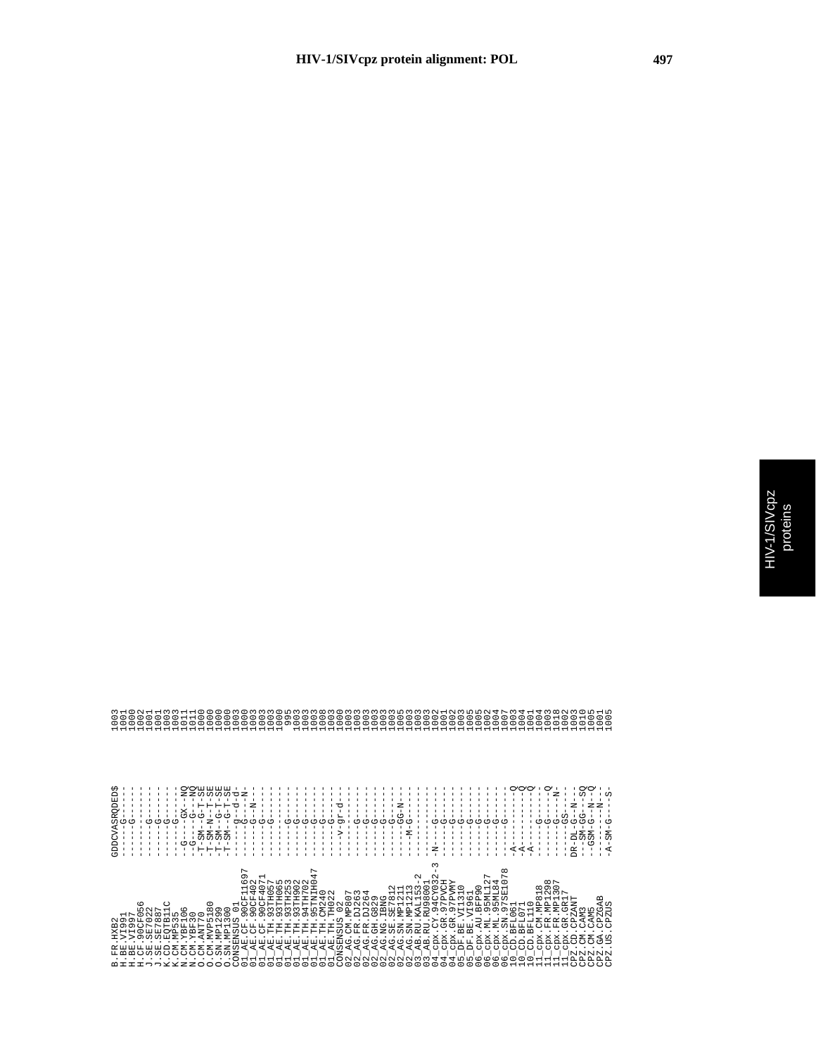| HIV-1/SIVcpz protein alignment: POL | 497 |
|-------------------------------------|-----|
|                                     |     |

B.FR.HXB2 GDDCVASRQDED\$ 1003 H.BE.VI991 ------G------ 1001 H.BE.VI997 ------G------ 1000 H.CF.90CF056 ------------- 1002 J.SE.SE7022 ------G------ 1001 J.SE.SE7887 ------G------ 1001 K.CD.EQTB11C ------G------ 1003 K.CM.MP535 ------G------ 1003 N.CM.YBF106 --G----GX--NQ 1011 N.CM.YBF30 --G----G---NQ 1011 O.CM.ANTRO -T-SM-H-SM-H-SM--G-SE 2000 -T-SM-SE 10000 O.CM.MVP5180 -T-SM-N-M-D-SM-D-SE 1000 O.SN.MP1299 -T-SM-T-SM-T-SM--G-T-SM--G-T-SM--G-T-SM--G-T-SM--G-T-SM--G-T-SM--G-T-SM--G-O.SN.MP1301300 -T-SM-F-SM-F-SM-T-SM-COONTAMP130.SN.MP1300 CONSENSUS 01 ------g--d-d- 1003 01\_AE.CF.90CF11697 ------G----N- 1000 01\_AE.CF.90CF402 ------G--N--- 1003 01\_AE.CF.90CF4071 ------G------ 1003 01\_AE.TH.93TH057 ------G------ 1003 01\_AE.TH.93TH065 ------------- 1000 01\_AE.TH.93TH253 ------G------ 995 01\_AE.TH.93TH902 ------G------ 1003 01\_AE.TH.94TH702 ------G------ 1003 01\_AE.TH.95TNIH047 ------G------ 1003 01\_AE.TH.CM240 ------G------ 1008 01\_AE.TH.TH022 ------G------ 1003 CONSENSUS 02 ----v-gr-d--- 1000 02 ---------------- 1003 AM.MP307 2004 2004 02\_AG.FR.DJ263 ------G------ 1003 02\_AG.FR.DJ264 ------G------ 1003 02\_AG.GH.G829 ------G------ 1003 02\_AG.NG.IBNG ------G------ 1003 02\_AG.SE.SERISE.SERISE.SERISE.SERISE.SERIS 02\_AG.SN.MP1211 ------GG-N--- 1005 02\_AG.SN.MP1213 ----M-G------ 1003 03\_AB.RU.KAL153-2 ------------- 1003 03\_AB.RU.RU98001 ------------- 1003 04\_cpx.CY.94CY032-3 -N----G------ 1002 04\_cpx.GR.97PVCH ------G------ 1001 04\_cpx.GR.97PVMY ------G------ 1002 05\_DF.BE.VI1310 ------G------ 1003 05\_DF.BE.VI961 ------G------ 1005 06\_cpx.AU.BFP90 ------G------ 1005 06\_cpx.ML.95ML127 ------G------ 1002 06\_cpx.ML.95ML84 ------G------ 1004 07 ---------- 10078526.2012.07SE2078 ---------- 10078526.2020 10\_CD.BFL061 -A----------Q 1003 10\_CD.BFL071 -A----------Q 1004 10\_CD.BFL110 -A----------Q 1001 11\_cpx.CM.MP818 ------G------ 1004 11\_cpx.FR.MP1298 ------G-----Q 1003 11\_cpx.FR.MP1307 ------G----N- 1018 11\_cpx.GR.GR17 ------GS----- 1002 CPZ.CD.CPZANT DR-DL-G--N--- 1003 CPZ.CM.CAM3 ---SM-GG---SQ 1010 CPZ.CM.CAM5 --GSM-G--N--Q 1005 CPZ.GA.CPZGAB ---------N--- 1001 CPZ.US.CPZUS -A-SM-G----S- 1005 $\begin{smallmatrix} \texttt{R1.4181}, \texttt{R2130}, \\ \texttt{R31.4181}, \texttt{R31.421}, \texttt{R41.431}, \texttt{R51.4421}, \texttt{R61.451}, \texttt{R71.451}, \texttt{R81.451}, \texttt{R9.4521}, \texttt{R1.4531}, \texttt{R2.4541}, \texttt{R3.4551}, \texttt{R4.451}, \texttt{R5.451}, \texttt{R5.451}, \texttt{R5.451}, \texttt{R5.451}, \text$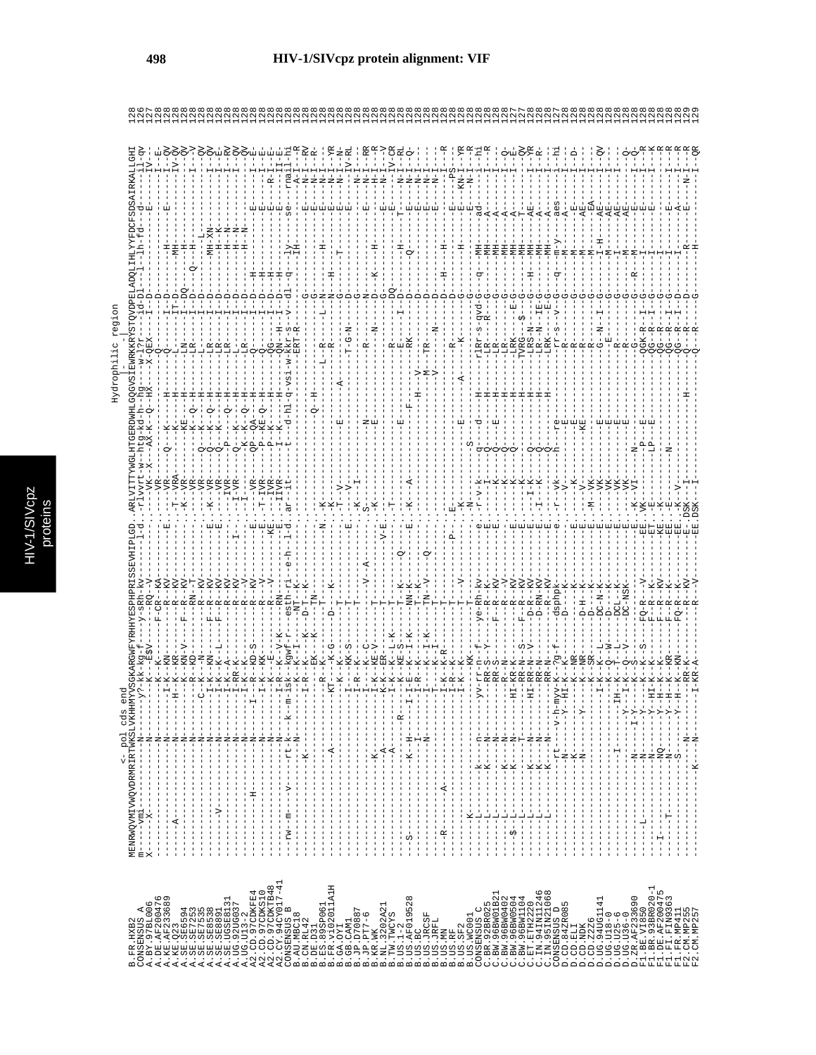|                                                                                                                                                                                                                                                                                                 | $-1 - N -$                                             |  |         |   |  |  |
|-------------------------------------------------------------------------------------------------------------------------------------------------------------------------------------------------------------------------------------------------------------------------------------------------|--------------------------------------------------------|--|---------|---|--|--|
| J.<br>J.<br>j.<br>$\frac{1}{1}$<br>$\mathbb{I}$<br>$- -X - -$<br>$---vm1$<br>$\frac{1}{4}$                                                                                                                                                                                                      | $-1$ $-1$                                              |  |         |   |  |  |
| ı<br>I<br>L.<br>J.<br>J.<br>J.<br>т<br>J.<br>Ţ<br>I.                                                                                                                                                                                                                                            | $-1$<br>$-1$                                           |  |         |   |  |  |
| т<br>т<br>I<br>T<br>т.<br>ï<br>J,<br>т<br>u                                                                                                                                                                                                                                                     | $-1$<br>$-1$                                           |  |         |   |  |  |
| $- A -$<br>$\blacksquare$<br>L.                                                                                                                                                                                                                                                                 |                                                        |  |         |   |  |  |
| J.<br>H<br>H                                                                                                                                                                                                                                                                                    | $\begin{array}{c}\n-1 \\ -1 \\ -1 \\ -1\n\end{array}$  |  |         |   |  |  |
| т<br>T<br>-<br>ï                                                                                                                                                                                                                                                                                | $\frac{1}{2}$                                          |  |         |   |  |  |
| п<br>п<br>J.<br>J<br>J.<br>J.<br>п<br>J.<br>ï<br>$\overline{1}$<br>ı<br>J.<br>J.                                                                                                                                                                                                                | $- - N - -$                                            |  |         |   |  |  |
| I<br>$\mathbf{I}$<br>$\mathbf{I}$<br>J.<br>$\mathbf{I}$<br>ï<br>$\mathbf{I}$<br>$\mathbf{I}$<br>п<br>$\mathbf{I}$<br>$\overline{\phantom{a}}$<br>$\blacksquare$<br>$\overline{V}$<br>$\overline{\phantom{a}}$<br>$\overline{\phantom{a}}$<br>I<br>$\mathbf{I}$<br>$\overline{\phantom{a}}$<br>I |                                                        |  | aaa     |   |  |  |
| I<br>п                                                                                                                                                                                                                                                                                          | $- - N - -$                                            |  |         |   |  |  |
| п<br>л<br>п<br>J<br>J<br>п<br>п<br>I                                                                                                                                                                                                                                                            | $-1$                                                   |  | $\circ$ |   |  |  |
| ı<br>т<br>I<br>I.<br>п<br>J.<br>I<br>т<br>ı<br>I<br>ı<br>т<br>ı                                                                                                                                                                                                                                 | $\frac{1}{1}$<br>$\frac{1}{2}$                         |  |         |   |  |  |
| I<br>I<br>T<br>ï<br>$-1$<br>$+1$<br>ł<br>I<br>I<br>л<br>J.<br>I                                                                                                                                                                                                                                 | $-1$<br>$-1$                                           |  |         |   |  |  |
|                                                                                                                                                                                                                                                                                                 | $\overline{R}$                                         |  |         |   |  |  |
| I<br>J,<br>Ï<br>I<br>Í<br>Ţ<br>I<br>п<br>ï<br>I<br>J<br>п<br>п<br>J                                                                                                                                                                                                                             | J,<br>$\overline{R}$ + $\overline{R}$ + $\overline{R}$ |  |         |   |  |  |
| $\mathbf{I}$<br>$\mathbf{I}$<br>$\frac{1}{1}$<br>J.<br>$\mathbf{I}$<br>п<br>J.<br>$\frac{1}{1}$<br>J.                                                                                                                                                                                           | z<br>                                                  |  |         |   |  |  |
| I<br>I.<br>$-4 - 1$<br>$-100 - -101 - -$                                                                                                                                                                                                                                                        | -rt-k                                                  |  |         | ω |  |  |
| I<br>$\frac{1}{1}$<br>$\overline{\phantom{a}}$<br>J<br>J<br>ï<br>л<br>I<br>I.<br>ш                                                                                                                                                                                                              | $-1$                                                   |  |         |   |  |  |
| $---K$<br>$\overline{\phantom{a}}$<br>п<br>$\mathbf{I}$<br>$\mathbf{I}$<br>1                                                                                                                                                                                                                    | $\frac{1}{1}$                                          |  |         |   |  |  |
| ţ<br>$\frac{1}{1}$<br>J.<br>$\mathbb I$<br>J.                                                                                                                                                                                                                                                   |                                                        |  |         |   |  |  |
| J                                                                                                                                                                                                                                                                                               |                                                        |  |         |   |  |  |
|                                                                                                                                                                                                                                                                                                 |                                                        |  |         |   |  |  |
| $\frac{1}{1}$<br>I<br>л<br>п<br>$\frac{1}{1}$<br>ł<br>ţ<br>ı<br>п<br>I                                                                                                                                                                                                                          | $- -A - -$                                             |  |         |   |  |  |
| I<br>$\frac{1}{1}$<br>I<br>п<br>I<br>$\begin{array}{c} 1 \\ 1 \\ 1 \\ 1 \end{array}$<br>$\frac{1}{1}$<br>I<br>J.<br>J                                                                                                                                                                           | I<br>$\mathbb I$<br>п                                  |  |         |   |  |  |
|                                                                                                                                                                                                                                                                                                 |                                                        |  |         |   |  |  |
| ï<br>J.<br>J,<br>$\mathbf{I}$<br>I<br>J.<br>ï<br>Ţ<br>I<br>í<br>I<br>J<br>п<br>п                                                                                                                                                                                                                | J<br>J.                                                |  |         |   |  |  |
|                                                                                                                                                                                                                                                                                                 |                                                        |  |         |   |  |  |
| п<br>T<br>т<br>T<br>т                                                                                                                                                                                                                                                                           | I.<br>п                                                |  |         |   |  |  |
| $-K--$<br>I<br>ı                                                                                                                                                                                                                                                                                |                                                        |  |         |   |  |  |
| $\overline{\phantom{a}}$<br>п<br>п<br>$\overline{1}$<br>$\begin{array}{c} 1 \\ 1 \\ 1 \end{array}$<br>$\frac{1}{1}$<br>j<br>л                                                                                                                                                                   | $- - A - -$                                            |  |         |   |  |  |
| $\mathbf{I}$<br>Ť<br>I<br>J.<br>J.<br>ı<br>J.<br>J.<br>I<br>ı                                                                                                                                                                                                                                   | $-4 - -$                                               |  |         |   |  |  |
| п<br>т<br>т<br>I<br>т<br>j.<br>л<br>J,                                                                                                                                                                                                                                                          | I<br>т                                                 |  |         |   |  |  |
| п<br>$\mathbf{I}$<br>п<br>$\mathbf{I}$<br>п<br>$-5-$                                                                                                                                                                                                                                            | $-K - H -$                                             |  |         |   |  |  |
| I<br>H<br>ı<br>I<br>I<br>ı<br>I                                                                                                                                                                                                                                                                 | ł<br>٢                                                 |  |         |   |  |  |
| I<br>$\mathbf{I}$<br>л<br>$\begin{bmatrix} 1 \\ 1 \\ 1 \\ 1 \end{bmatrix}$<br>$\frac{1}{1}$<br>$\mathbf{I}$<br>J<br>$\frac{1}{1}$                                                                                                                                                               | $-1$<br>$-1$                                           |  |         |   |  |  |
|                                                                                                                                                                                                                                                                                                 |                                                        |  |         |   |  |  |
| T<br>п<br>I<br>т<br>т<br>ш                                                                                                                                                                                                                                                                      | ī                                                      |  |         |   |  |  |
| $\mathbf{I}$<br>$\mathbf{I}$<br>J.<br>j<br>$-4 -$<br>$\frac{1}{1}$<br>$- - R - -$                                                                                                                                                                                                               | J.<br>$\mathbf{I}$<br>п                                |  |         |   |  |  |
| $\mathbb{I}$<br>-1<br>L.                                                                                                                                                                                                                                                                        | L.                                                     |  |         |   |  |  |
| л<br>п<br>I.<br>л<br>u                                                                                                                                                                                                                                                                          | л                                                      |  |         |   |  |  |
| $- -K--$<br>$\mathbf{I}$<br>$\mathbf I$                                                                                                                                                                                                                                                         |                                                        |  |         |   |  |  |
|                                                                                                                                                                                                                                                                                                 |                                                        |  |         |   |  |  |
| $k - 1$<br>Ţ<br>ı<br>1<br>ı<br>$-1 -$<br>$\frac{1}{1}$                                                                                                                                                                                                                                          | $n - 1$                                                |  |         |   |  |  |
| $- -K - - - -N$<br>$\frac{1}{1}$<br>$-1 - 1 - -1$<br>$\frac{1}{1}$<br>I                                                                                                                                                                                                                         | $\frac{1}{1}$                                          |  |         |   |  |  |
| I<br>$-1$                                                                                                                                                                                                                                                                                       | Ŧ<br>л                                                 |  |         |   |  |  |
| I<br>$\mathbf{I}$<br>п<br>Ţ<br>$-1 -$<br>п<br>Ţ<br>Ţ<br>л                                                                                                                                                                                                                                       |                                                        |  |         |   |  |  |
| $\mathbf{I}$<br>$\mathbf{I}$<br>$\mathbf{I}$<br>$-1 - 1 -$<br>J.                                                                                                                                                                                                                                |                                                        |  |         |   |  |  |
| $\frac{5}{1}$                                                                                                                                                                                                                                                                                   |                                                        |  |         |   |  |  |
| $\mathbf{I}$<br>$\frac{1}{1}$                                                                                                                                                                                                                                                                   | Ļ<br>$\overline{1}$                                    |  |         |   |  |  |
| I<br>1<br>Ť.<br>$-1 - 1$<br>п<br>$\mathfrak l$<br>Ţ                                                                                                                                                                                                                                             | ł                                                      |  |         |   |  |  |
| J.<br>л.<br>т<br>$-1$<br>п<br>т<br>ı<br>J.                                                                                                                                                                                                                                                      | $\mathbf{I}$                                           |  |         |   |  |  |
|                                                                                                                                                                                                                                                                                                 |                                                        |  |         |   |  |  |
| $\frac{1}{1}$<br>Ţ<br>I<br>I<br>J.                                                                                                                                                                                                                                                              |                                                        |  |         |   |  |  |
|                                                                                                                                                                                                                                                                                                 | $-22-$                                                 |  |         |   |  |  |
| $-1 - N -$<br>Ţ<br>$\mathbf{I}$<br>п<br>п<br>I<br>1<br>п<br>ï<br>I<br>п<br>п                                                                                                                                                                                                                    |                                                        |  |         |   |  |  |
| $- -K - -$                                                                                                                                                                                                                                                                                      |                                                        |  |         |   |  |  |
|                                                                                                                                                                                                                                                                                                 |                                                        |  |         |   |  |  |
| $-1$ $-1$<br>I.<br>J.<br>J.<br>п<br>I.                                                                                                                                                                                                                                                          |                                                        |  |         |   |  |  |
| J.<br>I<br>J.<br>J<br>J.<br>J<br>J,                                                                                                                                                                                                                                                             | J<br>J.                                                |  |         |   |  |  |
| $\mathbf{I}$                                                                                                                                                                                                                                                                                    | $\mathbf{I}$<br>-1                                     |  |         |   |  |  |
|                                                                                                                                                                                                                                                                                                 |                                                        |  |         |   |  |  |
|                                                                                                                                                                                                                                                                                                 | I                                                      |  |         |   |  |  |
| п                                                                                                                                                                                                                                                                                               | $-1 -$                                                 |  |         |   |  |  |
| п<br>$\mathbf{I}$<br>I<br>ı<br>I<br>т<br>ı<br>I                                                                                                                                                                                                                                                 | $\frac{1}{1}$                                          |  |         |   |  |  |
|                                                                                                                                                                                                                                                                                                 |                                                        |  |         |   |  |  |
| $-1$ $-1$ $-1$<br>I<br>I.<br>т<br>u<br>J,<br>í<br>I<br>J,<br>I                                                                                                                                                                                                                                  |                                                        |  |         |   |  |  |
| $-1$<br>$-1$<br>J<br>J                                                                                                                                                                                                                                                                          |                                                        |  |         |   |  |  |
|                                                                                                                                                                                                                                                                                                 |                                                        |  |         |   |  |  |
| $-1 - N -$                                                                                                                                                                                                                                                                                      |                                                        |  |         |   |  |  |
| $- -NQ - - -$<br>J.<br>I<br>f,<br>$-1 - 1 - 1$                                                                                                                                                                                                                                                  |                                                        |  |         |   |  |  |
| $-1 - N -$<br>п<br>п<br>т<br>ا<br>ا<br>т<br>т                                                                                                                                                                                                                                                   |                                                        |  |         |   |  |  |
| I<br>J<br>л<br>I<br>ł<br>I<br>I<br>$\frac{1}{1}$<br>$\mathbf{I}$                                                                                                                                                                                                                                | H                                                      |  |         |   |  |  |
|                                                                                                                                                                                                                                                                                                 |                                                        |  |         |   |  |  |
| I.<br>п<br>$\mathbf{I}$<br>J.<br>п<br>$\mathbf{I}$<br>$\frac{1}{1}$<br>$\mathbf{I}$<br>$\mathbf{I}$<br>л.<br>-1<br>$\,$ I<br>$\mathbf{I}$                                                                                                                                                       | $-1 - N - 1$                                           |  |         |   |  |  |
| I<br>H<br>J                                                                                                                                                                                                                                                                                     | -- K ----- N --                                        |  |         |   |  |  |
|                                                                                                                                                                                                                                                                                                 |                                                        |  |         |   |  |  |

ת הוא המוקדות המוחירות המוקדות המוקדות המוקדות המוקדות המוקדות המוקדות המוקדות המוקדות המוקדות המוקדות הוא היה<br>המוקדות המוקדות המוקדות המוקדות המוקדות המוקדות המוקדות המוקדות המוקדות המוקדות המוקדות המוקדות המוקדות המוקדו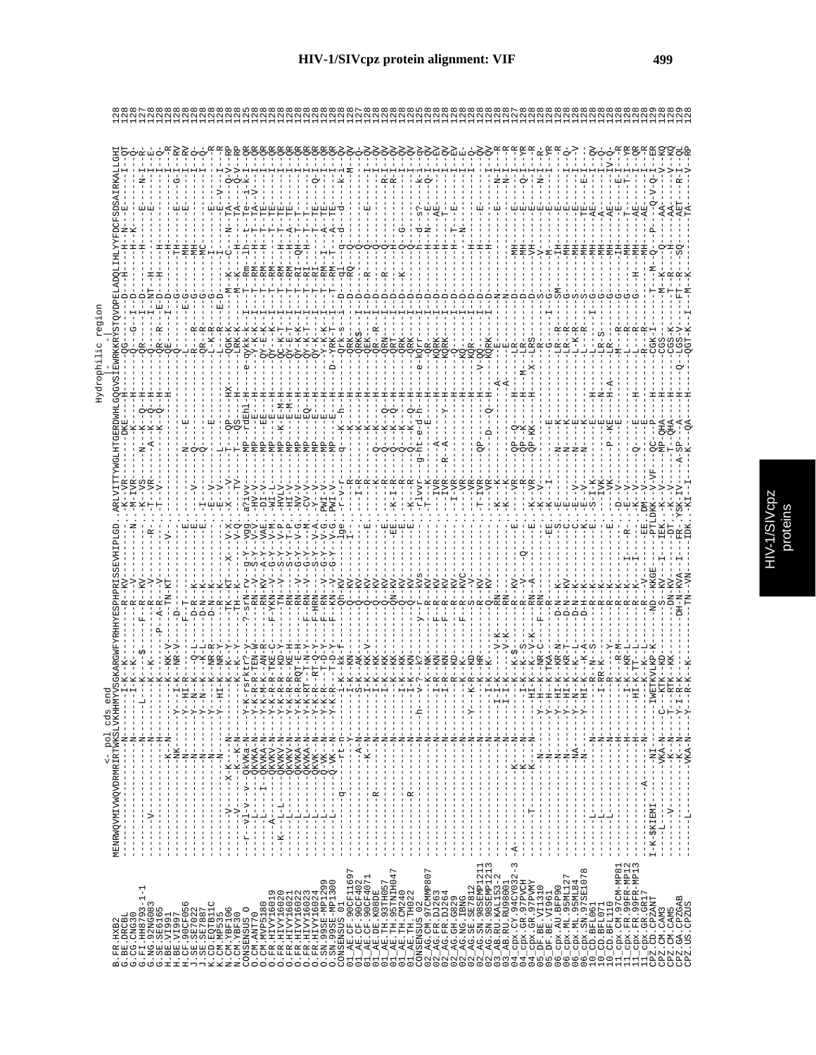| ഗ |
|---|
|   |
|   |
|   |
|   |
|   |

| rdEh.<br>-KP<br>-<br> -<br> <br>$-1 - 1$<br>MENRWQVMIVWQVDRMRIRTWKSLVKH<br>cds<br>λ-<br>$X - -$<br>$X -$<br>Ϋ́<br>$X$ --<br>i<br>$\overline{\phantom{a}}$<br>Y<br>₹<br>$X$ - - - - -<br>$X$ – –<br>ï,<br>Ŧ<br>T<br>T<br>$\frac{1}{1}$<br>$\mathfrak l$<br>J.<br>$\frac{1}{1}$<br>J,<br>$\frac{1}{1}$<br>ł<br>f,<br>J.<br>$\frac{1}{1}$<br>f.<br>$\frac{1}{1}$<br>Ť<br>I<br>$-1 - N -$<br>f,<br>ł<br>J,<br>÷<br>ŧ<br>J,<br>f.<br>ł<br>$-1$<br>$-1$<br>$--VKA-N--$<br>÷<br>j.<br>j.<br>J.<br>$\mathbf{I}$<br>$\overline{1}$<br>$\mathbf{I}$<br>$\mathbf{I}$<br>$\mathbf{I}$<br>$\overline{\phantom{a}}$<br>$\mathbf{I}$<br>$\blacksquare$<br>$\blacksquare$<br>$\blacksquare$<br>$\mathbf{I}$<br>$_{\rm pol}$<br>$\overline{P}$<br>?<br>¦<br>$\overline{R}$<br>$---QKVKV-N$<br>- - K - - - L - L - - - - - - X<br>N<br>**<br>⊥'<br>$-2x-1$<br>$\frac{1}{2}$<br>$\frac{1}{1}$<br>ż<br>?<br>¦<br>?<br>¦<br>ï<br>$\frac{1}{2}$<br>‡<br>¦<br>‡<br>¦<br>$-1$<br>$\frac{1}{2}$<br>$\frac{1}{2}$<br>$- -K -K -N$<br>----- QKVXV-N<br>$-QKVRA-N$<br>$-4 - N$<br>$-1 - N - N -$<br>ネー<br>z<br> <br>$\frac{1}{1}$<br>7<br>!<br>ž<br>푸<br>$-QKVRA-N$<br>$-7$<br>ž<br>$\frac{1}{2}$<br>$\frac{1}{2}$<br>$\frac{1}{2}$<br>$\frac{1}{2}$<br>$\frac{8}{1}$<br>Η<br>-<br>7-<br>$-1 - N - 1$<br>T<br>$-1 - 2 - 1 - 1$<br>$-ANA-$<br>$-1 - N -$<br>$-MR-$<br>$-1$<br>$-1$<br>$-1 - N -$<br>÷,<br>$-1$ $-1$<br>$-1$ $-1$<br>$-1 - N -$<br>$-1$ $N$<br>L.<br>$\frac{1}{2}$<br>$\frac{1}{1}$<br>↓<br>$ -$ K<br>$\frac{1}{1}$<br>$\begin{bmatrix} 1 \\ 1 \\ 1 \end{bmatrix}$<br>ţ<br>$\frac{1}{1}$<br>Í<br>ı<br>-1<br>$-20 - \sqrt{K}$<br>ł<br>ţ<br>ł<br>$\frac{1}{1}$<br>$- - \kappa - -$<br>$\mathsf I$<br>$\mathsf I$<br>J.<br>$\mathbf{I}$<br>$X-X$ -<br>T.<br>$\mathbf{I}$<br>$- - K$<br>$\mathbf{I}$<br>$\overline{1}$<br>$\mathbf{I}$<br>$\frac{1}{1}$<br>$\frac{1}{1}$<br>$\frac{1}{4}$<br>$\frac{1}{1}$<br>$\frac{1}{4}$<br>$\mathbf{I}$<br>$\frac{1}{1}$<br>$\frac{1}{4}$<br>$\frac{1}{1}$<br>L.<br>J.<br>L.<br>ŧ<br>$\mathbf{I}$<br>ł<br>$\frac{1}{1}$<br>$\mathbf{I}$<br>ł<br>ı<br>J.<br>ł<br>-1<br>I<br>$-4-$<br>п<br>$\mathbf{I}$<br>$-1$<br>$-1$<br>$-1$<br>$-1$<br>$\begin{array}{c} 1 \\ 1 \\ 1 \end{array}$<br>$\mathbf{I}$<br>$-1 - 5 - - -$<br>$-R$ –<br>$- -R - -$<br>$\frac{1}{1}$<br>$\begin{array}{c} \end{array}$<br>$\frac{1}{1}$<br>ı<br>$\mathbf{I}$<br>$\frac{1}{1}$<br>Ť<br>T<br>I<br>I<br>I<br>$\overline{\phantom{a}}$<br>J<br>I<br>I<br>т<br>$\mathbf{I}$<br>J.<br>I<br>$\frac{1}{1}$<br>$\frac{1}{1}$<br>$\frac{1}{4}$<br>$\mathbf{I}$<br>$\frac{1}{1}$<br>I.<br>J,<br>J.<br>п<br>п<br>J.<br>J.<br>$\begin{bmatrix} 1 \\ 1 \\ 1 \\ 1 \end{bmatrix}$<br>J.<br>$\mathbf{I}$<br>j<br>$\mathfrak l$<br>$-1$<br>J.<br>Ţ<br>ţ<br>Ţ<br>$\sf I$<br>$\mathsf I$<br>J.<br>$\mathbf{I}$<br>ı<br>J.<br>J.<br>$\mathbf{I}$<br>$\mathbf{I}$<br>$\mathbf{I}$<br>1<br>I<br>$\mathbf{I}$<br>I<br>Ţ<br>J.<br>J. |
|---------------------------------------------------------------------------------------------------------------------------------------------------------------------------------------------------------------------------------------------------------------------------------------------------------------------------------------------------------------------------------------------------------------------------------------------------------------------------------------------------------------------------------------------------------------------------------------------------------------------------------------------------------------------------------------------------------------------------------------------------------------------------------------------------------------------------------------------------------------------------------------------------------------------------------------------------------------------------------------------------------------------------------------------------------------------------------------------------------------------------------------------------------------------------------------------------------------------------------------------------------------------------------------------------------------------------------------------------------------------------------------------------------------------------------------------------------------------------------------------------------------------------------------------------------------------------------------------------------------------------------------------------------------------------------------------------------------------------------------------------------------------------------------------------------------------------------------------------------------------------------------------------------------------------------------------------------------------------------------------------------------------------------------------------------------------------------------------------------------------------------------------------------------------------------------------------------------------------------------------------------------------------------------------------------------------------------------------------------------------------------------------------------------------------------------------------------------------------------------------------------------------------------------------------------------------------------------------------------------------------------------------------------------------------------------------------------------------------------------------------------------------------------------------------------------------------------------------------------------------------------------------------------|
|                                                                                                                                                                                                                                                                                                                                                                                                                                                                                                                                                                                                                                                                                                                                                                                                                                                                                                                                                                                                                                                                                                                                                                                                                                                                                                                                                                                                                                                                                                                                                                                                                                                                                                                                                                                                                                                                                                                                                                                                                                                                                                                                                                                                                                                                                                                                                                                                                                                                                                                                                                                                                                                                                                                                                                                                                                                                                                         |
|                                                                                                                                                                                                                                                                                                                                                                                                                                                                                                                                                                                                                                                                                                                                                                                                                                                                                                                                                                                                                                                                                                                                                                                                                                                                                                                                                                                                                                                                                                                                                                                                                                                                                                                                                                                                                                                                                                                                                                                                                                                                                                                                                                                                                                                                                                                                                                                                                                                                                                                                                                                                                                                                                                                                                                                                                                                                                                         |
|                                                                                                                                                                                                                                                                                                                                                                                                                                                                                                                                                                                                                                                                                                                                                                                                                                                                                                                                                                                                                                                                                                                                                                                                                                                                                                                                                                                                                                                                                                                                                                                                                                                                                                                                                                                                                                                                                                                                                                                                                                                                                                                                                                                                                                                                                                                                                                                                                                                                                                                                                                                                                                                                                                                                                                                                                                                                                                         |
|                                                                                                                                                                                                                                                                                                                                                                                                                                                                                                                                                                                                                                                                                                                                                                                                                                                                                                                                                                                                                                                                                                                                                                                                                                                                                                                                                                                                                                                                                                                                                                                                                                                                                                                                                                                                                                                                                                                                                                                                                                                                                                                                                                                                                                                                                                                                                                                                                                                                                                                                                                                                                                                                                                                                                                                                                                                                                                         |
|                                                                                                                                                                                                                                                                                                                                                                                                                                                                                                                                                                                                                                                                                                                                                                                                                                                                                                                                                                                                                                                                                                                                                                                                                                                                                                                                                                                                                                                                                                                                                                                                                                                                                                                                                                                                                                                                                                                                                                                                                                                                                                                                                                                                                                                                                                                                                                                                                                                                                                                                                                                                                                                                                                                                                                                                                                                                                                         |
|                                                                                                                                                                                                                                                                                                                                                                                                                                                                                                                                                                                                                                                                                                                                                                                                                                                                                                                                                                                                                                                                                                                                                                                                                                                                                                                                                                                                                                                                                                                                                                                                                                                                                                                                                                                                                                                                                                                                                                                                                                                                                                                                                                                                                                                                                                                                                                                                                                                                                                                                                                                                                                                                                                                                                                                                                                                                                                         |
|                                                                                                                                                                                                                                                                                                                                                                                                                                                                                                                                                                                                                                                                                                                                                                                                                                                                                                                                                                                                                                                                                                                                                                                                                                                                                                                                                                                                                                                                                                                                                                                                                                                                                                                                                                                                                                                                                                                                                                                                                                                                                                                                                                                                                                                                                                                                                                                                                                                                                                                                                                                                                                                                                                                                                                                                                                                                                                         |
|                                                                                                                                                                                                                                                                                                                                                                                                                                                                                                                                                                                                                                                                                                                                                                                                                                                                                                                                                                                                                                                                                                                                                                                                                                                                                                                                                                                                                                                                                                                                                                                                                                                                                                                                                                                                                                                                                                                                                                                                                                                                                                                                                                                                                                                                                                                                                                                                                                                                                                                                                                                                                                                                                                                                                                                                                                                                                                         |
|                                                                                                                                                                                                                                                                                                                                                                                                                                                                                                                                                                                                                                                                                                                                                                                                                                                                                                                                                                                                                                                                                                                                                                                                                                                                                                                                                                                                                                                                                                                                                                                                                                                                                                                                                                                                                                                                                                                                                                                                                                                                                                                                                                                                                                                                                                                                                                                                                                                                                                                                                                                                                                                                                                                                                                                                                                                                                                         |
|                                                                                                                                                                                                                                                                                                                                                                                                                                                                                                                                                                                                                                                                                                                                                                                                                                                                                                                                                                                                                                                                                                                                                                                                                                                                                                                                                                                                                                                                                                                                                                                                                                                                                                                                                                                                                                                                                                                                                                                                                                                                                                                                                                                                                                                                                                                                                                                                                                                                                                                                                                                                                                                                                                                                                                                                                                                                                                         |
|                                                                                                                                                                                                                                                                                                                                                                                                                                                                                                                                                                                                                                                                                                                                                                                                                                                                                                                                                                                                                                                                                                                                                                                                                                                                                                                                                                                                                                                                                                                                                                                                                                                                                                                                                                                                                                                                                                                                                                                                                                                                                                                                                                                                                                                                                                                                                                                                                                                                                                                                                                                                                                                                                                                                                                                                                                                                                                         |
| $-1 - 1 - -1$<br>$-1$<br>$-1$<br>$-1 - 1 -$<br>$-1 -$<br>$\begin{bmatrix} 1 \\ 1 \\ 1 \end{bmatrix}$<br>$\frac{1}{1}$<br>$-1 - 1 -$<br>$-K - $KIEMI$<br>$-1 - 1$<br>$- -A - -$<br>$\frac{1}{1}$<br>$\frac{1}{1}$<br>ᆛ<br>$\frac{5}{1}$<br>$\frac{1}{1}$<br>$-1$<br>$\frac{1}{1}$<br>$\frac{1}{1}$<br>J.<br>ì<br>-1<br>ł,<br>п<br>-1<br>$\frac{1}{1}$<br>í<br>Î<br>J.<br>т<br>J,<br>J.<br>i<br>i<br>ï<br>I<br>I<br>ı<br>I<br>т<br>$\mathbf{I}$<br>I<br>$\frac{1}{1}$<br>$\begin{array}{c} \end{array}$<br>I<br>$\frac{1}{1}$<br>I<br>J<br>I<br>I<br>J<br>I<br>I<br>J<br>J<br>J<br>I<br>I<br>I<br>$\mathbf{I}$<br>$\mathbf{I}$<br>J.<br>$\frac{1}{1}$<br>J,<br>J.<br>J<br>J,<br>J,<br>п<br>п<br>п<br>J,<br>H<br>п<br>$A -$<br>п<br>п<br>J.<br>ï<br>j<br>$\mathsf I$<br>$\overline{\phantom{a}}$<br>J,<br>J,<br>1<br>п<br>1<br>п<br>1<br>J.<br>J,<br>L<br>J.<br>J.<br>J.<br>$\mathbf{I}$<br>$\mathbf{H}$<br>$\begin{array}{l} 02-26\cdot 103\cdot 1803\cdot 103\cdot 1803\cdot 103\cdot 103\cdot 103\cdot 103\cdot 103\cdot 103\cdot 103\cdot 103\cdot 103\cdot 103\cdot 103\cdot 103\cdot 103\cdot 103\cdot 103\cdot 103\cdot 103\cdot 103\cdot 103\cdot 103\cdot 103\cdot 103\cdot 103\cdot 103\cdot 103\cdot 103\cdot 103\cdot 103\cdot 103\cdot 103\$<br>$\begin{array}{l} 11 \, \rule{0pt}{2pt} \rule{0pt}{2pt} \rule{0pt}{2pt} \rule{0pt}{2pt} \rule{0pt}{2pt} \rule{0pt}{2pt} \rule{0pt}{2pt} \rule{0pt}{2pt} \rule{0pt}{2pt} \rule{0pt}{2pt} \rule{0pt}{2pt} \rule{0pt}{2pt} \rule{0pt}{2pt} \rule{0pt}{2pt} \rule{0pt}{2pt} \rule{0pt}{2pt} \rule{0pt}{2pt} \rule{0pt}{2pt} \rule{0pt}{2pt} \rule{0pt}{2pt} \rule{0pt}{2pt} \rule{0pt}{2pt} \rule{0pt}{2pt} \$<br>$\begin{array}{l} (11 - \lambda E_1 \cdot C_1^2 \cdot 9 \cdot 0 \, \text{CHI} \, 1697 \\ (11 - \lambda E_1 \cdot C_1^2 \cdot 9 \cdot 0 \, \text{CHQ} \, 2) \\ (11 - \lambda E_1 \cdot C_1^2 \cdot 9 \cdot 0 \, \text{CHQ} \, 2) \\ (11 - \lambda E_1 \cdot C_1^2 \cdot 9 \cdot 0 \, \text{H} \, 2) \\ (11 - \lambda E_1 \cdot T_1^2 \cdot 9 \cdot \text{THU} \, 1674 \\ (11 - \lambda E_1 \cdot T_1^2 \cdot 9 \cdot \text$<br>02_AG.CM.97CMMP807<br>02_AG.FR.DJ263<br>02_AG.FR.DJ264<br>02_AG.GH.G829<br>$\begin{array}{l} 06-{\rm cpx.}\ {\rm Mn.}\ 9\,5{\rm Mn.}127\\ 06-{\rm cpx.}\ {\rm Mn.}\ 9\,5{\rm Mn.}84\\ 10-{\rm cpx.}\ {\rm SN.}\ 9\,7\,81078\\ 10-{\rm CD.}\ {\rm BFLO71}\\ 10-{\rm CD.}\ {\rm BFLO71}\\ 10-{\rm CD.}\ {\rm BFLO71}\\ 10-{\rm CD.}\ {\rm BFLO71}\\ \end{array}$                                                                                                                                                                                                                                                                                                                                                                                                                                    |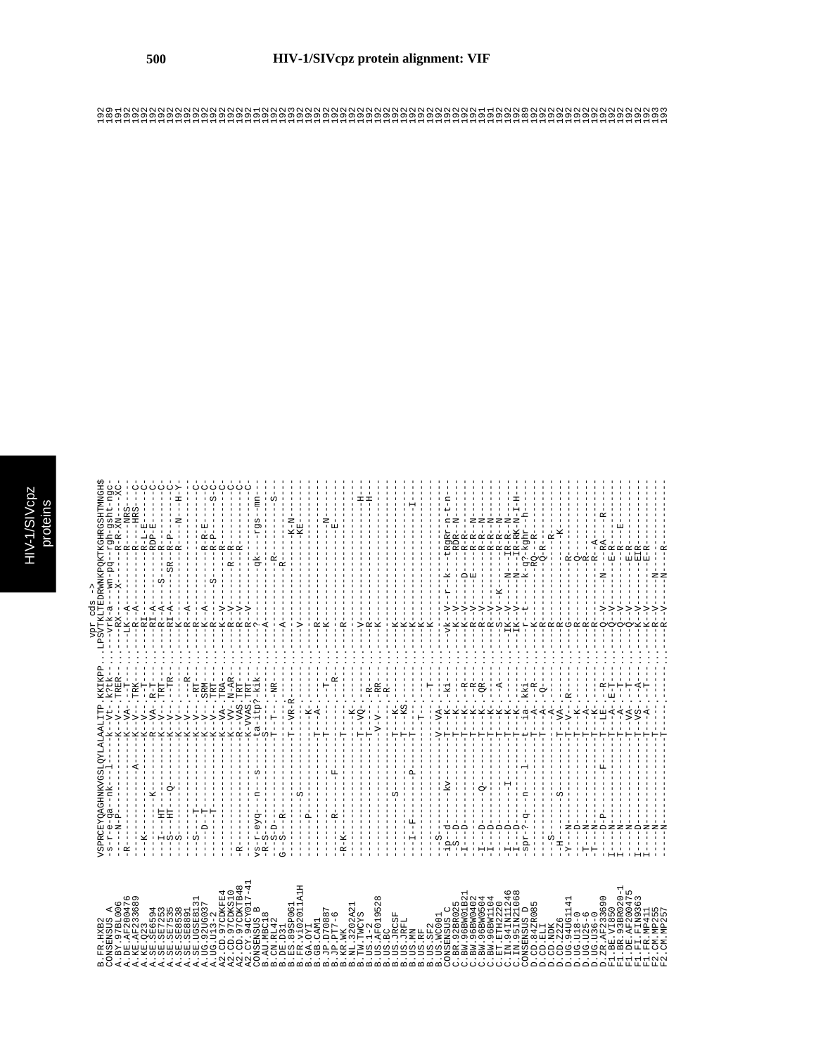|                                            |                                                                                        | $\Delta$ 1<br>Ë<br>H                                                  | KKIKPI<br>k?tk-<br>TRER-  | cas<br>ž<br>5                                 |                                                                    | LPSVTKLTEDRWNKPQKTKGHRGSHTMNGH\$                                                                                                                                                                                                                                                                                                                                                                                                                                                                                                                      |  |
|--------------------------------------------|----------------------------------------------------------------------------------------|-----------------------------------------------------------------------|---------------------------|-----------------------------------------------|--------------------------------------------------------------------|-------------------------------------------------------------------------------------------------------------------------------------------------------------------------------------------------------------------------------------------------------------------------------------------------------------------------------------------------------------------------------------------------------------------------------------------------------------------------------------------------------------------------------------------------------|--|
|                                            | ۳Ĥ                                                                                     | $\overline{ }$<br>$\frac{1}{2}$                                       |                           | $\mathbf{L}$                                  | ġ<br>$-W$<br>$\mathbf{1}$<br>J.                                    | U<br>$-28$<br>-gh-gsht;<br>--R-XN---                                                                                                                                                                                                                                                                                                                                                                                                                                                                                                                  |  |
|                                            | T<br>$\frac{1}{2}$<br>$\mathbf{I}$<br>-1                                               | -1<br>⊳<br>'n.                                                        |                           | $- vrk-a-\n- RX --\n-LK-A-\n- A-$             | ×                                                                  | $25 - 10$                                                                                                                                                                                                                                                                                                                                                                                                                                                                                                                                             |  |
| 0 <sub>0</sub><br>$\circ$ $\sim$ $\infty$  | $\mathbf{I}$<br>п<br>$\mathbf{I}$<br>- 11<br>$\dot{R}$<br>$\mathbf{I}$<br>$\mathbf{I}$ | $-VA$<br>$-V -$<br>Ť.<br>$\mathbf{I}$                                 | TRK<br>부                  | A<br>T<br>י<br>קלק<br>$\blacksquare$          |                                                                    | $\mathbf{I}$<br>$\begin{array}{c}\n\stackrel{.}{\cancel{1}}\stackrel{.}{\cancel{1}}\stackrel{.}{\cancel{1}}\stackrel{.}{\cancel{1}}\stackrel{.}{\cancel{1}}\stackrel{.}{\cancel{1}}\stackrel{.}{\cancel{1}}\stackrel{.}{\cancel{1}}\stackrel{.}{\cancel{1}}\stackrel{.}{\cancel{1}}\stackrel{.}{\cancel{1}}\stackrel{.}{\cancel{1}}\stackrel{.}{\cancel{1}}\stackrel{.}{\cancel{1}}\stackrel{.}{\cancel{1}}\stackrel{.}{\cancel{1}}\stackrel{.}{\cancel{1}}\stackrel{.}{\cancel{1}}\stackrel{.}{\cancel{1}}\stackrel$<br>$\mathbf{L}$<br>$\mathbf{I}$ |  |
|                                            | $\mathbf{I}$<br>$\blacksquare$<br>$\overline{K}$<br>L.<br>$\blacksquare$               | J.<br>⋗<br>Т.<br>J.                                                   | $\blacksquare$            |                                               |                                                                    | T                                                                                                                                                                                                                                                                                                                                                                                                                                                                                                                                                     |  |
|                                            | $\mathbf{I}$                                                                           | $-VA$<br>$\blacksquare$                                               | -1<br>부부<br>ĸ             | К<br>-T<br>T                                  |                                                                    | 国国<br>Ŧ                                                                                                                                                                                                                                                                                                                                                                                                                                                                                                                                               |  |
|                                            | 려                                                                                      | л.<br>$-7$                                                            | $\mathbf{I}$<br>TRT       | К<br>T<br><b>RL</b><br>Ŧ                      |                                                                    | $\blacksquare$<br>L.<br>T.<br>$\mathbf{L}$                                                                                                                                                                                                                                                                                                                                                                                                                                                                                                            |  |
|                                            | C<br>HГ-<br>$\begin{array}{cc} H & Q & Q \\ I & I & I \end{array}$                     | $\overline{\phantom{0}}$<br>$\mathbf{I}$                              | $-TT$                     | A<br>$\mathbf{I}$<br>넍                        | SR<br>$\mathbf{I}$                                                 | $\overline{a}$<br>T<br>$\alpha \alpha$                                                                                                                                                                                                                                                                                                                                                                                                                                                                                                                |  |
|                                            | л                                                                                      | $\mathbf{I}$                                                          |                           | 구구                                            |                                                                    | z<br>$\mathbf{I}$                                                                                                                                                                                                                                                                                                                                                                                                                                                                                                                                     |  |
|                                            |                                                                                        | $\tilde{\gamma}$                                                      | $\dot{R}$<br>$\mathbf{I}$ | К<br>$\mathbf{I}$<br>- 11<br>Ŧ                |                                                                    |                                                                                                                                                                                                                                                                                                                                                                                                                                                                                                                                                       |  |
| $\frac{31}{7}$                             | T.<br>$\frac{5}{1}$<br>л.<br>$\mathbf{I}$                                              | $\mathbf{I}$<br>$\overline{\phantom{0}}$<br>÷.                        | $\mathbf{I}$<br>-RT.      | п.<br>$\mathbf{I}$<br>T                       |                                                                    |                                                                                                                                                                                                                                                                                                                                                                                                                                                                                                                                                       |  |
|                                            | ۹                                                                                      | $\mathbf{I}$<br>$\overline{v}$<br>$\mathbf{I}$                        | SRM-                      | К<br>$\mathbf{I}$<br>$\mathbf{I}$             |                                                                    | 囸<br>Ŧ<br>œ                                                                                                                                                                                                                                                                                                                                                                                                                                                                                                                                           |  |
|                                            | $\blacksquare$                                                                         | $\mathbf{I}$<br>⊳<br>T.<br>÷.                                         | 1<br>$\cdot$              | $\mathbf{I}$                                  |                                                                    | CO.<br>$\mathbf{I}$                                                                                                                                                                                                                                                                                                                                                                                                                                                                                                                                   |  |
| <sub>CFE4</sub><br>CS10<br>CTB48<br>J17-41 | $\mathbf{L}$<br>-11                                                                    | $:--V A-.$<br>$:--V V-.$<br>$:--V AS.$                                | TRT-<br>TRA-<br>٠.        | ⋗<br>÷г.<br>$\blacksquare$<br>רות ה           |                                                                    | T                                                                                                                                                                                                                                                                                                                                                                                                                                                                                                                                                     |  |
|                                            | $\mathbf{I}$<br>$\mathbf{I}$<br>$\mathbb T$<br>$\mathbf{I}$                            | $\times$ $\alpha$                                                     | $N-AR$<br>۰.              | ⋗<br>'n.<br>j.                                | α<br>T                                                             | ĸ<br>$\mathbf{I}$                                                                                                                                                                                                                                                                                                                                                                                                                                                                                                                                     |  |
|                                            | $- R$                                                                                  |                                                                       | $TRT -$<br>٠.             | $\frac{1}{2}$<br>J.<br>T                      |                                                                    | ≃<br>J.                                                                                                                                                                                                                                                                                                                                                                                                                                                                                                                                               |  |
|                                            | $\mathbf{I}$<br>- 11                                                                   | K-VVAS.TRT-<br>ta-itp?-kik                                            |                           | $\triangleright$<br>٦.<br>$\blacksquare$<br>Π |                                                                    | $\overline{1}$                                                                                                                                                                                                                                                                                                                                                                                                                                                                                                                                        |  |
|                                            | eyq-<br>$\mathbb{L}$<br>$\frac{1}{2}$                                                  |                                                                       |                           | - 1<br>$\mathbf{I}$<br>$\mathbf{I}$           | ÷ğ.                                                                | $-mn-$<br>-rgs                                                                                                                                                                                                                                                                                                                                                                                                                                                                                                                                        |  |
|                                            | $\blacksquare$<br>$\mathbf{I}$<br>- 11                                                 | -1<br>$\mathbf{I}$<br>$\mathbf{I}$<br>$\mathbf{I}$<br>CO <sub>1</sub> | $\mathbf{I}$              | T                                             |                                                                    |                                                                                                                                                                                                                                                                                                                                                                                                                                                                                                                                                       |  |
|                                            | $\frac{1}{1}$<br>מממא<br>ייי<br>-1                                                     | $\frac{1}{1}$<br>$\blacksquare$                                       | $-\overline{M}$           |                                               | 뛰                                                                  | C)                                                                                                                                                                                                                                                                                                                                                                                                                                                                                                                                                    |  |
|                                            | $\frac{1}{x}$<br>$\mathbf{I}$<br>ひ                                                     | - 1<br>- 1<br>$\mathbf{I}$<br>$\blacksquare$                          | -11                       |                                               |                                                                    | $\blacksquare$<br>$\mathbf{I}$                                                                                                                                                                                                                                                                                                                                                                                                                                                                                                                        |  |
| $\frac{1}{1 \text{AIH}}$                   | $\mathbf{I}$<br>-1<br>-1                                                               | Ŗ<br>$-56$<br>-i                                                      |                           |                                               |                                                                    | Ř<br>¥                                                                                                                                                                                                                                                                                                                                                                                                                                                                                                                                                |  |
|                                            | $\mathbf{I}$<br>п                                                                      |                                                                       |                           | 7                                             |                                                                    | $-KE$                                                                                                                                                                                                                                                                                                                                                                                                                                                                                                                                                 |  |
|                                            | $\overline{a}$<br>$\mathbf{I}$                                                         | ¥                                                                     |                           |                                               |                                                                    | Ι.                                                                                                                                                                                                                                                                                                                                                                                                                                                                                                                                                    |  |
|                                            | $\mathbf{I}$<br>$\mathbf{I}$                                                           | Á                                                                     |                           |                                               |                                                                    | $\blacksquare$                                                                                                                                                                                                                                                                                                                                                                                                                                                                                                                                        |  |
|                                            | $\mathbf{L}$<br>L.                                                                     |                                                                       |                           | ī                                             |                                                                    | ž                                                                                                                                                                                                                                                                                                                                                                                                                                                                                                                                                     |  |
|                                            | Ŗ<br>$\blacksquare$<br>$\blacksquare$                                                  |                                                                       | ĖŘ                        |                                               |                                                                    | 뛰                                                                                                                                                                                                                                                                                                                                                                                                                                                                                                                                                     |  |
|                                            | $-R-K$ -                                                                               | $\mathbf{I}$<br>$\mathbf{I}$                                          |                           | T                                             |                                                                    |                                                                                                                                                                                                                                                                                                                                                                                                                                                                                                                                                       |  |
|                                            |                                                                                        | ¥<br>$\mathbf{I}$                                                     |                           |                                               |                                                                    |                                                                                                                                                                                                                                                                                                                                                                                                                                                                                                                                                       |  |
|                                            |                                                                                        | $T = -7Q$                                                             |                           |                                               |                                                                    |                                                                                                                                                                                                                                                                                                                                                                                                                                                                                                                                                       |  |
|                                            |                                                                                        |                                                                       | $\mathbf{k}$              |                                               |                                                                    |                                                                                                                                                                                                                                                                                                                                                                                                                                                                                                                                                       |  |
| $^{28}$                                    |                                                                                        | $-V-V$                                                                | Ř                         | 'n                                            |                                                                    |                                                                                                                                                                                                                                                                                                                                                                                                                                                                                                                                                       |  |
|                                            |                                                                                        | Ť.                                                                    | л.                        |                                               |                                                                    |                                                                                                                                                                                                                                                                                                                                                                                                                                                                                                                                                       |  |
|                                            |                                                                                        | ¥<br>$\mathbf{I}$<br>- 1<br>н                                         |                           | T                                             |                                                                    |                                                                                                                                                                                                                                                                                                                                                                                                                                                                                                                                                       |  |
|                                            |                                                                                        | ¥.                                                                    |                           |                                               |                                                                    |                                                                                                                                                                                                                                                                                                                                                                                                                                                                                                                                                       |  |
|                                            | Eq<br>$\overline{1}$                                                                   | i i                                                                   |                           | ٦.                                            |                                                                    |                                                                                                                                                                                                                                                                                                                                                                                                                                                                                                                                                       |  |
|                                            |                                                                                        | $\mathbf{I}$<br>부<br>$\blacksquare$                                   |                           |                                               |                                                                    |                                                                                                                                                                                                                                                                                                                                                                                                                                                                                                                                                       |  |
|                                            | Ι.<br>$\mathbf{L}$<br>п.<br>л                                                          |                                                                       |                           | Ι.<br>¥                                       |                                                                    |                                                                                                                                                                                                                                                                                                                                                                                                                                                                                                                                                       |  |
|                                            | ပ္ပ                                                                                    |                                                                       |                           |                                               |                                                                    |                                                                                                                                                                                                                                                                                                                                                                                                                                                                                                                                                       |  |
|                                            | ೆ<br>- 1                                                                               | $-VA$<br>$-K$<br>$\overline{1}$                                       | $-\frac{1}{2}$            | $-7-$<br>j                                    | *<br>ا                                                             |                                                                                                                                                                                                                                                                                                                                                                                                                                                                                                                                                       |  |
|                                            | $\overline{a}$                                                                         |                                                                       |                           | $\triangleright$<br>¥<br>F                    | Я                                                                  |                                                                                                                                                                                                                                                                                                                                                                                                                                                                                                                                                       |  |
| 888888888<br>8888888888                    | $\overline{a}$<br>$-1$ $-1$<br>$-1$ $-1$<br>$-1$<br>$\mathbf{L}$                       | ¥<br>÷                                                                |                           | $\triangleright$<br>i<br>Ŧ                    | $\Box$<br>$\mathbf{I}$                                             | $\begin{array}{r} -1.76 \\ -1.76 \\ -1.76 \\ -1.76 \\ -1.76 \\ -1.76 \\ -1.76 \\ -1.76 \\ -1.76 \\ -1.76 \\ -1.76 \\ -1.76 \\ -1.76 \\ -1.76 \\ -1.76 \\ -1.76 \\ -1.76 \\ -1.76 \\ -1.76 \\ -1.76 \\ -1.76 \\ -1.76 \\ -1.76 \\ -1.76 \\ -1.76 \\ -1.76 \\ -1.76 \\ -1.76 \\ -1.76 \\ -1.76 \\ -1.76 \\ -1.76 \\ -1.76 \\ -1.76 \\ -1.76 \\ -1.$                                                                                                                                                                                                     |  |
|                                            | -11                                                                                    |                                                                       |                           | $\frac{1}{2}$<br>T.                           |                                                                    |                                                                                                                                                                                                                                                                                                                                                                                                                                                                                                                                                       |  |
|                                            | $\mathbf{I}$                                                                           |                                                                       | řře                       |                                               | 囸<br>$\mathbf{I}$                                                  |                                                                                                                                                                                                                                                                                                                                                                                                                                                                                                                                                       |  |
|                                            | $\frac{1}{\sqrt{2}}$<br>$\blacksquare$<br>H H<br>-11                                   | $\overline{1}$                                                        |                           | $\triangleright$                              | $\overline{\phantom{a}}$                                           |                                                                                                                                                                                                                                                                                                                                                                                                                                                                                                                                                       |  |
|                                            | $\frac{1}{1}$<br>$1 - 1$<br>$\mathbf{L}$                                               |                                                                       |                           | $\geq$<br>T                                   | $\mathbf{I}$                                                       |                                                                                                                                                                                                                                                                                                                                                                                                                                                                                                                                                       |  |
|                                            | ٩<br>- 1                                                                               | ¥<br>$\mathbf{I}$                                                     | $- A -$                   | ⋗<br>п                                        | $\mathbf{I}$<br>Ϋ́<br>$\mathbb T$                                  | $\blacksquare$                                                                                                                                                                                                                                                                                                                                                                                                                                                                                                                                        |  |
| $\frac{68}{6}$                             | ؋<br>$\blacksquare$<br>$\frac{1}{1} + \frac{1}{11} + \frac{1}{11}$<br>$\blacksquare$   | ÷.<br>$\mathbf{I}$                                                    |                           | $\triangleright$<br>Ħ                         | $\mathbf{I}$<br>$\mathbb T$<br>ż<br>$\mathbf{I}$<br>$\blacksquare$ |                                                                                                                                                                                                                                                                                                                                                                                                                                                                                                                                                       |  |
|                                            | ٩<br>$\mathbf{I}$                                                                      | ¥                                                                     |                           | $\triangleright$                              | Ż                                                                  | 푸<br>$\vdash$<br>$\mathbf{I}$<br>그                                                                                                                                                                                                                                                                                                                                                                                                                                                                                                                    |  |
|                                            | $\mathbf{L}$<br>spr-<br>$\mathbf{L}$                                                   | ه.<br>+<br>$\mathbf{I}$<br>÷.<br>- 1                                  | Ŕ<br>귳                    | $\downarrow$<br>T                             | $\sim$<br>$\frac{1}{\alpha}$<br>×<br>T<br>-1                       | T<br>$\mathbf{I}$                                                                                                                                                                                                                                                                                                                                                                                                                                                                                                                                     |  |
|                                            | Τ.<br>$1 - 1$<br>Τ.<br>п.                                                              | -A<br>т                                                               | $\dot{R}$                 | T                                             | - 오<br>- 무<br>- 무                                                  | ' – kghr<br>' – – – R<br>' – R – – – – –                                                                                                                                                                                                                                                                                                                                                                                                                                                                                                              |  |
|                                            | $\mathbf{I}$<br>$\mathbf{I}$<br>- 1                                                    | Ŗ<br>$\blacksquare$                                                   | $\circ$                   | T                                             |                                                                    |                                                                                                                                                                                                                                                                                                                                                                                                                                                                                                                                                       |  |
|                                            | $-17 - 1$<br>-1                                                                        | $\mathbf{I}$<br>K,<br>$\mathbf{I}$<br>$\mathbf{I}$<br>$\blacksquare$  |                           |                                               |                                                                    | $\alpha$<br>Ŧ<br>-1                                                                                                                                                                                                                                                                                                                                                                                                                                                                                                                                   |  |
|                                            |                                                                                        | $-VA$                                                                 |                           |                                               |                                                                    | T                                                                                                                                                                                                                                                                                                                                                                                                                                                                                                                                                     |  |
| 4                                          | $\mathbb{I}$<br>$\overline{X}$<br>T.                                                   | $\geq$                                                                |                           |                                               | œ                                                                  |                                                                                                                                                                                                                                                                                                                                                                                                                                                                                                                                                       |  |
|                                            | ٩<br>$\mathbb T$<br>$\mathbf{I}$<br>$\mathbf{I}$<br>$\blacksquare$                     | ¥                                                                     |                           | $\blacksquare$<br>$\mathbf{I}$                |                                                                    | $\mathbf{I}$                                                                                                                                                                                                                                                                                                                                                                                                                                                                                                                                          |  |
|                                            | z<br>$\overline{1}$<br>ा<br>मृत्<br>-11                                                | Æ<br>$\mathbf{I}$                                                     |                           | $\blacksquare$<br>$\mathbf{I}$                | <b>OKK</b>                                                         |                                                                                                                                                                                                                                                                                                                                                                                                                                                                                                                                                       |  |
|                                            | $\mathbf{I}$                                                                           | ¥                                                                     |                           | 1                                             | T                                                                  | K,<br>$\mathbf{I}$<br>$\mathbf{I}$                                                                                                                                                                                                                                                                                                                                                                                                                                                                                                                    |  |
| $\circ$<br>$\tilde{e}$                     | Ŧ<br>≏<br>$\mathbf{I}$<br>$\mathbf{I}$<br>- 1                                          | 띕<br>т                                                                | $\frac{R}{1}$             |                                               | z                                                                  | $-RA$<br>$\mathbf{I}$                                                                                                                                                                                                                                                                                                                                                                                                                                                                                                                                 |  |
|                                            | $\mathbf{I}$<br>-11<br>$\mathbb{Z}$<br>L.<br>L.<br>-1<br>H H                           | Ą.<br>$\mathbf{I}$<br>$\overline{1}$                                  |                           | ⋗<br>⋗                                        |                                                                    | Ι.<br>$\frac{1}{\sqrt{2}}$<br>Ed.                                                                                                                                                                                                                                                                                                                                                                                                                                                                                                                     |  |
| 부ᇟ                                         |                                                                                        | $-5$                                                                  |                           |                                               |                                                                    |                                                                                                                                                                                                                                                                                                                                                                                                                                                                                                                                                       |  |
| 0.760                                      | $\mathbf{I}$<br>$\mathbf H$                                                            | ş<br>$\mathbf{I}$                                                     |                           | ⋗                                             |                                                                    |                                                                                                                                                                                                                                                                                                                                                                                                                                                                                                                                                       |  |
|                                            | z<br>п                                                                                 | DS −<br>$\blacksquare$                                                |                           | ⊳<br>$\overline{1}$                           | 国国                                                                 | ĸ<br>T                                                                                                                                                                                                                                                                                                                                                                                                                                                                                                                                                |  |
|                                            | $\blacksquare$<br>$\mathbf{1}$                                                         | -i                                                                    |                           |                                               |                                                                    |                                                                                                                                                                                                                                                                                                                                                                                                                                                                                                                                                       |  |
|                                            |                                                                                        |                                                                       |                           |                                               | z                                                                  |                                                                                                                                                                                                                                                                                                                                                                                                                                                                                                                                                       |  |

 $\begin{smallmatrix}R. & R13323\\ 0.08183183368\\ 0.0817333688\\ 0.0817333688\\ 0.0817333688\\ 0.0817333688\\ 0.0817333688\\ 0.081733368\\ 0.081733368\\ 0.081733368\\ 0.081733368\\ 0.081733368\\ 0.081733368\\ 0.081733368\\ 0.081733368\\ 0.081733368\\ 0$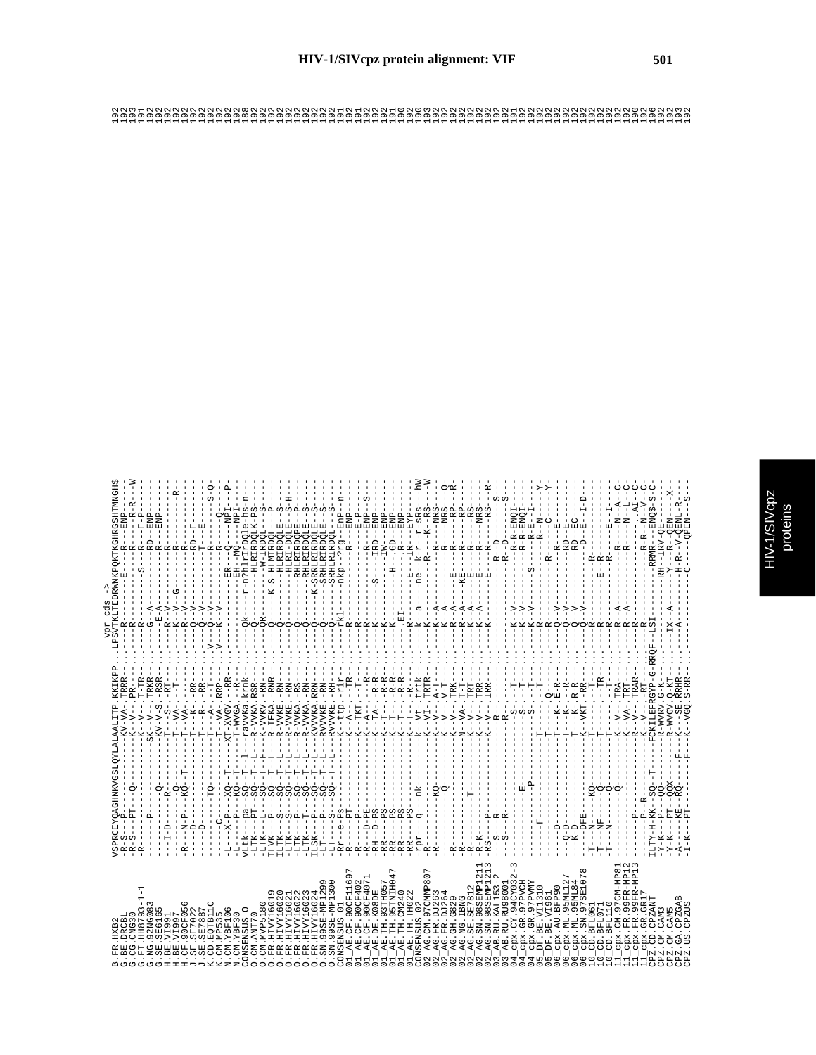| ŵ |
|---|
|   |
|   |
|   |
|   |
|   |
|   |
|   |

|                         |                                                 |                                                                             | Q                                                                                                                               |                                                                                                                            | $\sigma$                                                                                                                                                                   |                                                                     |                    |                                                                                                             |                                                                                                                                |                                                          |                                                                                         |                                  |                              |                        |                                                 |                      |                    |               |                            |                                                                                                                                                                                                                                                                                                                                                                                                                                                                                   |               |             |                                                     |     |                                                                    |                                           |                             |                                |                                 |                                     |                                                         |                                         |                            |                                                                     |                                                |                                          |                                            |                     |                                                             |                            |                                                                                                               |                                                                                                                   |                                                               |                                                                                                             |                                                                                                                                      |                                                                            |                                             |                                                              |                                             |                                                                                                                                                                |                                               |                                                |                                                                                                                                                | Ō                                                   | σ                                                             | G                                                                                                  |                                                                                                                                                                                                                                                                        | ののの                                                                                                                                                                                                                                                    |  |
|-------------------------|-------------------------------------------------|-----------------------------------------------------------------------------|---------------------------------------------------------------------------------------------------------------------------------|----------------------------------------------------------------------------------------------------------------------------|----------------------------------------------------------------------------------------------------------------------------------------------------------------------------|---------------------------------------------------------------------|--------------------|-------------------------------------------------------------------------------------------------------------|--------------------------------------------------------------------------------------------------------------------------------|----------------------------------------------------------|-----------------------------------------------------------------------------------------|----------------------------------|------------------------------|------------------------|-------------------------------------------------|----------------------|--------------------|---------------|----------------------------|-----------------------------------------------------------------------------------------------------------------------------------------------------------------------------------------------------------------------------------------------------------------------------------------------------------------------------------------------------------------------------------------------------------------------------------------------------------------------------------|---------------|-------------|-----------------------------------------------------|-----|--------------------------------------------------------------------|-------------------------------------------|-----------------------------|--------------------------------|---------------------------------|-------------------------------------|---------------------------------------------------------|-----------------------------------------|----------------------------|---------------------------------------------------------------------|------------------------------------------------|------------------------------------------|--------------------------------------------|---------------------|-------------------------------------------------------------|----------------------------|---------------------------------------------------------------------------------------------------------------|-------------------------------------------------------------------------------------------------------------------|---------------------------------------------------------------|-------------------------------------------------------------------------------------------------------------|--------------------------------------------------------------------------------------------------------------------------------------|----------------------------------------------------------------------------|---------------------------------------------|--------------------------------------------------------------|---------------------------------------------|----------------------------------------------------------------------------------------------------------------------------------------------------------------|-----------------------------------------------|------------------------------------------------|------------------------------------------------------------------------------------------------------------------------------------------------|-----------------------------------------------------|---------------------------------------------------------------|----------------------------------------------------------------------------------------------------|------------------------------------------------------------------------------------------------------------------------------------------------------------------------------------------------------------------------------------------------------------------------|--------------------------------------------------------------------------------------------------------------------------------------------------------------------------------------------------------------------------------------------------------|--|
| $\hat{z}$<br>cds<br>vpr | LPSVTKLTEDRWNKPQKTKGHRGSHTMNGH\$<br>$-ENP$<br>뚜 | $-R-R$<br>- H – H<br>$\frac{1}{2}$<br>ĸ<br>ř<br>ī                           | ENP<br>$-RD$ --<br>$-4$<br>ပု                                                                                                   | ENP<br>Ţ<br>Ī<br>$A - E$<br>J,                                                                                             | 면<br>ローー<br>ł<br>$-7$<br>$-7$<br>T<br>T                                                                                                                                    | $-7$<br>Ţ                                                           | $-RD$ - $-E$<br>7  | J.<br>며<br>-<br>-<br>$\tilde{\gamma}$                                                                       | $-5 - 0$<br>$\frac{1}{2}$<br>$-7$<br>$\tilde{\gamma}$<br>T<br>Ì                                                                | $\overline{\phantom{a}}$<br>ŀ<br>$I = -1$<br>ု<br>$-ER-$ | $-LQN-$<br>$-MQ -$<br>$-EB$                                                             | -r-n?hlrIrQQ1e-hs-n-<br>j.<br>ð- | --HLRIRDQLK-P                | $-W-TRDOL$             | $-K-S-HLMIRDQL$                                 | -HLRIRDQLE           | İ<br>----HLRI-DQLE | ---RHLRIRDQPE | -RHLRIRDQLE                | -K-SRRLRIRDQLE                                                                                                                                                                                                                                                                                                                                                                                                                                                                    | --SRHLRIRDQLE | -SRHLRIRDQL | n<br>-<br>-- nkp--- 2x 2--- 3xd--<br>J<br>$\vec{x}$ | ENP | $-5$<br>$E - P$<br>ENP<br>$\mathsf I$<br>$-5$<br>J.<br>ï<br>Ţ<br>ī | ENP<br>$-$ TRD $-$<br>Ŧ<br>п<br>$-5$<br>Ţ | ENP<br>Ì<br>$-1W$<br>J<br>Ţ | ENP<br>$-45.$<br>$\frac{1}{1}$ | ENP<br>T<br>$\blacksquare$<br>붑 | ----<br>EXE<br>$-IR$<br>Ť<br>뛰<br>T | $-$ sRs $-$<br>بخ<br>1<br>$-1 - x - 1$<br>$-n$<br>– - ದ | $--RS-$<br>$- - K$<br>ř<br>$\mathbf{I}$ | $-NRES-$<br>ł<br>$-4$<br>Ţ | --RP--<br>$-NRS-$<br>I<br>T<br>ŧ<br>덕<br> <br>$-1 - 1$<br>$-1$<br>T | $-$ -RP $-$<br>T<br>$\mathbf I$<br>-KE<br>$-1$ | $---RS$ -<br>ł<br>J,<br>ł<br>뛰<br>Ţ<br>T | j,<br>$-$ -NRS<br>ł<br>$-7$<br>í<br>뚜<br>T | $-RS$<br>ř<br>뚜     | $-2-$<br>í<br>$\frac{1}{1}$<br>$-8$                         | ï<br>$\frac{1}{1}$<br>$ R$ | $- R - R - ENQI$                                                                                              | I.<br>$- -R - R - ENQL$<br>f,<br>$---R-E$<br>I<br>ÚΩ<br>$\tilde{\gamma}$<br>$V -$                                 | $-R - N$<br>J                                                 | $\mathbf{I}$<br>O<br>$- R$                                                                                  | 덕<br> <br>$\mathbf{I}$<br>$\frac{1}{1}$<br>$\geq$                                                                                    | $-$ RD $-$ -E<br>$\overline{V}$                                            | C<br>Ĕ<br>$\frac{1}{2}$<br>$\tilde{\gamma}$ | $-1$<br>$-$ -D $-$ E<br>$\geq$                               | т<br>$-R$                                   | $-R$<br>뛰<br>œ                                                                                                                                                 | $-1 - E - 1$<br>Í<br>J                        | $-1 - 1 - 1 - 1$<br>ρζ<br>$- -$ A              | ۲<br>ا<br>) – – -I – – IZ – – – – - 12 –<br>$\frac{1}{1}$<br>l,<br>$-4$<br>Ţ<br>Ţ                                                              | $- -R - R - -N - -V -$<br>$\ldots$ AI               | --RRMR---ENQ\$-S-C<br>$F = -LSI$                              | $-RH$ -TRV-QE-                                                                                     | $-2x$<br>$-0EN -$<br>$-Y$ - $-R$<br>$- -X - 1X - -A -$                                                                                                                                                                                                                 | Ť<br>$-5 -$<br>$\vec{A}$                                                                                                                                                                                                                               |  |
|                         | KKIKPP<br>TRRR-                                 | -TR<br>$PR--$<br>Ĵ<br>$-7$<br>¥<br>$\mathbf{I}$<br>$\mathbf{I}$<br>KKK<br>J | TRKR-<br>$-7$ -<br>$-SK$<br>$\mathbf{I}$<br>$\mathbf{I}$<br>- 1<br>$\blacksquare$<br>$\frac{1}{\sqrt{2}}$<br>$\mathbf{I}$<br>J. | $-RSR$<br>$-RT-$<br>$- -KN - V - S$<br>$\frac{1}{4}$<br>$-8 -$<br>$\mathbb{I}$<br>$\mathbf{I}$<br>$1 - 1$<br>Ť.<br>J.<br>措 | 루<br>$-1 - 5$<br>۲<br>ا<br>Ť<br>$\overline{\phantom{a}}$<br>$\mathbb T$<br>$\mathbf{I}$<br>$-R$<br>$\blacksquare$<br>- 1<br>$\mathbf{I}$<br>$\Box$<br>$\mathbf{I}_1$<br>L. | $\frac{1}{2}$<br>$\frac{1}{2}$<br>$\pm$ $\pm$<br>$\frac{a}{1}$<br>ĸ | $-RR-$<br>-1<br>-1 | $-RR$<br>$- - - A$<br>$\perp$<br>$1 - 1$<br>$\blacksquare$<br>- 1<br>- 1<br>- 1<br>J.<br>Ħ<br>$\frac{1}{1}$ | RRP-<br>턱<br>$-4V -$<br>부<br>투<br>- 11<br>-1<br>$-TTQ$<br>-1<br>- 1<br>J.<br>$-1$<br>$\mathbf{I}$<br>$\frac{1}{1}$<br>-1<br>Ť. | $-ERR$<br>$-XT-XVG$<br>$-2XQ$<br>$-L$ - $X$ - $P$        | $R$ <sup>-</sup><br>$-T-WVG$<br>$\begin{bmatrix} 1 & 1 \\ 1 & 1 \\ 1 & 1 \end{bmatrix}$ | krnk<br>--ravvKa<br>$\,$ I       | $RSR-$<br>$--R--VVKL$<br>TT. | $RM -$<br>$\mathbf{I}$ | RNR.<br>--K-VVKV<br>--R-IEKA<br>Ė<br>éèè<br>¦¦¦ | $-MI -$<br>$-R-VVKK$ | $RM-$              | $RS -$        | $\mathbb{R}^{\mathbb{N}-}$ | $RRN-$<br>$\begin{array}{l} \mathbb{P}_{1} - \mathbb{I}_{1} - - - \mathbb{R} - \text{VVKE} \\ \mathbb{P}_{1} - \mathbb{I}_{1} - - - \mathbb{R} - \text{VVKA} \\ \mathbb{P}_{1} - \mathbb{I}_{1} - - - \mathbb{R} - \text{VVVA} \\ \mathbb{P}_{1} - \mathbb{I}_{1} - - - \mathbb{R} \text{VVVASE} \\ \mathbb{P}_{1} - \mathbb{I}_{1} - - - \mathbb{R} \text{VVVAE} \\ \mathbb{P}_{1} - \mathbb{I}_{1} - - - \mathbb{R} \text{VVVAE} \\ \mathbb$<br>┊╒┖╒┖╒┇╒┇╒┇╒┇╒<br>╎╎┙┙┙┙┙┙┙┙┙┙┙ | $-MI$         | $-RH-$      | лŢл.                                                | Ę   | $\mathbf I$<br>ŕ<br>$\ddot{R}$                                     | $R - R$                                   | $R - R$                     |                                | $R - R$                         | $- R$                               |                                                         | trtk<br>TRTR                            | $-7-$<br>ţ                 | TRK--<br>턱                                                          | $T-T$                                          | TRT                                      | TRR<br>$\blacksquare$<br>$\mathbf{I}$      | <b>IRR</b><br>$-RS$ | $\begin{array}{c}\n-1 \\ -1 \\ \end{array}$<br>-1<br>Å<br>1 | $\mathbf{I}$               | $-5 -$<br>$\mathbf{I}$<br>$-1$<br>$\blacksquare$<br>$\mathbf{I}$<br>$\frac{1}{1}$<br>$\overline{\phantom{a}}$ | က်ကို  <br>     <br>       <br>л.<br>$\frac{a}{1}$<br>Ħ<br>$\blacksquare$<br>- 1<br>1<br>$\overline{\phantom{a}}$ | Ĵ.<br>J.<br>$\frac{1}{4}$<br>$-1$<br>$\,$ I<br>$\blacksquare$ | $\mathbf{I}$<br>O<br>Ĵ.<br>J.<br>$\mathbf{I}$<br>$\overline{\phantom{a}}$<br>$\blacksquare$<br>$\mathbb{I}$ | $\frac{R}{1}$<br>囸<br>$\mathbb{L}$<br>$\mathbf{I}$<br>-1<br>$\mathbf{I}$<br>Ι.<br>$\mathbf{I}$<br>-1<br>Ť.<br>Ĥ<br>$\mathbf{I}$<br>- | ř<br>Ī.<br>$\mathbf{I}$<br>$\Box$<br>Ι.<br>Ť<br>-1<br>-- 1<br>-- 1<br>-- 1 | Ŗ<br>-1<br>- 1<br>$\blacksquare$<br>- 11    | $-RR$<br>$\frac{1}{1}$<br>$\frac{1}{1}$<br>Ħ<br>$  DFE$<br>I | ÷<br>۲<br>ا<br>$\frac{1}{4}$<br>-<br>.<br>م | $-TR$<br>÷<br>Ι.<br>$\blacksquare$<br>$\blacksquare$<br>$\blacksquare$<br>$\mathbf{I}$<br>丰丰<br>- 11<br>$\blacksquare$<br>-- 12<br>-- 12<br>-- - - - - -<br>FЕ | ÷<br>J,<br>Ĥ<br>ł<br>$\overline{\phantom{a}}$ | TRA-<br>-1<br>$\blacksquare$<br>$\blacksquare$ | TRT-<br>.TRAR<br>$\frac{1}{1}$<br>ł<br>J.<br>-1<br>$\,$ I<br>÷<br>$-1$<br>$\mathbf I$<br>J<br>$\frac{1}{4}$<br>$\frac{1}{1}$<br>$\blacksquare$ | $-RT-$<br>$- -K - -V - -$<br>$-$ R<br>$\frac{1}{1}$ | ö<br>--FCKILEFRGYP-G-R<br>f,<br>$11TTT = H - KK - - SG - - T$ | $-K-$<br>ひ<br>$- -R - WVR$<br>$\mathsf I$<br>O<br>$-1$<br>$\frac{1}{2}$<br>$X - K$<br>$\mathbf{I}$ | -KT--<br>$\circ$<br>$--R-WVG$<br>J.<br>Ţ<br>$\begin{array}{l} \rm \textbf{Y} - \textbf{K} - - - \textbf{P} \textbf{T} - - \textbf{Q} \textbf{Q} \textbf{X} - - \\ \rm \textbf{A} - - - - - - \textbf{K} \textbf{E} - - \textbf{R} \textbf{Q} - - - - \end{array}$<br>T | <b>RRHR</b><br>$S - RR$<br>$   K$<br>ب<br>ا⊤<br>$-1 - -1$<br>-PT<br>$-1 - K -$                                                                                                                                                                         |  |
|                         |                                                 |                                                                             |                                                                                                                                 |                                                                                                                            |                                                                                                                                                                            |                                                                     |                    |                                                                                                             |                                                                                                                                |                                                          |                                                                                         |                                  |                              |                        |                                                 |                      |                    |               |                            |                                                                                                                                                                                                                                                                                                                                                                                                                                                                                   |               |             |                                                     |     |                                                                    |                                           |                             |                                |                                 |                                     |                                                         |                                         |                            |                                                                     |                                                |                                          |                                            |                     |                                                             |                            |                                                                                                               |                                                                                                                   |                                                               |                                                                                                             |                                                                                                                                      |                                                                            |                                             |                                                              |                                             |                                                                                                                                                                |                                               |                                                | $\overline{1}$ $\alpha$ $\overline{0}$                                                                                                         |                                                     |                                                               |                                                                                                    |                                                                                                                                                                                                                                                                        | $\begin{array}{l} 11112287.000-04981\\ 1112287.000-04981\\ 112287.0000\\ 112287.0000\\ 112287.0000\\ 112287.0000\\ 112287.0000\\ 112287.0000\\ 112287.0000\\ 112287.0000\\ 112287.0000\\ 112287.0000\\ 112287.0000\\ 112287.0000\\ 112287.0000\\ 1122$ |  |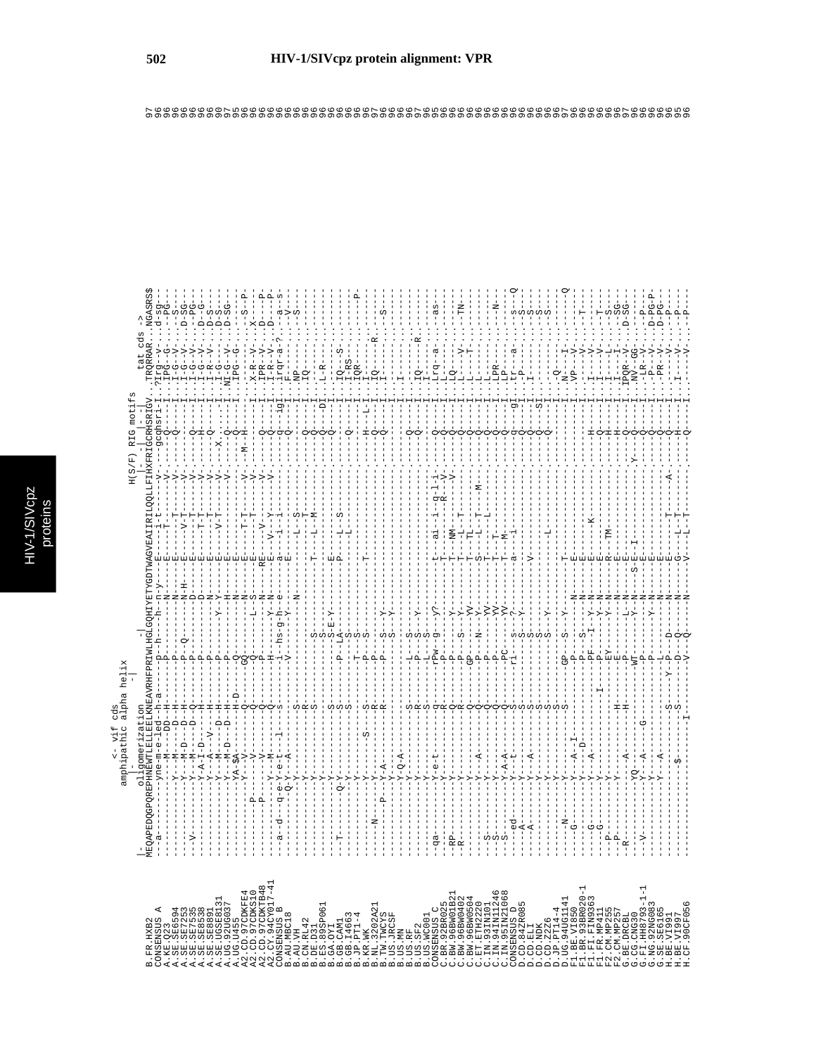| tat cds               | <b>JGASRS</b><br>$ 2q - 5q - $ | ပု                     | $\begin{array}{c} -1.1 - 1.1 \\ -0.04 - 0.04 \\ -0.04 - 0.04 \\ -0.04 - 0.04 \\ -0.04 - 0.04 \\ -0.04 - 0.04 \\ -0.04 - 0.04 \\ -0.04 - 0.04 \\ -0.04 - 0.04 \\ -0.04 - 0.04 \\ -0.04 - 0.04 \\ -0.04 - 0.04 \\ -0.04 - 0.04 \\ -0.04 - 0.04 \\ -0.04 - 0.04 \\ -0.04 - 0.04 \\ -0.04 - 0.04 \\ -0.04 - 0.04$<br>٣l | -ს<br> -<br>                                  | ř                    | R-1-V-1-D-8-1-<br>3-1-1-1-D-8G-1-<br>3-1-V-1-D-8G-1 | ن<br>ا                                                | $\ldots$ IPG--                                                                                                                                                                    | $-5 - 1$                   | $X - R - -V -$<br>TPR--V-                             | դ<br> <br> <br>$-1$ $-1$ $-1$ $-$<br>ř                                         | $-\frac{a}{a}$<br>rgr-a-                            |                                                 | $-5 -$<br>$\frac{1}{2}$       |                                                             | $\ldots$ $L-R-1$          |                 | $Q = -S - 0$                                                              | $-RS-$ | $QR----$    | $Q$ ----- $R$                                                                                                                                                                                            |                                            |                   |                 |        | $IQ----R$          | -as-<br>-rq--a-                |      | $\frac{1}{\alpha}$           | $-$ TN $-$<br>$-1$ - $-1$<br>t |                                 |                    | $-1$ $-1$<br>$-$ -BE | $\frac{1}{50}$<br>$-\frac{1}{4}$ | C)            | CΟ       | ÷<br>÷<br>CO <sub>1</sub> | $\frac{1}{2}$ | ーーーー<br>ノ         | $IP----$   | $\frac{1}{2}$                         | - T-<br>$-1$                                     |                |               | $\begin{array}{c} -1.1 - 0.0000 \\ -0.00000 \\ -0.00000 \\ -0.00000 \end{array}$ |                             | $\frac{1}{1}$<br>$\overline{P}$   | $\overline{a}$ |  |  |
|-----------------------|--------------------------------|------------------------|---------------------------------------------------------------------------------------------------------------------------------------------------------------------------------------------------------------------------------------------------------------------------------------------------------------------|-----------------------------------------------|----------------------|-----------------------------------------------------|-------------------------------------------------------|-----------------------------------------------------------------------------------------------------------------------------------------------------------------------------------|----------------------------|-------------------------------------------------------|--------------------------------------------------------------------------------|-----------------------------------------------------|-------------------------------------------------|-------------------------------|-------------------------------------------------------------|---------------------------|-----------------|---------------------------------------------------------------------------|--------|-------------|----------------------------------------------------------------------------------------------------------------------------------------------------------------------------------------------------------|--------------------------------------------|-------------------|-----------------|--------|--------------------|--------------------------------|------|------------------------------|--------------------------------|---------------------------------|--------------------|----------------------|----------------------------------|---------------|----------|---------------------------|---------------|-------------------|------------|---------------------------------------|--------------------------------------------------|----------------|---------------|----------------------------------------------------------------------------------|-----------------------------|-----------------------------------|----------------|--|--|
| motifs<br>RIG         | --gcghari-                     | $\frac{1}{1}$          |                                                                                                                                                                                                                                                                                                                     | 平!                                            | $-1$                 | $-2X$ .                                             | $-\frac{1}{1}$                                        |                                                                                                                                                                                   | - V – – – – – – – – – H    |                                                       | $\frac{0}{1}$<br>$\frac{1}{1}$                                                 | $-191$                                              | $\begin{array}{c} 1 \\ 1 \\ 1 \end{array}$<br>ŧ | $\frac{1}{1}$                 | $\begin{array}{c} 1 \\ 1 \\ 1 \end{array}$<br>$\frac{1}{1}$ | $-10 - 10$<br>Ţ<br>ŧ<br>ţ |                 | Î                                                                         |        | $\mathbf I$ | $\frac{1}{1}$<br>Ï<br>$\frac{1}{1}$                                                                                                                                                                      | $\begin{array}{c} 1 \\ 1 \\ 1 \end{array}$ |                   |                 |        |                    |                                |      |                              | $\mathbf{I}$                   |                                 |                    |                      | - 10                             |               |          | $-5 -$                    |               |                   |            |                                       |                                                  | Ï              | $\frac{1}{1}$ | j<br>$\overline{\phantom{a}}$                                                    | $-Y - -$                    |                                   |                |  |  |
| H(S/F)                | $-1 - 1 - 1$                   | $-1 - 1 - 1$<br>۲<br>ا | $-V-1$<br>I-A--                                                                                                                                                                                                                                                                                                     | 부부<br>$-1 - 1 - 1$                            | $-V - -$<br>י<br>י   | $-V - - -$<br>$- -V - T$                            |                                                       | $\begin{array}{c} \begin{array}{c} \cdot \\ \cdot \\ \cdot \end{array} \\ \begin{array}{c} \cdot \\ \cdot \end{array} \\ \begin{array}{c} \cdot \\ \cdot \end{array} \end{array}$ | $-\mathbf{T}-\mathbf{T}$ – | $-1$ - $\sim$ - $\sim$ -<br>$-1 - 7$<br>$-$ - $E$ - - | $- - - - - - -$<br>$\mathbf{X}--\mathbf{X}--\mathbf{X}--\mathbf{X}--$<br>--V-- | $-1 - 1$                                            | $\frac{1}{1}$                                   | $-1 - 1 - 5$                  | $-1$                                                        | $- - -1 - -1 - -1$        |                 | $-1 - 1 - 5$<br>$\begin{array}{c} \vdots \\ \vdots \\ \vdots \end{array}$ |        |             |                                                                                                                                                                                                          |                                            |                   |                 |        |                    | $- - - - - 1 - i$<br>$-a1 - -$ |      | $--NIM$ -                    |                                | $-1 = -1 - 1 - 1$               | Ţ<br>$\frac{1}{1}$ | $\ddot{r}$           | $\frac{1}{1}$<br>$-1$<br>$-1$    |               |          |                           |               |                   |            |                                       | $---K$                                           | --RI-------    |               |                                                                                  |                             |                                   |                |  |  |
|                       |                                |                        |                                                                                                                                                                                                                                                                                                                     | 덕<br> <br>$-1$<br>$-1$<br>$\bigcap_{i=1}^{n}$ | 면<br>-               | $\frac{1}{1}$<br>$X - -X - -$                       | 면<br> <br>j<br>$\ddot{H}$<br>$\ddot{H}$               | $-1$                                                                                                                                                                              | z<br>                      | $S$ --1------                                         | $-RE--$<br>$-7$<br>$-7$<br>$X$ - - - - -                                       | $-\frac{a}{2}$<br>$\frac{1}{2}$<br>$-5 - 5 - 5 - 7$ | 中<br>-<br>1<br>ł<br>Y-<br>Ť<br>ţ                | $\frac{1}{2}$<br>$\mathbf{I}$ |                                                             | $-5$<br>$-2$              | $X - B - S - T$ |                                                                           | m      | $-5 -$      | $-2-$                                                                                                                                                                                                    | $-1 - 1 - 1$                               | $X$ – – –<br>$-2$ |                 | $-5 -$ | $-7 - - -$<br>က္   | $1 - -y^2$                     |      | $   \vee$<br>$  \frac{1}{2}$ | י<br>ד                         | $- -$ S<br>$-1 - 4 - 4 - 4 - 5$ |                    |                      | $-\frac{8}{1}$                   | $\frac{5}{1}$ | က္       | $-1$                      |               | $- - -$           |            | 며<br>                                 | 中!<br>ドーー<br>주<br>-<br>$\frac{8}{1}$<br>$X = -1$ | $N - -X - - -$ | - 1<br>- 1    | - 1<br>- 1<br>א - - - -<br>- - - - - -<br>- - -                                  | $-8 - E - T$<br>$X - Y - -$ | 国!<br>7<br> <br> <br>$-1 - 1 - 1$ |                |  |  |
| helix<br>alpha<br>cds | Ŧ<br>!<br>ローロー                 |                        |                                                                                                                                                                                                                                                                                                                     | $-4 - 7$<br>Ĭ<br>م<br>¦                       | 푸<br> <br>$- -V - -$ | エーリ<br>$\frac{1}{1}$                                | $-4 - 7$<br>H<br>I                                    | $-H$ $ \Gamma$                                                                                                                                                                    | $-99 - -$                  | $-1$ - $Q$<br>$\frac{1}{1}$                           | ÷                                                                              | <b>U)</b>                                           |                                                 | S                             |                                                             | w                         | w               | $-1 - 9 - 1 - A$                                                          |        | ۱<br>۲<br>۱ | $\begin{array}{c} \begin{array}{c} \begin{array}{c} \cdot \\ \text{1} \end{array} \\ \begin{array}{c} \text{1} \end{array} \\ \begin{array}{c} \text{1} \end{array} \end{array} \end{array}$<br>ωœ<br>က် | $- - - - - - -$                            | $\mathbf{I}$      |                 |        |                    | -rPw--9                        | $-1$ | $-\frac{1}{2}$               | $- - - - - - -$<br>$-GP-$      |                                 | $-4 -$             |                      |                                  |               |          |                           |               | $-9 - - 9 - - -$  |            |                                       | $--PF$                                           |                |               | $-1$                                                                             | $-WI -$                     |                                   |                |  |  |
| amphipathic           | --yne-m-e-led                  | $--N---+$              | ><br>¦                                                                                                                                                                                                                                                                                                              | $\frac{1}{1}$<br>$Y - A - I$<br>Í             | $-4 - -1$<br>Ţ       | $- -M - -$                                          | $\mathbf{I}--\mathbf{I}--\mathbf{N}--\mathbf{N}$<br>Ŧ | $- -XA - SA - -$                                                                                                                                                                  | $-1$<br>Y-                 | $-1$<br>$-4 - 5 - 1$                                  | $-7$<br>トーーントーー<br>$\Omega_{\rm I}$                                            | $e-t$<br>$-9 - p -$                                 | $\frac{1}{2}$                                   | 'n.                           | l,                                                          | Ŧ<br>Ŧ                    |                 | $X-\tilde{O}$                                                             |        | ٦.          | $\frac{1}{4}$<br>٦.                                                                                                                                                                                      | $-X - -$                                   |                   | $-Q - A -$<br>Ţ |        | $\frac{1}{1}$<br>Ť | $-e$ -t                        |      | $\frac{1}{1}$<br>ļ           |                                | $-4 - -$                        | $\frac{1}{1}$      | $-A-A$<br>j          | $-1$ - $+$                       |               | $-4 - 7$ | $\frac{1}{1}$<br>j        | Ť             | İ                 | $---A---I$ | $\frac{1}{\sqrt{2}}$<br>$\frac{1}{1}$ | $\frac{1}{1}$                                    | ł              |               | $-4 - 7$                                                                         | -- 25-                      | $- - - - - -$                     |                |  |  |
|                       |                                |                        |                                                                                                                                                                                                                                                                                                                     | m <sub>10</sub>                               |                      |                                                     |                                                       |                                                                                                                                                                                   | <b>DKFE4</b><br>DKS10      |                                                       | DKTB48                                                                         | ರ –<br>ಕ                                            |                                                 |                               |                                                             | ن<br>00                   |                 | $\frac{1}{\Gamma}$ .                                                      |        |             | $-1$                                                                                                                                                                                                     |                                            |                   |                 |        |                    | qa-                            |      | $RP--$                       |                                |                                 | İ<br>$\frac{5}{1}$ | $\frac{5}{1}$        | $- -$ ed<br>÷,<br>$\frac{5}{1}$  | $- -A - -$    | $-4 -$   |                           |               | $-1$ $-1$<br>1141 | $- - -$    | $2020 - 1$                            | $-9 - 1$<br>$-5 -$                               | $-1$           |               |                                                                                  |                             | $\frac{3-1-1}{83}$                |                |  |  |

 $\begin{smallmatrix} \texttt{R1} & \texttt{R1} & \texttt{R2} & \texttt{R3} & \texttt{R4} & \texttt{R5} & \texttt{R6} & \texttt{R6} & \texttt{R7} & \texttt{R8} & \texttt{R8} & \texttt{R9} & \texttt{R0} & \texttt{R1} & \texttt{R2} & \texttt{R2} & \texttt{R3} & \texttt{R4} & \texttt{R5} & \texttt{R6} & \texttt{R7} & \texttt{R8} & \texttt{R8} & \texttt{R9} & \texttt{R0} & \texttt{R1} & \texttt{R2$ 

502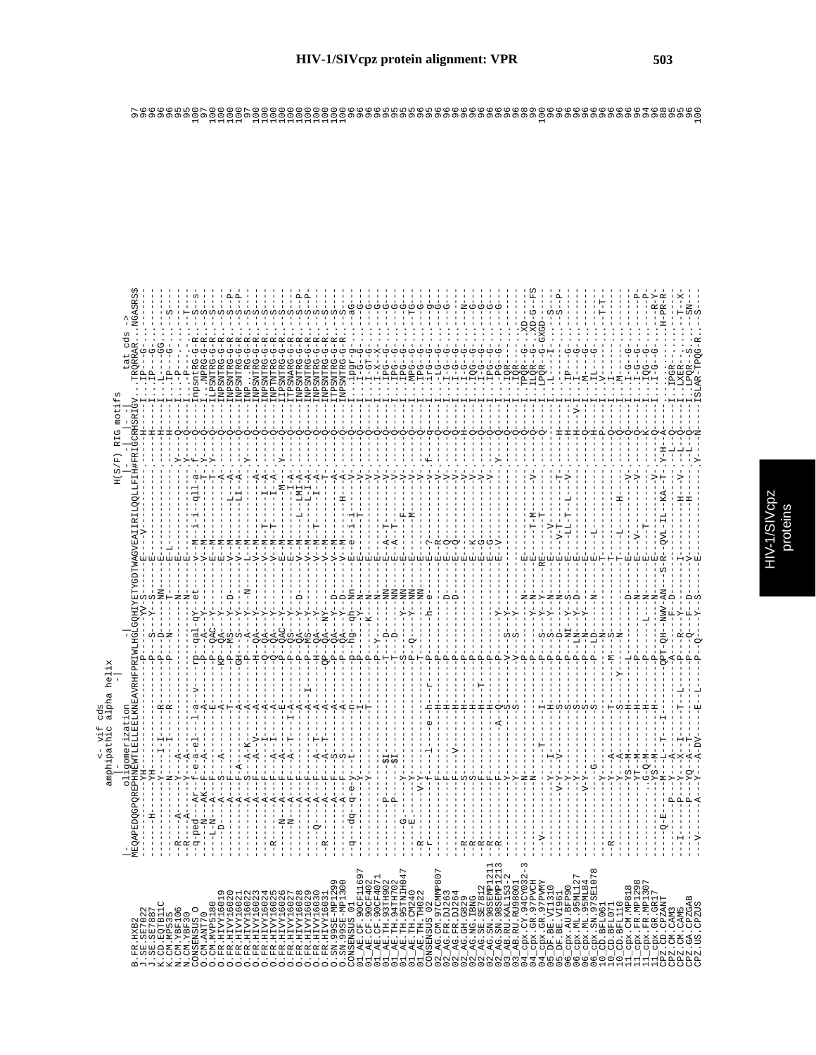| 2<br>r |
|--------|
|        |
|        |
|        |
|        |
|        |
|        |

| motif        | NGASRS.<br>CΩ                                                                                        |                                                                                                                                                                                                                                                                                                                                    |                    |                                             |           |            |                                      |              |           |   |                                                                                                                                                                                                                                                             |  |        |        |                    |             |        |                               |              |        |             |                                             |                                                   |                   |                      |       |    |                    |           |                                       |            |            |                               | $-5 - 4$    | -GXGD  |          |   |                     |                    |             |      |   |                         |                                |                    |        |                                         |                                              |
|--------------|------------------------------------------------------------------------------------------------------|------------------------------------------------------------------------------------------------------------------------------------------------------------------------------------------------------------------------------------------------------------------------------------------------------------------------------------|--------------------|---------------------------------------------|-----------|------------|--------------------------------------|--------------|-----------|---|-------------------------------------------------------------------------------------------------------------------------------------------------------------------------------------------------------------------------------------------------------------|--|--------|--------|--------------------|-------------|--------|-------------------------------|--------------|--------|-------------|---------------------------------------------|---------------------------------------------------|-------------------|----------------------|-------|----|--------------------|-----------|---------------------------------------|------------|------------|-------------------------------|-------------|--------|----------|---|---------------------|--------------------|-------------|------|---|-------------------------|--------------------------------|--------------------|--------|-----------------------------------------|----------------------------------------------|
|              |                                                                                                      |                                                                                                                                                                                                                                                                                                                                    |                    |                                             |           |            |                                      |              |           |   |                                                                                                                                                                                                                                                             |  |        |        |                    |             |        |                               |              |        |             |                                             |                                                   |                   |                      |       |    |                    |           |                                       |            |            |                               |             |        |          |   |                     |                    |             |      |   |                         |                                |                    |        |                                         |                                              |
| H(S/F)       |                                                                                                      |                                                                                                                                                                                                                                                                                                                                    |                    |                                             |           |            |                                      |              |           |   |                                                                                                                                                                                                                                                             |  |        |        |                    |             |        |                               |              |        |             |                                             |                                                   |                   |                      |       |    |                    |           |                                       |            |            |                               |             |        |          |   |                     |                    |             |      |   |                         |                                |                    |        |                                         |                                              |
|              | GVEAIIRILOOLLFIHFRIGCRHSRIGV                                                                         |                                                                                                                                                                                                                                                                                                                                    |                    |                                             |           |            |                                      |              |           |   |                                                                                                                                                                                                                                                             |  |        |        |                    | IMI         |        |                               |              |        |             |                                             |                                                   |                   |                      |       |    |                    |           |                                       |            |            |                               | T           |        |          |   |                     |                    |             |      |   |                         |                                |                    |        |                                         |                                              |
|              |                                                                                                      | $S-XY$                                                                                                                                                                                                                                                                                                                             |                    |                                             |           |            |                                      |              |           |   |                                                                                                                                                                                                                                                             |  |        |        |                    |             |        |                               |              |        |             |                                             |                                                   |                   |                      |       |    |                    |           |                                       |            |            |                               |             | U)     | -1<br>U) |   |                     |                    |             |      |   |                         |                                |                    |        |                                         |                                              |
| helix<br>cds | gdpgrEpHNEWTLELLEELKNEAVRHFPRIWLHGLGQHIYETYGDTWA<br>QGPQREPHNEWTLELLEELKNEAVRHFPRIWLHGLGQHIYETYGDTWA |                                                                                                                                                                                                                                                                                                                                    |                    |                                             |           |            | $\frac{1}{\sqrt{2}}$                 |              |           |   |                                                                                                                                                                                                                                                             |  |        |        |                    |             |        |                               |              |        |             |                                             |                                                   |                   |                      |       |    |                    |           |                                       |            |            |                               |             |        |          |   |                     |                    |             |      |   |                         |                                |                    |        |                                         |                                              |
| amphipathi   | <b>MEQAPED</b>                                                                                       |                                                                                                                                                                                                                                                                                                                                    | $\frac{1}{1}$<br>I | $\begin{bmatrix} 1 \\ 1 \\ 1 \end{bmatrix}$ | $- R - -$ | $-R$ – – – | $-q-ped$<br>z<br>                    | $-1 - 1 - N$ | $-1$<br>л | J | í<br>$\frac{1}{1}$                                                                                                                                                                                                                                          |  | $-R$ - | z<br>! | $\frac{1}{2}$<br>J | í<br>ļ<br>л | j<br>j | $\circ$<br>R<br>$\frac{1}{1}$ | п<br>Ţ<br>J, | -q---d | ŧ<br>I<br>J | $\begin{bmatrix} 1 \\ 1 \\ 1 \end{bmatrix}$ | ł<br>$\overline{\phantom{a}}$<br>J<br>I<br>п<br>л | りー<br>I<br>I<br>т | $-1$<br>$\mathbf{I}$ | $- R$ | ٢ı | $\frac{1}{1}$<br>п | Ť<br>$ R$ | $\frac{1}{1}$<br>$- R -$<br>$-\infty$ | t,<br>$-R$ | $- -R - -$ | $\frac{1}{1}$<br>$\mathbf{I}$ | I<br>J<br>п | $-V$ – | ı<br>п   | J | $\frac{1}{1}$<br>J. | j<br>$\frac{1}{1}$ | J<br>I<br>л | $-5$ | J | J,<br>ļ<br>$\mathbf{I}$ | $\frac{1}{1}$<br>$\frac{1}{1}$ | $\frac{1}{2}$<br>I | I<br>л | $\frac{1}{1}$<br>1<br>ţ<br>$\mathbf{I}$ | $-V-$                                        |
|              |                                                                                                      | $\begin{array}{ll} \texttt{B}.\texttt{FR}.\texttt{HXB2} \\ \texttt{J}.\texttt{SE}.\texttt{SE7022} \\ \texttt{J}.\texttt{SE}.\texttt{SE7887} \\ \texttt{K}.\texttt{CD}.\texttt{EQTBL1C} \\ \texttt{K}.\texttt{CD}.\texttt{EQTBL1C} \\ \texttt{N}.\texttt{CM}.\texttt{YBF106} \\ \texttt{N}.\texttt{CM}.\texttt{YBF106} \end{array}$ |                    |                                             |           |            | $\circ$<br>CONSENSUS C<br>O.CM.ANT70 |              |           |   | $\begin{smallmatrix} &0.00,0.000\\ 0.00,0.001\\ 0.000,0.001\\ 0.000,0.001\\ 0.000,0.0000\\ 0.000,0.0000\\ 0.000,0.0000\\ 0.000,0.0000\\ 0.0000,0.0000\\ 0.0000,0.0000\\ 0.0000,0.0000\\ 0.0000,0.0000\\ 0.0000,0.0000\\ 0.0010,0.0000\\ 0.011,0.0000\\ 0.0$ |  |        |        |                    |             |        |                               |              |        |             |                                             |                                                   |                   |                      |       |    |                    |           |                                       |            |            |                               |             |        |          |   |                     |                    |             |      |   |                         |                                |                    |        |                                         | CPZ.CM.CAM5<br>CPZ.CA.CPZGAB<br>CPZ.US.CPZUS |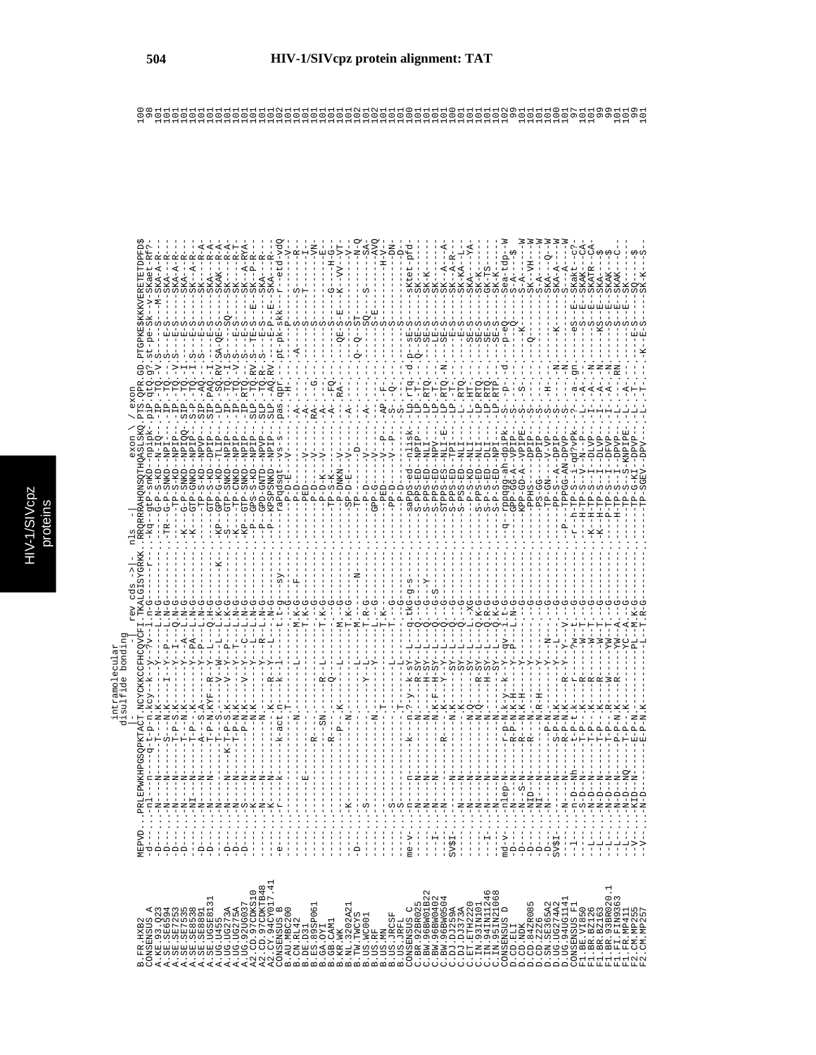| ż<br>n |
|--------|
|        |
|        |
|        |
|        |
|        |

|                                   |                                         |                                                                                                                                                                                                                                                                                                                                                                                                                               | $-M-SKA - A - R$                                                                                    |                            | $--SKA - A - R$<br>Ŧ   | ÷                                                   | $---A-R$                                                    | T<br>$\frac{0}{1}$                                                                                      | Ï                                           | $-4Q$ , $-1$ , $S$ --- $E$<br>$-4Q$ , $-1$ , $S$ --- $E$ -<br>$-3Q$ , $-1$ , $-1$ , $-1$ , $-1$ ,<br>$-5A$ , $-QE$ - $k$<br>$-2A$ , $-1$ , $-5A$ , $-2E$ |                                                                    | $-1$               | نې<br>-<br>ä.<br>$\ddot{\phantom{0}}$ | $-4A - RYA$                                          | $-$ - $P$ -R<br>$- -E - -SK$<br>$-1T E - S$                                             | $\frac{R}{1}$<br>$-$ SKA $-$<br>$-1 - 1 - 5$     | $--SKA---$<br>円<br>-<br>$-5 - 5 - 5$                      | $--etd-vd$<br>t-pk-skk<br>- .SLP . -TQ .RV .S-<br>- .SLP . -TQ .RS-<br>- .SLP . -TQ .RV . -<br>- .SLP . -TQ .RV . - |                                    |                                                         |                                                                                                  |                                            |                                   |                                                                      | D-H-1                                                                                               | $\tilde{\gamma}$<br>$\sum$<br>뛰<br>$-50 - 7$                                          |                                                                    | $\dot{\gamma}$                                                              |                                                 |                                                                                            | $-H - V$                                                                        | $-50$                                                                        |                                                                                                                     | et-pfd                                                                           |                                                                                | $K-K--$                                                                                         |                                                                      |                                                                                                                             | $- -A - R -$                             | Ţ<br>$SK-KA$<br>ှိ                           | $-25E-5$                                                                 | $SK - K$<br>$\frac{1}{2}$                                                                                                                                                                                       | $GK-TS$<br>숩                                                                   | $SK - K$                                                          |                                                                                      | sea-tdp-<br>s-A----s<br>$\frac{1}{2}$ | Ť<br>$-$ K                  | $\tilde{A}$ | $-5$<br>נט<br>ו          |                                                                            |                                                                 | $SKA - A$                        |                                       | $\frac{0}{1}$<br>$\frac{5}{1}$                            | $\frac{1}{1}$<br>면<br>                                                                                                            |                                          |                                      |                        |                                |                                                                                        | $-K--E-$                                                                                                                              |
|-----------------------------------|-----------------------------------------|-------------------------------------------------------------------------------------------------------------------------------------------------------------------------------------------------------------------------------------------------------------------------------------------------------------------------------------------------------------------------------------------------------------------------------|-----------------------------------------------------------------------------------------------------|----------------------------|------------------------|-----------------------------------------------------|-------------------------------------------------------------|---------------------------------------------------------------------------------------------------------|---------------------------------------------|----------------------------------------------------------------------------------------------------------------------------------------------------------|--------------------------------------------------------------------|--------------------|---------------------------------------|------------------------------------------------------|-----------------------------------------------------------------------------------------|--------------------------------------------------|-----------------------------------------------------------|---------------------------------------------------------------------------------------------------------------------|------------------------------------|---------------------------------------------------------|--------------------------------------------------------------------------------------------------|--------------------------------------------|-----------------------------------|----------------------------------------------------------------------|-----------------------------------------------------------------------------------------------------|---------------------------------------------------------------------------------------|--------------------------------------------------------------------|-----------------------------------------------------------------------------|-------------------------------------------------|--------------------------------------------------------------------------------------------|---------------------------------------------------------------------------------|------------------------------------------------------------------------------|---------------------------------------------------------------------------------------------------------------------|----------------------------------------------------------------------------------|--------------------------------------------------------------------------------|-------------------------------------------------------------------------------------------------|----------------------------------------------------------------------|-----------------------------------------------------------------------------------------------------------------------------|------------------------------------------|----------------------------------------------|--------------------------------------------------------------------------|-----------------------------------------------------------------------------------------------------------------------------------------------------------------------------------------------------------------|--------------------------------------------------------------------------------|-------------------------------------------------------------------|--------------------------------------------------------------------------------------|---------------------------------------|-----------------------------|-------------|--------------------------|----------------------------------------------------------------------------|-----------------------------------------------------------------|----------------------------------|---------------------------------------|-----------------------------------------------------------|-----------------------------------------------------------------------------------------------------------------------------------|------------------------------------------|--------------------------------------|------------------------|--------------------------------|----------------------------------------------------------------------------------------|---------------------------------------------------------------------------------------------------------------------------------------|
|                                   | exon<br>o:<br>∽<br>QRRRAHQNSQTHQ<br>nls | p.q<br>È                                                                                                                                                                                                                                                                                                                                                                                                                      | ローウ                                                                                                 | 中<br>ウ                     | $-TP-S-KD$             | $G-P-SNKD$                                          | GTP-GNKD<br>ŧ                                               | --NPVP<br>$-TP-S-KD$                                                                                    | P.PA<br>-KD<br>$GTP-1$                      | GPP-G-KD                                                                                                                                                 | GTP-SNKD                                                           | IIdN---<br>IIdN--- |                                       | KP--GTP-SNKD                                         | $-12P - RTQ$<br>$-12Q$<br>$GPS-S-KD$<br>Ţ                                               | GPD-GNTD                                         | --KPSPSNKD                                                | ---raPqdsqt<br>------------                                                                                         |                                    | $-4$<br>$-4-7$                                          | $ PED$                                                                                           |                                            | $-.RA-.$<br>---P-D--K<br>---P-D-K |                                                                      | $--T\ddot{P}-S-K$                                                                                   | $-$ . RA $-$<br>$-7$<br>$-$ - $P$ -DNKIN                                              | $P-D-E$<br>$\frac{5}{1}$                                           |                                                                             | $-4-7$                                          |                                                                                            | $ \frac{1}{1}$<br>------PED                                                     | $\frac{a}{1}$<br>$q - qq -$                                                  | $-4-1$                                                                                                              | nlisk                                                                            | P.rrTq<br>-sappS-ed-<br>-G=PPS-ED-<br>-S-PPS-ED-<br>-S-PPS-ED-                 | LP.RTQ                                                                                          |                                                                      | TPPS-E                                                                                                                      | $F - T$                                  | $-RTQ$ .                                     | -2-PBS-88-7<br>-1HV--0H-SS4-8-<br>-1HV--0H-SS4-8-<br>-1HV--0H-SS4-8-     |                                                                                                                                                                                                                 |                                                                                | - HT-<br>P.RTQ<br>P.RTQ<br>P.RTP<br>IdN--GE-S-d-S<br>IT-S-S-S-d-S | ರ<br>ದ                                                                               |                                       | --VPIPE<br>$\tilde{\zeta}$  |             | ۹<br>ا                   | ト界!<br>コロコ                                                                 | T<br>J<br>D-G                                                   | --DPIP<br>$-1$                   | 부분<br>N-DPVF<br>--DDGG-A              | -gd?vP<br>$\frac{1}{1}$<br>9<br>  9<br>  9<br>$T - H - T$ | Ë<br>干<br>!                                                                                                                       | 는                                        | 툿<br>エーー                             | $ DFV$<br>$-1 - 4 - -$ | Ë<br>干<br>!                    | <b>Edidiy-</b>                                                                         | --DPV<br>$P - SGEN$                                                                                                                   |
| ide bonding<br>amolecular<br>disu | JCYCKKCCFHCQV<br>$\mathsf I$            | $-5 - 1$<br>$-q-t-p-n.$ kcy--                                                                                                                                                                                                                                                                                                                                                                                                 | $-1$ $-1$ $-1$ $-1$ $-1$                                                                            | $\frac{1}{1}$              | $\frac{1}{1}$          |                                                     | 7                                                           | TTT.<br>$- - A - - - S \cdot A - - -$<br>---T-P-N.KYF                                                   | ÷<br>$-R$                                   | Ŧ<br>$\cdot$                                                                                                                                             |                                                                    |                    | Ŧ<br>Ŧ                                | Y<br>-<br>$  \vee$                                   | $\frac{1}{1}$                                                                           | $---N.$                                          | じース<br>Ŷ,<br>$\frac{1}{1}$                                | $-7$<br>$-7$<br>$----k-act.$                                                                                        | J.<br>H.                           | M.K-G<br>$- - - - - - -$                                | I<br>$\frac{1}{1}$                                                                               | È                                          | ۰.<br>$-R$ – – –                  | $-1$<br>$---SN$ .                                                    | $\frac{1}{2}$<br>Ŷ                                                                                  | $-1 - 9 - 1$                                                                          | $-1$ - $-1$                                                        | I.<br>ţ<br>T                                                                | $T.R-G$<br>п                                    | $-1$<br>т                                                                                  | `,∙<br>⊥<br>$\frac{1}{1}$                                                       | Ţ<br>J.                                                                      | $\mathbf{I}$<br>п                                                                                                   |                                                                                  | a – 6 –<br>$\frac{1}{2}$<br>$-1$<br>$\frac{1}{1}$                              | Η<br>Ι<br>$Z_{-+-}$                                                                             | $\frac{1}{2}$<br>$\frac{1}{2}$<br>Ŧ<br>唐<br>٠.<br>$-1$ - $-1$ - $-1$ | Ť                                                                                                                           | $\frac{5}{1}$<br>$-1$<br>J.              | ςà<br>I<br>$\frac{1}{1}$                     | ς<br>Γ<br>$- - - - -$                                                    | $\frac{5}{1}$<br>$-1$ $-1$                                                                                                                                                                                      | ္ပို<br>$-\frac{1}{2}$<br>$-1 - 1$                                             | $\overline{P}$                                                    | ကူ<br>T                                                                              | ĬΤ<br>$-1 - 2 - 9 - N$ .              | $-R-\overline{P}-N \cdot F$ |             |                          | Ë<br>$---N. R$                                                             | $- - p - N -$                                                   |                                  | $X -$<br>Ŧŧ                           | $\mathbf I$<br>$--t-P-t.$                                 | -1<br>ť.                                                                                                                          | ∵,                                       | т - - д - д - т<br>1 - - д - д - - - |                        | $-$ -P-P-N.I                   | $\ddot{\cdot}$<br>$-T-P$                                                               | --P-N<br>--P-N-K                                                                                                                      |
|                                   | PRLEPWKHPGSQPKTACT.N<br>MEPVD           | $\cdots - n - - n -$<br>$\cdot$<br>$\cdot$<br>$\bullet$<br>I<br>$\frac{1}{1}$<br>خ                                                                                                                                                                                                                                                                                                                                            | $\frac{1}{1}$<br>$- -N - -$<br>$\begin{array}{c}\n-1 \\ -1 \\ -1\n\end{array}$<br>$\bullet$<br>$-1$ | $\cdot$<br>$\cdot$<br>$-1$ | $-1 - N -$<br>$-1 - 1$ | $-1 - N -$<br>$\frac{1}{1}$<br>$\frac{1}{\sqrt{2}}$ | - 4 - 1 - - - - - - - - - - -<br>$-1$<br>$\frac{1}{1}$<br>T | $- -  R - - - - -  R - -$<br>$\begin{array}{c}\n1 \\ 1 \\ -1 \\ -1\n\end{array}$<br>$\cdot$<br>$-1 - 1$ | $\frac{1}{1}$<br>$N----$<br>$\cdot$<br>$-1$ | п<br>$\mathbf{I}$<br>-1<br>$\ddot{a}$<br>ŧ<br>$\mathsf I$                                                                                                | $- - - - - - - - - - -$<br>$- - - - - - - - - - -$<br>$-1$<br>$-1$ | $-1 - 1$           | $\cdot$                               | J<br>$\frac{1}{1}$<br>w<br>Ĩ,<br>$\cdot$<br>$-1 - 1$ | $\frac{1}{1}$<br>$-\mathbb{K}$<br>$\ddot{\phantom{0}}$<br>$\frac{1}{1}$<br>$\mathbf{I}$ | I<br>J.<br>$-1$<br>$-1$<br>$-1$<br>$\frac{1}{2}$ | T.<br>T<br>п<br>$- -N - -$<br>$-1 - N -$<br>$\frac{1}{1}$ | $-1 - k -$<br>$-2-7$<br>$\frac{1}{1}$<br>$\frac{1}{9}$                                                              | т<br>I<br>ı<br>$\vdots$<br>1<br>J. | I<br>I<br>п<br>ı<br>ï<br>I<br>ı<br>I<br>I<br>リー・エー<br>í | $\overline{\phantom{a}}$<br>$\mathbf{I}$<br>J.<br>$\frac{1}{1}$<br>$-1$ - $-1$ - $-1$<br>J<br>J. | $\mathbf{I}$<br>$\blacksquare$<br>$\vdots$ | Ì,<br>$\ddot{\phantom{0}}$        | J<br>$\overline{\phantom{a}}$<br>j<br>J.<br>$\cdot$<br>$\frac{1}{1}$ | $- -R - - -$<br>I.<br>I<br>т<br>j.<br>$\frac{1}{1}$<br>$\mathsf I$<br>I.<br>$\cdot$<br>$\cdot$<br>ł | J<br>$\frac{1}{1}$<br>I<br>$\frac{1}{1}$<br>$\frac{1}{1}$<br>$\overline{\phantom{a}}$ | I<br>J.<br>I<br>$\frac{1}{1}$<br>I<br>$\frac{1}{1}$<br>$--------K$ | т<br>I<br>ł<br>T<br>т<br>$\mathfrak l$<br>Ì,<br>ŕ<br>$\frac{1}{\mathbf{Q}}$ | ł<br>I<br>$\frac{1}{5}$<br>Ĩ,<br>$\vec{r}$<br>ł | ï.<br>I<br>т<br>т<br>т<br>I<br>т<br>т<br>$\bullet$<br>$\ddot{\phantom{0}}$<br>$\cdot$<br>ţ | J<br>J<br>J.<br>I<br>$\frac{1}{1}$<br>$\frac{1}{1}$<br>j<br>Ì,<br>$\frac{1}{1}$ | J<br>I<br>H<br>H<br>J<br>j<br>J<br>$\frac{1}{1}$<br>w<br>Ĩ,<br>$\frac{1}{1}$ | J.<br>л<br>л<br>л<br>л<br>$\blacksquare$<br>л<br>S<br>$\ddot{\phantom{0}}$<br>$\ddot{\phantom{0}}$<br>$\frac{1}{1}$ | $-1 - n - 1$<br>$-1 - n -$<br>f,<br>$\ddot{\phantom{0}}$<br>$\ddot{\phantom{0}}$ | $\mathbf{I}$<br>I<br>$\frac{1}{1}$<br>$-1 - N -$<br>$-1 - N -$<br>$me-v-$<br>ł | $\mathsf I$<br>$\frac{1}{1}$<br>$-1$ $-1$ $-1$ $-1$ $-1$<br>z<br>!<br>Í<br>$\ddot{\phantom{0}}$ | ł<br>$- -N - - - -N - -$<br>$-1 -$                                   | $-R = -$<br>$\mathbf{I}$<br>л.<br>$\mathbf{I}$<br>п<br>$\overline{1}$<br>$\mathbf I$<br>$\frac{1}{2}$<br>I<br>$\frac{1}{1}$ | $\overline{R}$ –<br>$\cdot$<br>$SVST-$ . | I<br>т<br>$-1 - N -$<br>$-1$ $-1$<br>I<br>ł. | I<br>т<br>$-1 - N -$<br>J.<br>$\ddot{z}$ .<br>$\bullet$<br>$\frac{1}{1}$ | I<br>J.<br>$-1 - 2 - 1 - 1 - 2 - 1$<br>$\frac{1}{1}$<br>$\begin{array}{c} \begin{array}{c} \cdot \cdot \cdot \\ \cdot \cdot \end{array} \\ \begin{array}{c} \cdot \cdot \cdot \\ \cdot \end{array} \end{array}$ | $\overline{\phantom{a}}$<br>п<br>$- -N - -$<br>$-1 - N -$<br>$-1 - 1 - \ldots$ | $-1$ $-1$<br>$\frac{1}{1}$                                        | $\frac{1}{1}$<br>$-nd$ -ge $1 -$<br>$-1$<br>$-1$<br>$-1$<br>$\frac{1}{1}$<br>$md-v-$ |                                       | $-1 - N - S - N - 1$        | $-1 - -1$ . | $N -1$<br>$-1$ $-1$ $-1$ | п<br>J<br>$\vdots$<br>$\frac{1}{\Box}$                                     | $\frac{1}{1}$<br>$-1 - N - - - - - - -$<br>$\vdots$<br>$-1 - 1$ | J<br>-- 2-----<br>I<br>$SVST-$ . | $\ddot{\phantom{0}}$<br>$\frac{1}{1}$ | $- -n - - Nh - - -$<br>$-1 - 1$ .<br>$\mathbf{I}$         | $-1 - T - P$<br>п<br>$S-D--N--$<br>п<br>$\begin{array}{c} \begin{array}{c} \bullet \\ \bullet \\ \bullet \end{array} \end{array}$ | $-1 - T - P$<br>$-$ -N-D--N-<br>$-1 - 1$ |                                      |                        | Í<br>J<br><b>N--Q-N- -----</b> | $-5M$<br>$-1$<br>$-1$<br>$-1$<br>$\vdots$<br>$\frac{1}{1}$<br>$\overline{\phantom{0}}$ | 闰<br>Ţ<br>--KID--N<br>$-N-D--$<br>ł<br>$\blacksquare$<br>$\frac{1}{2}$                                                                |
|                                   |                                         | $\begin{array}{l} \texttt{B. FRR} \\ \texttt{1} \texttt{XB2} \\ \texttt{1} \texttt{0} \texttt{1} \texttt{0} \texttt{3} \texttt{1} \texttt{1} \\ \texttt{2} \texttt{0} \texttt{0} \texttt{1} \texttt{3} \texttt{1} \texttt{1} \\ \texttt{3} \texttt{1} \texttt{0} \texttt{1} \texttt{1} \texttt{1} \texttt{1} \texttt{1} \\ \texttt{4} \texttt{1} \texttt{0} \texttt{1} \texttt{1} \texttt{1} \texttt{1} \texttt{1} \texttt{1$ |                                                                                                     |                            |                        |                                                     |                                                             |                                                                                                         |                                             |                                                                                                                                                          |                                                                    |                    |                                       |                                                      |                                                                                         |                                                  |                                                           |                                                                                                                     |                                    |                                                         |                                                                                                  |                                            |                                   |                                                                      |                                                                                                     |                                                                                       |                                                                    |                                                                             |                                                 |                                                                                            |                                                                                 |                                                                              |                                                                                                                     |                                                                                  |                                                                                |                                                                                                 |                                                                      |                                                                                                                             |                                          |                                              |                                                                          |                                                                                                                                                                                                                 |                                                                                |                                                                   |                                                                                      |                                       |                             |             |                          | D.CD.84ZR085<br>D.CD.22Z6<br>D.SN.SE365A2<br>D.UG.UG274A2<br>D.UG.94UG1141 |                                                                 |                                  |                                       |                                                           |                                                                                                                                   |                                          |                                      |                        |                                |                                                                                        | CONSENSUS FI<br>F1.BB: VI1850<br>F1.BB: VI1850<br>F1.BR: BZ163<br>F1.FR: P1893630.1<br>F1.FR: VP411<br>F1.FR: VP411<br>F2.COM. VP2555 |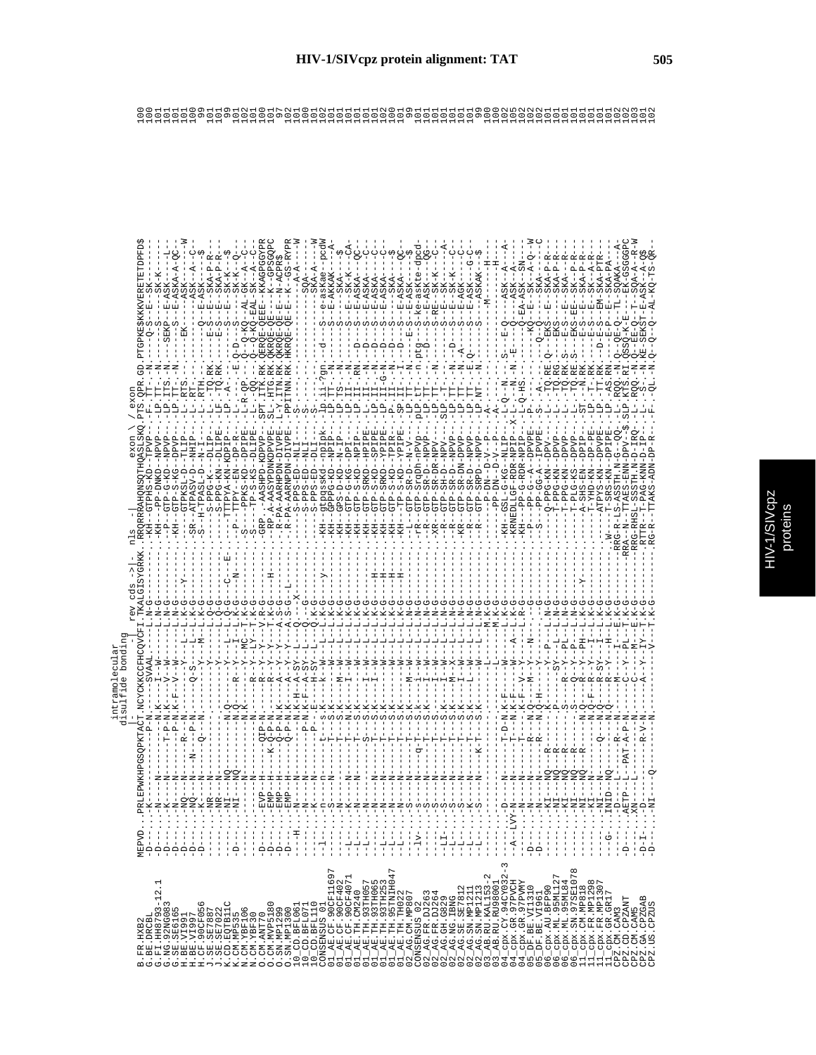| 2<br>ŋ |
|--------|
|        |
|        |
|        |
|        |
|        |
|        |
|        |
|        |
|        |
|        |
|        |
|        |
|        |

|                                               | <b>TGPKES</b><br>R. GD. I                                                                                                                                                                                                                                                                                                                                                                                                                     | $---E-RS$                                          | $-1 - E - ASKA - A - QCC$<br>--SEKF                                                                                  |                                     | Ţ<br>$-4$<br>-ASK<br>I-ASK                         | Wτ<br>$\frac{1}{1}$                                                        | 8--SKA-P-R-<br>8--SKA-P-R-<br>8--SK-K---\$ | $2 - 7$<br>$\frac{5}{1}$ |                                |                                                                  | י<br>נ<br>$-EAL-SK--A$                                     | --KKAGPGGYPR                        |                               | ---K--GPSGQPC<br>E--N-ACPR\$<br>E--K--GS-RYPR<br>$\begin{array}{c} \mathbf{E}-\mathbf{E} \\ \mathbf{E}-\mathbf{E} \end{array}$ |                                                        | $- A - A - -$                       | $-$ SOA                                                     |                                                                                         |                             | --e-asKae--pcdW<br>--E-AKKAK----A<br>-----SKA----\$                        |                                              | $-CA$ -<br>3 - - - - - SKA - - -<br>3 - - E - - SK - K - -<br>3 - - E - ASKA - - - |                                               |                                         | 3 - - E - ASKA-<br>3 - - E - ASKA-<br>3 - - E - ASKA-<br>3 - - - - - - SKA-                                                                                                                                                                                                                                                                                                                       |                               | ∽<br>$ -E$ $ ASKA$                                      | $\frac{5}{1}$<br>$  \alpha$<br>$ -E$ $ ASK$                       |                                                          | -ke-asKte-dpcd<br>--E-ASK----QG-                     |                                                             |                                        | 3 – RE – – SK – K – – – C<br>S – – E – – SK – – – – – –<br>S – – E – – SK – K – – – – C |                                    | 3 -- E - AGK -------<br>5 -- - E - ASK ---------<br>5 --- - - ASKAK ---- \$ |                                            | $-1$                     |                            | $-4$<br>$----ASK$ |                       | $-EA-ASK$                                                                                                                                       | 2 - - E - - SK - - A - Q - - W<br>2 - - - - - - SKA - - - - - - - C<br>3 - - E - - SKA - P - R - - - |                                                                                                                                                                                                                                                                                                                                                     |               | $- R -$<br>۴Ì<br>변<br> <br>                    |    |                     | ----SKA--P-R-<br>E--SKA----R-<br>E--SKA---P-R<br>E--SKA-P-R-<br>E--SK--A-R-                                                                                                                                                                                                                                                                                                                                               | 5 - EB - - SK - - P - R - -<br>5 - - E - - SKA - P - R - -<br>5 - - E - - SKA - P - R - -<br>5 - - EM - SKA - P T R - - | 면<br> <br>$K - -D - E$<br>$\begin{array}{cccccccccccc} p_0 & p_1 & p_2 & p_3 & p_4 & p_5 & p_6 & p_7 & p_8 & p_9 & p_1 & p_1 & p_2 & p_3 & p_4 & p_5 & p_6 & p_7 & p_8 & p_9 & p_1 & p_1 & p_2 & p_3 & p_4 & p_5 & p_6 & p_7 & p_7 & p_7 & p_8 & p_9 & p_1 & p_1 & p_2 & p_3 & p_4 & p_5 & p_6 & p_7 & p_7 & p_8 & p_9 & p_1 & p_1 & p_1 & p_2 & p_3 & p_4 & p_5 & p_6 & p_7 & p_7$ | $-1$<br>$--SKA-PA-$<br>$-4300R -$<br>$-10E$ | --EK-GSGGGP                          | $\sum_{i=1}^{n}$<br>$--8QA - A - -R$<br>부                | $-4-2$<br>$-ASK$<br>$F - E$                                                                         | $- -AL-KQ-TS-Q$                |
|-----------------------------------------------|-----------------------------------------------------------------------------------------------------------------------------------------------------------------------------------------------------------------------------------------------------------------------------------------------------------------------------------------------------------------------------------------------------------------------------------------------|----------------------------------------------------|----------------------------------------------------------------------------------------------------------------------|-------------------------------------|----------------------------------------------------|----------------------------------------------------------------------------|--------------------------------------------|--------------------------|--------------------------------|------------------------------------------------------------------|------------------------------------------------------------|-------------------------------------|-------------------------------|--------------------------------------------------------------------------------------------------------------------------------|--------------------------------------------------------|-------------------------------------|-------------------------------------------------------------|-----------------------------------------------------------------------------------------|-----------------------------|----------------------------------------------------------------------------|----------------------------------------------|------------------------------------------------------------------------------------|-----------------------------------------------|-----------------------------------------|---------------------------------------------------------------------------------------------------------------------------------------------------------------------------------------------------------------------------------------------------------------------------------------------------------------------------------------------------------------------------------------------------|-------------------------------|---------------------------------------------------------|-------------------------------------------------------------------|----------------------------------------------------------|------------------------------------------------------|-------------------------------------------------------------|----------------------------------------|-----------------------------------------------------------------------------------------|------------------------------------|-----------------------------------------------------------------------------|--------------------------------------------|--------------------------|----------------------------|-------------------|-----------------------|-------------------------------------------------------------------------------------------------------------------------------------------------|------------------------------------------------------------------------------------------------------|-----------------------------------------------------------------------------------------------------------------------------------------------------------------------------------------------------------------------------------------------------------------------------------------------------------------------------------------------------|---------------|------------------------------------------------|----|---------------------|---------------------------------------------------------------------------------------------------------------------------------------------------------------------------------------------------------------------------------------------------------------------------------------------------------------------------------------------------------------------------------------------------------------------------|-------------------------------------------------------------------------------------------------------------------------|-------------------------------------------------------------------------------------------------------------------------------------------------------------------------------------------------------------------------------------------------------------------------------------------------------------------------------------------------------------------------------------|---------------------------------------------|--------------------------------------|----------------------------------------------------------|-----------------------------------------------------------------------------------------------------|--------------------------------|
| exon                                          | $\sum_{i=1}^{n}$<br>$-5.2$<br>F.                                                                                                                                                                                                                                                                                                                                                                                                              |                                                    |                                                                                                                      | ŦŦ                                  |                                                    |                                                                            |                                            |                          |                                |                                                                  |                                                            |                                     |                               |                                                                                                                                |                                                        |                                     |                                                             |                                                                                         |                             |                                                                            |                                              |                                                                                    |                                               |                                         |                                                                                                                                                                                                                                                                                                                                                                                                   |                               |                                                         |                                                                   |                                                          |                                                      |                                                             |                                        |                                                                                         |                                    |                                                                             |                                            |                          |                            | Ċ<br>L            |                       |                                                                                                                                                 |                                                                                                      |                                                                                                                                                                                                                                                                                                                                                     |               | 역년년1 <sup>1</sup><br>그 : : : : :               |    |                     |                                                                                                                                                                                                                                                                                                                                                                                                                           |                                                                                                                         |                                                                                                                                                                                                                                                                                                                                                                                     |                                             | 다 다<br>- 181<br>- 181                |                                                          |                                                                                                     |                                |
| nls                                           | SLSK<br>--TPVP<br>ISYGRKKRRQRRRAHQNSQTHQA<br>$-.KH--GTPHS-FID$                                                                                                                                                                                                                                                                                                                                                                                | --NPVF<br>z<br>İ<br>-PP-DNKD<br>$\ldots$ -KH- $-$  |                                                                                                                      | $\frac{1}{2}$                       | --SR--ATPASV-D                                     |                                                                            | ţ.                                         | --TTTPYA-KN-KDPIP        | NE--AdLL--d--                  |                                                                  | $\ddot{\phantom{0}}$                                       |                                     |                               |                                                                                                                                |                                                        |                                     |                                                             |                                                                                         |                             |                                                                            |                                              |                                                                                    |                                               |                                         | $\begin{array}{l} \text{1.5 } \text{1.6 } \text{1.7 } \text{1.8 } \text{1.8 } \text{1.8 } \text{1.8 } \text{1.8 } \text{1.8 } \text{1.8 } \text{1.8 } \text{1.8 } \text{1.8 } \text{1.8 } \text{1.8 } \text{1.8 } \text{1.8 } \text{1.8 } \text{1.8 } \text{1.8 } \text{1.8 } \text{1.8 } \text{1.8 } \text{1.8 } \text{1.8 } \text{1.8 } \text{1.8 } \text{1.8 } \text{1.8 } \text{1.8 } \text{$ |                               |                                                         |                                                                   |                                                          |                                                      |                                                             |                                        |                                                                                         |                                    |                                                                             |                                            |                          |                            |                   |                       |                                                                                                                                                 |                                                                                                      |                                                                                                                                                                                                                                                                                                                                                     |               | --DPVP<br>--שטפס--דע<br>--פטפס---s             |    |                     | $-25E-4C--b$                                                                                                                                                                                                                                                                                                                                                                                                              |                                                                                                                         | -SRS-KN--DPIPE<br>$\begin{array}{c} 1 \\ -1 \end{array}$<br>--ATPYS-KN                                                                                                                                                                                                                                                                                                              | $-$ RRG $-$ R $-$ LS $-$ ASSTH.N $-$ G      | $-1 - N - T T A E S - E N N - D F V$ | $-IRC$<br>$-$ - RRG-RHSL-SSSTH. $N-D$                    | $-$ .RTTR $-$ -T-PAG-KNN $-$ D-IP                                                                   | $-$ . RG-R- $-$ TTAKS-ADN-DP-R |
| $\mathbf{I}$                                  | CΩ<br><b>KALG</b>                                                                                                                                                                                                                                                                                                                                                                                                                             |                                                    |                                                                                                                      |                                     | $x_1 + y_2 + y_3$<br>$x_1 + y_2 + y_3 + y_4$<br>٣l | 무                                                                          | ပု                                         | $\frac{1}{1}$            | $\frac{0}{1}$                  |                                                                  | ပု                                                         |                                     | 푸<br>                         | $\begin{array}{l} \text{r. K-G----}\\ \text{A. S-G----}\\ \text{A. S-G----}\\ \end{array}$                                     |                                                        |                                     | Ť                                                           |                                                                                         |                             | 먼<br>.'.                                                                   |                                              |                                                                                    |                                               |                                         |                                                                                                                                                                                                                                                                                                                                                                                                   |                               | 푸푸                                                      |                                                                   |                                                          |                                                      |                                                             |                                        |                                                                                         |                                    |                                                                             |                                            |                          |                            | 먼<br>.'.          |                       |                                                                                                                                                 |                                                                                                      |                                                                                                                                                                                                                                                                                                                                                     |               |                                                |    |                     |                                                                                                                                                                                                                                                                                                                                                                                                                           |                                                                                                                         |                                                                                                                                                                                                                                                                                                                                                                                     |                                             |                                      |                                                          |                                                                                                     |                                |
|                                               | じしこ<br>FI.TP                                                                                                                                                                                                                                                                                                                                                                                                                                  | °−¤<br>∶                                           |                                                                                                                      |                                     |                                                    |                                                                            |                                            |                          |                                |                                                                  |                                                            |                                     |                               |                                                                                                                                |                                                        |                                     |                                                             |                                                                                         |                             |                                                                            | Ŧ                                            |                                                                                    |                                               |                                         | TTTT                                                                                                                                                                                                                                                                                                                                                                                              |                               |                                                         |                                                                   |                                                          | $-8 - 1$<br>Ţ                                        | Ţ                                                           |                                        | $L \cdot N - G$<br>$L \cdot N - G$                                                      | $L \cdot N - G$<br>$L \cdot N - G$ |                                                                             | $L.M-G$                                    | $--M$ . $K-G$            | $-M.K-G$                   |                   | $-$ - $ \overline{A}$ |                                                                                                                                                 | $-1$ $-1$                                                                                            |                                                                                                                                                                                                                                                                                                                                                     | $\ddot{M}$ .  | $-54-$                                         |    | $-4 - 34$           | $L$ , $K-G$                                                                                                                                                                                                                                                                                                                                                                                                               |                                                                                                                         |                                                                                                                                                                                                                                                                                                                                                                                     |                                             |                                      | ∑<br>⊺                                                   | $\frac{1}{1}$                                                                                       |                                |
| intramolecular<br>disulfide bonding<br>$\,$ I | PRLEPWKHPGSQPKTACT.NCYCKKCCFHCQVC<br>VAAI                                                                                                                                                                                                                                                                                                                                                                                                     | $-1$<br>$\tilde{\ }$<br>$-1.1$                     | $\begin{array}{c} \n \begin{array}{c} \n 1 & 1 \\ \n 1 & 1 \\ \n 1 & 1 \\ \n 1 & 1 \end{array} \n \end{array}$<br>Ŀ, |                                     |                                                    |                                                                            |                                            |                          |                                | $--N$ . ${\bf K}$                                                | $-1$ $\frac{1}{1}$                                         |                                     |                               |                                                                                                                                |                                                        | $-1$                                |                                                             |                                                                                         |                             |                                                                            |                                              |                                                                                    |                                               |                                         |                                                                                                                                                                                                                                                                                                                                                                                                   |                               |                                                         | $-1$<br>$M - - -$                                                 | Ţ                                                        | ີ່                                                   | nne<br>Til                                                  |                                        | $-1$<br>ີ່                                                                              | Ţ                                  | ài<br>Il<br>ທ່ທ່                                                            |                                            |                          | $K-F$                      |                   | Ë                     | $-7$<br>$K-F$                                                                                                                                   | r<br>T                                                                                               | Y                                                                                                                                                                                                                                                                                                                                                   |               | אאאא<br>    מא<br>                             |    |                     | Ŧ                                                                                                                                                                                                                                                                                                                                                                                                                         | $5 - 5$<br>$-1 - N$ .                                                                                                   |                                                                                                                                                                                                                                                                                                                                                                                     | Ŧŧ                                          | 7<br>T<br>$\cdot$                    |                                                          | H                                                                                                   | $-1$                           |
|                                               | $- -p - N - -$                                                                                                                                                                                                                                                                                                                                                                                                                                | H<br>T<br>п<br>$\frac{1}{4}$                       | $\frac{1}{1}$                                                                                                        |                                     |                                                    | J<br>J.<br>Í<br>j                                                          | Ť                                          | I                        | $-2 - 1$<br>$\frac{1}{1}$<br>İ | $\frac{1}{1}$<br>J<br>$\overline{\phantom{a}}$<br>$\blacksquare$ | ı<br>I<br>I<br>ł                                           | $N-GLD$<br>$\overline{\phantom{a}}$ | $EMP - -H - - -K - Q - P - N$ | $-2-P-N$ .                                                                                                                     | $-2 - 2 - N$ .                                         | $\mathbf{I}$<br>ł                   | $-1 - 9 - 1$<br>$\begin{bmatrix} 1 \\ 1 \\ 1 \end{bmatrix}$ | $\overline{\phantom{a}}$                                                                | J.<br>$-1$<br>$-1 - n -$    | Ì<br>۲<br>ا<br>л<br>J                                                      | Ĭ<br>÷<br>ا<br>J.<br>$\mathbf{I}$<br>1<br>Ť. | -1<br>투                                                                            | Ĵ<br>۲<br>ا<br>$\frac{1}{1}$<br>$\frac{1}{4}$ | $\frac{1}{1}$<br>$-5 +$<br>I.<br>I<br>T | ţ<br>$\frac{1}{1}$<br>i<br>i<br>$\frac{1}{1}$<br>ł<br>$\frac{1}{1}$                                                                                                                                                                                                                                                                                                                               | F<br>-                        | Ì<br>$-1$ $-1$ $-1$ $-1$<br>j                           | Ì<br>۳<br>-<br>$\frac{1}{1}$                                      | $\frac{1}{1}$<br>$-1 - p - - - - -$                      | $-1 - 1 - 1$                                         | ł<br>부<br>т<br>ł                                            | Ì<br>÷<br>ا<br>$\frac{1}{4}$           | Ì<br>$-1$<br>J.<br>Ť                                                                    | Ì<br>T-<br>$\frac{1}{1}$           | Ì<br>$\frac{1}{2}$<br>т<br>ï<br>$\frac{1}{1}$                               | $\frac{1}{1}$<br>$---K-T$<br>$\frac{1}{1}$ | $\mathbf{I}$<br>п        | ı<br>J.                    |                   |                       | $\begin{array}{cccc} &   &   &   &   \\ &   &   &   &   \\ &   &   &   &   \\ &   &   &   &   \\ \end{array}$<br>$\frac{1}{1}$<br>$\frac{1}{1}$ | $\overline{X}$ = $\overline{Y}$<br>j<br>j                                                            | $\overline{N}$ = $\overline{N}$ = $\overline{N}$ = $\overline{N}$ = $\overline{N}$ = $\overline{N}$ = $\overline{N}$ = $\overline{N}$ = $\overline{N}$ = $\overline{N}$ = $\overline{N}$ = $\overline{N}$ = $\overline{N}$ = $\overline{N}$ = $\overline{N}$ = $\overline{N}$ = $\overline{N}$ = $\overline{N}$ = $\overline{N}$ = $\overline{N}$ = | $\frac{1}{1}$ | $\frac{1}{1}$<br>J.<br>$\mathbf{I}$<br>$\perp$ | Ĵ, | $\frac{1}{1}$<br>Ť, | $\sum_{i=1}^{n}$                                                                                                                                                                                                                                                                                                                                                                                                          | J.<br>I.<br>L.<br>$\frac{1}{1}$                                                                                         |                                                                                                                                                                                                                                                                                                                                                                                     |                                             |                                      | $Z_{-+-}$<br>I<br>ţ<br>I                                 | $--R-V-N$<br>I<br>$\overline{\phantom{a}}$<br>ł                                                     | Ĵ<br>$\dot{Q}$                 |
|                                               | $-1 - K -$<br>$\cdot$                                                                                                                                                                                                                                                                                                                                                                                                                         | $-1 - N - -$<br>$N----1$<br>$-1 - N -$<br>.<br>- × | $\overline{R}$<br>$-1 - N -$                                                                                         | $\frac{1}{2}$<br>$-5R$ -<br>$\cdot$ | $\cdot$<br>$-1$                                    | $-MR - -N$<br>I.<br>$\begin{array}{c} 1 \\ 1 \end{array}$<br>$\frac{1}{1}$ | $\ddot{z}$ $\ddot{z}$<br>$-MR$             | $-$ DZ $-$<br>I          | $-NT---NQ$                     | $\frac{1}{2}$<br>$\frac{1}{1}$<br>Ť                              | ?<br>¦<br>ŧ<br>$\begin{bmatrix} 1 \\ 1 \\ 1 \end{bmatrix}$ | Ť<br>EVP-<br>Ĩ,                     | T,<br>$-1$<br>$-1$            | $EMP - -H - - -$<br>Ĩ,<br>$\cdot$                                                                                              | $END--H---$<br>Ĩ,<br>$\ddot{\phantom{0}}$<br>$-1 - -1$ | $\frac{1}{2}$<br>$-1 - N -$<br>$-1$ | $-1$ $-1$<br>$-1 - N -$<br>$\frac{1}{1}$                    | $-1$ <sup>-</sup><br>÷,<br>$-K$<br>$\ddot{\phantom{0}}$<br>$\cdot$<br>$\mathbf{I}$<br>ł | $-1 - n -$<br>$\frac{1}{4}$ | $\ddot{z}$<br>$\frac{1}{1}$<br>$\overset{\circ}{\cdot}$ =<br>$\frac{1}{1}$ | $\mathbf{I}$<br>J<br>÷.                      | $\frac{1}{2}$<br>÷,<br>ĸ<br>Ĩ,                                                     | $\begin{array}{c} \mathbf{1} \end{array}$     | J.<br><b>N</b> - - - 1                  | $\frac{1}{2}$<br>$\frac{1}{2}$<br>$-1 - N -$<br>$-1 - N -$<br>$\begin{array}{c} \begin{array}{c} \cdot \cdot \cdot \end{array} \\ \begin{array}{c} \cdot \cdot \end{array} \\ \begin{array}{c} \cdot \cdot \end{array} \end{array}$<br>$-1 - 1$                                                                                                                                                   | $\overline{R}$ $\overline{R}$ | ŧ<br>l,<br>$\ddot{z}$ .<br>$\ddot{z}$<br>$-1$ $-1$ $ -$ | $\frac{1}{2}$<br>$\frac{1}{1}$<br>S<br>$-1$ $-1$<br>$\frac{1}{1}$ | $\overline{R}$ $\overline{R}$<br>$\frac{1}{1}$<br>$-1v-$ | w<br>w<br>Ĩ,<br>ŀ,<br>$\frac{1}{1}$<br>$\frac{1}{1}$ | $\frac{1}{2}$<br>$\frac{1}{1}$<br>C)<br>f,<br>$\frac{1}{1}$ | $\frac{1}{2}$<br>w<br>$-L_{\rm H}$ $-$ | $\frac{1}{2}$<br>Ω<br>$-1$ $-1$ $-1$ $-1$ $-1$                                          | Ż<br>I<br>ł<br>S<br>f,             | $\frac{1}{2}$<br>$\frac{1}{1}$<br>ĸ<br>$-1, \cdots, 1$                      | $S---N-$<br>$\frac{1}{2}$                  | $\frac{1}{1}$<br>÷,<br>Ť | $\ddot{\phantom{0}}$<br>J. |                   |                       | $\frac{1}{2}$<br>$-1 - 1 - 1 - 1$                                                                                                               | $\frac{1}{2}$<br>$-1$ - $-1$ - $-1$ - $-1$                                                           | z<br> <br>$-1$ $-1$                                                                                                                                                                                                                                                                                                                                 |               |                                                |    |                     | $\begin{split} \mathbb{I}^{(1)}_{\mathcal{A}} & \mathbb{I}^{(2)}_{\mathcal{A}} & \mathbb{I}^{(1)}_{\mathcal{A}} & \mathbb{I}^{(1)}_{\mathcal{A}} & \mathbb{I}^{(2)}_{\mathcal{A}} & \mathbb{I}^{(2)}_{\mathcal{A}} & \mathbb{I}^{(2)}_{\mathcal{A}} & \mathbb{I}^{(2)}_{\mathcal{A}} & \mathbb{I}^{(2)}_{\mathcal{A}} & \mathbb{I}^{(2)}_{\mathcal{A}} & \mathbb{I}^{(2)}_{\mathcal{A}} & \mathbb{I}^{(2)}_{\mathcal{A}}$ | ł                                                                                                                       |                                                                                                                                                                                                                                                                                                                                                                                     |                                             |                                      | $-1$ - $-$ -- $-$ XN --<br>$\cdot$<br>I<br>$\frac{1}{1}$ | I<br>$\begin{array}{c} 1 \\ -1 \\ 1 \end{array}$<br>$\ddot{\phantom{0}}$<br>$\cdot$<br>$-1 - 1 - 1$ | Ť<br>$-NT$                     |
|                                               | <b>MEPVD</b><br>$\frac{1}{1}$<br>$\begin{smallmatrix} \texttt{R}1 & \texttt{R}1 & \texttt{R}2 & \texttt{R}2 & \texttt{R}1 & \texttt{R}3 & \texttt{R}2 & \texttt{R}1 & \texttt{R}1 & \texttt{R}2 & \texttt{R}3 & \texttt{R}2 & \texttt{R}1 & \texttt{R}1 & \texttt{R}3 & \texttt{R}3 & \texttt{R}2 & \texttt{R}1 & \texttt{R}1 & \texttt{R}2 & \texttt{R}3 & \texttt{R}2 & \texttt{R}3 & \texttt{R}2 & \texttt{R}3 & \texttt{R}2 & \texttt{R}$ | $-1 - 1$<br>$-1$                                   | $-1 - 1$                                                                                                             | $-1 - 1$                            | $\overline{a}$                                     |                                                                            | ţ                                          | ŧ                        | $-1 - 1$                       |                                                                  | $\mathbf{I}$                                               | $\frac{1}{\rho}$                    |                               | $-1 - 1$                                                                                                                       |                                                        |                                     |                                                             |                                                                                         |                             | ł                                                                          | $\frac{1}{1}$                                | $\frac{1}{1}$                                                                      |                                               |                                         |                                                                                                                                                                                                                                                                                                                                                                                                   |                               |                                                         |                                                                   |                                                          |                                                      | $\frac{1}{4}$                                               |                                        |                                                                                         |                                    |                                                                             |                                            |                          | J.                         | Σ                 |                       | J                                                                                                                                               |                                                                                                      | $\frac{1}{\Box}$                                                                                                                                                                                                                                                                                                                                    |               |                                                |    |                     |                                                                                                                                                                                                                                                                                                                                                                                                                           |                                                                                                                         | İ<br>$06 - 252$<br>$06 - 252$<br>$11 - 252$<br>$11 - 252$<br>$11 - 252$<br>$12 - 252$<br>$12 - 252$<br>$13 - 252$<br>$15 - 252$<br>$162$<br>$17 - 252$<br>$18 - 251$<br>$17 - 252$<br>$18 - 251$<br>$19 - 251$<br>$10 - 252$<br>$10 - 252$                                                                                                                                          |                                             | CPZ.CD.CPZANT                        | CPZ.CM.CAM5                                              |                                                                                                     | CPZ.GA.CPZGAB<br>CPZ.US.CPZUS  |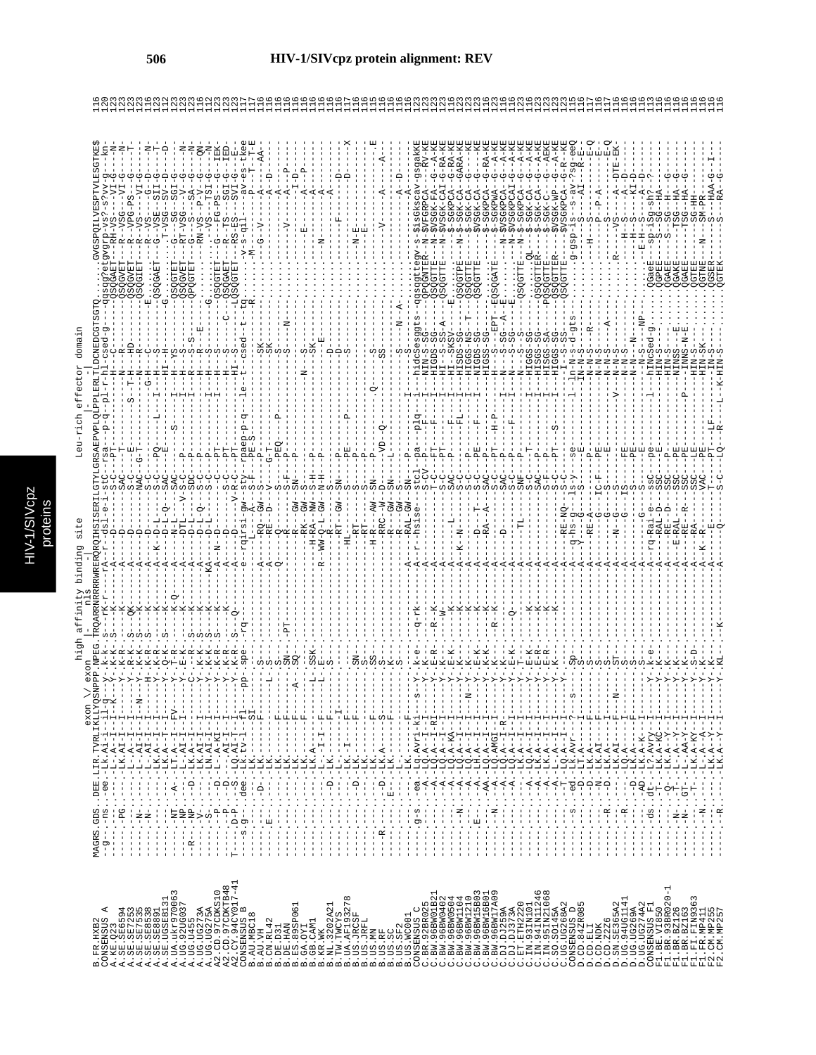HIV-1/SIVcpz HIV-1/SIVcpz proteins

| $\begin{array}{ll} 3.1 & .\ \hbox{DE} & .\ \hbox{DE} & .\ \hbox{DE} & .\ \hbox{Lip} & .\ \hbox{Lip} & .\ \hbox{Lip} & .\ \hbox{Lip} & .\ \hbox{Lip} & .\ \hbox{Lip} & .\ \hbox{Lip} & .\ \hbox{Lip} & .\ \hbox{Lip} & .\ \hbox{Lip} & .\ \hbox{Lip} & .\ \hbox{Lip} & .\ \hbox{Lip} & .\ \hbox{Lip} & .\ \hbox{Lip} & .\ \hbox{Lip} & .\ \hbox{Lip} & .\ \hbox{Lip} & .$<br>exon | higi    |                       |     |            |                |                                  |
|----------------------------------------------------------------------------------------------------------------------------------------------------------------------------------------------------------------------------------------------------------------------------------------------------------------------------------------------------------------------------------|---------|-----------------------|-----|------------|----------------|----------------------------------|
|                                                                                                                                                                                                                                                                                                                                                                                  |         |                       |     |            | 뎩              |                                  |
| Χ-ρ                                                                                                                                                                                                                                                                                                                                                                              |         |                       | ဥ   |            | -QSQGAET       |                                  |
| ř<br>ドー田                                                                                                                                                                                                                                                                                                                                                                         |         |                       |     |            | QSQ            |                                  |
| Į<br>Ŧ                                                                                                                                                                                                                                                                                                                                                                           |         | $\circ$               |     |            | <b>DPOGTET</b> | $RM-V$                           |
|                                                                                                                                                                                                                                                                                                                                                                                  |         | z                     |     |            |                |                                  |
|                                                                                                                                                                                                                                                                                                                                                                                  |         | rsi<br>-rai           | gep | sed<br>U   |                |                                  |
|                                                                                                                                                                                                                                                                                                                                                                                  |         | $-9w$                 |     |            |                | $-91$                            |
|                                                                                                                                                                                                                                                                                                                                                                                  |         |                       |     |            |                |                                  |
|                                                                                                                                                                                                                                                                                                                                                                                  |         |                       |     |            |                |                                  |
|                                                                                                                                                                                                                                                                                                                                                                                  |         |                       |     |            |                |                                  |
|                                                                                                                                                                                                                                                                                                                                                                                  |         |                       |     |            |                |                                  |
|                                                                                                                                                                                                                                                                                                                                                                                  |         | スワーユー<br>$-$ MM $-$ O |     |            |                |                                  |
|                                                                                                                                                                                                                                                                                                                                                                                  |         |                       |     |            |                |                                  |
|                                                                                                                                                                                                                                                                                                                                                                                  |         | -GW                   |     |            |                |                                  |
|                                                                                                                                                                                                                                                                                                                                                                                  |         |                       |     |            |                | 뛰                                |
|                                                                                                                                                                                                                                                                                                                                                                                  |         |                       |     |            |                |                                  |
|                                                                                                                                                                                                                                                                                                                                                                                  |         | -RRC                  |     |            |                |                                  |
|                                                                                                                                                                                                                                                                                                                                                                                  |         |                       |     |            |                |                                  |
|                                                                                                                                                                                                                                                                                                                                                                                  |         |                       |     |            |                |                                  |
|                                                                                                                                                                                                                                                                                                                                                                                  |         | 9                     |     |            |                |                                  |
|                                                                                                                                                                                                                                                                                                                                                                                  |         |                       |     |            |                |                                  |
|                                                                                                                                                                                                                                                                                                                                                                                  |         |                       |     |            |                | $-RA$<br>Ŗ                       |
|                                                                                                                                                                                                                                                                                                                                                                                  |         |                       |     |            |                | GARA                             |
|                                                                                                                                                                                                                                                                                                                                                                                  |         | ٩                     |     |            |                |                                  |
| T<br>$\tilde{1}$                                                                                                                                                                                                                                                                                                                                                                 |         |                       |     |            |                | $-RA-$                           |
|                                                                                                                                                                                                                                                                                                                                                                                  |         |                       |     |            |                |                                  |
| Ť                                                                                                                                                                                                                                                                                                                                                                                |         |                       |     |            |                | f.                               |
|                                                                                                                                                                                                                                                                                                                                                                                  | $\circ$ |                       |     |            |                | Ť<br>$\frac{1}{2}$ $\frac{1}{2}$ |
| Ť                                                                                                                                                                                                                                                                                                                                                                                |         |                       |     | <b>COL</b> |                | Ţ<br>$\mathbf{I}$                |
|                                                                                                                                                                                                                                                                                                                                                                                  |         |                       |     | š          |                |                                  |
|                                                                                                                                                                                                                                                                                                                                                                                  |         |                       |     | <b>TSG</b> |                |                                  |
|                                                                                                                                                                                                                                                                                                                                                                                  |         | <b>RE-NC</b>          |     |            |                | 鸟                                |
|                                                                                                                                                                                                                                                                                                                                                                                  |         | $q - has -$           |     |            |                | g<br>-gsp-                       |
|                                                                                                                                                                                                                                                                                                                                                                                  |         | $-RE-P$               |     |            |                |                                  |
|                                                                                                                                                                                                                                                                                                                                                                                  |         |                       |     |            |                |                                  |
|                                                                                                                                                                                                                                                                                                                                                                                  |         |                       |     |            |                |                                  |
|                                                                                                                                                                                                                                                                                                                                                                                  |         | .<br>주                |     |            |                | DTE                              |
|                                                                                                                                                                                                                                                                                                                                                                                  |         |                       |     |            |                |                                  |
|                                                                                                                                                                                                                                                                                                                                                                                  |         |                       |     |            |                | $E-H$                            |
|                                                                                                                                                                                                                                                                                                                                                                                  |         | rg-Rai                |     |            |                | i-sh<br>τŋ                       |
|                                                                                                                                                                                                                                                                                                                                                                                  |         |                       |     |            |                |                                  |
|                                                                                                                                                                                                                                                                                                                                                                                  |         |                       |     |            |                |                                  |
|                                                                                                                                                                                                                                                                                                                                                                                  |         |                       |     |            |                |                                  |
|                                                                                                                                                                                                                                                                                                                                                                                  |         |                       |     |            |                |                                  |
|                                                                                                                                                                                                                                                                                                                                                                                  |         |                       |     |            |                |                                  |
|                                                                                                                                                                                                                                                                                                                                                                                  |         |                       |     |            |                |                                  |
|                                                                                                                                                                                                                                                                                                                                                                                  |         |                       |     |            |                |                                  |

Taununtalainalainen alaintilaintilaintilaintilaintilainan kankantilaintilaintilaintilaintilaintilaintilaintila<br>Tovaasan kuvan kausan kokokeen totetti tauttaan tokan kuvan kuvan kuvan kuvan ketteen kokokeen kokokeen kokoke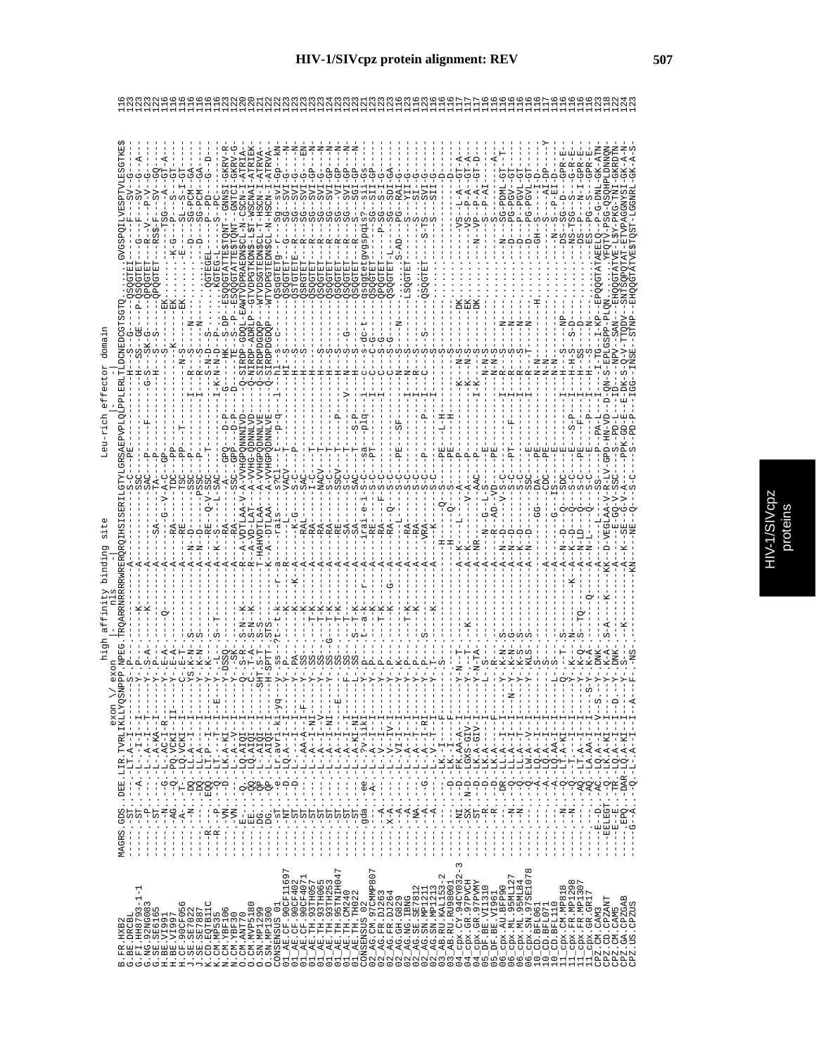| domair |                         |                              |                                                      |                                                                       |         |                          |         |                              |                           |            |                                |   |   |   |                                                                                                     |                          |                         |         |  |  |  |  |   |         |              |   |          |  |                                             |                                                                                                                                                                                                                                                                 |                           |   | $N-N-$                                  |                                    |                        |                       |                                                         |                           |                                                |         |                                                      |                                                                           |                        |                        |                                  |                                                                  |                                                               |  |
|--------|-------------------------|------------------------------|------------------------------------------------------|-----------------------------------------------------------------------|---------|--------------------------|---------|------------------------------|---------------------------|------------|--------------------------------|---|---|---|-----------------------------------------------------------------------------------------------------|--------------------------|-------------------------|---------|--|--|--|--|---|---------|--------------|---|----------|--|---------------------------------------------|-----------------------------------------------------------------------------------------------------------------------------------------------------------------------------------------------------------------------------------------------------------------|---------------------------|---|-----------------------------------------|------------------------------------|------------------------|-----------------------|---------------------------------------------------------|---------------------------|------------------------------------------------|---------|------------------------------------------------------|---------------------------------------------------------------------------|------------------------|------------------------|----------------------------------|------------------------------------------------------------------|---------------------------------------------------------------|--|
|        |                         |                              |                                                      |                                                                       |         |                          |         |                              |                           |            |                                |   |   |   |                                                                                                     |                          |                         |         |  |  |  |  |   |         |              |   |          |  |                                             |                                                                                                                                                                                                                                                                 |                           |   |                                         |                                    |                        |                       |                                                         |                           |                                                |         |                                                      |                                                                           |                        |                        |                                  |                                                                  |                                                               |  |
|        |                         |                              |                                                      |                                                                       |         |                          |         |                              |                           |            |                                |   |   |   |                                                                                                     |                          |                         |         |  |  |  |  |   |         |              |   |          |  |                                             |                                                                                                                                                                                                                                                                 |                           |   |                                         |                                    |                        |                       |                                                         |                           |                                                |         |                                                      |                                                                           |                        |                        |                                  |                                                                  |                                                               |  |
| Leu    |                         |                              |                                                      |                                                                       |         |                          |         |                              |                           |            |                                |   |   |   |                                                                                                     |                          |                         |         |  |  |  |  |   |         |              |   |          |  |                                             |                                                                                                                                                                                                                                                                 |                           |   |                                         |                                    |                        |                       |                                                         |                           |                                                |         |                                                      |                                                                           |                        |                        |                                  |                                                                  |                                                               |  |
|        |                         |                              |                                                      |                                                                       |         |                          |         |                              |                           |            |                                |   |   |   |                                                                                                     |                          |                         |         |  |  |  |  |   |         |              |   |          |  |                                             |                                                                                                                                                                                                                                                                 |                           |   |                                         |                                    |                        |                       |                                                         |                           |                                                |         |                                                      |                                                                           |                        |                        |                                  |                                                                  |                                                               |  |
|        |                         |                              |                                                      |                                                                       |         |                          |         |                              |                           |            |                                |   |   |   |                                                                                                     |                          |                         |         |  |  |  |  |   |         |              |   |          |  |                                             |                                                                                                                                                                                                                                                                 |                           |   |                                         |                                    |                        |                       |                                                         |                           |                                                |         |                                                      |                                                                           |                        |                        |                                  |                                                                  |                                                               |  |
|        |                         |                              |                                                      |                                                                       |         |                          |         |                              |                           |            |                                |   |   |   |                                                                                                     |                          |                         |         |  |  |  |  |   |         |              |   |          |  |                                             |                                                                                                                                                                                                                                                                 |                           |   |                                         |                                    |                        |                       |                                                         |                           |                                                |         |                                                      |                                                                           |                        |                        |                                  |                                                                  |                                                               |  |
|        |                         |                              |                                                      |                                                                       |         |                          |         |                              |                           |            |                                |   |   |   |                                                                                                     |                          |                         |         |  |  |  |  |   |         |              |   |          |  |                                             |                                                                                                                                                                                                                                                                 |                           |   |                                         |                                    |                        |                       |                                                         |                           |                                                |         |                                                      |                                                                           |                        |                        |                                  |                                                                  |                                                               |  |
| 허      |                         |                              |                                                      |                                                                       |         |                          |         |                              |                           |            |                                |   |   |   |                                                                                                     |                          |                         |         |  |  |  |  |   |         |              |   |          |  |                                             |                                                                                                                                                                                                                                                                 |                           |   |                                         |                                    |                        |                       |                                                         |                           |                                                |         |                                                      |                                                                           |                        |                        |                                  |                                                                  |                                                               |  |
|        |                         |                              |                                                      |                                                                       |         |                          |         |                              |                           |            |                                |   |   |   |                                                                                                     |                          |                         |         |  |  |  |  |   |         |              |   |          |  |                                             |                                                                                                                                                                                                                                                                 |                           |   |                                         |                                    |                        |                       |                                                         |                           |                                                |         |                                                      |                                                                           |                        |                        |                                  |                                                                  |                                                               |  |
| exon   |                         | I.<br>$-1$                   | י<br>י                                               |                                                                       |         |                          |         |                              | $-1$                      | - H<br>- T |                                |   |   |   |                                                                                                     |                          |                         |         |  |  |  |  |   |         |              |   |          |  |                                             |                                                                                                                                                                                                                                                                 |                           | T |                                         |                                    |                        |                       |                                                         |                           |                                                |         |                                                      |                                                                           |                        |                        |                                  | $\overline{a}$<br>Ţ                                              | $- - A$<br>י<br>ו                                             |  |
|        |                         |                              |                                                      |                                                                       |         |                          |         | Ŧ                            |                           |            |                                |   |   |   |                                                                                                     |                          |                         |         |  |  |  |  |   |         |              |   |          |  | $-1$                                        |                                                                                                                                                                                                                                                                 |                           |   | Ì                                       |                                    | Ţ                      | $\frac{1}{1}$         | J                                                       | $-Q - LM \cdot A - V - -$ |                                                | ï       |                                                      | Ţ<br>Ĵ,                                                                   | $\frac{1}{1}$          | Ï                      |                                  |                                                                  | Ŧ                                                             |  |
|        | DEE.LIR.TVRLIKLLYQS     | $-5T$ . $-1 - 1 - 1 - 1 = T$ | $\ldots$ - $\ldots$ - $\ldots$ - $\ldots$ - $\ldots$ |                                                                       |         |                          |         | $-1.1 - 2 - 1.2 - 1.4 - 1.4$ | $\cdot$ $-50$ $-11$ $-11$ |            | $-7M$ . $-1D$ . $-LK$ . $A-KI$ |   |   |   | - EE - - QQ . - LQ . AIQ I<br>- - DG - QP . - L- . AIQ I<br>- - DG - QP . - L- . AIQ I<br>- - DG QP | $1 - 1$ QP. $-1 - 1 - 2$ | ---sT--e.-Lr.avri-ki-yq |         |  |  |  |  |   |         |              |   |          |  | ------------ <i>F</i><br>$-1 - -D - LK - I$ | - - - - - - - - - - - - - - - - FK. AA - - - - -                                                                                                                                                                                                                | -VSX. . N-D. - CXS-S-VID. |   | .-ST--D.-LK.A-GIV<br>.--R--D.-LK.A----- | - . --- R --- D . --- LK . A ----- | . --- -DR . -LL . A--- | $-1 - 4 - 11 - 4 - 1$ | $Q - L L$ . $A - T$                                     |                           | $-1 - A - LQ - A - I - I$<br>$---A. -LQ.A---I$ |         | $- -2 - 11$ . $A - K I - -$<br>$-4A - LQ$ . $AA - I$ | $-1 - 2 - 1 - 2 - 1$                                                      | $-1. -AQ - LT - A - I$ | $- AQ - LA$ . $AA - I$ | $-4 - 2 - 1 - 2 - 1 - 2 - 1 - 2$ | $--$ EELEGT. $--$ Q. $--$ LK. $A-KI$<br>$\ldots$ -TR. - LQ. A--I | --- EPQ -DAR-IQ .A-KI<br>--G--A--Q .-I-. A--I                 |  |
|        |                         | $-15-1$                      | $\ddot{P}$ $\ddot{P}$                                |                                                                       |         |                          |         | ţ                            | $\frac{1}{2}$             | $--R. --P$ |                                |   |   |   |                                                                                                     |                          |                         |         |  |  |  |  |   |         | $-1.1$<br>ł, |   | $-1.14A$ |  | ţ<br>$\overline{1}$<br>J<br>٠.              | ţ                                                                                                                                                                                                                                                               |                           |   |                                         |                                    |                        | $-1$ .                | $-1$ $\overline{N}$ $\overline{N}$ $\overline{N}$<br>ł, | Ì<br>٠.                   | Ì<br>۱.                                        | Ì<br>٠. | $N$ ---                                              | Ì                                                                         | $\frac{1}{1}$          | $\frac{1}{1}$          |                                  | $-1 - 1 - 1 - 1$                                                 |                                                               |  |
|        | MAGRS.GDS               | ţ<br>п                       |                                                      | $\overline{\phantom{a}}$                                              | Ţ<br>I. | $\overline{\phantom{a}}$ | I       | I                            | $-R$                      |            | I<br>J                         | I |   |   |                                                                                                     |                          |                         |         |  |  |  |  |   |         |              | Ï |          |  |                                             |                                                                                                                                                                                                                                                                 |                           |   |                                         |                                    |                        |                       |                                                         |                           |                                                |         |                                                      |                                                                           |                        | $\mathbf{I}$           |                                  |                                                                  |                                                               |  |
|        |                         |                              |                                                      |                                                                       |         |                          |         |                              |                           |            |                                |   |   |   |                                                                                                     |                          |                         |         |  |  |  |  |   |         |              |   |          |  |                                             | $\begin{smallmatrix} (11,101240\\ 01,101240\\ 01,10122\\ 02,10122\\ 03,10122\\ 04,10122\\ 05,101223\\ 06,101224\\ 07,101234\\ 08,101224\\ 09,101224\\ 010,101224\\ 011,101221\\ 012,101221\\ 013,101221\\ 014,101221\\ 015,101221\\ 016,101221\\ 017,101221\\ $ |                           |   |                                         |                                    |                        |                       |                                                         |                           |                                                |         |                                                      |                                                                           |                        |                        |                                  |                                                                  |                                                               |  |
|        |                         |                              | G.FI.HH8793-1-1<br>G.NG.92NG083<br>G.SE.SE6165       |                                                                       |         | F056<br>1022<br>1887     |         |                              |                           |            |                                |   |   |   |                                                                                                     |                          |                         |         |  |  |  |  |   |         |              |   |          |  |                                             |                                                                                                                                                                                                                                                                 |                           |   |                                         |                                    |                        |                       |                                                         |                           |                                                |         |                                                      | 11_cpx.CM.MP818<br>11_cpx.FR.MP1298<br>11_cpx.FR.MP1307<br>11_cpx.GR.GR17 |                        |                        | PZ.CM.CAM3                       |                                                                  | CPZ.CD.CPZANT<br>CPZ.CM.CAM5<br>CPZ.GA.CPZGAB<br>CPZ.US.CPZUS |  |
|        | B.FR.HXB2<br>G.BE.DRCBL |                              |                                                      | G.SE.SE6165<br>H.BE.VI991<br>H.BE.VI997<br>H.BE.VI9977<br>H.CF.90CF05 |         |                          | .SE.SE7 | .SE.SE78                     |                           |            | z                              |   | O | O | O                                                                                                   | O                        |                         | $\circ$ |  |  |  |  | C | $\circ$ |              |   |          |  |                                             |                                                                                                                                                                                                                                                                 |                           |   |                                         |                                    |                        |                       |                                                         |                           |                                                |         |                                                      |                                                                           |                        |                        | U                                |                                                                  |                                                               |  |

**HIV-1/SIVcpz protein alignment: REV 507**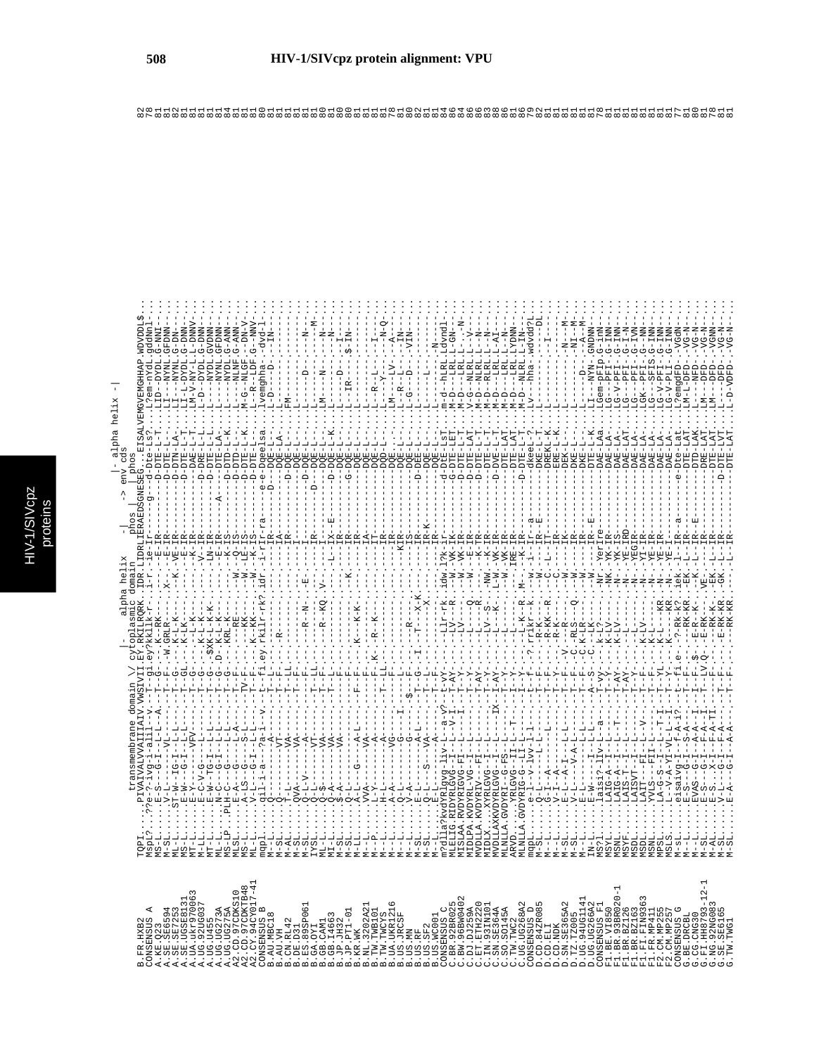| ż<br>n |
|--------|
|        |
|        |
|        |
|        |
|        |

|                           |                                                              |                                                                                                 |                                                                                                                                                                                      |                                                                                                                                                                                                                                                                                                                                                                                            |                                   |                                                                                                                                                  |                                  |                                                                       |                                                                                   |                     |                                                              |                                         |                                                                         |                  |                                |                         |                                               |                                                         |                         |                                        |                |                                                                                                                                                                                                                                                                                                                                                                                                                                                                                                                                 |                                |                                                                                                 |                                       |                                                                   |                |                                                                                                                                                                                                                                                                                                                                                                                                                                      |                    |                                                                 |                                               |                                                  |                                                             |                                                                |                                  |                               |                                         |                   |                                                   |                                              |                                     | œ             |                                                       |                         |                                         |                                                                      |                                                                       |                                                                                                                                                                                                                                                                                                                                                                                                                                |                          |                             |                                                                                 |                                                                                                                                                                                                                                                                                                                                            |                                                                                                                                                       |
|---------------------------|--------------------------------------------------------------|-------------------------------------------------------------------------------------------------|--------------------------------------------------------------------------------------------------------------------------------------------------------------------------------------|--------------------------------------------------------------------------------------------------------------------------------------------------------------------------------------------------------------------------------------------------------------------------------------------------------------------------------------------------------------------------------------------|-----------------------------------|--------------------------------------------------------------------------------------------------------------------------------------------------|----------------------------------|-----------------------------------------------------------------------|-----------------------------------------------------------------------------------|---------------------|--------------------------------------------------------------|-----------------------------------------|-------------------------------------------------------------------------|------------------|--------------------------------|-------------------------|-----------------------------------------------|---------------------------------------------------------|-------------------------|----------------------------------------|----------------|---------------------------------------------------------------------------------------------------------------------------------------------------------------------------------------------------------------------------------------------------------------------------------------------------------------------------------------------------------------------------------------------------------------------------------------------------------------------------------------------------------------------------------|--------------------------------|-------------------------------------------------------------------------------------------------|---------------------------------------|-------------------------------------------------------------------|----------------|--------------------------------------------------------------------------------------------------------------------------------------------------------------------------------------------------------------------------------------------------------------------------------------------------------------------------------------------------------------------------------------------------------------------------------------|--------------------|-----------------------------------------------------------------|-----------------------------------------------|--------------------------------------------------|-------------------------------------------------------------|----------------------------------------------------------------|----------------------------------|-------------------------------|-----------------------------------------|-------------------|---------------------------------------------------|----------------------------------------------|-------------------------------------|---------------|-------------------------------------------------------|-------------------------|-----------------------------------------|----------------------------------------------------------------------|-----------------------------------------------------------------------|--------------------------------------------------------------------------------------------------------------------------------------------------------------------------------------------------------------------------------------------------------------------------------------------------------------------------------------------------------------------------------------------------------------------------------|--------------------------|-----------------------------|---------------------------------------------------------------------------------|--------------------------------------------------------------------------------------------------------------------------------------------------------------------------------------------------------------------------------------------------------------------------------------------------------------------------------------------|-------------------------------------------------------------------------------------------------------------------------------------------------------|
|                           |                                                              |                                                                                                 |                                                                                                                                                                                      |                                                                                                                                                                                                                                                                                                                                                                                            |                                   |                                                                                                                                                  |                                  | $3 - AMN$                                                             | $-DN - V$<br>$- NNV - N$                                                          |                     |                                                              |                                         |                                                                         |                  | $-1$                           | Σ                       | $-1$                                          |                                                         | $-1N-$                  |                                        | f.             | $-N-Q$                                                                                                                                                                                                                                                                                                                                                                                                                                                                                                                          |                                | $-1 - TM - $                                                                                    |                                       |                                                                   |                | Ldvnd1                                                                                                                                                                                                                                                                                                                                                                                                                               | ートロー               |                                                                 | $-1$ $-1$                                     | $-1 - N -$                                       | $- A I$                                                     | $-1$<br>$-1$                                                   |                                  | TappApA.                      | $-1 = -1 = -1$                          |                   | $- N - - N - - N -$                               | $-1$ N <sup>-</sup><br>М--                   |                                     |               | さきさき<br>ことには<br>ことには<br>ことには                          |                         |                                         |                                                                      |                                                                       | $-1$ NNI $-$                                                                                                                                                                                                                                                                                                                                                                                                                   | $-V$ GdN                 | 757<br>20                   | ñ                                                                               | <b>NAGNA</b>                                                                                                                                                                                                                                                                                                                               |                                                                                                                                                       |
| $\mathbf{I}$              | EISALVEMGVEMGHHAP.WDVDD.                                     | .gddNn<br>LID--DYDL.G-NNI<br>L?em-nYd                                                           | -- NYNL.GFDNN                                                                                                                                                                        | LI-L-DYDL.G-DNN<br>$---NYNL. -DN$                                                                                                                                                                                                                                                                                                                                                          | $L M - V - N Y - L - L - L M N V$ | $\mathbf{M} = \mathbf{L} - \mathbf{L} = \mathbf{L}$<br>----NYDL-GVD                                                                              | ----NYNL.GFDNN                   | $-NTMF - G - NIM$<br>------------                                     | $M-G$ -NLG                                                                        | ひ<br>圧<br>$-R - 1D$ | $- - dvd - 1$<br>lvemghha                                    | $\frac{1}{1}$<br>」<br>1-1               | −N                                                                      |                  | $\frac{1}{1}$<br>$\frac{1}{1}$ |                         | $\frac{1}{2}$<br>$LM--$<br>л.                 | $\frac{1}{1}$<br>$\frac{1}{1}$                          | $---ER$                 |                                        | Ť              | $- -R - -L$<br>$\lambda$ – .                                                                                                                                                                                                                                                                                                                                                                                                                                                                                                    | $\frac{1}{2}$                  | $- -R - I$                                                                                      | $\frac{1}{1}$<br>$\overset{1}{\circ}$ | 부<br>п                                                            |                | $n-d$ --hLRL.                                                                                                                                                                                                                                                                                                                                                                                                                        | $-LRL$ .I<br>Ė     | $---LRL.1$<br>$-G$ -NLRL.<br>$-D-N$                             | $M-D$ -NLRL.                                  | 4-D--RLRL.                                       | $-LRL$ .<br>$-1$                                            | $-LRL$ . LYDNN-<br>$-LRL$ .I<br>$\frac{1}{1}$<br>$\frac{1}{1}$ | $-$ -NLRL.L-IN<br>$\overline{a}$ | -hha                          |                                         |                   |                                                   | $-54-$<br>؋<br>۱                             | <b>NNOW: -NNN----</b><br>$\ddot{A}$ |               | )<br>5) - Hdew-barr<br>5) - Hdew-barr<br>103- - Hotel | $-V-PFT$<br>---PFI      | Ť<br>Î.<br>$- - - PFT$<br>្ម<br>ឯ<br>ĽG | .LGK--PFI                                                            | $-5F1$<br>ں<br>ب                                                      | $-V-PF$<br>$I = V - V - I$<br>Š<br>ġ                                                                                                                                                                                                                                                                                                                                                                                           | PemgdF                   | N-L-DFD                     | LM----DFL                                                                       | $-10F$<br>$LM-$                                                                                                                                                                                                                                                                                                                            | $-10F$<br>L-D-VDFD                                                                                                                                    |
| alpha helix<br>cds<br>env | phos<br>囤<br><b>GNES</b>                                     | င်း<br>$D-DTE-1$<br>$-$ Dte-<br>তা                                                              | <b>A.I-NTN-LA</b><br>$---D-TE$                                                                                                                                                       | $-2TBE$                                                                                                                                                                                                                                                                                                                                                                                    | $-DAE-$                           | $---D-DERE-$<br>$--D$ <sup>-DTE-</sup>                                                                                                           | ELG-                             | --D-DTD-L-K<br>$---D-DTD-1$                                           | $--D$ -DTE-L-K                                                                    | --D-DTE             | lsa<br>-Dqee<br>$\mathsf{v}_1$                               | -BQE-<br>1<br>؋<br>۱                    | --D-DQE                                                                 | EOG-             |                                | $\frac{1}{1}$           | ¥-<br>$---D$ <sup>-DQE</sup>                  | $-10QE$                                                 | $-900-7$                | EOG-                                   |                | $\begin{array}{cccc}\n\stackrel{.}{\cancel{0}} & \stackrel{.}{\cancel{0}} & \stackrel{.}{\cancel{0}} \\  & \stackrel{.}{\cancel{0}} & \stackrel{.}{\cancel{0}} & \stackrel{.}{\cancel{0}} \\  & \stackrel{.}{\cancel{0}} & \stackrel{.}{\cancel{0}} & \stackrel{.}{\cancel{0}} \\  & \stackrel{.}{\cancel{0}} & \stackrel{.}{\cancel{0}} & \stackrel{.}{\cancel{0}} \\  & \stackrel{.}{\cancel{0}} & \stackrel{.}{\cancel{0}} & \stackrel{.}{\cancel{0}} \\  & \stackrel{.}{\cancel{0}} & \stackrel{.}{\cancel{0}} & \stackrel$ |                                |                                                                                                 | $-DOE-$                               | $---D-DD-1$<br>HOG-                                               | EOG            | $--d$ -DtE-LsI                                                                                                                                                                                                                                                                                                                                                                                                                       |                    | --D-DTE-LAT                                                     | --D-DTE                                       | 턴                                                | --D-DVE                                                     |                                                                | $--D$ <sup>-DTE-(</sup>          | -dkee                         | $--DER$<br>DKE                          | $ERE-1$           | $--$ DEK $-$                                      | $---DKE-1$<br>$DKE -$                        | $DTE-L-K$                           | DAE-LAa       | $-$ -DAE $-$ LA                                       | DAE-LAT<br>DAE-LA       | DAE-LA                                  | $-$ -DAE $-$ LA                                                      | $-DAB-LP$                                                             | $-DAB-LA$<br>DAE-LA                                                                                                                                                                                                                                                                                                                                                                                                            | e-Dte-j                  |                             | $-DRE-LAY$<br>DTD-LA                                                            | $-DTE-LAT$                                                                                                                                                                                                                                                                                                                                 | $-$ -DTE $-$ LAT<br>$-1 - D - DTE - LV$                                                                                                               |
| alpha helix               | . IDR.LIDRLIERAEDS<br>phos<br>c domain                       | $-1 - x - 1$                                                                                    | $-K - VE - T$<br>분<br>$\ldots X-$                                                                                                                                                    |                                                                                                                                                                                                                                                                                                                                                                                            | $-3 - -1$                         | $-1$                                                                                                                                             |                                  | $-1$<br>$\frac{1}{1}$                                                 | $\begin{array}{c}\n\mathbf{B} \\ \mathbf{B} \\ \mathbf{A}\n\end{array}$<br>$- -W$ | $-3 - -1$           | $-1 - 1 - 1$<br>idr                                          |                                         |                                                                         |                  | E<br>F                         |                         | $\frac{1}{1}$                                 |                                                         | ¥                       |                                        | Ţ              | ţ<br>J.                                                                                                                                                                                                                                                                                                                                                                                                                                                                                                                         |                                | $-$ - KI                                                                                        |                                       | -1                                                                | T              | I                                                                                                                                                                                                                                                                                                                                                                                                                                    | H<br>$-VK$<br>$-7$ | $-VR-II$<br>$-5 - E$<br>$- -N$<br>$-1$                          | 도<br>$-5 - K$                                 | 묵<br>$-5 - K$<br>$-NW$ .                         | 북<br>$\cdot$ -VK<br>$L-W$                                   | $V - VK - I$<br>$-LRE - I$<br>$M - -$<br>f,                    | $-5 - 1$<br>$\ldots$ M--         | Ţ<br>$\vec{a}$<br>$-1$        | Ţ<br>F.<br>Ă,<br>$-7$                   |                   | Â,<br>$-1$                                        | $-1$<br>$-7$                                 |                                     |               | -Nr.-YerIre<br>-NK.-YK-IR-<br>-N-.-YK-IS-             | $T - HX - T$            |                                         | 11 – 11 A – † – † – r<br>11 – 1 A – † – † – r<br>11 – D'II A – † – r |                                                                       | H<br>HH<br>HH<br>$X - -1$<br>$X$ - $Y$ -                                                                                                                                                                                                                                                                                                                                                                                       | $\frac{1}{1}$<br>T.<br>Q | T<br>T<br>F.<br>덕<br>-<br>. | ٦.                                                                              | ۲.                                                                                                                                                                                                                                                                                                                                         | $\begin{array}{c}\n\mathbf{1} & \mathbf{1} & \mathbf{1} \\ \mathbf{1} & \mathbf{1} & \mathbf{1} \\ \mathbf{1} & \mathbf{1} & \mathbf{1}\n\end{array}$ |
|                           | QRK<br>oplasmi<br>$\mathcal{E}$                              | .ey?kk11                                                                                        | W.GRLR                                                                                                                                                                               | $-.K-L-K$<br>$ K$ - LK<br>・<br>こ                                                                                                                                                                                                                                                                                                                                                           | $-L-K$                            | $-K-$<br>$\begin{array}{cccccc} - & & & & & - & \Delta & & & \\ - & - & \cdot & K & - & L & -K & \\ - & S & XK & - & L & - & F & \\ \end{array}$ | $-1 - K$<br>$-$ . $\overline{X}$ | $-$ . KRL-B<br>ŀ                                                      |                                                                                   |                     | $-rk$ ?<br>.ey.rkilr                                         | $\frac{1}{1}$                           | Ę                                                                       |                  | $- -R - N$                     |                         | $--R--KQV--$<br>$\mathbf{I}$                  | ÷                                                       |                         | $\blacksquare$<br>$- -K -K$            |                | $- -K - -$<br>$\ddot{=}$                                                                                                                                                                                                                                                                                                                                                                                                                                                                                                        |                                |                                                                                                 |                                       | $-X-K$                                                            | $X$ – – –<br>т | $-L1r-rk$ $dw.1?k$                                                                                                                                                                                                                                                                                                                                                                                                                   | $---R$             | $\begin{array}{c}\n - -1 - -1 \\  -1\n \end{array}$<br>$-LV---$ | $ R$                                          | $-1-V = -S - .$                                  |                                                             |                                                                | $- R$<br>$-L-K$                  | $\frac{1}{1}$<br>$\mathbf{z}$ | $-KK = -R$<br>$\frac{1}{1}$<br>۴.<br>با | Т.<br>Ĩ,          | $\frac{1}{1}$<br>Ŧ<br>$\sim$                      | $\dot{Q}$<br>-RLS<br>$K-LR$<br>$\frac{1}{1}$ |                                     | k-1           | NT-1                                                  | $K-1$                   |                                         | $K-LV$                                                               |                                                                       |                                                                                                                                                                                                                                                                                                                                                                                                                                | $-RK - k?$               | $-RK-KR$                    | $-R = -K$<br>$-E-RK$                                                            | $-KK-K$                                                                                                                                                                                                                                                                                                                                    | $-E-RK-KR$<br>$-$ - $RK$ - $KR$                                                                                                                       |
|                           | Omain                                                        | $-91$<br>$-1 - 1 - 1 - 1 - 2 - 3$                                                               | ひ<br>$-1 - 1 - -1 -$<br>$-1$ VL- $-$                                                                                                                                                 |                                                                                                                                                                                                                                                                                                                                                                                            | -VFV-                             | د<br>1                                                                                                                                           | $-1 - 1 - 1 - 1 - 1 - 1 - 1$     | Ť<br>$\frac{1}{1}$<br>$-1 - 1 - -1 -$<br>$-1 - 1 - 2 - 2$             | $\frac{1}{2}$<br>$-1 - S - 1 -$                                                   | Ť<br>-1-1-1-1-9-    | $\frac{1}{4}$<br>$-1 - 2a - 1$                               | Ŧ<br>$\frac{1}{1}$<br>$- -A -$<br>- VT- | Ŧ<br>$- -\nabla A -$                                                    | Ŧ<br>÷<br>$--VA$ | $\mathbf{I}$<br>$- -A$         | 부<br>-VT                | Ŧ<br>Ŧ<br>$-VA$<br>$-VA$                      | Ţ<br>$-YA$ -                                            |                         | $-1$<br>$-1 - A - 1 -$<br>$\mathbf{I}$ | Ť<br>$---VA--$ | $-1 - 1 -$<br>Ŧ<br>------<br>$- -A - -$                                                                                                                                                                                                                                                                                                                                                                                                                                                                                         | Ť<br>$-VG$                     | Ţ<br>÷<br>ပု                                                                                    | ې<br>۱<br>J,<br>ט<br>ו                | $\frac{1}{1}$<br>Ţ<br>$-1 - 2 - 1 - 1$<br>I                       | Ţ              | $-t-v$                                                                                                                                                                                                                                                                                                                                                                                                                               | $-T - AY$          | スーーエーブ<br>J.<br>$-1 - 1 - 1 - 1 - 1$<br>$\frac{1}{1}$           | $-1 - T - T - T$                              | Ĵ.<br>$\frac{1}{1}$                              | $-4$                                                        |                                                                |                                  |                               |                                         |                   | Ţ                                                 | Ţ<br>$-1 - 1 - 1 -$                          |                                     | $\frac{1}{1}$ | Ţ                                                     | $-$ A<br>$\overline{A}$ |                                         | $\frac{1}{1}$                                                        | $\mathbf{I}$                                                          | $-1 - 1 - -1 -$                                                                                                                                                                                                                                                                                                                                                                                                                | Ŧ                        |                             |                                                                                 | $- A - T I$<br>Ŀ,<br>$\frac{1}{1}$                                                                                                                                                                                                                                                                                                         |                                                                                                                                                       |
|                           | A--TITE-T-5A-1-3-3<br>AIVILITANYIYATITATA<br>P Əuexquəmsuzyi | $\frac{5}{1}$<br>$\begin{array}{c}\n\vdots \\ \vdots\n\end{array}$<br>ρ.<br>$\vdots$<br>$\cdot$ | $---D1$<br>$\mathbf{I}$<br>$\mathbf{I}$<br>п<br>Ť.<br>$V - L$<br>$\frac{1}{2}$<br>$\frac{1}{2}$<br>$\frac{1}{2}$<br>$\frac{1}{2}$<br>$\frac{1}{2}$<br>$\frac{1}{2}$<br>$\frac{1}{2}$ | $\frac{8}{1}$<br>囟<br>$\frac{1}{2}$                                                                                                                                                                                                                                                                                                                                                        |                                   | $-C-V-G-$                                                                                                                                        | $\cdot$                          | ł<br>$C - C$<br>$-1$<br>$-A-$<br>囸<br>$\cdot$<br>$\ddot{\phantom{0}}$ | l.<br>$C - C$                                                                     |                     | $q_{11}-1-a$<br>ļ<br>$\ddot{\phantom{0}}$                    | I<br>ł<br>T<br>$\circ$<br>$\circ$<br>ļ  | J<br>I<br>$T - L$<br>Ŧ,<br>$\ddot{\phantom{0}}$<br>$\ddot{\phantom{0}}$ | $QVA -$<br>ţ     | $Q - L - V -$<br>ļ.            | $\frac{1}{\alpha}$<br>Ì | л<br>$- A -$<br>$\frac{1}{2}$<br>$\circ$<br>ļ | $\mathbf{I}$<br>ı<br>п<br>$-A$ –<br>Ο₩<br>ļ<br>$\vdots$ | $\frac{1}{\alpha}$<br>ļ | $-5$<br>$A-L-$<br>Ę<br>$\cdot$         | $VVA$ --<br>Ŧ  | $\frac{1}{2}$<br>J.<br>$\frac{1}{H}$<br>$X-T$                                                                                                                                                                                                                                                                                                                                                                                                                                                                                   | $\cdots A - A - -$<br>$\vdots$ | $\frac{1}{2}$<br>$\frac{1}{\alpha}$<br>$\frac{1}{1}$                                            | $V - A - -$<br>$\vdots$<br>$\vdots$   | ŧ<br>$\frac{1}{E}$<br>$\frac{1}{2}$<br>$\frac{1}{4}$ -SL $\ldots$ |                | m?dlla?kvdYRlgvg-liiv-L--<br>MLELIG.RIDYRLGVG-I---L--V-I                                                                                                                                                                                                                                                                                                                                                                             |                    | MIDLPA.KVDYRL-VG--I-L-L-<br>MISLAA.RVDYRIGVG-FI                 | $\texttt{MVDLLA.KVDYRLV}\texttt{---I--L----}$ | MIDLXXXRLGVG--I--L--<br>MVDLLAXKVDYRLGVG--I--L-- | MVDLLAXKVDYRLGVG--I---L----<br>MLMLLA.GVDYRI--G-FS--L------ |                                                                |                                  |                               |                                         |                   | $E - L - -A - I - - -L - L - E$<br>$\ddot{\cdot}$ | V-L----------<br>$E-I$ -<br>$\vdots$         | :<br>$\vdots$                       | $\cdot$       | $\bullet$                                             | $\cdot$                 | $\ddot{\cdot}$<br>$\blacksquare$        | ÷                                                                    | $\begin{array}{l} 1 \ -1 \ -1 \ -2 \ -2 \ -2 \ -2 \ -1 \ \end{array}$ | $\cdots L--V-\overline{X}-\overline{X}-Y\overline{L}-V\overline{L}-L-$                                                                                                                                                                                                                                                                                                                                                         |                          |                             | eisaivg-I--f-A-i?<br>B-2---d-G-I--2----<br>BVAS--d-I--2---I<br>BVAS--d-I--A-A-I | $-X-. S. 1. 2-1$<br>$\begin{array}{c} -1.0001 \\ -0.0011 \\ -0.0011 \\ -0.0011 \\ -0.0011 \\ -0.0011 \\ -0.0011 \\ -0.0011 \\ -0.0011 \\ -0.0011 \\ -0.0011 \\ -0.0011 \\ -0.0011 \\ -0.0011 \\ -0.0011 \\ -0.0011 \\ -0.0011 \\ -0.0011 \\ -0.0011 \\ -0.0011 \\ -0.0011 \\ -0.0011 \\ -0.0011 \\ -0.0011 \\ -0.0011 \\ -0.0011 \\ -0.00$ | $-9-7$<br>Η<br>Ο<br>Ť<br>$E - A -$                                                                                                                    |
|                           | TQPI.<br>MSPL?                                               | $MS-L$<br>К<br>3                                                                                | $M-SL$<br>$ML-L$                                                                                                                                                                     | MS-L.<br>MT-L<br>M-LL<br>$\begin{array}{l} \Lambda: 321334\\ \Lambda: 32125594\\ \Lambda: 331.331\\ \Lambda: 101.14\times970053\\ \Lambda: 102.731\\ \Lambda: 103.193723\\ \Lambda: 102.731\\ \Lambda: 103.731\\ \Lambda: 103.731\\ \Lambda: 103.731\\ \Lambda: 103.731\\ \Lambda: 103.731\\ \Lambda: 103.731\\ \Lambda: 103.731\\ \Lambda: 103.731\\ \Lambda: 103.731\\ \Lambda: 103.731$ |                                   | $MT-L$                                                                                                                                           | ML-L.<br>MS-LP                   | MTST                                                                  | $MS - L \ldots$<br>ML-L                                                           |                     | $\begin{array}{l} \rm{map}\,1\ .\\ \rm{M--L}\ . \end{array}$ |                                         |                                                                         |                  |                                |                         | $ML-L$<br>$MT-L$                              | Σ                                                       | .<br>! 品品<br>! 무료무<br>Σ | Σ                                      | Ť<br>Σ         | $\overline{a}$<br>Ť<br>Σ<br>Σ                                                                                                                                                                                                                                                                                                                                                                                                                                                                                                   | $-\frac{1}{2}$                 | $\frac{1}{1}$<br>ΣΣΣ<br>3.NL.3202A21<br>3.TW.TWB101<br>3.TW.TWCYS<br>3.US.UKR1216<br>3.US.UKCSF | $\frac{1}{1}$                         | Σ<br>Σ                                                            | $-1.1$<br>Σ    | $\begin{array}{l} \textbf{B} \cdot \textbf{195} \cdot \textbf{187} \\ \textbf{B} \cdot \textbf{195} \cdot \textbf{187} \\ \textbf{195} \cdot \textbf{188} \cdot \textbf{188} \\ \textbf{196} \cdot \textbf{188} \cdot \textbf{188} \\ \textbf{197} \cdot \textbf{198} \cdot \textbf{198} \\ \textbf{198} \cdot \textbf{198} \cdot \textbf{198} \\ \textbf{199} \cdot \textbf{199} \cdot \textbf{199} \\ \textbf{199} \cdot \textbf{$ |                    |                                                                 |                                               |                                                  |                                                             |                                                                |                                  |                               |                                         | $(-1, 1, \ldots,$ | $M-SL$                                            | $M-SL$<br>Σ                                  | $-1.$<br>$\text{IN-L}$ .            | MS?1          | MSYL.                                                 | MSNL.<br><b>NSYF</b>    | MSDL.                                   | MSDL.                                                                | MSNL.                                                                 | MPSL.<br>MSLS.<br>$\begin{array}{l} \text{D} \cdot \text{172,172005} \\ \text{D} \cdot \text{10G} \cdot \text{941G1141} \\ \text{D} \cdot \text{10G} \cdot \text{941G1141} \\ \text{CONSENSUSG} \text{p1} \\ \text{F1} \cdot \text{B1}, \text{V1B50} \\ \text{F1} \cdot \text{B1}, \text{V1B50} \\ \text{F1} \cdot \text{B1}, \text{V1B10} \\ \text{F1} \cdot \text{B1}, \text{B2126} \\ \text{F1} \cdot \text{B1}, \text{B21$ | $15-1$<br>Σ              | $\frac{1}{1}$<br>Σ          | $1 - 1$ .<br>$I-SL$ .<br>Σ<br>Σ<br>$-12-1$                                      | $M - AL$ .<br>$\sim$                                                                                                                                                                                                                                                                                                                       | M-SL.<br>M-SL.                                                                                                                                        |
|                           | <b>B.FR.HXB2</b><br>CONSENSUS                                | A.KE.Q2                                                                                         |                                                                                                                                                                                      |                                                                                                                                                                                                                                                                                                                                                                                            |                                   |                                                                                                                                                  |                                  |                                                                       |                                                                                   |                     |                                                              |                                         |                                                                         |                  |                                |                         |                                               |                                                         |                         |                                        |                |                                                                                                                                                                                                                                                                                                                                                                                                                                                                                                                                 | m m m                          | $\mathbf{m}$                                                                                    | $\mathbf{m}$                          |                                                                   |                |                                                                                                                                                                                                                                                                                                                                                                                                                                      |                    |                                                                 |                                               |                                                  |                                                             |                                                                |                                  |                               |                                         |                   | D.CD.NDK<br>D.SN.SE365A2                          |                                              |                                     |               |                                                       |                         |                                         |                                                                      |                                                                       |                                                                                                                                                                                                                                                                                                                                                                                                                                |                          |                             | G.BE.DRCBL<br>G.CG.CNG30<br>G.FI.HB8793-                                        |                                                                                                                                                                                                                                                                                                                                            | G.NG.92NG083<br>G.SE.SE6165<br>G.TW.TWG1                                                                                                              |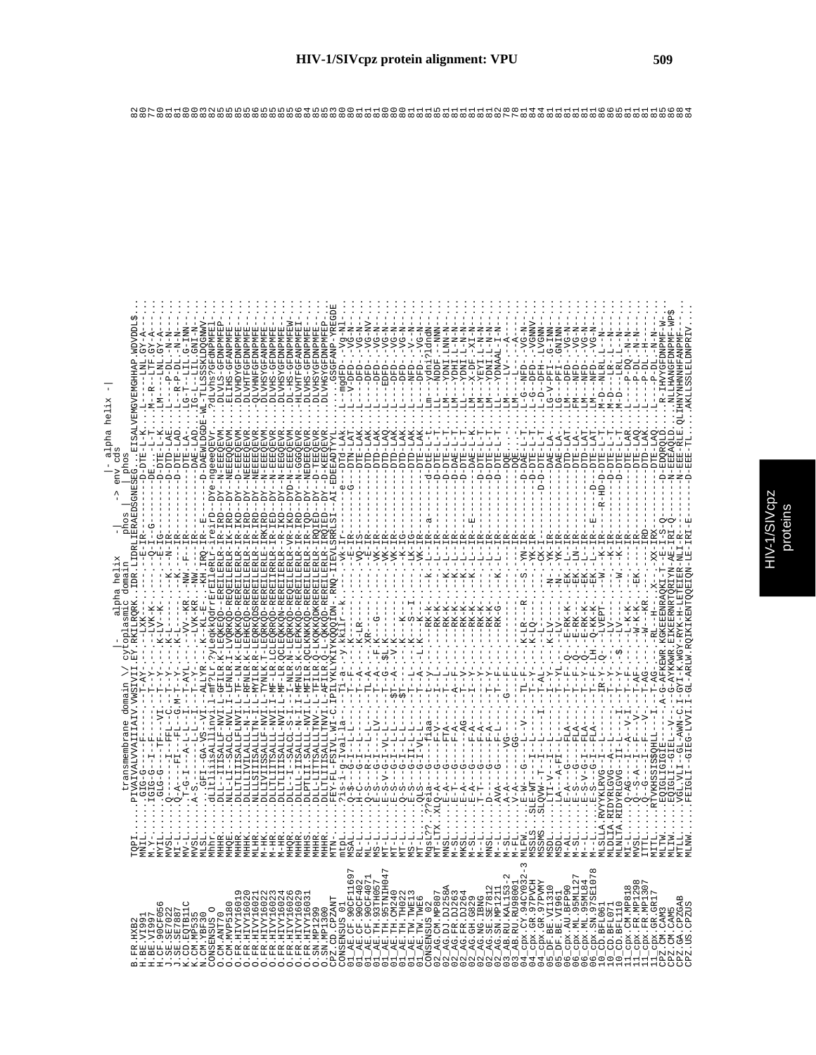| ω |
|---|
|   |
|   |
|   |
|   |
|   |

|               |                                                                                                                                                                                                                                                                                                                                                                                                     |                                                                                                                                                                  | oomnunnnonnnnotnnotn                                                                                                                                                                                                                                                                                                                                                                                                                                                                                  |                                                                   | 000,                                                                                                                                                                                                                                                                                                                                                                                                                                                                                      |                                                                                                                                                                                                                                                                                                                                                                                   | ⊣ လ ထ ထ<br>⊣₩                                                                                                                                                                                                                                                                                                                                                                                                                    | vο<br>৩                                                                                                                                                                                                                                    | $\infty$ 4                                                                                                                                                                                                                                                                                                                                                                                                                                                                                                                                                                                                               |
|---------------|-----------------------------------------------------------------------------------------------------------------------------------------------------------------------------------------------------------------------------------------------------------------------------------------------------------------------------------------------------------------------------------------------------|------------------------------------------------------------------------------------------------------------------------------------------------------------------|-------------------------------------------------------------------------------------------------------------------------------------------------------------------------------------------------------------------------------------------------------------------------------------------------------------------------------------------------------------------------------------------------------------------------------------------------------------------------------------------------------|-------------------------------------------------------------------|-------------------------------------------------------------------------------------------------------------------------------------------------------------------------------------------------------------------------------------------------------------------------------------------------------------------------------------------------------------------------------------------------------------------------------------------------------------------------------------------|-----------------------------------------------------------------------------------------------------------------------------------------------------------------------------------------------------------------------------------------------------------------------------------------------------------------------------------------------------------------------------------|----------------------------------------------------------------------------------------------------------------------------------------------------------------------------------------------------------------------------------------------------------------------------------------------------------------------------------------------------------------------------------------------------------------------------------|--------------------------------------------------------------------------------------------------------------------------------------------------------------------------------------------------------------------------------------------|--------------------------------------------------------------------------------------------------------------------------------------------------------------------------------------------------------------------------------------------------------------------------------------------------------------------------------------------------------------------------------------------------------------------------------------------------------------------------------------------------------------------------------------------------------------------------------------------------------------------------|
|               |                                                                                                                                                                                                                                                                                                                                                                                                     |                                                                                                                                                                  |                                                                                                                                                                                                                                                                                                                                                                                                                                                                                                       |                                                                   |                                                                                                                                                                                                                                                                                                                                                                                                                                                                                           |                                                                                                                                                                                                                                                                                                                                                                                   |                                                                                                                                                                                                                                                                                                                                                                                                                                  |                                                                                                                                                                                                                                            |                                                                                                                                                                                                                                                                                                                                                                                                                                                                                                                                                                                                                          |
| $\,$ $\,$     | LOCIVIDE, Q<br>$--LNL$ . GY-A<br>$A - X - LTT$ . GY-A<br>$\frac{1}{2}$<br>¤<br>∶                                                                                                                                                                                                                                                                                                                    | -WL-TLLSSSKLDQGNWV                                                                                                                                               |                                                                                                                                                                                                                                                                                                                                                                                                                                                                                                       |                                                                   | $\begin{split} \mathbf{1} & \cdots \\ \mathbf{1} & \cdots \\ \mathbf{1} & \cdots \\ \mathbf{1} & \cdots \\ \mathbf{1} & \cdots \\ \mathbf{1} & \cdots \\ \mathbf{1} & \cdots \\ \mathbf{1} & \cdots \\ \mathbf{1} & \cdots \\ \mathbf{1} & \cdots \\ \mathbf{1} & \cdots \\ \mathbf{1} & \cdots \\ \mathbf{1} & \cdots \\ \mathbf{1} & \cdots \\ \mathbf{1} & \cdots \\ \mathbf{1} & \cdots \\ \mathbf{1} & \cdots \\ \mathbf{1} & \cdots \\ \mathbf{1} & \cdots \\ \mathbf{1}$           | $\begin{array}{l} N\!\!\!&\!\!\!\!\!A\!\!\!&\!\!\!\!\!A\!\!\!&\!\!\!\!\!A\!\!\!&\!\!\!\!\!A\!\!\!&\!\!\!\!\!A\!\!\!&\!\!\!\!\!A\!\!\!&\!\!\!\!\!A\!\!\!&\!\!\!\!\!A\!\!\!&\!\!\!\!\!A\!\!\!&\!\!\!\!\!A\!\!\!&\!\!\!\!A\!\!\!&\!\!\!\!A\!\!\!&\!\!\!\!A\!\!\!&\!\!\!\!A\!\!\!&\!\!\!\!A\!\!\!&\!\!\!\!A\!\!\!&\!\!\!\!A\!\!\!&\!\!\!\!A\!\!\!$<br>I'INCK<br>I'IAHA<br>Ì           | ---- VENDAY<br>Ă<br>ž<br><b>N-97-1-D-1-0-1</b><br>$---LAXADMAAL-$<br>$-1/V-$ .<br>$L-G=-DFD-1--D--DFH-1--DFH-$<br>LG-V-PFI<br>Ï<br>$LM--$<br>$LM = -$                                                                                                                                                                                                                                                                            | -- 1703<br>-- 1704 -- 171 -- 1<br>-- 1704 -- 171 -- 1<br>-- 1705 -- 171 --<br>$-1$ $-1$<br>$N-SV-$ -<br>$\begin{array}{c} \cdot \text{LM--NFD--}\\ \cdot \text{M-D--NLRL} \end{array}$<br>$\ldots LM--DFD$<br>$- - - P$ F<br>$M-D--$<br>ĽG | WLLHANGFDNPMF-WPS<br><b>N-HNANDAL</b><br>77<br> <br> <br>$(L - N - N - N)$<br>$-1 - 1 - 2 - 2$<br>$-1 - 1 - 1 - 2$<br>$--P$ -DL. $-H$<br>$-LR$<br>$-LR$<br>$-LR$<br>$-10-4-7$<br>$-4-7$<br>$\ldots$ M-D--<br>$\frac{1}{2}$                                                                                                                                                                                                                                                                                                                                                                                               |
| - alpha helix | $\vdots$<br>$\begin{array}{ll} \vspace{0.2cm} \vspace{0.2cm} \vspace{0.2cm} \vspace{0.2cm} \vspace{0.2cm} \vspace{0.2cm} \vspace{0.2cm} \vspace{0.2cm} \vspace{0.2cm} \vspace{0.2cm} \vspace{0.2cm} \vspace{0.2cm} \vspace{0.2cm} \vspace{0.2cm} \vspace{0.2cm} \vspace{0.2cm} \vspace{0.2cm} \vspace{0.2cm} \vspace{0.2cm} \vspace{0.2cm} \vspace{0.2cm} \vspace{0.2cm} \vspace{0.2cm} \vspace{0.$ | --D-DAEWLDGDE                                                                                                                                                    |                                                                                                                                                                                                                                                                                                                                                                                                                                                                                                       |                                                                   |                                                                                                                                                                                                                                                                                                                                                                                                                                                                                           | $\begin{split} &\mathbf{1}_{\{1,2,3\}}\cdot \mathbf{1}_{\{1,2,4\}}\cdot \mathbf{1}_{\{1,2,4\}}\cdot \mathbf{1}_{\{1,2,4\}}\cdot \mathbf{1}_{\{1,2,4\}}\cdot \mathbf{1}_{\{1,2,4\}}\cdot \mathbf{1}_{\{1,2,4\}}\cdot \mathbf{1}_{\{1,2,4\}}\cdot \mathbf{1}_{\{1,2,4\}}\cdot \mathbf{1}_{\{1,2,4\}}\cdot \mathbf{1}_{\{1,2,4\}}\cdot \mathbf{1}_{\{1,2,4\}}\cdot \mathbf{1}_{\{1,$ | ï                                                                                                                                                                                                                                                                                                                                                                                                                                | $\frac{1}{1}$                                                                                                                                                                                                                              | $-DTE-LAQ$                                                                                                                                                                                                                                                                                                                                                                                                                                                                                                                                                                                                               |
|               | - alpha helix -  -> env cds<br>toplasmic domain - phos   phos<br>.RKILRQRKIDR.LIERLIERAEDSGNESEGEISALVENGVEMGHHA<br>$-IR$<br>$\frac{1}{2}$                                                                                                                                                                                                                                                          |                                                                                                                                                                  |                                                                                                                                                                                                                                                                                                                                                                                                                                                                                                       |                                                                   |                                                                                                                                                                                                                                                                                                                                                                                                                                                                                           |                                                                                                                                                                                                                                                                                                                                                                                   | T<br>$\mathbf{I}$<br>ļ.<br>Т<br>Ţ                                                                                                                                                                                                                                                                                                                                                                                                |                                                                                                                                                                                                                                            | $0 - 0$<br>$0 - 0$<br>$-IRD$<br>$-XX - - -X - 1$<br>$I - E - I$                                                                                                                                                                                                                                                                                                                                                                                                                                                                                                                                                          |
|               | à<br>н<br>Н<br>Version (<br>$-X - T - T -$                                                                                                                                                                                                                                                                                                                                                          |                                                                                                                                                                  | $\begin{split} \mathcal{L}_{\text{1}}&\left(\frac{1}{2},\frac{1}{2},\frac{1}{2},\frac{1}{2},\frac{1}{2},\frac{1}{2},\frac{1}{2},\frac{1}{2},\frac{1}{2},\frac{1}{2},\frac{1}{2},\frac{1}{2},\frac{1}{2},\frac{1}{2},\frac{1}{2},\frac{1}{2},\frac{1}{2},\frac{1}{2},\frac{1}{2},\frac{1}{2},\frac{1}{2},\frac{1}{2},\frac{1}{2},\frac{1}{2},\frac{1}{2},\frac{1}{2},\frac{1}{2},\frac{1}{2},\frac{1}{$                                                                                                |                                                                   |                                                                                                                                                                                                                                                                                                                                                                                                                                                                                           | $\begin{array}{l} \mathbf{-}-\mathbf{R}\mathbf{K}-\mathbf{K} \end{array}$<br>$\begin{array}{l} \mathbf{-}-\mathbf{R}\mathbf{K}-\mathbf{K} \end{array}$<br>$\frac{1}{4}$<br>÷.<br>责<br>$-1$                                                                                                                                                                                        | $ -K$ $-LR$ $ -R$<br>-1<br>$-1 - 1 - 1 - 1 - 1$<br>$-K-LQ$<br>iji.<br>D<br>ţ.<br>÷<br>555                                                                                                                                                                                                                                                                                                                                        |                                                                                                                                                                                                                                            | --T-AG-.----FL--H--.X--<br>A-G-AFKEWR.KGKEEENRAQKI-T<br>$\begin{array}{l} \mbox{~~\quad\quad} \begin{array}{l} \mbox{~~\quad} \begin{array}{l} \mbox{~~\quad} \begin{array}{l} \mbox{~~\quad} \begin{array}{l} \mbox{~~\quad} \begin{array}{l} \mbox{~~\quad} \begin{array}{l} \mbox{~~\quad} \begin{array}{l} \mbox{~~\quad} \begin{array}{l} \mbox{~~\quad} \begin{array}{l} \mbox{~~\quad} \begin{array}{l} \mbox{~~\quad} \begin{array}{l} \mbox{~~\quad} \begin{array}{l} \mbox{~~\quad} \begin{array}{l} \mbox{~~\quad} \begin{array}{l} \$<br>$\begin{aligned} &\vec{A}--\vec{A}--\vec{A}--\vec{A} \end{aligned}$ |
|               | transmembrane d<br>PIVAIVAIVVAIIIAIV<br>$\overline{v}$<br>$- -A - L - L - -$<br>$-1$ $-1$ $T$ $-1$<br>ł<br>中!<br>$-1 - 1 - -F$<br>п<br>$\frac{1}{1}$<br>Ĥ<br>L.<br>$-9 - 0101$<br>a<br>!<br>п<br>$-5$<br>J.<br>.GLG-<br>$\ldots$ $A-S$ .                                                                                                                                                            | $\begin{array}{l} \texttt{NLL--L-I}-\texttt{SALCL--NVI} \\ \texttt{DL.L.T.L.I.I.I.SALLFLMV} \end{array}$<br>GFI--GA-VS--V<br>dLltliisALllinv<br>DLL--IIISALLF-NV | $\begin{small} &\texttt{DDILLI} \texttt{YIT011} \texttt{A11} \texttt{-} \texttt{N} \texttt{-} \texttt{1} \texttt{1} \texttt{.} \\ \texttt{DDILITVIIS} \texttt{SRLID} \texttt{=} \texttt{WVI} \texttt{.} \\ \texttt{DDILITIS} \texttt{SRLID} \texttt{=} \texttt{WVI} \texttt{.} \\ \texttt{DDILI} \texttt{=} \texttt{SRLID} \texttt{=} \texttt{SMLID} \texttt{.} \\ \texttt{DDILI} \texttt{=} \texttt{SRLID} \texttt{=} \texttt{SML$                                                                   |                                                                   | $\begin{small} \begin{smallmatrix} . & . & . & . & . & . \\ . & . & . & . & . \\ . & . & . & . & . \\ . & . & . & . & . \\ . & . & . & . & . \\ . & . & . & . & . \\ . & . & . & . & . \\ . & . & . & . & . \\ . & . & . & . & . \\ . & . & . & . & . \\ . & . & . & . & . \\ . & . & . & . & . \\ . & . & . & . & . \\ . & . & . & . & . \\ . & . & . & . & . \\ . & . & . & . & . \\ . & . & . & . & . \\ . & . & . & . & . \\ . & . & . & . & . \\ . & . & . & . & . \\ . & . & . & .$ | 부                                                                                                                                                                                                                                                                                                                                                                                 | т<br>$\begin{array}{l} \textbf{M} \textbf{M} \textbf{S} \textbf{B} \textbf{B} \textbf{B} \textbf{B} \textbf{B} \textbf{B} \textbf{B} \textbf{B} \textbf{B} \textbf{B} \textbf{B} \textbf{B} \textbf{B} \textbf{B} \textbf{B} \textbf{B} \textbf{B} \textbf{B} \textbf{B} \textbf{B} \textbf{B} \textbf{B} \textbf{B} \textbf{B} \textbf{B} \textbf{B} \textbf{B} \textbf{B} \textbf{B} \textbf{B} \textbf{B} \textbf{B} \textbf$ | $FLA-$<br>$-FTLA-$<br>$--FTA$<br>$--FTLA$<br>$-1 -$<br>$-1 - 1 -$<br>$- -1 - - -1 - -$<br>Ŧ                                                                                                                                                | - RTVKHSSIS\$QHLL-<br>$-1BID - 1$<br>EQIGLIGIGIE<br>EQIGLI                                                                                                                                                                                                                                                                                                                                                                                                                                                                                                                                                               |
|               | $\vdots$<br>$\vdots$<br>ţ<br>$MVSL$ .<br>MNIL.<br>$MV-L$ .<br>$M.Y - .$<br>MYIL.<br>MVSL.<br><b>IdÕL</b><br>$MT-L$                                                                                                                                                                                                                                                                                  | W<br>İ<br>MLSL.<br>MLHR.<br>Mhhr<br>MHQE<br>MHHR<br>MHHK<br>MHHR                                                                                                 | $M-HK$ .<br>$M-HR$ .<br>MHHR.<br>$\begin{array}{l} \texttt{N}-\texttt{HR} \\ \texttt{MRQR} \\ \texttt{MHR} \\ \texttt{MHR} \\ \texttt{MHR} \\ \texttt{MHR} \\ \texttt{MHR} \\ \texttt{MHR} \\ \texttt{MHR} \\ \texttt{MHR} \\ \texttt{MHR} \\ \texttt{MHR} \\ \texttt{MHR} \\ \texttt{H} \\ \texttt{H} \\ \texttt{H} \\ \texttt{H} \\ \texttt{H} \\ \texttt{H} \\ \texttt{H} \\ \texttt{H} \\ \texttt{H} \\ \texttt{H} \\ \texttt{H} \\ \texttt{H} \\ \texttt{H} \\ \texttt{H} \\ \texttt{H}$<br>MHHR | ilili<br>$RL-L$<br>mtpL.<br>MSAL.<br>$MTN-$<br>$ML-L$<br>$MS - L$ | $\vdots$<br>$\vdots$<br>ς.<br>MT-L.<br>MgsL?:<br>$MT-L$<br>$-5 - 5$<br>$MT-L$<br>$MT-L$<br>Σ                                                                                                                                                                                                                                                                                                                                                                                              | MT-LTX                                                                                                                                                                                                                                                                                                                                                                            | 3                                                                                                                                                                                                                                                                                                                                                                                                                                | MSDL 1.A−−-A− FT−-<br>M−BL Б−8−−−-<br>M−EL Б−8−−−-<br>M−-L Б−8−−−0−−-<br>M−5LLA . RVYXKLRVG−−E−-<br>MLSLLA . RVYXKLRVG−−E−-<br>MLDLIA.RIDYRLGVG                                                                                            | $\frac{1}{2}$<br>ţ<br>$\frac{1}{2}$<br>$\vdots$<br>$TTL$<br>MITL<br>$\ddot{\cdot}$<br>MTLL.<br>MLTW.<br>MIIW<br>MLNW                                                                                                                                                                                                                                                                                                                                                                                                                                                                                                     |
|               | 3. FR. HXB2<br>1. BE. VI991<br>1. BE. VI997<br>血工工                                                                                                                                                                                                                                                                                                                                                  |                                                                                                                                                                  |                                                                                                                                                                                                                                                                                                                                                                                                                                                                                                       | $\overline{0}$<br>CONSENSUS                                       |                                                                                                                                                                                                                                                                                                                                                                                                                                                                                           |                                                                                                                                                                                                                                                                                                                                                                                   | $\begin{smallmatrix} 11.1687 \\ 01.1481 & 0007402 \\ 01.1481 & 0007402 \\ 01.1481 & 0007402 \\ 01.1481 & 0007402 \\ 01.1491 & 0007402 \\ 01.141 & 0007402 \\ 01.141 & 0007402 \\ 01.141 & 0007402 \\ 01.141 & 0007402 \\ 01.141 & 010074 \\ 01.141 & 010074 \\ 01.141 & 010074$                                                                                                                                                  |                                                                                                                                                                                                                                            | $\infty$ $\sim$<br>$\begin{array}{l} 111 \\ 111 \\ 111 \\ 111 \\ 122 \\ 111 \\ 122 \\ 112 \\ 123 \\ 11 \\ 124 \\ 125 \\ 125 \\ 130 \\ 14 \\ 14 \\ 125 \\ 14 \\ 130 \\ 14 \\ 14 \\ 15 \\ 16 \\ 17 \\ 18 \\ 17 \\ 19 \\ 10 \\ 10 \\ 11 \\ 12 \\ 13 \\ 14 \\ 15 \\ 16 \\ 18 \\ 19 \\ 10 \\ 10 \\ 11 \\ 12 \\ 13 \\ 14 \\ 14 \\ 15 \\ 16 \\ 17 \\ 18 \\ 19 \\ 1$<br>CPZ.GA.CPZGAB<br>CPZ.US.CPZUS<br>CPZ.CM.CAM3<br>CPZ.CM.CAM5                                                                                                                                                                                              |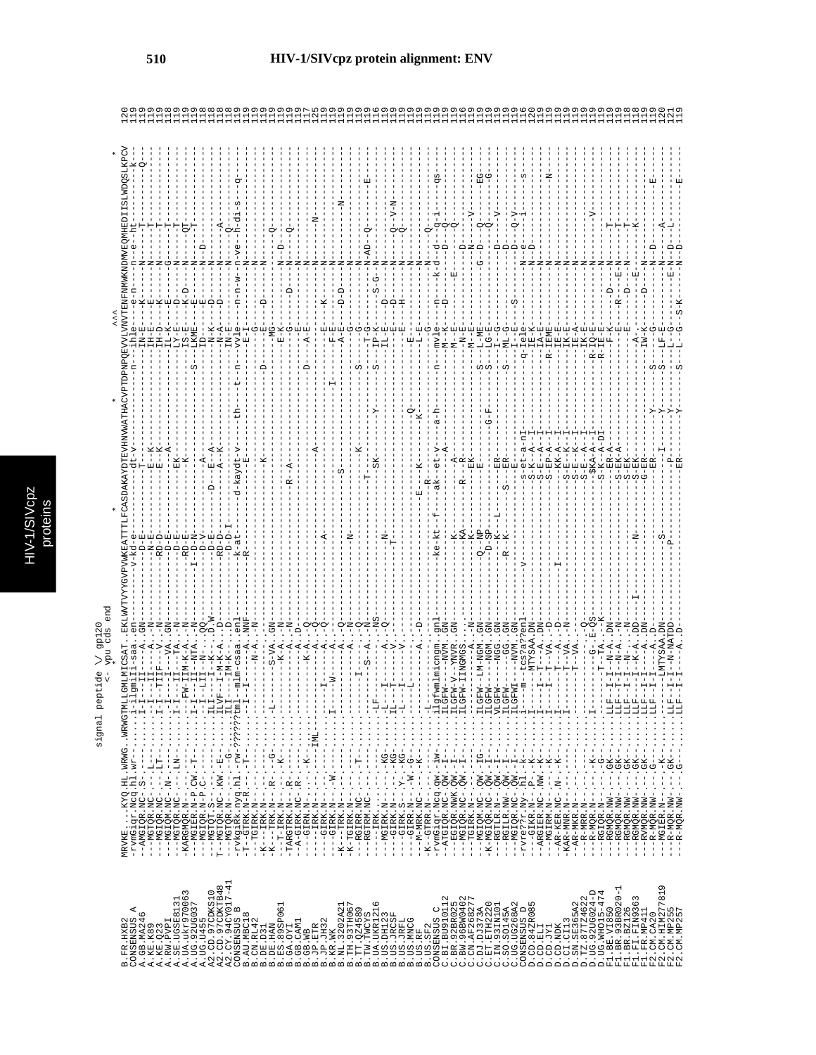signal peptide \/ gp120

| ರ<br>ᡃ<br>$\circ$<br>O<br>۹<br>۲<br>с<br>$M-U$<br>国<br>≏<br>ᄓ<br>LKME<br>İ<br>$\geq$<br>$\omega$<br>$R - I$<br>$R - I$<br>$R - I$<br>C)<br>U.<br>A<br> <br>d-kaydt-v<br>ך<br>ב<br>$-KK-$<br>$-SKA-$<br>$\frac{1}{9}$<br>- Ei<br>S –<br>ರ<br>囸<br>Φ<br>ローロ<br>$S - K$<br>면<br>면<br>-<br>ローロ<br>Ě<br>ပ္ပ်<br>m<br>¥<br>$\Box$<br>--NP<br>ke-kt<br>-RD-D<br>-D-E<br>H<br>H<br>H<br>H<br>P<br>면<br>다<br>B-GR.<br>ž-d-<br>ローロー<br>V-Q.<br>1-da<br>.<br>ا<br>$\Box$<br>O<br>O<br>- CS33<br>fwmlmicnqm<br><b>LINGMGS</b><br>$-1$ $-1$<br>m<br>Tm<br>$-1$<br>$\frac{1}{2}$<br>$\begin{array}{lll} & -\text{-}\texttt{MGTQR} & \texttt{N}^-\texttt{~~} & \texttt{``-} & \texttt{``-} & \texttt{``-} & \texttt{``-} & \texttt{``-} & \texttt{``-} \\ \texttt{-}\texttt{r} & \texttt{r} & \texttt{r} & \texttt{r} & \texttt{r} & \texttt{r} & \texttt{``-} & \texttt{``-} & \texttt{``-} & \texttt{``-} & \texttt{``-} \\ \texttt{-}\texttt{r} & \texttt{r} & \texttt{r} & \texttt{r} & \texttt{r} & \texttt{r} & \texttt$<br>$\frac{1}{2}$<br>FI-<br>Ė<br>i.<br>Ė<br>ŧ<br>Ť<br>무금급<br>업법  <br>HH  <br><b>HH</b><br>ŧ<br>Ť<br>$\frac{1}{2}$<br>i.<br>흒<br>$\frac{1}{2}$<br>ł<br>$\frac{1}{2}$<br>閈<br>閈<br>ELL.<br>ELI.<br>İ,<br>閈<br>Ę<br>$\frac{1}{1}$<br>ŧ<br>$\frac{1}{1}$<br>$\frac{1}{1}$<br>$\frac{1}{4}$<br>$\frac{1}{1}$<br>$\frac{1}{1}$<br>ł<br>Ë.<br>$\vdots$<br>$\vdots$<br>$\vdots$<br>$\cdot$<br>$\cdot$<br>TMI-----<br>$\frac{1}{1}$<br>$\ddot{\cdot}$<br>$\cdot$<br>$\ddot{\cdot}$<br>$\vdots$<br>$\ddot{\cdot}$<br>$\bar{\rm I}$<br>$\begin{array}{l} -{\rm K}--{\rm TRK}\cdot {\rm N}--{\rm -}-{\rm -}---\\ -{\rm K}--{\rm TPK}\cdot {\rm N}--{\rm R}-{\rm -}-{\rm C}- \end{array}$<br>$- -K - -$<br>$\frac{1}{2}$<br>$- - KG -$<br>$\begin{array}{l} -1 - \text{NGL} (201,102 - 201, -126 - 121) \\ -1 - \text{NGL} (202,102 - 201, -124 - 121) \\ -1 - \text{RGL} (203,102 - 201, -124 - 121) \\ -1 - \text{NGL} (203,102 - 201, -124 - 121) \\ -1 - \text{NGL} (203,102 - 201, -124 - 121) \\ -1 - \text{NGL} (203,102 - 201, -124 - 121) \\ -1 - \text{AGL}$<br>$\frac{1}{1}$<br>$-$ -K $-$<br>-rymGiqr.Ncq.gw.-iw-<br>--ATGIQR.NC-.QW.T-I-<br>$-3 - 5 - 7$<br>$-38 -$<br>$-K--$<br>$- -X - -$<br>$-$ . GK $-$<br>$-$ . GK $-$<br>$-0.05 -$<br>$G - - -$<br>İ<br>j<br>$-$ - AR - KER . NC - . N - . - K -<br>$-35 -$<br>$\frac{1}{1}$<br>Ť<br>J<br>$\overline{\phantom{a}}$<br>$-TARGTERK . N-- R-. -$<br>J,<br>ļ.<br>$-$ – $-$ – $\Gamma$ – $-$ M – $-$ – $-$ –<br>$\frac{1}{2}$<br>$---GIRK$ . $N---$<br>$\frac{1}{1}$<br>ı<br>i<br>1<br>$\frac{1}{1}$<br>٠.<br>Ť<br>ĵ<br>$\begin{array}{l} -\text{KAR}-\text{MNR}\cdot\text{N}-\\ -\text{AR}-\text{MKR}\cdot\text{N}-\\ \end{array}$<br>$--MGIRM \cdot N-$<br>$--GIRK.N$<br>$----TRK. N$<br>$-K-TGIRK$ . $\it N$<br>I<br>$\mathbf{I}$ | <b>NST</b><br>WRWGTMI | EKLWVTVYYGVPVWKEAT7 | "TLECASDAKAYDTEYHINVMATHACVFTDPNFQVNVTYVNYTRNFNMVMKNDMVDDITESLWDQSLKPC |  |  |
|------------------------------------------------------------------------------------------------------------------------------------------------------------------------------------------------------------------------------------------------------------------------------------------------------------------------------------------------------------------------------------------------------------------------------------------------------------------------------------------------------------------------------------------------------------------------------------------------------------------------------------------------------------------------------------------------------------------------------------------------------------------------------------------------------------------------------------------------------------------------------------------------------------------------------------------------------------------------------------------------------------------------------------------------------------------------------------------------------------------------------------------------------------------------------------------------------------------------------------------------------------------------------------------------------------------------------------------------------------------------------------------------------------------------------------------------------------------------------------------------------------------------------------------------------------------------------------------------------------------------------------------------------------------------------------------------------------------------------------------------------------------------------------------------------------------------------------------------------------------------------------------------------------------------------------------------------------------------------------------------------------------------------------------------------------------------------------------------------------------------------------------------------------------------------------------------------------------------------------------------------------------------------------------------------------------------------------------------------------------------------------------------------------------------------------------------------------------------------------------------------------------------------------------------------------------------------------------------------------------------------------------------------------------------------------------------------------------------------------------------------------------------------------------------------|-----------------------|---------------------|------------------------------------------------------------------------|--|--|
|                                                                                                                                                                                                                                                                                                                                                                                                                                                                                                                                                                                                                                                                                                                                                                                                                                                                                                                                                                                                                                                                                                                                                                                                                                                                                                                                                                                                                                                                                                                                                                                                                                                                                                                                                                                                                                                                                                                                                                                                                                                                                                                                                                                                                                                                                                                                                                                                                                                                                                                                                                                                                                                                                                                                                                                                      |                       |                     |                                                                        |  |  |
|                                                                                                                                                                                                                                                                                                                                                                                                                                                                                                                                                                                                                                                                                                                                                                                                                                                                                                                                                                                                                                                                                                                                                                                                                                                                                                                                                                                                                                                                                                                                                                                                                                                                                                                                                                                                                                                                                                                                                                                                                                                                                                                                                                                                                                                                                                                                                                                                                                                                                                                                                                                                                                                                                                                                                                                                      |                       |                     |                                                                        |  |  |
|                                                                                                                                                                                                                                                                                                                                                                                                                                                                                                                                                                                                                                                                                                                                                                                                                                                                                                                                                                                                                                                                                                                                                                                                                                                                                                                                                                                                                                                                                                                                                                                                                                                                                                                                                                                                                                                                                                                                                                                                                                                                                                                                                                                                                                                                                                                                                                                                                                                                                                                                                                                                                                                                                                                                                                                                      |                       |                     |                                                                        |  |  |
|                                                                                                                                                                                                                                                                                                                                                                                                                                                                                                                                                                                                                                                                                                                                                                                                                                                                                                                                                                                                                                                                                                                                                                                                                                                                                                                                                                                                                                                                                                                                                                                                                                                                                                                                                                                                                                                                                                                                                                                                                                                                                                                                                                                                                                                                                                                                                                                                                                                                                                                                                                                                                                                                                                                                                                                                      |                       |                     |                                                                        |  |  |
|                                                                                                                                                                                                                                                                                                                                                                                                                                                                                                                                                                                                                                                                                                                                                                                                                                                                                                                                                                                                                                                                                                                                                                                                                                                                                                                                                                                                                                                                                                                                                                                                                                                                                                                                                                                                                                                                                                                                                                                                                                                                                                                                                                                                                                                                                                                                                                                                                                                                                                                                                                                                                                                                                                                                                                                                      |                       |                     |                                                                        |  |  |
|                                                                                                                                                                                                                                                                                                                                                                                                                                                                                                                                                                                                                                                                                                                                                                                                                                                                                                                                                                                                                                                                                                                                                                                                                                                                                                                                                                                                                                                                                                                                                                                                                                                                                                                                                                                                                                                                                                                                                                                                                                                                                                                                                                                                                                                                                                                                                                                                                                                                                                                                                                                                                                                                                                                                                                                                      |                       |                     |                                                                        |  |  |
|                                                                                                                                                                                                                                                                                                                                                                                                                                                                                                                                                                                                                                                                                                                                                                                                                                                                                                                                                                                                                                                                                                                                                                                                                                                                                                                                                                                                                                                                                                                                                                                                                                                                                                                                                                                                                                                                                                                                                                                                                                                                                                                                                                                                                                                                                                                                                                                                                                                                                                                                                                                                                                                                                                                                                                                                      |                       |                     |                                                                        |  |  |
|                                                                                                                                                                                                                                                                                                                                                                                                                                                                                                                                                                                                                                                                                                                                                                                                                                                                                                                                                                                                                                                                                                                                                                                                                                                                                                                                                                                                                                                                                                                                                                                                                                                                                                                                                                                                                                                                                                                                                                                                                                                                                                                                                                                                                                                                                                                                                                                                                                                                                                                                                                                                                                                                                                                                                                                                      |                       |                     |                                                                        |  |  |
|                                                                                                                                                                                                                                                                                                                                                                                                                                                                                                                                                                                                                                                                                                                                                                                                                                                                                                                                                                                                                                                                                                                                                                                                                                                                                                                                                                                                                                                                                                                                                                                                                                                                                                                                                                                                                                                                                                                                                                                                                                                                                                                                                                                                                                                                                                                                                                                                                                                                                                                                                                                                                                                                                                                                                                                                      |                       |                     |                                                                        |  |  |
|                                                                                                                                                                                                                                                                                                                                                                                                                                                                                                                                                                                                                                                                                                                                                                                                                                                                                                                                                                                                                                                                                                                                                                                                                                                                                                                                                                                                                                                                                                                                                                                                                                                                                                                                                                                                                                                                                                                                                                                                                                                                                                                                                                                                                                                                                                                                                                                                                                                                                                                                                                                                                                                                                                                                                                                                      |                       |                     |                                                                        |  |  |
|                                                                                                                                                                                                                                                                                                                                                                                                                                                                                                                                                                                                                                                                                                                                                                                                                                                                                                                                                                                                                                                                                                                                                                                                                                                                                                                                                                                                                                                                                                                                                                                                                                                                                                                                                                                                                                                                                                                                                                                                                                                                                                                                                                                                                                                                                                                                                                                                                                                                                                                                                                                                                                                                                                                                                                                                      |                       |                     |                                                                        |  |  |
|                                                                                                                                                                                                                                                                                                                                                                                                                                                                                                                                                                                                                                                                                                                                                                                                                                                                                                                                                                                                                                                                                                                                                                                                                                                                                                                                                                                                                                                                                                                                                                                                                                                                                                                                                                                                                                                                                                                                                                                                                                                                                                                                                                                                                                                                                                                                                                                                                                                                                                                                                                                                                                                                                                                                                                                                      |                       |                     |                                                                        |  |  |
|                                                                                                                                                                                                                                                                                                                                                                                                                                                                                                                                                                                                                                                                                                                                                                                                                                                                                                                                                                                                                                                                                                                                                                                                                                                                                                                                                                                                                                                                                                                                                                                                                                                                                                                                                                                                                                                                                                                                                                                                                                                                                                                                                                                                                                                                                                                                                                                                                                                                                                                                                                                                                                                                                                                                                                                                      |                       |                     |                                                                        |  |  |
|                                                                                                                                                                                                                                                                                                                                                                                                                                                                                                                                                                                                                                                                                                                                                                                                                                                                                                                                                                                                                                                                                                                                                                                                                                                                                                                                                                                                                                                                                                                                                                                                                                                                                                                                                                                                                                                                                                                                                                                                                                                                                                                                                                                                                                                                                                                                                                                                                                                                                                                                                                                                                                                                                                                                                                                                      |                       |                     |                                                                        |  |  |
|                                                                                                                                                                                                                                                                                                                                                                                                                                                                                                                                                                                                                                                                                                                                                                                                                                                                                                                                                                                                                                                                                                                                                                                                                                                                                                                                                                                                                                                                                                                                                                                                                                                                                                                                                                                                                                                                                                                                                                                                                                                                                                                                                                                                                                                                                                                                                                                                                                                                                                                                                                                                                                                                                                                                                                                                      |                       |                     |                                                                        |  |  |
|                                                                                                                                                                                                                                                                                                                                                                                                                                                                                                                                                                                                                                                                                                                                                                                                                                                                                                                                                                                                                                                                                                                                                                                                                                                                                                                                                                                                                                                                                                                                                                                                                                                                                                                                                                                                                                                                                                                                                                                                                                                                                                                                                                                                                                                                                                                                                                                                                                                                                                                                                                                                                                                                                                                                                                                                      |                       |                     |                                                                        |  |  |
|                                                                                                                                                                                                                                                                                                                                                                                                                                                                                                                                                                                                                                                                                                                                                                                                                                                                                                                                                                                                                                                                                                                                                                                                                                                                                                                                                                                                                                                                                                                                                                                                                                                                                                                                                                                                                                                                                                                                                                                                                                                                                                                                                                                                                                                                                                                                                                                                                                                                                                                                                                                                                                                                                                                                                                                                      |                       |                     |                                                                        |  |  |
|                                                                                                                                                                                                                                                                                                                                                                                                                                                                                                                                                                                                                                                                                                                                                                                                                                                                                                                                                                                                                                                                                                                                                                                                                                                                                                                                                                                                                                                                                                                                                                                                                                                                                                                                                                                                                                                                                                                                                                                                                                                                                                                                                                                                                                                                                                                                                                                                                                                                                                                                                                                                                                                                                                                                                                                                      |                       |                     |                                                                        |  |  |
|                                                                                                                                                                                                                                                                                                                                                                                                                                                                                                                                                                                                                                                                                                                                                                                                                                                                                                                                                                                                                                                                                                                                                                                                                                                                                                                                                                                                                                                                                                                                                                                                                                                                                                                                                                                                                                                                                                                                                                                                                                                                                                                                                                                                                                                                                                                                                                                                                                                                                                                                                                                                                                                                                                                                                                                                      |                       |                     |                                                                        |  |  |
|                                                                                                                                                                                                                                                                                                                                                                                                                                                                                                                                                                                                                                                                                                                                                                                                                                                                                                                                                                                                                                                                                                                                                                                                                                                                                                                                                                                                                                                                                                                                                                                                                                                                                                                                                                                                                                                                                                                                                                                                                                                                                                                                                                                                                                                                                                                                                                                                                                                                                                                                                                                                                                                                                                                                                                                                      |                       |                     |                                                                        |  |  |
|                                                                                                                                                                                                                                                                                                                                                                                                                                                                                                                                                                                                                                                                                                                                                                                                                                                                                                                                                                                                                                                                                                                                                                                                                                                                                                                                                                                                                                                                                                                                                                                                                                                                                                                                                                                                                                                                                                                                                                                                                                                                                                                                                                                                                                                                                                                                                                                                                                                                                                                                                                                                                                                                                                                                                                                                      |                       |                     |                                                                        |  |  |
|                                                                                                                                                                                                                                                                                                                                                                                                                                                                                                                                                                                                                                                                                                                                                                                                                                                                                                                                                                                                                                                                                                                                                                                                                                                                                                                                                                                                                                                                                                                                                                                                                                                                                                                                                                                                                                                                                                                                                                                                                                                                                                                                                                                                                                                                                                                                                                                                                                                                                                                                                                                                                                                                                                                                                                                                      |                       |                     |                                                                        |  |  |
|                                                                                                                                                                                                                                                                                                                                                                                                                                                                                                                                                                                                                                                                                                                                                                                                                                                                                                                                                                                                                                                                                                                                                                                                                                                                                                                                                                                                                                                                                                                                                                                                                                                                                                                                                                                                                                                                                                                                                                                                                                                                                                                                                                                                                                                                                                                                                                                                                                                                                                                                                                                                                                                                                                                                                                                                      |                       |                     |                                                                        |  |  |
|                                                                                                                                                                                                                                                                                                                                                                                                                                                                                                                                                                                                                                                                                                                                                                                                                                                                                                                                                                                                                                                                                                                                                                                                                                                                                                                                                                                                                                                                                                                                                                                                                                                                                                                                                                                                                                                                                                                                                                                                                                                                                                                                                                                                                                                                                                                                                                                                                                                                                                                                                                                                                                                                                                                                                                                                      |                       |                     |                                                                        |  |  |
|                                                                                                                                                                                                                                                                                                                                                                                                                                                                                                                                                                                                                                                                                                                                                                                                                                                                                                                                                                                                                                                                                                                                                                                                                                                                                                                                                                                                                                                                                                                                                                                                                                                                                                                                                                                                                                                                                                                                                                                                                                                                                                                                                                                                                                                                                                                                                                                                                                                                                                                                                                                                                                                                                                                                                                                                      |                       |                     |                                                                        |  |  |
|                                                                                                                                                                                                                                                                                                                                                                                                                                                                                                                                                                                                                                                                                                                                                                                                                                                                                                                                                                                                                                                                                                                                                                                                                                                                                                                                                                                                                                                                                                                                                                                                                                                                                                                                                                                                                                                                                                                                                                                                                                                                                                                                                                                                                                                                                                                                                                                                                                                                                                                                                                                                                                                                                                                                                                                                      |                       |                     |                                                                        |  |  |
|                                                                                                                                                                                                                                                                                                                                                                                                                                                                                                                                                                                                                                                                                                                                                                                                                                                                                                                                                                                                                                                                                                                                                                                                                                                                                                                                                                                                                                                                                                                                                                                                                                                                                                                                                                                                                                                                                                                                                                                                                                                                                                                                                                                                                                                                                                                                                                                                                                                                                                                                                                                                                                                                                                                                                                                                      |                       |                     |                                                                        |  |  |
|                                                                                                                                                                                                                                                                                                                                                                                                                                                                                                                                                                                                                                                                                                                                                                                                                                                                                                                                                                                                                                                                                                                                                                                                                                                                                                                                                                                                                                                                                                                                                                                                                                                                                                                                                                                                                                                                                                                                                                                                                                                                                                                                                                                                                                                                                                                                                                                                                                                                                                                                                                                                                                                                                                                                                                                                      |                       |                     |                                                                        |  |  |
|                                                                                                                                                                                                                                                                                                                                                                                                                                                                                                                                                                                                                                                                                                                                                                                                                                                                                                                                                                                                                                                                                                                                                                                                                                                                                                                                                                                                                                                                                                                                                                                                                                                                                                                                                                                                                                                                                                                                                                                                                                                                                                                                                                                                                                                                                                                                                                                                                                                                                                                                                                                                                                                                                                                                                                                                      |                       |                     |                                                                        |  |  |
|                                                                                                                                                                                                                                                                                                                                                                                                                                                                                                                                                                                                                                                                                                                                                                                                                                                                                                                                                                                                                                                                                                                                                                                                                                                                                                                                                                                                                                                                                                                                                                                                                                                                                                                                                                                                                                                                                                                                                                                                                                                                                                                                                                                                                                                                                                                                                                                                                                                                                                                                                                                                                                                                                                                                                                                                      |                       |                     |                                                                        |  |  |
|                                                                                                                                                                                                                                                                                                                                                                                                                                                                                                                                                                                                                                                                                                                                                                                                                                                                                                                                                                                                                                                                                                                                                                                                                                                                                                                                                                                                                                                                                                                                                                                                                                                                                                                                                                                                                                                                                                                                                                                                                                                                                                                                                                                                                                                                                                                                                                                                                                                                                                                                                                                                                                                                                                                                                                                                      |                       |                     |                                                                        |  |  |
|                                                                                                                                                                                                                                                                                                                                                                                                                                                                                                                                                                                                                                                                                                                                                                                                                                                                                                                                                                                                                                                                                                                                                                                                                                                                                                                                                                                                                                                                                                                                                                                                                                                                                                                                                                                                                                                                                                                                                                                                                                                                                                                                                                                                                                                                                                                                                                                                                                                                                                                                                                                                                                                                                                                                                                                                      |                       |                     |                                                                        |  |  |
|                                                                                                                                                                                                                                                                                                                                                                                                                                                                                                                                                                                                                                                                                                                                                                                                                                                                                                                                                                                                                                                                                                                                                                                                                                                                                                                                                                                                                                                                                                                                                                                                                                                                                                                                                                                                                                                                                                                                                                                                                                                                                                                                                                                                                                                                                                                                                                                                                                                                                                                                                                                                                                                                                                                                                                                                      |                       |                     |                                                                        |  |  |
|                                                                                                                                                                                                                                                                                                                                                                                                                                                                                                                                                                                                                                                                                                                                                                                                                                                                                                                                                                                                                                                                                                                                                                                                                                                                                                                                                                                                                                                                                                                                                                                                                                                                                                                                                                                                                                                                                                                                                                                                                                                                                                                                                                                                                                                                                                                                                                                                                                                                                                                                                                                                                                                                                                                                                                                                      |                       |                     |                                                                        |  |  |
|                                                                                                                                                                                                                                                                                                                                                                                                                                                                                                                                                                                                                                                                                                                                                                                                                                                                                                                                                                                                                                                                                                                                                                                                                                                                                                                                                                                                                                                                                                                                                                                                                                                                                                                                                                                                                                                                                                                                                                                                                                                                                                                                                                                                                                                                                                                                                                                                                                                                                                                                                                                                                                                                                                                                                                                                      |                       |                     |                                                                        |  |  |
|                                                                                                                                                                                                                                                                                                                                                                                                                                                                                                                                                                                                                                                                                                                                                                                                                                                                                                                                                                                                                                                                                                                                                                                                                                                                                                                                                                                                                                                                                                                                                                                                                                                                                                                                                                                                                                                                                                                                                                                                                                                                                                                                                                                                                                                                                                                                                                                                                                                                                                                                                                                                                                                                                                                                                                                                      |                       |                     |                                                                        |  |  |
|                                                                                                                                                                                                                                                                                                                                                                                                                                                                                                                                                                                                                                                                                                                                                                                                                                                                                                                                                                                                                                                                                                                                                                                                                                                                                                                                                                                                                                                                                                                                                                                                                                                                                                                                                                                                                                                                                                                                                                                                                                                                                                                                                                                                                                                                                                                                                                                                                                                                                                                                                                                                                                                                                                                                                                                                      |                       |                     |                                                                        |  |  |
|                                                                                                                                                                                                                                                                                                                                                                                                                                                                                                                                                                                                                                                                                                                                                                                                                                                                                                                                                                                                                                                                                                                                                                                                                                                                                                                                                                                                                                                                                                                                                                                                                                                                                                                                                                                                                                                                                                                                                                                                                                                                                                                                                                                                                                                                                                                                                                                                                                                                                                                                                                                                                                                                                                                                                                                                      |                       |                     |                                                                        |  |  |
|                                                                                                                                                                                                                                                                                                                                                                                                                                                                                                                                                                                                                                                                                                                                                                                                                                                                                                                                                                                                                                                                                                                                                                                                                                                                                                                                                                                                                                                                                                                                                                                                                                                                                                                                                                                                                                                                                                                                                                                                                                                                                                                                                                                                                                                                                                                                                                                                                                                                                                                                                                                                                                                                                                                                                                                                      |                       |                     |                                                                        |  |  |
|                                                                                                                                                                                                                                                                                                                                                                                                                                                                                                                                                                                                                                                                                                                                                                                                                                                                                                                                                                                                                                                                                                                                                                                                                                                                                                                                                                                                                                                                                                                                                                                                                                                                                                                                                                                                                                                                                                                                                                                                                                                                                                                                                                                                                                                                                                                                                                                                                                                                                                                                                                                                                                                                                                                                                                                                      |                       |                     |                                                                        |  |  |
|                                                                                                                                                                                                                                                                                                                                                                                                                                                                                                                                                                                                                                                                                                                                                                                                                                                                                                                                                                                                                                                                                                                                                                                                                                                                                                                                                                                                                                                                                                                                                                                                                                                                                                                                                                                                                                                                                                                                                                                                                                                                                                                                                                                                                                                                                                                                                                                                                                                                                                                                                                                                                                                                                                                                                                                                      |                       |                     |                                                                        |  |  |
|                                                                                                                                                                                                                                                                                                                                                                                                                                                                                                                                                                                                                                                                                                                                                                                                                                                                                                                                                                                                                                                                                                                                                                                                                                                                                                                                                                                                                                                                                                                                                                                                                                                                                                                                                                                                                                                                                                                                                                                                                                                                                                                                                                                                                                                                                                                                                                                                                                                                                                                                                                                                                                                                                                                                                                                                      |                       |                     |                                                                        |  |  |
|                                                                                                                                                                                                                                                                                                                                                                                                                                                                                                                                                                                                                                                                                                                                                                                                                                                                                                                                                                                                                                                                                                                                                                                                                                                                                                                                                                                                                                                                                                                                                                                                                                                                                                                                                                                                                                                                                                                                                                                                                                                                                                                                                                                                                                                                                                                                                                                                                                                                                                                                                                                                                                                                                                                                                                                                      |                       |                     |                                                                        |  |  |
|                                                                                                                                                                                                                                                                                                                                                                                                                                                                                                                                                                                                                                                                                                                                                                                                                                                                                                                                                                                                                                                                                                                                                                                                                                                                                                                                                                                                                                                                                                                                                                                                                                                                                                                                                                                                                                                                                                                                                                                                                                                                                                                                                                                                                                                                                                                                                                                                                                                                                                                                                                                                                                                                                                                                                                                                      |                       |                     |                                                                        |  |  |
|                                                                                                                                                                                                                                                                                                                                                                                                                                                                                                                                                                                                                                                                                                                                                                                                                                                                                                                                                                                                                                                                                                                                                                                                                                                                                                                                                                                                                                                                                                                                                                                                                                                                                                                                                                                                                                                                                                                                                                                                                                                                                                                                                                                                                                                                                                                                                                                                                                                                                                                                                                                                                                                                                                                                                                                                      |                       |                     |                                                                        |  |  |
|                                                                                                                                                                                                                                                                                                                                                                                                                                                                                                                                                                                                                                                                                                                                                                                                                                                                                                                                                                                                                                                                                                                                                                                                                                                                                                                                                                                                                                                                                                                                                                                                                                                                                                                                                                                                                                                                                                                                                                                                                                                                                                                                                                                                                                                                                                                                                                                                                                                                                                                                                                                                                                                                                                                                                                                                      |                       |                     |                                                                        |  |  |
|                                                                                                                                                                                                                                                                                                                                                                                                                                                                                                                                                                                                                                                                                                                                                                                                                                                                                                                                                                                                                                                                                                                                                                                                                                                                                                                                                                                                                                                                                                                                                                                                                                                                                                                                                                                                                                                                                                                                                                                                                                                                                                                                                                                                                                                                                                                                                                                                                                                                                                                                                                                                                                                                                                                                                                                                      |                       |                     |                                                                        |  |  |
|                                                                                                                                                                                                                                                                                                                                                                                                                                                                                                                                                                                                                                                                                                                                                                                                                                                                                                                                                                                                                                                                                                                                                                                                                                                                                                                                                                                                                                                                                                                                                                                                                                                                                                                                                                                                                                                                                                                                                                                                                                                                                                                                                                                                                                                                                                                                                                                                                                                                                                                                                                                                                                                                                                                                                                                                      |                       |                     |                                                                        |  |  |
|                                                                                                                                                                                                                                                                                                                                                                                                                                                                                                                                                                                                                                                                                                                                                                                                                                                                                                                                                                                                                                                                                                                                                                                                                                                                                                                                                                                                                                                                                                                                                                                                                                                                                                                                                                                                                                                                                                                                                                                                                                                                                                                                                                                                                                                                                                                                                                                                                                                                                                                                                                                                                                                                                                                                                                                                      |                       |                     |                                                                        |  |  |
|                                                                                                                                                                                                                                                                                                                                                                                                                                                                                                                                                                                                                                                                                                                                                                                                                                                                                                                                                                                                                                                                                                                                                                                                                                                                                                                                                                                                                                                                                                                                                                                                                                                                                                                                                                                                                                                                                                                                                                                                                                                                                                                                                                                                                                                                                                                                                                                                                                                                                                                                                                                                                                                                                                                                                                                                      |                       |                     |                                                                        |  |  |
|                                                                                                                                                                                                                                                                                                                                                                                                                                                                                                                                                                                                                                                                                                                                                                                                                                                                                                                                                                                                                                                                                                                                                                                                                                                                                                                                                                                                                                                                                                                                                                                                                                                                                                                                                                                                                                                                                                                                                                                                                                                                                                                                                                                                                                                                                                                                                                                                                                                                                                                                                                                                                                                                                                                                                                                                      |                       |                     |                                                                        |  |  |
|                                                                                                                                                                                                                                                                                                                                                                                                                                                                                                                                                                                                                                                                                                                                                                                                                                                                                                                                                                                                                                                                                                                                                                                                                                                                                                                                                                                                                                                                                                                                                                                                                                                                                                                                                                                                                                                                                                                                                                                                                                                                                                                                                                                                                                                                                                                                                                                                                                                                                                                                                                                                                                                                                                                                                                                                      |                       |                     |                                                                        |  |  |
|                                                                                                                                                                                                                                                                                                                                                                                                                                                                                                                                                                                                                                                                                                                                                                                                                                                                                                                                                                                                                                                                                                                                                                                                                                                                                                                                                                                                                                                                                                                                                                                                                                                                                                                                                                                                                                                                                                                                                                                                                                                                                                                                                                                                                                                                                                                                                                                                                                                                                                                                                                                                                                                                                                                                                                                                      |                       |                     |                                                                        |  |  |
|                                                                                                                                                                                                                                                                                                                                                                                                                                                                                                                                                                                                                                                                                                                                                                                                                                                                                                                                                                                                                                                                                                                                                                                                                                                                                                                                                                                                                                                                                                                                                                                                                                                                                                                                                                                                                                                                                                                                                                                                                                                                                                                                                                                                                                                                                                                                                                                                                                                                                                                                                                                                                                                                                                                                                                                                      |                       |                     |                                                                        |  |  |
|                                                                                                                                                                                                                                                                                                                                                                                                                                                                                                                                                                                                                                                                                                                                                                                                                                                                                                                                                                                                                                                                                                                                                                                                                                                                                                                                                                                                                                                                                                                                                                                                                                                                                                                                                                                                                                                                                                                                                                                                                                                                                                                                                                                                                                                                                                                                                                                                                                                                                                                                                                                                                                                                                                                                                                                                      |                       |                     |                                                                        |  |  |
|                                                                                                                                                                                                                                                                                                                                                                                                                                                                                                                                                                                                                                                                                                                                                                                                                                                                                                                                                                                                                                                                                                                                                                                                                                                                                                                                                                                                                                                                                                                                                                                                                                                                                                                                                                                                                                                                                                                                                                                                                                                                                                                                                                                                                                                                                                                                                                                                                                                                                                                                                                                                                                                                                                                                                                                                      |                       |                     |                                                                        |  |  |
|                                                                                                                                                                                                                                                                                                                                                                                                                                                                                                                                                                                                                                                                                                                                                                                                                                                                                                                                                                                                                                                                                                                                                                                                                                                                                                                                                                                                                                                                                                                                                                                                                                                                                                                                                                                                                                                                                                                                                                                                                                                                                                                                                                                                                                                                                                                                                                                                                                                                                                                                                                                                                                                                                                                                                                                                      |                       |                     |                                                                        |  |  |
|                                                                                                                                                                                                                                                                                                                                                                                                                                                                                                                                                                                                                                                                                                                                                                                                                                                                                                                                                                                                                                                                                                                                                                                                                                                                                                                                                                                                                                                                                                                                                                                                                                                                                                                                                                                                                                                                                                                                                                                                                                                                                                                                                                                                                                                                                                                                                                                                                                                                                                                                                                                                                                                                                                                                                                                                      |                       |                     |                                                                        |  |  |
|                                                                                                                                                                                                                                                                                                                                                                                                                                                                                                                                                                                                                                                                                                                                                                                                                                                                                                                                                                                                                                                                                                                                                                                                                                                                                                                                                                                                                                                                                                                                                                                                                                                                                                                                                                                                                                                                                                                                                                                                                                                                                                                                                                                                                                                                                                                                                                                                                                                                                                                                                                                                                                                                                                                                                                                                      |                       |                     |                                                                        |  |  |
|                                                                                                                                                                                                                                                                                                                                                                                                                                                                                                                                                                                                                                                                                                                                                                                                                                                                                                                                                                                                                                                                                                                                                                                                                                                                                                                                                                                                                                                                                                                                                                                                                                                                                                                                                                                                                                                                                                                                                                                                                                                                                                                                                                                                                                                                                                                                                                                                                                                                                                                                                                                                                                                                                                                                                                                                      |                       |                     |                                                                        |  |  |
|                                                                                                                                                                                                                                                                                                                                                                                                                                                                                                                                                                                                                                                                                                                                                                                                                                                                                                                                                                                                                                                                                                                                                                                                                                                                                                                                                                                                                                                                                                                                                                                                                                                                                                                                                                                                                                                                                                                                                                                                                                                                                                                                                                                                                                                                                                                                                                                                                                                                                                                                                                                                                                                                                                                                                                                                      |                       |                     |                                                                        |  |  |
|                                                                                                                                                                                                                                                                                                                                                                                                                                                                                                                                                                                                                                                                                                                                                                                                                                                                                                                                                                                                                                                                                                                                                                                                                                                                                                                                                                                                                                                                                                                                                                                                                                                                                                                                                                                                                                                                                                                                                                                                                                                                                                                                                                                                                                                                                                                                                                                                                                                                                                                                                                                                                                                                                                                                                                                                      |                       |                     |                                                                        |  |  |
|                                                                                                                                                                                                                                                                                                                                                                                                                                                                                                                                                                                                                                                                                                                                                                                                                                                                                                                                                                                                                                                                                                                                                                                                                                                                                                                                                                                                                                                                                                                                                                                                                                                                                                                                                                                                                                                                                                                                                                                                                                                                                                                                                                                                                                                                                                                                                                                                                                                                                                                                                                                                                                                                                                                                                                                                      |                       |                     |                                                                        |  |  |
|                                                                                                                                                                                                                                                                                                                                                                                                                                                                                                                                                                                                                                                                                                                                                                                                                                                                                                                                                                                                                                                                                                                                                                                                                                                                                                                                                                                                                                                                                                                                                                                                                                                                                                                                                                                                                                                                                                                                                                                                                                                                                                                                                                                                                                                                                                                                                                                                                                                                                                                                                                                                                                                                                                                                                                                                      |                       |                     |                                                                        |  |  |
|                                                                                                                                                                                                                                                                                                                                                                                                                                                                                                                                                                                                                                                                                                                                                                                                                                                                                                                                                                                                                                                                                                                                                                                                                                                                                                                                                                                                                                                                                                                                                                                                                                                                                                                                                                                                                                                                                                                                                                                                                                                                                                                                                                                                                                                                                                                                                                                                                                                                                                                                                                                                                                                                                                                                                                                                      |                       |                     |                                                                        |  |  |
|                                                                                                                                                                                                                                                                                                                                                                                                                                                                                                                                                                                                                                                                                                                                                                                                                                                                                                                                                                                                                                                                                                                                                                                                                                                                                                                                                                                                                                                                                                                                                                                                                                                                                                                                                                                                                                                                                                                                                                                                                                                                                                                                                                                                                                                                                                                                                                                                                                                                                                                                                                                                                                                                                                                                                                                                      |                       |                     |                                                                        |  |  |
|                                                                                                                                                                                                                                                                                                                                                                                                                                                                                                                                                                                                                                                                                                                                                                                                                                                                                                                                                                                                                                                                                                                                                                                                                                                                                                                                                                                                                                                                                                                                                                                                                                                                                                                                                                                                                                                                                                                                                                                                                                                                                                                                                                                                                                                                                                                                                                                                                                                                                                                                                                                                                                                                                                                                                                                                      |                       |                     |                                                                        |  |  |
|                                                                                                                                                                                                                                                                                                                                                                                                                                                                                                                                                                                                                                                                                                                                                                                                                                                                                                                                                                                                                                                                                                                                                                                                                                                                                                                                                                                                                                                                                                                                                                                                                                                                                                                                                                                                                                                                                                                                                                                                                                                                                                                                                                                                                                                                                                                                                                                                                                                                                                                                                                                                                                                                                                                                                                                                      |                       |                     |                                                                        |  |  |
|                                                                                                                                                                                                                                                                                                                                                                                                                                                                                                                                                                                                                                                                                                                                                                                                                                                                                                                                                                                                                                                                                                                                                                                                                                                                                                                                                                                                                                                                                                                                                                                                                                                                                                                                                                                                                                                                                                                                                                                                                                                                                                                                                                                                                                                                                                                                                                                                                                                                                                                                                                                                                                                                                                                                                                                                      |                       |                     |                                                                        |  |  |
|                                                                                                                                                                                                                                                                                                                                                                                                                                                                                                                                                                                                                                                                                                                                                                                                                                                                                                                                                                                                                                                                                                                                                                                                                                                                                                                                                                                                                                                                                                                                                                                                                                                                                                                                                                                                                                                                                                                                                                                                                                                                                                                                                                                                                                                                                                                                                                                                                                                                                                                                                                                                                                                                                                                                                                                                      |                       |                     |                                                                        |  |  |
|                                                                                                                                                                                                                                                                                                                                                                                                                                                                                                                                                                                                                                                                                                                                                                                                                                                                                                                                                                                                                                                                                                                                                                                                                                                                                                                                                                                                                                                                                                                                                                                                                                                                                                                                                                                                                                                                                                                                                                                                                                                                                                                                                                                                                                                                                                                                                                                                                                                                                                                                                                                                                                                                                                                                                                                                      |                       |                     |                                                                        |  |  |
|                                                                                                                                                                                                                                                                                                                                                                                                                                                                                                                                                                                                                                                                                                                                                                                                                                                                                                                                                                                                                                                                                                                                                                                                                                                                                                                                                                                                                                                                                                                                                                                                                                                                                                                                                                                                                                                                                                                                                                                                                                                                                                                                                                                                                                                                                                                                                                                                                                                                                                                                                                                                                                                                                                                                                                                                      |                       |                     |                                                                        |  |  |

510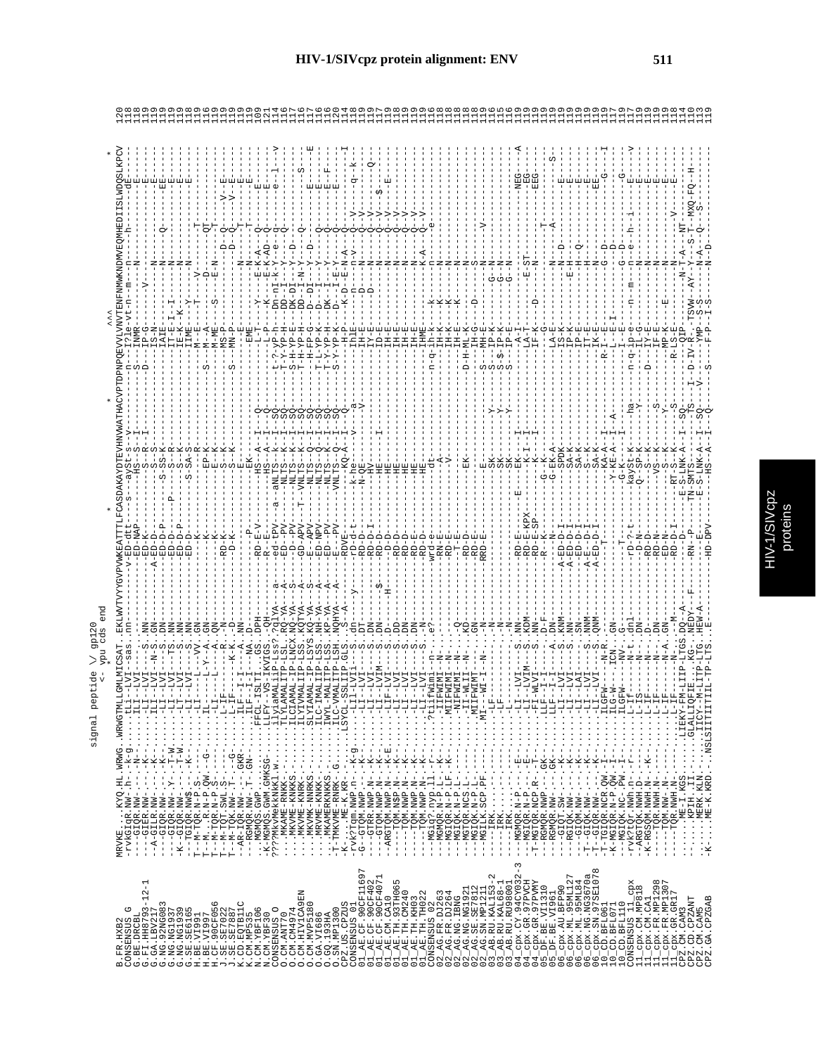|            |                                                                                                                                                                                                                                                                                                                                                                   | <b>F</b>                                                       |            | 囸<br><b>E</b>                             | <b>F</b>                   | 囸                                  | 囯                              |             |                                    | 囸                                                                                                                                                                                                                                                                                                                                                                                                                           | 囯                                                             |                |    |      |            |                    |                               |                         |                               |              |                                                           |                                                                                                                                                                                                                                                                                                                                                                                                                                                                                                     |                                            | $x=-b$                                                                                                                                                                                                                                                                             |                              | Ć                       |                     | Ė                                             |                   |                   |                                                       |                                 |                  |                                                                  |                      |                  |                            |                     |                                  |                                                                                                                                                                                                                                                                                                                                    | NEG                  | ロロー                 | EEG                               |              |                   | 囯                                                   | 囯                                   | 囸                                                   | ⊡                                                                                                                                                                                                                                                                                                                                                                  | ひ                       |                   | ひ                           | 」<br>비<br>囸                             | 囟              | <b>Ed</b>                                                                                                                                                                                                                                                                                                                                                                                                                           | ᄗ<br><b>E</b>                                                                                                                                                                                                                                                                                                                                                                                 |   | Ξ<br>J                     |                                                                                             |  |
|------------|-------------------------------------------------------------------------------------------------------------------------------------------------------------------------------------------------------------------------------------------------------------------------------------------------------------------------------------------------------------------|----------------------------------------------------------------|------------|-------------------------------------------|----------------------------|------------------------------------|--------------------------------|-------------|------------------------------------|-----------------------------------------------------------------------------------------------------------------------------------------------------------------------------------------------------------------------------------------------------------------------------------------------------------------------------------------------------------------------------------------------------------------------------|---------------------------------------------------------------|----------------|----|------|------------|--------------------|-------------------------------|-------------------------|-------------------------------|--------------|-----------------------------------------------------------|-----------------------------------------------------------------------------------------------------------------------------------------------------------------------------------------------------------------------------------------------------------------------------------------------------------------------------------------------------------------------------------------------------------------------------------------------------------------------------------------------------|--------------------------------------------|------------------------------------------------------------------------------------------------------------------------------------------------------------------------------------------------------------------------------------------------------------------------------------|------------------------------|-------------------------|---------------------|-----------------------------------------------|-------------------|-------------------|-------------------------------------------------------|---------------------------------|------------------|------------------------------------------------------------------|----------------------|------------------|----------------------------|---------------------|----------------------------------|------------------------------------------------------------------------------------------------------------------------------------------------------------------------------------------------------------------------------------------------------------------------------------------------------------------------------------|----------------------|---------------------|-----------------------------------|--------------|-------------------|-----------------------------------------------------|-------------------------------------|-----------------------------------------------------|--------------------------------------------------------------------------------------------------------------------------------------------------------------------------------------------------------------------------------------------------------------------------------------------------------------------------------------------------------------------|-------------------------|-------------------|-----------------------------|-----------------------------------------|----------------|-------------------------------------------------------------------------------------------------------------------------------------------------------------------------------------------------------------------------------------------------------------------------------------------------------------------------------------------------------------------------------------------------------------------------------------|-----------------------------------------------------------------------------------------------------------------------------------------------------------------------------------------------------------------------------------------------------------------------------------------------------------------------------------------------------------------------------------------------|---|----------------------------|---------------------------------------------------------------------------------------------|--|
|            |                                                                                                                                                                                                                                                                                                                                                                   |                                                                | 뛰          | Ы                                         |                            |                                    |                                |             |                                    | ำ                                                                                                                                                                                                                                                                                                                                                                                                                           |                                                               |                | 휴휴 | 囸    |            | O                  |                               |                         |                               |              |                                                           |                                                                                                                                                                                                                                                                                                                                                                                                                                                                                                     |                                            |                                                                                                                                                                                                                                                                                    |                              |                         |                     |                                               |                   |                   |                                                       |                                 |                  |                                                                  |                      |                  |                            |                     |                                  |                                                                                                                                                                                                                                                                                                                                    |                      |                     |                                   |              |                   |                                                     |                                     |                                                     |                                                                                                                                                                                                                                                                                                                                                                    |                         |                   |                             |                                         |                |                                                                                                                                                                                                                                                                                                                                                                                                                                     |                                                                                                                                                                                                                                                                                                                                                                                               |   | $\circ$<br>탁<br><b>MXO</b> |                                                                                             |  |
|            | BKLMVTVYYYYPVMKBATTTLECASDAKAYDTEVHMVMATTLPACVPTDPNPQEVVJVJVJVTEMPMMMXNDMVEQHHEDIISLMDQSLKPCV                                                                                                                                                                                                                                                                     |                                                                |            |                                           |                            |                                    |                                |             | Ŧ                                  | ۹                                                                                                                                                                                                                                                                                                                                                                                                                           |                                                               |                |    | Ã    | £<br>ਮ     | T                  |                               |                         |                               |              |                                                           |                                                                                                                                                                                                                                                                                                                                                                                                                                                                                                     |                                            |                                                                                                                                                                                                                                                                                    |                              |                         |                     |                                               |                   |                   |                                                       |                                 |                  |                                                                  |                      |                  |                            |                     |                                  |                                                                                                                                                                                                                                                                                                                                    |                      | ้ว่                 |                                   |              |                   |                                                     | 푸                                   |                                                     |                                                                                                                                                                                                                                                                                                                                                                    |                         |                   | C                           | r<br>z                                  |                |                                                                                                                                                                                                                                                                                                                                                                                                                                     |                                                                                                                                                                                                                                                                                                                                                                                               |   |                            |                                                                                             |  |
|            |                                                                                                                                                                                                                                                                                                                                                                   |                                                                |            |                                           |                            |                                    |                                | ⊆           | 囸                                  |                                                                                                                                                                                                                                                                                                                                                                                                                             |                                                               |                |    |      |            | Т<br>Dm-nI         |                               | Ä                       | i<br>T<br>Ä<br>â<br>Ģ         | ؋            | ĎK                                                        | J.<br>≏                                                                                                                                                                                                                                                                                                                                                                                                                                                                                             | Ŗ                                          | 는                                                                                                                                                                                                                                                                                  | ≏                            | $\bigcap$               |                     |                                               |                   |                   |                                                       |                                 |                  |                                                                  |                      |                  | ≏                          |                     | ပု<br>ひ                          | ひ                                                                                                                                                                                                                                                                                                                                  |                      | 囸                   |                                   |              |                   | 囯                                                   |                                     |                                                     |                                                                                                                                                                                                                                                                                                                                                                    |                         |                   |                             |                                         |                |                                                                                                                                                                                                                                                                                                                                                                                                                                     |                                                                                                                                                                                                                                                                                                                                                                                               |   | AY                         |                                                                                             |  |
|            |                                                                                                                                                                                                                                                                                                                                                                   |                                                                |            |                                           |                            |                                    | IME                            |             | M-ME                               | $MS -$                                                                                                                                                                                                                                                                                                                                                                                                                      |                                                               |                |    |      |            |                    |                               |                         |                               |              |                                                           | לך                                                                                                                                                                                                                                                                                                                                                                                                                                                                                                  |                                            |                                                                                                                                                                                                                                                                                    |                              |                         |                     |                                               |                   |                   |                                                       |                                 |                  |                                                                  |                      | $D-H-H-ML-$      |                            |                     | $\frac{1}{\mathsf{p}}$<br>T<br>부 |                                                                                                                                                                                                                                                                                                                                    |                      |                     | $-1F -$                           |              | $-LA-E$           | S-X<br>$\frac{1}{\Delta}$                           | ך<br>ב<br>7                         |                                                     | ý                                                                                                                                                                                                                                                                                                                                                                  | - 그<br>여                |                   |                             |                                         |                |                                                                                                                                                                                                                                                                                                                                                                                                                                     |                                                                                                                                                                                                                                                                                                                                                                                               |   |                            |                                                                                             |  |
|            |                                                                                                                                                                                                                                                                                                                                                                   | w                                                              | Ŗ          |                                           |                            |                                    |                                |             |                                    |                                                                                                                                                                                                                                                                                                                                                                                                                             |                                                               |                |    |      |            |                    |                               | –<br>H−Y<br>н<br>m      | 7-H-<br>中平                    | $T - L - Y$  |                                                           | m                                                                                                                                                                                                                                                                                                                                                                                                                                                                                                   |                                            |                                                                                                                                                                                                                                                                                    |                              |                         |                     |                                               |                   |                   |                                                       |                                 | $n - q - i$      |                                                                  |                      |                  |                            | m                   | m                                | m m                                                                                                                                                                                                                                                                                                                                |                      |                     |                                   |              |                   |                                                     |                                     |                                                     |                                                                                                                                                                                                                                                                                                                                                                    |                         |                   |                             | $-1 - q - 1$                            | $\frac{1}{1}$  |                                                                                                                                                                                                                                                                                                                                                                                                                                     |                                                                                                                                                                                                                                                                                                                                                                                               |   | 1-d-                       |                                                                                             |  |
|            |                                                                                                                                                                                                                                                                                                                                                                   |                                                                |            |                                           |                            |                                    |                                |             |                                    |                                                                                                                                                                                                                                                                                                                                                                                                                             |                                                               |                |    |      |            | 99<br>99           |                               | 8                       | 8<br>$\circ$<br>ū             | $\circ$<br>ū | တ္တ                                                       | 8                                                                                                                                                                                                                                                                                                                                                                                                                                                                                                   | ౧                                          |                                                                                                                                                                                                                                                                                    |                              |                         |                     |                                               |                   |                   |                                                       |                                 |                  |                                                                  |                      |                  |                            |                     |                                  |                                                                                                                                                                                                                                                                                                                                    |                      |                     |                                   |              |                   |                                                     |                                     |                                                     |                                                                                                                                                                                                                                                                                                                                                                    |                         |                   |                             | $-$ ha                                  |                | C)                                                                                                                                                                                                                                                                                                                                                                                                                                  |                                                                                                                                                                                                                                                                                                                                                                                               |   | m                          |                                                                                             |  |
|            |                                                                                                                                                                                                                                                                                                                                                                   |                                                                |            | ή<br>ω                                    | ω                          |                                    | $-5A-$<br>ပ္ပ်                 | Ė           |                                    |                                                                                                                                                                                                                                                                                                                                                                                                                             |                                                               |                |    |      |            | <b>ELTNE</b>       |                               | <b>VNLTS</b>            |                               |              |                                                           |                                                                                                                                                                                                                                                                                                                                                                                                                                                                                                     |                                            |                                                                                                                                                                                                                                                                                    | 명<br>-                       |                         |                     |                                               |                   |                   |                                                       | ರ                               |                  |                                                                  |                      |                  |                            |                     |                                  |                                                                                                                                                                                                                                                                                                                                    |                      | 7                   |                                   | ပ္ပ          | $EK - P$<br><br>ტ | Ĕ<br>$\overline{A}$<br>w                            | σj                                  |                                                     |                                                                                                                                                                                                                                                                                                                                                                    |                         | $-X-KE - P$       | ¥<br>U                      | ا<br>م<br>kayS<br>S                     |                |                                                                                                                                                                                                                                                                                                                                                                                                                                     |                                                                                                                                                                                                                                                                                                                                                                                               |   | <b>LING</b>                |                                                                                             |  |
|            |                                                                                                                                                                                                                                                                                                                                                                   |                                                                |            |                                           |                            |                                    |                                |             |                                    |                                                                                                                                                                                                                                                                                                                                                                                                                             |                                                               |                |    |      |            |                    |                               |                         |                               |              |                                                           |                                                                                                                                                                                                                                                                                                                                                                                                                                                                                                     |                                            |                                                                                                                                                                                                                                                                                    |                              |                         |                     |                                               |                   |                   |                                                       |                                 |                  |                                                                  |                      |                  |                            |                     |                                  |                                                                                                                                                                                                                                                                                                                                    |                      |                     |                                   |              |                   |                                                     |                                     |                                                     |                                                                                                                                                                                                                                                                                                                                                                    |                         |                   |                             | O                                       |                |                                                                                                                                                                                                                                                                                                                                                                                                                                     |                                                                                                                                                                                                                                                                                                                                                                                               |   |                            |                                                                                             |  |
|            |                                                                                                                                                                                                                                                                                                                                                                   |                                                                |            | a<br>A<br>$-1$<br>闰<br>L<br>A             | <b>G-BE</b>                | $\overline{\phantom{a}}$<br>$T-TZ$ | $Q - \Omega$                   |             |                                    | RD-K                                                                                                                                                                                                                                                                                                                                                                                                                        | $D - K$                                                       |                |    | RD-E |            | ed-tPV             | Ġ                             | $\Box$                  | GD-APY<br>$- - A P$           | ED-NPY       | á,<br>읍                                                   | ⊡                                                                                                                                                                                                                                                                                                                                                                                                                                                                                                   | RDVE                                       | p-qr.                                                                                                                                                                                                                                                                              | n<br>BD-D                    | $AD-D-$                 | µ<br>2              | $\begin{array}{c}\n\Box \\ \Box\n\end{array}$ | $R-D$             | $R-D$             | $RD - E$                                              | 1-da<br>$wrd-e$                 | $RM - E$         | RD-R                                                             |                      | RD-D             | h<br>R                     | RRD-                |                                  |                                                                                                                                                                                                                                                                                                                                    |                      | -KPX<br>$RD - E$    | $\frac{5}{1}$<br>$RD - E$         | $R = -K -$   | z                 | $ED-D-1$<br>$Q - \overline{B}$<br>$\overline{A}$    | $ED-D-$<br>t                        |                                                     | $\begin{array}{c}\nA-B--D--\\[-1mm] \nA-B-D--\\[-1mm] \n\end{array}$                                                                                                                                                                                                                                                                                               |                         |                   |                             | c-qz<br>N-Q.                            | RD-D           | RD-N                                                                                                                                                                                                                                                                                                                                                                                                                                | $K-LH$<br>$R - D$                                                                                                                                                                                                                                                                                                                                                                             | Ŗ | ρ<br>Ż                     | HD-DPN                                                                                      |  |
|            |                                                                                                                                                                                                                                                                                                                                                                   |                                                                |            |                                           |                            |                                    |                                |             |                                    |                                                                                                                                                                                                                                                                                                                                                                                                                             |                                                               |                |    |      |            |                    |                               |                         |                               |              |                                                           |                                                                                                                                                                                                                                                                                                                                                                                                                                                                                                     |                                            |                                                                                                                                                                                                                                                                                    |                              |                         |                     |                                               |                   |                   |                                                       |                                 |                  |                                                                  |                      |                  |                            |                     |                                  |                                                                                                                                                                                                                                                                                                                                    |                      |                     |                                   |              |                   |                                                     |                                     |                                                     |                                                                                                                                                                                                                                                                                                                                                                    |                         |                   |                             |                                         |                |                                                                                                                                                                                                                                                                                                                                                                                                                                     |                                                                                                                                                                                                                                                                                                                                                                                               |   |                            |                                                                                             |  |
| end<br>cds |                                                                                                                                                                                                                                                                                                                                                                   |                                                                |            |                                           |                            |                                    |                                |             |                                    |                                                                                                                                                                                                                                                                                                                                                                                                                             |                                                               |                |    |      |            |                    |                               |                         | OTYA                          |              |                                                           |                                                                                                                                                                                                                                                                                                                                                                                                                                                                                                     |                                            |                                                                                                                                                                                                                                                                                    |                              |                         |                     |                                               |                   |                   |                                                       |                                 |                  |                                                                  |                      |                  |                            |                     |                                  |                                                                                                                                                                                                                                                                                                                                    |                      |                     |                                   |              |                   | P                                                   |                                     | P                                                   | MMC                                                                                                                                                                                                                                                                                                                                                                |                         |                   |                             | Ę                                       |                | Ż                                                                                                                                                                                                                                                                                                                                                                                                                                   |                                                                                                                                                                                                                                                                                                                                                                                               |   |                            |                                                                                             |  |
| ndh        | CSAT                                                                                                                                                                                                                                                                                                                                                              |                                                                |            |                                           |                            |                                    |                                |             |                                    |                                                                                                                                                                                                                                                                                                                                                                                                                             |                                                               |                |    |      |            | Lss'               |                               | $\frac{1}{2}$           | $\frac{1}{4}$                 | $-1$         |                                                           |                                                                                                                                                                                                                                                                                                                                                                                                                                                                                                     | P.GLS                                      |                                                                                                                                                                                                                                                                                    |                              |                         |                     |                                               |                   |                   |                                                       |                                 |                  |                                                                  |                      |                  |                            |                     |                                  |                                                                                                                                                                                                                                                                                                                                    |                      |                     |                                   |              |                   |                                                     |                                     |                                                     |                                                                                                                                                                                                                                                                                                                                                                    |                         | Z                 | è                           |                                         |                |                                                                                                                                                                                                                                                                                                                                                                                                                                     |                                                                                                                                                                                                                                                                                                                                                                                               |   |                            |                                                                                             |  |
|            | WRWGTMLL                                                                                                                                                                                                                                                                                                                                                          | I<br>$\cdots$ this<br>$\cdots$                                 | は<br>Ì     | $\vdots$                                  | HHH<br>$\ddot{\cdot}$<br>ţ | $-1.7 -$<br>Ì                      | J.<br>$-11$<br>Ì,              | $-11-$<br>ţ | J<br>$-11$<br>$\frac{1}{n+1}$<br>t | ţ                                                                                                                                                                                                                                                                                                                                                                                                                           | $\frac{1}{2}$ . $\frac{1}{2}$ . $\frac{1}{2}$ . $\frac{1}{2}$ | $\ldots$ . The |    |      | $-XATTI$ . | $\ldots$ ilyiaM    | $$ $TLI$                      | ILCIAM                  | WAIXTIT.<br>SLYIAM            | MI-DII - TN  | W-TAMI.                                                   | MA-DTI .                                                                                                                                                                                                                                                                                                                                                                                                                                                                                            | S-TDAST :                                  | $1.1 - 1.11$                                                                                                                                                                                                                                                                       | $-111 - 111$                 | $-111 - 111$            | $-11 -$<br>$\vdots$ | $-LIF$<br>$\vdots$                            | $\cdots$ - LI-    | $\cdots$ -11-     | $\ldots \ldots \ldots$                                | $-11$<br>tiif<br>઼૽<br>$\vdots$ | $\ldots$         | HIIN                                                             | $\ldots$ -NIF        | $-111 - 11$      | HITM.                      | $\ldots$ MI-        | $\cdots$ $\cdots$<br>$-1.5$      | Ļ<br>$\vdots$                                                                                                                                                                                                                                                                                                                      | $-1.1 -$<br>$\vdots$ | $-11 -$<br>$\vdots$ | $\mathbf{I}$<br>$-FT$<br>$\vdots$ | $\cdots$     | $\cdots$          | $\overline{\phantom{a}}$<br>J.<br>$-11$<br>$\vdots$ | $\frac{1}{2}$<br>$\frac{1}{2}$<br>Ì | $\overline{11}$ = $\overline{11}$ = $\overline{11}$ | $\cdots$ -LI-                                                                                                                                                                                                                                                                                                                                                      | <b>ILGF</b><br>$\vdots$ | $\cdots$ $\cdots$ | HOTI                        | $1 - 1 - 1$<br>$1 - 15$                 |                | $\begin{array}{cccccccccc} \mathbf{E} & \mathbf{I} & \mathbf{I} & \mathbf{I} & \mathbf{I} & \mathbf{I} & \mathbf{I} & \mathbf{I} & \mathbf{I} & \mathbf{I} & \mathbf{I} & \mathbf{I} & \mathbf{I} & \mathbf{I} & \mathbf{I} & \mathbf{I} & \mathbf{I} & \mathbf{I} & \mathbf{I} & \mathbf{I} & \mathbf{I} & \mathbf{I} & \mathbf{I} & \mathbf{I} & \mathbf{I} & \mathbf{I} & \mathbf{I} & \mathbf{I} & \mathbf{I} & \mathbf{I} & \$ |                                                                                                                                                                                                                                                                                                                                                                                               |   |                            |                                                                                             |  |
|            |                                                                                                                                                                                                                                                                                                                                                                   | $\ddot{\cdot}$<br>$\ddot{\phantom{0}}$<br>$-1$<br>$-1$<br>$-1$ | J.<br>$-K$ | J,<br>$-$ K $-$<br>$\cdot$ - K-           | $M - L - T -$              | $M-T-$                             | $-3 - 4 - -$                   |             |                                    |                                                                                                                                                                                                                                                                                                                                                                                                                             |                                                               |                |    |      | $\cdot$    |                    |                               |                         | $\vdots$                      | $\vdots$     | $\begin{array}{c} \vdots \\ \vdots \\ \vdots \end{array}$ | $\vdots$                                                                                                                                                                                                                                                                                                                                                                                                                                                                                            | $\ddot{\phantom{0}}$                       | $\vdots$<br>$\sum_{i=1}^{n}$                                                                                                                                                                                                                                                       | $\ddot{\cdot}$<br>J,<br>$-1$ | $\cdot$<br>$-3 - 1 - 7$ | J,<br>$- - - K$     | $I - . - K - E$ .                             | J,<br>$1 - 1 - K$ | ŧ<br>$-1 - K$     | J,<br>$\begin{array}{c}\n1 - K \\ 1 - K\n\end{array}$ |                                 | ٦.<br>$-$ K $-$  | $-5 -$                                                           |                      |                  |                            | $\cdot$<br>$\cdot$  | $\cdot$                          |                                                                                                                                                                                                                                                                                                                                    | $\frac{1}{2}$        |                     |                                   | $-$ . GK $-$ | J.<br>$-0.5K$     | ł<br>$-1 - K$                                       | J,<br>J.<br>$-1 - K$<br>$- - - K$   | ŧ<br>$-$ K                                          | ŧ<br>$-$ K $-$                                                                                                                                                                                                                                                                                                                                                     | ŋ.                      | H.                |                             |                                         | $-3-1$         |                                                                                                                                                                                                                                                                                                                                                                                                                                     |                                                                                                                                                                                                                                                                                                                                                                                               |   |                            |                                                                                             |  |
|            |                                                                                                                                                                                                                                                                                                                                                                   |                                                                |            |                                           |                            |                                    |                                |             |                                    |                                                                                                                                                                                                                                                                                                                                                                                                                             |                                                               |                |    |      |            |                    |                               |                         |                               |              |                                                           |                                                                                                                                                                                                                                                                                                                                                                                                                                                                                                     |                                            |                                                                                                                                                                                                                                                                                    |                              |                         | -GTQM.NWP.N         |                                               | $-$ -TQM. NSP. N  | $-$ - TQM. NWP. N | --TQM.NWP.N                                           | -TQM.NWP.N                      | Ē                | ET.                                                              | È<br>Ŗ               | ŧ                |                            |                     | $-TRK$                           |                                                                                                                                                                                                                                                                                                                                    |                      |                     |                                   |              |                   |                                                     |                                     |                                                     |                                                                                                                                                                                                                                                                                                                                                                    |                         |                   | $-NGIQK$ . $NG-$ . $PM - I$ |                                         |                | Ê<br>$-TQR. NWH. N$                                                                                                                                                                                                                                                                                                                                                                                                                 | Ĵ.                                                                                                                                                                                                                                                                                                                                                                                            |   |                            |                                                                                             |  |
|            |                                                                                                                                                                                                                                                                                                                                                                   |                                                                |            | $-2 - 9 - 11R \cdot NW -$<br>----GIQR.NW- | $-452R$ . NW - $X$<br>-1   | $-K - GIGR . NW - -$               | --TGIQR.NWS.-<br>--M-TQR.N-P.S | н           |                                    | $\begin{array}{ll} \mathbb{T}_{2} - y_{1} & , \ \ \bar{1}, \ \bar{2}, \ \bar{3}, \ \bar{4}, \ \bar{5}, \ \bar{5}, \ \bar{6}, \ \bar{7}, \ \bar{8}, \ \bar{7}, \ \bar{8}, \ \bar{7}, \ \bar{8}, \ \bar{7}, \ \bar{8}, \ \bar{7}, \ \bar{7}, \ \bar{7}, \ \bar{7}, \ \bar{7}, \ \bar{7}, \ \bar{7}, \ \bar{7}, \ \bar{7}, \ \bar{7}, \ \bar{7}, \ \bar{7}, \ \bar{7}, \ \bar{7}, \ \bar{7}, \ \bar{7}, \ \bar{7}, \ \bar{7},$ |                                                               |                |    |      |            | ????MkvMekkNkKl.w. | MKAME-RNKK-.                  | $\ldots$ MKVME-KNKKS. - | MKVME-KNRK-.-<br>MKVMK-NNRKS. | MRVME-KNKK-. |                                                           | $\begin{array}{c} \cdot \text{ . }\\ \cdot \text{ . }\\ \text{ . }\\ \text{ . }\\ \text{ . }\\ \text{ . }\\ \text{ . }\\ \text{ . }\\ \text{ . }\\ \text{ . }\\ \text{ . }\\ \text{ . }\\ \text{ . }\\ \text{ . }\\ \text{ . }\\ \text{ . }\\ \text{ . }\\ \text{ . }\\ \text{ . }\\ \text{ . }\\ \text{ . }\\ \text{ . }\\ \text{ . }\\ \text{ . }\\ \text{ . }\\ \text{ . }\\ \text{ . }\\ \text{ . }\\ \text{ . }\\ \text{ . }\\ \text{ . }\\ \text{ . }\\ \text{ . }\\ \text{ . }\\ \text{ . }$ | $-K-1$ . $\ldots$ ME – K . KR – $\ldots$ – | -rvk?Tqm.NWP.n-.-K                                                                                                                                                                                                                                                                 | - ' dMN ' NOHU--U-           | $--$ GTRR. NWP. N       |                     | $-$ ARGTQM. NWP. N                            |                   |                   |                                                       | $-$ MGiq?.nyp.1                 | $-MGMQR$ . $N-P$ | $--MGTQR \cdot N-P$                                              | $--MGLQK$ . $N-P$    | $-$ -MGTQR.NCS.L | $-MGIQK \cdot N-P \cdot L$ | $-WGILLK$ , SCP, PF | $-TRK$<br>ï<br>I<br>Ţ            | $-IRE$ .                                                                                                                                                                                                                                                                                                                           |                      |                     |                                   |              |                   | $-1.559$ : HOHD---                                  |                                     |                                                     |                                                                                                                                                                                                                                                                                                                                                                    |                         |                   |                             | -rvk?tQr.NWh.n-.-r<br>--ARGTQK.NWH.D-.- | -K-RGSQM.NWH.N |                                                                                                                                                                                                                                                                                                                                                                                                                                     |                                                                                                                                                                                                                                                                                                                                                                                               |   |                            |                                                                                             |  |
|            |                                                                                                                                                                                                                                                                                                                                                                   |                                                                |            |                                           |                            |                                    |                                |             |                                    |                                                                                                                                                                                                                                                                                                                                                                                                                             |                                                               |                |    |      |            |                    |                               |                         |                               |              |                                                           |                                                                                                                                                                                                                                                                                                                                                                                                                                                                                                     |                                            |                                                                                                                                                                                                                                                                                    |                              |                         |                     |                                               |                   |                   |                                                       |                                 |                  |                                                                  |                      |                  |                            |                     |                                  |                                                                                                                                                                                                                                                                                                                                    | 3                    |                     |                                   |              |                   |                                                     |                                     |                                                     |                                                                                                                                                                                                                                                                                                                                                                    |                         |                   |                             |                                         |                | $\infty$                                                                                                                                                                                                                                                                                                                                                                                                                            |                                                                                                                                                                                                                                                                                                                                                                                               |   |                            |                                                                                             |  |
|            | $\begin{smallmatrix} \texttt{B. R1812} \\ \texttt{G. 1812} \\ \texttt{G. 181} \\ \texttt{G. 181} \\ \texttt{G. 182} \\ \texttt{G. 183} \\ \texttt{G. 184} \\ \texttt{G. 185} \\ \texttt{G. 186} \\ \texttt{G. 18733} \\ \texttt{G. 18733} \\ \texttt{G. 1937} \\ \texttt{G. 1937} \\ \texttt{G. 1937} \\ \texttt{G. 1937} \\ \texttt{G. 1937} \\ \texttt{G. 1937$ |                                                                |            |                                           |                            |                                    |                                |             |                                    |                                                                                                                                                                                                                                                                                                                                                                                                                             |                                                               |                |    |      |            | $\circ$            | 0. CM. ANT70<br>0. CM. CM4974 |                         | O.CM.HIVICA9EN                |              |                                                           |                                                                                                                                                                                                                                                                                                                                                                                                                                                                                                     |                                            | $\begin{array}{l} 0. \texttt{CM.} \texttt{MVP5180} \\ 0. \texttt{GA.} \texttt{V1686} \\ 0. \texttt{GQ.} \texttt{193HA} \\ 0. \texttt{SN.} \texttt{MPL300} \\ \texttt{CPA.} \texttt{US.} \texttt{CPL30} \\ \texttt{CPL3.} \texttt{US.} \texttt{CPL3} \\ \texttt{CPL3.} \end{array}$ |                              |                         |                     |                                               |                   |                   |                                                       |                                 |                  | $\frac{0.2}{0.2}$ AG. FR. DJ263<br>$\frac{2}{0.2}$ AG. FR. DJ263 | $02$ $R$ G. NG. IBNG |                  |                            |                     |                                  | $\begin{array}{l} 0.2\_AG.\ \text{NG}\cdot\text{NG1} \\ 0.2\_AG.\ \text{SR}\cdot\text{N} = 1211 \\ 0.2\_AG.\ \text{SN}\cdot\text{MP1211} \\ 0.3\_AG.\ \text{SN}\cdot\text{MP1211} \\ 0.3\_AB.\ \text{RU}\cdot\text{KAL68} = 1 \\ 0.3\_AB.\ \text{RU}\cdot\text{KAL68} = 1 \\ 0.3\_AB.\ \text{RU}\cdot\text{KAL68} = 1 \end{array}$ | 04_cpx.CY.94CY032-   | CPx.GR.97PVCH       |                                   |              |                   |                                                     |                                     |                                                     | $\begin{array}{l} 0.4 - 2\pi x \ldots 37 \, FVVUH \\ 0.5 - DF & \text{BE, VII, 1310} \\ 0.6 - DF & \text{BE, VII, 1310} \\ 0.6 - 2\pi x \ldots 37 \, \text{J} \, \text{L} \, \text{J} \, \text{B} \, \text{F} \, \text{D} \, \text{S} \, \text{S} \, \text{MII, 127} \\ 0.6 - 2\pi x \ldots 37 \, \text{J} \, \text{S} \, \text{S} \, \text{MII, 127} \\ 0.6 - 2\$ |                         |                   | 10 CD.BFL110                | NSENSUS 11_CPX<br>CPX.CM.MP818<br>11    | CPX.CM.CA1     |                                                                                                                                                                                                                                                                                                                                                                                                                                     | $\begin{array}{l} 11 \, \rule[-1.2ex]{0pt}{0pt} \rule[-1.2ex]{0pt}{0pt} \rule[-1.2ex]{0pt}{0pt} \rule[-1.2ex]{0pt}{0pt} \rule[-1.2ex]{0pt}{0pt} \rule[-1.2ex]{0pt}{0pt} \rule[-1.2ex]{0pt}{0pt} \rule[-1.2ex]{0pt}{0pt} \rule[-1.2ex]{0pt}{0pt} \rule[-1.2ex]{0pt}{0pt} \rule[-1.2ex]{0pt}{0pt} \rule[-1.2ex]{0pt}{0pt} \rule[-1.2ex]{0pt}{0pt} \rule[-1.2ex]{0pt}{0pt} \rule[-1.2ex]{0pt}{0$ |   |                            | t Light, Br. 1981<br>CPZ. CM. CAM3<br>CPZ. CD. CPZANT<br>CPZ. CA. CPZGAB<br>CPZ. GA. CPZGAB |  |
|            |                                                                                                                                                                                                                                                                                                                                                                   |                                                                |            |                                           |                            |                                    |                                |             |                                    |                                                                                                                                                                                                                                                                                                                                                                                                                             |                                                               |                |    |      |            | CONSENSUS          |                               |                         |                               |              |                                                           |                                                                                                                                                                                                                                                                                                                                                                                                                                                                                                     |                                            |                                                                                                                                                                                                                                                                                    |                              |                         |                     |                                               |                   |                   |                                                       |                                 |                  |                                                                  |                      |                  |                            |                     |                                  |                                                                                                                                                                                                                                                                                                                                    |                      | $^{04}$             |                                   |              |                   |                                                     |                                     |                                                     |                                                                                                                                                                                                                                                                                                                                                                    |                         |                   |                             | CONSENSUS<br>н                          | 급              |                                                                                                                                                                                                                                                                                                                                                                                                                                     |                                                                                                                                                                                                                                                                                                                                                                                               |   |                            |                                                                                             |  |

 signal peptide \/ gp120 cds end var - vers end - vers end - vers end - vers end - vers end - vers end - vers end - vers end - vers end - vers end - vers end - vers end - vers end - vers end - vers end - vers end - vers end - vers end - vers end -

signal peptide  $\sqrt{9}$  gp120<br> $\leftarrow$  vpu cds  $\epsilon$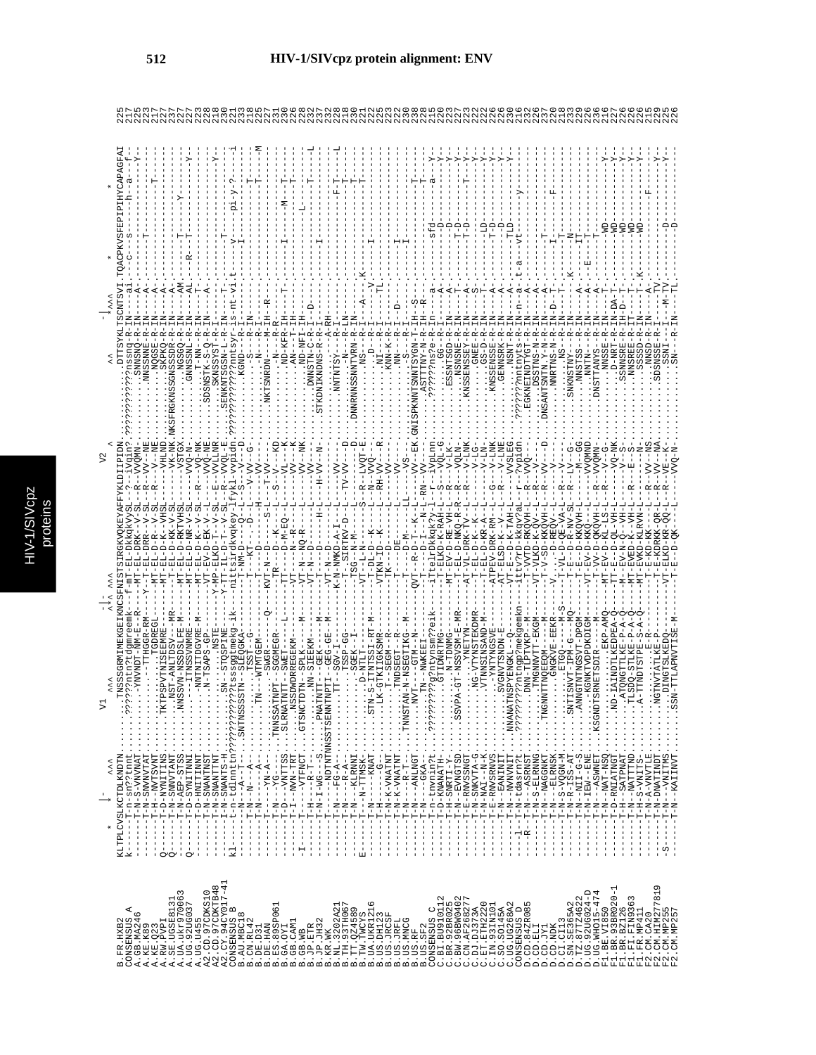HIV-1/SIVcpz HIV-1/SIVcpz proteins

| $\mathbb{L}$<br>$\ast$                                                                                                                                                                                                                                                                                                                                                                                                                                                                                                              | $\lambda$                                                                                                              |                                   |             |                    |                     |               |                   |  |
|-------------------------------------------------------------------------------------------------------------------------------------------------------------------------------------------------------------------------------------------------------------------------------------------------------------------------------------------------------------------------------------------------------------------------------------------------------------------------------------------------------------------------------------|------------------------------------------------------------------------------------------------------------------------|-----------------------------------|-------------|--------------------|---------------------|---------------|-------------------|--|
| KLTPLCVSLKCTDLKNDTN                                                                                                                                                                                                                                                                                                                                                                                                                                                                                                                 |                                                                                                                        |                                   |             |                    |                     |               | <b>IHYCAPAGFA</b> |  |
| $-n-sn?7t$<br>$-T - T - S - N - S - V N V N A T$<br>투<br>I<br>Ţ<br>$\frac{1}{4}$<br>$\frac{1}{1}$<br>г<br>×<br>J                                                                                                                                                                                                                                                                                                                                                                                                                    | $\begin{array}{c} \vdots \\ \vdots \\ \vdots \end{array}$                                                              |                                   |             | <b>NNO.</b>        |                     | ൯             |                   |  |
| $-TT-N-SMVINVTAT$<br>п<br>J.<br>J.                                                                                                                                                                                                                                                                                                                                                                                                                                                                                                  |                                                                                                                        |                                   |             |                    |                     |               |                   |  |
| $T - H - - NVTSVNT$<br>J.<br>ı<br>$\overline{\phantom{a}}$                                                                                                                                                                                                                                                                                                                                                                                                                                                                          | $\cdots \cdots$                                                                                                        |                                   |             |                    | NOGSE-              |               |                   |  |
| $\begin{array}{l} -\mathtt{T}-\mathtt{D}-\mathtt{M}\mathtt{Y}\mathtt{I}\mathtt{T}\mathtt{T}\mathtt{M}\mathtt{S}\\ -\mathtt{T}-\mathtt{T}-\mathtt{M}\mathtt{Y}\mathtt{M}\mathtt{Y} \mathtt{T}\mathtt{M}\mathtt{T} \mathtt{T} \mathtt{M}\mathtt{T} \mathtt{T} \mathtt{M}\mathtt{T} \mathtt{T} \mathtt{M}\mathtt{T} \mathtt{T} \mathtt{M}\mathtt{T} \mathtt{T} \mathtt{M}\mathtt{T} \mathtt{T} \mathtt{M}\mathtt{T} \mathtt{T} \mathtt{T} \mathtt{M}\mathtt{T} \mathtt{T} \mathtt{T} \$<br>I<br>$\frac{1}{1}$<br>1<br>$\mathbf I$<br>Q |                                                                                                                        |                                   |             | VK – NK            | GNSSSDR-<br>SKPKO-  |               |                   |  |
| $-T-T-N-ABP-STSS$<br>п<br>$\overline{\phantom{a}}$<br>O                                                                                                                                                                                                                                                                                                                                                                                                                                                                             | $\begin{array}{c}\n 1.7 \\  \vdots \\  1.7\n \end{array}$                                                              | $-NSSDSLFE-$                      |             | VSTG               | H-ODSDR.            |               |                   |  |
| INNLINXS-G-L--<br>$\begin{array}{c} 1 \\ 1 \\ 1 \end{array}$<br>$\circ$                                                                                                                                                                                                                                                                                                                                                                                                                                                             |                                                                                                                        |                                   |             | X-OZA              | GNNSSM              |               |                   |  |
| $\begin{array}{l} -1 \\ -1 \\ -1 \\ -1 \\ \end{array} \begin{array}{l} -1 \\ -1 \\ -1 \\ -1 \\ \end{array} \begin{array}{l} -1 \\ -1 \\ -1 \\ -1 \\ \end{array}$<br>Ť                                                                                                                                                                                                                                                                                                                                                               | $\frac{1}{2}$<br>$\ddot{\cdot}$                                                                                        |                                   |             |                    | Ż.                  |               |                   |  |
| $-1 - 1 - 1 - 1 - 1 - 1$<br>I<br>I<br>$\frac{1}{4}$<br>$\frac{1}{1}$<br>J.<br>1                                                                                                                                                                                                                                                                                                                                                                                                                                                     | $\frac{1}{2}$<br>$\cdot$                                                                                               |                                   |             |                    |                     |               |                   |  |
| $L - N - SNARYTS - H$<br>$\mathbf I$<br>$\frac{1}{1}$                                                                                                                                                                                                                                                                                                                                                                                                                                                                               | $\vdots$                                                                                                               |                                   |             |                    |                     |               |                   |  |
| -1-N-SNANTS-H<br>-t-n-tdlnnttn??<br>I<br>$\frac{1}{1}$<br>딫                                                                                                                                                                                                                                                                                                                                                                                                                                                                         | SSNLNS<br><i>¿</i> ¿¿¿¿¿¿¿<br>??????????                                                                               |                                   |             |                    |                     |               |                   |  |
| $\frac{1}{4} - \frac{1}{2} - \frac{1}{2} - \frac{1}{2} - \frac{1}{2} - \frac{1}{2} - \frac{1}{2} - \frac{1}{2} - \frac{1}{2} - \frac{1}{2} - \frac{1}{2} - \frac{1}{2} - \frac{1}{2} - \frac{1}{2} - \frac{1}{2} - \frac{1}{2} - \frac{1}{2} - \frac{1}{2} - \frac{1}{2} - \frac{1}{2} - \frac{1}{2} - \frac{1}{2} - \frac{1}{2} - \frac{1}{2} - \frac{1}{2} - \frac{1}{2} - \frac{1}{2} - \frac{1$<br>$-\frac{1}{2}$<br>-1                                                                                                         |                                                                                                                        |                                   |             |                    |                     |               |                   |  |
| $\Gamma-\mathrm{N}$<br>ı<br>I<br>$\frac{1}{1}$                                                                                                                                                                                                                                                                                                                                                                                                                                                                                      |                                                                                                                        |                                   |             | Ţ                  |                     |               |                   |  |
| $\mathsf I$<br>J.<br>$-1 - 1$ –                                                                                                                                                                                                                                                                                                                                                                                                                                                                                                     | $- - A - -$                                                                                                            |                                   |             |                    |                     |               |                   |  |
| $- - -N - N - - - -$<br>÷<br>I                                                                                                                                                                                                                                                                                                                                                                                                                                                                                                      |                                                                                                                        |                                   | Z           |                    |                     |               |                   |  |
| $--\nabla NTTSS$<br>$\begin{array}{l} -T-\mathbf{N}--\mathbf{V}--\mathbf{S}--\\ -\mathbf{S} & -\mathbf{N}-\mathbf{L}--\mathbf{N}--\\ \end{array}$<br>$\begin{array}{c} 1 \\ 1 \\ 1 \end{array}$<br>J.<br>J.                                                                                                                                                                                                                                                                                                                         | $\frac{1}{1}$                                                                                                          |                                   |             |                    | モメー<br>スト           |               |                   |  |
| $-1$ - NVN $-$ TRT<br>$\blacksquare - \blacksquare - \blacksquare - \blacksquare - \blacksquare$                                                                                                                                                                                                                                                                                                                                                                                                                                    |                                                                                                                        |                                   |             |                    |                     |               |                   |  |
| $----VTFNCT$<br>$\begin{array}{c} \end{array}$<br>÷<br>J<br>Ť<br>н                                                                                                                                                                                                                                                                                                                                                                                                                                                                  | N<br>DNSLP:<br>CLENC                                                                                                   |                                   | Ŧ           | È<br>N-−V          | FR-LD               |               |                   |  |
| -T-H----R-T-<br>$\begin{array}{c} 1 \\ 1 \\ 1 \end{array}$                                                                                                                                                                                                                                                                                                                                                                                                                                                                          | $\blacksquare$<br>$\ddot{\phantom{0}}$<br>:                                                                            |                                   | Ŧ           |                    |                     |               |                   |  |
| $-T-N-T-WG---S$<br>п                                                                                                                                                                                                                                                                                                                                                                                                                                                                                                                | $\cdot$                                                                                                                | $\frac{1}{2}$                     |             | Ż<br>I<br>K<br>H-I | TKDNIKNDNS-I        |               |                   |  |
| $\mathbf{I}$<br>탁<br>ı<br>ı                                                                                                                                                                                                                                                                                                                                                                                                                                                                                                         | ----NDTNTNNSSTSENN                                                                                                     |                                   | z<br>!      |                    |                     |               |                   |  |
| $T - N - - F G - R - - -$<br>I.<br>п<br>п                                                                                                                                                                                                                                                                                                                                                                                                                                                                                           |                                                                                                                        |                                   | $-NMKL$     |                    |                     |               |                   |  |
| $---R - R - R - -$<br>$-1 - 1 -$<br>J<br>$\mathbf{I}$<br>J.                                                                                                                                                                                                                                                                                                                                                                                                                                                                         |                                                                                                                        |                                   |             | ξ<br>Γ             |                     |               |                   |  |
| $\mathsf{-\mathsf{KL}\text{-}\mathsf{RNNI}}$<br>$\blacksquare$<br>$\Gamma-\mathrm{N}$                                                                                                                                                                                                                                                                                                                                                                                                                                               | $\begin{array}{c}\n\vdots \\ \vdots \\ \vdots \\ \vdots \\ \vdots\n\end{array}$                                        |                                   |             |                    |                     |               |                   |  |
| $-$ -KNAT<br>$-1 - N - T T M S K -$<br>$-1 - 2 - 1 - 1 -$<br>$\ddot{r}$<br>$\begin{bmatrix} 1 \\ 1 \\ 1 \end{bmatrix}$<br>囸                                                                                                                                                                                                                                                                                                                                                                                                         |                                                                                                                        |                                   | $-101 -$    | J<br>LVOT          |                     |               |                   |  |
| J<br>j<br>$-H$ – $H$<br>I<br>ı<br>1                                                                                                                                                                                                                                                                                                                                                                                                                                                                                                 | $-9 - -$                                                                                                               |                                   | TKN-II      | RH-VV              |                     |               |                   |  |
| $-TT-N-K-VNATTNT$<br>$\overline{\phantom{a}}$                                                                                                                                                                                                                                                                                                                                                                                                                                                                                       | $\begin{array}{c} \vdots \\ \vdots \\ \vdots \end{array}$<br>$\begin{array}{c} \vdots \\ \vdots \\ \vdots \end{array}$ |                                   |             |                    |                     |               |                   |  |
| $-\mathbf{T}-\mathbf{N}-\mathbf{K}-\mathbf{V}\mathbf{N}\mathbf{A}\mathbf{T}\mathbf{N}\mathbf{T}$<br>Ţ<br>I<br>$\frac{1}{1}$                                                                                                                                                                                                                                                                                                                                                                                                         | $\cdot$<br>$\bullet$                                                                                                   | $\vdots$                          |             |                    |                     |               |                   |  |
| $---R - T - -$<br>$T - N - T$                                                                                                                                                                                                                                                                                                                                                                                                                                                                                                       | .TNNS                                                                                                                  | UBBN<br>-<br>N-N-Z                |             |                    |                     |               |                   |  |
| $-{\bf T} -{\bf N} -\mbox{-}{\bf MLMG} {\bf T}$<br>I<br>$\frac{1}{1}$                                                                                                                                                                                                                                                                                                                                                                                                                                                               | $\begin{array}{c} \vdots \\ \vdots \\ \vdots \\ \vdots \end{array}$                                                    |                                   |             | -- EK              | NUNTSYCN-           |               |                   |  |
| $-T-T-T$ -N----GKA-<br>$\frac{1}{1}$                                                                                                                                                                                                                                                                                                                                                                                                                                                                                                | :<br>: : : : : : :<br>: : : : : : :<br>$\bullet$                                                                       |                                   |             |                    |                     |               |                   |  |
| $-T-n-tnvmina$<br>I<br>$\frac{1}{1}$                                                                                                                                                                                                                                                                                                                                                                                                                                                                                                | $\cdot$                                                                                                                |                                   |             | VpLnr              | ras?                |               | <b>Q</b><br>ω     |  |
| $-\Delta-\mathbf{I}-\mathbf{S}\mathbf{M}\mathbf{S}\mathbf{L}+\mathbf{I}-\mathbf{A}-$<br>$-T-T-NYYAYAY-TT-$<br>I<br>$\frac{1}{1}$<br>1<br>1                                                                                                                                                                                                                                                                                                                                                                                          | $\frac{1}{2}$                                                                                                          |                                   |             |                    |                     |               | Ĥ                 |  |
| $T - N - FVMG TSD$<br>I<br>H<br>J,                                                                                                                                                                                                                                                                                                                                                                                                                                                                                                  |                                                                                                                        |                                   |             | <b>VOLN</b>        | SSNTSGD-<br>NSNSNE- |               | Ĥ                 |  |
| $-T-T-E-RIVSSNGT$                                                                                                                                                                                                                                                                                                                                                                                                                                                                                                                   | $\bullet$                                                                                                              |                                   |             |                    | KNSSENSSEY-         |               |                   |  |
| U-KHYXXS-Z-H-<br>I                                                                                                                                                                                                                                                                                                                                                                                                                                                                                                                  | $\ddot{\cdot}$                                                                                                         | $\frac{1}{2}$                     |             | י ב-<br>י          | -RHND.              |               |                   |  |
| $-T-T-N-N-N-1-N-1$<br>п                                                                                                                                                                                                                                                                                                                                                                                                                                                                                                             |                                                                                                                        | TNNSI                             |             | $N1 -$             | -4-95               |               | dT-               |  |
| $-T-E-RNVSENVS$                                                                                                                                                                                                                                                                                                                                                                                                                                                                                                                     |                                                                                                                        | $\frac{1}{2}$                     | <b>AHd.</b> | $V-LMF$            | NSSENSSEN           |               | ն<br>Գ            |  |
| <b>TININANINANININININ</b>                                                                                                                                                                                                                                                                                                                                                                                                                                                                                                          |                                                                                                                        |                                   |             | V-LN               | <b>GENNSRK-</b>     |               |                   |  |
| $T - N - N V N V N V T T$<br>ï<br>ì                                                                                                                                                                                                                                                                                                                                                                                                                                                                                                 | ccccc.<br>YNYNN<br>$\vdots$                                                                                            |                                   |             | VSLE               | .NSM.               |               |                   |  |
| $\begin{array}{l} -1 - 1 - -T -N - t\, \mathtt{d}}\ \mathtt{a}\ \mathtt{s}\ \mathtt{r}\ \mathtt{m}\ ?\mathtt{t} \\ - - R - -T -N -N - - \mathtt{A}\ \mathtt{SR}\ \mathtt{S}\mathtt{T} \end{array}$                                                                                                                                                                                                                                                                                                                                  |                                                                                                                        |                                   |             | vpidr              | -santayts?          | $-\mathbf{n}$ | γť.               |  |
| $-T-N-S-ELRNNG$<br>$\frac{1}{1}$                                                                                                                                                                                                                                                                                                                                                                                                                                                                                                    | $\frac{1}{2}$                                                                                                          |                                   |             |                    |                     |               |                   |  |
| $-T-NN-DAAGONKT$<br>$\frac{1}{1}$                                                                                                                                                                                                                                                                                                                                                                                                                                                                                                   | $\frac{1}{2}$<br>$\bullet$                                                                                             |                                   |             |                    |                     |               |                   |  |
| $  T$ $ N$ $  E$ $L$ $R$ $N$ SK<br>$\frac{1}{1}$                                                                                                                                                                                                                                                                                                                                                                                                                                                                                    | $\begin{array}{c} \vdots \\ \vdots \\ \vdots \\ \vdots \end{array}$                                                    | EK<br>GNGKVE-E                    |             |                    | $\cdot$ NNRTNS-N-   | $\frac{1}{2}$ |                   |  |
| M-N5QV-S-N-H                                                                                                                                                                                                                                                                                                                                                                                                                                                                                                                        |                                                                                                                        |                                   |             |                    |                     |               |                   |  |
| $-T - T - N - R - ISS - AT$<br>$\frac{1}{1}$                                                                                                                                                                                                                                                                                                                                                                                                                                                                                        | $\cdots$                                                                                                               |                                   |             |                    |                     |               |                   |  |
| $\begin{array}{l} \mathbf{T} - \mathbf{N} - \mathbf{N} \, \mathbf{I} \, \mathbf{I} - \mathbf{G} - \mathbf{S} \\ \mathbf{T} - \mathbf{N} - \mathbf{I} \, \mathbf{E} \, \mathbf{W} - \mathbf{F} \, \mathbf{N} \mathbf{E} \end{array}$                                                                                                                                                                                                                                                                                                 |                                                                                                                        | $\vdots$                          |             |                    |                     |               |                   |  |
| -ASWNET<br>$\mathbb{F}$ – $\mathbb{N}$<br>ı<br>ı                                                                                                                                                                                                                                                                                                                                                                                                                                                                                    | $\ldots$ . KSO<br>$\ddot{\phantom{0}}$<br>$\cdot$                                                                      | <b>NDPDKDIG</b><br>SRNETSDIR<br>ā |             | MO                 | <b>SANYLLSNC</b>    |               |                   |  |
| $-T - N - NAT - NSQ$<br>I<br>$\frac{1}{1}$                                                                                                                                                                                                                                                                                                                                                                                                                                                                                          |                                                                                                                        |                                   |             |                    | NNSSE-              |               | g                 |  |
| T-D-RNIATNGI                                                                                                                                                                                                                                                                                                                                                                                                                                                                                                                        | $\begin{array}{c} \mathbf{a} \\ \mathbf{b} \\ \mathbf{c} \\ \mathbf{d} \end{array}$<br>$\frac{1}{2}$                   |                                   |             |                    | D-NR                | ローフ           | g                 |  |
| --SATPNAT<br>$T - H$<br>п<br>$\frac{1}{1}$                                                                                                                                                                                                                                                                                                                                                                                                                                                                                          | $\vdots$                                                                                                               |                                   |             |                    | SSNNSRE-            |               | Ğ                 |  |
| $-TNTTTW$<br>E<br>F                                                                                                                                                                                                                                                                                                                                                                                                                                                                                                                 | $\vdots$                                                                                                               |                                   |             |                    |                     |               | ₿                 |  |
| T-N-A-VNVTLE<br>$-T-TT-TS-S-TS-TS$<br>$\frac{1}{1}$<br>ł                                                                                                                                                                                                                                                                                                                                                                                                                                                                            |                                                                                                                        |                                   |             |                    |                     |               |                   |  |
| TUMITANG-N-T-<br>Ţ<br>I<br>$\frac{1}{1}$                                                                                                                                                                                                                                                                                                                                                                                                                                                                                            |                                                                                                                        |                                   |             |                    |                     |               |                   |  |
| $    \sqrt{N}$ $\overline{L}$ $\overline{M}$ $\overline{S}$<br>$\mathbb{T} - \mathbb{N}$<br>J.<br>I<br>Ť<br>w                                                                                                                                                                                                                                                                                                                                                                                                                       |                                                                                                                        |                                   |             |                    |                     |               |                   |  |
| $T-NI -KATINVT$                                                                                                                                                                                                                                                                                                                                                                                                                                                                                                                     |                                                                                                                        |                                   |             |                    |                     |               |                   |  |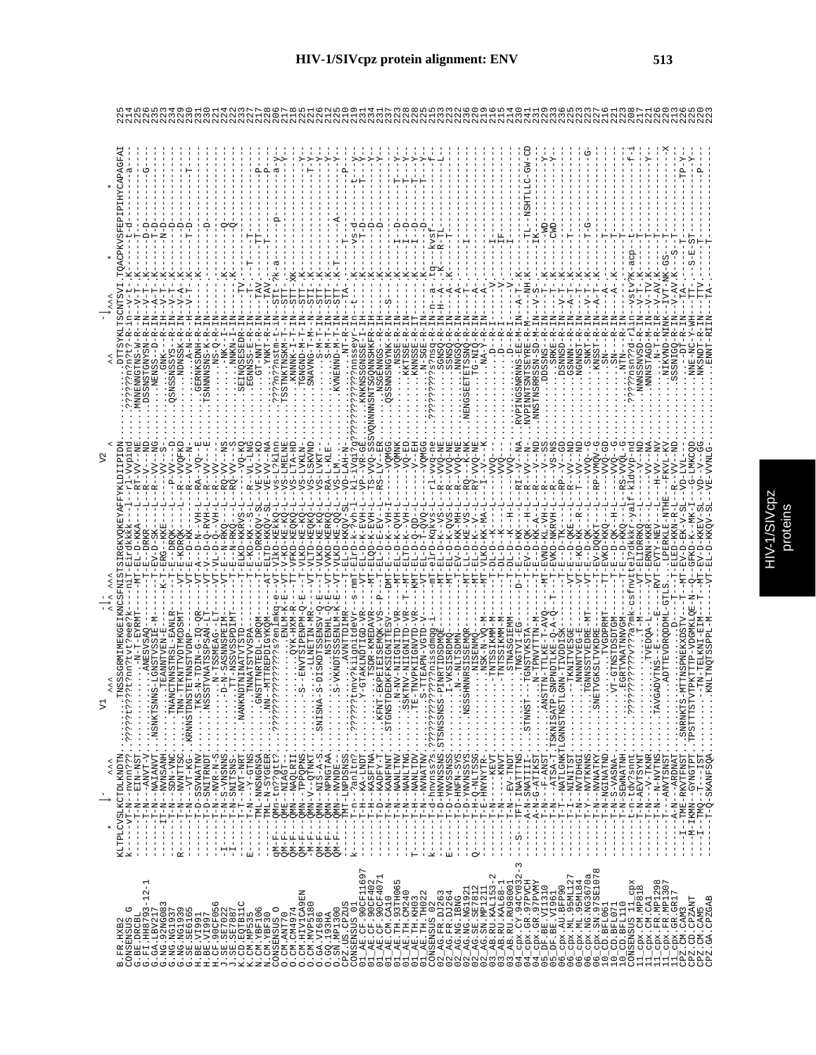| ŵ |
|---|
|   |
|   |
|   |
|   |
|   |
|   |
|   |

|              | TQACPKVSFEPIPIHYCAPAGFAI<br>ಗ್ಗೆ<br>P                                                                                                                                                                                                                                                                                                                                                                                                                  | ℭ<br>a<br>A                    | Ĥ                         | Ŗ                         | ⊂<br>Ŗ                                    |                   | $\Box$                     | O                                              | ⌒                                  |               |                                                                     | ر<br>ه                        |                 |                                                                     |                                                    |               |                                                                                      |              | ರ<br>C)                   | ٩<br>≏                                                                                                                                                                                                                                                                                                                                                                                                 | ö                                                                                                                                       |                          | ę                                        |                                                                                                                                                                                                                                                                                                            | 0                              | kvsf<br>뚸             |                                                                                                                                                                                                                                                                                                                                                                                                                                     |                       |                          |               |                                                                   |                                                                                                                                                                                                                                                                                                                                                                                                                                                               |                                   | NSHTLLC-GW-CL<br>Ė                                                                                                                                                                                                                                                                                                  | g                         | CMD                              | Е         |              |                                        |                          |                                          | acp.           |                                            |                         | ςS                                                                                                                                                                                                                                                                                                                                                                                                             | $\mathbf{a}$<br>C) | $S - E -$                                                                                                                               |                             |           |
|--------------|--------------------------------------------------------------------------------------------------------------------------------------------------------------------------------------------------------------------------------------------------------------------------------------------------------------------------------------------------------------------------------------------------------------------------------------------------------|--------------------------------|---------------------------|---------------------------|-------------------------------------------|-------------------|----------------------------|------------------------------------------------|------------------------------------|---------------|---------------------------------------------------------------------|-------------------------------|-----------------|---------------------------------------------------------------------|----------------------------------------------------|---------------|--------------------------------------------------------------------------------------|--------------|---------------------------|--------------------------------------------------------------------------------------------------------------------------------------------------------------------------------------------------------------------------------------------------------------------------------------------------------------------------------------------------------------------------------------------------------|-----------------------------------------------------------------------------------------------------------------------------------------|--------------------------|------------------------------------------|------------------------------------------------------------------------------------------------------------------------------------------------------------------------------------------------------------------------------------------------------------------------------------------------------------|--------------------------------|-----------------------|-------------------------------------------------------------------------------------------------------------------------------------------------------------------------------------------------------------------------------------------------------------------------------------------------------------------------------------------------------------------------------------------------------------------------------------|-----------------------|--------------------------|---------------|-------------------------------------------------------------------|---------------------------------------------------------------------------------------------------------------------------------------------------------------------------------------------------------------------------------------------------------------------------------------------------------------------------------------------------------------------------------------------------------------------------------------------------------------|-----------------------------------|---------------------------------------------------------------------------------------------------------------------------------------------------------------------------------------------------------------------------------------------------------------------------------------------------------------------|---------------------------|----------------------------------|-----------|--------------|----------------------------------------|--------------------------|------------------------------------------|----------------|--------------------------------------------|-------------------------|----------------------------------------------------------------------------------------------------------------------------------------------------------------------------------------------------------------------------------------------------------------------------------------------------------------------------------------------------------------------------------------------------------------|--------------------|-----------------------------------------------------------------------------------------------------------------------------------------|-----------------------------|-----------|
|              |                                                                                                                                                                                                                                                                                                                                                                                                                                                        |                                |                           |                           |                                           |                   |                            |                                                |                                    |               |                                                                     |                               |                 |                                                                     |                                                    |               |                                                                                      |              |                           |                                                                                                                                                                                                                                                                                                                                                                                                        |                                                                                                                                         |                          |                                          |                                                                                                                                                                                                                                                                                                            |                                |                       |                                                                                                                                                                                                                                                                                                                                                                                                                                     |                       |                          |               |                                                                   |                                                                                                                                                                                                                                                                                                                                                                                                                                                               |                                   | ,<br>臣                                                                                                                                                                                                                                                                                                              |                           |                                  |           |              |                                        |                          |                                          |                |                                            |                         |                                                                                                                                                                                                                                                                                                                                                                                                                |                    |                                                                                                                                         |                             |           |
|              | <b>TSCNTSVI</b>                                                                                                                                                                                                                                                                                                                                                                                                                                        |                                |                           |                           |                                           |                   |                            |                                                |                                    |               | TAV                                                                 |                               |                 |                                                                     |                                                    |               |                                                                                      |              |                           |                                                                                                                                                                                                                                                                                                                                                                                                        |                                                                                                                                         |                          |                                          |                                                                                                                                                                                                                                                                                                            |                                |                       |                                                                                                                                                                                                                                                                                                                                                                                                                                     |                       |                          |               |                                                                   |                                                                                                                                                                                                                                                                                                                                                                                                                                                               |                                   |                                                                                                                                                                                                                                                                                                                     |                           |                                  |           |              |                                        |                          |                                          |                |                                            |                         |                                                                                                                                                                                                                                                                                                                                                                                                                |                    |                                                                                                                                         |                             |           |
|              |                                                                                                                                                                                                                                                                                                                                                                                                                                                        |                                |                           |                           |                                           |                   |                            |                                                |                                    |               |                                                                     |                               |                 |                                                                     |                                                    |               |                                                                                      |              |                           |                                                                                                                                                                                                                                                                                                                                                                                                        |                                                                                                                                         |                          |                                          |                                                                                                                                                                                                                                                                                                            |                                |                       |                                                                                                                                                                                                                                                                                                                                                                                                                                     |                       |                          |               |                                                                   |                                                                                                                                                                                                                                                                                                                                                                                                                                                               |                                   |                                                                                                                                                                                                                                                                                                                     |                           |                                  |           |              |                                        |                          |                                          |                |                                            |                         |                                                                                                                                                                                                                                                                                                                                                                                                                |                    |                                                                                                                                         |                             |           |
|              |                                                                                                                                                                                                                                                                                                                                                                                                                                                        |                                |                           |                           | ī                                         |                   |                            | -NK-                                           | NNRRT-                             | ローの           |                                                                     |                               |                 |                                                                     |                                                    |               |                                                                                      |              |                           |                                                                                                                                                                                                                                                                                                                                                                                                        |                                                                                                                                         |                          |                                          |                                                                                                                                                                                                                                                                                                            | $s2nsq-$                       |                       |                                                                                                                                                                                                                                                                                                                                                                                                                                     |                       |                          |               |                                                                   |                                                                                                                                                                                                                                                                                                                                                                                                                                                               |                                   |                                                                                                                                                                                                                                                                                                                     |                           | SRKE-                            |           |              |                                        |                          |                                          |                |                                            |                         |                                                                                                                                                                                                                                                                                                                                                                                                                |                    |                                                                                                                                         |                             | -<br>FNNE |
|              |                                                                                                                                                                                                                                                                                                                                                                                                                                                        | <b>NSANĐL</b><br>NUPIN         | .GNK                      | QSNSSNSSYS-               | NDNSSK<br>$A-A$ $\cdot$                   | GERNKSDNH-R       | TSNNNSNS-K<br>NS-C         |                                                | <b>EINQSESED</b>                   | EGNNS         | TMN-T5.                                                             | pangang<br><b>L'AMX</b>       | SSTNKTNSKN      | TGNGNG-<br>KNNNK-                                                   |                                                    |               | KVNENNE                                                                              |              |                           | <b>SGONNSHKF</b>                                                                                                                                                                                                                                                                                                                                                                                       | <b>ENNGS</b>                                                                                                                            | SSNNSNGYNK               | KKTSSE                                   | <b>KNNSSE</b>                                                                                                                                                                                                                                                                                              | $N-SGH$                        | SGNSC                 | SSNSC                                                                                                                                                                                                                                                                                                                                                                                                                               | ETSSNO<br><b>MNGS</b> | ζŋ                       |               |                                                                   |                                                                                                                                                                                                                                                                                                                                                                                                                                                               | RNNS                              | MNSTNSRRSSN-SD-<br><b>TSEYRE</b>                                                                                                                                                                                                                                                                                    | . DDSSNS                  | GNINSD                           | GSNNN-    | NGNNST       | SNKT<br>KNSST                          | SS.                      | Š<br>E                                   | prensn?        | <b>TRANSSMY</b>                            |                         |                                                                                                                                                                                                                                                                                                                                                                                                                | SSNIG              | NHE-N                                                                                                                                   | NKSNDJ                      |           |
|              |                                                                                                                                                                                                                                                                                                                                                                                                                                                        |                                |                           |                           |                                           |                   |                            |                                                |                                    |               |                                                                     |                               |                 |                                                                     |                                                    |               |                                                                                      |              |                           |                                                                                                                                                                                                                                                                                                                                                                                                        |                                                                                                                                         |                          |                                          |                                                                                                                                                                                                                                                                                                            |                                |                       |                                                                                                                                                                                                                                                                                                                                                                                                                                     |                       |                          |               |                                                                   |                                                                                                                                                                                                                                                                                                                                                                                                                                                               |                                   |                                                                                                                                                                                                                                                                                                                     |                           |                                  |           |              |                                        |                          |                                          |                |                                            |                         |                                                                                                                                                                                                                                                                                                                                                                                                                |                    |                                                                                                                                         |                             |           |
| Σ2           | <b>NCLAITLUM</b><br>-Vvpinc                                                                                                                                                                                                                                                                                                                                                                                                                            |                                | 7<br>¦                    |                           | <b>WQFKL</b><br>Ŧ                         | $VO-$             |                            | $-10$                                          | VQ-K                               | Ā             | 다<br>기                                                              | vs-L?klm                      | <b>NTRIVIT-</b> | -LTA-HD<br>-LVKLN                                                   | ທ                                                  | $-LVKT$       |                                                                                      |              |                           |                                                                                                                                                                                                                                                                                                                                                                                                        |                                                                                                                                         | VOMG<br>VOMN             |                                          |                                                                                                                                                                                                                                                                                                            | VQMG                           | z<br>1                | WO-N                                                                                                                                                                                                                                                                                                                                                                                                                                | Ę<br>.<br>NK          | $-500-$                  |               | ΣХ                                                                |                                                                                                                                                                                                                                                                                                                                                                                                                                                               |                                   |                                                                                                                                                                                                                                                                                                                     |                           | $vs-1$                           | z<br>-    |              | VMQV-<br>-<br>S                        | ָה<br>ה<br>Ş             | ဥ                                        | dvVp-n         |                                            |                         |                                                                                                                                                                                                                                                                                                                                                                                                                |                    | -LMKCO                                                                                                                                  |                             |           |
|              |                                                                                                                                                                                                                                                                                                                                                                                                                                                        |                                | ₿                         | ξ<br>Á                    |                                           | RA                | $\sum_{i=1}^{n}$<br>ξ<br>R | RO-VV                                          | 55                                 |               | ÿ                                                                   |                               | g               | S)<br>g                                                             |                                                    |               |                                                                                      |              |                           |                                                                                                                                                                                                                                                                                                                                                                                                        | ρg<br>Ω                                                                                                                                 |                          |                                          |                                                                                                                                                                                                                                                                                                            |                                |                       |                                                                                                                                                                                                                                                                                                                                                                                                                                     | $RO-$                 |                          |               |                                                                   |                                                                                                                                                                                                                                                                                                                                                                                                                                                               |                                   | 叱                                                                                                                                                                                                                                                                                                                   | œ                         | Ė                                | β         |              | ġ                                      |                          | -TOMP-SS                                 |                |                                            |                         |                                                                                                                                                                                                                                                                                                                                                                                                                |                    | ט                                                                                                                                       | VE-VVNL<br>₿                |           |
|              |                                                                                                                                                                                                                                                                                                                                                                                                                                                        |                                |                           |                           |                                           |                   |                            |                                                |                                    |               |                                                                     |                               |                 |                                                                     |                                                    |               |                                                                                      |              |                           |                                                                                                                                                                                                                                                                                                                                                                                                        |                                                                                                                                         |                          |                                          |                                                                                                                                                                                                                                                                                                            |                                |                       |                                                                                                                                                                                                                                                                                                                                                                                                                                     |                       |                          |               |                                                                   |                                                                                                                                                                                                                                                                                                                                                                                                                                                               |                                   |                                                                                                                                                                                                                                                                                                                     |                           |                                  |           |              |                                        |                          |                                          |                |                                            |                         |                                                                                                                                                                                                                                                                                                                                                                                                                |                    |                                                                                                                                         |                             |           |
|              |                                                                                                                                                                                                                                                                                                                                                                                                                                                        |                                |                           |                           |                                           | -VH-I             | -RVH<br>HA-                |                                                |                                    |               |                                                                     |                               |                 |                                                                     |                                                    |               |                                                                                      |              |                           | EVH                                                                                                                                                                                                                                                                                                                                                                                                    | - EV                                                                                                                                    |                          |                                          |                                                                                                                                                                                                                                                                                                            |                                | akvs                  |                                                                                                                                                                                                                                                                                                                                                                                                                                     | $E-VS$                |                          | $-KK-MA$      |                                                                   |                                                                                                                                                                                                                                                                                                                                                                                                                                                               |                                   | —<br>T<br>T<br>KK – A                                                                                                                                                                                                                                                                                               | - MT - EVND - KL - VH - 1 | NKRVH                            | EX        |              |                                        |                          |                                          |                |                                            |                         |                                                                                                                                                                                                                                                                                                                                                                                                                |                    |                                                                                                                                         |                             |           |
|              |                                                                                                                                                                                                                                                                                                                                                                                                                                                        | $D-KKZ$<br>DRKR                | <b>KKE</b><br>$-EV-D-SK$  | $--DRQK$                  | -D-KI<br>-KDRQ                            | そー                | ု<br>؋                     | $N-RKO$                                        | $N - RK$                           |               | $-DRK$                                                              |                               |                 |                                                                     |                                                    |               |                                                                                      |              |                           |                                                                                                                                                                                                                                                                                                                                                                                                        |                                                                                                                                         | ė                        |                                          |                                                                                                                                                                                                                                                                                                            |                                |                       |                                                                                                                                                                                                                                                                                                                                                                                                                                     | D-K                   |                          |               |                                                                   |                                                                                                                                                                                                                                                                                                                                                                                                                                                               |                                   |                                                                                                                                                                                                                                                                                                                     |                           |                                  |           | ₽−<br>Ĕ      | EV-DQK                                 |                          | ≏                                        | ?dkk           |                                            |                         |                                                                                                                                                                                                                                                                                                                                                                                                                |                    |                                                                                                                                         |                             |           |
|              | F-E                                                                                                                                                                                                                                                                                                                                                                                                                                                    |                                | -ERG                      | 변                         | 囯<br>뛰                                    | _4<br>-           | フエーマエーロ                    |                                                |                                    | -KD-<br>囸     | 며                                                                   | ELTID-<br>-V1kD-              | -RH-            | -VFKD-                                                              |                                                    |               |                                                                                      |              | -E1r                      | ELO.                                                                                                                                                                                                                                                                                                                                                                                                   | $T - E L -$                                                                                                                             | $-13$                    | $-$ ELT                                  | $KMT - EL -$                                                                                                                                                                                                                                                                                               |                                | ⊻Te−<br>$-11-$        | Ŀ                                                                                                                                                                                                                                                                                                                                                                                                                                   | Ŀ                     |                          |               |                                                                   | Ŀ                                                                                                                                                                                                                                                                                                                                                                                                                                                             |                                   | ローマーロ                                                                                                                                                                                                                                                                                                               |                           | EVKD-                            |           |              | 면                                      | -EVKD-                   |                                          | .<br>با        |                                            |                         |                                                                                                                                                                                                                                                                                                                                                                                                                |                    |                                                                                                                                         |                             |           |
|              | EIKNCSFNISTSI                                                                                                                                                                                                                                                                                                                                                                                                                                          | $\texttt{MT}-\texttt{E}$       |                           |                           |                                           |                   |                            |                                                |                                    |               |                                                                     |                               |                 |                                                                     |                                                    |               |                                                                                      |              | -nm                       |                                                                                                                                                                                                                                                                                                                                                                                                        |                                                                                                                                         | DMT-E                    |                                          |                                                                                                                                                                                                                                                                                                            | Ę                              |                       | $MT - E$                                                                                                                                                                                                                                                                                                                                                                                                                            | MT – T.               |                          |               |                                                                   |                                                                                                                                                                                                                                                                                                                                                                                                                                                               |                                   |                                                                                                                                                                                                                                                                                                                     |                           |                                  |           |              |                                        |                          |                                          | fnvt           |                                            |                         |                                                                                                                                                                                                                                                                                                                                                                                                                |                    |                                                                                                                                         |                             |           |
|              |                                                                                                                                                                                                                                                                                                                                                                                                                                                        |                                |                           |                           |                                           |                   |                            |                                                |                                    |               |                                                                     |                               |                 |                                                                     |                                                    |               |                                                                                      |              | C)                        |                                                                                                                                                                                                                                                                                                                                                                                                        |                                                                                                                                         |                          |                                          |                                                                                                                                                                                                                                                                                                            |                                |                       |                                                                                                                                                                                                                                                                                                                                                                                                                                     |                       |                          |               |                                                                   |                                                                                                                                                                                                                                                                                                                                                                                                                                                               |                                   |                                                                                                                                                                                                                                                                                                                     |                           |                                  |           |              |                                        |                          |                                          | OΩ             |                                            |                         |                                                                                                                                                                                                                                                                                                                                                                                                                |                    |                                                                                                                                         |                             |           |
|              |                                                                                                                                                                                                                                                                                                                                                                                                                                                        |                                |                           |                           |                                           |                   |                            |                                                |                                    |               |                                                                     | ps?enimkq                     |                 |                                                                     |                                                    |               |                                                                                      |              |                           |                                                                                                                                                                                                                                                                                                                                                                                                        |                                                                                                                                         |                          |                                          |                                                                                                                                                                                                                                                                                                            |                                |                       |                                                                                                                                                                                                                                                                                                                                                                                                                                     |                       |                          |               |                                                                   |                                                                                                                                                                                                                                                                                                                                                                                                                                                               |                                   |                                                                                                                                                                                                                                                                                                                     |                           |                                  |           |              |                                        |                          |                                          |                |                                            |                         |                                                                                                                                                                                                                                                                                                                                                                                                                |                    |                                                                                                                                         |                             |           |
|              |                                                                                                                                                                                                                                                                                                                                                                                                                                                        |                                |                           |                           |                                           |                   |                            |                                                |                                    |               |                                                                     | DIGYK                         |                 | SIPEN<br>OYK                                                        |                                                    |               |                                                                                      |              | ₫                         |                                                                                                                                                                                                                                                                                                                                                                                                        |                                                                                                                                         |                          |                                          |                                                                                                                                                                                                                                                                                                            | S                              |                       |                                                                                                                                                                                                                                                                                                                                                                                                                                     |                       |                          |               |                                                                   |                                                                                                                                                                                                                                                                                                                                                                                                                                                               |                                   |                                                                                                                                                                                                                                                                                                                     |                           |                                  |           |              |                                        | VGDPRM                   | TDSDTG                                   | ذ د مخ         |                                            |                         | EVDRODDI                                                                                                                                                                                                                                                                                                                                                                                                       |                    |                                                                                                                                         |                             |           |
|              |                                                                                                                                                                                                                                                                                                                                                                                                                                                        |                                | GNST                      |                           |                                           | -TPT-             |                            |                                                |                                    |               |                                                                     |                               |                 |                                                                     |                                                    |               |                                                                                      |              |                           | -GTAKLNDTIG<br>SDR.                                                                                                                                                                                                                                                                                                                                                                                    |                                                                                                                                         |                          |                                          |                                                                                                                                                                                                                                                                                                            |                                |                       |                                                                                                                                                                                                                                                                                                                                                                                                                                     |                       |                          | ίSΚ           |                                                                   |                                                                                                                                                                                                                                                                                                                                                                                                                                                               |                                   | ir<br>2                                                                                                                                                                                                                                                                                                             |                           | SNPNDTIKE                        |           |              | GNNSSTVEDRE                            |                          | GRTVMATNWV<br>-GTNS                      |                |                                            |                         |                                                                                                                                                                                                                                                                                                                                                                                                                |                    |                                                                                                                                         | KNLTNOTSSPPL<br>-TELKNI     |           |
|              | <b>INSSSGRMIMEKG</b>                                                                                                                                                                                                                                                                                                                                                                                                                                   |                                |                           |                           |                                           |                   | SSTVNA                     |                                                | NITNIN                             |               |                                                                     |                               |                 |                                                                     |                                                    |               |                                                                                      |              | :mnv?k:                   |                                                                                                                                                                                                                                                                                                                                                                                                        | <b>EKPE</b>                                                                                                                             | <b>DEDKF</b>             | <b>I-ANL</b> :                           |                                                                                                                                                                                                                                                                                                            |                                |                       |                                                                                                                                                                                                                                                                                                                                                                                                                                     |                       |                          |               |                                                                   |                                                                                                                                                                                                                                                                                                                                                                                                                                                               |                                   |                                                                                                                                                                                                                                                                                                                     |                           |                                  |           |              | ETVGKSLT                               |                          |                                          | $\mathfrak{g}$ |                                            |                         |                                                                                                                                                                                                                                                                                                                                                                                                                |                    |                                                                                                                                         |                             |           |
|              |                                                                                                                                                                                                                                                                                                                                                                                                                                                        |                                |                           |                           |                                           |                   |                            |                                                |                                    |               |                                                                     |                               |                 |                                                                     |                                                    |               |                                                                                      |              |                           |                                                                                                                                                                                                                                                                                                                                                                                                        |                                                                                                                                         |                          |                                          |                                                                                                                                                                                                                                                                                                            |                                |                       |                                                                                                                                                                                                                                                                                                                                                                                                                                     |                       |                          |               |                                                                   |                                                                                                                                                                                                                                                                                                                                                                                                                                                               |                                   |                                                                                                                                                                                                                                                                                                                     |                           |                                  |           |              |                                        |                          |                                          |                |                                            |                         |                                                                                                                                                                                                                                                                                                                                                                                                                |                    |                                                                                                                                         |                             |           |
|              | $\mathsf{C}$<br>ċ.<br>: $\stackrel{\circ}{\scriptstyle\circ}$                                                                                                                                                                                                                                                                                                                                                                                          | $\vdots$                       | $\ldots$ . NSNK.          | $\vdots$<br>$\frac{1}{2}$ | KRNNS                                     |                   |                            | $\frac{1}{2}$                                  | $\ldots$ . MA                      | $\frac{1}{2}$ | $\begin{array}{c} \vdots \\ \vdots \\ \vdots \\ \vdots \end{array}$ | $\frac{1}{2}$                 | $\frac{1}{2}$   | $\begin{array}{c} \vdots \\ \vdots \\ \vdots \\ \vdots \end{array}$ | $\frac{1}{2}$                                      |               | $\frac{1}{2}$<br>$\begin{array}{c} \vdots \\ \vdots \\ \vdots \\ \vdots \end{array}$ |              | $\frac{1}{2}$             | $\begin{bmatrix} 1 & 0 & 0 \\ 0 & 1 & 0 \\ 0 & 0 & 0 \\ 0 & 0 & 0 \\ 0 & 0 & 0 \\ 0 & 0 & 0 \\ 0 & 0 & 0 \\ 0 & 0 & 0 \\ 0 & 0 & 0 & 0 \\ 0 & 0 & 0 & 0 \\ 0 & 0 & 0 & 0 \\ 0 & 0 & 0 & 0 \\ 0 & 0 & 0 & 0 & 0 \\ 0 & 0 & 0 & 0 & 0 \\ 0 & 0 & 0 & 0 & 0 \\ 0 & 0 & 0 & 0 & 0 & 0 \\ 0 & 0 & 0 & 0 & 0 & 0 \\ 0 & 0 & 0 & 0 & $<br>$\begin{array}{c} \vdots \\ \vdots \\ \vdots \\ \vdots \end{array}$ |                                                                                                                                         |                          | $\vdots$                                 | $\frac{1}{2}$ : $\frac{1}{2}$ : $\frac{1}{2}$ : $\frac{1}{2}$ : $\frac{1}{2}$                                                                                                                                                                                                                              | 5555                           |                       |                                                                                                                                                                                                                                                                                                                                                                                                                                     |                       |                          |               |                                                                   | $\vdots$                                                                                                                                                                                                                                                                                                                                                                                                                                                      |                                   | $\frac{1}{2}$ $\frac{1}{2}$ $\frac{1}{2}$ $\frac{1}{2}$ $\frac{1}{2}$ $\frac{1}{2}$ $\frac{1}{2}$ $\frac{1}{2}$ $\frac{1}{2}$ $\frac{1}{2}$ $\frac{1}{2}$ $\frac{1}{2}$ $\frac{1}{2}$ $\frac{1}{2}$ $\frac{1}{2}$ $\frac{1}{2}$ $\frac{1}{2}$ $\frac{1}{2}$ $\frac{1}{2}$ $\frac{1}{2}$ $\frac{1}{2}$ $\frac{1}{2}$ | .<br>TSKNISZ              |                                  |           |              |                                        |                          |                                          |                |                                            |                         | $\vdots$                                                                                                                                                                                                                                                                                                                                                                                                       |                    | $\ldots$ SNRNH<br>TPSTT.                                                                                                                |                             |           |
|              | $\ddot{\cdot}$                                                                                                                                                                                                                                                                                                                                                                                                                                         | $\cdot$                        |                           | $\cdot$<br>$\cdot$        | $\vdots$                                  | $\frac{1}{2}$     | $\frac{1}{2}$              | $\ddot{\phantom{0}}$<br>$\cdot$                |                                    |               |                                                                     |                               |                 |                                                                     | $\cdot$                                            |               |                                                                                      |              |                           |                                                                                                                                                                                                                                                                                                                                                                                                        |                                                                                                                                         | $\ddot{\cdot}$           | $\ddot{\cdot}$                           |                                                                                                                                                                                                                                                                                                            |                                | --T-D-HNVNSSNS.STSNSS |                                                                                                                                                                                                                                                                                                                                                                                                                                     |                       |                          |               |                                                                   |                                                                                                                                                                                                                                                                                                                                                                                                                                                               | $\cdots$                          |                                                                                                                                                                                                                                                                                                                     |                           | --NATLGNKTLGNNST                 |           |              |                                        |                          |                                          |                |                                            |                         |                                                                                                                                                                                                                                                                                                                                                                                                                | $\vdots$           |                                                                                                                                         |                             |           |
| $\lambda$    | KLTPLCVSLKCTDLKNDTN<br>$-$ nvnn???                                                                                                                                                                                                                                                                                                                                                                                                                     | $---ELIN-NST$<br>$-AMVT-V$     | --NVNSANH<br>$-$ -NAIANVI | $-1$ SDN-VNC              | --NVNTTSC<br>$T - N - -V \\ T - K \\ G -$ | $-T-T-D-SSVNATNV$ | $T-NN-1$<br>T-D-SNITRNDT   | $T-N-S-VM$ SMNS                                | $-$ NVT $-$ NRT<br>$T-N-SNITTSNS-$ |               | TML-NNSNGNSA                                                        | TML-N-SYGEER<br>-QMn-tn??gtt? | QME--NIAGT--    | QMN--NAQLRII                                                        | -QMN--TPPQPNS.<br>-QMN-V--QTNKT.<br>-QMN--NIS-A-S. |               | QMN--NPNGTAA<br>--RUNA--NADE-                                                        | TMT-LNPDSNSS | $-KA - LNDT$<br>--?anltn? | -- KASFTNA                                                                                                                                                                                                                                                                                                                                                                                             | --KADFY-T                                                                                                                               | $-$ KANFNNT<br>--NANLIMV | $-NALITING$                              | $\begin{array}{ll} -\bar{\mathbf{T}}-\mathbf{H}--\mathbf{N}\mathbf{A}\mathbf{N}\sqcup \ldots\\ -\mathbf{T}-\mathbf{N}-\mathbf{N}\mathbf{V}\mathbf{N}\mathbf{A}\mathbf{T}\mathbf{N}\mathbf{V}\\ -\mathbf{T}-\mathbf{N}-\mathbf{N}\mathbf{V}\mathbf{N}\mathbf{A}\mathbf{T}\mathbf{N}\mathbf{V} \end{array}.$ | T-N--NVNAINV<br>T-d-hnvnss?s.? |                       |                                                                                                                                                                                                                                                                                                                                                                                                                                     |                       | T-H-Q-NLTSSG             | $-$ HNYNYTR-  | $ KEVT$<br>- - T - N - - - - - - KEVT<br>T - N - - - - - - - KNVT | $\begin{array}{l} \text{L} \\ \text{L} \\ \text{L} \\ \text{L} \\ \text{L} \\ \text{L} \\ \text{L} \\ \text{L} \\ \text{L} \\ \text{L} \\ \text{L} \\ \text{L} \\ \text{L} \\ \text{L} \\ \text{L} \\ \text{L} \\ \text{L} \\ \text{L} \\ \text{L} \\ \text{L} \\ \text{L} \\ \text{L} \\ \text{L} \\ \text{L} \\ \text{L} \\ \text{L} \\ \text{L} \\ \text{L} \\ \text{L} \\ \text{L} \\ \text{L} \\ \text{L} \\ \text{L} \\ \text{L} \\ \text{L} \\ \text{$ | $- S - - - T F T - T T A T T T S$ | $- -A -N -G -ATIKST$<br>$-1$ $-1$ $-1$ $-1$ $-1$ $-1$ $-1$                                                                                                                                                                                                                                                          | $-T - N - -F - F - T$     | $---ATS A-T$                     | --NINITST | T-N--NVTDHGI | $-$ NVTKNNS<br>$T - N - N V N N T K Y$ | T-N-NGINATUD             | T-N-SEWNATNH<br>$-1 - T - N - S - VASNA$ | t-n-tdv?snnt   | T-N-AEVTSYNT                               | $-V-TKMR$<br>BNTVN-N-1- | -ANVTSNST                                                                                                                                                                                                                                                                                                                                                                                                      | --A-N--ARDNAT      | $- T\texttt{M} \texttt{E} - \texttt{R} \texttt{K} \texttt{V} \texttt{T} \texttt{F} \texttt{N} \texttt{S} \texttt{T}$<br>--W-INN--MAXI-- | $-$ -T-O-SKANFSOA<br>$-1ST$ |           |
| $\mathbf{L}$ |                                                                                                                                                                                                                                                                                                                                                                                                                                                        |                                |                           |                           |                                           |                   |                            |                                                |                                    |               |                                                                     |                               |                 |                                                                     |                                                    |               |                                                                                      |              |                           |                                                                                                                                                                                                                                                                                                                                                                                                        |                                                                                                                                         |                          |                                          |                                                                                                                                                                                                                                                                                                            |                                |                       |                                                                                                                                                                                                                                                                                                                                                                                                                                     |                       |                          |               |                                                                   |                                                                                                                                                                                                                                                                                                                                                                                                                                                               |                                   |                                                                                                                                                                                                                                                                                                                     |                           |                                  |           |              |                                        |                          |                                          |                |                                            |                         |                                                                                                                                                                                                                                                                                                                                                                                                                |                    |                                                                                                                                         | i<br>I                      |           |
|              |                                                                                                                                                                                                                                                                                                                                                                                                                                                        | $\frac{1}{1}$<br>$N-T$<br>N-L. | $N - L - -$<br>$N-TT$     | $-1 - 2$                  | $N-T$                                     |                   |                            |                                                | $\Gamma$ – $\Gamma$                |               |                                                                     |                               |                 |                                                                     |                                                    |               |                                                                                      |              | $T - n$                   | $H - T - -$<br>$H - T$                                                                                                                                                                                                                                                                                                                                                                                 | $\Gamma$                                                                                                                                | $N - T$                  | $\overline{T}$ – $\overline{T}$<br>$N-T$ |                                                                                                                                                                                                                                                                                                            |                                |                       |                                                                                                                                                                                                                                                                                                                                                                                                                                     |                       |                          | $E - T - T$   |                                                                   |                                                                                                                                                                                                                                                                                                                                                                                                                                                               |                                   |                                                                                                                                                                                                                                                                                                                     |                           | $\mathbf{T}-\mathbf{N}$<br>$T-T$ |           | $X - T - -$  |                                        |                          |                                          |                |                                            | f,<br>$T - N$<br>Ă      |                                                                                                                                                                                                                                                                                                                                                                                                                |                    |                                                                                                                                         |                             |           |
|              | N-H-1-1-1                                                                                                                                                                                                                                                                                                                                                                                                                                              | 1<br>J                         |                           | п                         | J,<br>л                                   |                   | J.                         | ì<br>I                                         | ŧ<br>J                             |               | ı                                                                   | $\frac{1}{4}$                 |                 | f.<br>$\mathbf{I}$                                                  | J.<br>$\frac{1}{4}$                                | $\frac{1}{1}$ | т<br>$\frac{1}{1}$                                                                   | J,           |                           | т                                                                                                                                                                                                                                                                                                                                                                                                      | ł<br>ı<br>1                                                                                                                             | $\frac{1}{1}$            | ł                                        | т<br>-1                                                                                                                                                                                                                                                                                                    | J,<br>I                        |                       |                                                                                                                                                                                                                                                                                                                                                                                                                                     |                       | j                        | I             |                                                                   |                                                                                                                                                                                                                                                                                                                                                                                                                                                               |                                   |                                                                                                                                                                                                                                                                                                                     | т                         | ł                                |           |              | I<br>J.                                | $\frac{1}{1}$<br>I<br>J, |                                          |                | $\begin{array}{c} 1 \\ 1 \\ 1 \end{array}$ | 1<br>I<br>$\frac{1}{1}$ | $\frac{1}{2}$                                                                                                                                                                                                                                                                                                                                                                                                  | J<br>Ţ             |                                                                                                                                         | $-1 - 1 - 2NQ$<br>J         |           |
|              | K                                                                                                                                                                                                                                                                                                                                                                                                                                                      | í<br>í                         | $\frac{1}{1}$             | ï                         | J,<br>$\propto$                           |                   | j                          | $\frac{1}{1}$<br>н<br>$\overline{\phantom{a}}$ | ŧ                                  | 回             |                                                                     |                               | PH-FR<br>DM-F   | QM-F-<br>QM-F-                                                      | $-M-F$                                             | $QM - F$      | $QM - F$<br>$QM - F$                                                                 | п            | -1<br>쓰                   | Ť.                                                                                                                                                                                                                                                                                                                                                                                                     | Ť.                                                                                                                                      |                          |                                          | $\,$ I                                                                                                                                                                                                                                                                                                     | 쓰                              |                       | <b>Ed</b>                                                                                                                                                                                                                                                                                                                                                                                                                           | ł<br>$\blacksquare$   | $\frac{1}{1}$<br>$\circ$ | $\frac{1}{1}$ | j.<br>$\mathsf I$                                                 |                                                                                                                                                                                                                                                                                                                                                                                                                                                               |                                   | $\frac{1}{1}$                                                                                                                                                                                                                                                                                                       | ł                         | $\frac{1}{1}$<br>$\frac{1}{1}$   |           |              |                                        |                          |                                          |                | $\frac{1}{1}$                              | ł                       |                                                                                                                                                                                                                                                                                                                                                                                                                | l,                 |                                                                                                                                         | l,                          |           |
|              |                                                                                                                                                                                                                                                                                                                                                                                                                                                        |                                |                           |                           |                                           |                   |                            |                                                |                                    |               |                                                                     |                               |                 |                                                                     |                                                    |               |                                                                                      |              |                           |                                                                                                                                                                                                                                                                                                                                                                                                        |                                                                                                                                         |                          |                                          |                                                                                                                                                                                                                                                                                                            |                                |                       |                                                                                                                                                                                                                                                                                                                                                                                                                                     |                       |                          |               |                                                                   |                                                                                                                                                                                                                                                                                                                                                                                                                                                               | $\infty$                          |                                                                                                                                                                                                                                                                                                                     |                           |                                  |           |              |                                        |                          |                                          |                |                                            |                         |                                                                                                                                                                                                                                                                                                                                                                                                                |                    |                                                                                                                                         |                             |           |
|              |                                                                                                                                                                                                                                                                                                                                                                                                                                                        | $-12-1$                        |                           |                           |                                           |                   |                            |                                                |                                    |               |                                                                     |                               |                 |                                                                     |                                                    |               |                                                                                      |              |                           |                                                                                                                                                                                                                                                                                                                                                                                                        |                                                                                                                                         |                          |                                          |                                                                                                                                                                                                                                                                                                            |                                |                       |                                                                                                                                                                                                                                                                                                                                                                                                                                     |                       |                          |               |                                                                   |                                                                                                                                                                                                                                                                                                                                                                                                                                                               |                                   |                                                                                                                                                                                                                                                                                                                     |                           |                                  |           |              |                                        |                          |                                          |                |                                            |                         |                                                                                                                                                                                                                                                                                                                                                                                                                |                    |                                                                                                                                         |                             |           |
|              |                                                                                                                                                                                                                                                                                                                                                                                                                                                        |                                |                           |                           |                                           |                   |                            |                                                |                                    |               |                                                                     |                               |                 |                                                                     |                                                    |               |                                                                                      |              |                           |                                                                                                                                                                                                                                                                                                                                                                                                        |                                                                                                                                         |                          |                                          |                                                                                                                                                                                                                                                                                                            |                                |                       |                                                                                                                                                                                                                                                                                                                                                                                                                                     |                       |                          |               |                                                                   |                                                                                                                                                                                                                                                                                                                                                                                                                                                               |                                   |                                                                                                                                                                                                                                                                                                                     |                           |                                  |           |              |                                        |                          |                                          |                |                                            |                         |                                                                                                                                                                                                                                                                                                                                                                                                                |                    |                                                                                                                                         |                             |           |
|              |                                                                                                                                                                                                                                                                                                                                                                                                                                                        |                                |                           |                           |                                           |                   |                            |                                                |                                    |               |                                                                     |                               |                 |                                                                     |                                                    |               |                                                                                      |              |                           |                                                                                                                                                                                                                                                                                                                                                                                                        |                                                                                                                                         |                          |                                          |                                                                                                                                                                                                                                                                                                            |                                |                       |                                                                                                                                                                                                                                                                                                                                                                                                                                     |                       |                          |               |                                                                   |                                                                                                                                                                                                                                                                                                                                                                                                                                                               |                                   |                                                                                                                                                                                                                                                                                                                     |                           |                                  |           |              |                                        |                          | CD.BFL11                                 |                |                                            |                         |                                                                                                                                                                                                                                                                                                                                                                                                                |                    |                                                                                                                                         | .GA.CPZGAB                  |           |
|              | $\begin{smallmatrix} \texttt{B, TR, HXB2}\\ \texttt{G, OBE}, \texttt{B, HAB2}\\ \texttt{G, OBE}, \texttt{B, OBE}\\ \texttt{G, OBE}, \texttt{B, OBE}\\ \texttt{G, OBE}, \texttt{B, OBE}\\ \texttt{G, OBE}, \texttt{B, OBE}\\ \texttt{G, OBE}, \texttt{B, OBE}\\ \texttt{G, OBE}, \texttt{B, OBE}\\ \texttt{G, OBE}, \texttt{B, OBE}\\ \texttt{H, HBE}, \texttt{G, OBE}\\ \texttt{G, OBE}, \texttt{G, OBE}\\ \texttt{G, OBE}, \texttt{G, OBE}\\ \texttt$ |                                |                           |                           |                                           |                   |                            |                                                |                                    |               |                                                                     |                               |                 |                                                                     |                                                    |               |                                                                                      |              |                           |                                                                                                                                                                                                                                                                                                                                                                                                        | $\begin{array}{l} 01\_AB.CF.90CF11697 \\ 01\_AB.CF.90CF402 \\ 01\_AB.CF.90CF402 \\ 01\_AB.CF.90CF4071 \\ 01\_AB.CM.CA10 \\ \end{array}$ |                          |                                          |                                                                                                                                                                                                                                                                                                            |                                |                       | $\begin{array}{l} {\rm\textbf{C}OUSBNSUSG} & {\rm\textbf{10}}{\rm\textbf{2}}{\rm\textbf{2}}{\rm\textbf{5}}\\ {\rm\textbf{0}}{\rm\textbf{2}}{\rm\textbf{2}}{\rm\textbf{3}}{\rm\textbf{6}}{\rm\textbf{3}}\\ {\rm\textbf{0}}{\rm\textbf{2}}{\rm\textbf{2}}{\rm\textbf{3}}{\rm\textbf{6}}{\rm\textbf{3}}\\ {\rm\textbf{0}}{\rm\textbf{2}}{\rm\textbf{2}}{\rm\textbf{3}}{\rm\textbf{6}}{\rm\textbf{3}}{\rm\textbf{6}}\\ {\rm\textbf{1}}$ |                       |                          |               |                                                                   |                                                                                                                                                                                                                                                                                                                                                                                                                                                               |                                   |                                                                                                                                                                                                                                                                                                                     |                           |                                  |           |              |                                        |                          | 10_CD.BFL07<br>$\circ$<br>⊣              |                |                                            |                         | $\begin{array}{l} \texttt{COSERNSTS} = 11 \texttt{.} \texttt{cpx} \\ 11 \texttt{.} \texttt{cpx} \texttt{.} \texttt{CM} \texttt{.} \texttt{MPB18} \\ 11 \texttt{.} \texttt{cpx} \texttt{.} \texttt{CM} \texttt{.} \texttt{CAL} \\ 11 \texttt{.} \texttt{cpx} \texttt{.} \texttt{IR} \texttt{.} \texttt{MPD18} \\ 11 \texttt{.} \texttt{cpx} \texttt{.} \texttt{IR} \texttt{.} \texttt{MPD1307} \\ 11 \texttt{.$ | CPZ.CM.CAM3        | CPZ.CD.CPZANT                                                                                                                           | CPZ.CM.CAM5<br>CPZ.GA.CPZG  |           |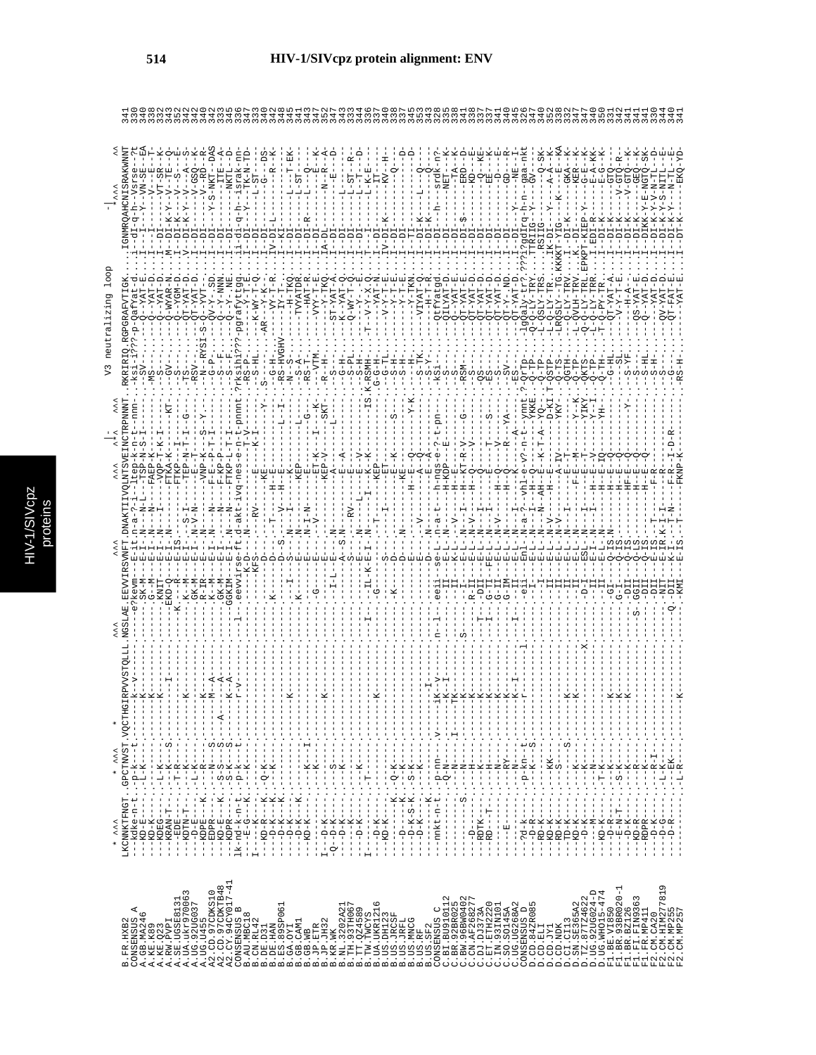| $\lambda$<br>$\star$                                            |                                                                                                                                                                                                                                                                                                                                                                                                    | $\lambda$<br>$\ast$                                                                                                                                                                                                                                                                                                                                                                                                               | ¥                                                                                                                                                                                                                                                                                                                                                                                                     |                          |                        |               |                  |                         | V <sub>3</sub>      | öö<br>zing<br>neutrali |                         |                              |  |
|-----------------------------------------------------------------|----------------------------------------------------------------------------------------------------------------------------------------------------------------------------------------------------------------------------------------------------------------------------------------------------------------------------------------------------------------------------------------------------|-----------------------------------------------------------------------------------------------------------------------------------------------------------------------------------------------------------------------------------------------------------------------------------------------------------------------------------------------------------------------------------------------------------------------------------|-------------------------------------------------------------------------------------------------------------------------------------------------------------------------------------------------------------------------------------------------------------------------------------------------------------------------------------------------------------------------------------------------------|--------------------------|------------------------|---------------|------------------|-------------------------|---------------------|------------------------|-------------------------|------------------------------|--|
| <b>LKCNNKTFNGT</b>                                              |                                                                                                                                                                                                                                                                                                                                                                                                    | . GPCTMVST. VQCTHGI                                                                                                                                                                                                                                                                                                                                                                                                               | $\frac{1}{4}$<br>Ť.<br>T                                                                                                                                                                                                                                                                                                                                                                              | ς.<br>Φ<br><b>IGSLAE</b> | δ                      |               | e<br>0           | -nn:<br>두               | $-ks1 - i$<br>RKRIR | $-QatYa$               |                         | MRQAHCNISRAKWNI<br>--Vsrse   |  |
|                                                                 |                                                                                                                                                                                                                                                                                                                                                                                                    | $\begin{array}{c} -1.76369 - 74.767 - 74.767 - 74.767 - 74.767 - 74.767 - 74.767 - 74.767 - 74.767 - 74.767 - 74.767 - 74.767 - 74.767 - 74.767 - 74.767 - 74.767 - 74.767 - 74.767 - 74.767 - 74.767 - 74.767 - 74.767 - 74.767 - 74.767 - 74.767 - 74.767 - 74.$                                                                                                                                                                | Ţ<br>Ţ<br>-1<br>$\begin{array}{c} \rule{0pt}{2.5ex} \rule{0pt}{2.5ex} \rule{0pt}{2.5ex} \rule{0pt}{2.5ex} \rule{0pt}{2.5ex} \rule{0pt}{2.5ex} \rule{0pt}{2.5ex} \rule{0pt}{2.5ex} \rule{0pt}{2.5ex} \rule{0pt}{2.5ex} \rule{0pt}{2.5ex} \rule{0pt}{2.5ex} \rule{0pt}{2.5ex} \rule{0pt}{2.5ex} \rule{0pt}{2.5ex} \rule{0pt}{2.5ex} \rule{0pt}{2.5ex} \rule{0pt}{2.5ex} \rule{0pt}{2.5ex} \rule{0$<br>I |                          | ≧<br>V                 |               |                  | ကူ                      |                     |                        | ե–ն<br>-                | $-NN-SE$                     |  |
|                                                                 |                                                                                                                                                                                                                                                                                                                                                                                                    |                                                                                                                                                                                                                                                                                                                                                                                                                                   | Ť<br>J.<br>$\mathbf{I}$<br>$\mathbf I$<br>J.<br>$\mathsf I$<br>$\mathsf I$                                                                                                                                                                                                                                                                                                                            |                          | - KNIT                 |               |                  |                         |                     |                        |                         | $T - SR$                     |  |
|                                                                 |                                                                                                                                                                                                                                                                                                                                                                                                    |                                                                                                                                                                                                                                                                                                                                                                                                                                   | $\frac{1}{1}$<br>Ť.                                                                                                                                                                                                                                                                                                                                                                                   |                          | $-$ EXD $-Q$           |               | $-FTKA-F$        |                         |                     | $-WYAR-$               | ¥-<br>14--1             | 巴---<br>7<br>צך              |  |
|                                                                 |                                                                                                                                                                                                                                                                                                                                                                                                    |                                                                                                                                                                                                                                                                                                                                                                                                                                   |                                                                                                                                                                                                                                                                                                                                                                                                       |                          |                        |               | -FTKP            |                         |                     |                        | $-10-$                  | ن<br> <br>                   |  |
|                                                                 |                                                                                                                                                                                                                                                                                                                                                                                                    | $\mathsf I$<br>$\frac{1}{1}$                                                                                                                                                                                                                                                                                                                                                                                                      | $\mathbf{I}$<br>ï<br>Ţ                                                                                                                                                                                                                                                                                                                                                                                |                          | N−−−<br>$-1.$ GK $-10$ | $-5 - 1$      | $-1 - N - 1$     | ひ                       | SV<br>m             | $T - YAT - T$          | $X - Y - Z = Z - Z - Z$ | <b>CSO-1</b><br>$-1 - 1 - 1$ |  |
|                                                                 |                                                                                                                                                                                                                                                                                                                                                                                                    | $\frac{1}{1}$                                                                                                                                                                                                                                                                                                                                                                                                                     | $\frac{1}{1}$<br>$\begin{array}{c} \end{array}$<br>Ì,                                                                                                                                                                                                                                                                                                                                                 |                          | $-1R$                  |               | $-WDP-$          |                         | $I - RY$            |                        |                         |                              |  |
|                                                                 |                                                                                                                                                                                                                                                                                                                                                                                                    |                                                                                                                                                                                                                                                                                                                                                                                                                                   | $\mathbf{I}$<br>J.<br>$\mathbf{I}$                                                                                                                                                                                                                                                                                                                                                                    |                          | $-1$                   |               |                  |                         | $G - D$             | メーン                    |                         | $-S-NKT$                     |  |
|                                                                 |                                                                                                                                                                                                                                                                                                                                                                                                    | $\frac{1}{1}$                                                                                                                                                                                                                                                                                                                                                                                                                     | $-4-1$<br>т<br>Ì,                                                                                                                                                                                                                                                                                                                                                                                     |                          | .GK-M<br>GKIN          |               |                  |                         | 中!                  | NNN-<br>7-<br>Ţ        |                         | $-1$ TE-                     |  |
|                                                                 |                                                                                                                                                                                                                                                                                                                                                                                                    | $-1$ - - - $-1$                                                                                                                                                                                                                                                                                                                                                                                                                   | ı<br>J.<br>1<br>I<br>İ,                                                                                                                                                                                                                                                                                                                                                                               |                          | --eevvirse-f           | t.d-akt       | -ivq-nes-e-n     | -prinnt<br>$\mathbb{I}$ | ksihi               | -pgrafyttg             | $-9 - h$<br>- 1<br>- 1  | -israk-nr                    |  |
|                                                                 |                                                                                                                                                                                                                                                                                                                                                                                                    | т<br>$\frac{1}{1}$<br>$ -K$                                                                                                                                                                                                                                                                                                                                                                                                       | $\mathbf I$<br>Ì,                                                                                                                                                                                                                                                                                                                                                                                     |                          |                        |               |                  |                         | $\frac{5}{2}$       |                        |                         | -TK-N-1                      |  |
| $\mathrel{\mathop{\mapsto}\,}$                                  |                                                                                                                                                                                                                                                                                                                                                                                                    | п<br>$\bullet$                                                                                                                                                                                                                                                                                                                                                                                                                    | п<br>$\mathbf I$                                                                                                                                                                                                                                                                                                                                                                                      |                          |                        | -RV           |                  |                         | EH-S-               | $-K-WY$ - $Y$          |                         |                              |  |
|                                                                 |                                                                                                                                                                                                                                                                                                                                                                                                    | Ţ<br>$-3-5-7$                                                                                                                                                                                                                                                                                                                                                                                                                     | Î<br>ı                                                                                                                                                                                                                                                                                                                                                                                                |                          |                        |               |                  |                         |                     |                        |                         | - pg                         |  |
|                                                                 | Ì<br>$\begin{array}{l} \mathsf{I} - \mathsf{I} - \mathsf{I} - \mathsf{K} - \mathsf{I} - \mathsf{I} \\ \mathsf{I} - \mathsf{K} \mathsf{D} - \mathsf{R} - \mathsf{I} - \mathsf{K} \\ \mathsf{I} - \mathsf{I} - \mathsf{I} - \mathsf{K} - \mathsf{I} \\ \mathsf{I} - \mathsf{I} - \mathsf{I} - \mathsf{I} - \mathsf{K} \\ \mathsf{I} - \mathsf{I} - \mathsf{I} - \mathsf{I} - \mathsf{I} \end{array}$ | $\mathbf I$<br>$=-K--$<br>$\mathsf I$                                                                                                                                                                                                                                                                                                                                                                                             | $\frac{1}{1}$<br>$\,$ I<br>Ì,                                                                                                                                                                                                                                                                                                                                                                         |                          |                        |               |                  |                         | H-5                 |                        |                         |                              |  |
|                                                                 |                                                                                                                                                                                                                                                                                                                                                                                                    | I<br>I<br>п<br>ı<br>$\vdots$                                                                                                                                                                                                                                                                                                                                                                                                      | $\frac{1}{1}$                                                                                                                                                                                                                                                                                                                                                                                         |                          |                        |               |                  |                         | -RS-H               |                        |                         |                              |  |
| $---D-K$<br>$\mathbf I$                                         | $\vdots$<br>$\frac{1}{1}$<br>Ĵ,                                                                                                                                                                                                                                                                                                                                                                    |                                                                                                                                                                                                                                                                                                                                                                                                                                   |                                                                                                                                                                                                                                                                                                                                                                                                       |                          |                        |               |                  |                         | 5 – 5<br>5 – 5      |                        |                         | $T - EK$                     |  |
|                                                                 | $\begin{array}{l} \vspace{2mm} - - -D - K - - - K \\ \vspace{2mm} - - K D - K - - - - \end{array}$                                                                                                                                                                                                                                                                                                 | $\cdot$ $--\to$ $      -$<br>$\mathbf{I}$<br>J.                                                                                                                                                                                                                                                                                                                                                                                   | $\frac{1}{2}$                                                                                                                                                                                                                                                                                                                                                                                         |                          |                        | ř<br>$N - I$  |                  |                         | 1-S.                | -TVYAT                 |                         | -ST.                         |  |
| $\mathbb I$<br>Ť<br>Ť.                                          | $\mathsf I$<br>Ť.<br>$\mathbb I$<br>$\mathbf{I}$<br>л.<br>I.                                                                                                                                                                                                                                                                                                                                       | ı<br>I<br>$---X---$                                                                                                                                                                                                                                                                                                                                                                                                               | $\frac{1}{1}$<br>п                                                                                                                                                                                                                                                                                                                                                                                    |                          |                        |               |                  |                         |                     |                        |                         |                              |  |
| Н                                                               | $\vdots$                                                                                                                                                                                                                                                                                                                                                                                           | Ţ<br>$\mathbf{I}$<br>$\mathsf I$<br>$\ddot{\cdot}$                                                                                                                                                                                                                                                                                                                                                                                |                                                                                                                                                                                                                                                                                                                                                                                                       |                          |                        |               |                  |                         |                     | T                      |                         |                              |  |
| Ġ                                                               |                                                                                                                                                                                                                                                                                                                                                                                                    | п<br>$-5 -$<br>$\mathbb{L}$<br>$\bullet$                                                                                                                                                                                                                                                                                                                                                                                          |                                                                                                                                                                                                                                                                                                                                                                                                       |                          | -1<br>-1               |               |                  |                         |                     | $-ST-TAT$              |                         | 中                            |  |
|                                                                 | $\mathbf{I}$<br>$\mathsf I$                                                                                                                                                                                                                                                                                                                                                                        | $\frac{1}{1}$<br>$-5$<br>Ť.<br>$\bullet$                                                                                                                                                                                                                                                                                                                                                                                          |                                                                                                                                                                                                                                                                                                                                                                                                       |                          |                        |               |                  |                         |                     |                        |                         |                              |  |
| $\mathbf{I}$                                                    | $\ddot{\phantom{a}}$<br>$\mathbf{I}$<br>$\mathbb{L}$                                                                                                                                                                                                                                                                                                                                               | $\blacksquare$<br>$\mathbf{I}$<br>-1                                                                                                                                                                                                                                                                                                                                                                                              |                                                                                                                                                                                                                                                                                                                                                                                                       |                          |                        | $-KV$         |                  |                         |                     |                        |                         | $-5T$                        |  |
| $\mathsf I$                                                     | $\vdots$<br>$\mathsf I$<br>Ť.                                                                                                                                                                                                                                                                                                                                                                      | $-K--$<br>$\mathsf I$                                                                                                                                                                                                                                                                                                                                                                                                             | $\ddot{\cdot}$                                                                                                                                                                                                                                                                                                                                                                                        |                          |                        |               |                  |                         |                     |                        |                         | ŀ                            |  |
| $\mathbf{H}$                                                    | $\ddot{\cdot}$                                                                                                                                                                                                                                                                                                                                                                                     | ł<br>루                                                                                                                                                                                                                                                                                                                                                                                                                            | $\ddot{\cdot}$                                                                                                                                                                                                                                                                                                                                                                                        |                          | $-L_{L-K-}$            |               |                  |                         |                     |                        |                         | $L - K - E -$                |  |
| I<br>$\mathbf{I}$                                               |                                                                                                                                                                                                                                                                                                                                                                                                    | $\frac{1}{1}$<br>п<br>$\mathsf I$<br>È                                                                                                                                                                                                                                                                                                                                                                                            |                                                                                                                                                                                                                                                                                                                                                                                                       |                          |                        |               |                  |                         |                     |                        |                         | $H$ – $K$ V – – H            |  |
|                                                                 | $\vdots$                                                                                                                                                                                                                                                                                                                                                                                           | $\frac{1}{1}$<br>$---K--Q-K$                                                                                                                                                                                                                                                                                                                                                                                                      |                                                                                                                                                                                                                                                                                                                                                                                                       |                          |                        |               |                  |                         |                     |                        |                         |                              |  |
|                                                                 |                                                                                                                                                                                                                                                                                                                                                                                                    | $\frac{1}{1}$<br>$\mathsf I$<br>$\frac{1}{1}$                                                                                                                                                                                                                                                                                                                                                                                     | $\frac{1}{1}$<br>I                                                                                                                                                                                                                                                                                                                                                                                    |                          |                        |               |                  |                         |                     | ĭ.                     |                         |                              |  |
|                                                                 |                                                                                                                                                                                                                                                                                                                                                                                                    | ŧ<br>באי<br>ין לאן<br>יין יין                                                                                                                                                                                                                                                                                                                                                                                                     |                                                                                                                                                                                                                                                                                                                                                                                                       |                          |                        |               | ŧ                | Y-K                     |                     |                        |                         |                              |  |
|                                                                 |                                                                                                                                                                                                                                                                                                                                                                                                    | ł                                                                                                                                                                                                                                                                                                                                                                                                                                 | I<br>ï                                                                                                                                                                                                                                                                                                                                                                                                |                          |                        |               |                  |                         |                     |                        | ř                       |                              |  |
| $\blacksquare$                                                  | $-$ -mkt-n-t<br>$-K$                                                                                                                                                                                                                                                                                                                                                                               | п<br>$\mathbf{I}$<br>J.<br>$\cdot$                                                                                                                                                                                                                                                                                                                                                                                                | $\frac{1}{1}$<br>$-1 - 2 - 1$                                                                                                                                                                                                                                                                                                                                                                         |                          | ed<br>0                | $n-a-$        | h-ngs-           | م.<br>ا                 |                     | $\bar{c}$              |                         | pas-                         |  |
| $\frac{1}{2}$<br>п<br>$\mathbf{I}$                              | $\mathbb{I}$<br>$\mathsf I$<br>$\mathsf I$<br>1<br>п<br>ï                                                                                                                                                                                                                                                                                                                                          |                                                                                                                                                                                                                                                                                                                                                                                                                                   |                                                                                                                                                                                                                                                                                                                                                                                                       |                          |                        |               | PP<br>r.<br>F    |                         |                     | QILIYA                 |                         | isk<br>F                     |  |
| $\frac{1}{1}$                                                   | J.<br>Ť                                                                                                                                                                                                                                                                                                                                                                                            | ÷<br>$\mathbb I$<br>$-1 - N -$<br>1<br>$\bullet$                                                                                                                                                                                                                                                                                                                                                                                  | ľ<br>$\frac{1}{1}$<br>J<br>'.                                                                                                                                                                                                                                                                                                                                                                         |                          | ņ                      |               |                  |                         |                     |                        |                         |                              |  |
| $\frac{1}{1}$<br>$\mathbf I$                                    | $\begin{array}{c} 1 & 0 \\ 1 & 1 \\ 1 & 1 \end{array}$<br>Ť<br>$\overline{\phantom{a}}$                                                                                                                                                                                                                                                                                                            |                                                                                                                                                                                                                                                                                                                                                                                                                                   | f,                                                                                                                                                                                                                                                                                                                                                                                                    |                          |                        |               | $T - R - V$<br>Ŧ |                         |                     | $T - YA$               |                         | ERD-                         |  |
| $-1 - 1$                                                        | $\vdots$<br>$\mathbf{I}$<br>I.<br>I<br>- 1<br><b>I</b>                                                                                                                                                                                                                                                                                                                                             | Ţ<br>$\frac{1}{1}$<br><b>中--</b><br>--                                                                                                                                                                                                                                                                                                                                                                                            | I,                                                                                                                                                                                                                                                                                                                                                                                                    |                          | 'n                     | $N-N$         |                  |                         |                     | $T - YAY$              |                         |                              |  |
| $--$ RDTK $--$                                                  | $\vdots$<br>$\blacksquare$                                                                                                                                                                                                                                                                                                                                                                         | ł<br>$ K$                                                                                                                                                                                                                                                                                                                                                                                                                         |                                                                                                                                                                                                                                                                                                                                                                                                       |                          | id-                    |               |                  |                         |                     | $P - Y A$              |                         | $\circ$                      |  |
| $\overline{\phantom{a}}$<br>$\overline{1}$<br>L.<br>$\mathbf I$ | J.<br>$\overline{\phantom{a}}$<br>J.<br>$\overline{\phantom{a}}$<br>j                                                                                                                                                                                                                                                                                                                              | Ţ<br>ł<br>$-1 - N -$<br>$-1$<br>$\cdot$                                                                                                                                                                                                                                                                                                                                                                                           | j<br>I<br>$\ddot{\cdot}$                                                                                                                                                                                                                                                                                                                                                                              |                          | 두<br>부                 | $N-V-$        |                  | H                       |                     | $T-TAY-T$<br>$I - YA$  |                         | 囯                            |  |
| ÷<br> <br>Ť                                                     | $\mathbf{I}$<br>$\mathbf I$<br>$\mathsf I$<br>$\,$ I<br>$\frac{1}{4}$                                                                                                                                                                                                                                                                                                                              | $\cdot$<br>$\begin{array}{c} \rule{0pt}{2.5ex} \rule{0pt}{2.5ex} \rule{0pt}{2.5ex} \rule{0pt}{2.5ex} \rule{0pt}{2.5ex} \rule{0pt}{2.5ex} \rule{0pt}{2.5ex} \rule{0pt}{2.5ex} \rule{0pt}{2.5ex} \rule{0pt}{2.5ex} \rule{0pt}{2.5ex} \rule{0pt}{2.5ex} \rule{0pt}{2.5ex} \rule{0pt}{2.5ex} \rule{0pt}{2.5ex} \rule{0pt}{2.5ex} \rule{0pt}{2.5ex} \rule{0pt}{2.5ex} \rule{0pt}{2.5ex} \rule{0$<br>$---RX - -$<br>Ť.<br>$\vdots$<br>t | I<br>I                                                                                                                                                                                                                                                                                                                                                                                                |                          | $-1M$                  |               |                  |                         |                     | r<br>L                 |                         |                              |  |
| I<br>$\mathbf{I}$<br>-1<br>Ť.                                   | $\mathbf{I}$<br>Ť.<br>$\mathbb I$<br>T<br>п<br>Ť.                                                                                                                                                                                                                                                                                                                                                  | $\mathbf I$<br>Ì                                                                                                                                                                                                                                                                                                                                                                                                                  | Ţ                                                                                                                                                                                                                                                                                                                                                                                                     |                          | 7                      |               |                  |                         |                     | $\Gamma$ -YAT          |                         | $-NEI$                       |  |
| $-3-4-5-7$<br>Ť.                                                | $\mathbf{I}$<br>-1<br>$\mathbf{I}$                                                                                                                                                                                                                                                                                                                                                                 | ٠,<br>$\cdots$ -p-kn--t                                                                                                                                                                                                                                                                                                                                                                                                           |                                                                                                                                                                                                                                                                                                                                                                                                       |                          | eii<br>ei              | – a−          | $-$ khv $-$      | ymnt                    |                     | $aly-tr$               |                         | gaa-ni<br>든                  |  |
| $\overline{\phantom{a}}$                                        | $\mathbf{I}$<br>ı<br>$\frac{1}{1}$                                                                                                                                                                                                                                                                                                                                                                 | $- -K - - -S$<br>$\mathsf I$<br>ŧ                                                                                                                                                                                                                                                                                                                                                                                                 |                                                                                                                                                                                                                                                                                                                                                                                                       |                          |                        |               |                  | YKKE                    |                     |                        |                         |                              |  |
| $---RD-K--$                                                     |                                                                                                                                                                                                                                                                                                                                                                                                    | $\ddot{\cdot}$                                                                                                                                                                                                                                                                                                                                                                                                                    |                                                                                                                                                                                                                                                                                                                                                                                                       |                          |                        |               |                  | ŠĀ.                     |                     | $-0.5LY-TR$            |                         | ò                            |  |
| $- - KD - K - -$<br>$---RD-FK$                                  | $\mathfrak l$<br>ï<br>J,                                                                                                                                                                                                                                                                                                                                                                           | ÷.<br>--- KK-<br>ή<br>Ť<br>$\mathsf I$<br>ţ                                                                                                                                                                                                                                                                                                                                                                                       | I                                                                                                                                                                                                                                                                                                                                                                                                     |                          |                        | $N-V-$<br>N−V |                  | $D-KI$<br>XKX           |                     | $-TR$<br>7ת – נ<br>7TS |                         | $A - A$<br>뛰                 |  |
| $---TDD-K$                                                      | $\vdots$<br>J,                                                                                                                                                                                                                                                                                                                                                                                     | $S$ – – –                                                                                                                                                                                                                                                                                                                                                                                                                         |                                                                                                                                                                                                                                                                                                                                                                                                       |                          |                        |               |                  |                         |                     | $-LY-TRV$              |                         | GKA                          |  |
| $-$ KD $-$ K                                                    | $\frac{1}{1}$                                                                                                                                                                                                                                                                                                                                                                                      | $-1 - 1$<br>t<br>$\bullet$                                                                                                                                                                                                                                                                                                                                                                                                        |                                                                                                                                                                                                                                                                                                                                                                                                       |                          |                        |               |                  |                         | 부                   |                        |                         | 臣                            |  |
| $---D-K-1$                                                      | $\mathbf I$<br>J.                                                                                                                                                                                                                                                                                                                                                                                  | J,<br>ł<br>$  K$<br>ţ                                                                                                                                                                                                                                                                                                                                                                                                             |                                                                                                                                                                                                                                                                                                                                                                                                       |                          |                        |               |                  |                         |                     | -TR<br>$XT -$          |                         | 뛰<br>ל<br>ו                  |  |
| $\frac{1}{1}$<br>I                                              | $\mathbf{I}$<br>$- -M - -$                                                                                                                                                                                                                                                                                                                                                                         | $\frac{1}{1}$<br>z<br> <br>J.<br>$\vdots$                                                                                                                                                                                                                                                                                                                                                                                         |                                                                                                                                                                                                                                                                                                                                                                                                       |                          |                        |               |                  |                         |                     | $-TRR$<br>r<br>1       |                         | $- A - K$<br>뛰               |  |
| $-$ - $\text{KD}$ - $\text{K}$ - $-$                            | $\mathbb{I}$<br>I.                                                                                                                                                                                                                                                                                                                                                                                 | ł<br>$-T-K$<br>ţ                                                                                                                                                                                                                                                                                                                                                                                                                  |                                                                                                                                                                                                                                                                                                                                                                                                       |                          |                        |               |                  | -нд                     |                     |                        |                         | 민<br>中!                      |  |
| $---D-R$<br>1<br>$\mathsf I$                                    | $\mathbf I$<br>T<br>$  \hbox{E}$ $ \hbox{N}$ $ \hbox{T}$ $ -$<br>J.<br>$\frac{1}{1}$                                                                                                                                                                                                                                                                                                               | J,<br>J,<br>$ K$<br>$-S-K$<br>L<br>$\bullet$                                                                                                                                                                                                                                                                                                                                                                                      |                                                                                                                                                                                                                                                                                                                                                                                                       |                          |                        |               |                  |                         |                     |                        |                         |                              |  |
| $--D-K-$<br>$\overline{\phantom{a}}$                            |                                                                                                                                                                                                                                                                                                                                                                                                    | $-$ K<br>$\overline{\phantom{a}}$                                                                                                                                                                                                                                                                                                                                                                                                 |                                                                                                                                                                                                                                                                                                                                                                                                       |                          |                        |               | .<br>پا          |                         |                     |                        |                         |                              |  |
|                                                                 |                                                                                                                                                                                                                                                                                                                                                                                                    | $-R$ $-$<br>$\ddot{\cdot}$<br>$\ddot{\cdot}$                                                                                                                                                                                                                                                                                                                                                                                      |                                                                                                                                                                                                                                                                                                                                                                                                       | ω                        |                        |               |                  |                         |                     | $S-YA'$                |                         |                              |  |
| ---KD-R----<br>--RDPR----                                       |                                                                                                                                                                                                                                                                                                                                                                                                    | -- - - K<br>$\cdot$                                                                                                                                                                                                                                                                                                                                                                                                               |                                                                                                                                                                                                                                                                                                                                                                                                       |                          |                        |               |                  |                         |                     |                        |                         | - E – H –                    |  |
| $-1 - 5 - 6$<br>$\mathsf I$                                     | J,                                                                                                                                                                                                                                                                                                                                                                                                 | $\,$ I<br>$-R-I$<br>$\frac{1}{4}$                                                                                                                                                                                                                                                                                                                                                                                                 |                                                                                                                                                                                                                                                                                                                                                                                                       |                          |                        |               |                  |                         |                     |                        |                         |                              |  |
| $\mathbf I$                                                     | $\mathbf{I}$<br>ł                                                                                                                                                                                                                                                                                                                                                                                  | $\ldots -L-K$                                                                                                                                                                                                                                                                                                                                                                                                                     |                                                                                                                                                                                                                                                                                                                                                                                                       |                          |                        |               |                  |                         |                     |                        |                         |                              |  |
| $---D-R$<br>$\frac{1}{1}$                                       | f.                                                                                                                                                                                                                                                                                                                                                                                                 | --EK--<br>$-L-R$<br>$\frac{1}{4}$                                                                                                                                                                                                                                                                                                                                                                                                 |                                                                                                                                                                                                                                                                                                                                                                                                       | O                        |                        |               |                  |                         |                     | $QT - FA$              |                         |                              |  |
|                                                                 |                                                                                                                                                                                                                                                                                                                                                                                                    |                                                                                                                                                                                                                                                                                                                                                                                                                                   |                                                                                                                                                                                                                                                                                                                                                                                                       |                          |                        |               |                  |                         |                     |                        |                         |                              |  |

 $\begin{smallmatrix} \texttt{R11} & \texttt{R180} & \texttt{R21} & \texttt{R30} & \texttt{R11} & \texttt{R21} & \texttt{R21} & \texttt{R21} & \texttt{R21} & \texttt{R21} & \texttt{R21} & \texttt{R21} & \texttt{R21} & \texttt{R21} & \texttt{R21} & \texttt{R21} & \texttt{R21} & \texttt{R21} & \texttt{R21} & \texttt{R21} & \texttt{R21} & \texttt{R21} & \texttt{R21} & \texttt{R2$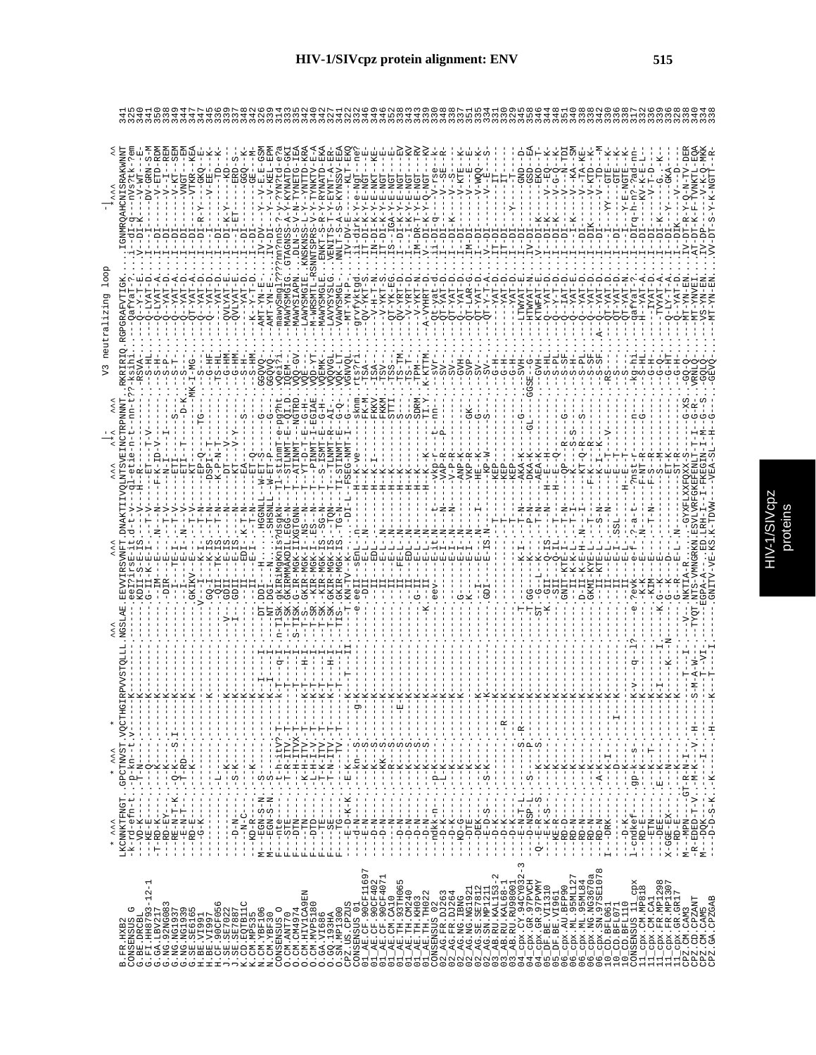| 2<br>r |
|--------|
|        |
|        |
|        |
|        |
|        |
|        |
|        |
|        |

|                               | Ų<br>$-$ nVs?t                             | $-1 - N - N$            | $--DV-GRN-S$<br>$-V-ETI$                                                         |                                    | VNGT<br>-V-KI                                                |                                   | GKO-         | <b>HR-A-</b> | -TD--K        | ERD-S<br>-KD-                        | မို့ပို့     |          | E-E<br>--V-F                       | エコ<br>V-KE<br>YN?                                                                                                                                                                                                                                                                                                                                                                                                                   | -KYNATD-        | <b>LENK.</b> | -GTTNY                                     | -TYNKTV-                           | -RYNAT                                | 4-LNIA-                                                   | ۳<br>-S-KYNSS                         | $-nc-$<br>-e-Nor- | -E-N-                             | $-E-NKT$               |                       | ī                                                                                                                                         | ĩ                     | î                           |                                   | -ssz-                     | $-8E$         |                          | <b>EXLIE</b>                         | $V-WOO$                   |                                                            |        |            |          |                                                  |                                             |                |           |                 |                                         | --TA-K<br>-KTD-                                    | Ê                          | ELP-                                                   | ELP                | $-X-E-NGTE$    | ad-nn?<br>$V - K$                                                                                                       |                                                | ¥                                        |                                                     |                                   |                                                                 |                                               |
|-------------------------------|--------------------------------------------|-------------------------|----------------------------------------------------------------------------------|------------------------------------|--------------------------------------------------------------|-----------------------------------|--------------|--------------|---------------|--------------------------------------|--------------|----------|------------------------------------|-------------------------------------------------------------------------------------------------------------------------------------------------------------------------------------------------------------------------------------------------------------------------------------------------------------------------------------------------------------------------------------------------------------------------------------|-----------------|--------------|--------------------------------------------|------------------------------------|---------------------------------------|-----------------------------------------------------------|---------------------------------------|-------------------|-----------------------------------|------------------------|-----------------------|-------------------------------------------------------------------------------------------------------------------------------------------|-----------------------|-----------------------------|-----------------------------------|---------------------------|---------------|--------------------------|--------------------------------------|---------------------------|------------------------------------------------------------|--------|------------|----------|--------------------------------------------------|---------------------------------------------|----------------|-----------|-----------------|-----------------------------------------|----------------------------------------------------|----------------------------|--------------------------------------------------------|--------------------|----------------|-------------------------------------------------------------------------------------------------------------------------|------------------------------------------------|------------------------------------------|-----------------------------------------------------|-----------------------------------|-----------------------------------------------------------------|-----------------------------------------------|
|                               | IGNMRQAHCNISRAKWNNT                        | Ť                       |                                                                                  |                                    |                                                              |                                   | ץ<br>$-DI-R$ |              |               | $I - K$<br>뛰                         |              |          | n<br>>                             |                                                                                                                                                                                                                                                                                                                                                                                                                                     | TAGNS           |              |                                            |                                    |                                       |                                                           |                                       |                   |                                   | $I - K$<br>IN-D.       | $-8-$<br>$I - K$<br>Ë | IGA                                                                                                                                       | $I - K$<br>Ä          | M-D                         |                                   |                           |               |                          |                                      |                           |                                                            |        |            |          |                                                  | ř                                           |                |           |                 | $-1-K$                                  | 7                                                  |                            | -YY                                                    |                    |                | $-2n - n -$<br>pzz                                                                                                      |                                                | ř                                        |                                                     |                                   | ř                                                               | $\nabla$ V-DT-S-Y-K-NGT                       |
| V3 neutralizing loop          | QafYaT                                     |                         | -LYA'<br>$-LYA$                                                                  |                                    | $-XY$<br>$-YAY$<br>⌒<br>O                                    | $QT - YAT$                        | -YAT<br>∩    | Ģ            |               | 3-TAXTVC<br><b><i>DAATIAL</i></b>    | -YAT-D       |          | $AMT - YN - E$                     | - NIX - TMA                                                                                                                                                                                                                                                                                                                                                                                                                         | mawySmq<br>MAWY |              | <b>PMSZMY</b>                              | $-WRSMTL-RSM$                      | MAWYSMG                               | <b>TAVYSYS</b>                                            | -NY-TM-<br>VAWYSMG                    | qrvfyktqo         | CAA-AO                            | $V-H-T$                | -V-YXT                | $OTY - YK$                                                                                                                                | DAX-AO                | V-YR<br>-V-Y                | -VYHR                             | r−∠<br>Ò                  | $X-LQ$        | OT-YA                    | $QT - LAX$<br>n                      | $\texttt{OT}-\texttt{YA}$ |                                                            |        |            |          | <b>LTWYA</b><br>HTWYA                            | KTWFA                                       | O              |           |                 |                                         |                                                    | Ó                          | $OT-YAT$ .                                             | $QT - YAT -$       | $QT - YAT - N$ | Texiep                                                                                                                  | TYA <sup>r</sup>                               | TVYA.                                    | Ĥ                                                   |                                   |                                                                 | MH – NA – LM<br>7-S/                          |
|                               | RKRIRIQ.RGPGRAFVTIGK<br>ksihi              |                         | EH-S                                                                             |                                    | ω                                                            |                                   |              |              | $-TS - H$     | G-HM<br>ひ                            | $S-H$        | $S - H$  | CGOVO                              | 79<br>vOei<br>ğ                                                                                                                                                                                                                                                                                                                                                                                                                     | EM              | $QQ - GV$    |                                            | L7-do/                             | <b>JQEMK</b>                          | pove                                                      | <b>PANAO</b>                          | rts;              |                                   | 52                     |                       |                                                                                                                                           |                       | Mď.                         |                                   | U,                        |               |                          |                                      |                           |                                                            |        |            |          | 58                                               | 29                                          |                |           |                 |                                         |                                                    |                            | $-RS$                                                  | C)                 | ω              | $-kg-1$                                                                                                                 |                                                |                                          |                                                     |                                   |                                                                 | 505<br><b>CEN</b>                             |
|                               |                                            |                         |                                                                                  |                                    | -D-K<br>w                                                    |                                   |              |              |               |                                      |              |          | ひ                                  | Ëć                                                                                                                                                                                                                                                                                                                                                                                                                                  |                 | <b>GRL</b>   |                                            | PINMT-                             |                                       |                                                           | Ö<br>!<br>C                           | sknm              | $FK-M$                            | <b>FKKV</b>            | <b>FKKM</b>           |                                                                                                                                           |                       | <b>SDRM</b>                 |                                   | m<br>--                   |               |                          |                                      | ĞK<br>ひ                   | U)                                                         |        |            |          | ひ                                                |                                             |                |           |                 |                                         |                                                    |                            |                                                        |                    |                |                                                                                                                         |                                                |                                          |                                                     |                                   |                                                                 |                                               |
|                               | DNAKTIIVQLNTSVEINCTRPNNNT<br>Ф             |                         | $F - K$                                                                          |                                    | $-ETI$                                                       |                                   | $P - Q$<br>囸 | LdSd-        | $-K-P-N-T$    | 적                                    |              |          | $-5 - 5$                           | 면<br><b>TTNSHS</b>                                                                                                                                                                                                                                                                                                                                                                                                                  | $\frac{1}{1}$   |              | H-LX                                       |                                    |                                       |                                                           | ֿים<br>י<br>Ω                         |                   |                                   |                        |                       |                                                                                                                                           |                       |                             |                                   | ί,                        | P-R           |                          |                                      |                           | آ<br>بم                                                    |        |            |          | AKA-P                                            |                                             | 포<br>          |           |                 |                                         |                                                    | T<br>H                     |                                                        |                    | 뛰<br>부         | ķ<br>euć.                                                                                                               | ကူ                                             |                                          |                                                     |                                   |                                                                 | -TDVW                                         |
|                               | EEVVIRSVNF                                 |                         | Ť                                                                                |                                    | F-TE                                                         |                                   |              |              |               |                                      |              |          | <b>TTNPOH.</b><br>Ŧ                | kIRiMqKn                                                                                                                                                                                                                                                                                                                                                                                                                            |                 |              | $R - M$                                    | KIR-MGF                            | KIR-MGE                               |                                                           | -IS.                                  | $-$ sFn           |                                   |                        |                       |                                                                                                                                           |                       |                             |                                   |                           |               |                          |                                      |                           |                                                            |        |            |          |                                                  |                                             |                |           |                 | ř                                       | 푸                                                  | 부<br>$-LI-KTER$            |                                                        | 닒                  |                |                                                                                                                         |                                                |                                          |                                                     |                                   | アマスト                                                            | GNITV-VE-KS.                                  |
|                               | .NGSLAE.                                   |                         | $\frac{1}{6}$                                                                    | -DIR                               |                                                              | GKIKV                             |              | $-99.$       | ŢIQ           | <b>TICP</b><br>d<br>B<br>B           |              |          | h<br>Fd-                           | 5H<br>ซี                                                                                                                                                                                                                                                                                                                                                                                                                            | KIRMM<br>-SK    | TISK.        | Γ-3                                        | '-SR                               | ှိ                                    | -SK.GKIR-MGE                                              | .GKIR-MGF<br>$T \cdot KM - TV$<br>СЧ. | .eeII             |                                   |                        |                       |                                                                                                                                           |                       |                             |                                   | vee.                      |               |                          |                                      |                           | E                                                          |        |            |          |                                                  |                                             | $-115$         |           | <b>GNIT-KTE</b> | --II-K                                  | .GKMI-KYE<br>$D - IL - K - E$                      |                            |                                                        |                    | Ţ              | ?evk                                                                                                                    |                                                |                                          |                                                     | .NKT                              | TYQT.                                                           | GPA-                                          |
|                               | <b>TTTOLSMAR</b>                           |                         |                                                                                  |                                    |                                                              |                                   |              |              |               |                                      |              |          |                                    |                                                                                                                                                                                                                                                                                                                                                                                                                                     |                 |              |                                            |                                    |                                       |                                                           |                                       |                   |                                   |                        |                       |                                                                                                                                           |                       |                             |                                   |                           |               |                          |                                      |                           |                                                            |        |            |          |                                                  |                                             |                |           |                 |                                         |                                                    |                            |                                                        |                    |                |                                                                                                                         |                                                |                                          |                                                     |                                   |                                                                 |                                               |
| $\ast$<br>$\lambda$<br>$\ast$ | GPCTNVST.VQCTHG<br>$-p - km - t \cdot v -$ | $-$ -N-T                | $\begin{array}{c} \n\downarrow \\ \downarrow \\ \downarrow\n\end{array}$<br>$-1$ | $-\mathbf{K}$                      | $\begin{array}{c} \end{array}$<br>$-T - RD - -$              | ţ.<br>¥                           |              |              |               | :<br>أ<br>¥<br>$S - K$               | $\mathbf{I}$ | ¥        | J<br>$\frac{1}{2}$                 | -t-h-itV?-T--<br>m                                                                                                                                                                                                                                                                                                                                                                                                                  |                 |              | $\mathbb{L}^{\mathbb{L}}$<br>$-. -K-H-TTV$ | J<br>Ė.<br>$\cdots$ $-1$ $-1$ $-1$ | ł<br>f.<br>$\cdots$ - $T - K - T T V$ | j.<br>$-1 - 1$<br>F.<br>$-1 - N - 1 - N - 1$              | $\Delta \Delta \rm{L}$ – $-$<br>J,    | ᡃ<br>---km---s.-  | ٠.<br>CΟ<br>$\mathsf I$<br>$-K--$ | $\frac{1}{2}$<br>$  K$ | $-$ -KK $-$ -S        | $S$ ---<br>$- R$                                                                                                                          | $S - -$<br>$ -K$      | -- - - -<br>$ K$<br>$ K$    | $S$ – – –<br>ပ္ပ<br>$\frac{1}{1}$ | $\frac{1}{1}$<br>$-5 - 5$ | ł<br>$-1 - K$ | Ţ<br>ł<br>$ K$           | $-K$                                 | ţ<br>¥<br>$-$ K           | ļ.<br>$\vdots$<br>$S - K$                                  |        | $-4$<br>ŕ, |          | $- R -$<br>$S - - -$<br>$-1$<br>$-5 -$<br>J<br>п | $- - -$<br>×.                               | $ K$           | ¥         | $-$ K           | $- -K -$                                | ł<br>$ K$                                          | ł<br>$ K$<br>$\ldots -A-K$ | Ϊ,<br>$---EE - I$                                      | ÷<br>$\frac{1}{1}$ | – – – – – – –  | $\frac{1}{1}$<br>ł<br>$-9P-K$<br>ž                                                                                      | $-1$<br>$-K$                                   | $\frac{1}{1}$<br>$  K$                   | $\frac{1}{1}$<br>$-1$<br>¥                          | $-1 - 2 - 2 - 1$                  | $\frac{1}{4}$                                                   | $-H--$<br>$\frac{1}{1}$                       |
| $\lambda$<br>$\ast$           | þ<br>LKCNNKTFNGT<br>$-k-rd-efn-t$          | ţ<br>п<br>$-3 - CD - C$ | $-T-T-RD-F-1$<br>$---E - E - - -$                                                | $-{\bf K}{\bf B}-{\bf G}{\bf K}$ – | $-$ - RE-N-T-K. $-$ - $Q$ - K - $-$ - S. I<br>$-1 - N - H -$ | $\ddot{\cdot}$<br>J.<br>$-BD - E$ | $-K-5-$      |              | $\frac{1}{2}$ | Ì<br>$\ddot{\cdot}$<br>-<br>A-<br>A- | $-1$         | $-KD-R-$ | $\cdot$<br>$N - S - S - S - S - S$ | $\begin{array}{l} M--\texttt{BCAN-S-N}\\ F---\texttt{DCE}---\texttt{S}---\texttt{S}---\texttt{S}---\texttt{S}---\texttt{S}---\texttt{S}---\texttt{S}---\texttt{S}---\texttt{S}---\texttt{S}---\texttt{S}---\texttt{S}---\texttt{S}---\texttt{S}---\texttt{S}---\texttt{S}---\texttt{S}---\texttt{S}---\texttt{S}---\texttt{S}---\texttt{S}---\texttt{S}---\texttt{S}---\texttt{S}---\texttt{S}---\texttt{S}---\texttt{S}---\texttt$ |                 |              |                                            | $-010-$<br>Ŀ                       | $-TT$<br>叫                            | $\vdots$<br>$-SE-$<br>$-TC$<br>叫<br>叫                     | $-B-D-K-K$ $-E-K$                     | ਰ−ਸ−              | ー<br>ロー<br>ロー                     |                        | $-1 - N - 1$          | $-1 - N -$                                                                                                                                | ı<br>$-1 - N - N - 1$ | $-1 - N - 1$<br>$-1$ – $-1$ | $N-D$                             | I<br>--ndkk-n-            | --D-K         | п<br>$\vdots$<br>$-D-K-$ | $\vdots$<br>$--DTE-$<br>$-$ KD $-$ G | $--$ DEK $-$              | ï<br>ķ.<br>$\ddot{\cdot}$<br>Ť.<br>$E-D-S$<br>$\mathbf{I}$ | -D-K-- | $-L-K-$    | $-D-K--$ | $--D-NSP-L$<br>$E-N-T-L$ .<br>Ï                  | $-R$ – – – $S$<br>Ť<br>$\frac{1}{\sqrt{2}}$ | $E-K-S--$<br>Ţ | $-KE - R$ | $-EBI - D$      | Ţ<br>$\ddot{\cdot}$<br>$-$ RD $-$ N $-$ | $\vdots$<br>$  R$ $D$ $ N$ $-$<br>$-$ RD $-$ N $-$ | $\vdots$<br>$-$ -RD $-$ N  | Ì<br>$I = -DRK -$                                      | ţ                  | ţ<br>$---D-K-$ | -cndkef-<br>-RD-E                                                                                                       | $\ddot{\cdot}$<br>$\vdots$<br>$-$ ETN $-$<br>п | $\frac{1}{2}$<br>J.<br>J.<br>$---DEE---$ | ţ<br>$X-GGE - EX -$<br>$-RD - E$                    | --NPN--<br>$\stackrel{+}{\simeq}$ | $-{\bf R}-{\bf EDED}-{\bf T-V} \ . \ -{\bf M}-{\bf K}-{\bf -V}$ | --D-D-S-K-K-<br>$\frac{1}{4}$<br>$M--DQK-$    |
|                               | U<br><b>B. FR. HXB2</b><br>CONSENSUS       | .BE.DRCBL<br>ひ          | .FI.HB793-12-1<br>.FI.HB793-12-1<br>ca LBV217                                    |                                    |                                                              |                                   |              |              |               |                                      |              |          |                                    |                                                                                                                                                                                                                                                                                                                                                                                                                                     |                 |              |                                            |                                    |                                       | 0.04.VI686<br>0.02.1933HA<br>0.92.1933HA<br>0.92.US.CPZUS |                                       | $\Xi$             |                                   |                        |                       | CONSENSION<br>CONSENSION CONTROL<br>COLORING CORPORATION<br>COLORING CORPORATION<br>COLORING CORPORATION<br>COLORING COLORING CORPORATION |                       |                             |                                   |                           |               |                          |                                      |                           |                                                            |        |            |          | 3                                                |                                             |                |           |                 |                                         |                                                    |                            | $\overline{\phantom{a}}$ CD.BFL06<br>`g`o`o`o<br>O`HHH |                    |                | $10000$<br>$100000$ : BFL071<br>$10000$ : BFL110<br>CONSENSUS $11$ <sub>-CP</sub> x<br>$11$ <sub>-CPX</sub> . CM. MP818 | CPX.CM.CA1                                     |                                          | L_cpx.FR.MP1298<br>L_cpx.FR.MP1307<br>L_cpx.GR.GR17 | CPZ.CM.CAM3                       |                                                                 | CPZ.CD.CPZANT<br>CPZ.CM.CAM5<br>CPZ.GA.CPZGAB |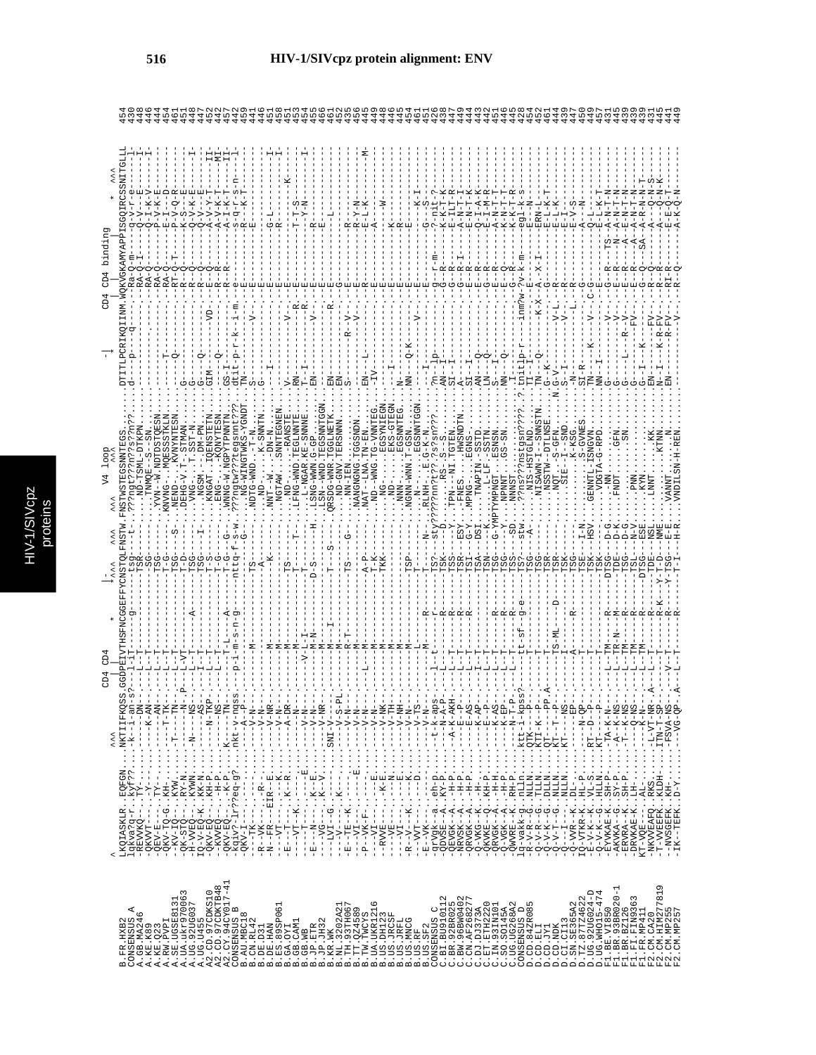HIV-1/SIVcpz HIV-1/SIVcpz proteins

| <b>TINSS</b><br>PISGOIRC<br>RN<br>T<br>δġ<br>T<br>DTITLPCRIKQIINM.WQKVGKAMYAP<br>bindi<br>CD4<br>-1<br>CD4<br>tit-p-r<br>nit1<br>$\frac{1}{4}$<br>」<br>A<br>GIM<br>EGSNNT<br>-SNN<br>SST<br>- KS<br>$-W. NDTDST$<br>SNG-WWN<br>CNGAT<br>Pnatw<br>NGTAW<br>PNGNG<br>GSM<br>させ<br>რ<br>ა<br>SDG-M<br>₹<br>C)<br>ω<br>FYCNSTOLFNS<br>Т<br>C)<br>∏<br>¤<br>۴g<br>CD <sub>4</sub><br><b>GGDP</b><br>CD <sub>4</sub><br>. . NKTIIFKQ<br>$-k - i - an$<br><b>NG-----</b><br>$-1$ - $K$ - $AM$<br>$M - - -$<br>---T-TK<br>$\mathbf{M}\mathbf{I}$ – – –<br>z<br>I<br>$-NS$<br>$-4S$<br>.-----N-TK<br>$- - - - -$<br>E<br>--<br>nkt-v-nq<br>--A--P<br>$-1 - 1 - 1$<br>$-12 - 12 - 12$<br>$--V$ - NR-<br>$-12 - 12 - 12$<br>$---A-DR$<br>$-7$<br>$-N-\Lambda - -$<br>$-12 - 12 - 12$<br>$-V-MR$<br>$-5 - 7 - -$<br>$-1 - V - N -$<br>$-12 - 12 - 12$<br>$-1 - V - N -$<br>$-1$ $-1$ $-1$<br>$--V$ – NK<br>H1-A--<br>HN-7-<br>$-1 - 1 - 1$<br>$-1 - V - TS$<br>$-1$ - $N$ - $-1$<br>$-1-t-k-ap$<br>$- -N - A$<br>$- -A - K - AK$<br>$-1 - E - P$<br>$-K-AP$<br>$-K - AS$<br>$-K-EP$<br>.ktt-i-kps<br>.QTK-----P-<br>.KTI-K--P-<br>-SN---------<br>-KL----------<br>-SN------------<br>$-5B -$<br>$\begin{array}{c} -\frac{1}{2} \times 1 \\ -\frac{1}{2} \times 1 \\ -\frac{1}{2} \times 1 \\ -\frac{1}{2} \times 1 \\ -\frac{1}{2} \times 1 \\ -\frac{1}{2} \times 1 \\ -\frac{1}{2} \times 1 \\ -\frac{1}{2} \times 1 \\ -\frac{1}{2} \times 1 \\ -\frac{1}{2} \times 1 \\ -\frac{1}{2} \times 1 \\ -\frac{1}{2} \times 1 \\ -\frac{1}{2} \times 1 \\ -\frac{1}{2} \times 1 \\ -\frac{1}{2} \times 1 \\ -\frac{1}{2} \times 1 \\ -\frac{1$<br>$- - - - - - - - - - - -$<br>$-L-VT-MR$<br>$-V-TUS$ .<br>$T - N - T$<br>$-1$<br>$-1 - N -$<br>ł<br>$\frac{1}{1}$<br>$\lambda$<br>I<br>т<br>J.<br>J.<br>T<br>$\overline{\phantom{a}}$<br>J.<br>T<br>I<br>$\frac{1}{1}$<br>$\blacksquare$<br>$\overline{1}$<br>J.<br>п<br>п<br>п<br>т<br>п<br>J.<br>ï<br>I.<br>⋈<br>-1<br>$\cdot$<br>ţ<br>$\ddot{\cdot}$<br>$\cdot$<br>$\cdot$<br>$\ddot{\phantom{0}}$<br>$\cdot$<br>$\cdot$<br>$\vdots$<br>$\vdots$<br>$\ddot{\cdot}$<br>$\bullet$<br>$\cdot$<br>$\cdot$<br>$\cdot$<br>$\cdot$<br>$\ddot{\cdot}$<br>$\bullet$<br>$\cdot$<br>$\vdots$<br>$\cdot$<br>$\cdot$<br>$\vdots$<br>$\vdots$<br>$\cdot$<br>$\cdot$<br>$\cdots$ – $\mathbf{X} \mathbf{T}$ .<br>$\ddot{\cdot}$<br>$\cdot$<br>LKQIASKLRBQFGN<br>lqkva?q-rkyf??<br>-REVVKQ--TY-<br>洼<br>$\begin{array}{rl} -\bar{Q}K V-E\bar{Q}--K H-P~.\\ -K V V E\bar{Q}--K-F P~.\\ -\bar{Q}K V-E\bar{Q}--K-F P~.\\ -\bar{Q}K V-E\bar{Q}--K-F P~.\\ -K\sigma L V^2-Lr\, ?^2\sigma q-g^2~. \end{array}$<br>면<br>-<br>-<br>$- - - \underline{T} - - - -$<br>$K - - R$<br>$\begin{array}{l} -\text{NKVVVERAFQ}\,\cdot\,\text{,} \text{RKS}\,\cdot\\ -\text{T}-\text{VVBEEK}\,\cdot\,\cdot\,\text{KLDH} \end{array}$<br>$\begin{bmatrix} 1 & 1 \\ 1 & 1 \\ 1 & 1 \end{bmatrix}$<br>$\overline{K}$ $\overline{K}$ $\overline{V}$<br>$\cdots -K-E.$<br>$-7$<br>$\begin{array}{c} \mathbb{H} \\ \mathbb{H} \\ \mathbb{H} \end{array}$<br>$\begin{array}{c}\n\hline\n-\hline\n\end{array}$<br>– qrVgk--ах.<br>q-drVys--ах.<br>q-d---<br>$-QEVGK--A.$ .<br>-NRVSK--A-H-P<br>-NRVSK--AH-P<br>-QRVGK--AH-P<br>$\cdot \cdot \cdot \cdot \cdot H - \cdot \cdot$<br>$RH-P$<br>nLln.<br>WITIN<br>$\begin{minipage}{.4\linewidth} \label{eq:optimal} \begin{minipage}{.4\linewidth} \vspace{-0.5cm} \textbf{.} \end{minipage} \begin{minipage}{.4\linewidth} \vspace{-0.5cm} \begin{minipage}{.4\linewidth} \vspace{-0.5cm} \textbf{.} \end{minipage} \begin{minipage}{.4\linewidth} \vspace{-0.5cm} \textbf{.} \end{minipage} \begin{minipage}{.4\linewidth} \vspace{-0.5cm} \begin{minipage}{.4\linewidth} \vspace{-0.5cm} \textbf{.} \end{minipage} \begin{minipage}{.4\linewidth} \vspace{-0.5cm} \$<br>$-$ . NLIN<br><b>NTTH</b><br>$-DRVKAE-K. LH-.$<br>$-1.141-$<br>$\ldots$ K – – – .<br>$---T E---K$ . . $---$<br>$\mathbf I$<br>$\ldots$ - $H-H$ .<br>$\begin{array}{c}\n\vdots \\ \vdots\n\end{array}$<br>$MLLM$ . $-9$<br>$\ldots$ HL-P<br>$\ldots$ VL-S<br>$\frac{3H - P}{3H - P}$<br>$-K$<br>$\frac{1}{1}$<br>$\ldots$ DL- $\ldots$<br>Ť.<br>$\ddot{x}$ - $\ddot{x}$<br>I<br>$\frac{1}{1}$<br>$- - -VT - -K$<br>$\cdot$<br>$---LVT---G$<br>$\frac{1}{1}$<br>$\frac{1}{4}$<br>$\frac{1}{4}$<br>$\frac{1}{4}$<br>ŀ<br>t<br>ţ<br>j.<br>Ì<br>$-VGK - -A$<br>$-2KVVT$ ---<br>$-2$ KVKE- $-2$ .<br>-2RVGK--A.<br>$- -K$<br>$-1$<br>$-VVR - K$<br>$-V-K--G$<br><b>LKQIASKLR</b><br>$- - - - - - - - -$<br>$R - -V - -K$<br>$X - -$<br>  x n v - 1<br>  q - vakk - g .<br>  R - V - R - - G .<br>  - N - R - - G .<br>$-VTKR-K$<br>$-V-K--K$<br>$-AKVKA - G$<br>$-ERVRA - K$<br>EYVKAE-K<br>$-1-\Delta-\Delta$<br>Ĵ<br>$-1 - 1 - 1 - 1$<br>$--VK-F$<br>$-QEV - E - -$<br>$-QKV - I - -$<br>-- TK --<br>$- -50 - -$<br>Ť<br>t.<br>$-$ RVVE $-$<br>---VE---<br>$- -1V - -$<br>$-VTT-$<br>--VK--<br>$\frac{1}{1}$<br>$KT-VQE--$<br>$-Q-VKG-$<br>$-5V$<br>$-QWVRE$<br>$-\overline{Q}-V-K$<br>$- - -VI$<br>$-7 - T$<br>$\frac{1}{1}$<br>$\frac{1}{1}$<br>Ť.<br>闰<br>闰<br>j<br>뛰<br>$\Delta_{\rm I}$<br>囟<br>Ģ<br>öö<br>÷<br>Ġ<br>뛰<br>$\circ$<br>т<br>≺<br>J.<br>п<br>$\mathbf{I}$<br>$\begin{smallmatrix} \texttt{R,R} & \texttt{HXB3} \\ \texttt{A} & \texttt{MAD4} \\ \texttt{A} & \texttt{MAD4} \\ \texttt{A} & \texttt{R} & \texttt{MAD4} \\ \texttt{A} & \texttt{R} & \texttt{MAD4} \\ \texttt{A} & \texttt{R} & \texttt{MAD4} \\ \texttt{A} & \texttt{R} & \texttt{MAD4} \\ \texttt{A} & \texttt{R} & \texttt{MAD4} \\ \texttt{A} & \texttt{R} & \texttt{MAD4} \\ \texttt{A} & \texttt{R} & \texttt{MAD4} \\ \texttt{$<br>$\begin{array}{l} \text{D. \, UG. \, WBO15-474} \\ \text{F1. \, BE. \, VIB50} \\ \text{F1. \, BE. \, 93B020-1} \\ \text{F1. \, BE. \, 12126} \\ \text{F1. \, EE. \, 12126} \\ \text{F1. \, FE. \, MP411} \\ \text{F1. \, FE. \, MP411} \\ \text{F2. \, CH20} \\ \text{F3. \, CH20} \\ \end{array}$<br>$\begin{smallmatrix} \texttt{CONSEINSEUS} \texttt{C} \\ \texttt{C. B1} & \texttt{3DSDSEUS} \\ \texttt{D1} & \texttt{3DSDSEUS} \\ \texttt{D2} & \texttt{3DSDSEUS} \\ \texttt{C. B1} & \texttt{3DSDSEUS} \\ \texttt{D3} & \texttt{3DSDSEUS} \\ \texttt{C. B1} & \texttt{3DSDSEUS} \\ \texttt{D4} & \texttt{3DSDSEUS} \\ \texttt{D5} & \texttt{3DSDSEUS} \\ \texttt{D6} & \texttt{3DSDSEUS} \\ \texttt{D6} & \texttt{3DSDSEUS} \\$ |  |  |  |  |  |  |  |  |  |  |  |  |  |  |  |  |  |  |  |  |  |  |  |  |  |  |  |  |  |  |  |  |  |  |                 |                   |
|--------------------------------------------------------------------------------------------------------------------------------------------------------------------------------------------------------------------------------------------------------------------------------------------------------------------------------------------------------------------------------------------------------------------------------------------------------------------------------------------------------------------------------------------------------------------------------------------------------------------------------------------------------------------------------------------------------------------------------------------------------------------------------------------------------------------------------------------------------------------------------------------------------------------------------------------------------------------------------------------------------------------------------------------------------------------------------------------------------------------------------------------------------------------------------------------------------------------------------------------------------------------------------------------------------------------------------------------------------------------------------------------------------------------------------------------------------------------------------------------------------------------------------------------------------------------------------------------------------------------------------------------------------------------------------------------------------------------------------------------------------------------------------------------------------------------------------------------------------------------------------------------------------------------------------------------------------------------------------------------------------------------------------------------------------------------------------------------------------------------------------------------------------------------------------------------------------------------------------------------------------------------------------------------------------------------------------------------------------------------------------------------------------------------------------------------------------------------------------------------------------------------------------------------------------------------------------------------------------------------------------------------------------------------------------------------------------------------------------------------------------------------------------------------------------------------------------------------------------------------------------------------------------------------------------------------------------------------------------------------------------------------------------------------------------------------------------------------------------------------------------------------------------------------------------------------------------------------------------------------------------------------------------------------------------------------------------------------------------------------------------------------------------------------------------------------------------------------------------------------------------------------------------------------------------------------------------------------------------------------------------------------------------------------------------------------------------------------------------------------------------------------------------------------------------------------------------------------------------------------------------------------------------------------------------------------------------------------------------------------------------------------------------------------------------------------------------------------------------------------------------------------------------------------------------------------------------------------------------------------------------------------------------------------------------------------------------------------------------------------------------------------------------------------------------------------------------------------------------------------------------------------------------------------------------------------------------------------------------------------------------------------------------------------------------------------------------------------------------------------------------------------------------------------------------------------------------------------------------------------------------------------------------------------------------------------------------------------------------------------------------------------------------------------------------------------------------------------------------------------------------------------------------------------------------------------------------------------------------------------------------------------------------------------------------------------------------------------------------------------------------------------------------------------------------------------------------------------------------------------------------------------------------------------------------------------------------------------------------------------------------------------------------------------------------------------------------------------------------------------------------------------------------------------------------------------------------------------------------------------------------------------------------------------------------------------------------------------------------------------------------------------------------------------------------------------------------------------------------------------------------------------------------------------------------------------------------------------------------------------------------------------------------------------------------------------------------------------------------------------------------|--|--|--|--|--|--|--|--|--|--|--|--|--|--|--|--|--|--|--|--|--|--|--|--|--|--|--|--|--|--|--|--|--|--|-----------------|-------------------|
|                                                                                                                                                                                                                                                                                                                                                                                                                                                                                                                                                                                                                                                                                                                                                                                                                                                                                                                                                                                                                                                                                                                                                                                                                                                                                                                                                                                                                                                                                                                                                                                                                                                                                                                                                                                                                                                                                                                                                                                                                                                                                                                                                                                                                                                                                                                                                                                                                                                                                                                                                                                                                                                                                                                                                                                                                                                                                                                                                                                                                                                                                                                                                                                                                                                                                                                                                                                                                                                                                                                                                                                                                                                                                                                                                                                                                                                                                                                                                                                                                                                                                                                                                                                                                                                                                                                                                                                                                                                                                                                                                                                                                                                                                                                                                                                                                                                                                                                                                                                                                                                                                                                                                                                                                                                                                                                                                                                                                                                                                                                                                                                                                                                                                                                                                                                                                                                                                                                                                                                                                                                                                                                                                                                                                                                                                                                                                                                |  |  |  |  |  |  |  |  |  |  |  |  |  |  |  |  |  |  |  |  |  |  |  |  |  |  |  |  |  |  |  |  |  |  |                 |                   |
|                                                                                                                                                                                                                                                                                                                                                                                                                                                                                                                                                                                                                                                                                                                                                                                                                                                                                                                                                                                                                                                                                                                                                                                                                                                                                                                                                                                                                                                                                                                                                                                                                                                                                                                                                                                                                                                                                                                                                                                                                                                                                                                                                                                                                                                                                                                                                                                                                                                                                                                                                                                                                                                                                                                                                                                                                                                                                                                                                                                                                                                                                                                                                                                                                                                                                                                                                                                                                                                                                                                                                                                                                                                                                                                                                                                                                                                                                                                                                                                                                                                                                                                                                                                                                                                                                                                                                                                                                                                                                                                                                                                                                                                                                                                                                                                                                                                                                                                                                                                                                                                                                                                                                                                                                                                                                                                                                                                                                                                                                                                                                                                                                                                                                                                                                                                                                                                                                                                                                                                                                                                                                                                                                                                                                                                                                                                                                                                |  |  |  |  |  |  |  |  |  |  |  |  |  |  |  |  |  |  |  |  |  |  |  |  |  |  |  |  |  |  |  |  |  |  |                 |                   |
|                                                                                                                                                                                                                                                                                                                                                                                                                                                                                                                                                                                                                                                                                                                                                                                                                                                                                                                                                                                                                                                                                                                                                                                                                                                                                                                                                                                                                                                                                                                                                                                                                                                                                                                                                                                                                                                                                                                                                                                                                                                                                                                                                                                                                                                                                                                                                                                                                                                                                                                                                                                                                                                                                                                                                                                                                                                                                                                                                                                                                                                                                                                                                                                                                                                                                                                                                                                                                                                                                                                                                                                                                                                                                                                                                                                                                                                                                                                                                                                                                                                                                                                                                                                                                                                                                                                                                                                                                                                                                                                                                                                                                                                                                                                                                                                                                                                                                                                                                                                                                                                                                                                                                                                                                                                                                                                                                                                                                                                                                                                                                                                                                                                                                                                                                                                                                                                                                                                                                                                                                                                                                                                                                                                                                                                                                                                                                                                |  |  |  |  |  |  |  |  |  |  |  |  |  |  |  |  |  |  |  |  |  |  |  |  |  |  |  |  |  |  |  |  |  |  |                 |                   |
|                                                                                                                                                                                                                                                                                                                                                                                                                                                                                                                                                                                                                                                                                                                                                                                                                                                                                                                                                                                                                                                                                                                                                                                                                                                                                                                                                                                                                                                                                                                                                                                                                                                                                                                                                                                                                                                                                                                                                                                                                                                                                                                                                                                                                                                                                                                                                                                                                                                                                                                                                                                                                                                                                                                                                                                                                                                                                                                                                                                                                                                                                                                                                                                                                                                                                                                                                                                                                                                                                                                                                                                                                                                                                                                                                                                                                                                                                                                                                                                                                                                                                                                                                                                                                                                                                                                                                                                                                                                                                                                                                                                                                                                                                                                                                                                                                                                                                                                                                                                                                                                                                                                                                                                                                                                                                                                                                                                                                                                                                                                                                                                                                                                                                                                                                                                                                                                                                                                                                                                                                                                                                                                                                                                                                                                                                                                                                                                |  |  |  |  |  |  |  |  |  |  |  |  |  |  |  |  |  |  |  |  |  |  |  |  |  |  |  |  |  |  |  |  |  |  |                 |                   |
|                                                                                                                                                                                                                                                                                                                                                                                                                                                                                                                                                                                                                                                                                                                                                                                                                                                                                                                                                                                                                                                                                                                                                                                                                                                                                                                                                                                                                                                                                                                                                                                                                                                                                                                                                                                                                                                                                                                                                                                                                                                                                                                                                                                                                                                                                                                                                                                                                                                                                                                                                                                                                                                                                                                                                                                                                                                                                                                                                                                                                                                                                                                                                                                                                                                                                                                                                                                                                                                                                                                                                                                                                                                                                                                                                                                                                                                                                                                                                                                                                                                                                                                                                                                                                                                                                                                                                                                                                                                                                                                                                                                                                                                                                                                                                                                                                                                                                                                                                                                                                                                                                                                                                                                                                                                                                                                                                                                                                                                                                                                                                                                                                                                                                                                                                                                                                                                                                                                                                                                                                                                                                                                                                                                                                                                                                                                                                                                |  |  |  |  |  |  |  |  |  |  |  |  |  |  |  |  |  |  |  |  |  |  |  |  |  |  |  |  |  |  |  |  |  |  |                 |                   |
|                                                                                                                                                                                                                                                                                                                                                                                                                                                                                                                                                                                                                                                                                                                                                                                                                                                                                                                                                                                                                                                                                                                                                                                                                                                                                                                                                                                                                                                                                                                                                                                                                                                                                                                                                                                                                                                                                                                                                                                                                                                                                                                                                                                                                                                                                                                                                                                                                                                                                                                                                                                                                                                                                                                                                                                                                                                                                                                                                                                                                                                                                                                                                                                                                                                                                                                                                                                                                                                                                                                                                                                                                                                                                                                                                                                                                                                                                                                                                                                                                                                                                                                                                                                                                                                                                                                                                                                                                                                                                                                                                                                                                                                                                                                                                                                                                                                                                                                                                                                                                                                                                                                                                                                                                                                                                                                                                                                                                                                                                                                                                                                                                                                                                                                                                                                                                                                                                                                                                                                                                                                                                                                                                                                                                                                                                                                                                                                |  |  |  |  |  |  |  |  |  |  |  |  |  |  |  |  |  |  |  |  |  |  |  |  |  |  |  |  |  |  |  |  |  |  |                 |                   |
|                                                                                                                                                                                                                                                                                                                                                                                                                                                                                                                                                                                                                                                                                                                                                                                                                                                                                                                                                                                                                                                                                                                                                                                                                                                                                                                                                                                                                                                                                                                                                                                                                                                                                                                                                                                                                                                                                                                                                                                                                                                                                                                                                                                                                                                                                                                                                                                                                                                                                                                                                                                                                                                                                                                                                                                                                                                                                                                                                                                                                                                                                                                                                                                                                                                                                                                                                                                                                                                                                                                                                                                                                                                                                                                                                                                                                                                                                                                                                                                                                                                                                                                                                                                                                                                                                                                                                                                                                                                                                                                                                                                                                                                                                                                                                                                                                                                                                                                                                                                                                                                                                                                                                                                                                                                                                                                                                                                                                                                                                                                                                                                                                                                                                                                                                                                                                                                                                                                                                                                                                                                                                                                                                                                                                                                                                                                                                                                |  |  |  |  |  |  |  |  |  |  |  |  |  |  |  |  |  |  |  |  |  |  |  |  |  |  |  |  |  |  |  |  |  |  |                 |                   |
|                                                                                                                                                                                                                                                                                                                                                                                                                                                                                                                                                                                                                                                                                                                                                                                                                                                                                                                                                                                                                                                                                                                                                                                                                                                                                                                                                                                                                                                                                                                                                                                                                                                                                                                                                                                                                                                                                                                                                                                                                                                                                                                                                                                                                                                                                                                                                                                                                                                                                                                                                                                                                                                                                                                                                                                                                                                                                                                                                                                                                                                                                                                                                                                                                                                                                                                                                                                                                                                                                                                                                                                                                                                                                                                                                                                                                                                                                                                                                                                                                                                                                                                                                                                                                                                                                                                                                                                                                                                                                                                                                                                                                                                                                                                                                                                                                                                                                                                                                                                                                                                                                                                                                                                                                                                                                                                                                                                                                                                                                                                                                                                                                                                                                                                                                                                                                                                                                                                                                                                                                                                                                                                                                                                                                                                                                                                                                                                |  |  |  |  |  |  |  |  |  |  |  |  |  |  |  |  |  |  |  |  |  |  |  |  |  |  |  |  |  |  |  |  |  |  |                 |                   |
|                                                                                                                                                                                                                                                                                                                                                                                                                                                                                                                                                                                                                                                                                                                                                                                                                                                                                                                                                                                                                                                                                                                                                                                                                                                                                                                                                                                                                                                                                                                                                                                                                                                                                                                                                                                                                                                                                                                                                                                                                                                                                                                                                                                                                                                                                                                                                                                                                                                                                                                                                                                                                                                                                                                                                                                                                                                                                                                                                                                                                                                                                                                                                                                                                                                                                                                                                                                                                                                                                                                                                                                                                                                                                                                                                                                                                                                                                                                                                                                                                                                                                                                                                                                                                                                                                                                                                                                                                                                                                                                                                                                                                                                                                                                                                                                                                                                                                                                                                                                                                                                                                                                                                                                                                                                                                                                                                                                                                                                                                                                                                                                                                                                                                                                                                                                                                                                                                                                                                                                                                                                                                                                                                                                                                                                                                                                                                                                |  |  |  |  |  |  |  |  |  |  |  |  |  |  |  |  |  |  |  |  |  |  |  |  |  |  |  |  |  |  |  |  |  |  |                 |                   |
|                                                                                                                                                                                                                                                                                                                                                                                                                                                                                                                                                                                                                                                                                                                                                                                                                                                                                                                                                                                                                                                                                                                                                                                                                                                                                                                                                                                                                                                                                                                                                                                                                                                                                                                                                                                                                                                                                                                                                                                                                                                                                                                                                                                                                                                                                                                                                                                                                                                                                                                                                                                                                                                                                                                                                                                                                                                                                                                                                                                                                                                                                                                                                                                                                                                                                                                                                                                                                                                                                                                                                                                                                                                                                                                                                                                                                                                                                                                                                                                                                                                                                                                                                                                                                                                                                                                                                                                                                                                                                                                                                                                                                                                                                                                                                                                                                                                                                                                                                                                                                                                                                                                                                                                                                                                                                                                                                                                                                                                                                                                                                                                                                                                                                                                                                                                                                                                                                                                                                                                                                                                                                                                                                                                                                                                                                                                                                                                |  |  |  |  |  |  |  |  |  |  |  |  |  |  |  |  |  |  |  |  |  |  |  |  |  |  |  |  |  |  |  |  |  |  |                 |                   |
|                                                                                                                                                                                                                                                                                                                                                                                                                                                                                                                                                                                                                                                                                                                                                                                                                                                                                                                                                                                                                                                                                                                                                                                                                                                                                                                                                                                                                                                                                                                                                                                                                                                                                                                                                                                                                                                                                                                                                                                                                                                                                                                                                                                                                                                                                                                                                                                                                                                                                                                                                                                                                                                                                                                                                                                                                                                                                                                                                                                                                                                                                                                                                                                                                                                                                                                                                                                                                                                                                                                                                                                                                                                                                                                                                                                                                                                                                                                                                                                                                                                                                                                                                                                                                                                                                                                                                                                                                                                                                                                                                                                                                                                                                                                                                                                                                                                                                                                                                                                                                                                                                                                                                                                                                                                                                                                                                                                                                                                                                                                                                                                                                                                                                                                                                                                                                                                                                                                                                                                                                                                                                                                                                                                                                                                                                                                                                                                |  |  |  |  |  |  |  |  |  |  |  |  |  |  |  |  |  |  |  |  |  |  |  |  |  |  |  |  |  |  |  |  |  |  | д<br>$LTIN-T-S$ | $-FSVA-NS$        |
|                                                                                                                                                                                                                                                                                                                                                                                                                                                                                                                                                                                                                                                                                                                                                                                                                                                                                                                                                                                                                                                                                                                                                                                                                                                                                                                                                                                                                                                                                                                                                                                                                                                                                                                                                                                                                                                                                                                                                                                                                                                                                                                                                                                                                                                                                                                                                                                                                                                                                                                                                                                                                                                                                                                                                                                                                                                                                                                                                                                                                                                                                                                                                                                                                                                                                                                                                                                                                                                                                                                                                                                                                                                                                                                                                                                                                                                                                                                                                                                                                                                                                                                                                                                                                                                                                                                                                                                                                                                                                                                                                                                                                                                                                                                                                                                                                                                                                                                                                                                                                                                                                                                                                                                                                                                                                                                                                                                                                                                                                                                                                                                                                                                                                                                                                                                                                                                                                                                                                                                                                                                                                                                                                                                                                                                                                                                                                                                |  |  |  |  |  |  |  |  |  |  |  |  |  |  |  |  |  |  |  |  |  |  |  |  |  |  |  |  |  |  |  |  |  |  |                 | $\mathbb{I}$      |
|                                                                                                                                                                                                                                                                                                                                                                                                                                                                                                                                                                                                                                                                                                                                                                                                                                                                                                                                                                                                                                                                                                                                                                                                                                                                                                                                                                                                                                                                                                                                                                                                                                                                                                                                                                                                                                                                                                                                                                                                                                                                                                                                                                                                                                                                                                                                                                                                                                                                                                                                                                                                                                                                                                                                                                                                                                                                                                                                                                                                                                                                                                                                                                                                                                                                                                                                                                                                                                                                                                                                                                                                                                                                                                                                                                                                                                                                                                                                                                                                                                                                                                                                                                                                                                                                                                                                                                                                                                                                                                                                                                                                                                                                                                                                                                                                                                                                                                                                                                                                                                                                                                                                                                                                                                                                                                                                                                                                                                                                                                                                                                                                                                                                                                                                                                                                                                                                                                                                                                                                                                                                                                                                                                                                                                                                                                                                                                                |  |  |  |  |  |  |  |  |  |  |  |  |  |  |  |  |  |  |  |  |  |  |  |  |  |  |  |  |  |  |  |  |  |  |                 | --NVSGEFK. KH     |
|                                                                                                                                                                                                                                                                                                                                                                                                                                                                                                                                                                                                                                                                                                                                                                                                                                                                                                                                                                                                                                                                                                                                                                                                                                                                                                                                                                                                                                                                                                                                                                                                                                                                                                                                                                                                                                                                                                                                                                                                                                                                                                                                                                                                                                                                                                                                                                                                                                                                                                                                                                                                                                                                                                                                                                                                                                                                                                                                                                                                                                                                                                                                                                                                                                                                                                                                                                                                                                                                                                                                                                                                                                                                                                                                                                                                                                                                                                                                                                                                                                                                                                                                                                                                                                                                                                                                                                                                                                                                                                                                                                                                                                                                                                                                                                                                                                                                                                                                                                                                                                                                                                                                                                                                                                                                                                                                                                                                                                                                                                                                                                                                                                                                                                                                                                                                                                                                                                                                                                                                                                                                                                                                                                                                                                                                                                                                                                                |  |  |  |  |  |  |  |  |  |  |  |  |  |  |  |  |  |  |  |  |  |  |  |  |  |  |  |  |  |  |  |  |  |  |                 | $\frac{2}{7}7819$ |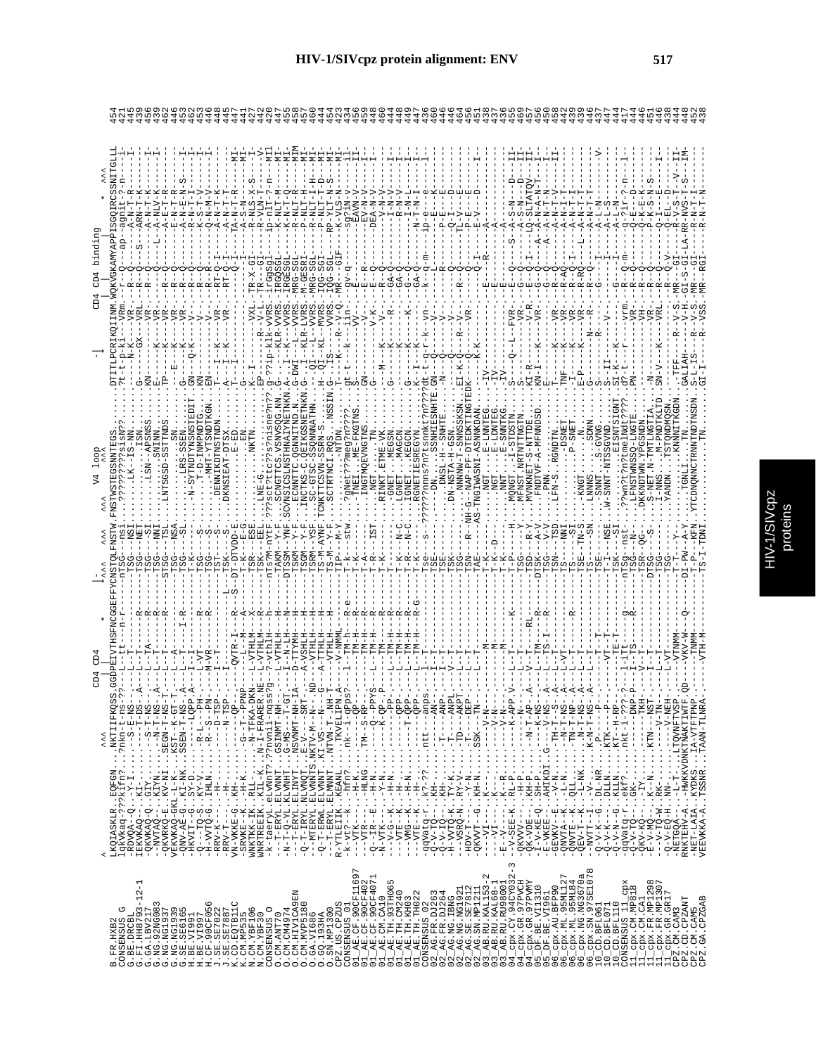| ഗ |
|---|
|   |
|   |
|   |
|   |
|   |
|   |

|           |                                    |                                                  |                       |                       | 74-NT.    |                          |                                                                                                                                                                                                                                                                                |           |                      |                   |                                       |                               |                                          |               |  |           |                                                              |                               |                                                             |                              |            |                                    |                                                     |                         |                                                                                                                                               |                   |                     |                                |                                                                    |                            |                                                                                                                                                                                 |                                                        |                                        |                         |                                                                                                                                                                                                                                                                                                                                                                                                                                     |                    |                              |             |                             |                                                 |                                      |                                        |                                      |                                                                                                                                                                                                                                                                                                                |                                   |              |           |               |           |                |                              |                                        |                                                                                                                                                                                                                                                                                                                                                                                                           |                     |                                                         |                                                |                                        |                                                                                                                                                                                                                                                                                                           |                    |                                               |
|-----------|------------------------------------|--------------------------------------------------|-----------------------|-----------------------|-----------|--------------------------|--------------------------------------------------------------------------------------------------------------------------------------------------------------------------------------------------------------------------------------------------------------------------------|-----------|----------------------|-------------------|---------------------------------------|-------------------------------|------------------------------------------|---------------|--|-----------|--------------------------------------------------------------|-------------------------------|-------------------------------------------------------------|------------------------------|------------|------------------------------------|-----------------------------------------------------|-------------------------|-----------------------------------------------------------------------------------------------------------------------------------------------|-------------------|---------------------|--------------------------------|--------------------------------------------------------------------|----------------------------|---------------------------------------------------------------------------------------------------------------------------------------------------------------------------------|--------------------------------------------------------|----------------------------------------|-------------------------|-------------------------------------------------------------------------------------------------------------------------------------------------------------------------------------------------------------------------------------------------------------------------------------------------------------------------------------------------------------------------------------------------------------------------------------|--------------------|------------------------------|-------------|-----------------------------|-------------------------------------------------|--------------------------------------|----------------------------------------|--------------------------------------|----------------------------------------------------------------------------------------------------------------------------------------------------------------------------------------------------------------------------------------------------------------------------------------------------------------|-----------------------------------|--------------|-----------|---------------|-----------|----------------|------------------------------|----------------------------------------|-----------------------------------------------------------------------------------------------------------------------------------------------------------------------------------------------------------------------------------------------------------------------------------------------------------------------------------------------------------------------------------------------------------|---------------------|---------------------------------------------------------|------------------------------------------------|----------------------------------------|-----------------------------------------------------------------------------------------------------------------------------------------------------------------------------------------------------------------------------------------------------------------------------------------------------------|--------------------|-----------------------------------------------|
|           |                                    |                                                  |                       |                       |           |                          |                                                                                                                                                                                                                                                                                |           |                      |                   |                                       |                               |                                          |               |  |           |                                                              |                               |                                                             |                              |            |                                    |                                                     | t<br>B                  |                                                                                                                                               |                   |                     |                                | てり                                                                 | З                          |                                                                                                                                                                                 |                                                        |                                        |                         |                                                                                                                                                                                                                                                                                                                                                                                                                                     |                    |                              |             |                             |                                                 |                                      |                                        |                                      |                                                                                                                                                                                                                                                                                                                |                                   |              |           |               |           |                |                              |                                        |                                                                                                                                                                                                                                                                                                                                                                                                           |                     |                                                         |                                                |                                        |                                                                                                                                                                                                                                                                                                           |                    |                                               |
| 8         |                                    |                                                  |                       |                       |           |                          |                                                                                                                                                                                                                                                                                |           |                      |                   |                                       |                               |                                          |               |  |           |                                                              |                               |                                                             |                              |            |                                    |                                                     |                         |                                                                                                                                               |                   |                     |                                |                                                                    |                            |                                                                                                                                                                                 |                                                        |                                        |                         |                                                                                                                                                                                                                                                                                                                                                                                                                                     |                    |                              |             |                             |                                                 |                                      |                                        |                                      |                                                                                                                                                                                                                                                                                                                |                                   |              |           |               |           |                |                              |                                        |                                                                                                                                                                                                                                                                                                                                                                                                           |                     |                                                         |                                                |                                        |                                                                                                                                                                                                                                                                                                           |                    |                                               |
|           |                                    |                                                  |                       |                       |           |                          |                                                                                                                                                                                                                                                                                |           |                      |                   |                                       |                               |                                          |               |  |           |                                                              |                               |                                                             |                              |            |                                    |                                                     |                         |                                                                                                                                               |                   |                     |                                |                                                                    |                            |                                                                                                                                                                                 |                                                        |                                        |                         |                                                                                                                                                                                                                                                                                                                                                                                                                                     |                    |                              |             |                             |                                                 |                                      |                                        |                                      |                                                                                                                                                                                                                                                                                                                |                                   |              |           |               |           |                |                              |                                        |                                                                                                                                                                                                                                                                                                                                                                                                           |                     |                                                         |                                                |                                        |                                                                                                                                                                                                                                                                                                           |                    |                                               |
|           |                                    |                                                  |                       |                       |           |                          |                                                                                                                                                                                                                                                                                |           |                      |                   |                                       |                               |                                          |               |  |           |                                                              |                               |                                                             |                              |            |                                    |                                                     |                         |                                                                                                                                               |                   |                     |                                |                                                                    |                            |                                                                                                                                                                                 |                                                        |                                        |                         |                                                                                                                                                                                                                                                                                                                                                                                                                                     |                    |                              |             |                             |                                                 |                                      |                                        |                                      |                                                                                                                                                                                                                                                                                                                |                                   |              |           |               |           |                |                              |                                        |                                                                                                                                                                                                                                                                                                                                                                                                           |                     |                                                         |                                                |                                        |                                                                                                                                                                                                                                                                                                           |                    |                                               |
|           |                                    |                                                  |                       |                       |           |                          |                                                                                                                                                                                                                                                                                |           |                      |                   |                                       |                               |                                          |               |  |           |                                                              |                               |                                                             |                              |            |                                    |                                                     |                         |                                                                                                                                               |                   |                     |                                |                                                                    |                            |                                                                                                                                                                                 |                                                        |                                        |                         |                                                                                                                                                                                                                                                                                                                                                                                                                                     |                    |                              |             |                             |                                                 |                                      |                                        |                                      |                                                                                                                                                                                                                                                                                                                |                                   |              |           |               |           |                |                              |                                        |                                                                                                                                                                                                                                                                                                                                                                                                           |                     |                                                         |                                                |                                        |                                                                                                                                                                                                                                                                                                           |                    |                                               |
|           |                                    |                                                  |                       |                       |           |                          |                                                                                                                                                                                                                                                                                |           |                      |                   |                                       |                               |                                          |               |  |           |                                                              |                               |                                                             |                              |            |                                    |                                                     |                         |                                                                                                                                               |                   |                     |                                |                                                                    |                            |                                                                                                                                                                                 |                                                        |                                        |                         |                                                                                                                                                                                                                                                                                                                                                                                                                                     |                    |                              |             |                             |                                                 |                                      |                                        |                                      |                                                                                                                                                                                                                                                                                                                |                                   |              |           |               |           |                |                              | SNN                                    |                                                                                                                                                                                                                                                                                                                                                                                                           |                     |                                                         |                                                |                                        |                                                                                                                                                                                                                                                                                                           |                    |                                               |
|           |                                    |                                                  |                       |                       |           |                          |                                                                                                                                                                                                                                                                                |           |                      |                   |                                       |                               | TVIDD                                    |               |  |           |                                                              |                               |                                                             |                              |            |                                    |                                                     |                         |                                                                                                                                               |                   |                     |                                |                                                                    |                            |                                                                                                                                                                                 |                                                        |                                        |                         |                                                                                                                                                                                                                                                                                                                                                                                                                                     |                    |                              |             |                             |                                                 |                                      |                                        |                                      |                                                                                                                                                                                                                                                                                                                |                                   | 55           |           |               | $-5$      |                |                              | <b>HSN-</b>                            |                                                                                                                                                                                                                                                                                                                                                                                                           |                     |                                                         |                                                |                                        |                                                                                                                                                                                                                                                                                                           |                    |                                               |
|           |                                    |                                                  |                       |                       |           |                          |                                                                                                                                                                                                                                                                                |           |                      |                   |                                       |                               |                                          |               |  |           |                                                              |                               |                                                             |                              |            |                                    |                                                     |                         |                                                                                                                                               |                   |                     |                                |                                                                    |                            |                                                                                                                                                                                 |                                                        |                                        |                         |                                                                                                                                                                                                                                                                                                                                                                                                                                     |                    |                              |             |                             |                                                 |                                      |                                        |                                      |                                                                                                                                                                                                                                                                                                                |                                   |              |           |               |           |                |                              |                                        |                                                                                                                                                                                                                                                                                                                                                                                                           |                     |                                                         |                                                |                                        |                                                                                                                                                                                                                                                                                                           |                    |                                               |
|           |                                    |                                                  |                       |                       |           |                          |                                                                                                                                                                                                                                                                                |           |                      |                   |                                       |                               |                                          |               |  |           |                                                              |                               |                                                             |                              |            |                                    |                                                     |                         |                                                                                                                                               |                   |                     |                                |                                                                    |                            |                                                                                                                                                                                 |                                                        |                                        |                         |                                                                                                                                                                                                                                                                                                                                                                                                                                     |                    |                              |             |                             |                                                 |                                      |                                        |                                      |                                                                                                                                                                                                                                                                                                                |                                   |              |           |               |           |                |                              |                                        |                                                                                                                                                                                                                                                                                                                                                                                                           |                     |                                                         |                                                |                                        |                                                                                                                                                                                                                                                                                                           |                    |                                               |
| ă         | සි                                 |                                                  |                       |                       |           |                          |                                                                                                                                                                                                                                                                                |           |                      |                   |                                       |                               |                                          |               |  |           |                                                              |                               |                                                             |                              |            |                                    |                                                     |                         |                                                                                                                                               |                   |                     |                                |                                                                    |                            |                                                                                                                                                                                 |                                                        |                                        |                         |                                                                                                                                                                                                                                                                                                                                                                                                                                     |                    |                              |             |                             |                                                 |                                      |                                        |                                      |                                                                                                                                                                                                                                                                                                                |                                   |              |           |               |           |                |                              |                                        |                                                                                                                                                                                                                                                                                                                                                                                                           |                     |                                                         |                                                |                                        |                                                                                                                                                                                                                                                                                                           |                    |                                               |
| $\lambda$ | NKTIIFKQS                          | $?nkn-t-ns$                                      | $\cdots$ $    \cdots$ |                       |           | $-. \ldots$ KST- $-K-GT$ |                                                                                                                                                                                                                                                                                |           |                      | $-2 - -8 - -5 - $ | $-12T - 1 - 1$                        | 10H-N--------                 | $-90 -$                                  | FQ--T-------- |  |           |                                                              |                               |                                                             |                              |            |                                    |                                                     |                         |                                                                                                                                               |                   |                     |                                | $-19$<br>j                                                         | $-99$<br>ł                 | 140-1---------                                                                                                                                                                  | $-92P$                                                 | ntt---anp                              | $-KA$<br>$-TT-1$ – $-1$ | $\cdots$ $-1$ $-1$ $-1$ $-1$                                                                                                                                                                                                                                                                                                                                                                                                        | $-TD - -AKI$       | $--$ DEE<br>$\ddot{\vec{r}}$ | $M = -1285$ | $-1$<br>$-1$<br>$-1$        |                                                 | $- -N - N - -$                       | $-K-AP$                                | $-\frac{1}{1}$<br>$\frac{1}{1}$<br>I |                                                                                                                                                                                                                                                                                                                | $- -K - NS$<br>$-1 - - - - - - -$ |              |           |               |           | $$ $K-N-T$ -NS | $\frac{1}{1}$                | $\frac{1}{1}$                          |                                                                                                                                                                                                                                                                                                                                                                                                           | $$ $nkt-1-22$ ?     | $-10MF$<br>$-150$                                       | $--NST$                                        | $-V-TN$ -                              | HN-7-1-1                                                                                                                                                                                                                                                                                                  | LTOVNFTVS          |                                               |
|           |                                    | $2S - 2 - 1 - 1 - 1 - 2 - 1 - 2 - 1$<br>$\vdots$ | $\ldots$ KI-          | $\ldots$ GIY $\ldots$ |           | . KV-NISEGN-T-NS         |                                                                                                                                                                                                                                                                                |           |                      | $\ldots$ THLN.    | $\frac{1}{2}$<br>$-1 + 2 + 1 + 1 + 1$ | $\frac{1}{2}$                 | $\frac{1}{2}$<br>$\ddotsc$ KH- $\ddotsc$ |               |  |           |                                                              |                               |                                                             |                              |            |                                    |                                                     |                         | J<br>$\cdot$                                                                                                                                  | $$ -HLNGTM--S-RP- |                     |                                | - 1111112-H-11                                                     | $\vdots$<br>$\ldots - H -$ | $N-H-1$ .                                                                                                                                                                       | $\begin{array}{c}\n1 \\ 1 \\ 1 \\ 2 \\ 3\n\end{array}$ |                                        | ٠.<br>$KH-1$ .          | $X-XJ$ .<br>KH-.                                                                                                                                                                                                                                                                                                                                                                                                                    | $\ddot{x}$ . RY-V- |                              | $N-K-X$     | $\frac{1}{2}$               |                                                 | $\frac{1}{2}$                        | ţ                                      | $\cdot$                              | $\begin{array}{c} \n 1. & \n 1. & \n 1. & \n 1. & \n 1. & \n 1. & \n 1. & \n 1. & \n 1. & \n 1. & \n 1. & \n 1. & \n 1. & \n 1. & \n 1. & \n 1. & \n 1. & \n 1. & \n 1. & \n 1. & \n 1. & \n 1. & \n 1. & \n 1. & \n 1. & \n 1. & \n 1. & \n 1. & \n 1. & \n 1. & \n 1. & \n 1. & \n 1. & \n 1. & \n 1. & \n $ | AHIKDI                            |              |           |               |           | $\cdots -v -$  | $\frac{1}{2}$<br>$.$ $DL-MR$ | DLLNKTK--                              | . KLLMKT--H-RP                                                                                                                                                                                                                                                                                                                                                                                            | ekf?.               | $\frac{1}{2}$<br>$\ldots$ GK- $\ldots$<br>$\dots -IY$ . | $-1$ N $\ldots$ $\ldots$ KTN-<br>$\frac{1}{2}$ | $\frac{1}{2}$<br>$\ldots$ RK- $\ldots$ | $\vdots$<br>$\cdot$ MN- $\cdot$                                                                                                                                                                                                                                                                           | $\cdots$ - $L - T$ | RNKTEHV-A-HWKKVDNKTNAKTIWT                    |
|           | LKQIASKLRBQFGN<br>lqkVkaq-???kifn? | -ROVOA-                                          | $\alpha$<br>IEKVKAQ-- | $-QKVRAQ-Q$           | -- NVTAQ- | $-QKVRKQ-E$              | $\begin{array}{l} \mathsf{V}\mathsf{EKVKAQ}\mathrm{--} \mathsf{G}\mathsf{KL}\mathrm{--} \mathsf{L}\mathrm{-}\mathsf{K}\\ \mathrm{Q}\mathsf{N}\mathsf{V}\mathrm{-} \mathsf{A}\mathsf{E}\mathrm{-}\mathsf{G}\mathrm{-.}\;\;\mathsf{K}\mathsf{I}\mathrm{-}\mathsf{N} \end{array}$ | -HKVIT--G | $-0$ - $-1$ - $-0$ - | U-QIVV-H-         | $-$ RRV $-$ K $-$                     | $\overline{1}$<br>$-$ RRV-T-- | VN-VKKE-G                                |               |  |           | -k-taeryL.eLvNnT?.??nvnii-nqs<br>---T-ERYL.ELVNNTGSINNTMT-NH |                               | -N-T-Q-YL'KTYMHL'NSVMMHT---<br>-H-T-ERXYL'ETIXAT'NSVMMH-TH- | $-Q-T-TRYL. NLMQT. E-V-$     |            | $-Q-T-ERWL$ . ELVINT. . KI-VS---N- | ---T-ERYL.ELMNNTNTVN-T-.NT<br>R-YTLEIIKKEANLTKVELIP | -k-vt?--k-hfn?nk--i-qPg | $-\nabla \mathbb{T} \mathbb{K} \, \text{--} \, \text{--} \, \ldots \, \text{--} \, \mathbb{H} \, \text{--} \, \mathbb{K} \, \ldots \, \ldots$ | $---VTR---$       | $-Q$ - $-LR$ - $-E$ | I.<br>$-{\rm N}-{\rm VTK}$ – – | $- - - - - - K$                                                    | $--TTE--K$                 | $-$ K<br>$--VMC$                                                                                                                                                                | $--TTE--K$                                             | -qqVatq-r.<br>--Q-V-TQ--.<br>--QT-V-Q- | $\vdots$                | Ξ                                                                                                                                                                                                                                                                                                                                                                                                                                   |                    | $-T-VCHI$                    | $-QKVVT$ -G | $\mathbf{I}$<br>ł<br>$-1VI$ | $\cdot \cdot \cdot K^{---}$<br>$-1 - 1 - 1 - 1$ |                                      | $-V-SEE-K$                             | $\mathfrak l$<br>$-QKVVVV -$         | $-QK-VDE--$                                                                                                                                                                                                                                                                                                    | $-2 - V - KE - Q$<br>$-E-VKEE$ -  | $-GEVKV - E$ | -QNVTA--K | $=-K$         | -QEV-T--K | $-1 - 1$       | $-Q-V-K--G$                  | $\overline{\phantom{a}}$<br>$-Q-V-K--$ | U--Z-2-0-                                                                                                                                                                                                                                                                                                                                                                                                 | $-qqVatq-r$         | -Q-V-TQ---.<br>--QXV-KQ---.                             | $-E-V-VQ$                                      | $M-\overline{C}L-\Lambda$              | $-Q - V - EQ - H$                                                                                                                                                                                                                                                                                         | -NETGOA-           | $-NETT - LATA$                                |
| ≺         |                                    |                                                  |                       |                       |           |                          |                                                                                                                                                                                                                                                                                |           |                      |                   |                                       |                               |                                          |               |  |           |                                                              |                               |                                                             |                              |            |                                    |                                                     |                         | T<br>п                                                                                                                                        |                   |                     |                                | - 1                                                                |                            |                                                                                                                                                                                 |                                                        |                                        |                         |                                                                                                                                                                                                                                                                                                                                                                                                                                     |                    |                              |             | L<br>т                      | $\blacksquare$                                  | $-V - -E - -V -$                     | $\mathbf{I}$<br>3                      |                                      |                                                                                                                                                                                                                                                                                                                |                                   |              |           | <b>HLAND-</b> |           |                |                              |                                        |                                                                                                                                                                                                                                                                                                                                                                                                           |                     |                                                         |                                                | $\blacksquare$                         |                                                                                                                                                                                                                                                                                                           |                    |                                               |
|           |                                    | ひ                                                |                       |                       |           |                          |                                                                                                                                                                                                                                                                                |           |                      |                   |                                       |                               |                                          |               |  | $\circ$   |                                                              |                               | 畐                                                           |                              |            |                                    |                                                     | 5                       | $A$ E.CF.90CF11697<br>$-AB.CF.90CF402$<br>$A$ E.CF.90CF402                                                                                    |                   |                     |                                | $\frac{1 - AB \cdot CM \cdot CA10}{1 - AE \cdot TH \cdot 93TH065}$ |                            |                                                                                                                                                                                 |                                                        |                                        |                         | $\begin{array}{l} \text{co} \text{NSE} \text{RHS} \text{US} \\ 02\_ \text{AG}, \text{PR}, \text{LDJ263} \\ 02\_ \text{AG}, \text{IR}, \text{LDJ263} \\ 02\_ \text{AG}, \text{ING}, \text{TB} \text{NS} \\ 02\_ \text{AG}, \text{NG}, \text{NGL} \text{321} \\ 02\_ \text{AG}, \text{NS}, \text{NFL121} \\ 02\_ \text{AG}, \text{SN}, \text{NFL121} \\ 03\_ \text{AB}, \text{RU}, \text{KFL125} \text{--} \\ 03\_ \text{AB}, \text{$ |                    |                              |             |                             | $03$ $AB$ . RU. KAL68-1                         | 03_AB.RU.RU98001<br>04_cpx.CY.94CY03 | 04_cpx.CY.94CY032-<br>04_cpx.GR.97PVCH |                                      |                                                                                                                                                                                                                                                                                                                |                                   |              |           |               |           |                |                              |                                        |                                                                                                                                                                                                                                                                                                                                                                                                           | <b>Kd2</b><br>$\Xi$ | $Cpx$ . CM. MP $\overline{818}$<br>CPX.CM.CA1           |                                                |                                        | $\frac{1}{2}$ = $\frac{1}{2}$ = $\frac{1}{2}$ = $\frac{1}{2}$ = $\frac{1}{2}$ = $\frac{1}{2}$ = $\frac{1}{2}$ = $\frac{1}{2}$ = $\frac{1}{2}$ = $\frac{1}{2}$ = $\frac{1}{2}$ = $\frac{1}{2}$ = $\frac{1}{2}$ = $\frac{1}{2}$ = $\frac{1}{2}$ = $\frac{1}{2}$ = $\frac{1}{2}$ = $\frac{1}{2}$ = $\frac{1$ |                    |                                               |
|           |                                    | B.FR.HXB2<br>CONSENSUS G<br>G.BE.DRCBL           |                       |                       |           |                          |                                                                                                                                                                                                                                                                                |           |                      |                   |                                       |                               |                                          |               |  | CONSENSUS |                                                              | 0. CM. ANT70<br>0. CM. CM4974 |                                                             | O.CM.HIVICA9<br>O.CM.MVP5180 | 0.GA.VI686 |                                    | 0.GQ.193HA<br>0.SN.MP1300<br>CPZ.US.CPZUS           | CONSENSUS               | 5                                                                                                                                             |                   |                     |                                |                                                                    |                            | $\begin{array}{c} 01 \overline{\_\text{AB}}. \overline{\_\text{TH}}. \text{KH03} \\ 01 \overline{\_\text{AB}}. \overline{\_\text{TH}}. \overline{\_\text{TH02}} \\ \end{array}$ |                                                        |                                        |                         |                                                                                                                                                                                                                                                                                                                                                                                                                                     |                    |                              |             |                             |                                                 |                                      |                                        |                                      |                                                                                                                                                                                                                                                                                                                |                                   |              |           |               |           |                |                              |                                        | $\begin{array}{c} 10 {\rm \, \rm -CD} \\ 10 {\rm \, \rm -CD} \\ 10 {\rm \, \rm -CD} \\ 10 {\rm \, \rm -CD} \\ 10 {\rm \, \rm -CD} \\ 10 {\rm \, \rm -B} \\ 10 {\rm \, \rm -CD} \\ 10 {\rm \, \rm -CD} \\ 10 {\rm \, \rm -CD} \\ 10 {\rm \, \rm -CD} \\ 10 {\rm \, \rm -CD} \\ 10 {\rm \, \rm -CD} \\ 10 {\rm \, \rm -CD} \\ 10 {\rm \, \rm -CD} \\ 10 {\rm \, \rm -CD} \\ 10 {\rm \, \rm -CD} \\ 10 {\rm$ | CONSENSUS           |                                                         |                                                |                                        |                                                                                                                                                                                                                                                                                                           | CPZ.CM.CAM3        | CPZ.CD.CPZANT<br>CPZ.CM.CAM5<br>CPZ.GA.CPZGAB |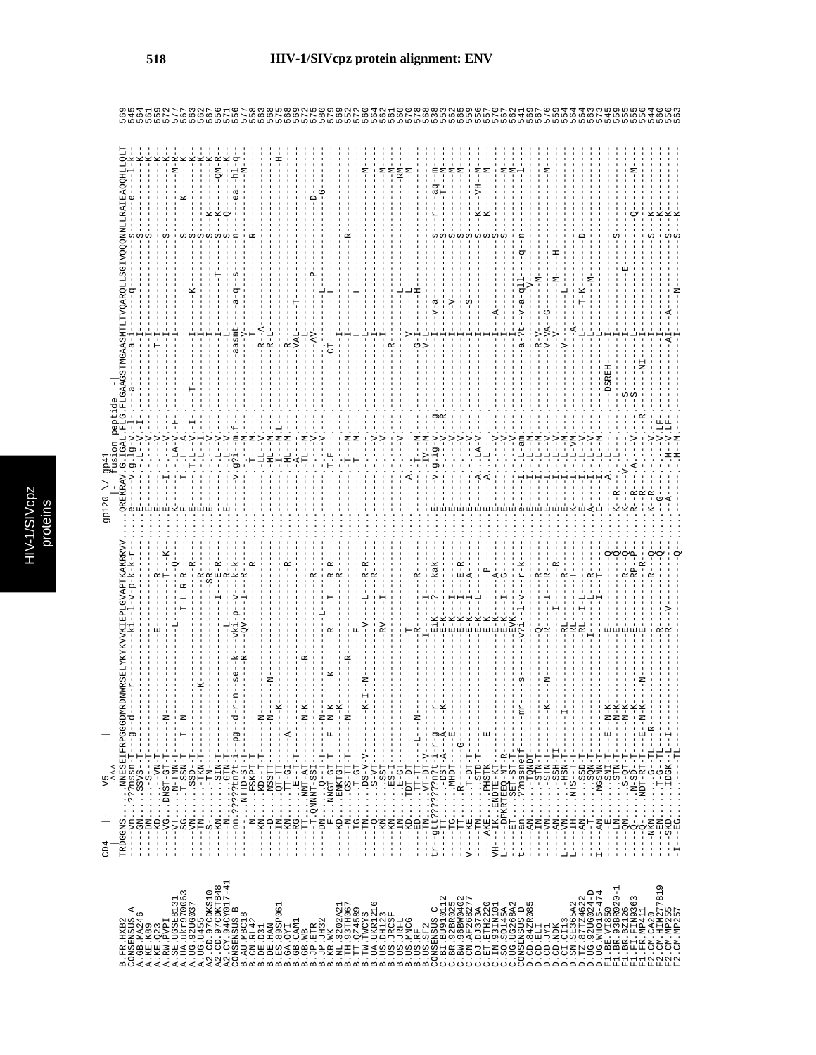$\begin{smallmatrix} \texttt{R1.512} \\ \texttt{0.081800396} \\ \texttt{0.083803000} \\ \texttt{0.08446} \\ \texttt{0.085803000} \\ \texttt{0.0871} \\ \texttt{0.081} \\ \texttt{0.081} \\ \texttt{0.081} \\ \texttt{0.093} \\ \texttt{0.094} \\ \texttt{0.094} \\ \texttt{0.095} \\ \texttt{0.094} \\ \texttt{0.095} \\ \texttt{0.095} \\ \texttt{0.096} \\ \texttt{0$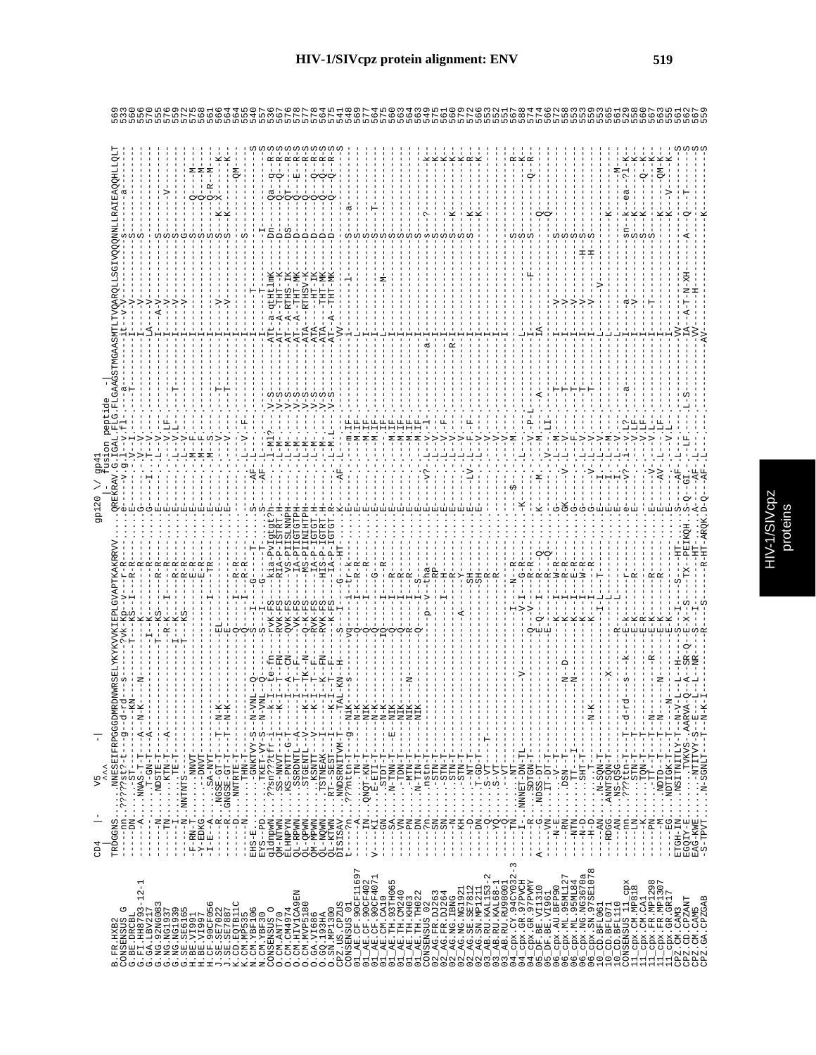|   | à<br>ñ |
|---|--------|
|   |        |
| í |        |
|   |        |
|   |        |
|   |        |
|   |        |

|             |                                                                      |                                |                          |                                                        | ம் ட            | ம் ட          |          |                 |                | 10 10 10 10             |                                               |              |                           |              |                            |                               |                 |                             |                    |                                             |                                                                                                                                                                                                              |                                                                                                 |                         |             |                                 |                                                                                                                                                                                                                                                                                                                                                                                                                                           |                      |                                    |          |                            |                 |                |                |                                 |             |                      |               |                                             |                                                                                                                                                                                                                                                                                                                                                                                                                             |                     | ഗ ഗ                                                                                                                                                                                                                                                                                    |                                                           | w                |                                          |               |                                                                                                                                                                                                                                                                                                                                                                                      |                |                               |               |                                                                     |                          |                                                                          |                |               |                          |                                |                                                                                                                             |                     |                  |                                                                                                                                                 |                                                                                                                    |                       | m m m m m m m m m m m m m m m m               |  |
|-------------|----------------------------------------------------------------------|--------------------------------|--------------------------|--------------------------------------------------------|-----------------|---------------|----------|-----------------|----------------|-------------------------|-----------------------------------------------|--------------|---------------------------|--------------|----------------------------|-------------------------------|-----------------|-----------------------------|--------------------|---------------------------------------------|--------------------------------------------------------------------------------------------------------------------------------------------------------------------------------------------------------------|-------------------------------------------------------------------------------------------------|-------------------------|-------------|---------------------------------|-------------------------------------------------------------------------------------------------------------------------------------------------------------------------------------------------------------------------------------------------------------------------------------------------------------------------------------------------------------------------------------------------------------------------------------------|----------------------|------------------------------------|----------|----------------------------|-----------------|----------------|----------------|---------------------------------|-------------|----------------------|---------------|---------------------------------------------|-----------------------------------------------------------------------------------------------------------------------------------------------------------------------------------------------------------------------------------------------------------------------------------------------------------------------------------------------------------------------------------------------------------------------------|---------------------|----------------------------------------------------------------------------------------------------------------------------------------------------------------------------------------------------------------------------------------------------------------------------------------|-----------------------------------------------------------|------------------|------------------------------------------|---------------|--------------------------------------------------------------------------------------------------------------------------------------------------------------------------------------------------------------------------------------------------------------------------------------------------------------------------------------------------------------------------------------|----------------|-------------------------------|---------------|---------------------------------------------------------------------|--------------------------|--------------------------------------------------------------------------|----------------|---------------|--------------------------|--------------------------------|-----------------------------------------------------------------------------------------------------------------------------|---------------------|------------------|-------------------------------------------------------------------------------------------------------------------------------------------------|--------------------------------------------------------------------------------------------------------------------|-----------------------|-----------------------------------------------|--|
|             |                                                                      |                                |                          |                                                        |                 |               |          |                 |                |                         |                                               |              |                           |              |                            |                               |                 |                             |                    | $\alpha$                                    | œ                                                                                                                                                                                                            | ≃                                                                                               | ≃                       |             |                                 |                                                                                                                                                                                                                                                                                                                                                                                                                                           |                      |                                    |          |                            |                 |                |                |                                 |             |                      |               |                                             |                                                                                                                                                                                                                                                                                                                                                                                                                             |                     |                                                                                                                                                                                                                                                                                        |                                                           | œ                |                                          | $\alpha$      |                                                                                                                                                                                                                                                                                                                                                                                      |                |                               |               |                                                                     |                          |                                                                          |                |               |                          |                                |                                                                                                                             |                     |                  |                                                                                                                                                 |                                                                                                                    |                       |                                               |  |
|             |                                                                      |                                |                          |                                                        |                 |               |          | Σ<br>C          | Q              | Σ<br>$\frac{R}{l}$<br>C |                                               |              | Š                         |              |                            |                               | ⌒               | റ                           | 囯<br>∩             | CX                                          | $\circ$<br>Q                                                                                                                                                                                                 | O<br>∩                                                                                          | $\circ$<br>∩            |             |                                 |                                                                                                                                                                                                                                                                                                                                                                                                                                           |                      |                                    |          |                            |                 |                |                |                                 |             |                      |               |                                             |                                                                                                                                                                                                                                                                                                                                                                                                                             |                     |                                                                                                                                                                                                                                                                                        |                                                           |                  |                                          | O             |                                                                                                                                                                                                                                                                                                                                                                                      |                |                               |               |                                                                     |                          |                                                                          |                |               | $\mathfrak{g}$<br>م<br>م |                                | O                                                                                                                           |                     | $\sum_{i=1}^{n}$ |                                                                                                                                                 |                                                                                                                    |                       |                                               |  |
|             |                                                                      |                                |                          |                                                        |                 |               |          |                 |                | ¥                       |                                               |              |                           |              |                            |                               |                 |                             |                    |                                             |                                                                                                                                                                                                              |                                                                                                 |                         |             | ൯                               |                                                                                                                                                                                                                                                                                                                                                                                                                                           |                      |                                    |          |                            |                 |                |                |                                 |             |                      |               |                                             |                                                                                                                                                                                                                                                                                                                                                                                                                             |                     |                                                                                                                                                                                                                                                                                        |                                                           |                  |                                          |               | O                                                                                                                                                                                                                                                                                                                                                                                    |                |                               |               |                                                                     |                          |                                                                          |                |               | ទី                       |                                |                                                                                                                             |                     |                  |                                                                                                                                                 |                                                                                                                    | O                     |                                               |  |
|             | m                                                                    |                                | τn                       |                                                        |                 |               |          |                 |                |                         | τn                                            | rΛ           |                           |              |                            |                               |                 |                             |                    |                                             |                                                                                                                                                                                                              | ∩                                                                                               |                         |             | τn                              |                                                                                                                                                                                                                                                                                                                                                                                                                                           |                      |                                    |          |                            |                 | τn             | m              | m                               | τn          |                      | ເທ ເທ         | rn                                          |                                                                                                                                                                                                                                                                                                                                                                                                                             |                     |                                                                                                                                                                                                                                                                                        |                                                           |                  | τn                                       | m             |                                                                                                                                                                                                                                                                                                                                                                                      |                | τn                            | m             | m                                                                   | <b>CO</b><br>M<br>ш<br>푸 | Ξ                                                                        |                |               |                          |                                | m w                                                                                                                         | <b>CO</b>           |                  |                                                                                                                                                 |                                                                                                                    | К                     |                                               |  |
|             |                                                                      |                                |                          |                                                        |                 |               |          |                 |                |                         |                                               |              |                           |              |                            | 1 <sub>mK</sub>               | E               |                             | --тнт-мк           | $-RTHSV-K$                                  | Ë                                                                                                                                                                                                            | THT-MK                                                                                          | -THT-MF                 |             |                                 |                                                                                                                                                                                                                                                                                                                                                                                                                                           |                      |                                    |          |                            |                 |                |                |                                 |             |                      |               |                                             |                                                                                                                                                                                                                                                                                                                                                                                                                             |                     |                                                                                                                                                                                                                                                                                        |                                                           |                  |                                          |               |                                                                                                                                                                                                                                                                                                                                                                                      |                |                               |               |                                                                     |                          |                                                                          |                |               |                          |                                |                                                                                                                             |                     |                  |                                                                                                                                                 |                                                                                                                    | HX-                   |                                               |  |
|             |                                                                      |                                |                          |                                                        |                 |               |          |                 |                |                         |                                               |              |                           |              |                            | -qtHt                         |                 | -RTHS<br>f.                 | $-4$               |                                             |                                                                                                                                                                                                              |                                                                                                 | $\overline{A}$          |             |                                 |                                                                                                                                                                                                                                                                                                                                                                                                                                           |                      |                                    |          |                            |                 |                |                |                                 |             |                      |               |                                             |                                                                                                                                                                                                                                                                                                                                                                                                                             |                     |                                                                                                                                                                                                                                                                                        |                                                           |                  |                                          |               |                                                                                                                                                                                                                                                                                                                                                                                      |                |                               |               |                                                                     |                          |                                                                          |                |               |                          |                                |                                                                                                                             |                     |                  |                                                                                                                                                 |                                                                                                                    | $-A-T-N$              |                                               |  |
|             |                                                                      |                                |                          |                                                        |                 |               |          |                 |                |                         |                                               |              |                           |              |                            |                               |                 |                             |                    | ATA-                                        | ATA                                                                                                                                                                                                          | $ATA-$                                                                                          |                         |             |                                 |                                                                                                                                                                                                                                                                                                                                                                                                                                           |                      |                                    |          |                            |                 |                |                |                                 |             |                      |               |                                             |                                                                                                                                                                                                                                                                                                                                                                                                                             |                     |                                                                                                                                                                                                                                                                                        |                                                           |                  |                                          |               | ΠA                                                                                                                                                                                                                                                                                                                                                                                   |                |                               |               |                                                                     |                          |                                                                          |                |               |                          |                                |                                                                                                                             |                     |                  |                                                                                                                                                 |                                                                                                                    |                       |                                               |  |
|             | LGAAGSTMGAASMTLTVQARQLLSGIVQQQMNLLRAIEAQQHLLQL<br>$\frac{1}{\sigma}$ |                                |                          |                                                        |                 |               |          |                 |                |                         |                                               |              |                           |              |                            |                               |                 |                             |                    |                                             |                                                                                                                                                                                                              |                                                                                                 | U)                      |             |                                 |                                                                                                                                                                                                                                                                                                                                                                                                                                           |                      |                                    |          |                            |                 |                |                |                                 |             |                      |               |                                             |                                                                                                                                                                                                                                                                                                                                                                                                                             |                     |                                                                                                                                                                                                                                                                                        |                                                           |                  |                                          |               |                                                                                                                                                                                                                                                                                                                                                                                      |                |                               |               |                                                                     |                          |                                                                          |                |               |                          |                                |                                                                                                                             |                     |                  |                                                                                                                                                 |                                                                                                                    |                       |                                               |  |
| peptide     | 国・                                                                   |                                |                          |                                                        |                 |               |          |                 |                |                         |                                               |              |                           |              |                            |                               |                 | ကူ                          | ကူ                 | $\frac{5}{1}$                               | ကူ                                                                                                                                                                                                           | ှိ                                                                                              |                         |             |                                 |                                                                                                                                                                                                                                                                                                                                                                                                                                           |                      |                                    |          |                            |                 |                |                |                                 |             |                      |               |                                             |                                                                                                                                                                                                                                                                                                                                                                                                                             |                     |                                                                                                                                                                                                                                                                                        |                                                           |                  |                                          |               |                                                                                                                                                                                                                                                                                                                                                                                      |                |                               |               |                                                                     |                          |                                                                          |                |               |                          |                                |                                                                                                                             |                     |                  |                                                                                                                                                 |                                                                                                                    |                       |                                               |  |
|             | IGAL<br>usion                                                        |                                |                          |                                                        |                 |               |          |                 |                |                         |                                               |              |                           |              |                            |                               |                 |                             |                    |                                             |                                                                                                                                                                                                              |                                                                                                 |                         |             |                                 |                                                                                                                                                                                                                                                                                                                                                                                                                                           |                      |                                    |          |                            |                 |                |                |                                 |             |                      |               |                                             |                                                                                                                                                                                                                                                                                                                                                                                                                             |                     |                                                                                                                                                                                                                                                                                        |                                                           |                  |                                          |               |                                                                                                                                                                                                                                                                                                                                                                                      |                |                               |               |                                                                     |                          |                                                                          |                |               |                          |                                |                                                                                                                             |                     |                  |                                                                                                                                                 |                                                                                                                    |                       |                                               |  |
| 9P4         | QREKRAV.G                                                            |                                |                          |                                                        |                 |               |          |                 |                |                         |                                               |              |                           | Ę            | ĀF                         |                               |                 |                             |                    |                                             |                                                                                                                                                                                                              |                                                                                                 |                         | Ę           |                                 |                                                                                                                                                                                                                                                                                                                                                                                                                                           |                      |                                    |          |                            |                 |                |                |                                 |             |                      |               | NT-                                         |                                                                                                                                                                                                                                                                                                                                                                                                                             |                     |                                                                                                                                                                                                                                                                                        |                                                           | ς                |                                          |               |                                                                                                                                                                                                                                                                                                                                                                                      |                |                               |               |                                                                     |                          |                                                                          |                |               |                          |                                |                                                                                                                             |                     |                  |                                                                                                                                                 |                                                                                                                    | H<br>P                |                                               |  |
| gp120       | $\omega$                                                             |                                | פי                       | 데                                                      | GJ.             |               |          |                 |                |                         |                                               |              |                           |              |                            |                               |                 |                             |                    |                                             |                                                                                                                                                                                                              |                                                                                                 |                         |             |                                 |                                                                                                                                                                                                                                                                                                                                                                                                                                           |                      |                                    |          |                            |                 |                |                |                                 |             |                      |               |                                             |                                                                                                                                                                                                                                                                                                                                                                                                                             |                     |                                                                                                                                                                                                                                                                                        |                                                           |                  |                                          |               |                                                                                                                                                                                                                                                                                                                                                                                      |                |                               |               |                                                                     |                          |                                                                          |                |               |                          |                                |                                                                                                                             |                     |                  |                                                                                                                                                 |                                                                                                                    | ု                     | ç                                             |  |
|             |                                                                      |                                |                          |                                                        |                 |               |          |                 |                |                         |                                               |              |                           |              |                            | vIg                           |                 |                             | A-PTIGTP           | S-PIINIHTP                                  | $-ICTC$ .<br>д                                                                                                                                                                                               | $S-P-TGTRT$ .                                                                                   | $P - IGTGT$             |             |                                 |                                                                                                                                                                                                                                                                                                                                                                                                                                           |                      |                                    |          |                            |                 |                |                |                                 |             |                      |               |                                             |                                                                                                                                                                                                                                                                                                                                                                                                                             |                     |                                                                                                                                                                                                                                                                                        |                                                           |                  |                                          |               | òò                                                                                                                                                                                                                                                                                                                                                                                   |                |                               |               |                                                                     |                          |                                                                          |                |               |                          |                                |                                                                                                                             |                     |                  |                                                                                                                                                 | Ë                                                                                                                  | --PEIKOH              | R-HT-AROK.<br>Ë                               |  |
|             |                                                                      | $\alpha$                       |                          | $\alpha$                                               |                 | R<br>$\alpha$ | $\alpha$ | α<br><b>Ed</b>  | R<br><b>Ed</b> |                         |                                               | $R - R$      |                           |              |                            | ù−<br>⊄                       | $\overline{A}$  | $\frac{9}{2}$               |                    |                                             | $\overline{A}$                                                                                                                                                                                               | HH.                                                                                             | $\overline{A}$          | ပု          | $tx - k$                        |                                                                                                                                                                                                                                                                                                                                                                                                                                           |                      | ני ז                               |          |                            |                 |                | tha            |                                 |             |                      |               | ᇁ                                           |                                                                                                                                                                                                                                                                                                                                                                                                                             |                     |                                                                                                                                                                                                                                                                                        |                                                           |                  | T.                                       |               |                                                                                                                                                                                                                                                                                                                                                                                      |                |                               |               |                                                                     |                          |                                                                          |                |               |                          |                                |                                                                                                                             |                     |                  |                                                                                                                                                 | M                                                                                                                  | $-{\rm TX}$           |                                               |  |
|             | NWRSELYKYKVVKIEPLGVAPTKAKRRVV                                        |                                |                          |                                                        |                 |               |          |                 |                |                         |                                               |              |                           |              |                            | $VK-F$                        | 띞               | U)<br>$VK - F$              | VK-FS              |                                             |                                                                                                                                                                                                              | $\begin{array}{c} -Q-K-FS\\ \hline RVK-FS\\ \hline RVK-FS\\ \hline RVK-FS\\ \hline \end{array}$ |                         |             |                                 |                                                                                                                                                                                                                                                                                                                                                                                                                                           |                      |                                    |          |                            |                 |                |                |                                 |             |                      |               |                                             |                                                                                                                                                                                                                                                                                                                                                                                                                             |                     |                                                                                                                                                                                                                                                                                        |                                                           |                  | ٦                                        |               | п                                                                                                                                                                                                                                                                                                                                                                                    |                |                               |               |                                                                     | Ţ                        | ī<br>H<br>H                                                              |                |               |                          |                                |                                                                                                                             |                     |                  |                                                                                                                                                 |                                                                                                                    | m                     |                                               |  |
|             | yk                                                                   |                                |                          |                                                        | ĸ<br>J.         |               |          |                 |                |                         |                                               |              |                           |              |                            |                               |                 |                             |                    |                                             |                                                                                                                                                                                                              |                                                                                                 |                         | S           |                                 |                                                                                                                                                                                                                                                                                                                                                                                                                                           |                      |                                    | O        | 0                          |                 |                |                |                                 |             |                      |               |                                             |                                                                                                                                                                                                                                                                                                                                                                                                                             |                     |                                                                                                                                                                                                                                                                                        |                                                           |                  |                                          | O             | q<br>囸<br>I                                                                                                                                                                                                                                                                                                                                                                          |                |                               |               |                                                                     |                          |                                                                          |                |               |                          |                                |                                                                                                                             |                     |                  |                                                                                                                                                 |                                                                                                                    | ř<br>I<br>O           |                                               |  |
|             | Ω                                                                    |                                | z                        |                                                        |                 |               |          |                 |                |                         |                                               |              |                           |              |                            | Ò                             |                 | g                           | 医                  |                                             | 匞<br>J.                                                                                                                                                                                                      | -FN                                                                                             | Ŀ.                      | 푸           |                                 |                                                                                                                                                                                                                                                                                                                                                                                                                                           |                      |                                    |          |                            |                 |                |                |                                 |             |                      |               |                                             |                                                                                                                                                                                                                                                                                                                                                                                                                             |                     |                                                                                                                                                                                                                                                                                        |                                                           |                  |                                          |               |                                                                                                                                                                                                                                                                                                                                                                                      |                |                               | z             | z                                                                   |                          |                                                                          |                |               | w                        |                                |                                                                                                                             |                     |                  |                                                                                                                                                 |                                                                                                                    | $\bar{\vec{k}}$<br>C) |                                               |  |
|             |                                                                      | 됨                              |                          |                                                        |                 |               |          |                 |                |                         |                                               |              |                           |              |                            | Ť                             | $- - K$         |                             |                    | $---K$                                      | $-$ K                                                                                                                                                                                                        |                                                                                                 | $- - K$                 | $-K N$<br>텃 |                                 |                                                                                                                                                                                                                                                                                                                                                                                                                                           |                      |                                    |          |                            | -NIK-           |                |                |                                 |             |                      |               |                                             |                                                                                                                                                                                                                                                                                                                                                                                                                             |                     |                                                                                                                                                                                                                                                                                        |                                                           |                  |                                          |               |                                                                                                                                                                                                                                                                                                                                                                                      |                |                               |               |                                                                     |                          |                                                                          |                |               |                          |                                |                                                                                                                             |                     |                  | Ť                                                                                                                                               |                                                                                                                    |                       |                                               |  |
| $\mathbb I$ | .NNESEIFRPGGGDMRI<br>$-4 - r$<br>$\frac{1}{2}$                       | I                              | $-N-K$                   |                                                        |                 |               |          |                 |                |                         | $- -N - K$                                    |              |                           | $-V - N - V$ |                            | $-1 - N - V$<br>$\frac{1}{1}$ | J,              | ÷                           | Ť                  | J.                                          | J.                                                                                                                                                                                                           | $\overline{1}$                                                                                  | ł                       | f,          | $--NiK$                         | $--N-K$                                                                                                                                                                                                                                                                                                                                                                                                                                   | $---NIK$<br>$---N-K$ | Í                                  | $-N-N-K$ | $-$ -NIK                   |                 | $---NIK-$<br>ı |                | I<br>I                          | Ĵ           |                      | $\frac{1}{1}$ |                                             |                                                                                                                                                                                                                                                                                                                                                                                                                             | $-1$                |                                                                                                                                                                                                                                                                                        |                                                           | п<br>ï           |                                          | I             | $\begin{array}{c} 1 \\ 1 \\ 1 \end{array}$                                                                                                                                                                                                                                                                                                                                           |                |                               |               |                                                                     |                          | $- -N - K$<br>$\frac{1}{4}$                                              |                |               | シントローーローーーローコーロー         | f.                             | $\frac{1}{1}$                                                                                                               | $-1$ $\overline{N}$ | $-1$ $N -$       | ÷                                                                                                                                               |                                                                                                                    | TVKVS-.AARVA          |                                               |  |
| $\lambda$   | -- 3-258636                                                          | $-ST$ -                        |                          |                                                        |                 | $L - H$       |          |                 | -DNVT          | SA-NYT                  |                                               | $-TT-ET-TT-$ |                           |              |                            |                               |                 |                             |                    |                                             |                                                                                                                                                                                                              |                                                                                                 |                         |             |                                 |                                                                                                                                                                                                                                                                                                                                                                                                                                           |                      |                                    |          |                            | T-MIN-T         | $-1 - 1 - 1$   | $-mstm-T$ -    | $\frac{1}{1}$<br>$T-MTS-1$      | $T-MTS-$    |                      |               | $L - LM - 1$                                | $T - 15 - T$                                                                                                                                                                                                                                                                                                                                                                                                                |                     |                                                                                                                                                                                                                                                                                        | ー<br>-<br>VT                                              |                  |                                          |               | J.                                                                                                                                                                                                                                                                                                                                                                                   |                |                               | $I - NST - I$ |                                                                     |                          | $N-SOM-T$<br>F<br>:                                                      |                |               |                          |                                | $\frac{1}{L}$ - - - $\frac{1}{L}$ - - $\frac{1}{L}$ - - $\frac{1}{L}$ - - $\frac{1}{L}$ - - $\frac{1}{L}$ - - $\frac{1}{L}$ |                     | T---T---T---T    |                                                                                                                                                 |                                                                                                                    |                       |                                               |  |
| У5          | $\cdot$ .                                                            | $\vdots$                       | $-A$ $NMS-T-T-T-A$       | $A$ - $T$ - $H$ - $H$ - $T$ - $T$ - $A$<br>$T - H = T$ |                 | $\bullet$     | NNTNTS   | $\cdots \cdots$ | $\frac{1}{2}$  | ł                       | --R. GNGSE-GT-T---T--N-K<br>T-L-L-L-L-RSP-88P |              | $\cdot$                   |              | $S - \overline{X}$ ALARD - | т-лрасскивса .<br>S-AA-LHXL   | $1 - -1$ MMV-88 | $T-G$ -TTM $T$ -S $\lambda$ | $A$ - $-1$ TNCR2S. |                                             | $\begin{array}{cccccccccc} . & . & . & . & . & . & . & . \\ . & . & . & . & . & . & . & . \\ . & . & . & . & . & . & . & . \\ . & . & . & . & . & . & . & . \\ . & . & . & . & . & . & . & . \\ \end{array}$ |                                                                                                 | $\ldots RT -$ -SEST---I |             |                                 | $-1 - 2 - N\Delta T - N\Delta T - \frac{1}{2}N\Delta T - \frac{1}{2}N\Delta T - \frac{1}{2}N\Delta T - \frac{1}{2}N\Delta T - \frac{1}{2}N\Delta T - \frac{1}{2}N\Delta T - \frac{1}{2}N\Delta T - \frac{1}{2}N\Delta T - \frac{1}{2}N\Delta T - \frac{1}{2}N\Delta T - \frac{1}{2}N\Delta T - \frac{1}{2}N\Delta T - \frac{1}{2}N\Delta T - \frac{1}{2}N\Delta T - \frac{1}{2}N\Delta T - \frac{1}{2}N\Delta T - \frac{1}{2}N\Delta T -$ |                      | $-1 - 1 - 1$ $-1 - 1$ $-1 - 1 - 1$ | $L-LGLS$ |                            | $\cdots \cdots$ | $\frac{1}{1}$  |                | $\vdots$<br>$\vdots$<br>$\cdot$ | $\cdot$     |                      |               | $\vdots$<br>$\ddot{\phantom{0}}$<br>$\cdot$ | ţ<br>$\vdots$                                                                                                                                                                                                                                                                                                                                                                                                               | $\cdots \cdots$     | $\cdots \cdots$                                                                                                                                                                                                                                                                        | $\begin{array}{c} \vdots \\ \vdots \\ \vdots \end{array}$ |                  |                                          | I-MOLOS       | $-10 - 10 - 0$                                                                                                                                                                                                                                                                                                                                                                       | $\cdots$       | $\cdots$ $\cdots$<br>$\vdots$ | $\vdots$      | $-1 - 2 = 1 - 1 - 1 - 1$                                            | $T-THS$                  | $\ddot{\cdot}$                                                           |                | $-55Q-28.7$   | $\vdots$                 |                                | $\vdots$                                                                                                                    |                     |                  | $\ldots$ NDTIGK-T---T                                                                                                                           | $\Lambda - N - - L - \Lambda^T \Lambda \Lambda \Lambda \Lambda \Gamma \Sigma \Lambda \Lambda \Gamma \Gamma \Gamma$ | $\vdots$              |                                               |  |
|             | $-$ nn.<br>TRDGGNS                                                   | $\ddot{\phantom{0}}$<br>$MQ$ - | $\frac{1}{1}$<br>J.<br>j | $\overline{N}$                                         | $M_{\rm H}$ – – | $\frac{1}{1}$ | ž        | $-F - R - T$    | $-Y-EDKG$      | $-4$                    | $ \approx$                                    | J<br>u       | $\frac{1}{\sqrt{2}}$<br>ř |              | EHS-E.<br>EYS--PD          | EYS--PD.<br>q1dnpwN.          | <b>NALN-NZ</b>  | <b>NAJNANYI</b>             |                    |                                             |                                                                                                                                                                                                              | <b>OLIFEWREE</b><br>OLIFEWREE<br>OLIFEWREE<br>OLIFETWREE<br>OLIFETWREE<br>OLIFETSAV             |                         |             |                                 | $---IN$ .<br>$\overline{A}$                                                                                                                                                                                                                                                                                                                                                                                                               | $-KI$                |                                    | $M_D -$  | $\overline{\triangledown}$ | $-PM$           |                | $---DN$<br>uć. | $\ddot{\phantom{a}}$<br>$-5N$   | $MS -$<br>ï | $\frac{1}{\sqrt{2}}$ | $-5K$ H       | $\overline{1}$                              | $\vdots$<br>$MQ$ --                                                                                                                                                                                                                                                                                                                                                                                                         | $\alpha$            | $-2x$                                                                                                                                                                                                                                                                                  | ု                                                         | $\mathbb{H}^{-}$ |                                          | $-$ R<br>J    | п                                                                                                                                                                                                                                                                                                                                                                                    | $- - \nabla N$ | $-1 - N - E$                  | $-$ -RN       | $-$ - $\ensuremath{\text{N}\text{T}}\xspace\ensuremath{\text{N}}$ – | $-5$                     | $-H$ -D<br>$M - -$                                                       | -RDGGANNTSQN-T | $-AM$ .       | $n_{n-1}$                | $-11$                          | $-K$                                                                                                                        | $Nd$ --             | Σ<br>-           | $ -$ EG                                                                                                                                         | ETGH-IN                                                                                                            | EGQIY-E               | EAG-KWE<br>-S-TPVT                            |  |
| CD4         | I<br>I<br>$\mathbf{I}$                                               | I                              |                          |                                                        | $\mathbf{I}$    |               |          |                 |                | - 1 – E                 |                                               | J            | $\mathbf{I}$              |              |                            |                               |                 |                             |                    |                                             |                                                                                                                                                                                                              |                                                                                                 |                         |             | $\stackrel{1}{\hookrightarrow}$ |                                                                                                                                                                                                                                                                                                                                                                                                                                           | ⋗<br>л               |                                    |          |                            |                 |                |                |                                 |             |                      |               |                                             |                                                                                                                                                                                                                                                                                                                                                                                                                             |                     |                                                                                                                                                                                                                                                                                        |                                                           | 3                |                                          |               | $A - -$                                                                                                                                                                                                                                                                                                                                                                              |                |                               |               |                                                                     |                          |                                                                          |                |               |                          |                                |                                                                                                                             |                     |                  |                                                                                                                                                 |                                                                                                                    |                       |                                               |  |
|             |                                                                      |                                |                          |                                                        |                 |               |          |                 |                |                         |                                               |              |                           |              |                            |                               |                 |                             | 畐                  |                                             |                                                                                                                                                                                                              |                                                                                                 |                         |             |                                 |                                                                                                                                                                                                                                                                                                                                                                                                                                           |                      |                                    |          |                            |                 |                |                |                                 |             |                      |               |                                             |                                                                                                                                                                                                                                                                                                                                                                                                                             |                     |                                                                                                                                                                                                                                                                                        |                                                           |                  |                                          |               |                                                                                                                                                                                                                                                                                                                                                                                      |                |                               | 27            |                                                                     |                          |                                                                          |                |               | $\Xi$                    |                                |                                                                                                                             |                     |                  |                                                                                                                                                 |                                                                                                                    |                       |                                               |  |
|             |                                                                      |                                |                          |                                                        |                 |               |          |                 |                |                         |                                               |              |                           |              |                            |                               | O.CM.ANT70      | .CM.CM4974                  |                    | O.CM.HIVICA9E<br>O.CM.MVP5180<br>O.CA.VI686 |                                                                                                                                                                                                              | $0.92.193H_A$<br>$0.50.193H_A$<br>$0.50.97H_{1300}$<br>$0.27.08.0203$<br>$0.01$                 |                         |             |                                 | $\frac{1 - \lambda B \cdot CF \cdot 90CF11697}{1 - \lambda B \cdot CF \cdot 90CF402} \ \frac{1 - \lambda B \cdot CF \cdot 90CF4071}{1 - \lambda B \cdot CW \cdot CA10}$                                                                                                                                                                                                                                                                   |                      |                                    |          | 1_AE.TH.93TH065            |                 |                |                |                                 |             |                      |               |                                             | $\begin{array}{l} \underbrace{01-18}, \underbrace{111}, \underbrace{10240}_2, \\ 01-18, \underbrace{11}, \underbrace{1103}_2, \\ 01-18, \underbrace{11}, \underbrace{1103}_2, \\ 0208\text{BWSUS} & 02\\ 022, \underbrace{123}_4, \underbrace{123}_4, \\ 032, \underbrace{123}_4, \underbrace{123}_4, \\ 032, \underbrace{123}_4, \underbrace{123}_4, \\ 032, \underbrace{123}_4, \underbrace{123}_4, \\ 032, \underbrace{$ | $AB$ . RU. KAL153-2 | $\begin{array}{c} 03 \overline{\smash{\big)}\ 2AB} \ . \ \text{RU. KAL153--2} \\ 03 \overline{\smash{\big)}\ 2AB} \ . \ \text{RU. KAL68--1} \\ 03 \overline{\smash{\big)}\ 2AB} \ . \ \text{RU. RUS800--1} \\ 03 \overline{\smash{\big)}\ 2AB} \ . \ \text{RU. RUS800--1} \end{array}$ |                                                           |                  | $-$ cpx.CY.94CY032-<br>$-$ cpx.GR.97PVCH | CPX.GR.97PVMY | $\begin{array}{l} 5\!-\!\!{\rm D} \ddot{\rm F}\! :\! {\rm BE}\! :\! {\rm VI}\, 1\, 3\, 1\, 0 \\ 5\!-\!\!{\rm DF}\! :\! {\rm BE}\! :\! {\rm VI}\, 9\, 5\, 1 \\ 6\!-\!\!{\rm CP}\! X\! :\! {\rm AU}\! :\! {\rm B} \ddot{\rm FP}\! 9\, 0 \\ 6\!-\!\!{\rm CP}\! X\! :\! {\rm MU}\! :\! 9\, 5\, {\rm MU}\! :\! 1\, 2 \\ 7\!-\!\!{\rm CP}\! X\! :\! {\rm MU}\! :\! 9\, 5\, {\rm MU}\! :\!$ |                |                               |               | 06_cpx.ML.95ML84                                                    |                          | 06_cpx.NG.NG3670a<br>06_cpx.SN.97SE1078<br>10_CD.BFL061<br>$CD$ . BFL061 | CD.BFL071      | $CD$ . BFL110 |                          | USENSUS 11_CPx<br>CPx.CM.MP818 | CPX.CM.CA1                                                                                                                  |                     |                  | $\begin{array}{l} 1\_cpx. \texttt{FR}.\texttt{MP1298} \\ 1\_cpx. \texttt{FR}.\texttt{MP1307} \\ 1\_cpx. \texttt{GR}. \texttt{GR17} \end{array}$ | PZ.CM.CAM3                                                                                                         |                       |                                               |  |
|             |                                                                      |                                |                          |                                                        |                 |               |          |                 |                |                         |                                               |              |                           |              |                            |                               |                 | $\circ$                     |                    |                                             |                                                                                                                                                                                                              |                                                                                                 |                         |             |                                 |                                                                                                                                                                                                                                                                                                                                                                                                                                           |                      |                                    |          |                            |                 |                |                |                                 |             |                      |               |                                             |                                                                                                                                                                                                                                                                                                                                                                                                                             |                     |                                                                                                                                                                                                                                                                                        |                                                           | $\overline{0}$   | $^{04}$                                  |               | ooooo                                                                                                                                                                                                                                                                                                                                                                                |                |                               |               |                                                                     |                          |                                                                          | $\circ$        | 'ഠ            | <b>CONSENSUS</b>         | $\overline{\phantom{0}}$       |                                                                                                                             |                     |                  |                                                                                                                                                 | ن                                                                                                                  |                       | CPZ.CD.CPZANT<br>CPZ.CM.CAM5<br>CPZ.GA.CPZGAB |  |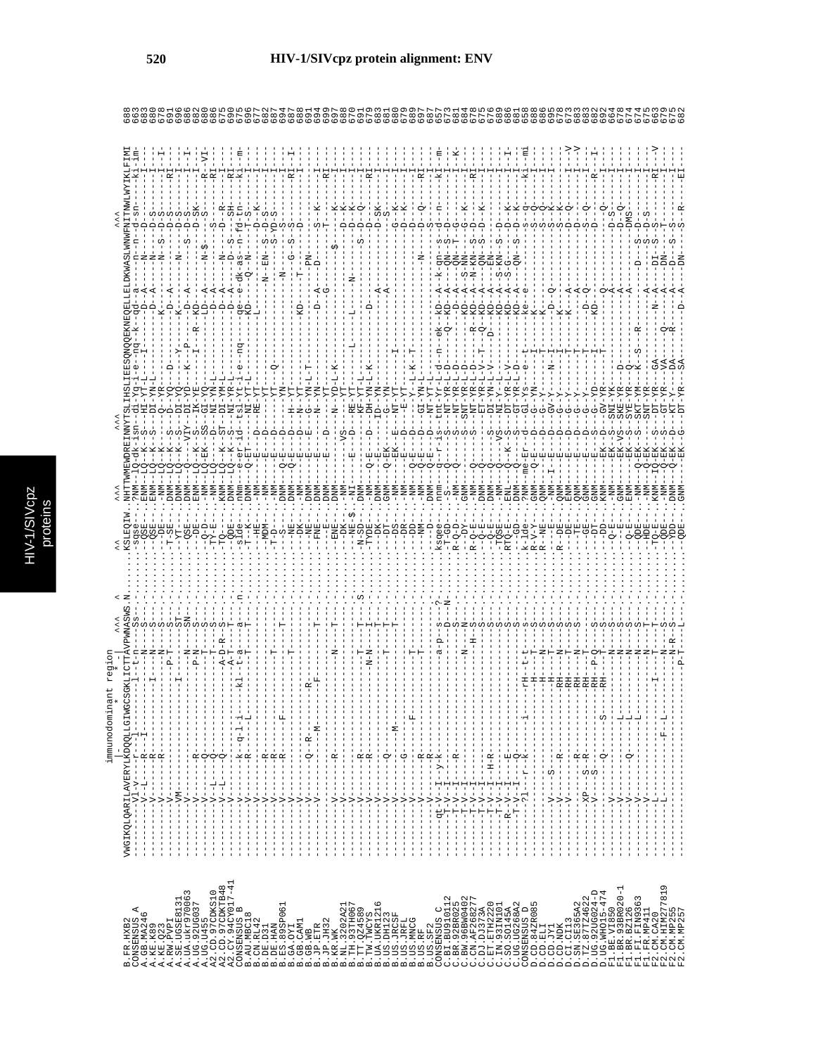|                                       |                                                                                                                                                                                                                                                                                                                                                                                                                                                | Ħ<br>immunodomina<br>$\mathsf I$                                                                          | regior                   |    |                                       |               |                                   |                                  |                                         |                                            |                                 |                     |                                                           |                    |                        |
|---------------------------------------|------------------------------------------------------------------------------------------------------------------------------------------------------------------------------------------------------------------------------------------------------------------------------------------------------------------------------------------------------------------------------------------------------------------------------------------------|-----------------------------------------------------------------------------------------------------------|--------------------------|----|---------------------------------------|---------------|-----------------------------------|----------------------------------|-----------------------------------------|--------------------------------------------|---------------------------------|---------------------|-----------------------------------------------------------|--------------------|------------------------|
|                                       |                                                                                                                                                                                                                                                                                                                                                                                                                                                |                                                                                                           | SGKLICTTAVPWNASWS.       |    | KSLEQI                                |               |                                   |                                  |                                         |                                            |                                 |                     | MEMDREINNYTSLIHSLIEBSQNQQEKNEQELLELDKMASLMNWFNITNWLWYIKLF |                    |                        |
| A                                     |                                                                                                                                                                                                                                                                                                                                                                                                                                                |                                                                                                           | $t - n -$                | C) |                                       | Ż             | $-15n$<br>₹                       | - 1<br>5                         | Φ                                       | $- - qd - -$<br>¥<br>pu                    | 4                               | $\frac{a}{1}$<br>Ė  | $-$ sn<br>ರ                                               |                    |                        |
|                                       |                                                                                                                                                                                                                                                                                                                                                                                                                                                |                                                                                                           | ž                        |    |                                       | ENM-          |                                   | $H1 -$                           |                                         |                                            | K,<br>$\Box$                    | -1<br>$\frac{1}{2}$ | ≏                                                         |                    |                        |
|                                       |                                                                                                                                                                                                                                                                                                                                                                                                                                                |                                                                                                           |                          | C) |                                       | $N_{\rm M}$ - |                                   | DI-1<br>Í                        |                                         |                                            | ≏                               | Ţ                   | C)<br>Ţ<br>≏<br>≏                                         |                    | īΟ                     |
|                                       | J.<br>п<br>$- -V - -$<br>J<br>J.<br>п<br>$\mathsf I$                                                                                                                                                                                                                                                                                                                                                                                           | J.<br>J.                                                                                                  |                          | U. | $-T-SE$                               | Ï<br>DNM-     | Ţ<br>읍                            | Ţ<br>$\Box$                      |                                         | $\overline{1}$<br>¥                        | ך<br>ו                          | ω                   | U)                                                        |                    | Ō<br>w                 |
|                                       | J<br>$\mathbf{I}$<br>L.<br>$-1 - N1 - 1$<br>$\mathsf I$<br>-1<br>ï<br>I<br>-1<br>J.                                                                                                                                                                                                                                                                                                                                                            | I<br>$\mathbf{I}$<br>$\mathbf I$<br>J.                                                                    |                          |    | $-TT$ .                               | $-1 - NMC$    | Ţ                                 | $X-TG-$<br>ω ω                   | 'n.                                     | ×.                                         |                                 |                     | UΩ                                                        |                    | $\sigma$<br><b>LO</b>  |
|                                       | T.<br>п<br>j.<br>$-Y$ $-$<br>I.<br>т<br>Ï<br>I<br>т<br>1                                                                                                                                                                                                                                                                                                                                                                                       | J,<br>$\mathbf{I}$                                                                                        |                          |    |                                       | <b>NN</b>     |                                   | T<br>Fd-                         |                                         | ٩                                          |                                 |                     |                                                           |                    | $\infty$               |
| 8131<br>70063<br>037                  | <u>န</u> ှုတ်မှ<br>$\,$ I<br>$\mathbf{I}$<br>-1<br>$\mathsf I$<br>$- -V - -$<br>$\blacksquare$<br>$\mathbf{I}$<br>$\overline{\phantom{a}}$<br>-1<br>$\mathbf{I}$                                                                                                                                                                                                                                                                               | п<br>- 1<br>- 1<br>$1 - 1$                                                                                |                          |    | $-98E - 1$                            |               | $-$ K                             | T<br>w                           |                                         | $-\frac{1}{2}$<br>$\overline{\phantom{a}}$ |                                 |                     | ώ ω<br>≏                                                  |                    |                        |
|                                       | J<br>J.<br>$-V-$<br>I<br>H<br>J<br>$\mathbf{I}$                                                                                                                                                                                                                                                                                                                                                                                                | J.<br>п<br>$\mathsf I$                                                                                    |                          |    | a<br>P                                |               | -EX<br>33                         | T<br>5<br>ω                      |                                         | ם<br>ב                                     | K,                              | $\frac{5}{1}$<br>z  | ω                                                         |                    |                        |
|                                       | $\mathsf I$<br>I<br>$-1$ – $-1$<br>$-V$ – L – – L<br>1<br>J<br>$\mathbf{I}$<br>J.<br>$\mathbf I$<br>I<br>1<br>J<br>-1<br>L.<br>$\mathsf I$                                                                                                                                                                                                                                                                                                     | п<br>H<br>$\mathbf{I}$<br>1<br>I<br>$\mathbf{I}$<br>п<br>$\mathbf I$<br>$\mathbf{I}$<br>Ţ                 | 뚸<br>ę                   |    | $\mathbb{E}-\mathbf{L}\mathbf{L}$ –   |               |                                   | LX-III-<br>- IN                  |                                         | $\overline{a}$<br>$\frac{1}{1}$            | A<br>K,<br>í                    | z                   | U)<br>≏                                                   | $\frac{1}{\alpha}$ |                        |
|                                       | J<br>$\overline{\phantom{0}}$<br>-1<br>$\mathbf{I}$<br>$\mathbf{I}$<br>$\mathbf{I}$<br>$\mathbf I$<br>т                                                                                                                                                                                                                                                                                                                                        | $\mathbf{I}$<br>$\mathbf{I}$<br>-1                                                                        | $A-T$                    |    |                                       | Ŧ             | 읍<br>S                            | ĩ<br>Ę                           |                                         | $\overline{a}$                             | A                               | ω<br>$\overline{a}$ | 5                                                         |                    |                        |
| DKS10<br>DKTB48<br>Y017-41<br>B       | I<br>I<br>I<br>j<br>$-7 - -$<br>I<br>п<br>п                                                                                                                                                                                                                                                                                                                                                                                                    | 딫<br>$\mathbf{I}$                                                                                         | ೆ<br>I<br>I              | ൯  | $-100E$<br>$-90E$<br>$-10E$<br>$-10E$ |               | ٦.<br>e-er                        | r<br>T<br>$-ts1$<br>⊽            | $-100 -$<br>$\frac{1}{2}$<br>T          | ge.<br>п                                   | $-dk - as$<br>Φ<br>$\mathbf{I}$ | I<br>п              | $\overline{1}$<br>ರ<br>۲Ļ                                 |                    |                        |
| $\infty$                              | $\mathsf I$<br>$\mathbf{I}$<br>$\mathbf{I}$<br>J.<br>J<br>$\geq$<br>J.<br>J.                                                                                                                                                                                                                                                                                                                                                                   | ᆛ                                                                                                         |                          |    | $-1 - K$                              | DNM-          | 면<br>$\circ$                      | T<br>E                           |                                         | g                                          | Ò<br>L.                         | $\frac{1}{2}$       | ω                                                         |                    |                        |
|                                       | п<br>I<br>$-V$ -<br>п<br>п<br>I<br>п                                                                                                                                                                                                                                                                                                                                                                                                           | I<br>п<br>I                                                                                               |                          |    | 부                                     |               | 囸                                 | 'n<br>毘                          |                                         |                                            |                                 |                     |                                                           |                    |                        |
|                                       | $\frac{1}{1}$<br>Ĵ<br>$\frac{1}{2}$<br>$\,$ I<br>$\frac{1}{1}$<br>$\mathbf{I}$<br>$\mathbf{I}$<br>J.<br>$\mathbf{I}$<br>Ť.                                                                                                                                                                                                                                                                                                                     |                                                                                                           |                          |    | -MOM-                                 |               | 囯                                 |                                  |                                         |                                            | $-N-1-N$                        | ł                   |                                                           |                    |                        |
|                                       | $\mathbf{I}$<br>п<br>$\frac{1}{1}$<br>$\tilde{z}$<br>$\overline{1}$<br>п<br>п                                                                                                                                                                                                                                                                                                                                                                  |                                                                                                           |                          |    | $-\Gamma$                             |               |                                   |                                  |                                         |                                            |                                 |                     |                                                           |                    | $^{\circ}$<br>$\sigma$ |
| 061                                   | $\frac{1}{1}$<br>$\mathbf{I}$<br>-1<br>ï<br>Ţ.<br>$\frac{1}{1}$<br>$\tilde{v}$<br>$V -$<br>J.<br>T<br>-1<br>т<br>J.<br>I<br>I<br>I<br>L.<br>л                                                                                                                                                                                                                                                                                                  | $\blacksquare$<br>п<br>J,<br>-1<br>$\mathbf{I}$<br>л                                                      |                          |    | 巴<br>T<br>$\frac{1}{4}$               |               | 囸<br>뛰<br>$\frac{1}{\alpha}$<br>O |                                  |                                         |                                            | $\sum_{i=1}^{n}$                | ပု                  |                                                           |                    | $\infty$               |
|                                       | $\mathbf{I}$<br>т.<br>$- -V - -$<br>п<br>п<br>ï<br>$\mathbf{I}$<br>J<br>п                                                                                                                                                                                                                                                                                                                                                                      | п<br>п<br>J<br>J<br>$\blacksquare$<br>$\mathsf I$                                                         |                          |    | $-10K$                                |               | 囸                                 |                                  |                                         | RD                                         | Ę                               |                     |                                                           |                    |                        |
|                                       | J.<br>$\blacksquare$<br>$\mathbf{I}$<br>$\tilde{\gamma}$                                                                                                                                                                                                                                                                                                                                                                                       | $-2 - R$                                                                                                  |                          |    |                                       |               |                                   |                                  |                                         |                                            |                                 | <b>Nd</b>           |                                                           |                    |                        |
|                                       | J<br>$\mathbf{I}$<br>$\mathbf{I}$<br>ï<br>$-1$<br>I<br>J.<br>I.<br>ï<br>J,<br>л                                                                                                                                                                                                                                                                                                                                                                | Ŀ<br>$-1$ $-1$ $-1$<br>T                                                                                  |                          |    | $-FNE$                                |               |                                   | I                                |                                         | ٩                                          | т<br>$- - A$                    | ٩                   | U.                                                        |                    | $\sigma$               |
|                                       | T<br>т<br>$\mathbf{I}$<br>л<br>п<br>п<br>п                                                                                                                                                                                                                                                                                                                                                                                                     | ı<br>I<br>I<br>т<br>I.<br>T                                                                               |                          |    | ドーー                                   |               |                                   |                                  |                                         |                                            | ゥ                               |                     |                                                           |                    |                        |
|                                       | $-1 - 2$<br>$\frac{1}{4}$<br>$--V --$<br>1<br>п<br>ï<br>I<br>I<br>т                                                                                                                                                                                                                                                                                                                                                                            | т<br>Ť.<br>$\,$ I<br>Ţ<br>$\mathbf{I}$<br>$\mathsf I$                                                     | z                        |    | $-$ <b>ENE</b>                        |               |                                   | $\frac{1}{1}$<br>z               | ٦                                       |                                            |                                 | ۹                   |                                                           |                    |                        |
|                                       | $\blacksquare$<br>п<br>$\frac{1}{1}$<br>$\tilde{\gamma}$<br>-1                                                                                                                                                                                                                                                                                                                                                                                 |                                                                                                           |                          |    | $-DX$                                 |               |                                   |                                  |                                         |                                            |                                 |                     |                                                           |                    |                        |
|                                       | $\overline{1}$<br>J.<br>J<br>J.<br>$-1$<br>$\overline{1}$<br>J.<br>J.<br>J.                                                                                                                                                                                                                                                                                                                                                                    | H<br>J.                                                                                                   |                          |    | 巴<br>T                                |               |                                   | ٦.<br>臣                          |                                         |                                            |                                 |                     |                                                           |                    |                        |
| dr<br>2000<br>2000                    | $\begin{array}{c c} &   &   &   \\ \hline 1 & 1 & 1 \\ 0 &   &   &   \\ \hline 1 & 1 & 1 \\ 1 & 1 & 1 \\ \hline \end{array}$<br>$\blacksquare$<br>п<br>J<br>$-1$                                                                                                                                                                                                                                                                               | I.<br>$\mathbf{I}$<br>$\mathsf I$                                                                         | е                        |    | $-N - SO$                             |               |                                   | T,<br>KĖ.                        |                                         |                                            |                                 |                     | ≏                                                         |                    |                        |
|                                       | $\mathbf{I}$<br>п<br>ï<br>$- -V - -$<br>$\mathbf{I}$<br>1<br>ï<br>I<br>I<br>п                                                                                                                                                                                                                                                                                                                                                                  | п<br>$\mathbf{I}$<br>$\overline{\phantom{a}}$<br>$\blacksquare$<br>$\,$ I                                 | $N-N$                    |    | <b>HOAL</b>                           |               | $Q - E$                           | .<br>НО.                         | $\frac{1}{2}$<br>Ţ                      |                                            | ≏                               |                     |                                                           |                    |                        |
|                                       | $\mathbf{I}$<br>$\mathbf{I}$<br>Ť.<br>Ĵ<br>f.<br>$\frac{1}{2}$<br>$V - -$<br>$\overline{1}$<br>J.<br>п<br>ï<br>J.<br>п                                                                                                                                                                                                                                                                                                                         | $\frac{1}{4}$<br>$\mathbf{I}$<br>$\overline{1}$<br>J.<br>$\frac{1}{1}$                                    | ь                        |    |                                       |               | - EK<br>◠                         |                                  |                                         |                                            | K,<br>К<br>T                    |                     | ă<br>ω                                                    |                    |                        |
|                                       | $\frac{1}{\sqrt{2}}$<br>T<br>T.<br>п<br>Ť<br>$V -$<br>T<br>т<br>$\mathsf I$<br>т                                                                                                                                                                                                                                                                                                                                                               | $-1$ $-1$ $-1$<br>Ţ                                                                                       |                          |    | $-105$                                |               | E<br>I.                           | NΤ−7                             |                                         |                                            |                                 |                     |                                                           |                    |                        |
|                                       | $\mathsf I$<br>$\mathbf{I}$<br>$\mathbf{I}$<br>$\mathsf I$<br>J,<br>$-1$<br>1<br>п<br>I.<br>J.<br>п                                                                                                                                                                                                                                                                                                                                            | п<br>ï<br>I<br>п<br>$\frac{1}{1}$<br>ှ<br>ပု                                                              |                          |    |                                       |               | 国                                 | 'n,                              |                                         |                                            |                                 |                     |                                                           |                    |                        |
|                                       | J.<br>J.<br>J,<br>$-1$<br>I<br>J.                                                                                                                                                                                                                                                                                                                                                                                                              | $\overline{1}$<br>中!<br>I<br>$\mathbf{I}$<br>ı                                                            | ь                        |    | ad−                                   |               | 뛰<br>o                            |                                  |                                         |                                            |                                 |                     |                                                           |                    |                        |
|                                       | $- R$<br>$\mathbf{I}$<br>$\mathbf{I}$<br>$\mathbf{I}$<br>J.<br>$Y -$<br>$\mathbf{I}$<br>$\mathbf{I}$<br>$\mathbf{I}$                                                                                                                                                                                                                                                                                                                           | J.<br>$\mathbf{I}$<br>$\mathbf I$                                                                         |                          |    | $-NTM -$                              |               | 뚜<br>ΟХ                           | 5                                |                                         |                                            |                                 |                     |                                                           |                    |                        |
|                                       | $- R$<br>T<br>т<br>$\frac{1}{1}$<br>$Y -$<br>I<br>I.<br>ï<br>т                                                                                                                                                                                                                                                                                                                                                                                 | I<br>$\frac{1}{1}$<br>I                                                                                   |                          |    | ۹<br>¦                                |               | 뛰<br>O                            |                                  |                                         |                                            |                                 |                     |                                                           |                    |                        |
|                                       | $- -x - x - - -$<br>$\mathbb I$<br>п<br>-1                                                                                                                                                                                                                                                                                                                                                                                                     | п<br>Ţ                                                                                                    | $\mathsf{p}_4$<br>п<br>œ | C  | ksqee-                                |               | ٦,<br>نڊ<br>1<br>ਨ                | tnt-<br>w                        | ี<br>น                                  | φ                                          |                                 | 5                   | ರ                                                         |                    |                        |
|                                       | п<br>J<br>J<br>п                                                                                                                                                                                                                                                                                                                                                                                                                               | J<br>J.<br>J.<br>J.                                                                                       |                          |    | -1-1-                                 |               | O                                 | Y-IN                             | ۹<br>!                                  | C<br>N-i                                   |                                 |                     | ≏                                                         |                    |                        |
|                                       | $-\frac{1}{R}$<br>$\frac{1}{H}$<br>J<br>$\mathbf{I}$<br>Ţ<br>$\mathbf{I}$<br>л                                                                                                                                                                                                                                                                                                                                                                 | $\mathsf I$<br>$\mathbf{I}$<br>л<br>$\mathsf I$                                                           | $\frac{1}{1}$            | J  | $R-Q-D$<br>-DY                        |               | o                                 | $X-TNSS$<br>$-1$<br>$\mathbf{I}$ | ۹<br>T                                  | RD                                         | −.<br>∽<br>J,                   | л<br>ā<br>ĕ         | ני ז                                                      |                    | $^{\circ}$             |
|                                       | $\mathbf{I}$<br>Ţ<br>$\mathbf{I}$<br>Ŧ<br>$-1$ - $T$                                                                                                                                                                                                                                                                                                                                                                                           | л.                                                                                                        | 푸                        | U. | $R-Q-F$                               |               | O                                 | -IN-                             | T                                       | RD<br>ĸ<br>J.                              | $-N-KN$<br>К                    | л                   |                                                           |                    |                        |
|                                       | H<br>H<br>I<br>$-V-L$                                                                                                                                                                                                                                                                                                                                                                                                                          |                                                                                                           |                          |    | 뛰                                     |               |                                   | -<br>ET-1                        | J.<br>$\sim$<br>Ť                       | g<br>$\scriptstyle\mathtt{\circ}$          |                                 | ā                   |                                                           |                    |                        |
|                                       | $---H$ - $R$ -<br>$\frac{1}{2}$<br>$-1 - 1 - 1$<br>j<br>$\frac{1}{1}$<br>п                                                                                                                                                                                                                                                                                                                                                                     | $\frac{1}{1}$<br>$\frac{1}{1}$<br>$\mathbf{I}$                                                            |                          |    | 똪<br>$\frac{1}{\sqrt{2}}$             |               |                                   | 급                                | l<br>1<br>Y<br>T                        | RD<br>ł<br>٩                               |                                 | 둅                   |                                                           |                    |                        |
|                                       | J.<br>п<br>$I - -\Lambda - \Gamma -$<br>п<br>J.<br>п                                                                                                                                                                                                                                                                                                                                                                                           | п<br>$\overline{1}$<br>п                                                                                  |                          |    | TQSE.                                 |               |                                   | T                                |                                         | g<br>J.                                    |                                 | $S-KN$              |                                                           |                    |                        |
|                                       | 부<br>ŧ<br>$\mathbf{I}$<br>$-1$<br>Ţ<br>$-1 - 1 - \Lambda$<br>$V - -$<br>$- - R$<br>J.<br>$\frac{1}{1}$<br>ł<br>-1                                                                                                                                                                                                                                                                                                                              | п<br>J.<br>п<br>$\mathbf{I}$<br>Ť.<br>$\,$ I                                                              |                          |    | $RTQ - E$<br>ep                       |               | $-1$<br>$\circ$<br>o              | 岩<br>5                           | ローロー<br>$V - L$<br>T<br>$-18$<br>ך<br>י | RD<br>g<br>п                               |                                 | $S - G$             |                                                           |                    | $^{\circ}$             |
|                                       | $\frac{1}{4}$<br>$-191 -$<br>т<br>-<br>ï<br>I<br>I<br>п<br>T.                                                                                                                                                                                                                                                                                                                                                                                  | I<br>$\frac{1}{1}$                                                                                        |                          |    | $k-1$ de                              |               | $MM$ --me-Er                      | 7                                | Y<br>T                                  | т                                          | O)                              | ā                   |                                                           |                    |                        |
|                                       | T<br>т<br>$\mathsf I$<br>I<br>л                                                                                                                                                                                                                                                                                                                                                                                                                |                                                                                                           |                          |    | $R-V-Y$                               |               | $-Q - E$                          | てり                               |                                         |                                            |                                 |                     |                                                           |                    |                        |
|                                       | $\frac{1}{1}$<br>I<br>J.<br>п<br>I.<br>$\mathbf{I}$<br>-1<br>Ť.<br>$\mathbf{I}$<br>п<br>I<br>п                                                                                                                                                                                                                                                                                                                                                 | I<br>п<br>$\mathbf I$                                                                                     |                          |    | $R - -NF$                             | -NMC          | 뛰                                 | ひ                                | л.                                      |                                            |                                 |                     |                                                           |                    | $\infty$               |
|                                       | w<br>$\frac{1}{4}$<br>$- -V - -$<br>$\blacksquare$<br>$\blacksquare$                                                                                                                                                                                                                                                                                                                                                                           | п                                                                                                         |                          |    |                                       | Ř             | 囸                                 | -<br>15                          | $\mathbf{I}$<br>ž                       |                                            | <b>△</b>                        |                     |                                                           |                    |                        |
|                                       | $-K$<br>$\overline{1}$<br>J.<br>Ť<br>$--V --$<br>J.<br>J.<br>ï<br>I<br>J.                                                                                                                                                                                                                                                                                                                                                                      | J<br>п<br>J.<br>$\,$ I                                                                                    | z                        |    | $R = -DE$                             | ONM-          | 囸                                 |                                  |                                         |                                            |                                 |                     | m                                                         |                    |                        |
|                                       | $ R$<br>$\mathbf{I}$<br>п<br>-1<br>п<br>$---1---$<br>$\mathbf{I}$<br>п<br>$\mathbf{I}$<br>$\mathbf{I}$<br>J.<br>-1<br>п<br>$\mathbf{I}$<br>-1<br>п                                                                                                                                                                                                                                                                                             | п<br>J.<br>$\mathbf{I}$<br>$\mathbf{I}$<br>п<br>$\overline{\phantom{a}}$<br>$\mathbf I$                   | z                        |    | $-2$                                  | MMC           |                                   | てり                               |                                         |                                            | Æ                               |                     | O<br>≏<br>≏                                               |                    |                        |
|                                       | $- R$<br>$-XP -$                                                                                                                                                                                                                                                                                                                                                                                                                               | EH                                                                                                        |                          |    | BD-                                   | GNM           |                                   | ひ                                |                                         | ۹                                          | $\circ$                         |                     | Ö                                                         |                    | $^{\circ}$             |
|                                       | Ţ<br>$-1 - 0$<br>$-1$<br>$\begin{array}{c} \end{array}$<br>$\mathbf{I}$<br>т<br>ı<br>п                                                                                                                                                                                                                                                                                                                                                         | E<br>п<br>п<br>п<br>т<br>т<br>т                                                                           | O<br>д<br>$\frac{1}{1}$  |    | 학                                     | <b>SNNS</b>   | 囯                                 | Ī<br>Φ                           |                                         | -KD                                        |                                 |                     | ທ ∩                                                       |                    | $^\infty$              |
|                                       | $\alpha$ <sup>-</sup><br>J.<br>п<br>$\overline{1}$<br>J<br>$\overline{1}$<br>- 1<br>п<br>п<br>I                                                                                                                                                                                                                                                                                                                                                | $\blacksquare$<br>$-5 -$<br>$\frac{1}{1}$<br>$\overline{1}$                                               |                          |    | ad-i                                  |               | 띶                                 | $X-AS$                           |                                         |                                            | O                               |                     |                                                           |                    | $\sigma$               |
|                                       | -1<br>$- -V - -$<br>$\blacksquare$<br>п                                                                                                                                                                                                                                                                                                                                                                                                        | $\blacksquare$                                                                                            |                          |    | 田<br>-<br>O                           |               |                                   | T                                |                                         |                                            |                                 |                     | Ω<br>≏                                                    |                    |                        |
|                                       | J.<br>I.<br>$\mathsf I$<br>$-Y-$<br>$\mathbf{I}$<br>$\tilde{\gamma}$<br>$\overline{1}$<br>J.<br>J.                                                                                                                                                                                                                                                                                                                                             | $\frac{1}{1}$<br>$\frac{1}{1}$<br>Ţ<br>$\mathfrak l$<br>I<br>1<br>$\mathbf{I}$<br>$\mathbf{I}$<br>т<br>J. |                          |    | $Q - E$<br>'n,                        |               | T                                 | T<br>T<br>SYE.                   | $\frac{1}{1}$                           |                                            |                                 |                     |                                                           |                    |                        |
|                                       | Ò<br>т<br>л<br>$\begin{array}{c} \rule{0pt}{2.5ex} \rule{0pt}{2.5ex} \rule{0pt}{2.5ex} \rule{0pt}{2.5ex} \rule{0pt}{2.5ex} \rule{0pt}{2.5ex} \rule{0pt}{2.5ex} \rule{0pt}{2.5ex} \rule{0pt}{2.5ex} \rule{0pt}{2.5ex} \rule{0pt}{2.5ex} \rule{0pt}{2.5ex} \rule{0pt}{2.5ex} \rule{0pt}{2.5ex} \rule{0pt}{2.5ex} \rule{0pt}{2.5ex} \rule{0pt}{2.5ex} \rule{0pt}{2.5ex} \rule{0pt}{2.5ex} \rule{0$<br>$-1 - 1 - 1$<br>$\mathbf{I}$<br>л<br>I<br>т | $\frac{1}{1}$<br>J.<br>$\mathbf{I}$<br>ш<br>Ţ                                                             |                          |    | 昌                                     |               | $\mathbf{I}$                      |                                  | $-5 -$<br>O                             |                                            |                                 |                     | <b>DMS</b>                                                |                    |                        |
|                                       | п<br>$- -V - -$<br>$\mathbf{I}$<br>п                                                                                                                                                                                                                                                                                                                                                                                                           | п<br>п<br>$\overline{\phantom{a}}$<br>п                                                                   |                          |    |                                       |               |                                   |                                  |                                         |                                            |                                 |                     | ≏                                                         |                    |                        |
| $N$ $0$ $\rightarrow$ $0$ $N$ $m$ $n$ | $\frac{1}{1}$<br>L.                                                                                                                                                                                                                                                                                                                                                                                                                            | $\mathbf{I}$<br>L.                                                                                        |                          |    |                                       |               | ۳<br>Q                            |                                  | යි                                      | Ŧ                                          |                                 | Id-                 |                                                           |                    |                        |
|                                       | י<br>ל<br>п                                                                                                                                                                                                                                                                                                                                                                                                                                    | $-1 - 1$<br>F<br> -<br>п                                                                                  | z                        |    |                                       |               | $\mathbf{I}$                      |                                  | S                                       | ΟK<br>J.                                   | Æ                               | Nd-                 |                                                           |                    |                        |
| $\frac{77819}{5}$                     |                                                                                                                                                                                                                                                                                                                                                                                                                                                |                                                                                                           | $\mathbb{R}$             |    |                                       |               |                                   |                                  | Ã                                       |                                            |                                 | $\Box$              |                                                           |                    |                        |
|                                       |                                                                                                                                                                                                                                                                                                                                                                                                                                                |                                                                                                           |                          |    |                                       |               |                                   |                                  |                                         |                                            |                                 |                     |                                                           |                    |                        |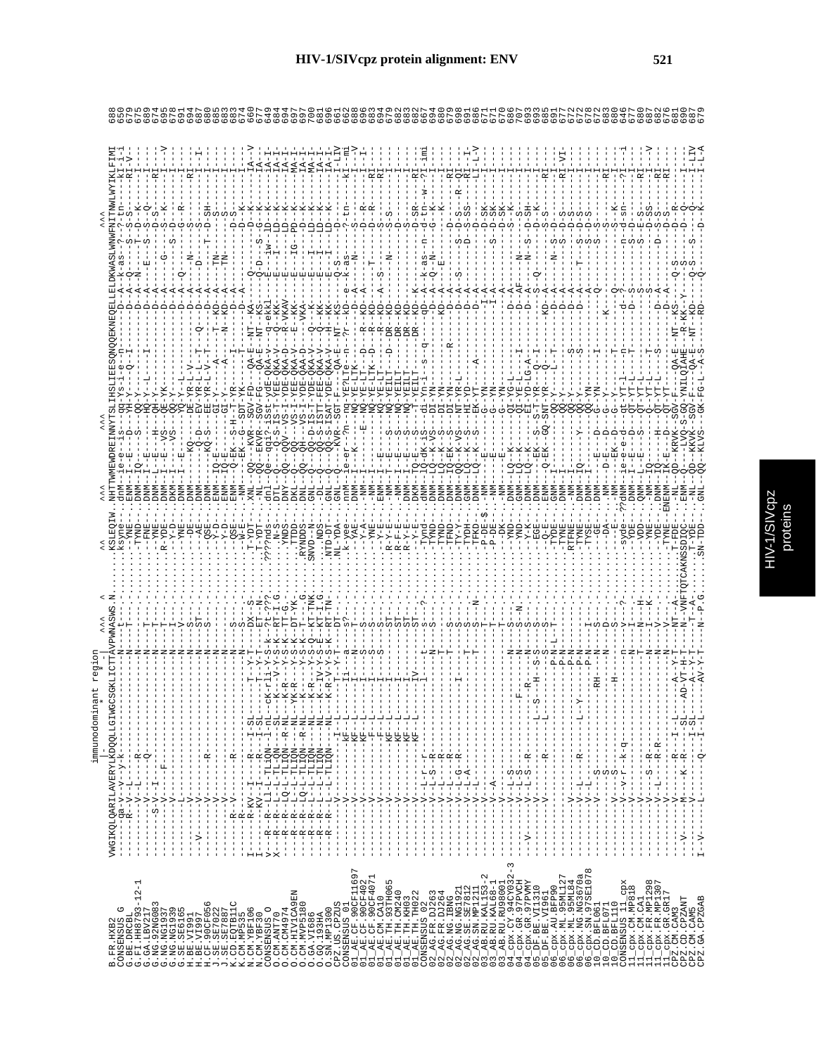|   | d<br>ò |
|---|--------|
|   |        |
|   |        |
|   |        |
| ı |        |
|   |        |

|              |                               |                                |                                              |                                                      |                                |                    |                       |                    |       |                                   |                                                                       |                                 |                          |                         |                |                                                        |                |            |          |          |  |                                                                                                                                                                                                                                                                                                                                                                                                                                              |               |                        |                |                     |                   |                            |                         |                    |             |                                  |                          | O             |       |         |   |     |               |               |                                                 |               |               |                     |                              |                    |                     |                                                                                                                                                                                                                                                                                                                                                                                                                           |                                     |                                    |                                    |                    |                          |                           |                                    |                   |                     |                    |              |                              |                                   |                |                     |            |                 |                                                              |                      |
|--------------|-------------------------------|--------------------------------|----------------------------------------------|------------------------------------------------------|--------------------------------|--------------------|-----------------------|--------------------|-------|-----------------------------------|-----------------------------------------------------------------------|---------------------------------|--------------------------|-------------------------|----------------|--------------------------------------------------------|----------------|------------|----------|----------|--|----------------------------------------------------------------------------------------------------------------------------------------------------------------------------------------------------------------------------------------------------------------------------------------------------------------------------------------------------------------------------------------------------------------------------------------------|---------------|------------------------|----------------|---------------------|-------------------|----------------------------|-------------------------|--------------------|-------------|----------------------------------|--------------------------|---------------|-------|---------|---|-----|---------------|---------------|-------------------------------------------------|---------------|---------------|---------------------|------------------------------|--------------------|---------------------|---------------------------------------------------------------------------------------------------------------------------------------------------------------------------------------------------------------------------------------------------------------------------------------------------------------------------------------------------------------------------------------------------------------------------|-------------------------------------|------------------------------------|------------------------------------|--------------------|--------------------------|---------------------------|------------------------------------|-------------------|---------------------|--------------------|--------------|------------------------------|-----------------------------------|----------------|---------------------|------------|-----------------|--------------------------------------------------------------|----------------------|
|              |                               |                                |                                              |                                                      | 귾                              |                    |                       | 귢                  |       |                                   |                                                                       |                                 |                          |                         |                |                                                        |                |            |          | .<br>∡   |  |                                                                                                                                                                                                                                                                                                                                                                                                                                              |               |                        |                |                     |                   | .<br>P                     |                         |                    |             |                                  |                          |               |       |         |   |     |               |               |                                                 |               |               |                     |                              |                    |                     |                                                                                                                                                                                                                                                                                                                                                                                                                           | R                                   | 귾                                  |                                    |                    |                          |                           |                                    |                   | 료                   |                    |              |                              |                                   |                |                     |            |                 |                                                              |                      |
|              |                               |                                |                                              |                                                      |                                |                    | $\tilde{\mathcal{F}}$ |                    |       | 5                                 |                                                                       |                                 |                          |                         |                |                                                        |                |            |          |          |  |                                                                                                                                                                                                                                                                                                                                                                                                                                              |               | $-11$                  |                |                     |                   |                            |                         |                    |             |                                  |                          |               |       |         |   |     |               |               |                                                 |               |               |                     |                              |                    |                     |                                                                                                                                                                                                                                                                                                                                                                                                                           |                                     |                                    |                                    |                    |                          |                           |                                    |                   |                     | ភ<br>-             |              |                              |                                   |                |                     |            |                 |                                                              |                      |
|              | <b>I XMTMNLINAMNMTSVM</b>     |                                |                                              |                                                      |                                | C)                 |                       |                    |       |                                   |                                                                       |                                 |                          |                         |                | İW                                                     |                |            | $-1G$    |          |  | Ŗ                                                                                                                                                                                                                                                                                                                                                                                                                                            |               |                        |                |                     |                   |                            |                         |                    |             |                                  |                          |               |       |         |   |     | S-Q           |               |                                                 | $D - SK$      |               |                     |                              |                    | ក<br>ក<br>C)        |                                                                                                                                                                                                                                                                                                                                                                                                                           |                                     |                                    |                                    |                    | ω ω ω                    |                           |                                    |                   |                     |                    |              |                              |                                   |                |                     |            |                 |                                                              |                      |
|              |                               |                                |                                              |                                                      |                                |                    |                       |                    |       |                                   |                                                                       |                                 |                          |                         | $\overline{a}$ | OЦ                                                     |                |            | ŧ        |          |  |                                                                                                                                                                                                                                                                                                                                                                                                                                              | $\frac{5}{1}$ | $-aa$                  |                |                     |                   |                            |                         |                    |             |                                  |                          |               |       |         |   |     |               |               |                                                 |               |               |                     |                              |                    |                     |                                                                                                                                                                                                                                                                                                                                                                                                                           |                                     |                                    |                                    |                    |                          |                           |                                    |                   |                     |                    |              |                              |                                   |                |                     |            |                 |                                                              |                      |
|              |                               |                                |                                              |                                                      |                                |                    |                       | ÷                  | ÷     |                                   |                                                                       |                                 |                          |                         |                | $q - e$                                                |                | .-VK<br>αĸ |          |          |  |                                                                                                                                                                                                                                                                                                                                                                                                                                              |               |                        |                |                     | ĸ                 | $\approx$                  | ĸ                       |                    |             |                                  |                          |               |       |         |   |     |               |               |                                                 |               |               |                     |                              |                    |                     |                                                                                                                                                                                                                                                                                                                                                                                                                           | -KD                                 |                                    |                                    |                    |                          |                           |                                    |                   |                     |                    |              |                              |                                   |                |                     |            |                 |                                                              |                      |
|              |                               |                                |                                              |                                                      |                                |                    |                       |                    |       |                                   |                                                                       |                                 |                          |                         | $A - E$        |                                                        | $E-QKA-V$      |            |          |          |  |                                                                                                                                                                                                                                                                                                                                                                                                                                              |               |                        |                |                     |                   |                            |                         | $-DR$              |             |                                  | $-DR$                    |               |       |         |   |     |               |               |                                                 |               |               |                     |                              |                    |                     | Ť                                                                                                                                                                                                                                                                                                                                                                                                                         |                                     |                                    |                                    |                    |                          |                           |                                    |                   |                     |                    |              |                              |                                   |                |                     |            |                 |                                                              |                      |
|              |                               |                                |                                              |                                                      |                                |                    |                       |                    |       |                                   |                                                                       |                                 |                          |                         |                |                                                        |                | -YDE-OKA-D | ○−       |          |  |                                                                                                                                                                                                                                                                                                                                                                                                                                              |               |                        |                |                     |                   |                            |                         |                    |             |                                  |                          |               |       |         |   |     |               |               |                                                 |               |               |                     |                              |                    | -51<br>--           |                                                                                                                                                                                                                                                                                                                                                                                                                           |                                     |                                    |                                    |                    |                          |                           |                                    |                   |                     |                    |              |                              |                                   |                |                     |            |                 |                                                              |                      |
|              | WMEWDREINNYTSL                |                                |                                              |                                                      |                                |                    |                       |                    |       |                                   |                                                                       |                                 |                          |                         | 日!             |                                                        |                |            |          |          |  | 0-2-2-11<br>0-3-11<br>0-2-2-20                                                                                                                                                                                                                                                                                                                                                                                                               | KVR           | $-135 -$               |                |                     |                   |                            |                         |                    |             |                                  |                          | T.<br>-dK     | $-VS$ |         |   |     | $-VS$         | ŧ             |                                                 |               |               |                     |                              |                    |                     | w                                                                                                                                                                                                                                                                                                                                                                                                                         | $-5$                                |                                    |                                    |                    |                          |                           |                                    |                   |                     |                    |              |                              |                                   |                |                     |            |                 |                                                              |                      |
|              |                               |                                |                                              |                                                      |                                |                    |                       |                    |       |                                   |                                                                       |                                 |                          |                         |                |                                                        |                | Ō<br>--Q   |          | $Q - -Q$ |  |                                                                                                                                                                                                                                                                                                                                                                                                                                              |               | e-er                   |                |                     |                   |                            |                         |                    | 甲甲甲         |                                  |                          |               | Ŧ     |         |   | -EK |               |               |                                                 |               |               |                     |                              |                    |                     |                                                                                                                                                                                                                                                                                                                                                                                                                           | $-1$<br>EX<br>$Q - EX$              |                                    |                                    |                    |                          |                           | $D - E$                            | $-\mathbf{EX}$    |                     | $\frac{0}{\theta}$ | 면면           |                              |                                   |                |                     |            |                 |                                                              |                      |
|              |                               |                                |                                              |                                                      |                                |                    |                       |                    |       |                                   |                                                                       |                                 |                          |                         |                |                                                        |                |            |          |          |  |                                                                                                                                                                                                                                                                                                                                                                                                                                              |               |                        |                |                     |                   |                            |                         |                    |             |                                  |                          |               |       |         |   |     |               |               |                                                 |               |               |                     |                              |                    |                     |                                                                                                                                                                                                                                                                                                                                                                                                                           |                                     |                                    |                                    |                    |                          |                           |                                    |                   |                     |                    |              |                              |                                   |                |                     |            |                 |                                                              |                      |
|              |                               |                                |                                              |                                                      |                                |                    |                       |                    |       |                                   |                                                                       |                                 | $-25$                    | Lax-1                   | LCK-.          | apu??                                                  | SURK.          |            |          | RYNDD    |  | $\frac{1}{N}$ $N+1$                                                                                                                                                                                                                                                                                                                                                                                                                          | UX-TI         |                        |                |                     |                   |                            |                         | −<br>∩             | $R-1$       |                                  |                          |               |       |         |   |     |               |               |                                                 |               |               |                     |                              |                    |                     |                                                                                                                                                                                                                                                                                                                                                                                                                           |                                     |                                    |                                    |                    |                          |                           |                                    |                   |                     | ₫<br>Sγ            |              |                              |                                   |                |                     |            |                 |                                                              |                      |
|              |                               |                                |                                              |                                                      |                                |                    |                       |                    |       |                                   |                                                                       |                                 |                          |                         |                | $\sim$                                                 | $\ddot{\circ}$ | r-ci       | XX-LK    | ひ        |  |                                                                                                                                                                                                                                                                                                                                                                                                                                              |               |                        |                |                     |                   |                            |                         |                    |             |                                  |                          |               |       |         |   |     |               |               |                                                 |               |               |                     |                              |                    |                     |                                                                                                                                                                                                                                                                                                                                                                                                                           |                                     |                                    |                                    |                    |                          |                           |                                    |                   |                     |                    |              |                              |                                   |                |                     |            |                 |                                                              |                      |
|              | <b>AVPWNASWS</b>              |                                |                                              |                                                      |                                |                    |                       |                    |       |                                   |                                                                       |                                 |                          |                         |                |                                                        |                |            |          |          |  |                                                                                                                                                                                                                                                                                                                                                                                                                                              |               |                        |                |                     |                   |                            |                         |                    |             |                                  |                          |               |       |         |   |     |               |               |                                                 |               |               |                     |                              |                    |                     |                                                                                                                                                                                                                                                                                                                                                                                                                           |                                     |                                    |                                    |                    |                          |                           |                                    |                   |                     |                    |              |                              |                                   |                |                     |            |                 |                                                              |                      |
| regior       |                               |                                |                                              |                                                      |                                |                    |                       |                    |       |                                   |                                                                       |                                 |                          |                         |                |                                                        |                | Ĕ          |          |          |  |                                                                                                                                                                                                                                                                                                                                                                                                                                              |               |                        |                |                     |                   |                            |                         |                    |             |                                  |                          |               |       |         |   |     |               |               |                                                 |               |               |                     |                              |                    |                     | ပ္ပ်                                                                                                                                                                                                                                                                                                                                                                                                                      |                                     |                                    |                                    |                    |                          |                           |                                    |                   |                     |                    |              |                              |                                   |                |                     |            |                 |                                                              |                      |
| immunodomina |                               | $\frac{1}{1}$<br>$\frac{1}{1}$ |                                              |                                                      |                                |                    |                       |                    |       |                                   | J.                                                                    | $\frac{1}{1}$                   |                          |                         | $-18 - 1 - 5$  |                                                        |                |            | ---TN--- |          |  |                                                                                                                                                                                                                                                                                                                                                                                                                                              |               | ך<br>                  |                |                     | $\blacksquare$    | $\mathbf{I}$               |                         | ł                  | $-1$        | $\mathbf{I}$<br>$-1$             | $-5 - 2X - -1$           |               |       | I<br>т  |   |     | $\frac{1}{1}$ |               |                                                 |               |               |                     |                              |                    |                     | $-1 - 1 - S$                                                                                                                                                                                                                                                                                                                                                                                                              | $\frac{1}{1}$                       | J<br>$\mathbf{I}$                  |                                    | $\frac{1}{1}$      |                          |                           |                                    |                   |                     |                    |              | I<br>I                       | $\frac{1}{1}$                     |                |                     |            | $-15 - -$       |                                                              |                      |
|              |                               | $\frac{1}{1}$                  |                                              | $-\frac{1}{2}$                                       | 中!                             |                    |                       |                    |       | ł<br>$-1 - 1 - 1$                 |                                                                       | $\,$ I                          | $-1$ - $-1$ - $-1$ - $R$ | $-12 - 1 - 1 - 51 -$    | $\dot{R}$      | $- - R - - R - - Ll - L - L - Ll \geq N - 1 - nL - -c$ |                |            |          |          |  |                                                                                                                                                                                                                                                                                                                                                                                                                                              |               | $-15F$<br>$\mathbf{I}$ | $-$ -KF $-$ -L |                     | ------<br>KF---L  | 1                          |                         | T                  | $-KKF - KF$ | $\blacksquare$<br>$\blacksquare$ |                          | $\frac{A}{A}$ |       | ï<br>J. |   |     | $\frac{1}{1}$ |               |                                                 |               |               |                     |                              |                    | $- -1 - 5 - -R - -$ |                                                                                                                                                                                                                                                                                                                                                                                                                           | ł<br>$- - R - -$<br>$\mathbf{I}$    | I<br>$\mathbf{I}$<br>t<br>I<br>I.  | $\frac{1}{1}$<br>J<br>$\mathbf{I}$ |                    |                          | f.                        | $\mathbf{I}$                       |                   | $-5 - 3 - -2 - 4 -$ |                    | $\mathbf{I}$ | $\mathfrak l$<br>$\mathsf I$ |                                   | J,<br>$-R - R$ |                     |            | $- -K - -R - -$ |                                                              |                      |
|              |                               |                                | $- -\Delta - -1 - - - - - - -$<br>$- -V - -$ | $\frac{1}{4}$<br>$\frac{1}{4}$<br>$- -S - V - I$     | $--V---$                       | $-1$ - $-1$        | $-1 -$                | $-1 - 1 - 1$       | $-1$  | $- -V - -$                        | $\frac{1}{1}$<br>$-\nabla$                                            | $\frac{1}{1}$<br>$-\frac{5}{1}$ | $- -R - V -$             | $---R-KV--I--$          | $---KV---I$    |                                                        |                |            |          |          |  |                                                                                                                                                                                                                                                                                                                                                                                                                                              |               | $- - - - - - - - -$    |                | $- - - - - - - - -$ | $- - - - - - - -$ | $- - - - - - - - - -$      | $-V-$<br>$\overline{1}$ | Ť.<br>$----------$ | ÷<br>$-7$   | $\mathbf{I}$<br>Ĵ.<br>$-7$       | J<br>$-7$                |               |       |         |   |     |               |               |                                                 | Ĵ.<br>$-1$    |               | $- - - - - - - - -$ | $-1 - 5$<br>$\frac{1}{2}$    | $-1 - 5$<br>$\geq$ | $-7$                | $-1$                                                                                                                                                                                                                                                                                                                                                                                                                      | Ť<br>$- -1 - -$                     | Ţ<br>J,<br>п                       | ï<br>$\frac{1}{1}$                 | $---L---R$<br>$-7$ | $-1 - 7 - 5 -$           | $S$ ----<br>$\frac{1}{2}$ | $\frac{1}{2}$<br>I<br>$\mathbf{I}$ | $-2$<br>ł<br>$-7$ | $-7$                | $-1$               | $- -V - -$   | u<br>I                       | $- - - - - - - - - - - - - - - -$ | --1--7--       | f.<br>$\frac{5}{1}$ | f,<br>$-7$ | $-1$ - $-1$     | $\frac{1}{2}$                                                | ï<br>$-1$            |
|              | VWGIKQLQARILAVERYLKDQQLLGIWGC |                                | $\mathbf{I}$<br>$\frac{1}{1}$<br>Ť.          | $\overline{\phantom{a}}$<br>J.<br>J.<br>$\mathbf{I}$ | í<br>J<br>J.<br>$\overline{1}$ | $\frac{1}{1}$<br>ŧ |                       | J.<br>I.<br>I<br>п | $-V-$ | $\mathbf{I}$<br>J.<br>I<br>J<br>1 | $\overline{\phantom{a}}$<br>$\overline{\phantom{a}}$<br>$\frac{1}{1}$ | $\mathbf{I}$                    | п<br>п<br>Ť.             | J<br>H<br>$\frac{1}{4}$ | $\mathsf I$    | 5                                                      |                |            |          |          |  | $\begin{split} &\cdot\cdot\cdot\cdot R - R - R - I - I - T \cdot \text{Tr}(\Sigma) \mathbf{V} - I - \nabla \mathbf{U} - \mathbf{V} - \mathbf{V} - \mathbf{V} - \mathbf{V} - \mathbf{V} - \mathbf{V} - \mathbf{V} - \mathbf{V} - \mathbf{V} - \mathbf{V} - \mathbf{V} - \mathbf{V} - \mathbf{V} - \mathbf{V} - \mathbf{V} - \mathbf{V} - \mathbf{V} - \mathbf{V} - \mathbf{V} - \mathbf{V} - \mathbf{V} - \mathbf{V} - \mathbf{V} - \mathbf{$ |               | ı<br>1<br>Ť.           |                |                     |                   | I<br>ı<br>п<br>$\mathbf I$ |                         | T<br>Ţ<br>I<br>ł   |             | $\overline{\phantom{a}}$<br>п    | $\overline{\phantom{a}}$ |               |       | т       | п |     | п             | $\frac{1}{1}$ | $\begin{array}{c} 1 \\ 1 \\ 1 \end{array}$<br>ł | $\frac{1}{1}$ | $\frac{1}{1}$ | J<br>$\frac{1}{1}$  | п<br>ï<br>I<br>$\frac{1}{1}$ |                    | $-1 - 1 - 1$        | -                                                                                                                                                                                                                                                                                                                                                                                                                         | 1<br>$\frac{1}{1}$<br>$\frac{1}{1}$ | л<br>J,<br>Ţ<br>I<br>$\frac{1}{4}$ | $-1$ - $-1$ - $-1$ - $-1$          |                    | $\overline{\phantom{a}}$ | $\frac{1}{1}$<br>J        | л                                  | $\blacksquare$    |                     |                    | I<br>I<br>ł  | I.<br>İ                      | п<br>I<br>Ť                       | ł.             | j<br>$\frac{1}{1}$  | $\,$ I     | Ť<br>$- -V - -$ | т                                                            | л<br>Ţ<br>$- -V - -$ |
|              |                               |                                | $-12-1$                                      |                                                      |                                |                    |                       |                    |       |                                   |                                                                       |                                 |                          |                         |                |                                                        |                |            |          |          |  |                                                                                                                                                                                                                                                                                                                                                                                                                                              |               |                        |                |                     |                   |                            |                         |                    |             |                                  |                          |               |       |         |   |     |               |               |                                                 |               |               |                     |                              |                    |                     |                                                                                                                                                                                                                                                                                                                                                                                                                           |                                     |                                    |                                    |                    |                          |                           |                                    |                   |                     |                    |              |                              |                                   |                |                     |            |                 |                                                              |                      |
|              |                               |                                |                                              |                                                      |                                |                    |                       |                    |       |                                   |                                                                       |                                 |                          |                         |                |                                                        |                |            |          |          |  |                                                                                                                                                                                                                                                                                                                                                                                                                                              |               |                        |                |                     |                   |                            |                         |                    |             |                                  |                          |               |       |         |   |     |               |               |                                                 |               |               |                     |                              |                    |                     | $\begin{array}{l} {\tt CONSEINSEUSD3G346} \\ {\tt OZ\_AG. FR. DZ264} \\ {\tt OZ\_AG. GR. DZ264} \\ {\tt OZ\_AG. GR. LEMG} \\ {\tt OZ\_AG. GR. LEMG} \\ {\tt OZ\_AG. GR. LEMG} \\ {\tt OZ\_AG. GR. LEMG} \\ {\tt OZ\_AG. GR. LEMG} \\ {\tt OZ\_AG. GR. LEMG} \\ {\tt OZ\_AG. GR. LEMG} \\ {\tt OZ\_G} \\ {\tt OZ\_G} \\ {\tt OZ\_G} \\ {\tt OZ\_G} \\ {\tt OZ\_G} \\ {\tt OZ\_G} \\ {\tt OZ\_G} \\ {\tt OZ\_G} \\ {\tt OZ$ |                                     |                                    |                                    |                    |                          |                           |                                    |                   |                     |                    |              |                              |                                   |                |                     |            |                 | CPZ.CM.CAM3<br>CPZ.CM.CAM3<br>CPZ.CD.CPZANT<br>CPZ.CA.CPZGAB |                      |
|              |                               |                                |                                              |                                                      |                                |                    |                       |                    |       |                                   |                                                                       |                                 |                          |                         |                |                                                        |                |            |          |          |  |                                                                                                                                                                                                                                                                                                                                                                                                                                              |               |                        |                |                     |                   |                            |                         |                    |             |                                  |                          |               |       |         |   |     |               |               |                                                 |               |               |                     |                              |                    |                     |                                                                                                                                                                                                                                                                                                                                                                                                                           |                                     |                                    |                                    |                    |                          |                           |                                    |                   |                     |                    |              |                              |                                   |                |                     |            |                 |                                                              |                      |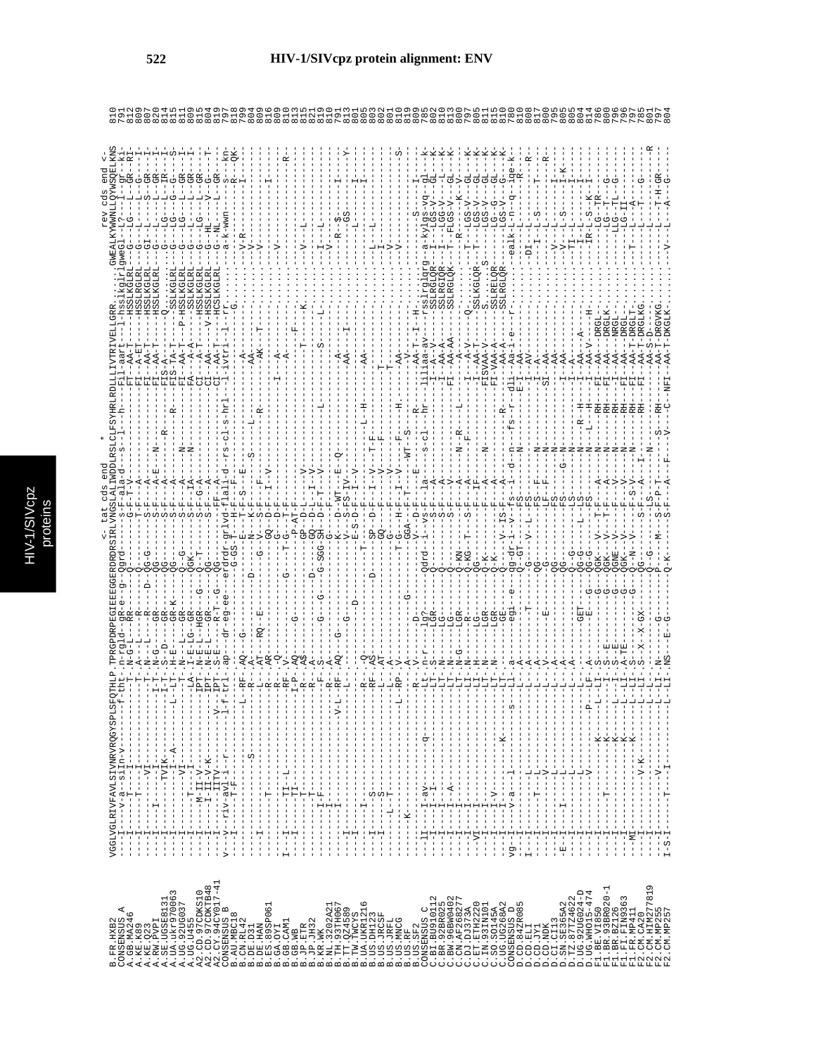|                                                 |                                                                                                                                                                                                                                                                                                                                                                                                     |                                                                                                                                                                                                                                                                                                                                                                                                  |                | PRGPDRPEGIEEGERDRDRS |     | IRLVM              |        | 5 |         |                      |                                          |                              | QYWSQET<br>5                |                                   |
|-------------------------------------------------|-----------------------------------------------------------------------------------------------------------------------------------------------------------------------------------------------------------------------------------------------------------------------------------------------------------------------------------------------------------------------------------------------------|--------------------------------------------------------------------------------------------------------------------------------------------------------------------------------------------------------------------------------------------------------------------------------------------------------------------------------------------------------------------------------------------------|----------------|----------------------|-----|--------------------|--------|---|---------|----------------------|------------------------------------------|------------------------------|-----------------------------|-----------------------------------|
|                                                 |                                                                                                                                                                                                                                                                                                                                                                                                     |                                                                                                                                                                                                                                                                                                                                                                                                  |                |                      |     |                    |        |   |         |                      |                                          |                              |                             |                                   |
|                                                 |                                                                                                                                                                                                                                                                                                                                                                                                     |                                                                                                                                                                                                                                                                                                                                                                                                  |                |                      |     |                    |        |   |         |                      |                                          | 鸟                            |                             |                                   |
|                                                 |                                                                                                                                                                                                                                                                                                                                                                                                     |                                                                                                                                                                                                                                                                                                                                                                                                  |                | ĸ                    |     |                    |        |   |         |                      | нs                                       | -1<br>ひ                      | Ú                           |                                   |
|                                                 | j.                                                                                                                                                                                                                                                                                                                                                                                                  | т<br>Ť.<br>$\mathsf I$<br>$\frac{1}{1}$<br>Ť,                                                                                                                                                                                                                                                                                                                                                    |                | ĸ                    |     | ひーひ                |        |   | Ŀ.      |                      | GLRL<br>HSS:                             | U                            | g<br>C)                     |                                   |
|                                                 | Ħi                                                                                                                                                                                                                                                                                                                                                                                                  | J<br>$\frac{1}{1}$<br>J<br>$\frac{1}{1}$                                                                                                                                                                                                                                                                                                                                                         |                | g<br>먹               |     |                    |        |   | Ŀ       | --AA--               | HSSLKGLRI                                |                              | g                           | cooweredordormen<br>Fooweredorden |
|                                                 |                                                                                                                                                                                                                                                                                                                                                                                                     | $\mathbf{I}$                                                                                                                                                                                                                                                                                                                                                                                     |                |                      |     |                    |        |   | Ŀц,     |                      |                                          |                              | q                           |                                   |
| $\frac{1}{6}$                                   |                                                                                                                                                                                                                                                                                                                                                                                                     | $\mathsf I$<br>$\frac{1}{1}$                                                                                                                                                                                                                                                                                                                                                                     |                |                      |     | ひ                  |        |   |         | ပ္ပ်                 | ---Q.<br>---SSLKGLRL---<br>----SSLKGLRL- | ር<br>አ                       |                             |                                   |
|                                                 | $\frac{1}{1}$                                                                                                                                                                                                                                                                                                                                                                                       |                                                                                                                                                                                                                                                                                                                                                                                                  |                | g                    | ř   | Ů                  |        |   | 匞<br>л  | $S-TA-7$             |                                          | $-10$                        | Ψ<br>てり                     |                                   |
|                                                 | Ţ                                                                                                                                                                                                                                                                                                                                                                                                   | J.<br>Ţ<br>J.<br>J.<br>J.                                                                                                                                                                                                                                                                                                                                                                        | J.             |                      |     |                    |        |   | E.      | $\Omega$<br>$-AA$ -1 |                                          | 9<br>L                       | ã                           |                                   |
|                                                 | $\frac{1}{1}$                                                                                                                                                                                                                                                                                                                                                                                       | T<br>т<br>ï.<br>I<br>I<br>п<br>т<br>т                                                                                                                                                                                                                                                                                                                                                            |                |                      |     | š                  |        |   |         |                      | 呜<br>급<br>σī                             |                              | ర్                          |                                   |
| $\frac{10}{348}$<br>7-41                        | $\frac{1}{2}$                                                                                                                                                                                                                                                                                                                                                                                       | $\mathbf{I}$<br>ł<br>Ţ<br>$\mathbf{I}$<br>Ť.<br>$\overline{\phantom{a}}$<br>Ţ                                                                                                                                                                                                                                                                                                                    |                |                      |     |                    | Ψ      |   |         |                      |                                          |                              | ã                           |                                   |
|                                                 | $\frac{1}{2}$                                                                                                                                                                                                                                                                                                                                                                                       | Ţ<br>L.<br>$\mathsf I$<br>$\mathsf I$<br>$\frac{1}{1}$<br>Ť.<br>$\mathsf I$                                                                                                                                                                                                                                                                                                                      |                |                      |     |                    |        |   |         |                      |                                          | 도<br>-<br>                   | ά                           |                                   |
|                                                 |                                                                                                                                                                                                                                                                                                                                                                                                     |                                                                                                                                                                                                                                                                                                                                                                                                  |                | "                    |     |                    |        |   |         |                      |                                          |                              | ర్                          |                                   |
|                                                 |                                                                                                                                                                                                                                                                                                                                                                                                     |                                                                                                                                                                                                                                                                                                                                                                                                  |                |                      |     |                    |        |   |         |                      |                                          |                              |                             |                                   |
|                                                 |                                                                                                                                                                                                                                                                                                                                                                                                     |                                                                                                                                                                                                                                                                                                                                                                                                  |                |                      |     | drd<br>d           | ' ര    |   |         | $-1vt$               |                                          | ¥<br>൯                       | $\frac{1}{9}$ $\frac{1}{9}$ |                                   |
|                                                 |                                                                                                                                                                                                                                                                                                                                                                                                     |                                                                                                                                                                                                                                                                                                                                                                                                  |                |                      |     | ひーひ                |        |   |         |                      |                                          |                              |                             |                                   |
|                                                 | т<br>$\mathsf I$<br>I<br>J.<br>-1<br>J.<br>$\mathsf I$<br>J.<br>-1<br>J.                                                                                                                                                                                                                                                                                                                            | $-1$<br>I<br>J.<br>$\frac{1}{4}$                                                                                                                                                                                                                                                                                                                                                                 |                | ひ                    |     |                    |        |   |         |                      |                                          | ۴                            |                             |                                   |
|                                                 | $\mathsf I$<br>$\mathsf I$<br>$\frac{1}{1}$<br>$\mathsf I$<br>I<br>$\frac{1}{1}$<br>I<br>I.                                                                                                                                                                                                                                                                                                         | I<br>$\frac{1}{1}$<br>I<br>I<br>$\frac{1}{1}$<br>Ţ<br>$-1$ - $-1$ - $-1$ - $-1$                                                                                                                                                                                                                                                                                                                  |                |                      | ╒   |                    |        |   |         |                      |                                          |                              |                             |                                   |
|                                                 | Í<br>п<br>$\begin{array}{c} \frac{1}{2} \\ \frac{1}{2} \\ \frac{1}{2} \end{array}$<br>ŧ<br>$-1$<br>J<br>п                                                                                                                                                                                                                                                                                           | I<br>I<br>п<br>$\mathbf{I}$<br>J<br>$\frac{1}{1}$<br>$\frac{1}{1}$                                                                                                                                                                                                                                                                                                                               |                |                      |     | ひ                  |        |   |         |                      |                                          |                              |                             |                                   |
|                                                 |                                                                                                                                                                                                                                                                                                                                                                                                     |                                                                                                                                                                                                                                                                                                                                                                                                  |                |                      |     |                    |        |   |         |                      |                                          |                              |                             |                                   |
|                                                 | $-1 - 1 - 1 - 1$<br>$\,$ I<br>$\blacksquare$<br>J.                                                                                                                                                                                                                                                                                                                                                  | п                                                                                                                                                                                                                                                                                                                                                                                                |                |                      |     | 옹                  |        |   |         |                      |                                          |                              |                             |                                   |
|                                                 | Ť.<br>T<br>$\mathbf{I}$<br>$\mathsf I$<br>$\begin{bmatrix} 1 \\ 1 \\ 1 \end{bmatrix}$<br>$\mathsf I$<br>Т<br>-<br>ţ<br>$\mathbf{I}$                                                                                                                                                                                                                                                                 | Ť.<br>т<br>Ţ<br>$\frac{1}{1}$<br>т<br>1                                                                                                                                                                                                                                                                                                                                                          |                |                      |     | τη                 |        |   |         |                      |                                          |                              |                             | ○                                 |
|                                                 | $\begin{array}{c} \begin{array}{c} \vdots \\ \vdots \\ \vdots \end{array} \\ \begin{array}{c} \vdots \\ \vdots \\ \vdots \end{array} \end{array}$<br>$\mathbf{H}$                                                                                                                                                                                                                                   |                                                                                                                                                                                                                                                                                                                                                                                                  |                |                      |     | τŋ                 |        |   |         |                      |                                          |                              |                             |                                   |
|                                                 |                                                                                                                                                                                                                                                                                                                                                                                                     |                                                                                                                                                                                                                                                                                                                                                                                                  |                |                      |     | $\frac{1}{\Delta}$ |        |   |         |                      |                                          |                              |                             |                                   |
|                                                 | $\overline{\phantom{a}}$<br>I<br>I                                                                                                                                                                                                                                                                                                                                                                  | I<br>ï<br>$\overline{\phantom{a}}$<br>I<br>1<br>п                                                                                                                                                                                                                                                                                                                                                |                |                      |     | ₿                  |        |   |         |                      |                                          |                              |                             |                                   |
|                                                 | J<br>÷<br>F<br>-1<br>J.<br>$\mathsf I$<br>J.<br>J.<br>$\mathbb{I}$                                                                                                                                                                                                                                                                                                                                  | $\mathbb{I}$<br>$\mathsf I$<br>J.<br>J.                                                                                                                                                                                                                                                                                                                                                          |                |                      |     |                    |        |   |         |                      |                                          |                              |                             |                                   |
|                                                 |                                                                                                                                                                                                                                                                                                                                                                                                     |                                                                                                                                                                                                                                                                                                                                                                                                  |                |                      |     | $rac{1}{35}$       |        |   |         |                      |                                          |                              |                             |                                   |
|                                                 | $\mathbf{I}$<br>f,<br>$-1 - 1 - F$<br>$\begin{array}{c} 1 \\ 1 \\ 1 \end{array}$<br>Ţ<br>$\mathbf{I}$                                                                                                                                                                                                                                                                                               | л<br>ï<br>Ţ<br>I<br>л                                                                                                                                                                                                                                                                                                                                                                            |                |                      | ひ   | -950<br>ï          |        |   |         |                      |                                          |                              |                             |                                   |
|                                                 | $\frac{1}{2}$<br>$\blacksquare$<br>$\mathsf I$                                                                                                                                                                                                                                                                                                                                                      | $\overline{1}$<br>$\overline{\phantom{a}}$<br>$\mathbf{I}$                                                                                                                                                                                                                                                                                                                                       |                |                      |     |                    |        |   |         |                      |                                          |                              |                             |                                   |
|                                                 | I<br>J.<br>$\begin{array}{c} \begin{array}{c} \begin{array}{c} \begin{array}{c} \begin{array}{c} \end{array} \\ \begin{array}{c} \end{array} \\ \begin{array}{c} \end{array} \\ \begin{array}{c} \end{array} \\ \begin{array}{c} \end{array} \\ \begin{array}{c} \end{array} \\ \end{array} \end{array} \end{array}$<br>$\overline{\phantom{a}}$<br>J.<br>J.                                        | $-1 - 1 - 1 - 1 - 1$<br>I                                                                                                                                                                                                                                                                                                                                                                        |                |                      |     |                    |        |   |         |                      |                                          | ĐΩ<br>멲                      |                             |                                   |
|                                                 | -1<br>$\mathsf I$<br>$\frac{1}{1}$<br>j.<br>$\frac{1}{1}$                                                                                                                                                                                                                                                                                                                                           | $\frac{1}{4}$<br>$\mathsf I$<br>$\frac{1}{4}$                                                                                                                                                                                                                                                                                                                                                    |                |                      |     |                    |        |   |         |                      |                                          | C<br>ひ                       |                             |                                   |
|                                                 | I<br>J,<br>Ţ<br>$\frac{1}{1}$<br>$\frac{1}{1}$<br>$-1$                                                                                                                                                                                                                                                                                                                                              | ł<br>Ţ<br>I<br>л                                                                                                                                                                                                                                                                                                                                                                                 | $\mathbf{I}$   |                      |     | C)<br>⊡            |        |   |         |                      |                                          |                              |                             |                                   |
|                                                 | $\frac{1}{2} - \frac{1}{2} - \frac{1}{2} - \frac{1}{2} - \frac{1}{2} - \frac{1}{2} - \frac{1}{2} - \frac{1}{2} - \frac{1}{2} - \frac{1}{2} - \frac{1}{2} - \frac{1}{2} - \frac{1}{2} - \frac{1}{2} - \frac{1}{2} - \frac{1}{2} - \frac{1}{2} - \frac{1}{2} - \frac{1}{2} - \frac{1}{2} - \frac{1}{2} - \frac{1}{2} - \frac{1}{2} - \frac{1}{2} - \frac{1}{2} - \frac{1}{2} - \frac{1}{2} - \frac{1$ | ł<br>$\,$ I                                                                                                                                                                                                                                                                                                                                                                                      | $\blacksquare$ |                      |     |                    |        |   |         |                      |                                          |                              |                             |                                   |
|                                                 |                                                                                                                                                                                                                                                                                                                                                                                                     |                                                                                                                                                                                                                                                                                                                                                                                                  |                |                      |     |                    |        |   |         |                      |                                          |                              |                             |                                   |
|                                                 | п<br>$S$ --------<br>$\frac{1}{2}$                                                                                                                                                                                                                                                                                                                                                                  | ı<br>I                                                                                                                                                                                                                                                                                                                                                                                           |                |                      |     | SP.                |        |   |         |                      |                                          |                              |                             |                                   |
|                                                 | J.<br>$\blacksquare$                                                                                                                                                                                                                                                                                                                                                                                | $\begin{array}{c} \rule{0pt}{2.5ex} \rule{0pt}{2.5ex} \rule{0pt}{2.5ex} \rule{0pt}{2.5ex} \rule{0pt}{2.5ex} \rule{0pt}{2.5ex} \rule{0pt}{2.5ex} \rule{0pt}{2.5ex} \rule{0pt}{2.5ex} \rule{0pt}{2.5ex} \rule{0pt}{2.5ex} \rule{0pt}{2.5ex} \rule{0pt}{2.5ex} \rule{0pt}{2.5ex} \rule{0pt}{2.5ex} \rule{0pt}{2.5ex} \rule{0pt}{2.5ex} \rule{0pt}{2.5ex} \rule{0pt}{2.5ex} \rule{0$<br>I<br>I.<br>т |                |                      |     | ಕ್ಷಿ               |        |   |         |                      |                                          |                              |                             | - 1 1 1 0 0 0 0 0                 |
|                                                 | J<br>$\mathbf{I}$                                                                                                                                                                                                                                                                                                                                                                                   | $\frac{1}{1}$<br>I<br>I<br>т<br>-<br>т<br>ł                                                                                                                                                                                                                                                                                                                                                      |                |                      |     | C٦                 |        |   |         |                      |                                          |                              |                             |                                   |
|                                                 | $\mathbf{I}$<br>п<br>$\overline{\phantom{a}}$<br>J.<br>J.                                                                                                                                                                                                                                                                                                                                           | $-1 -$<br>J.<br>J.                                                                                                                                                                                                                                                                                                                                                                               |                |                      |     | ひ                  |        |   |         |                      |                                          |                              |                             |                                   |
|                                                 | $\mathbf{I}$<br>1<br>Ť.<br>$--- - - - - - - - -$                                                                                                                                                                                                                                                                                                                                                    | $\frac{1}{1}$<br>J<br>I<br>$\frac{1}{1}$<br>$\overline{\phantom{a}}$<br>J<br>ł<br>ł                                                                                                                                                                                                                                                                                                              |                |                      |     | GGA                |        |   |         |                      |                                          |                              |                             |                                   |
|                                                 | I<br>$\begin{bmatrix} 1 \\ 1 \\ 1 \end{bmatrix}$<br>$\frac{1}{1}$<br>I<br>I<br>J.<br>ı<br>I<br>J.                                                                                                                                                                                                                                                                                                   | ï<br>I<br>I<br>$\frac{1}{1}$<br>J.<br>ı<br>ŧ                                                                                                                                                                                                                                                                                                                                                     |                |                      |     |                    |        |   |         |                      |                                          |                              |                             |                                   |
|                                                 |                                                                                                                                                                                                                                                                                                                                                                                                     | ŧ                                                                                                                                                                                                                                                                                                                                                                                                |                |                      |     | drd                | ι<br>ທ |   |         |                      |                                          |                              |                             |                                   |
|                                                 | $-1$ - $-1$ - $-1$ - $-1$ - $-1$ - $-$                                                                                                                                                                                                                                                                                                                                                              | $-1 - 1 - 2 - 1 - 1 - 1$                                                                                                                                                                                                                                                                                                                                                                         |                | তা                   |     |                    |        |   |         | ര                    |                                          | თ.<br>თ<br>--a-kyl<br>------ |                             | $\circ$ $\circ$ $\circ$           |
| $\mathbf{\Omega}$                               |                                                                                                                                                                                                                                                                                                                                                                                                     | I<br>п                                                                                                                                                                                                                                                                                                                                                                                           |                | ひ                    |     |                    |        |   |         |                      |                                          |                              |                             |                                   |
|                                                 | $\overline{1}$<br>L.<br>$\frac{1}{1}$<br>$-1$<br>Ť<br>$\frac{1}{2}$                                                                                                                                                                                                                                                                                                                                 | $\mathbf{I}$<br>J.<br>ţ<br>J.<br>т                                                                                                                                                                                                                                                                                                                                                               |                | ত্                   |     |                    |        |   |         | $-AA-$               | SSLRO<br>SSLRO                           | 7<br>Ğ<br>T<br>j.<br>Н       |                             |                                   |
| $\sim$ $\sim$                                   | T<br> <br> <br>т                                                                                                                                                                                                                                                                                                                                                                                    | ł<br>I<br>J.<br>$\frac{1}{1}$<br>ł<br>J,<br>$\frac{1}{1}$                                                                                                                                                                                                                                                                                                                                        |                | ਾ                    |     |                    |        |   | Ŀ,      | $-AA -AA$            | CTS                                      | $-TT - T - F LGS$            |                             |                                   |
|                                                 | $\frac{1}{1}$<br>f,<br>$\frac{1}{1}$<br>$\frac{1}{1}$<br>$\frac{1}{2}$                                                                                                                                                                                                                                                                                                                              | $\mathbf{I}$<br>$\,$ I<br>J,<br>$\frac{1}{1}$<br>$\overline{\phantom{a}}$<br>п                                                                                                                                                                                                                                                                                                                   |                | ලී                   |     | $-K N$             |        |   |         |                      |                                          | ۴                            |                             |                                   |
|                                                 | J<br>$\frac{1}{2}$<br>Ť<br>$\frac{1}{1}$<br>$\frac{1}{1}$<br>$\frac{1}{1}$<br>$\,$ I                                                                                                                                                                                                                                                                                                                | $\mathbf I$<br>п<br>J.<br>$\overline{\phantom{a}}$                                                                                                                                                                                                                                                                                                                                               |                | ĸ                    |     | -kg                |        |   |         |                      |                                          | $-LGS$                       |                             |                                   |
|                                                 | $\frac{1}{1}$<br>ŧ<br>$-1$<br>$\frac{1}{1}$<br>$-1V$                                                                                                                                                                                                                                                                                                                                                | J.<br>-1<br>$\mathbb{I}$<br>J.                                                                                                                                                                                                                                                                                                                                                                   |                | ひ                    |     |                    |        |   |         |                      | $-$ ssikcion<br>- s                      | $-165$<br>$\mathbf{I}$       |                             | ೦೧೦                               |
|                                                 | I.<br>I<br>Î<br>т                                                                                                                                                                                                                                                                                                                                                                                   | I<br>ł<br>$\mathbf I$<br>1<br>л<br>п                                                                                                                                                                                                                                                                                                                                                             |                | යි                   |     | Ϋ́                 |        |   | Ŀ       | SVAA-T               |                                          | $-265-7$                     |                             |                                   |
|                                                 | $\frac{1}{1}$                                                                                                                                                                                                                                                                                                                                                                                       |                                                                                                                                                                                                                                                                                                                                                                                                  |                |                      |     |                    |        |   |         |                      |                                          |                              |                             |                                   |
|                                                 | ÷<br>$-1 - 1 - 1$<br>$\frac{1}{1}$<br>$\frac{1}{1}$                                                                                                                                                                                                                                                                                                                                                 | 1<br>J.<br>$\frac{1}{1}$<br>$\mathbf{I}$<br>п                                                                                                                                                                                                                                                                                                                                                    |                | Ğ                    |     |                    |        |   |         |                      | w                                        | 임                            |                             |                                   |
|                                                 | I<br>I<br>$\begin{bmatrix} 1 \\ 1 \\ 1 \end{bmatrix}$<br>Î<br>$-1 - 1$                                                                                                                                                                                                                                                                                                                              | I<br>j<br>I<br>--------<br>J.                                                                                                                                                                                                                                                                                                                                                                    |                | 뜅                    |     |                    |        |   |         |                      | SSLR                                     | $1-85-$                      |                             |                                   |
|                                                 | $-1 - 4 - 1 - 1 - 1$<br>$\frac{1}{1}$<br>$vg - -I$                                                                                                                                                                                                                                                                                                                                                  | $rac{1}{1}$<br>ł                                                                                                                                                                                                                                                                                                                                                                                 |                | g                    | Φ   | $-35-5$            |        |   | i<br>Tb | œ                    |                                          | ealk-L-n                     | iqe-<br>ত                   | $\infty$                          |
|                                                 | J<br>ı<br>H<br>J<br>Ť<br>$\frac{1}{1}$<br>$\frac{1}{1}$<br>H                                                                                                                                                                                                                                                                                                                                        | I<br>$\frac{1}{1}$<br>J<br>J.<br>I<br>I<br>ı                                                                                                                                                                                                                                                                                                                                                     |                |                      |     |                    |        |   |         |                      |                                          |                              |                             |                                   |
|                                                 | Ť<br>$\frac{1}{1}$<br>$I---I$                                                                                                                                                                                                                                                                                                                                                                       | $\frac{1}{1}$<br>$\mathbf I$                                                                                                                                                                                                                                                                                                                                                                     |                |                      |     |                    |        |   |         |                      |                                          |                              |                             | $\circ$                           |
|                                                 | $\frac{1}{1}$<br>J                                                                                                                                                                                                                                                                                                                                                                                  | I<br>I<br>$\frac{1}{1}$<br>I<br>J                                                                                                                                                                                                                                                                                                                                                                |                |                      |     |                    |        |   |         |                      |                                          | $_{1-5}$                     |                             |                                   |
|                                                 | $-1 - 1 - 1$<br>$\frac{1}{1}$<br>-1<br>j.<br>$\overline{1}$<br>$\mathbf{I}$                                                                                                                                                                                                                                                                                                                         | L.                                                                                                                                                                                                                                                                                                                                                                                               |                |                      |     |                    |        |   |         |                      |                                          |                              |                             |                                   |
|                                                 | İ<br>$-1$                                                                                                                                                                                                                                                                                                                                                                                           | т<br>Ť.<br>I                                                                                                                                                                                                                                                                                                                                                                                     |                |                      |     |                    |        |   |         |                      |                                          |                              |                             |                                   |
|                                                 | -----------<br>$\frac{1}{1}$<br>Ţ<br>부                                                                                                                                                                                                                                                                                                                                                              | $\mathbf{I}$<br>$\mathbf{I}$<br>$\mathbf{I}$<br>$\mathbf{I}$<br>п<br>Ţ                                                                                                                                                                                                                                                                                                                           |                |                      |     |                    |        |   |         |                      |                                          | w<br>J,                      | ¥                           |                                   |
|                                                 | $-1 -$<br>$\frac{1}{1}$<br>I<br>ı<br>Ţ<br>J.                                                                                                                                                                                                                                                                                                                                                        | ı<br>ï<br>I<br>1<br>I                                                                                                                                                                                                                                                                                                                                                                            |                |                      |     |                    |        |   |         |                      |                                          | $-11-$                       |                             |                                   |
| $\bigcap_{\Gamma} \bigcap_{\Gamma} \mathcal{A}$ | $\frac{1}{1}$<br>L.<br>Ţ<br>J.                                                                                                                                                                                                                                                                                                                                                                      | J.<br>L.                                                                                                                                                                                                                                                                                                                                                                                         |                | 田                    |     |                    |        |   |         |                      |                                          |                              |                             |                                   |
|                                                 | ----------<br>$\frac{1}{1}$                                                                                                                                                                                                                                                                                                                                                                         | 1<br>$\mathbf{I}$                                                                                                                                                                                                                                                                                                                                                                                |                |                      |     |                    |        |   |         | $AA-V$               |                                          | $LR - L - S - - K$           |                             |                                   |
|                                                 | $\frac{1}{1}$                                                                                                                                                                                                                                                                                                                                                                                       | $-1$<br>$-1$<br>$-1$<br>$-1$<br>$\mathfrak l$                                                                                                                                                                                                                                                                                                                                                    |                |                      | ひ   |                    |        |   |         |                      |                                          |                              |                             |                                   |
|                                                 | I<br>$\frac{1}{4}$<br>J.<br>Ţ<br>$\frac{1}{1}$<br>$\frac{1}{1}$<br>$\frac{1}{1}$                                                                                                                                                                                                                                                                                                                    |                                                                                                                                                                                                                                                                                                                                                                                                  |                |                      |     |                    |        |   |         | DRGI<br>AA           |                                          | -1G                          |                             |                                   |
| $0 - 1$                                         | ד<br> <br>                                                                                                                                                                                                                                                                                                                                                                                          |                                                                                                                                                                                                                                                                                                                                                                                                  |                |                      | ひひひ |                    |        |   |         | -DRGL<br>ĀÄ.         |                                          | ł<br>함<br>- 11<br>- -        |                             |                                   |
|                                                 | J<br>J.<br>I<br>J<br>$\frac{1}{1}$<br>$\frac{1}{1}$<br>$-1$<br>$\overline{\phantom{a}}$                                                                                                                                                                                                                                                                                                             |                                                                                                                                                                                                                                                                                                                                                                                                  |                |                      |     |                    |        |   |         | NRG<br>AA.           |                                          | ÷                            |                             |                                   |
|                                                 | $\frac{1}{2}$                                                                                                                                                                                                                                                                                                                                                                                       | $\begin{split} & -1 - 1 - 1 - 1 = 0 \\ & -1 - 1 - 1 = 0 \\ & -1 - 1 - 1 = 0 \\ & -1 - 1 = 0 \\ & -1 - 1 = 0 \\ & -1 - 1 = 0 \\ & -1 - 1 = 0 \\ & -1 - 1 = 0 \\ & -1 - 1 = 0 \\ & -1 - 1 = 0 \\ & -1 - 1 = 0 \\ & -1 - 1 = 0 \\ & -1 - 1 = 0 \\ & -1 - 1 = 0 \\ & -1 - 1 = 0 \\ & -1 - 1 = 0 \\ & -1 - 1 = 0 \\ & -1 - 1 = 0 \\ & -1 - 1 = 0 \\ & -1 - 1 = 0 \\ & -1$                             |                |                      | ひ   |                    |        |   |         |                      |                                          | $-LOI -$                     |                             |                                   |
|                                                 | $\frac{1}{1}$<br>Ţ<br>J.<br>ł<br>I<br>$TM--$<br>л                                                                                                                                                                                                                                                                                                                                                   |                                                                                                                                                                                                                                                                                                                                                                                                  |                |                      | てり  |                    |        |   |         | RA-T                 |                                          | -1                           |                             | -----------------                 |
|                                                 | $- - - - - - - - - - - - -$<br>I<br>T<br>                                                                                                                                                                                                                                                                                                                                                           | 부부<br>$\begin{array}{c} 1 \\ 1 \\ 1 \end{array}$<br>$\mathbf{I}$                                                                                                                                                                                                                                                                                                                                 |                | ĝ                    |     |                    |        |   |         |                      |                                          |                              |                             |                                   |
| 819                                             | j.<br>ı<br>I<br>I<br>I<br>i<br>I<br>$-1$<br>$\frac{1}{2}$<br>J.                                                                                                                                                                                                                                                                                                                                     | $\frac{1}{1}$<br>I<br>ı<br>ı<br>I<br>ł                                                                                                                                                                                                                                                                                                                                                           |                |                      |     |                    |        |   |         |                      |                                          |                              |                             |                                   |
|                                                 | $1 - 5 - 1$                                                                                                                                                                                                                                                                                                                                                                                         |                                                                                                                                                                                                                                                                                                                                                                                                  |                |                      |     |                    | UΩ     | m |         |                      |                                          |                              |                             |                                   |
|                                                 | j                                                                                                                                                                                                                                                                                                                                                                                                   |                                                                                                                                                                                                                                                                                                                                                                                                  |                |                      |     |                    |        |   |         |                      |                                          |                              |                             |                                   |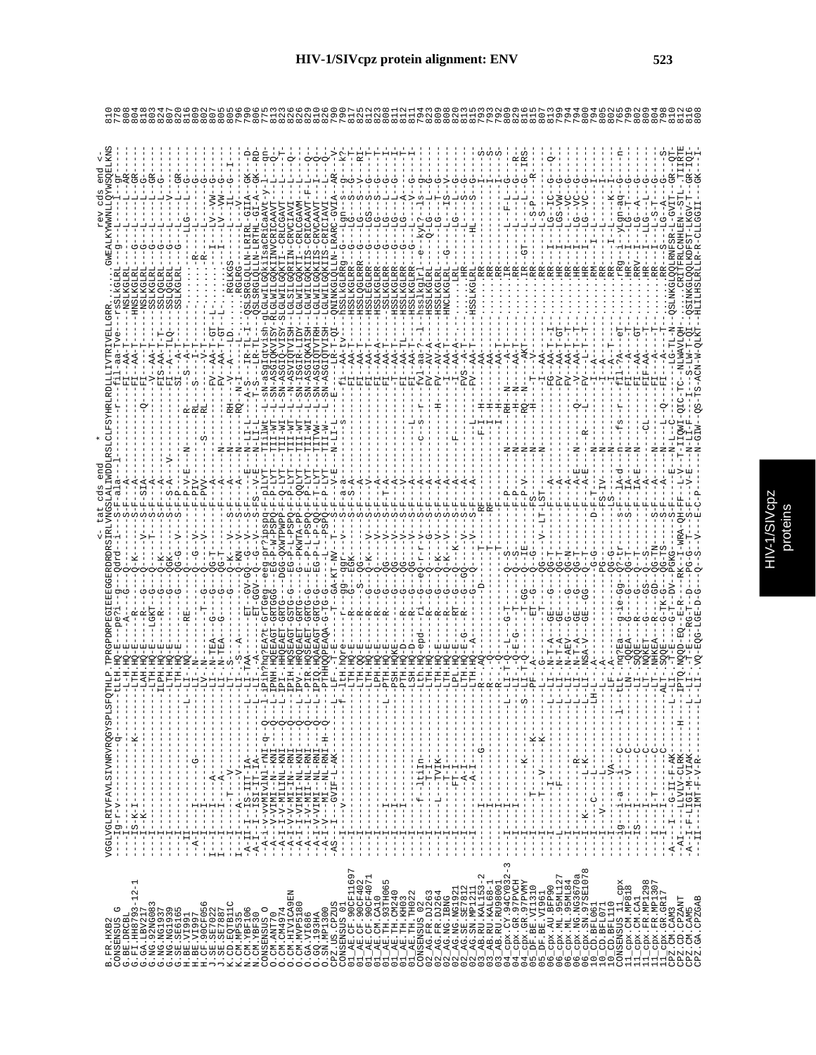|   | ñ<br>J |
|---|--------|
|   |        |
|   |        |
|   |        |
| г |        |

| Ŀ.                           | т<br>$-\frac{1}{9}$                      |                                               | $-1 - K -$             |                                                                     |                    |        |                                                         |       | T |                                                             |                                               |                                   |                                                                            |               |              |                    | Ŧ                               |          |                                          |                                                                                          |                                             |                                             |                                          | T                                    | Ţ                                 |                |             |                                   | Ţ                                                                                                                                                                                                                                                                                                                                                                                                                               |                                         |                        |        |                     |                                     |                       | $\frac{1}{1}$                                      |                                    |                     | $\frac{1}{1}$                                   |               |                                                                                                                                                                                                                                                                                           | ۲<br>ا<br>$\mathsf I$                       | п                                                         | o.<br>I            | п<br>$- -K - -$        | $-1 - K -$                   | Ţ                                                                                                                                                                                                                                                                         |                                                     |    | I.                          | Ţ<br>ı                                                                                                                                                                                                                                                                                                               |                                                 |                                    | $\overline{\phantom{a}}$<br>Ţ<br>f.                          | Ť                                               |                                                        |           | $\frac{1}{1}$                   |                                                                          | Ţ                                | $-1$<br>J                                        | Ţ<br>т                                                                                 | Ţ |
|------------------------------|------------------------------------------|-----------------------------------------------|------------------------|---------------------------------------------------------------------|--------------------|--------|---------------------------------------------------------|-------|---|-------------------------------------------------------------|-----------------------------------------------|-----------------------------------|----------------------------------------------------------------------------|---------------|--------------|--------------------|---------------------------------|----------|------------------------------------------|------------------------------------------------------------------------------------------|---------------------------------------------|---------------------------------------------|------------------------------------------|--------------------------------------|-----------------------------------|----------------|-------------|-----------------------------------|---------------------------------------------------------------------------------------------------------------------------------------------------------------------------------------------------------------------------------------------------------------------------------------------------------------------------------------------------------------------------------------------------------------------------------|-----------------------------------------|------------------------|--------|---------------------|-------------------------------------|-----------------------|----------------------------------------------------|------------------------------------|---------------------|-------------------------------------------------|---------------|-------------------------------------------------------------------------------------------------------------------------------------------------------------------------------------------------------------------------------------------------------------------------------------------|---------------------------------------------|-----------------------------------------------------------|--------------------|------------------------|------------------------------|---------------------------------------------------------------------------------------------------------------------------------------------------------------------------------------------------------------------------------------------------------------------------|-----------------------------------------------------|----|-----------------------------|----------------------------------------------------------------------------------------------------------------------------------------------------------------------------------------------------------------------------------------------------------------------------------------------------------------------|-------------------------------------------------|------------------------------------|--------------------------------------------------------------|-------------------------------------------------|--------------------------------------------------------|-----------|---------------------------------|--------------------------------------------------------------------------|----------------------------------|--------------------------------------------------|----------------------------------------------------------------------------------------|---|
| VGGLVGLRIVFAVLSIVMRVRQGYSPLS | т<br>$-2-2-5I$                           |                                               | I<br>$-1S - K - I - -$ | п<br>ï<br>$\frac{1}{1}$<br>$\frac{1}{1}$<br>1<br>J.<br>$ K$<br>$-1$ | J.<br>п<br>J.<br>Ţ | ł<br>T | 1<br>ï<br>I<br>п<br>J<br>п<br>J.<br>J.<br>$\frac{1}{1}$ | $-11$ |   | ပုံ<br>I<br>$\mathbf{I}$<br>$\frac{1}{4}$<br>$-1$<br>$-4-1$ | п<br>$\frac{1}{1}$<br>$\frac{1}{1}$<br>í<br>7 | $\frac{1}{1}$<br>$A$ ----<br>$-1$ | $\frac{1}{1}$<br>$\overline{A}$<br>$-1 - 1 -$<br>$\frac{1}{4}$<br>$1 - -1$ | $-V-$<br>$-1$ | $-1 - 1 - 1$ | $-4-$<br>л         | $-15T-TTT-TA-$<br>$-1 - 1I - 1$ | $-4$     | $- - p - 1 N1 - 1 N1 - 2 N1 - q - q - q$ | $- - \Delta - \Xi - \nabla - \nabla - \Delta \Xi - \Delta \Xi - \Delta \Xi - \Delta \Xi$ | $-V-VI = -NI - NI - -NI - - -$<br>$- A - I$ | $-2A - I - V - V I M I I - N I - K N I - -$ | - - A - I - V - V I M I - - N L - RN I - | $-L$ - $I$ - $ GV$ $IF$ - $L$ - $AK$ | $\ddot{v}$<br>$\blacksquare$<br>Ţ | п              | т<br>T<br>ï | $\mathbf{I}$<br>л.<br>$\mathbf I$ | Ť<br>$\begin{array}{c} \rule{0pt}{2.5ex} \rule{0pt}{2.5ex} \rule{0pt}{2.5ex} \rule{0pt}{2.5ex} \rule{0pt}{2.5ex} \rule{0pt}{2.5ex} \rule{0pt}{2.5ex} \rule{0pt}{2.5ex} \rule{0pt}{2.5ex} \rule{0pt}{2.5ex} \rule{0pt}{2.5ex} \rule{0pt}{2.5ex} \rule{0pt}{2.5ex} \rule{0pt}{2.5ex} \rule{0pt}{2.5ex} \rule{0pt}{2.5ex} \rule{0pt}{2.5ex} \rule{0pt}{2.5ex} \rule{0pt}{2.5ex} \rule{0$<br>$\overline{\phantom{a}}$<br>$-1 - 1 -$ | ł<br>I<br>Ĵ<br>$\overline{\phantom{a}}$ | ł<br>ţ<br>I.<br>ŧ<br>Ħ | $\,$ I | $--1tlim--$<br>$-1$ | п<br>-- T -- T<br>л<br>$\mathbf{I}$ | $-11 - -1 - -10$<br>Ţ | ł<br>$-1 - 1$<br>J<br>$\frac{1}{1}$<br>Ţ<br>7<br>ı | f.<br>$-4 - A - I$<br>J<br>J.<br>Ť | $-1$ $-1$ $-1$<br>Ţ | $-1$ - $-1$ - $-1$<br>$-1$<br>$\mathbf{I}$<br>п | $\frac{1}{1}$ | ţ<br>ł<br>$\frac{1}{1}$<br>$\frac{1}{1}$                                                                                                                                                                                                                                                  | $\frac{1}{1}$<br>$\frac{1}{1}$<br>$-1$<br>Ţ | $\frac{1}{1}$<br>$\frac{1}{1}$<br>ï<br>$\frac{1}{1}$<br>Ţ | $-5 - 5$<br>I<br>Ţ | J<br>$\mathbf{I}$<br>Ţ | $-V-$<br>$\frac{1}{1}$<br>부부 | $\frac{1}{1}$<br>$-1$ $-1$ $-1$ $-1$<br>$\begin{array}{c} 1 \\ 1 \\ 1 \end{array}$<br>$\frac{1}{1}$<br>I                                                                                                                                                                  | $\mathbb{I}$<br>$\mathbf{I}$<br>中!<br>$\frac{1}{1}$ | ۲, | т<br>I.<br>$R_{\perp}$<br>п | ------<br>J.<br>ı<br>$-1$<br>I<br>$\frac{1}{1}$<br>$ K$<br>J.<br>Ţ<br>$\mathsf I$                                                                                                                                                                                                                                    | ------<br>$\frac{1}{1}$<br>$- - - - - - -$<br>Ţ | $\frac{1}{1}$<br>7<br>$\mathbf{I}$ | ローー<br>-- H<br>1<br>-- -- -- --<br>$-19 - -1 - 2 - - -$<br>J | U<br> <br> <br>$  \vee$<br>$\mathbf{I}$<br>$-1$ | $-1 - 1 -$<br>ŧ<br>$-1$<br>$-15-$                      | $-1$<br>ï | $-1$<br>J<br>$\frac{1}{1}$<br>Ţ | $\frac{1}{2}$<br>ד<br>ו                                                  | $-1 - 6 - 11 - F - 2K$<br>i<br>İ | $\frac{1}{1}$<br>$--LLVLV-CLRK$<br>$- - A I - -$ | ł<br>- A - - I - F - L I G I - M - V I AK<br>- - - - I I - - - - - I M I - F - V - R - |   |
|                              | -1<br>U<br><b>B.FR.HXB2</b><br>CONSENSUS | $G. BE. DRCBL\nG.FL.HHS793-12-1\nG.GA.LBY217$ |                        |                                                                     | $\frac{1}{1}$      |        |                                                         |       |   |                                                             | ı                                             | $-1 - 1$                          |                                                                            |               |              | $\frac{1}{1}$<br>Ĥ |                                 | $-A - I$ | $\circ$<br>CONSENSUS                     |                                                                                          |                                             |                                             |                                          | $-AS-$                               |                                   | $\blacksquare$ |             | л.                                |                                                                                                                                                                                                                                                                                                                                                                                                                                 |                                         |                        |        |                     |                                     |                       |                                                    |                                    |                     | $\mathbf{\sim}$                                 |               | $\begin{smallmatrix} 11& -145 & 041 & 041 & 041 \\ 041& -48 & 041 & 040 \\ 042& -48 & 041 & 040 \\ 043& -48 & 041 & 040 \\ 044& 041 & 042 & 040 \\ 045& 043 & 042 & 040 \\ 046& 042 & 043 & 040 \\ 046& 043 & 040 & 041 \\ 047& 040 & 040 & 041 \\ 048& 040 & 041 & 041 \\ 049& 040 & 04$ | 4_cpx.CY.94CY032-3<br>$\circ$               | $\circ$                                                   |                    | $\circ$                | $\circ$                      | J.<br>$\begin{array}{l} 04-2500004\\ 04-2500004\\ 05-20700000\\ 05-20700000\\ 06-25000000\\ 06-25000000\\ 06-25000000\\ 06-250000000\\ 06-250000000\\ 06-25000000\\ 06-25000000\\ 06-2500000\\ 06-250000\\ 06-250000\\ 06-250000\\ 06-250000\\ 06-250000\\ 06$<br>$\circ$ |                                                     |    | $\circ$                     | $\begin{smallmatrix} 06-\text{cpx} & \text{inif. 95MB4} \ 06-\text{cpx} & \text{inif. 95MB4} \ 06-\text{cpx} & \text{inif. 95MB4} \ 06-\text{cpx} & \text{inif. 95MB1078} \ 10-\text{cpx} & \text{inif. 95MB1078} \ 10-\text{cpx} & \text{inif. 95MB1071} \ 10-\text{cpx} & \text{inif. 95MB1071} \end{smallmatrix}$ |                                                 |                                    | Ü                                                            | UNSENSUS 11_CPX<br>1_CPX.CM.MP818               | $11$ <sup><math>Cpx</math></sup> . CM. CA <sub>1</sub> |           | 1                               | 111_cpx.FR.MP1298<br>111_cpx.FR.MP1307<br>11_cpx.GR.GR.T7<br>CPZ.CM.CAM3 | $- A -$                          |                                                  | CPZ.CD.CPZANT<br>CPZ.CM.CAM5<br>CPZ.GA.CPZGAB                                          |   |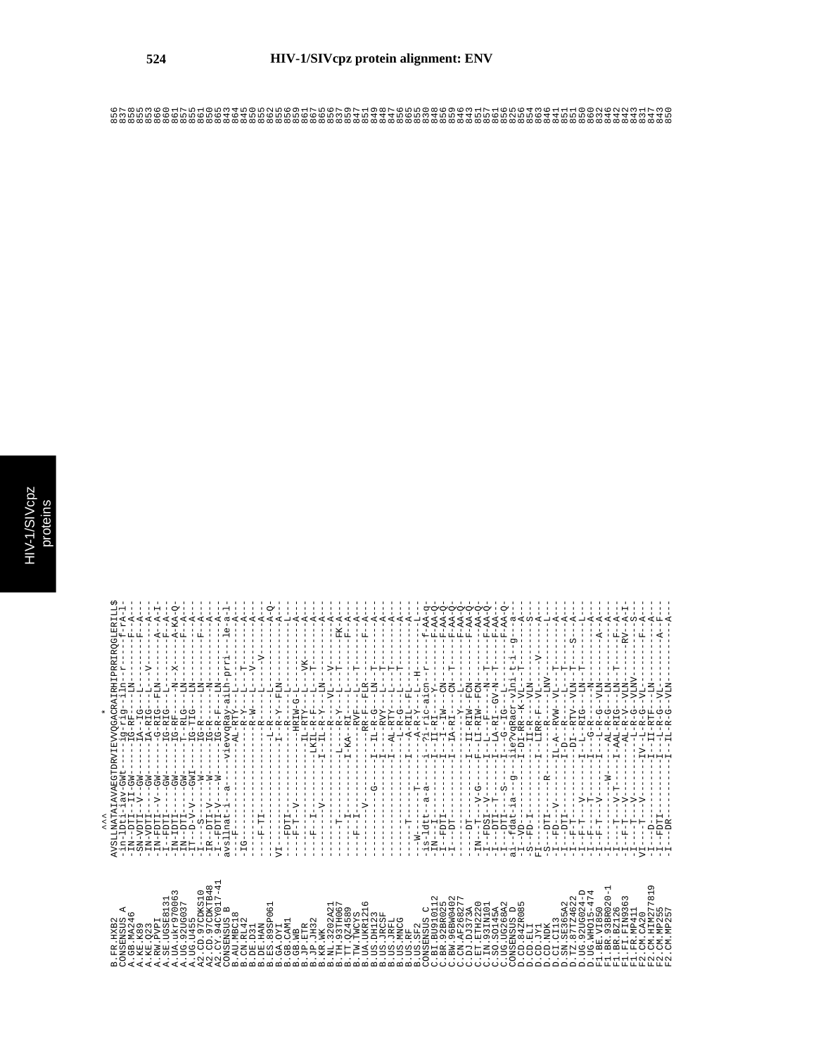|                                                                                               | ≺<br>$\overline{\phantom{a}}$                                                                                                                                                                                                                                                                                           |
|-----------------------------------------------------------------------------------------------|-------------------------------------------------------------------------------------------------------------------------------------------------------------------------------------------------------------------------------------------------------------------------------------------------------------------------|
|                                                                                               | ₩ ∣<br>ᆸ<br>$\mathsf{H}$<br>R<br>国<br>$\alpha$<br>ĸ<br>$\mathsf{H}$<br>叱<br>œ<br>்<br>$\mathsf{H}$<br>RH<br>$\mathsf{H}$<br>K,<br>α<br>$*$ ()<br>τij<br>囸<br>に<br>Ē<br>ひ<br>囪<br>K,<br>ゞ<br>K.<br>$\vdash$<br>K.<br>H-H<br>Ā.<br>E<br>급<br>$\omega$<br>$\triangleright$<br>$\leq$ 1                                     |
|                                                                                               | $\perp$<br>Ξă<br>л.<br>ਨਾ<br>ЯΚ<br>z<br>z<br>ືບ<br>$>$ $\vdash$<br>↵<br>$\Box$                                                                                                                                                                                                                                          |
|                                                                                               | $1 - 1 - 1 - 1$<br>ARRARAARARA<br>ARRARA<br>$\mathbf{L}$<br>44 Eu Eu H<br>$\blacksquare$<br>לז ו<br>∢н⊾ннн<br><b>I G G G G G</b><br>$Q + I + I + I$<br>5564455515555<br>аннні<br>33<br>ひひひひひひひ<br>$\mathbf{I}$<br>$m \mapsto$<br>п.<br>п.<br><b>SESSELSELLEL</b><br>$\mathbf{I}$                                        |
|                                                                                               | $\mathbf{L}$<br>⋖<br>Ä<br>厍<br>てりてり<br>$\mathbf{I}$<br>$\blacksquare$<br>⊳<br>$\mathbf{L}$<br>$+ -$                                                                                                                                                                                                                     |
| $\sim$ $\sim$                                                                                 | - 1<br>$\mathbf{I}$<br>貢<br>てり<br>$\overline{H}$<br>Π<br>$\geq$ $\geq$<br>$\mathbf{I}$<br>$\mathbf{L}$                                                                                                                                                                                                                  |
| $\infty$<br>MOP<br>$M \nO$                                                                    | $\alpha$<br>- 11<br>$\mathbf{L}$<br>-1<br>医尾区<br>z<br>ÎΓ<br>てり<br>医口<br>- 11<br><b>AABAAAA</b><br>з<br>з<br>$\mathbf{L}$<br>$\pm$ $\pm$                                                                                                                                                                                 |
|                                                                                               | $\mathbf{1}$<br>Ä<br>TТ<br>z<br>ືບ<br>⋗<br>H.<br>⊳<br>$\mathbf{I}$<br>$\perp$<br>$\blacksquare$                                                                                                                                                                                                                         |
|                                                                                               | Ŀ.<br>ă<br>≊<br>$\perp$<br>-11<br>$\mathbf{L}$                                                                                                                                                                                                                                                                          |
| ᆏ<br>$\infty$ $\rightarrow$<br>O4<br>$H \nightharpoonup \nightharpoonup$<br>$O1 + H2$<br>MMOW | $\cdots$<br>з<br>s<br>⋗<br>⊳<br><b>L</b> SEE<br>$\blacksquare$<br>$\blacksquare$<br>$\mathbf{1}$                                                                                                                                                                                                                        |
|                                                                                               | Φ<br>24<br>я<br>$\Omega$<br>댕<br>υò<br>٠H<br>5<br>医白色<br>$\overline{ }$<br>$\omega$                                                                                                                                                                                                                                     |
|                                                                                               | ŘÈ<br>-T<br>$\mathbf{I}$<br>$\mathbf{L}$<br>$\mathbf{L}$<br>$\mathbf{I}$                                                                                                                                                                                                                                                |
|                                                                                               | .<br>$\mathbf{H}$<br>$\mathbf{L}$<br>$\mathbf{L}$<br>$\blacksquare$<br>$\blacksquare$<br>-11<br>ひ<br>$\frac{5}{6}$ $\frac{1}{1}$ $\frac{1}{1}$                                                                                                                                                                          |
|                                                                                               | ⊳<br>$\mathbf{1}$                                                                                                                                                                                                                                                                                                       |
|                                                                                               | ⊳<br>Ē<br>$\mathbf{L}$<br>$\mathbf{I}$<br>$\mathbf{I}$<br>н<br>FIIBEI<br>Ŀ,<br>$\mathbf{I}$<br>- 11<br>- 11<br>$\mathbf{L}$                                                                                                                                                                                             |
| ᅱ<br>$\overline{10}$                                                                          | $\alpha$<br>Н<br>÷F.<br>直<br>Π<br>$\blacksquare$<br>- 11                                                                                                                                                                                                                                                                |
|                                                                                               | È<br>Η<br>È.<br>$\mathbf{I}$<br>பட்டியும<br>$H$ $I$ $I$<br>$1$ $\overline{1}$ $\overline{1}$ $\overline{1}$<br>$H$ $\perp$<br>>1                                                                                                                                                                                        |
|                                                                                               | $\Box$<br>てり<br>$\overline{Y}$<br>$\mathbf{L}$                                                                                                                                                                                                                                                                          |
|                                                                                               | $\blacksquare$<br>Š<br>ÎЕ.<br>Н<br>$\mathbf{L}$<br>-11<br>$1 - 1$<br>$\blacksquare$                                                                                                                                                                                                                                     |
|                                                                                               | H<br>н<br>$\mathbf{E}$                                                                                                                                                                                                                                                                                                  |
|                                                                                               | . <b>.</b><br>$\mathbf{L}$<br>$\mathbf{L}$<br>NT <sub>1</sub><br>$+1$<br>- 1111 - 114<br>- 111 - 111 - 111<br>- 111 - 111 - 11<br>ਾਂ ਜ<br><b>TITITI</b><br>$1 - 1 - 1$<br>⊳<br>$1 - 1 - 1 - 1$                                                                                                                          |
|                                                                                               | ⊳<br>$\perp$                                                                                                                                                                                                                                                                                                            |
| $\overline{a}$<br>$\alpha \circ \alpha$                                                       | .<br>- 도 도<br>ÎΓ<br>н<br>$\mathbf{I}$<br>$5 + 7$<br>$1 - 1$<br>부부 눈                                                                                                                                                                                                                                                     |
|                                                                                               | $\mathbf{H}$                                                                                                                                                                                                                                                                                                            |
|                                                                                               | $\blacksquare$<br>크크<br>$\Box$<br>1 1 1 1 1<br>$\mathbf{L}$<br>$1 - 1 - 1$<br>$\mathbf{L}$<br>$\pm$<br><b>TIPLITI</b>                                                                                                                                                                                                   |
|                                                                                               | Ŀ.<br><b>FLR</b><br>$\mathbf{L}$<br>$\geq$                                                                                                                                                                                                                                                                              |
|                                                                                               | $\blacksquare$<br>T.<br>$\mathbf{L}$<br>$\mathbf{I}$<br>יט ו<br>-T                                                                                                                                                                                                                                                      |
|                                                                                               | 경부<br>$\mathbf{L}$<br>$\mathbf{I}$<br>$\mathbf{I}$                                                                                                                                                                                                                                                                      |
|                                                                                               | $\blacksquare$<br>$\mathbf{I}$<br>Ē<br>$\mathbf{L}$<br>$\blacksquare$<br>$\blacksquare$<br>- n°<br><b>I</b>                                                                                                                                                                                                             |
|                                                                                               | $\vdash$<br>Н<br>÷F.<br>$\mathbf{I}$                                                                                                                                                                                                                                                                                    |
|                                                                                               | $1 \cdot 1 \cdot 1$<br>- 11<br>룮<br>$\mathbf{I}$<br>$1 - 1 - 1$                                                                                                                                                                                                                                                         |
|                                                                                               | 뵤<br>T<br>$\mathbf{I}$<br>$\Box$<br>٠ı.<br>$\overline{H}$                                                                                                                                                                                                                                                               |
|                                                                                               | $\blacksquare$<br>an an an<br>44 E E E E E E<br>$\mathsf{H}$<br>$\mathbf{I}$<br>$\overline{5}$<br>$-$<br>σś<br>п.<br>ां । निर्मित देने समर्पि । समर्पि दे ७ ३ । समर्पि ।<br>समर्पि दे । समर्पि । समर्पि । समर्पि प्रभावन<br>101000010000000<br>$\sigma$<br>w<br>↵<br>1 1 1 1 1 1 1 1 1 1 1 1 1 1 1 1 1 1 10 1 1 1 2 1 1 |
| $\sim$                                                                                        | $\perp$<br>$\mathbf{L}$<br>$\mathbf{L}$<br>$\mathbf{L}$                                                                                                                                                                                                                                                                 |
|                                                                                               | ¦¦ää<br>$\mathbf{L}$<br>$\mathbf{I}$<br>$\mathbf{I}$<br>$H$ 1                                                                                                                                                                                                                                                           |
| $\sim$ $\sim$<br>$H$ LO O $\Gamma$                                                            | AQQQQQQI<br>$\blacksquare$<br>$1 - 1$<br>$\mathbf{I}$<br>$1 \cdot 1 \cdot 1$<br>$\mathbf{1}$                                                                                                                                                                                                                            |
|                                                                                               | $\blacksquare$                                                                                                                                                                                                                                                                                                          |
|                                                                                               | Ŧ<br>$\mathbf{L}$<br>$\mathbf{I}$<br>$\blacksquare$<br>$\mathbf{L}$                                                                                                                                                                                                                                                     |
| $\Box$                                                                                        | 1.1.1<br>$\mathbf{L}$<br>ひ<br>÷ī.<br>>5H                                                                                                                                                                                                                                                                                |
|                                                                                               | $\mathbb{H}$<br>$\blacksquare$<br>$\blacksquare$<br>H.                                                                                                                                                                                                                                                                  |
|                                                                                               | նանանա<br>$\mathbb{H}$<br>$\ddot{\delta}$                                                                                                                                                                                                                                                                               |
|                                                                                               | $\alpha$<br>Ë<br>ำ⊣<br>T<br>$\mathbf{L}$<br>$\blacksquare$<br>w<br>$-$<br>$\mathbf{H}$                                                                                                                                                                                                                                  |
| ര ഗ                                                                                           | ਨਾ<br>$\mathbf{I}$<br>ĘĘ<br>ĨТ.<br>$\mathbf{L}$<br>ĸ<br>24<br>ਨਾ<br><b>m</b>                                                                                                                                                                                                                                            |
|                                                                                               | $\pm$<br>TTTTT AFTT<br>H                                                                                                                                                                                                                                                                                                |
|                                                                                               | $\triangleright$<br>-11                                                                                                                                                                                                                                                                                                 |
|                                                                                               | $\begin{array}{c}\n\text{VLM} - \text{L}\text{V} - \text{L}\text{V} \\ \text{VLM} - \text{L}\text{V} - \text{L}\text{V}\n\end{array}$<br>$\mathbf{I}$<br>п.<br>H H<br>≃                                                                                                                                                 |
|                                                                                               | $\mathbf{L}$<br>FFT<br>ÎΕ.<br>-11<br>K.<br>$\mathbf{L}$<br>ᅼ<br>⊳                                                                                                                                                                                                                                                       |
|                                                                                               | $\mathbf{I}$<br>$\mathbf{L}$<br>$\bigcap$<br>$\mathbf{I}$                                                                                                                                                                                                                                                               |
| $\sim$                                                                                        | <b>NTA</b><br>ÎΕ.<br>$H \Box$<br>$\Box$<br>$\mathbf{L}$<br>HHH<br>$\mathbf{L}$<br>医医                                                                                                                                                                                                                                    |
| ∐ in<br>UU44<br>CONICOUM-                                                                     | RAHRARA<br>$\mathbb{H}$<br>$\mathbf{I}$<br>$\mathbf{L}$                                                                                                                                                                                                                                                                 |
| ₩                                                                                             | z<br>- 1<br>ひ<br>$\mathbf{L}$<br>$\blacksquare$<br>Ŀ.                                                                                                                                                                                                                                                                   |
| $\overline{ }$<br>$\circ$<br>$\sim$                                                           | K.<br>VLN-<br>'n.<br>ははほぼ<br>$\mathbf{I}$<br>$\mathbf{I}$<br>$\mathbf{L}$<br>$\blacksquare$<br>s<br>⋗<br>$H +$<br>ΞL.<br>Ŀц.                                                                                                                                                                                            |
|                                                                                               | Ŀ.<br><b>BBB</b><br>ΚK<br><b>A</b>                                                                                                                                                                                                                                                                                      |
| $\infty$<br>$\circ$                                                                           | ⊳<br>К<br>$\mathbf{I}$<br>Ŀ.                                                                                                                                                                                                                                                                                            |
|                                                                                               | ⊲ເທ∡ເ<br>$\begin{array}{c} \mathrm{VLNV}\\ \mathrm{VL}-- \end{array}$<br>$\mathbf{H}$<br>л.<br>⊳<br>HHH<br>$\blacksquare$                                                                                                                                                                                               |
|                                                                                               | $V_{\rm LN}$<br>⋗<br>⊳<br>⊳                                                                                                                                                                                                                                                                                             |
| ᡡ<br>$\overline{a}$<br>$\overline{ }$<br>$\sim$ 10                                            | ⊄ ⊡⊿<br>$\sim$ 1<br>ַּפְןֹן הַאֲכָּאֲלֹאָלֶן וֹאָן בַּצְבַּאֲן גָּוֹבְרָאָן בַּאֲלֹאָלָךְ הַעֲרָאָן וּבָּוֹן הַעֲרָאָלָ הַעֲרָאָל<br>בִּאֲלֹאָמְאָם הַעֲרָאָלָ הַעֲרָאָלָ הַעֲרָאָלָ הַעֲרָאָלָ הַעֲרָאָלָ הַעֲרָאָלָ הַעֲרָאָלָ הַעֲרָאָלָ הַעֲרָ<br>ᄇᄇᄇ<br>нïн<br><b>HHHH</b><br>$1 - 1 - 1$                          |
|                                                                                               | $\Box$<br>- 11<br>$\mathbf{1}$<br>$\mathbf{1}$<br>$\perp$<br>VL-<br>VLN<br>$+ -$<br>$\perp$<br>$\perp$<br>$\blacksquare$<br>$H$ 1<br><b>ER</b><br>Eri T                                                                                                                                                                 |
|                                                                                               |                                                                                                                                                                                                                                                                                                                         |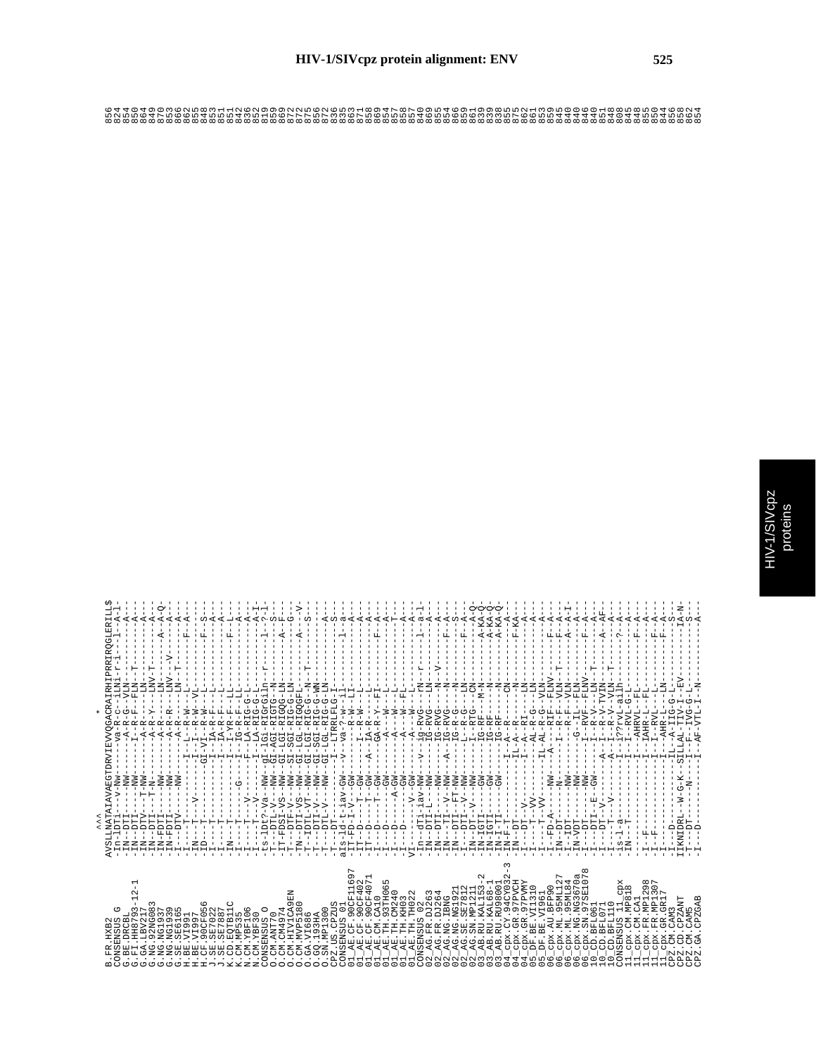| HIV-1/SIVcpz protein alignment: ENV | 525 |
|-------------------------------------|-----|
|-------------------------------------|-----|

|                                                                                                                                                                                                                                                                                                                                                                                                              | ¥<br>くくく                                                                                                                                                                                                                                                                                                                                              |    |
|--------------------------------------------------------------------------------------------------------------------------------------------------------------------------------------------------------------------------------------------------------------------------------------------------------------------------------------------------------------------------------------------------------------|-------------------------------------------------------------------------------------------------------------------------------------------------------------------------------------------------------------------------------------------------------------------------------------------------------------------------------------------------------|----|
|                                                                                                                                                                                                                                                                                                                                                                                                              | RAIRHIPRRIRQGLERILL\$<br>AVSLLNATAIAVAEGTDRVIEVVQGAC                                                                                                                                                                                                                                                                                                  |    |
|                                                                                                                                                                                                                                                                                                                                                                                                              | - - i LNi - r -<br>- - - VLN - - - -<br>$-va-R-C$<br>$-V - NW$<br>In-lDTi                                                                                                                                                                                                                                                                             |    |
| $\begin{smallmatrix} &\texttt{B.}\ &\texttt{B.}\ &\texttt{B.}\ &\texttt{B.}\ &\texttt{B.}\ &\texttt{B.}\ &\texttt{B.}\ &\texttt{B.}\ &\texttt{B.}\ &\texttt{B.}\ &\texttt{B.}\ &\texttt{B.}\ &\texttt{B.}\ &\texttt{B.}\ &\texttt{B.}\ &\texttt{B.}\ &\texttt{B.}\ &\texttt{B.}\ &\texttt{B.}\ &\texttt{B.}\ &\texttt{B.}\ &\texttt{B.}\ &\texttt{B.}\ &\texttt{B.}\ &\texttt{B.}\ &\texttt{B.}\ &\texttt{B$ | $-4$<br>$-4$<br>$FLIH - T$<br>$\mathbb{I}$<br>먹<br>$---R-F$<br>$-A - R$<br>÷<br> <br>$-NM$<br>$-$ NM <sup><math>-</math></sup><br>J,<br>$-TU - TU - T$<br>$-TN = -DTT$                                                                                                                                                                                |    |
|                                                                                                                                                                                                                                                                                                                                                                                                              | ÷.<br>$-4$<br>$-M-1$<br>$---A-R$<br>$-$ NM <sup>-</sup> $-$<br>$  DTV$<br>$-1N$                                                                                                                                                                                                                                                                       |    |
|                                                                                                                                                                                                                                                                                                                                                                                                              | $-X-R-X$<br>$-T-T$<br>IN--DTI                                                                                                                                                                                                                                                                                                                         |    |
|                                                                                                                                                                                                                                                                                                                                                                                                              | ု<br>$-4$<br>f.<br>Í<br>$-17$<br>$- -1$ M<br>L $\! \!-$<br>$---A- R - R$<br>$---A-R$<br>I<br>I<br>-- MN-<br>- 1 MM<br>- 1<br>ï<br>$\begin{array}{c} \end{array}$<br>$\mathbf{I}$<br>IN-FDTI<br>IN-FDTI<br>$\mathsf I$<br>$\mathbf{I}$                                                                                                                 |    |
|                                                                                                                                                                                                                                                                                                                                                                                                              | $-1 - N - 1$<br>$---A-R$<br>$-1 - NW -$<br>$I = -DTV - -$<br>$\overline{\phantom{a}}$                                                                                                                                                                                                                                                                 |    |
|                                                                                                                                                                                                                                                                                                                                                                                                              | $-1 - 1 - 1 - 1$<br>$\frac{1}{1}$<br>$\mathbf{I}$<br>$T$ ----T                                                                                                                                                                                                                                                                                        |    |
|                                                                                                                                                                                                                                                                                                                                                                                                              | f.<br>$\frac{1}{2}$<br>-VL<br>$--R-W$<br>Ţ<br>-- 1<br>-- 1<br>J,<br>$\overline{\phantom{a}}$                                                                                                                                                                                                                                                          |    |
|                                                                                                                                                                                                                                                                                                                                                                                                              | S<br>ł<br>$\frac{1}{1}$<br>T<br>$-R-N$<br>$---I---I-A-R-F$<br>$-10-15-1$<br>J<br>$\frac{1}{1}$<br>$\mathbf{I}$<br>÷<br>$T$ --- $T$<br>$\overline{a}$<br>$\frac{1}{4}$<br>$\mathbf{I}$                                                                                                                                                                 |    |
|                                                                                                                                                                                                                                                                                                                                                                                                              | 낚<br>$---I---I$<br>$A-R-F$<br>$\frac{1}{1}$<br>J<br>÷,<br>÷                                                                                                                                                                                                                                                                                           |    |
|                                                                                                                                                                                                                                                                                                                                                                                                              | Ŀ,<br>보<br>$-1 - 1 - YR - F$<br>Ť<br>-<br>ج<br>$-IM--$                                                                                                                                                                                                                                                                                                |    |
|                                                                                                                                                                                                                                                                                                                                                                                                              | ł<br>-11<br>۴<br>$---IG-R$<br>$\frac{1}{2}$<br>$-5$<br>$\mathbf{I}$<br>ŧ<br>Ţ<br>$\frac{1}{1}$<br>1                                                                                                                                                                                                                                                   |    |
|                                                                                                                                                                                                                                                                                                                                                                                                              | $-1 - 5 -$<br>$---F---LA-RLG$<br>J.<br>J<br>$\blacksquare$<br>$\mathbf{I}$                                                                                                                                                                                                                                                                            |    |
|                                                                                                                                                                                                                                                                                                                                                                                                              | Ţ<br>7<br>$\frac{1}{1}$<br>ひ<br>$---L.A-RLG$<br>$-9I - 1Gi - RIG$<br>$-ts-1Dt-Var-V-NW$                                                                                                                                                                                                                                                               |    |
|                                                                                                                                                                                                                                                                                                                                                                                                              | ł<br>rGiln--r                                                                                                                                                                                                                                                                                                                                         |    |
| O. CM. CM4974                                                                                                                                                                                                                                                                                                                                                                                                | $-4 -$<br>- IT-FDSI-VS--NW--GI-LGI-RIG                                                                                                                                                                                                                                                                                                                |    |
|                                                                                                                                                                                                                                                                                                                                                                                                              | --NM--SI-SGI-RIG<br>--NM--GI-LGL-RIG<br>-T---DTF-V-                                                                                                                                                                                                                                                                                                   |    |
| O.CM.HIVICA9EN<br>O.CM.NVP5180<br>O.GA.VI686                                                                                                                                                                                                                                                                                                                                                                 | Ť<br>$-4$<br>$-TN--DTI-VS$                                                                                                                                                                                                                                                                                                                            |    |
|                                                                                                                                                                                                                                                                                                                                                                                                              | S<br>f<br>$\mathbf{I}$<br>J.<br>01RT-101-10-1-10-<br>$--TDT-L-VT$<br>Н                                                                                                                                                                                                                                                                                |    |
| $0.6Q.193HA$<br>$0.5N.MPL300$                                                                                                                                                                                                                                                                                                                                                                                |                                                                                                                                                                                                                                                                                                                                                       |    |
|                                                                                                                                                                                                                                                                                                                                                                                                              | $-K1-5$<br>$\frac{1}{1}$<br>$---LITRRLF$<br>Ţ<br>I<br>J,<br>$-1 - -1 - -1$                                                                                                                                                                                                                                                                            |    |
| CPZ.US.CPZUS<br>CONSENSUS 01                                                                                                                                                                                                                                                                                                                                                                                 | 1<br>$16 - 11$<br>als-1d-t-v--v--v--v-a-?-w                                                                                                                                                                                                                                                                                                           |    |
|                                                                                                                                                                                                                                                                                                                                                                                                              | $-11-$<br>$--R-W$<br>-- 1250-<br>$-TT-TT-TT-TT$                                                                                                                                                                                                                                                                                                       |    |
|                                                                                                                                                                                                                                                                                                                                                                                                              | $-4$<br>$\frac{1}{1}$<br>$---E---K-W$<br>$\frac{1}{1}$                                                                                                                                                                                                                                                                                                |    |
|                                                                                                                                                                                                                                                                                                                                                                                                              | f.<br>Ĥ<br>$-1 - 2 - 4 - 4 - 5$<br>$-1 = 2 - 1 = -1 - 1 = -1$                                                                                                                                                                                                                                                                                         |    |
|                                                                                                                                                                                                                                                                                                                                                                                                              | f,<br>Ţ<br>$\frac{1}{1}$<br>j,<br>ΗT-<br>$-9A - R - Y$<br>$-120 - 1 - 1 - 1$<br>$\begin{array}{c} \n\Box \n\Box \n\end{array}$<br>Ĥ                                                                                                                                                                                                                   |    |
|                                                                                                                                                                                                                                                                                                                                                                                                              | $-1 - 1$<br>$-1$ - $-1$<br>$-1$ $-1$<br>$\frac{1}{1}$                                                                                                                                                                                                                                                                                                 |    |
|                                                                                                                                                                                                                                                                                                                                                                                                              | ר<br>ו<br>ţ<br>节<br>$- -A - -W$<br>$\frac{1}{4}$<br>$- - - - - - - - - - - - - - -$                                                                                                                                                                                                                                                                   |    |
|                                                                                                                                                                                                                                                                                                                                                                                                              | ţ<br>$N$ –– $A$ ––<br>I<br>T<br>$-180-$<br>$\frac{1}{1}$<br>Ĥ                                                                                                                                                                                                                                                                                         |    |
|                                                                                                                                                                                                                                                                                                                                                                                                              | $-4$<br>$\frac{1}{4}$<br>$N -$<br>$-A$<br>ł<br>$- -N - -N - - -$<br>J.<br>$\frac{1}{1}$<br>'5                                                                                                                                                                                                                                                         |    |
|                                                                                                                                                                                                                                                                                                                                                                                                              | $-5 - -1$<br>$-x - -Nx - -$<br>$-IM-$<br>$-v - i g - RvG$<br>$-Im I - -dT\dot{1} - iacV -NW -$<br>$-1$                                                                                                                                                                                                                                                |    |
|                                                                                                                                                                                                                                                                                                                                                                                                              | $-4$<br>$\mathbf{I}$                                                                                                                                                                                                                                                                                                                                  |    |
| $\begin{array}{l} (11.167, 0.02711697\\ (12.181, 0.07402\\ (13.191, 0.01164)\\ (14.191, 0.01164)\\ (15.191, 0.01164)\\ (16.191, 0.01164)\\ (17.191, 0.01164)\\ (18.191, 0.01164)\\ (19.191, 0.01164)\\ (10.191, 0.01164)\\ (10.191, 0.01164)\\ (10.191, 0.011$                                                                                                                                               | $-4$<br>$-1$<br>$-1$<br>$-1$<br>$-1$<br>$-1$<br>$-1$<br>$-1$<br>$\begin{array}{rl} -111-7011-13-140\\ -110-7011-14-140\\ -110-7011-14-140\\ -110-7011-14-140\\ -110-7011-14-140\\ -110-7011-140\\ -110-7011-140\\ -110-7011-140\\ -110-7011-140\\ -110-7011-140\\ -110-7011-140\\ -110-7011-140\\ -110-7011-140\\ -110-7011-140\\ -1$<br>$\mathbf{I}$ |    |
|                                                                                                                                                                                                                                                                                                                                                                                                              | $N -$<br>$-{\bf M}{\bf M} - {\bf L}{\bf T} - {\bf L}{\bf T} - {\bf L}{\bf T} - {\bf M}{\bf T} -$                                                                                                                                                                                                                                                      |    |
|                                                                                                                                                                                                                                                                                                                                                                                                              | $- -A$<br>中!<br>$-1 - L\Delta -$<br>$-1 = -1 = -1 = -1 = -1 = -1 = -1$                                                                                                                                                                                                                                                                                |    |
|                                                                                                                                                                                                                                                                                                                                                                                                              | $-4-7$<br>$-1$<br>$-1$<br>$-1$<br>$-RTG$<br>- 12-1-1-1-20-1-20-1-1                                                                                                                                                                                                                                                                                    |    |
|                                                                                                                                                                                                                                                                                                                                                                                                              | $---A-KA-C$<br>$-1 - N - N -$<br>$---ZG-RF-$<br>$-120 - 1$<br>$-LTI-TGTI$                                                                                                                                                                                                                                                                             |    |
| $\begin{array}{c} 03 \overline{1} \overline{A} B \ . \ \text{RU. KAL153--2} \\ 03 \overline{1} \overline{A} B \ . \ \text{RU. KAL68--1} \\ 03 \overline{1} \overline{A} B \ . \ \text{RU. RUB8001} \\ 03 \overline{1} \overline{A} B \ . \ \text{RU. RUB8001} \\ 04 \overline{1} \text{Cpx. CY. } 94 \text{CY032--3} \end{array}$                                                                            | $A-KA-C$<br>$-1 - 10 - RF$<br>-- 1455-<br>$-177-1-177-1-1$                                                                                                                                                                                                                                                                                            |    |
|                                                                                                                                                                                                                                                                                                                                                                                                              | $-4 - KA - CA - C$<br>- 11<br>$--- = TG - RF$                                                                                                                                                                                                                                                                                                         |    |
| 3                                                                                                                                                                                                                                                                                                                                                                                                            | $-1$<br>$- R$<br>$-1 - 1 - 2$<br>J<br>Í<br>$-1 - 2I - 2I - 2I - 2I$                                                                                                                                                                                                                                                                                   |    |
| $\overline{0}$                                                                                                                                                                                                                                                                                                                                                                                               | $F-KA$<br>$-1$ $\frac{1}{1}$<br>$\mathsf I$<br>$- R$<br>$------E$<br>$\frac{1}{1}$<br>$-100 - 100 - -$                                                                                                                                                                                                                                                |    |
| 4_cpx.GR.97PVCH<br>4_cpx.GR.97PVCH<br>5_DF.BE.VI1310<br>$^{04}$                                                                                                                                                                                                                                                                                                                                              | $-1.1M-$<br>$-181 -$<br>$-1 - 1 - -A$<br>Ĥ                                                                                                                                                                                                                                                                                                            |    |
| 05_DF.BE.VI961<br>50                                                                                                                                                                                                                                                                                                                                                                                         | $-4$<br>$-11M-$<br>$-NLN$<br>$--A L -R -G$<br>$---I L - R - G$<br>$\frac{1}{1}$<br>л<br>Ť<br>$-5Y$<br>۲<br>!<br>$\frac{1}{1}$<br>Н<br>$\mathsf I$                                                                                                                                                                                                     |    |
| _cpx.AU.BFP90<br>$\frac{6}{2}$                                                                                                                                                                                                                                                                                                                                                                               | $-4$<br>叫<br>$-$ FLNV <sup>-</sup><br>$--RIF$<br>$-4-$<br>$- - 127$<br>$--FD - A --$<br>Н<br>$\mathbf{I}$                                                                                                                                                                                                                                             |    |
| ९०                                                                                                                                                                                                                                                                                                                                                                                                           | $-4$<br>$-1 -1 -1$<br>$\mathbf{I}$<br>$-1 - 1 - 1 - 1 - F$<br>-1<br>j<br>J<br>$-1$<br>Ť<br>$-1N - -DT - -$                                                                                                                                                                                                                                            |    |
| _срх.МL.95МL127<br>_срх.МL.95МL84<br>90                                                                                                                                                                                                                                                                                                                                                                      | Ţ<br>$-4$<br>$-{\rm VLN}-$<br>$---R-F$<br>$-1 - NW -$<br>$---TDT---$<br>$\blacksquare$                                                                                                                                                                                                                                                                |    |
| $\frac{6}{2}$                                                                                                                                                                                                                                                                                                                                                                                                | l.<br>$- - N_{\rm LIT}$<br>$\mathbb{I}$<br>$-111 - 0 - 1 - 1 - 1 - 1$<br>$T N - V D T - -$<br>-1                                                                                                                                                                                                                                                      |    |
| $\infty$<br>_срх. NG.NG3670a<br>-срх. SN.97SE107                                                                                                                                                                                                                                                                                                                                                             | J.<br>$FLMV-$<br>$\mathbf{I}$<br>$--$ RVF<br>$-1$ $-1$ $-1$ $-1$ $-1$ $-1$<br>$-1 - 2\Omega - 1 -$<br>$\blacksquare$                                                                                                                                                                                                                                  |    |
|                                                                                                                                                                                                                                                                                                                                                                                                              | $-L - M \mathbf{I} - \mathbf{T}$<br>$--R-V$<br>$-95 -$<br>$-DTI -E$<br>÷                                                                                                                                                                                                                                                                              |    |
|                                                                                                                                                                                                                                                                                                                                                                                                              | Ŕ.<br>T<br>$-{\rm L} {\rm L} {\rm L} {\rm L} {\rm L} - -$<br>$-7 - R - V$<br>$-1$ – $-1$<br>Ţ<br>$\mathbf{I}$<br>$\mathsf I$                                                                                                                                                                                                                          |    |
| $\begin{array}{l} 06\_c\bar{p}x. \, 8N\,, 97\bar{z} \\ 10\_CD\,,\, BFD061 \\ 10\_CD\,,\, BFD071 \\ 10\_CD\,,\, BFD1071 \\ 10\_CD\,,\, BFD110 \\ 0.000888NSE925\,,\, 11\_ \end{array}$                                                                                                                                                                                                                        | ł<br>$-{\rm NL}N-{\rm T}$<br>$--R-V$<br>$- - - - - - - - -$<br>J,<br><b>A---エーーム</b><br>$\frac{1}{1}$<br>$\overline{\phantom{a}}$                                                                                                                                                                                                                     |    |
| cpx<br><sub>118</sub>                                                                                                                                                                                                                                                                                                                                                                                        | ŧ<br>ς.<br>ailh-<br>-ri<br>TAJSST--<br>Ť<br>$\frac{1}{1}$<br>$is-1-a$                                                                                                                                                                                                                                                                                 |    |
| $\frac{1}{11}$                                                                                                                                                                                                                                                                                                                                                                                               | $\frac{1}{1}$<br>Ŀ,<br>$G - L -$<br>$---I1--RVI$<br>$\frac{1}{1}$<br>$T - -I$                                                                                                                                                                                                                                                                         |    |
| $Cpx$ . CM. CA1                                                                                                                                                                                                                                                                                                                                                                                              | $-4$<br>$-14-$<br>$-14-$<br>$---II---IAHR$<br>I<br>$\frac{1}{1}$<br>$\frac{1}{1}$<br>$\mathbf I$                                                                                                                                                                                                                                                      |    |
|                                                                                                                                                                                                                                                                                                                                                                                                              | Ť<br>ſд,<br>$\frac{1}{1}$<br>$---RVI$<br>$-1 - 1$<br>$\frac{1}{1}$<br>$-1$<br>$\mathbf{I}$                                                                                                                                                                                                                                                            |    |
| $\begin{array}{l} 11\_cpx.\,\texttt{FR}.\,\texttt{MP1298} \\ 11\_cpx.\,\texttt{FR}.\,\texttt{MP1307} \\ 11\_cpx.\,\texttt{GR}.\,\texttt{GR17} \\ \texttt{CPZ}.\,\texttt{CM}.\,\texttt{CMM3} \end{array}$                                                                                                                                                                                                     | $-4$<br>I<br>$---L1 - --$<br>$---AHR - I$<br>$-1$<br>Î<br>I<br>$\frac{1}{1}$<br>$\mathbf{I}$                                                                                                                                                                                                                                                          |    |
|                                                                                                                                                                                                                                                                                                                                                                                                              | 」<br>ウーロー<br>$-LI - A - IIG$<br>1                                                                                                                                                                                                                                                                                                                     |    |
| CPZ.CD.CPZANT                                                                                                                                                                                                                                                                                                                                                                                                | $-IA-N$<br>$-1EV -$<br>$\mathbf{I}$<br>IIKNIDRL--W-G-K--SILLAL-TIV                                                                                                                                                                                                                                                                                    |    |
| CPZ.CM.CAM5<br>CPZ.GA.CPZGAB                                                                                                                                                                                                                                                                                                                                                                                 | w<br>$-1$ $N$<br>$-1 - 5$<br>$-1VG$<br>$-II - P1$<br>-<br>!<br>!<br>$\frac{1}{1}$<br>$\mathbf{I}$<br>Ĥ                                                                                                                                                                                                                                                | U4 |
|                                                                                                                                                                                                                                                                                                                                                                                                              |                                                                                                                                                                                                                                                                                                                                                       |    |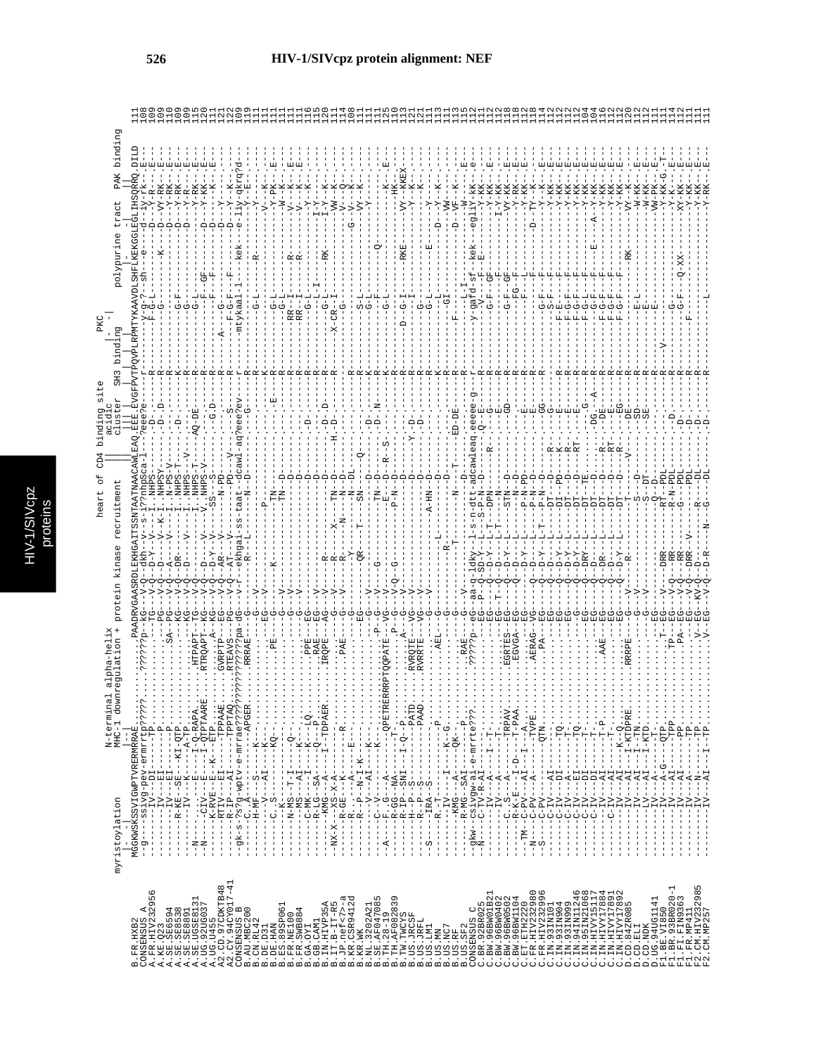HIV-1/SIVcpz

| binding                 |                                                                                                                             |                                                                   |                              |                |                                     |                   |          |                                     |                 |             |                 |        |                   |                        |                |                               |                        |                  |                                       |                                |                                                                          |                    |                                   |                                                                                             |            |                      |                                                                                                    |               |                 |               |                                                                                 |                    |                    |                    |                                                                 |                                                                |                       |             |                  |                  |                  |                                 |                                       |                     |                  |               |                                                                                                                                     |             |             |                     |          |                                   |                            |               |                          |           |                                                                                                                                                                                                                                                                   |
|-------------------------|-----------------------------------------------------------------------------------------------------------------------------|-------------------------------------------------------------------|------------------------------|----------------|-------------------------------------|-------------------|----------|-------------------------------------|-----------------|-------------|-----------------|--------|-------------------|------------------------|----------------|-------------------------------|------------------------|------------------|---------------------------------------|--------------------------------|--------------------------------------------------------------------------|--------------------|-----------------------------------|---------------------------------------------------------------------------------------------|------------|----------------------|----------------------------------------------------------------------------------------------------|---------------|-----------------|---------------|---------------------------------------------------------------------------------|--------------------|--------------------|--------------------|-----------------------------------------------------------------|----------------------------------------------------------------|-----------------------|-------------|------------------|------------------|------------------|---------------------------------|---------------------------------------|---------------------|------------------|---------------|-------------------------------------------------------------------------------------------------------------------------------------|-------------|-------------|---------------------|----------|-----------------------------------|----------------------------|---------------|--------------------------|-----------|-------------------------------------------------------------------------------------------------------------------------------------------------------------------------------------------------------------------------------------------------------------------|
| PAK                     |                                                                                                                             | 国国                                                                | <b>Ed</b>                    |                |                                     |                   |          |                                     |                 |             | ರ               |        |                   |                        |                | E                             |                        |                  |                                       |                                |                                                                          |                    |                                   |                                                                                             |            |                      |                                                                                                    | <b>KKEX</b>   |                 |               |                                                                                 |                    |                    |                    |                                                                 |                                                                |                       |             |                  |                  |                  |                                 |                                       |                     |                  |               |                                                                                                                                     |             |             |                     |          |                                   |                            |               |                          |           |                                                                                                                                                                                                                                                                   |
|                         |                                                                                                                             | ř                                                                 | $-RK$                        | $-RR$          | $-RR$                               | $-RK$             | -KK      |                                     |                 | $-1$        | -qkrq?<br>œ     |        | $  \overline{K}$  | Y-PK                   |                |                               |                        |                  |                                       | ž<br>î                         |                                                                          |                    | Ņ                                 |                                                                                             |            |                      |                                                                                                    |               |                 |               |                                                                                 | $-778$             | FVF                |                    | -kk                                                             |                                                                |                       |             |                  | ל<br>ד           |                  |                                 |                                       | 'n                  | -KK              |               | ī                                                                                                                                   | ī           | $-KK$       |                     | $W - KK$ | -KK                               | `-PK<br>-KI                | ř             |                          |           |                                                                                                                                                                                                                                                                   |
| tract                   |                                                                                                                             | $\Box$                                                            | $-5V$<br>$\Box$              | $\Box$         | $\Box$                              | ≏                 | ė        | ≏                                   | $\Box$          | $\Box$      | $e-1iY$         |        |                   |                        |                |                               |                        |                  |                                       |                                |                                                                          | უ                  |                                   |                                                                                             |            |                      |                                                                                                    |               |                 |               | $\frac{1}{1}$                                                                   |                    | ٩                  |                    | egliy                                                           |                                                                |                       |             |                  |                  | F<br>T<br>T<br>٩ |                                 |                                       |                     |                  |               |                                                                                                                                     |             |             |                     |          |                                   |                            |               |                          |           |                                                                                                                                                                                                                                                                   |
| polypurine              |                                                                                                                             |                                                                   | $-K-$                        |                |                                     |                   |          |                                     |                 |             | -kek-           | ĸ      |                   |                        |                | α                             |                        |                  | RK                                    |                                |                                                                          |                    |                                   |                                                                                             | $\circ$    |                      |                                                                                                    | RKE           |                 | 囸             |                                                                                 |                    |                    |                    | kek                                                             |                                                                |                       |             |                  |                  |                  |                                 |                                       |                     |                  |               |                                                                                                                                     |             |             | -RK                 |          |                                   |                            |               |                          |           |                                                                                                                                                                                                                                                                   |
|                         |                                                                                                                             |                                                                   |                              |                |                                     |                   | 5        |                                     |                 | 번           | -<br>T          |        |                   |                        |                |                               |                        |                  |                                       |                                |                                                                          |                    |                                   |                                                                                             |            |                      |                                                                                                    |               |                 |               |                                                                                 |                    |                    |                    | σ                                                               |                                                                |                       | ᄞ           | ή                |                  |                  |                                 |                                       |                     |                  |               |                                                                                                                                     |             |             |                     |          |                                   |                            |               |                          |           |                                                                                                                                                                                                                                                                   |
|                         |                                                                                                                             | Ţ<br>ウリート<br>ウトート                                                 | ひ                            |                | 「山の                                 |                   | 뚜        |                                     |                 | 뛱<br>$-F-G$ | -mtykaal        | υ      |                   | ᄲ                      |                | -RR                           | -RR                    | ひ                | .<br>ს                                |                                | υ                                                                        |                    | S                                 |                                                                                             | 뚜          |                      |                                                                                                    | Ĩ<br>ひ<br>1   |                 | ローロ           |                                                                                 | 5                  | 厍                  |                    | afd<br>ğ                                                        |                                                                | 中!<br>ひ               | 中山          | Ŀ.               |                  |                  | 匞<br>Ŀ.                         | 囯<br>Ŀ                                | 圧<br>ပု             | 번<br>G<br>F-     | ט<br>Ŀ.       | Ŀ<br>υ<br>í.                                                                                                                        | ひー丘         | ひ<br>Ŀц,    |                     | 囯        |                                   |                            |               | 번                        |           |                                                                                                                                                                                                                                                                   |
| PKC<br>-<br>pq          |                                                                                                                             |                                                                   |                              |                |                                     |                   |          |                                     | Ļ.              |             |                 |        |                   |                        |                |                               |                        |                  |                                       | $-X-CR$                        |                                                                          |                    |                                   |                                                                                             |            |                      |                                                                                                    | $\Box$        |                 |               |                                                                                 |                    |                    |                    |                                                                 |                                                                |                       |             |                  |                  |                  |                                 |                                       |                     |                  |               | п                                                                                                                                   |             |             |                     |          |                                   |                            |               |                          |           |                                                                                                                                                                                                                                                                   |
| bindi                   | EAQ. EEE. FVGFPVTPQVFLRPMTYKAAVDLSHFLKEKGGLEGLIHSQRRQ. DILD<br>---?eee?e-----------------y-g-?--sh---e----d---iy-rk--. E--- | $\alpha$                                                          | m                            |                |                                     |                   |          |                                     |                 |             |                 |        |                   |                        |                |                               |                        |                  |                                       |                                |                                                                          |                    |                                   |                                                                                             |            |                      |                                                                                                    |               |                 |               |                                                                                 |                    |                    |                    |                                                                 |                                                                |                       |             |                  |                  |                  |                                 |                                       |                     |                  |               |                                                                                                                                     |             |             |                     |          |                                   |                            |               |                          |           |                                                                                                                                                                                                                                                                   |
| SH <sub>3</sub><br>site |                                                                                                                             |                                                                   |                              |                |                                     |                   |          |                                     |                 |             |                 |        |                   |                        |                |                               |                        |                  |                                       |                                |                                                                          |                    |                                   |                                                                                             |            |                      |                                                                                                    |               |                 |               |                                                                                 |                    |                    |                    | ף<br>י                                                          |                                                                |                       |             |                  |                  |                  |                                 |                                       |                     |                  |               | $\overline{A}$                                                                                                                      |             |             |                     |          |                                   |                            |               |                          |           |                                                                                                                                                                                                                                                                   |
| cluster<br>acidic       |                                                                                                                             | T                                                                 | $\frac{1}{1}$                |                | $\frac{1}{1}$                       |                   |          | ą<br>U                              |                 | ΩO          | ė<br>eee?       |        |                   |                        |                |                               |                        |                  | ٩                                     | Ŗ<br>Á                         |                                                                          |                    |                                   |                                                                                             |            |                      |                                                                                                    |               | ≏<br>≏<br>T     |               |                                                                                 |                    | ED-DE              |                    | Ò<br>eee<br>$\bar{\mathbb{O}}$                                  | O                                                              |                       | ≏           |                  |                  |                  | ひ<br>Ů                          |                                       |                     |                  | છે.           | $-DC$ .                                                                                                                             | $-10E$<br>뛰 | Ů<br>뛰      | EQ-                 | GS-      | 55                                |                            |               |                          |           |                                                                                                                                                                                                                                                                   |
| binding                 |                                                                                                                             |                                                                   |                              |                |                                     |                   |          |                                     |                 |             | -aq?            |        |                   |                        |                |                               |                        |                  |                                       | ।<br>ਸ਼                        |                                                                          |                    |                                   |                                                                                             |            | C)                   |                                                                                                    |               |                 |               |                                                                                 |                    |                    |                    | eaq.                                                            |                                                                |                       |             |                  |                  |                  | $\alpha$                        |                                       |                     |                  |               | œ                                                                                                                                   | -RT         | œ           |                     |          |                                   |                            |               |                          |           |                                                                                                                                                                                                                                                                   |
| 8<br>ЪО                 |                                                                                                                             |                                                                   | NHPSY-                       |                | L-SeHHN                             |                   |          |                                     |                 |             | $-$ -dcawl<br>≏ |        |                   |                        |                |                               |                        |                  |                                       |                                |                                                                          |                    |                                   |                                                                                             |            | Ŗ                    |                                                                                                    |               |                 |               |                                                                                 |                    |                    |                    | cawl.<br>-ad                                                    |                                                                |                       |             |                  |                  |                  |                                 | ٩                                     |                     |                  |               |                                                                                                                                     |             |             |                     | Ŗ        |                                   | P <sub>DL</sub>            |               | É                        |           |                                                                                                                                                                                                                                                                   |
| heart                   |                                                                                                                             | ??nhpSca                                                          |                              | $N-P$          |                                     | T-SHER.<br>SCHIN. | $V-S=W1$ | ω                                   | $T = N - N$     | A<br>P      | Ŧ               |        | д                 | -TN                    |                |                               |                        |                  |                                       | E                              | z                                                                        | $-N--DT$           | $\overline{\text{SM}}$            | í                                                                                           | $-$ NT $-$ | 匡                    | ł<br>ż<br>Á                                                                                        |               |                 | ł<br>$A-HN$   |                                                                                 |                    | Ŧ                  |                    | $-4t$                                                           |                                                                | -DPN-                 | <b>NLS</b>  |                  | D-N-PD           | $P - N$          | i<br>$P - N$                    | dd--<br>Ĕ<br>吕                        | 岩                   | ۹<br>ا<br>학      | י<br>י<br>吕   | Fd-<br>눕                                                                                                                            | Ę           | 튭           |                     | U)       | FQ--                              | ¦<br>O<br>턶                | R-N-PDI       | ひ                        |           |                                                                                                                                                                                                                                                                   |
| recruitment             |                                                                                                                             | ω                                                                 | $-5 -$                       |                |                                     |                   |          |                                     |                 |             | $-ss$ -taat     |        |                   |                        |                |                               |                        |                  |                                       |                                | Ŧ                                                                        |                    | Ė                                 |                                                                                             |            |                      |                                                                                                    |               |                 |               |                                                                                 |                    |                    |                    | $a - s$                                                         |                                                                |                       |             |                  |                  |                  | 텃                               |                                       |                     |                  |               |                                                                                                                                     |             |             |                     |          |                                   |                            |               |                          |           |                                                                                                                                                                                                                                                                   |
| kinase                  |                                                                                                                             | Y<br>-                                                            |                              |                |                                     |                   |          |                                     |                 |             | ekhgai          |        |                   |                        |                |                               |                        |                  |                                       |                                |                                                                          |                    | $\alpha$                          |                                                                                             |            |                      |                                                                                                    |               |                 |               |                                                                                 |                    |                    |                    |                                                                 |                                                                |                       |             |                  |                  |                  |                                 |                                       |                     |                  | Ř             | Ř                                                                                                                                   |             |             |                     |          |                                   |                            |               |                          |           |                                                                                                                                                                                                                                                                   |
|                         |                                                                                                                             | ರ<br>≏<br>O                                                       |                              | l.             | ۹<br>-                              | ÷                 |          |                                     |                 | Ę           |                 |        |                   |                        |                |                               |                        |                  |                                       |                                |                                                                          |                    |                                   |                                                                                             | ๓          |                      | 也<br>ု                                                                                             |               |                 |               |                                                                                 |                    |                    |                    |                                                                 |                                                                |                       | c           |                  |                  |                  | ≏                               | ≏                                     | l.                  | l.               | $\Box$        | ≏<br>l.                                                                                                                             |             |             |                     |          |                                   |                            |               |                          | $--DRR$   |                                                                                                                                                                                                                                                                   |
| + protein               | PAADRVGAASRDLEKHGAITSSNTAATNAACAWL                                                                                          |                                                                   |                              |                |                                     |                   |          |                                     |                 |             |                 |        |                   |                        |                |                               |                        |                  |                                       |                                |                                                                          |                    |                                   |                                                                                             |            |                      |                                                                                                    |               |                 |               |                                                                                 |                    |                    |                    |                                                                 |                                                                |                       |             |                  |                  |                  |                                 |                                       |                     |                  |               |                                                                                                                                     |             |             |                     |          |                                   |                            |               |                          |           |                                                                                                                                                                                                                                                                   |
|                         |                                                                                                                             |                                                                   |                              | $-8A-$         | п                                   |                   |          |                                     |                 |             | p-ag???         |        |                   |                        |                |                               |                        |                  |                                       |                                |                                                                          |                    |                                   |                                                                                             |            |                      |                                                                                                    |               |                 |               | AEL-                                                                            |                    |                    |                    | ېم                                                              |                                                                |                       |             |                  |                  | --<br>AERAG--    |                                 |                                       |                     |                  |               |                                                                                                                                     |             |             |                     |          |                                   |                            |               |                          |           |                                                                                                                                                                                                                                                                   |
| $-$ helix               |                                                                                                                             | $\alpha$                                                          |                              |                |                                     | HTPAPT            | RTRQAPT  |                                     | <b>GLIGNANE</b> | RTEAVS      | RRRAF           |        |                   |                        |                |                               |                        |                  |                                       | <b>ROPE</b>                    | PAE-                                                                     |                    |                                   |                                                                                             |            |                      |                                                                                                    |               |                 |               |                                                                                 |                    |                    |                    |                                                                 |                                                                |                       | GRTES-      | <b>EGVGA</b>     |                  |                  | $-PA-$                          |                                       |                     |                  |               |                                                                                                                                     |             |             |                     |          |                                   |                            |               |                          |           |                                                                                                                                                                                                                                                                   |
| mregulation<br>alpha    |                                                                                                                             |                                                                   |                              |                |                                     |                   |          |                                     |                 |             |                 |        |                   |                        |                |                               |                        |                  |                                       |                                |                                                                          |                    |                                   |                                                                                             |            |                      |                                                                                                    |               |                 |               |                                                                                 |                    |                    |                    |                                                                 |                                                                |                       |             |                  |                  |                  |                                 |                                       |                     |                  |               |                                                                                                                                     |             |             |                     |          |                                   |                            |               |                          |           |                                                                                                                                                                                                                                                                   |
|                         |                                                                                                                             |                                                                   |                              | $\ddot{\cdot}$ |                                     |                   |          |                                     |                 |             | --APGER         |        |                   |                        |                |                               |                        |                  |                                       |                                | $\begin{array}{c} \frac{1}{2} \\ \frac{1}{2} \\ \frac{1}{2} \end{array}$ |                    | $\vdots$                          |                                                                                             |            | EXERG <sup>---</sup> |                                                                                                    |               |                 |               | $\begin{array}{c} \vdots \\ \vdots \\ \vdots \\ \vdots \end{array}$<br>$\vdots$ |                    |                    |                    |                                                                 |                                                                |                       |             |                  |                  |                  |                                 | ÷.                                    |                     |                  |               |                                                                                                                                     | j.          |             |                     |          |                                   |                            |               |                          |           |                                                                                                                                                                                                                                                                   |
| N-termina<br>MHC-1 dow  | $\frac{1}{1}$                                                                                                               | --ssivg-pev-ermrrtp????<br>---ssivg-pev-ermrrtp????<br>---------- | $ \frac{1}{2}$ $\frac{1}{2}$ | $-1$           | $---P - K - KE - SSE - -KI - QTP$ . | $-4T - 2T$        |          | :--E--K----ETP<br>--EI------------- |                 |             | $\mathbf{I}$    |        |                   |                        |                | $-1$ $-1$ $-1$ $-1$ $-1$ $-1$ | $\mathsf I$<br>$-1K -$ | $-1 - K - -1Q$ . | --TDPAER<br>$-1 - 2 - 1$              |                                | $-$ -R                                                                   |                    | $\frac{1}{1}$                     |                                                                                             |            |                      | --F.C +-A---------QPETR<br>--R-GG--MA-------T-<br>--R-IP--SNI---I-Q--P<br>--H--P--S-----------PATD |               | ---------PAAD   | ţ<br>$\,$ I   | $-\frac{p}{l}$                                                                  |                    |                    | $\frac{P}{I}$<br>í | $-gKw - -csivgw - a1 - e-mr rte$ ?<br>- N-----C-TV-R-AI-------- | :- TV - R - AI - - - - - - - -<br>: - TV - - - - - - - - T - - | $-10^{-1}$ .          | $---TRRPAV$ | $-1 - T - T - A$ | $---A$           | --TVPE           | $-2$ TN.                        | $--\text{TPQ} \ldots$<br>$\mathbf{I}$ | $-1$ $-1$ $-1$ $-1$ |                  | $\frac{1}{2}$ | $\begin{array}{l} -C-TV--D\,I------T^--\\ ---T^--P------T^--\\ ---C-TV---A\,I------T^--\\ ---C-TV---A\,I--------T^--\\ \end{array}$ |             | $- -K - 0$  | $---A I---I-KTDPRE$ |          | $- -1$ V - - - A I - - - I - KTD. | $-1$ $-1$<br>$-IV---A---1$ | $-TTPP$       | $  P$ $P$                | $-1 - TP$ |                                                                                                                                                                                                                                                                   |
|                         | MGGKWSKSSVIGWPTVRERMRRAE                                                                                                    |                                                                   |                              |                |                                     | $- - K - -$       |          |                                     |                 |             |                 |        |                   |                        |                | ÷                             |                        | f,               | Ť                                     |                                | $\frac{1}{1}$                                                            |                    | --R---A-----<br>--R---P---N---K-- |                                                                                             |            |                      |                                                                                                    |               |                 | ţ<br>ŧ        |                                                                                 |                    | -- KMG-------QK--- |                    |                                                                 |                                                                | $\frac{1}{1}$         |             |                  | $-1$<br>$-4AI -$ |                  | $\mathbf{I}$                    | $- - - 10 - - -$                      |                     |                  |               |                                                                                                                                     |             | $-1 - 24 -$ |                     |          |                                   |                            | ł             | $---I - I - - - - - - -$ |           |                                                                                                                                                                                                                                                                   |
|                         |                                                                                                                             |                                                                   |                              |                |                                     |                   |          |                                     |                 |             |                 |        |                   |                        |                |                               | $---A I.$              |                  | $-KMG---A---$<br>$-48 - 54 - 54 - 54$ | $-NX - X - 2X - - -X - NK - -$ | $- -R - GE - - -K - -$                                                   |                    |                                   |                                                                                             |            |                      |                                                                                                    |               | $- -R - P - -S$ | $---ZRA--S--$ |                                                                                 |                    |                    |                    |                                                                 |                                                                | $-LV$ – – – – – – – – |             |                  | $y - py -$       |                  | $-C-LV$ - $- -AL$ -<br>.<br>PV- |                                       |                     |                  |               |                                                                                                                                     |             | $-IV-$      |                     |          |                                   | -- A -- - - - -            | $---LX---PLI$ |                          |           |                                                                                                                                                                                                                                                                   |
|                         |                                                                                                                             |                                                                   |                              |                |                                     | $---TV-$          |          |                                     | $-77T$          |             |                 | $-1$ . |                   |                        | $\overline{K}$ |                               |                        |                  | $\mathbf{I}$                          |                                |                                                                          |                    |                                   | I<br>$\begin{array}{c} \n\cdot & \cdot \\ \n\cdot & \cdot \\ \n\cdot & \cdot \n\end{array}$ |            |                      |                                                                                                    |               |                 |               | $-$ – R $\boldsymbol{.}$ – T – $-$                                              |                    |                    |                    |                                                                 |                                                                |                       |             |                  | U                |                  | ပု                              | $-1$<br>$-1$<br>$-1$<br>$-1$          |                     | $-10I - 10I - 1$ |               |                                                                                                                                     |             |             | $-1$ V              |          |                                   |                            |               |                          |           | J,                                                                                                                                                                                                                                                                |
| myristoylation          |                                                                                                                             | ł<br>$-9 - 1$<br>ŧ                                                | ł                            | ļ<br>l,        | Ť                                   |                   |          |                                     | J,<br>ł         |             |                 |        | $\mathbf{I}$<br>I | I<br>$\mathbf{I}$<br>ł |                |                               |                        | $\blacksquare$   | I                                     |                                |                                                                          | Î<br>$\frac{1}{1}$ |                                   | í                                                                                           | Í<br>Í     | l.<br>÷              |                                                                                                    | $\frac{1}{1}$ |                 | $-5 -$        |                                                                                 | $\frac{1}{1}$<br>ł |                    | $\frac{1}{1}$      |                                                                 |                                                                | $\frac{1}{1}$         | J           | $\frac{1}{1}$    | $-TM$ -          | $-1$             | ပ္ပ                             |                                       | J<br>í              | J                |               | J,                                                                                                                                  | I           |             |                     |          |                                   |                            |               |                          |           |                                                                                                                                                                                                                                                                   |
|                         |                                                                                                                             |                                                                   |                              |                |                                     |                   |          |                                     |                 |             |                 |        |                   |                        |                |                               |                        |                  |                                       |                                |                                                                          |                    |                                   |                                                                                             |            |                      |                                                                                                    |               |                 |               |                                                                                 |                    |                    |                    |                                                                 |                                                                |                       |             |                  |                  |                  |                                 |                                       |                     |                  |               |                                                                                                                                     |             |             |                     |          |                                   |                            |               |                          |           |                                                                                                                                                                                                                                                                   |
|                         |                                                                                                                             | B.FR.HXB2<br>CONSENSUS A<br>A.FR.HIV232956                        |                              |                |                                     |                   |          |                                     |                 |             |                 |        |                   |                        |                |                               |                        |                  |                                       |                                |                                                                          |                    |                                   |                                                                                             |            |                      |                                                                                                    |               |                 |               |                                                                                 |                    |                    |                    |                                                                 |                                                                |                       |             |                  |                  |                  |                                 |                                       |                     |                  |               |                                                                                                                                     |             |             |                     |          |                                   |                            |               |                          |           | $\begin{smallmatrix} 123344\\ 1345394\\ 135340\\ 1365939\\ 1365931\\ 1365931\\ 14513121\\ 151212121\\ 15234\\ 153421\\ 154512121\\ 15512121\\ 15512121\\ 15512121\\ 15512121\\ 15512121\\ 15512121\\ 15512121\\ 15512121\\ 15512121\\ 15512121\\ 15512121\\ 1551$ |
|                         |                                                                                                                             |                                                                   |                              |                |                                     |                   |          |                                     |                 |             |                 |        |                   |                        |                |                               |                        |                  |                                       |                                |                                                                          |                    |                                   |                                                                                             |            |                      |                                                                                                    |               |                 |               |                                                                                 |                    |                    |                    |                                                                 |                                                                |                       |             |                  |                  |                  |                                 |                                       |                     |                  |               |                                                                                                                                     |             |             |                     |          |                                   |                            |               |                          |           |                                                                                                                                                                                                                                                                   |
|                         |                                                                                                                             |                                                                   |                              |                |                                     |                   |          |                                     |                 |             |                 |        |                   |                        |                |                               |                        |                  |                                       |                                |                                                                          |                    |                                   |                                                                                             |            |                      |                                                                                                    |               |                 |               |                                                                                 |                    |                    |                    |                                                                 |                                                                |                       |             |                  |                  |                  |                                 |                                       |                     |                  |               |                                                                                                                                     |             |             |                     |          |                                   |                            |               |                          |           |                                                                                                                                                                                                                                                                   |
|                         |                                                                                                                             |                                                                   |                              |                |                                     |                   |          |                                     |                 |             |                 |        |                   |                        |                |                               |                        |                  |                                       |                                |                                                                          |                    |                                   |                                                                                             |            |                      |                                                                                                    |               |                 |               |                                                                                 |                    |                    |                    |                                                                 |                                                                |                       |             |                  |                  |                  |                                 |                                       |                     |                  |               |                                                                                                                                     |             |             |                     |          |                                   |                            |               |                          |           |                                                                                                                                                                                                                                                                   |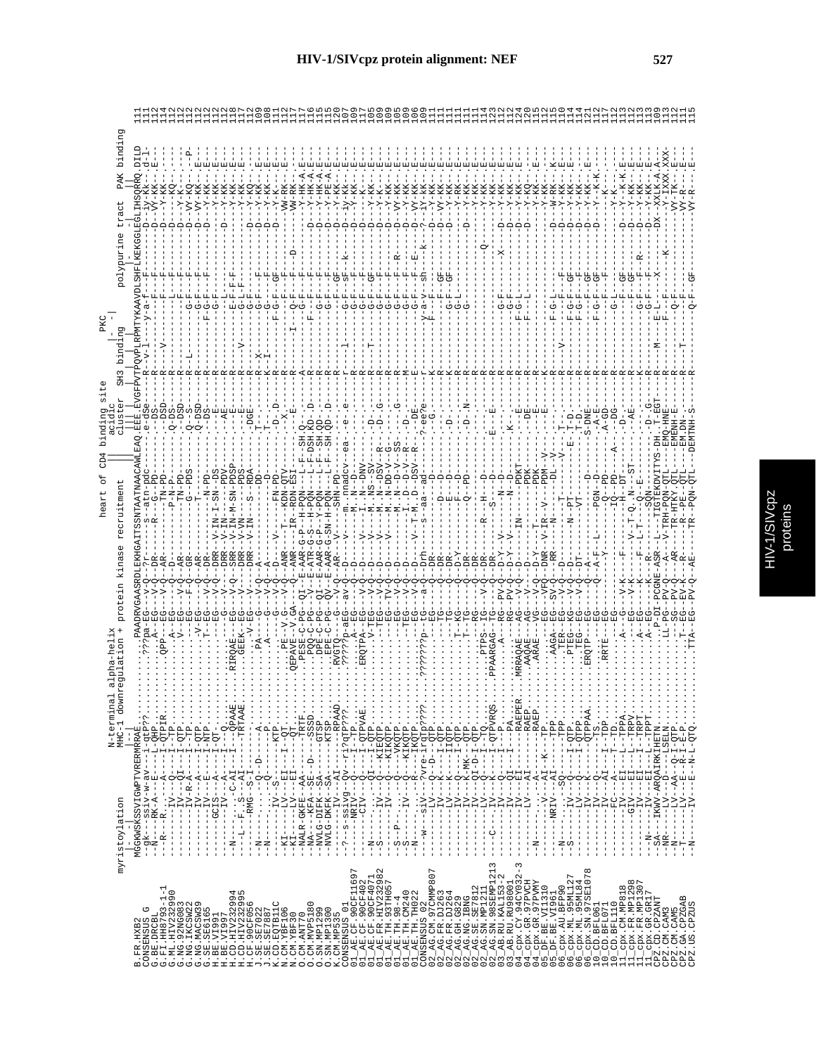| bindinc              |                            |                                                                                                                                                                                                                                                                                                                                                                                     |        |                                                                                            |               |               |              |                |                     |               |                                                        |               |                    |              |                                                                                                                                                                      |               |        |         |              |                                                                                                                     |              |                                         |              |                      |             |                     |               |                                                                                                                                                                                                                                                                                                                                                                                                                                                                                                                                      |               |                                                                              |                            |   |  |                                                                                                                                                                                                                                                                                                                                                                                                                                                                                     |                                                                                                                                                                                                                                                                                                         |                      |   |               |    |                                                |                                                                                                                       |                                             |               |                                                  |                                       |             |                                                |                            |                                    |                                     |                       |                                                            |              |                                                                                                                                                                                                                                                                                                                                |         |              |                                                                                                                                                                                                                                                                                                                                                                                                                                                                            |
|----------------------|----------------------------|-------------------------------------------------------------------------------------------------------------------------------------------------------------------------------------------------------------------------------------------------------------------------------------------------------------------------------------------------------------------------------------|--------|--------------------------------------------------------------------------------------------|---------------|---------------|--------------|----------------|---------------------|---------------|--------------------------------------------------------|---------------|--------------------|--------------|----------------------------------------------------------------------------------------------------------------------------------------------------------------------|---------------|--------|---------|--------------|---------------------------------------------------------------------------------------------------------------------|--------------|-----------------------------------------|--------------|----------------------|-------------|---------------------|---------------|--------------------------------------------------------------------------------------------------------------------------------------------------------------------------------------------------------------------------------------------------------------------------------------------------------------------------------------------------------------------------------------------------------------------------------------------------------------------------------------------------------------------------------------|---------------|------------------------------------------------------------------------------|----------------------------|---|--|-------------------------------------------------------------------------------------------------------------------------------------------------------------------------------------------------------------------------------------------------------------------------------------------------------------------------------------------------------------------------------------------------------------------------------------------------------------------------------------|---------------------------------------------------------------------------------------------------------------------------------------------------------------------------------------------------------------------------------------------------------------------------------------------------------|----------------------|---|---------------|----|------------------------------------------------|-----------------------------------------------------------------------------------------------------------------------|---------------------------------------------|---------------|--------------------------------------------------|---------------------------------------|-------------|------------------------------------------------|----------------------------|------------------------------------|-------------------------------------|-----------------------|------------------------------------------------------------|--------------|--------------------------------------------------------------------------------------------------------------------------------------------------------------------------------------------------------------------------------------------------------------------------------------------------------------------------------|---------|--------------|----------------------------------------------------------------------------------------------------------------------------------------------------------------------------------------------------------------------------------------------------------------------------------------------------------------------------------------------------------------------------------------------------------------------------------------------------------------------------|
|                      |                            |                                                                                                                                                                                                                                                                                                                                                                                     |        |                                                                                            |               |               |              |                |                     |               |                                                        |               |                    |              |                                                                                                                                                                      |               |        |         |              |                                                                                                                     |              |                                         |              |                      |             |                     |               |                                                                                                                                                                                                                                                                                                                                                                                                                                                                                                                                      |               |                                                                              |                            |   |  |                                                                                                                                                                                                                                                                                                                                                                                                                                                                                     |                                                                                                                                                                                                                                                                                                         |                      |   |               |    |                                                |                                                                                                                       |                                             |               |                                                  |                                       |             |                                                |                            |                                    |                                     |                       |                                                            |              |                                                                                                                                                                                                                                                                                                                                |         |              |                                                                                                                                                                                                                                                                                                                                                                                                                                                                            |
|                      | <b>GLIHSORR</b>            |                                                                                                                                                                                                                                                                                                                                                                                     |        |                                                                                            |               |               |              |                |                     |               |                                                        |               |                    |              |                                                                                                                                                                      |               |        |         |              |                                                                                                                     |              |                                         |              |                      |             |                     |               |                                                                                                                                                                                                                                                                                                                                                                                                                                                                                                                                      |               |                                                                              |                            |   |  |                                                                                                                                                                                                                                                                                                                                                                                                                                                                                     |                                                                                                                                                                                                                                                                                                         |                      |   |               |    |                                                |                                                                                                                       |                                             |               |                                                  |                                       |             |                                                |                            |                                    |                                     |                       |                                                            |              |                                                                                                                                                                                                                                                                                                                                |         |              |                                                                                                                                                                                                                                                                                                                                                                                                                                                                            |
| act                  |                            |                                                                                                                                                                                                                                                                                                                                                                                     |        |                                                                                            |               |               |              |                |                     |               |                                                        |               |                    |              |                                                                                                                                                                      |               |        |         |              |                                                                                                                     |              |                                         |              |                      |             |                     |               |                                                                                                                                                                                                                                                                                                                                                                                                                                                                                                                                      |               |                                                                              |                            |   |  |                                                                                                                                                                                                                                                                                                                                                                                                                                                                                     |                                                                                                                                                                                                                                                                                                         |                      |   |               |    |                                                |                                                                                                                       |                                             |               |                                                  |                                       |             |                                                |                            |                                    |                                     |                       |                                                            |              |                                                                                                                                                                                                                                                                                                                                |         |              |                                                                                                                                                                                                                                                                                                                                                                                                                                                                            |
|                      |                            |                                                                                                                                                                                                                                                                                                                                                                                     |        |                                                                                            |               |               |              |                |                     |               |                                                        |               |                    |              |                                                                                                                                                                      |               |        |         |              |                                                                                                                     |              |                                         |              |                      |             |                     |               |                                                                                                                                                                                                                                                                                                                                                                                                                                                                                                                                      |               |                                                                              |                            |   |  |                                                                                                                                                                                                                                                                                                                                                                                                                                                                                     |                                                                                                                                                                                                                                                                                                         |                      |   |               |    |                                                |                                                                                                                       |                                             |               |                                                  |                                       |             |                                                |                            |                                    |                                     |                       |                                                            |              |                                                                                                                                                                                                                                                                                                                                |         |              |                                                                                                                                                                                                                                                                                                                                                                                                                                                                            |
| polypurine           |                            |                                                                                                                                                                                                                                                                                                                                                                                     |        |                                                                                            |               |               |              |                |                     |               |                                                        |               |                    |              |                                                                                                                                                                      |               |        |         |              |                                                                                                                     |              |                                         |              |                      |             |                     |               |                                                                                                                                                                                                                                                                                                                                                                                                                                                                                                                                      |               |                                                                              |                            |   |  |                                                                                                                                                                                                                                                                                                                                                                                                                                                                                     |                                                                                                                                                                                                                                                                                                         |                      |   |               |    |                                                |                                                                                                                       |                                             |               |                                                  |                                       |             |                                                |                            |                                    |                                     |                       |                                                            |              |                                                                                                                                                                                                                                                                                                                                |         |              |                                                                                                                                                                                                                                                                                                                                                                                                                                                                            |
|                      |                            |                                                                                                                                                                                                                                                                                                                                                                                     |        |                                                                                            |               |               |              |                |                     |               |                                                        |               |                    |              |                                                                                                                                                                      |               |        |         |              |                                                                                                                     |              |                                         |              |                      |             |                     |               |                                                                                                                                                                                                                                                                                                                                                                                                                                                                                                                                      |               |                                                                              |                            |   |  |                                                                                                                                                                                                                                                                                                                                                                                                                                                                                     |                                                                                                                                                                                                                                                                                                         |                      |   |               |    |                                                |                                                                                                                       |                                             |               |                                                  |                                       |             |                                                |                            |                                    |                                     |                       |                                                            |              |                                                                                                                                                                                                                                                                                                                                |         |              |                                                                                                                                                                                                                                                                                                                                                                                                                                                                            |
|                      |                            |                                                                                                                                                                                                                                                                                                                                                                                     |        |                                                                                            |               |               |              |                |                     |               |                                                        |               |                    |              |                                                                                                                                                                      |               |        |         |              |                                                                                                                     |              |                                         |              |                      |             | Ŀц                  |               |                                                                                                                                                                                                                                                                                                                                                                                                                                                                                                                                      |               |                                                                              |                            | œ |  |                                                                                                                                                                                                                                                                                                                                                                                                                                                                                     |                                                                                                                                                                                                                                                                                                         |                      |   |               |    |                                                |                                                                                                                       |                                             |               |                                                  |                                       |             |                                                |                            |                                    |                                     |                       |                                                            |              |                                                                                                                                                                                                                                                                                                                                |         |              |                                                                                                                                                                                                                                                                                                                                                                                                                                                                            |
|                      | OVPLRPMTYKAAVDLSHFLKEKGGLE |                                                                                                                                                                                                                                                                                                                                                                                     |        |                                                                                            |               |               |              |                |                     |               |                                                        |               |                    |              |                                                                                                                                                                      |               |        |         |              | Ŀ,                                                                                                                  |              |                                         |              |                      |             |                     |               |                                                                                                                                                                                                                                                                                                                                                                                                                                                                                                                                      |               |                                                                              |                            |   |  |                                                                                                                                                                                                                                                                                                                                                                                                                                                                                     |                                                                                                                                                                                                                                                                                                         |                      |   |               |    |                                                |                                                                                                                       |                                             |               |                                                  |                                       |             |                                                |                            |                                    |                                     |                       |                                                            |              | 囟                                                                                                                                                                                                                                                                                                                              |         |              |                                                                                                                                                                                                                                                                                                                                                                                                                                                                            |
|                      |                            |                                                                                                                                                                                                                                                                                                                                                                                     |        |                                                                                            |               |               |              |                |                     |               |                                                        |               |                    |              |                                                                                                                                                                      |               |        |         |              |                                                                                                                     |              |                                         |              |                      |             |                     |               |                                                                                                                                                                                                                                                                                                                                                                                                                                                                                                                                      |               |                                                                              |                            |   |  |                                                                                                                                                                                                                                                                                                                                                                                                                                                                                     |                                                                                                                                                                                                                                                                                                         |                      |   |               |    |                                                |                                                                                                                       |                                             |               |                                                  |                                       |             |                                                |                            |                                    |                                     |                       |                                                            |              |                                                                                                                                                                                                                                                                                                                                |         |              |                                                                                                                                                                                                                                                                                                                                                                                                                                                                            |
|                      |                            |                                                                                                                                                                                                                                                                                                                                                                                     |        |                                                                                            |               |               |              |                |                     |               |                                                        |               |                    |              |                                                                                                                                                                      |               |        |         |              |                                                                                                                     |              |                                         |              |                      |             |                     |               |                                                                                                                                                                                                                                                                                                                                                                                                                                                                                                                                      |               |                                                                              |                            |   |  |                                                                                                                                                                                                                                                                                                                                                                                                                                                                                     |                                                                                                                                                                                                                                                                                                         |                      |   |               |    |                                                |                                                                                                                       |                                             |               |                                                  |                                       |             |                                                |                            |                                    |                                     |                       |                                                            |              |                                                                                                                                                                                                                                                                                                                                |         |              |                                                                                                                                                                                                                                                                                                                                                                                                                                                                            |
|                      | EVGF                       |                                                                                                                                                                                                                                                                                                                                                                                     |        |                                                                                            |               |               |              |                |                     |               |                                                        |               |                    |              |                                                                                                                                                                      |               |        |         |              |                                                                                                                     |              |                                         |              |                      |             |                     |               |                                                                                                                                                                                                                                                                                                                                                                                                                                                                                                                                      |               |                                                                              |                            |   |  |                                                                                                                                                                                                                                                                                                                                                                                                                                                                                     |                                                                                                                                                                                                                                                                                                         |                      |   |               |    |                                                |                                                                                                                       |                                             |               |                                                  |                                       |             |                                                |                            |                                    |                                     |                       |                                                            |              |                                                                                                                                                                                                                                                                                                                                |         |              |                                                                                                                                                                                                                                                                                                                                                                                                                                                                            |
| uster                | 멻                          |                                                                                                                                                                                                                                                                                                                                                                                     |        |                                                                                            |               |               |              |                |                     |               |                                                        |               | -DGE               |              |                                                                                                                                                                      |               |        |         |              |                                                                                                                     |              |                                         |              |                      |             |                     |               |                                                                                                                                                                                                                                                                                                                                                                                                                                                                                                                                      |               |                                                                              | Ed-                        |   |  |                                                                                                                                                                                                                                                                                                                                                                                                                                                                                     |                                                                                                                                                                                                                                                                                                         |                      |   |               |    |                                                |                                                                                                                       |                                             |               |                                                  |                                       |             |                                                |                            |                                    |                                     |                       |                                                            |              |                                                                                                                                                                                                                                                                                                                                |         |              |                                                                                                                                                                                                                                                                                                                                                                                                                                                                            |
| 딩                    | EAO.                       |                                                                                                                                                                                                                                                                                                                                                                                     |        |                                                                                            |               |               |              |                |                     |               |                                                        |               |                    |              |                                                                                                                                                                      |               |        |         |              |                                                                                                                     |              |                                         |              |                      |             |                     |               |                                                                                                                                                                                                                                                                                                                                                                                                                                                                                                                                      |               |                                                                              |                            |   |  |                                                                                                                                                                                                                                                                                                                                                                                                                                                                                     |                                                                                                                                                                                                                                                                                                         |                      |   |               |    |                                                |                                                                                                                       |                                             |               |                                                  |                                       |             |                                                |                            |                                    |                                     |                       |                                                            |              |                                                                                                                                                                                                                                                                                                                                |         |              |                                                                                                                                                                                                                                                                                                                                                                                                                                                                            |
|                      |                            |                                                                                                                                                                                                                                                                                                                                                                                     |        |                                                                                            |               |               |              |                |                     |               |                                                        |               |                    |              |                                                                                                                                                                      |               |        |         |              |                                                                                                                     |              |                                         |              |                      |             |                     |               |                                                                                                                                                                                                                                                                                                                                                                                                                                                                                                                                      |               |                                                                              |                            |   |  |                                                                                                                                                                                                                                                                                                                                                                                                                                                                                     |                                                                                                                                                                                                                                                                                                         |                      |   |               |    |                                                |                                                                                                                       |                                             |               |                                                  |                                       |             |                                                |                            |                                    |                                     |                       |                                                            |              |                                                                                                                                                                                                                                                                                                                                |         |              |                                                                                                                                                                                                                                                                                                                                                                                                                                                                            |
|                      |                            |                                                                                                                                                                                                                                                                                                                                                                                     |        |                                                                                            |               |               |              |                |                     |               |                                                        |               |                    |              |                                                                                                                                                                      |               |        |         |              |                                                                                                                     |              |                                         |              |                      |             |                     |               | ad-                                                                                                                                                                                                                                                                                                                                                                                                                                                                                                                                  |               |                                                                              | $-DST$                     |   |  |                                                                                                                                                                                                                                                                                                                                                                                                                                                                                     |                                                                                                                                                                                                                                                                                                         |                      |   |               |    |                                                |                                                                                                                       |                                             |               |                                                  |                                       |             |                                                |                            |                                    |                                     |                       |                                                            |              |                                                                                                                                                                                                                                                                                                                                |         |              |                                                                                                                                                                                                                                                                                                                                                                                                                                                                            |
| recruitment<br>heart | KHGAITSSNTAATNAACAW        |                                                                                                                                                                                                                                                                                                                                                                                     | $TN-P$ | +<br>N-N-                                                                                  | -TN-PL        | G---D         |              |                |                     |               | $-M-SN-F$                                              |               |                    |              |                                                                                                                                                                      |               |        |         |              |                                                                                                                     |              |                                         |              |                      |             |                     |               |                                                                                                                                                                                                                                                                                                                                                                                                                                                                                                                                      |               |                                                                              |                            |   |  | Ŀц,                                                                                                                                                                                                                                                                                                                                                                                                                                                                                 | 14--<br>O                                                                                                                                                                                                                                                                                               | ÷                    |   |               |    |                                                |                                                                                                                       |                                             |               |                                                  |                                       |             |                                                |                            |                                    |                                     |                       |                                                            |              |                                                                                                                                                                                                                                                                                                                                |         |              |                                                                                                                                                                                                                                                                                                                                                                                                                                                                            |
|                      |                            |                                                                                                                                                                                                                                                                                                                                                                                     |        |                                                                                            |               |               |              |                |                     |               |                                                        |               |                    |              |                                                                                                                                                                      |               |        |         |              |                                                                                                                     |              | -<br>Z                                  |              |                      |             |                     |               |                                                                                                                                                                                                                                                                                                                                                                                                                                                                                                                                      |               |                                                                              | $-{\mathbb T}-{\mathbb N}$ |   |  |                                                                                                                                                                                                                                                                                                                                                                                                                                                                                     |                                                                                                                                                                                                                                                                                                         |                      |   |               |    |                                                |                                                                                                                       |                                             |               |                                                  |                                       |             |                                                |                            |                                    |                                     |                       |                                                            |              |                                                                                                                                                                                                                                                                                                                                |         |              |                                                                                                                                                                                                                                                                                                                                                                                                                                                                            |
|                      |                            |                                                                                                                                                                                                                                                                                                                                                                                     |        |                                                                                            |               |               |              |                |                     |               |                                                        |               |                    |              |                                                                                                                                                                      |               |        |         |              |                                                                                                                     |              |                                         |              |                      |             |                     |               |                                                                                                                                                                                                                                                                                                                                                                                                                                                                                                                                      |               |                                                                              |                            |   |  |                                                                                                                                                                                                                                                                                                                                                                                                                                                                                     |                                                                                                                                                                                                                                                                                                         |                      |   |               |    |                                                |                                                                                                                       |                                             |               |                                                  |                                       |             |                                                |                            |                                    |                                     |                       |                                                            |              |                                                                                                                                                                                                                                                                                                                                |         |              |                                                                                                                                                                                                                                                                                                                                                                                                                                                                            |
| kinase               |                            |                                                                                                                                                                                                                                                                                                                                                                                     |        |                                                                                            |               |               |              |                |                     |               |                                                        |               |                    |              |                                                                                                                                                                      |               |        |         |              |                                                                                                                     |              |                                         |              |                      |             |                     |               |                                                                                                                                                                                                                                                                                                                                                                                                                                                                                                                                      |               |                                                                              |                            |   |  |                                                                                                                                                                                                                                                                                                                                                                                                                                                                                     |                                                                                                                                                                                                                                                                                                         |                      |   |               |    |                                                |                                                                                                                       |                                             |               |                                                  |                                       |             |                                                |                            |                                    |                                     |                       |                                                            |              |                                                                                                                                                                                                                                                                                                                                |         |              |                                                                                                                                                                                                                                                                                                                                                                                                                                                                            |
|                      |                            |                                                                                                                                                                                                                                                                                                                                                                                     |        |                                                                                            |               |               |              |                |                     |               |                                                        |               |                    |              |                                                                                                                                                                      |               |        |         |              |                                                                                                                     |              |                                         |              |                      |             |                     |               |                                                                                                                                                                                                                                                                                                                                                                                                                                                                                                                                      |               |                                                                              |                            |   |  |                                                                                                                                                                                                                                                                                                                                                                                                                                                                                     |                                                                                                                                                                                                                                                                                                         |                      |   |               |    |                                                |                                                                                                                       |                                             |               |                                                  |                                       |             |                                                |                            |                                    |                                     |                       |                                                            |              |                                                                                                                                                                                                                                                                                                                                |         |              |                                                                                                                                                                                                                                                                                                                                                                                                                                                                            |
| protein              | PAADRVGAASRDL              |                                                                                                                                                                                                                                                                                                                                                                                     |        |                                                                                            |               |               |              |                |                     |               |                                                        |               |                    |              |                                                                                                                                                                      |               |        |         |              |                                                                                                                     |              |                                         |              |                      |             |                     |               |                                                                                                                                                                                                                                                                                                                                                                                                                                                                                                                                      |               |                                                                              |                            |   |  |                                                                                                                                                                                                                                                                                                                                                                                                                                                                                     |                                                                                                                                                                                                                                                                                                         |                      |   |               |    |                                                |                                                                                                                       |                                             |               |                                                  |                                       |             |                                                |                            |                                    |                                     |                       |                                                            |              |                                                                                                                                                                                                                                                                                                                                |         |              |                                                                                                                                                                                                                                                                                                                                                                                                                                                                            |
|                      |                            |                                                                                                                                                                                                                                                                                                                                                                                     |        | 면<br>                                                                                      | 면<br>         |               | $-V - E$     |                |                     |               |                                                        |               | ・アート               |              |                                                                                                                                                                      |               |        |         |              | T                                                                                                                   | Ţ.           |                                         |              |                      |             |                     |               |                                                                                                                                                                                                                                                                                                                                                                                                                                                                                                                                      |               |                                                                              |                            |   |  |                                                                                                                                                                                                                                                                                                                                                                                                                                                                                     |                                                                                                                                                                                                                                                                                                         |                      |   |               |    |                                                |                                                                                                                       |                                             |               |                                                  |                                       |             |                                                |                            |                                    |                                     |                       |                                                            |              |                                                                                                                                                                                                                                                                                                                                |         |              |                                                                                                                                                                                                                                                                                                                                                                                                                                                                            |
| $\frac{1}{2}$        |                            |                                                                                                                                                                                                                                                                                                                                                                                     |        |                                                                                            |               |               |              |                |                     |               |                                                        |               |                    |              |                                                                                                                                                                      |               |        |         |              |                                                                                                                     |              |                                         |              |                      | OTP.        |                     |               |                                                                                                                                                                                                                                                                                                                                                                                                                                                                                                                                      |               |                                                                              |                            |   |  |                                                                                                                                                                                                                                                                                                                                                                                                                                                                                     |                                                                                                                                                                                                                                                                                                         |                      |   |               |    |                                                |                                                                                                                       |                                             |               |                                                  |                                       |             |                                                |                            |                                    |                                     |                       |                                                            |              |                                                                                                                                                                                                                                                                                                                                |         |              |                                                                                                                                                                                                                                                                                                                                                                                                                                                                            |
| ulation              |                            |                                                                                                                                                                                                                                                                                                                                                                                     |        |                                                                                            |               |               |              |                |                     |               |                                                        |               |                    |              |                                                                                                                                                                      |               |        |         |              |                                                                                                                     |              |                                         |              |                      |             |                     |               |                                                                                                                                                                                                                                                                                                                                                                                                                                                                                                                                      |               |                                                                              |                            |   |  |                                                                                                                                                                                                                                                                                                                                                                                                                                                                                     |                                                                                                                                                                                                                                                                                                         |                      |   |               |    |                                                |                                                                                                                       |                                             |               |                                                  |                                       |             |                                                |                            |                                    |                                     |                       |                                                            |              |                                                                                                                                                                                                                                                                                                                                |         |              |                                                                                                                                                                                                                                                                                                                                                                                                                                                                            |
|                      |                            |                                                                                                                                                                                                                                                                                                                                                                                     |        |                                                                                            |               |               |              |                |                     |               |                                                        |               |                    |              |                                                                                                                                                                      |               |        |         |              |                                                                                                                     |              |                                         |              |                      |             |                     |               |                                                                                                                                                                                                                                                                                                                                                                                                                                                                                                                                      |               |                                                                              |                            |   |  |                                                                                                                                                                                                                                                                                                                                                                                                                                                                                     |                                                                                                                                                                                                                                                                                                         |                      |   |               |    |                                                |                                                                                                                       |                                             |               |                                                  |                                       |             |                                                |                            |                                    |                                     |                       |                                                            |              |                                                                                                                                                                                                                                                                                                                                |         |              |                                                                                                                                                                                                                                                                                                                                                                                                                                                                            |
|                      |                            |                                                                                                                                                                                                                                                                                                                                                                                     |        |                                                                                            |               |               |              |                |                     |               |                                                        |               |                    |              |                                                                                                                                                                      |               |        |         |              |                                                                                                                     |              |                                         |              |                      |             |                     |               |                                                                                                                                                                                                                                                                                                                                                                                                                                                                                                                                      |               |                                                                              |                            |   |  |                                                                                                                                                                                                                                                                                                                                                                                                                                                                                     |                                                                                                                                                                                                                                                                                                         |                      |   |               |    |                                                |                                                                                                                       |                                             |               |                                                  |                                       |             |                                                |                            |                                    |                                     |                       |                                                            |              |                                                                                                                                                                                                                                                                                                                                |         |              |                                                                                                                                                                                                                                                                                                                                                                                                                                                                            |
| MHC-1 do<br>N-termi  |                            |                                                                                                                                                                                                                                                                                                                                                                                     |        | $-$ - TP. .                                                                                | $-QTP$        | $\frac{1}{2}$ |              | <b>GLN-1</b>   | ÷p-                 | $\frac{1}{1}$ | $---QPAA$                                              | --TRTAAH      | ÷.<br>$\mathbf{I}$ | $-4$ .       |                                                                                                                                                                      |               | $--2T$ | $-9T$ . | $---TRTF$    |                                                                                                                     |              |                                         |              |                      |             |                     |               |                                                                                                                                                                                                                                                                                                                                                                                                                                                                                                                                      |               |                                                                              |                            |   |  |                                                                                                                                                                                                                                                                                                                                                                                                                                                                                     |                                                                                                                                                                                                                                                                                                         | -QTPVRQS<br>$-101 -$ |   |               |    | I----P<br>I----PA<br>-----RAEPE.<br>-----RAEP. | $--RAED$                                                                                                              |                                             |               | $-$ TPP.                                         |                                       |             | -QTPPAA                                        | $-15$                      | $-TTDP$                            | $-$ TD .                            |                       | $ TRPT$<br>--TRPV                                          |              |                                                                                                                                                                                                                                                                                                                                |         |              |                                                                                                                                                                                                                                                                                                                                                                                                                                                                            |
|                      |                            |                                                                                                                                                                                                                                                                                                                                                                                     |        |                                                                                            |               | T<br>I        | $---I-QTP$ . |                |                     |               |                                                        |               |                    |              | $Q$ ---------<br>-------------                                                                                                                                       |               |        |         |              |                                                                                                                     |              |                                         |              | $------I--TP$ .      |             |                     |               |                                                                                                                                                                                                                                                                                                                                                                                                                                                                                                                                      |               |                                                                              |                            |   |  |                                                                                                                                                                                                                                                                                                                                                                                                                                                                                     |                                                                                                                                                                                                                                                                                                         | Ť                    |   |               |    |                                                |                                                                                                                       |                                             |               |                                                  | 2------ФТР<br>2------ФТРР.            |             | -1                                             |                            |                                    |                                     |                       |                                                            |              |                                                                                                                                                                                                                                                                                                                                |         |              |                                                                                                                                                                                                                                                                                                                                                                                                                                                                            |
|                      | MGGKWSKSSVIGWPTVRERMRRAE   |                                                                                                                                                                                                                                                                                                                                                                                     |        | $-R$ $- -A$<br>$- - 1$<br>$- - 1$<br>$- - 2$<br>$- - - 1$<br>$- - 1$<br>$- - 1$<br>$- - 1$ |               |               |              | $\frac{1}{1}$  | $- - - - - - - - -$ |               | $F : S = -2A + C - D + C$<br>F $\cdot$ S = - - - A T - |               | $-1-S-1$           |              | $-1$<br>$-1$<br>$-1$<br>$-1$<br>$-1$<br>$-1$<br>$-1$<br>$-1$<br>$-1$<br>$-1$<br>$-1$<br>$-1$<br>$-1$<br>$-1$<br>$-1$<br>$-1$<br>$-1$<br>$-1$<br>$-1$<br>$-1$<br>$-1$ |               |        |         |              | $\begin{array}{rl} -N\lambda & -- -KFA & -S E & -D----S S S D \\ -NVLG & -DIFK--SA & ------G T S P \\ \end{array}.$ |              | --SA--------KTSP<br>---AI----------RPAA |              |                      |             |                     |               | $\begin{array}{l} \text{\textbf{---}}\,\text{\textbf{---}}\,\text{\textbf{---}}\,\text{\textbf{---}}\,\text{\textbf{---}}\,\text{\textbf{---}}\,\text{\textbf{---}}\,\text{\textbf{---}}\,\text{\textbf{---}}\,\text{\textbf{---}}\,\text{\textbf{---}}\,\text{\textbf{---}}\,\text{\textbf{---}}\,\text{\textbf{---}}\,\text{\textbf{---}}\,\text{\textbf{---}}\,\text{\textbf{---}}\,\text{\textbf{---}}\,\text{\textbf{---}}\,\text{\textbf{---}}\,\text{\textbf{---}}\,\text{\textbf{---}}\,\text{\textbf{---}}\,\text{\textbf{$ |               | }-------IV---Q---KIKQTP<br>1---------R----IKQTP<br>--w---siV---?vre-irqTp??? |                            |   |  | $\begin{array}{lll} \multicolumn{3}{l}{} & \multicolumn{3}{l}{} & \multicolumn{3}{l}{} & \multicolumn{3}{l}{} & \multicolumn{3}{l}{} & \multicolumn{3}{l}{} & \multicolumn{3}{l}{} \\ \multicolumn{3}{l}{} & \multicolumn{3}{l}{} & \multicolumn{3}{l}{} & \multicolumn{3}{l}{} & \multicolumn{3}{l}{} & \multicolumn{3}{l}{} \\ \multicolumn{3}{l}{} & \multicolumn{3}{l}{} & \multicolumn{3}{l}{} & \multicolumn{3}{l}{} & \multicolumn{3}{l}{} & \multicolumn{3}{l}{} & \multic$ | $1 - 1 - 1 - 1 - 1 - 0 - 1 - 0 - 1 - 0 - 1 - 0 - 1 - 0 - 1 - 0 - 1 - 0 - 1 - 0 - 1 - 0 - 1 - 0 - 1 - 0 - 1 - 0 - 1 - 0 - 1 - 0 - 1 - 0 - 1 - 0 - 1 - 0 - 1 - 0 - 1 - 0 - 1 - 0 - 1 - 0 - 1 - 0 - 1 - 0 - 1 - 0 - 1 - 0 - 1 - 0 - 1 - 0 - 1 - 0 - 1 - 0 - 1 - 0 - 1 - 0 - 1 - 0 - 1 - 0 - 1 - 0 - 1 - 0$ |                      |   |               |    |                                                |                                                                                                                       |                                             |               | $\begin{bmatrix} 1 \\ 1 \\ 1 \\ 1 \end{bmatrix}$ |                                       |             | $\frac{1}{1}$                                  | $\frac{1}{2}$              | $-1 - 1A - -1A$                    | ----------                          | --------------------- | — — — I I — — — VI — — — — —<br>П — — — I I — — — VI — — — |              | -SA----IKWV-ARQAIRKIHETN.                                                                                                                                                                                                                                                                                                      |         |              | $\begin{array}{l} -1\!-\!1\!\!\!&\text{\small{-}}\!\!\!{\small{-}}\!\!\!&\text{\small{-}}\!\!\!&\text{\small{-}}\!\!\!&\text{\small{-}}\!\!\!&\text{\small{-}}\!\!\!&\text{\small{-}}\!\!\!&\text{\small{-}}\!\!\!&\text{\small{-}}\!\!\!&\text{\small{-}}\!\!\!&\text{\small{-}}\!\!\!&\text{\small{-}}\!\!\!&\text{\small{-}}\!\!\!&\text{\small{-}}\!\!\!&\text{\small{-}}\!\!\!&\text{\small{-}}\!\!\!&\text{\small{-}}\!\!\!&\text{\small{-}}\!\!\!&\text{\small{-}}$ |
|                      |                            |                                                                                                                                                                                                                                                                                                                                                                                     |        |                                                                                            |               |               | $-1V$ - $-4$ | $-LV$ - - $-E$ |                     |               |                                                        |               |                    |              |                                                                                                                                                                      |               |        |         |              |                                                                                                                     |              |                                         |              | $\frac{1}{\sqrt{2}}$ |             |                     |               |                                                                                                                                                                                                                                                                                                                                                                                                                                                                                                                                      |               |                                                                              |                            |   |  |                                                                                                                                                                                                                                                                                                                                                                                                                                                                                     |                                                                                                                                                                                                                                                                                                         | $- -2 - - -1 - - -$  |   |               |    |                                                |                                                                                                                       |                                             |               | $-5Q$                                            |                                       | $-1-V - -Q$ | $X$ - - -                                      | $Q$ - - - $Y$ $I$ $     -$ |                                    |                                     |                       |                                                            |              |                                                                                                                                                                                                                                                                                                                                |         |              |                                                                                                                                                                                                                                                                                                                                                                                                                                                                            |
|                      |                            |                                                                                                                                                                                                                                                                                                                                                                                     |        |                                                                                            |               |               |              | Ť.             |                     |               |                                                        | $-RMG$        |                    |              |                                                                                                                                                                      |               |        |         |              |                                                                                                                     |              |                                         |              | $--NRTV$             |             |                     |               |                                                                                                                                                                                                                                                                                                                                                                                                                                                                                                                                      |               |                                                                              |                            |   |  |                                                                                                                                                                                                                                                                                                                                                                                                                                                                                     |                                                                                                                                                                                                                                                                                                         |                      |   |               |    |                                                |                                                                                                                       |                                             |               |                                                  |                                       |             | $-1V$                                          |                            |                                    | $----$                              |                       |                                                            |              |                                                                                                                                                                                                                                                                                                                                |         |              |                                                                                                                                                                                                                                                                                                                                                                                                                                                                            |
|                      |                            |                                                                                                                                                                                                                                                                                                                                                                                     |        | ı                                                                                          | $\frac{1}{4}$ | $\mathsf I$   |              | I<br>ŧ         | $------GCIS$        |               | $\frac{1}{1}$<br>$-1$                                  | $-1 - 1 - -F$ |                    | $-1 - 1$     | $-1$                                                                                                                                                                 | $\frac{1}{1}$ |        |         | $-NALR-GKFE$ |                                                                                                                     |              | --NVLG-DKFK                             |              | $\frac{1}{1}$<br>т   | $\mathbf I$ | $-1$ $-1$ $-1$ $-1$ |               | J,                                                                                                                                                                                                                                                                                                                                                                                                                                                                                                                                   |               |                                                                              |                            |   |  |                                                                                                                                                                                                                                                                                                                                                                                                                                                                                     |                                                                                                                                                                                                                                                                                                         |                      | İ | $\frac{1}{1}$ | J, |                                                | $-1 - N - 1$                                                                                                          |                                             |               |                                                  | Ť                                     |             |                                                |                            |                                    | I<br>т                              | $\,$ I<br>J.          |                                                            | $-1 - N - -$ |                                                                                                                                                                                                                                                                                                                                | $-MR -$ | $-1$<br>$-1$ | J                                                                                                                                                                                                                                                                                                                                                                                                                                                                          |
| myristoylation       |                            | $\mathbf{I}$                                                                                                                                                                                                                                                                                                                                                                        |        |                                                                                            |               |               |              |                |                     |               | I.                                                     |               |                    | $\mathbf{I}$ | $\blacksquare$                                                                                                                                                       |               |        |         |              | T                                                                                                                   | $\mathbf{I}$ |                                         | $\mathbf{I}$ |                      |             |                     | $\frac{5}{1}$ |                                                                                                                                                                                                                                                                                                                                                                                                                                                                                                                                      | $\frac{5}{1}$ | $\frac{0}{1}$<br>$\mathbf{I}$                                                | $\frac{1}{2}$              |   |  |                                                                                                                                                                                                                                                                                                                                                                                                                                                                                     |                                                                                                                                                                                                                                                                                                         |                      |   |               |    |                                                |                                                                                                                       |                                             | $\frac{1}{1}$ |                                                  | က်                                    |             |                                                |                            |                                    |                                     |                       |                                                            |              |                                                                                                                                                                                                                                                                                                                                |         |              | $\begin{array}{c} -\Gamma - \Gamma \\ -\Gamma \end{array}$                                                                                                                                                                                                                                                                                                                                                                                                                 |
|                      |                            |                                                                                                                                                                                                                                                                                                                                                                                     |        |                                                                                            |               |               |              |                |                     |               |                                                        |               |                    |              |                                                                                                                                                                      |               |        |         |              |                                                                                                                     |              |                                         |              |                      |             |                     |               | $\begin{array}{l} 11.141.011.030211.037\\ 11.242.073.0274.03\\ 11.243.074.03243\\ 11.245.074.03723982\\ 11.247.0732982\\ 11.248.011.03711057\\ 11.247.03711057\\ 11.247.03711057\\ 11.248.0124\\ 11.248.01220\\ 11.248.01220\\ 11.248.01220\\ \end{array}$                                                                                                                                                                                                                                                                           |               |                                                                              |                            |   |  |                                                                                                                                                                                                                                                                                                                                                                                                                                                                                     |                                                                                                                                                                                                                                                                                                         |                      |   |               |    |                                                |                                                                                                                       |                                             |               |                                                  |                                       |             | $^{\circ}$                                     |                            |                                    |                                     |                       |                                                            |              |                                                                                                                                                                                                                                                                                                                                |         |              |                                                                                                                                                                                                                                                                                                                                                                                                                                                                            |
|                      |                            |                                                                                                                                                                                                                                                                                                                                                                                     |        |                                                                                            |               |               |              |                |                     |               |                                                        |               |                    |              |                                                                                                                                                                      |               |        |         |              |                                                                                                                     |              |                                         |              |                      |             |                     |               |                                                                                                                                                                                                                                                                                                                                                                                                                                                                                                                                      |               |                                                                              |                            |   |  |                                                                                                                                                                                                                                                                                                                                                                                                                                                                                     |                                                                                                                                                                                                                                                                                                         |                      |   |               |    |                                                |                                                                                                                       |                                             |               |                                                  |                                       |             |                                                |                            |                                    |                                     |                       |                                                            |              |                                                                                                                                                                                                                                                                                                                                |         |              |                                                                                                                                                                                                                                                                                                                                                                                                                                                                            |
|                      |                            |                                                                                                                                                                                                                                                                                                                                                                                     |        |                                                                                            |               |               |              |                |                     |               |                                                        |               |                    |              |                                                                                                                                                                      |               |        |         |              |                                                                                                                     |              |                                         |              |                      |             |                     |               |                                                                                                                                                                                                                                                                                                                                                                                                                                                                                                                                      |               |                                                                              |                            |   |  |                                                                                                                                                                                                                                                                                                                                                                                                                                                                                     |                                                                                                                                                                                                                                                                                                         |                      |   |               |    |                                                |                                                                                                                       |                                             |               |                                                  |                                       |             |                                                |                            |                                    |                                     |                       |                                                            |              |                                                                                                                                                                                                                                                                                                                                |         |              |                                                                                                                                                                                                                                                                                                                                                                                                                                                                            |
|                      |                            | $\begin{smallmatrix} \texttt{B. R. R. B 23} \\ \texttt{C. 24} \\ \texttt{C. 35} \\ \texttt{D. 25} \\ \texttt{D. 36} \\ \texttt{G. 46} \\ \texttt{G. 57} \\ \texttt{G. 58} \\ \texttt{G. 67} \\ \texttt{G. 68} \\ \texttt{G. 69} \\ \texttt{G. 60} \\ \texttt{G. 61} \\ \texttt{G. 62} \\ \texttt{G. 63} \\ \texttt{G. 64} \\ \texttt{G. 65} \\ \texttt{G. 67} \\ \texttt{G. 68} \\$ |        |                                                                                            |               |               |              |                |                     |               |                                                        |               |                    |              |                                                                                                                                                                      |               |        |         |              |                                                                                                                     |              |                                         |              |                      |             |                     |               |                                                                                                                                                                                                                                                                                                                                                                                                                                                                                                                                      |               |                                                                              |                            |   |  |                                                                                                                                                                                                                                                                                                                                                                                                                                                                                     |                                                                                                                                                                                                                                                                                                         |                      |   |               |    |                                                | $\frac{-\texttt{cpx} \cdot \texttt{GR} \cdot \texttt{97PVCH}}{-\texttt{cpx} \cdot \texttt{GR} \cdot \texttt{97PVWH}}$ | $05 - DF$ .BE.VI1310<br>$05 - DF$ .BE.VI961 |               | Cpx.AU.BFP90                                     | 06_срх.МL.95МL127<br>06_срх.МL.95МL84 |             | $06\_{cpx}.$ SN.97SE107<br>10 $\_{cD}$ .BFL061 |                            | $\overline{\phantom{a}}$ CD.BFL071 | CD.BFL110                           |                       |                                                            |              | $\begin{array}{l} \texttt{--}\texttt{cpx}.\texttt{CM}.\texttt{MP}818\\ \texttt{11\_cpx}.\texttt{FR}.\texttt{MP}1298\\ \texttt{11\_cpx}.\texttt{FR}.\texttt{MP}1307\\ \texttt{12\_cpx}.\texttt{GR}.\texttt{GR}17\\ \texttt{13\_cpx}.\texttt{GR}.\texttt{GR}17\\ \texttt{CPZ}.\texttt{MP}\\\texttt{CPZ}.\texttt{MP} \end{array}$ |         |              | CPE : CM : CAM3<br>CPE : CM : CAM5<br>CPE : GA : CPEGAB<br>CPE : US : CPEUS                                                                                                                                                                                                                                                                                                                                                                                                |
|                      |                            |                                                                                                                                                                                                                                                                                                                                                                                     |        |                                                                                            |               |               |              |                |                     |               |                                                        |               |                    |              |                                                                                                                                                                      |               |        |         |              |                                                                                                                     |              |                                         |              | 5                    | 555         |                     |               | $\overline{5}$                                                                                                                                                                                                                                                                                                                                                                                                                                                                                                                       |               | 'ddd<br>000                                                                  |                            |   |  |                                                                                                                                                                                                                                                                                                                                                                                                                                                                                     |                                                                                                                                                                                                                                                                                                         |                      |   |               |    | 04                                             | $\overline{a}$                                                                                                        |                                             |               | $\frac{6}{2}$                                    |                                       |             |                                                |                            | $\frac{1}{2}$                      | $\circ$<br>$\overline{\phantom{0}}$ |                       |                                                            |              |                                                                                                                                                                                                                                                                                                                                |         |              |                                                                                                                                                                                                                                                                                                                                                                                                                                                                            |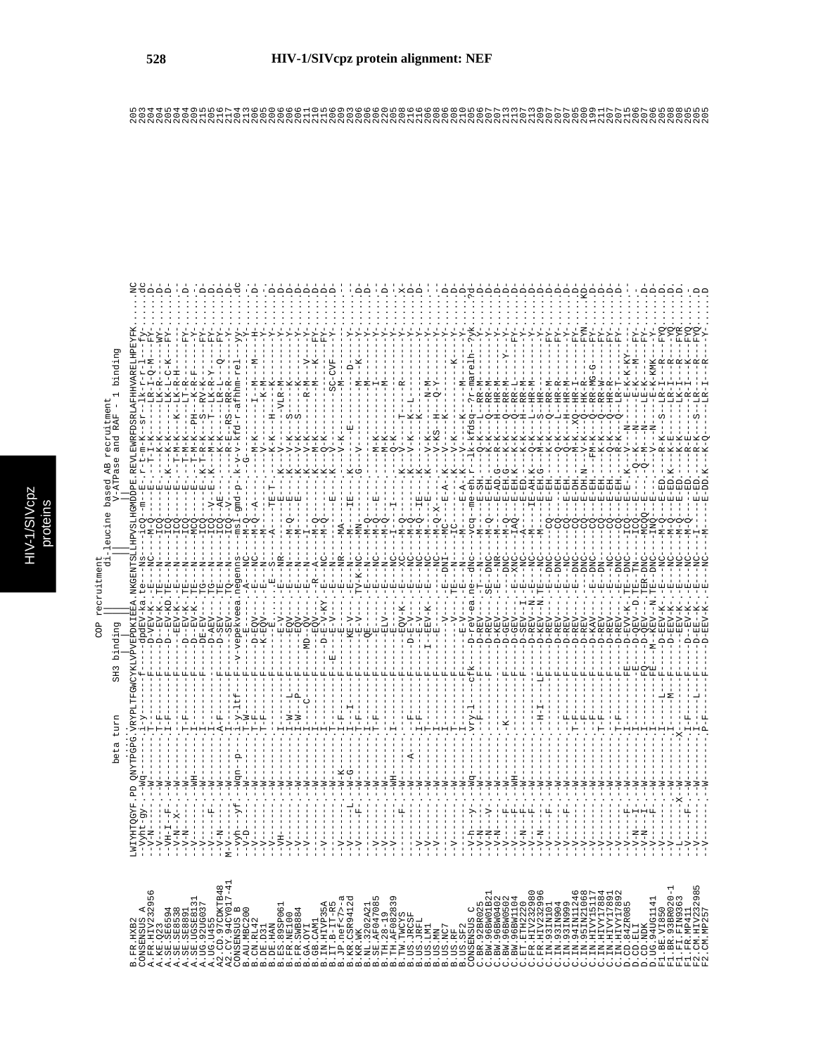HIV-1/SIVcpz HIV-1/SIVcpz proteins

ת המאמאות המאורח המאורח המאורח המאורח המאורח המאורח המאורח המאורח המאורח המאורח המאורח המאורח המאורח המאורח המ<br>המאורח המאורח המאורח המאורח המאורח המאורח המאורח המאורח המאורח המאורח המאורח המאורח המאורח המאורח המאורח המאור